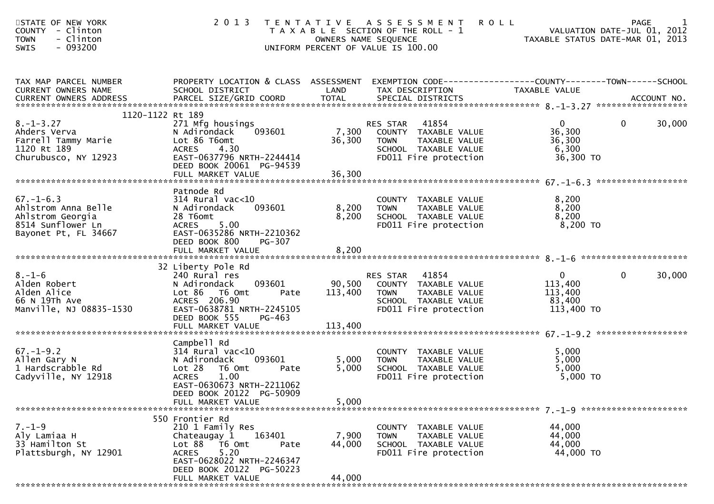| STATE OF NEW YORK<br><b>COUNTY</b><br>- Clinton<br>- Clinton<br><b>TOWN</b><br>- 093200<br><b>SWIS</b>  | 2 0 1 3                                                                                                                        |                 | <b>ROLL</b><br>TENTATIVE ASSESSMENT<br>T A X A B L E SECTION OF THE ROLL - 1<br>OWNERS NAME SEQUENCE<br>UNIFORM PERCENT OF VALUE IS 100.00 | VALUATION DATE-JUL 01, 2012<br>TAXABLE STATUS DATE-MAR 01, 2013 | PAGE                   |
|---------------------------------------------------------------------------------------------------------|--------------------------------------------------------------------------------------------------------------------------------|-----------------|--------------------------------------------------------------------------------------------------------------------------------------------|-----------------------------------------------------------------|------------------------|
| TAX MAP PARCEL NUMBER<br>CURRENT OWNERS NAME                                                            | PROPERTY LOCATION & CLASS ASSESSMENT<br>SCHOOL DISTRICT                                                                        | LAND            | EXEMPTION CODE------------------COUNTY--------TOWN------SCHOOL<br>TAX DESCRIPTION                                                          | TAXABLE VALUE                                                   |                        |
| CURRENT OWNERS ADDRESS                                                                                  |                                                                                                                                |                 |                                                                                                                                            |                                                                 |                        |
| 1120-1122 Rt 189<br>$8. - 1 - 3.27$                                                                     | 271 Mfg housings                                                                                                               |                 | RES STAR<br>41854                                                                                                                          | $\mathbf{0}$                                                    | 30,000<br>0            |
| Ahders Verva<br>Farrell Tammy Marie<br>1120 Rt 189                                                      | 093601<br>N Adirondack<br>Lot 86 T6omt<br><b>ACRES</b><br>4.30                                                                 | 7,300<br>36,300 | COUNTY TAXABLE VALUE<br><b>TOWN</b><br>TAXABLE VALUE<br>SCHOOL TAXABLE VALUE                                                               | 36,300<br>36,300<br>6,300                                       |                        |
| Churubusco, NY 12923                                                                                    | EAST-0637796 NRTH-2244414<br>DEED BOOK 20061 PG-94539                                                                          |                 | FD011 Fire protection                                                                                                                      | 36,300 TO                                                       |                        |
|                                                                                                         |                                                                                                                                |                 |                                                                                                                                            |                                                                 |                        |
| $67. - 1 - 6.3$<br>Ahlstrom Anna Belle<br>Ahlstrom Georgia<br>8514 Sunflower Ln<br>Bayonet Pt, FL 34667 | Patnode Rd<br>$314$ Rural vac< $10$<br>093601<br>N Adirondack<br>28 T6omt<br>5.00<br><b>ACRES</b><br>EAST-0635286 NRTH-2210362 | 8,200<br>8,200  | COUNTY TAXABLE VALUE<br><b>TOWN</b><br>TAXABLE VALUE<br>SCHOOL TAXABLE VALUE<br>FD011 Fire protection                                      | 8,200<br>8,200<br>8,200<br>$8,200$ TO                           |                        |
|                                                                                                         | DEED BOOK 800<br>PG-307                                                                                                        |                 |                                                                                                                                            |                                                                 |                        |
|                                                                                                         | FULL MARKET VALUE                                                                                                              | 8,200           |                                                                                                                                            |                                                                 |                        |
|                                                                                                         | 32 Liberty Pole Rd                                                                                                             |                 |                                                                                                                                            |                                                                 |                        |
| $8. - 1 - 6$<br>Alden Robert                                                                            | 240 Rural res<br>N Adirondack<br>093601                                                                                        | 90,500          | RES STAR 41854<br>COUNTY TAXABLE VALUE                                                                                                     | $\mathbf{0}$<br>113,400                                         | $\mathbf{0}$<br>30,000 |
| Alden Alice                                                                                             | Lot 86 T6 Omt<br>Pate                                                                                                          | 113,400         | TAXABLE VALUE<br><b>TOWN</b>                                                                                                               | 113,400                                                         |                        |
| 66 N 19Th Ave<br>Manville, NJ 08835-1530                                                                | ACRES 206.90<br>EAST-0638781 NRTH-2245105                                                                                      |                 | SCHOOL TAXABLE VALUE<br>FD011 Fire protection                                                                                              | 83,400<br>113,400 TO                                            |                        |
|                                                                                                         | DEED BOOK 555<br>PG-463                                                                                                        |                 |                                                                                                                                            |                                                                 |                        |
|                                                                                                         | FULL MARKET VALUE                                                                                                              | 113,400         |                                                                                                                                            |                                                                 |                        |
|                                                                                                         | Campbell Rd                                                                                                                    |                 |                                                                                                                                            |                                                                 |                        |
| $67. - 1 - 9.2$<br>Allen Gary N                                                                         | $314$ Rural vac<10<br>093601<br>N Adirondack                                                                                   | 5,000           | COUNTY TAXABLE VALUE<br>TAXABLE VALUE<br><b>TOWN</b>                                                                                       | 5,000<br>5,000                                                  |                        |
| 1 Hardscrabble Rd                                                                                       | Lot 28<br>T6 Omt<br>Pate                                                                                                       | 5,000           | SCHOOL TAXABLE VALUE                                                                                                                       | 5,000                                                           |                        |
| Cadyville, NY 12918                                                                                     | 1.00<br><b>ACRES</b><br>EAST-0630673 NRTH-2211062<br>DEED BOOK 20122 PG-50909                                                  |                 | FD011 Fire protection                                                                                                                      | 5,000 TO                                                        |                        |
|                                                                                                         | FULL MARKET VALUE                                                                                                              | 5,000           |                                                                                                                                            |                                                                 |                        |
|                                                                                                         | 550 Frontier Rd                                                                                                                |                 |                                                                                                                                            |                                                                 |                        |
| $7. - 1 - 9$<br>Aly Lamiaa H                                                                            | 210 1 Family Res<br>163401<br>Chateaugay 1                                                                                     | 7,900           | COUNTY TAXABLE VALUE<br><b>TOWN</b><br>TAXABLE VALUE                                                                                       | 44,000<br>44,000                                                |                        |
| 33 Hamilton St                                                                                          | Lot 88 T6 Omt<br>Pate                                                                                                          | 44,000          | SCHOOL TAXABLE VALUE                                                                                                                       | 44,000                                                          |                        |
| Plattsburgh, NY 12901                                                                                   | <b>ACRES</b><br>5.20<br>EAST-0628022 NRTH-2246347<br>DEED BOOK 20122 PG-50223                                                  |                 | FD011 Fire protection                                                                                                                      | 44,000 TO                                                       |                        |
|                                                                                                         | FULL MARKET VALUE                                                                                                              | 44,000          |                                                                                                                                            |                                                                 |                        |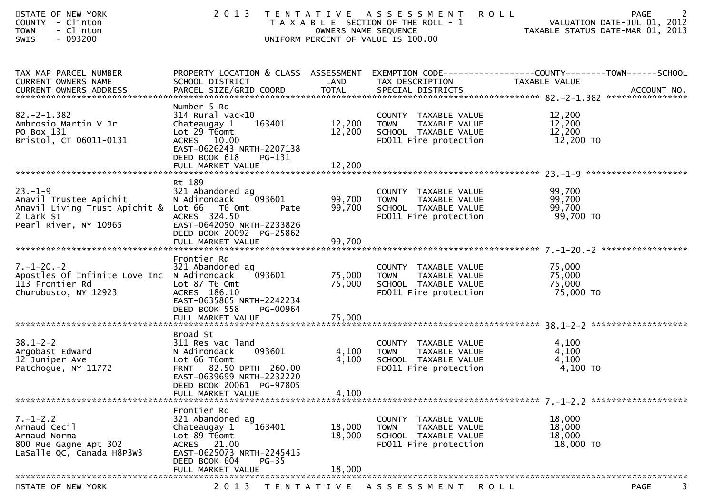| STATE OF NEW YORK<br>COUNTY - Clinton<br><b>TOWN</b><br>- Clinton<br>$-093200$<br>SWIS                                      | 2 0 1 3                                                                                                                                                                          | OWNERS NAME SEQUENCE       | TENTATIVE ASSESSMENT<br>T A X A B L E SECTION OF THE ROLL - 1<br>UNIFORM PERCENT OF VALUE IS 100.00   | <b>ROLL</b><br>2<br>PAGE<br>VALUATION DATE-JUL 01, 2012<br>TAXABLE STATUS DATE-MAR 01, 2013                       |
|-----------------------------------------------------------------------------------------------------------------------------|----------------------------------------------------------------------------------------------------------------------------------------------------------------------------------|----------------------------|-------------------------------------------------------------------------------------------------------|-------------------------------------------------------------------------------------------------------------------|
| TAX MAP PARCEL NUMBER<br>CURRENT OWNERS NAME                                                                                | SCHOOL DISTRICT                                                                                                                                                                  | LAND                       | TAX DESCRIPTION                                                                                       | PROPERTY LOCATION & CLASS ASSESSMENT EXEMPTION CODE----------------COUNTY-------TOWN------SCHOOL<br>TAXABLE VALUE |
| $82. -2 - 1.382$<br>Ambrosio Martin V Jr<br>PO Box 131<br>Bristol, CT 06011-0131                                            | Number 5 Rd<br>$314$ Rural vac< $10$<br>163401<br>Chateaugay 1<br>Lot $29$ T6omt<br>ACRES 10.00<br>EAST-0626243 NRTH-2207138<br>DEED BOOK 618<br>PG-131                          | 12,200<br>12,200           | COUNTY TAXABLE VALUE<br>TAXABLE VALUE<br>TOWN<br>SCHOOL TAXABLE VALUE<br>FD011 Fire protection        | 12,200<br>12,200<br>12,200<br>12,200 TO                                                                           |
|                                                                                                                             |                                                                                                                                                                                  |                            |                                                                                                       |                                                                                                                   |
| $23 - 1 - 9$<br>Anavil Trustee Apichit<br>Anavil Living Trust Apichit & Lot 66 T6 Omt<br>2 Lark St<br>Pearl River, NY 10965 | Rt 189<br>321 Abandoned ag<br>093601<br>N Adirondack<br>Pate<br>ACRES 324.50<br>EAST-0642050 NRTH-2233826<br>DEED BOOK 20092 PG-25862<br>FULL MARKET VALUE                       | 99,700<br>99,700<br>99,700 | COUNTY TAXABLE VALUE<br><b>TOWN</b><br>TAXABLE VALUE<br>SCHOOL TAXABLE VALUE<br>FD011 Fire protection | 99,700<br>99,700<br>99,700<br>99,700 TO                                                                           |
| $7. - 1 - 20. - 2$<br>Apostles Of Infinite Love Inc N Adirondack<br>113 Frontier Rd<br>Churubusco, NY 12923                 | Frontier Rd<br>321 Abandoned ag<br>093601<br>Lot 87 T6 Omt<br>ACRES 186.10<br>EAST-0635865 NRTH-2242234<br>DEED BOOK 558<br>PG-00964                                             | 75,000<br>75,000           | COUNTY TAXABLE VALUE<br>TAXABLE VALUE<br>TOWN<br>SCHOOL TAXABLE VALUE<br>FD011 Fire protection        | 75,000<br>75,000<br>75,000<br>75,000 TO                                                                           |
| $38.1 - 2 - 2$<br>Argobast Edward<br>12 Juniper Ave<br>Patchogue, NY 11772                                                  | Broad St<br>311 Res vac land<br>093601<br>N Adirondack<br>Lot 66 T6omt<br>FRNT 82.50 DPTH 260.00<br>EAST-0639699 NRTH-2232220<br>DEED BOOK 20061 PG-97805<br>FULL MARKET VALUE   | 4,100<br>4,100<br>4,100    | COUNTY TAXABLE VALUE<br><b>TOWN</b><br>TAXABLE VALUE<br>SCHOOL TAXABLE VALUE<br>FD011 Fire protection | 4,100<br>4,100<br>4,100<br>4,100 TO                                                                               |
| $7. - 1 - 2.2$<br>Arnaud Cecil<br>Arnaud Norma<br>800 Rue Gagne Apt 302<br>LaSalle QC, Canada H8P3W3                        | Frontier Rd<br>321 Abandoned ag<br>Chateaugay 1<br>163401<br>Lot 89 T6omt<br>21.00<br><b>ACRES</b><br>EAST-0625073 NRTH-2245415<br>DEED BOOK 604<br>$PG-35$<br>FULL MARKET VALUE | 18,000<br>18,000<br>18,000 | COUNTY TAXABLE VALUE<br><b>TOWN</b><br>TAXABLE VALUE<br>SCHOOL TAXABLE VALUE<br>FD011 Fire protection | 18,000<br>18,000<br>18,000<br>18,000 TO                                                                           |
| STATE OF NEW YORK                                                                                                           | 2 0 1 3<br>T E N T A T I V E                                                                                                                                                     |                            | A S S E S S M E N T                                                                                   | <b>PAGE</b><br>3.<br><b>ROLL</b>                                                                                  |
|                                                                                                                             |                                                                                                                                                                                  |                            |                                                                                                       |                                                                                                                   |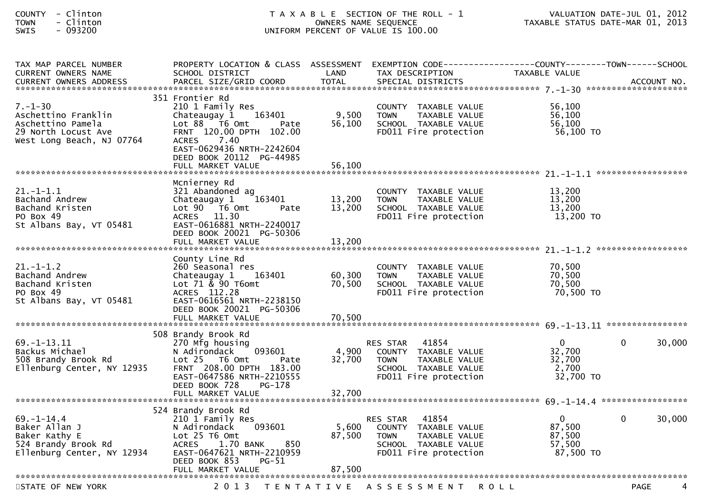| <b>COUNTY</b> | Clinton |
|---------------|---------|
| <b>TOWN</b>   | Clinton |
| <b>SWTS</b>   | 093200  |

| TAX MAP PARCEL NUMBER      | PROPERTY LOCATION & CLASS ASSESSMENT              |        | EXEMPTION        CODE-----------------COUNTY-------TOWN------SCHOOL |                |                        |
|----------------------------|---------------------------------------------------|--------|---------------------------------------------------------------------|----------------|------------------------|
| CURRENT OWNERS NAME        | SCHOOL DISTRICT                                   | LAND   | TAX DESCRIPTION                                                     | TAXABLE VALUE  |                        |
|                            |                                                   |        |                                                                     |                |                        |
|                            |                                                   |        |                                                                     |                |                        |
| $7. - 1 - 30$              | 351 Frontier Rd<br>210 1 Family Res               |        | COUNTY TAXABLE VALUE                                                | 56,100         |                        |
| Aschettino Franklin        | 163401<br>Chateaugay 1                            | 9,500  | <b>TOWN</b><br>TAXABLE VALUE                                        | 56.100         |                        |
| Aschettino Pamela          | Lot 88 T6 Omt<br>Pate                             | 56,100 | SCHOOL TAXABLE VALUE                                                | 56,100         |                        |
| 29 North Locust Ave        | FRNT 120.00 DPTH 102.00                           |        | FD011 Fire protection                                               | 56,100 TO      |                        |
| West Long Beach, NJ 07764  | 7.40<br><b>ACRES</b><br>EAST-0629436 NRTH-2242604 |        |                                                                     |                |                        |
|                            | DEED BOOK 20112 PG-44985                          |        |                                                                     |                |                        |
|                            | FULL MARKET VALUE                                 | 56.100 |                                                                     |                |                        |
|                            |                                                   |        |                                                                     |                |                        |
|                            | Mcnierney Rd                                      |        |                                                                     |                |                        |
| $21.-1-1.1$                | 321 Abandoned ag                                  |        | COUNTY TAXABLE VALUE                                                | 13,200         |                        |
| Bachand Andrew             | 163401<br>Chateaugay 1                            | 13,200 | <b>TOWN</b><br>TAXABLE VALUE                                        | 13,200         |                        |
| Bachand Kristen            | Lot 90  T6 0mt<br>Pate                            | 13,200 | SCHOOL TAXABLE VALUE                                                | 13,200         |                        |
| PO Box 49                  | ACRES 11.30                                       |        | FD011 Fire protection                                               | 13,200 TO      |                        |
| St Albans Bay, VT 05481    | EAST-0616881 NRTH-2240017                         |        |                                                                     |                |                        |
|                            | DEED BOOK 20021 PG-50306                          |        |                                                                     |                |                        |
|                            | FULL MARKET VALUE                                 | 13,200 |                                                                     |                |                        |
|                            |                                                   |        |                                                                     |                | ******************     |
|                            | County Line Rd                                    |        |                                                                     |                |                        |
| $21. - 1 - 1.2$            | 260 Seasonal res                                  |        | COUNTY TAXABLE VALUE                                                | 70,500         |                        |
| Bachand Andrew             | Chateaugay 1 163401                               | 60,300 | <b>TOWN</b><br>TAXABLE VALUE                                        | 70,500         |                        |
| Bachand Kristen            | Lot 71 & 90 T6omt                                 | 70,500 | SCHOOL TAXABLE VALUE                                                | 70,500         |                        |
| PO Box 49                  | ACRES 112.28                                      |        | FD011 Fire protection                                               | 70,500 TO      |                        |
| St Albans Bay, VT 05481    | EAST-0616561 NRTH-2238150                         |        |                                                                     |                |                        |
|                            | DEED BOOK 20021 PG-50306                          |        |                                                                     |                |                        |
|                            | FULL MARKET VALUE                                 | 70,500 |                                                                     |                |                        |
|                            |                                                   |        |                                                                     |                |                        |
|                            | 508 Brandy Brook Rd                               |        |                                                                     |                |                        |
| $69. - 1 - 13.11$          | 270 Mfg housing                                   |        | 41854<br><b>RES STAR</b>                                            | $\Omega$       | 30,000<br>$\Omega$     |
| Backus Michael             | 093601<br>N Adirondack                            | 4,900  | COUNTY TAXABLE VALUE                                                | 32,700         |                        |
| 508 Brandy Brook Rd        | $Lot 25$ T6 Omt<br>Pate                           | 32,700 | TAXABLE VALUE<br><b>TOWN</b>                                        | 32,700         |                        |
| Ellenburg Center, NY 12935 | FRNT 208.00 DPTH 183.00                           |        | SCHOOL TAXABLE VALUE                                                | 2,700          |                        |
|                            | EAST-0647586 NRTH-2210555                         |        | FD011 Fire protection                                               | 32,700 TO      |                        |
|                            | DEED BOOK 728<br>PG-178                           |        |                                                                     |                |                        |
|                            |                                                   |        |                                                                     |                |                        |
|                            |                                                   |        |                                                                     |                |                        |
|                            | 524 Brandy Brook Rd                               |        |                                                                     |                |                        |
| $69. - 1 - 14.4$           | 210 1 Family Res                                  |        | 41854<br><b>RES STAR</b>                                            | $\overline{0}$ | $\mathbf{0}$<br>30,000 |
| Baker Allan J              | N Adirondack<br>093601                            | 5,600  | COUNTY TAXABLE VALUE                                                | 87,500         |                        |
| Baker Kathy E              | Lot 25 T6 Omt                                     | 87,500 | <b>TOWN</b><br>TAXABLE VALUE                                        | 87,500         |                        |
| 524 Brandy Brook Rd        | 850<br><b>ACRES</b><br>1.70 BANK                  |        | SCHOOL TAXABLE VALUE                                                | 57,500         |                        |
| Ellenburg Center, NY 12934 | EAST-0647621 NRTH-2210959                         |        | FD011 Fire protection                                               | 87,500 TO      |                        |
|                            | DEED BOOK 853<br>$PG-51$                          |        |                                                                     |                |                        |
|                            | FULL MARKET VALUE                                 | 87,500 |                                                                     |                |                        |
|                            |                                                   |        |                                                                     |                |                        |
| STATE OF NEW YORK          | 2 0 1 3<br>T E N T A T I V E                      |        | A S S E S S M E N T                                                 | <b>ROLL</b>    | <b>PAGE</b><br>4       |
|                            |                                                   |        |                                                                     |                |                        |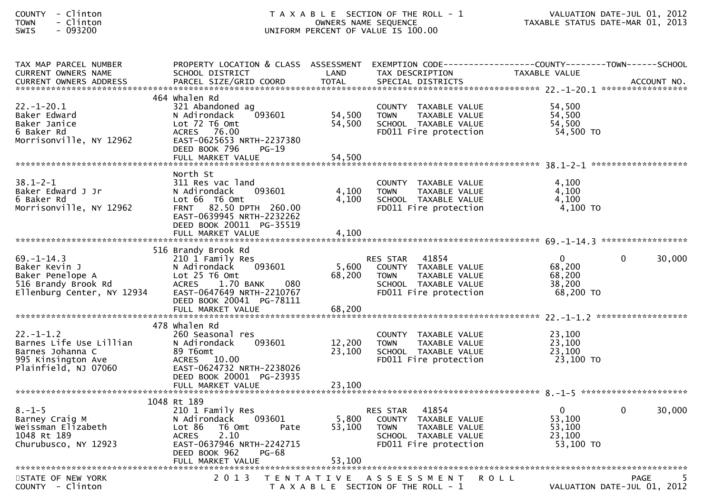| COUNTY - Clinton<br>TOWN<br>- Clinton<br>SWIS<br>$-093200$                                                 | T A X A B L E SECTION OF THE ROLL - 1<br>OWNERS NAME SEQUENCE<br>UNIFORM PERCENT OF VALUE IS 100.00                                                                             |                            |                                                                                                                            | VALUATION DATE-JUL 01, 2012<br>TAXABLE STATUS DATE-MAR 01, 2013                                                   |        |  |
|------------------------------------------------------------------------------------------------------------|---------------------------------------------------------------------------------------------------------------------------------------------------------------------------------|----------------------------|----------------------------------------------------------------------------------------------------------------------------|-------------------------------------------------------------------------------------------------------------------|--------|--|
| TAX MAP PARCEL NUMBER<br>CURRENT OWNERS NAME                                                               | SCHOOL DISTRICT                                                                                                                                                                 | LAND                       | TAX DESCRIPTION                                                                                                            | PROPERTY LOCATION & CLASS ASSESSMENT EXEMPTION CODE----------------COUNTY-------TOWN------SCHOOL<br>TAXABLE VALUE |        |  |
| 22.-1-20.1<br>Baker Edward<br>Baker Janice<br>6 Baker Rd<br>Morrisonville, NY 12962                        | 464 whalen Rd<br>321 Abandoned ag<br>093601<br>N Adirondack<br>Lot 72 T6 Omt<br>ACRES 76.00<br>EAST-0625653 NRTH-2237380<br>DEED BOOK 796<br>$PG-19$                            | 54,500<br>54,500           | COUNTY TAXABLE VALUE<br>TAXABLE VALUE<br><b>TOWN</b><br>SCHOOL TAXABLE VALUE<br>FD011 Fire protection                      | 54,500<br>54,500<br>54,500<br>54,500 TO                                                                           |        |  |
| $38.1 - 2 - 1$<br>Baker Edward J Jr<br>6 Baker Rd<br>Morrisonville, NY 12962                               | North St<br>311 Res vac land<br>N Adirondack<br>093601<br>Lot 66 T6 Omt<br>FRNT 82.50 DPTH 260.00<br>EAST-0639945 NRTH-2232262<br>DEED BOOK 20011 PG-35519                      | 4,100<br>4,100             | COUNTY TAXABLE VALUE<br>TAXABLE VALUE<br><b>TOWN</b><br>SCHOOL TAXABLE VALUE<br>FD011 Fire protection                      | 4,100<br>4,100<br>4,100<br>4,100 TO                                                                               |        |  |
| $69. - 1 - 14.3$<br>Baker Kevin J<br>Baker Penelope A<br>516 Brandy Brook Rd<br>Ellenburg Center, NY 12934 | 516 Brandy Brook Rd<br>210 1 Family Res<br>N Adirondack<br>093601<br>Lot 25 T6 Omt<br>ACRES 1.70 BANK<br>- 080<br>EAST-0647649 NRTH-2210767<br>DEED BOOK 20041 PG-78111         | 5,600<br>68,200            | 41854<br>RES STAR<br>COUNTY TAXABLE VALUE<br>TAXABLE VALUE<br><b>TOWN</b><br>SCHOOL TAXABLE VALUE<br>FD011 Fire protection | $\mathbf{0}$<br>$\Omega$<br>68,200<br>68,200<br>38,200<br>68,200 TO                                               | 30,000 |  |
| 22.-1-1.2<br>Barnes Life Use Lillian<br>Barnes Johanna C<br>995 Kinsington Ave<br>Plainfield, NJ 07060     | 478 whalen Rd<br>260 Seasonal res<br>093601<br>N Adirondack<br>89 T6omt<br>ACRES 10.00<br>EAST-0624732 NRTH-2238026<br>DEED BOOK 20001 PG-23935<br>FULL MARKET VALUE            | 12,200<br>23,100<br>23,100 | COUNTY TAXABLE VALUE<br><b>TOWN</b><br>TAXABLE VALUE<br>SCHOOL TAXABLE VALUE<br>FD011 Fire protection                      | 23,100<br>23,100<br>23,100<br>23,100 TO                                                                           |        |  |
| $8. - 1 - 5$<br>Barney Craig M<br>Weissman Elizabeth<br>1048 Rt 189<br>Churubusco, NY 12923                | 1048 Rt 189<br>210 1 Family Res<br>093601<br>N Adirondack<br>Lot 86 T6 Omt<br>Pate<br>2.10<br>ACRES<br>EAST-0637946 NRTH-2242715<br>DEED BOOK 962<br>PG-68<br>FULL MARKET VALUE | 5,800<br>53,100<br>53,100  | RES STAR 41854<br>COUNTY TAXABLE VALUE<br><b>TOWN</b><br>TAXABLE VALUE<br>SCHOOL TAXABLE VALUE<br>FD011 Fire protection    | $\mathbf{0}$<br>$\mathbf 0$<br>53,100<br>53,100<br>23,100<br>53,100 TO                                            | 30,000 |  |
| STATE OF NEW YORK                                                                                          | 2 0 1 3                                                                                                                                                                         | T E N T A T I V E          | A S S E S S M E N T<br><b>ROLL</b>                                                                                         | PAGE<br><b>DATE JULIOS 1010</b>                                                                                   |        |  |

COUNTY - Clinton T A X A B L E SECTION OF THE ROLL - 1 VALUATION DATE-JUL 01, 2012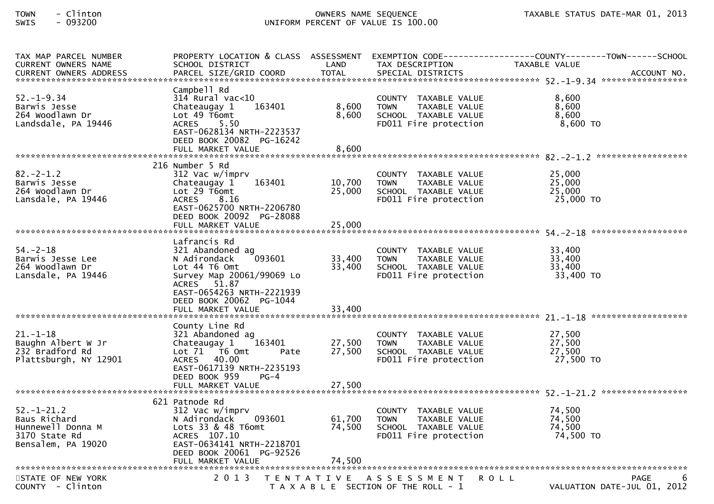| TAX MAP PARCEL NUMBER<br>CURRENT OWNERS NAME<br>CURRENT OWNERS ADDRESS                       | SCHOOL DISTRICT                                                                                                                                                                          | LAND                       | TAX DESCRIPTION                                                                                       | PROPERTY LOCATION & CLASS ASSESSMENT EXEMPTION CODE----------------COUNTY-------TOWN------SCHOOL<br>TAXABLE VALUE<br>-CURRENT OWNERS ADDRESS FARCEL SIZE/GRID COORD TOTAL SPECIAL DISTRICTS AND MONERS ADDRESS FARCEL SIZE/GRID COORD TOTAL SPECIAL DISTRICTS AND MONERS ACCOUNT NO. |
|----------------------------------------------------------------------------------------------|------------------------------------------------------------------------------------------------------------------------------------------------------------------------------------------|----------------------------|-------------------------------------------------------------------------------------------------------|--------------------------------------------------------------------------------------------------------------------------------------------------------------------------------------------------------------------------------------------------------------------------------------|
| $52. - 1 - 9.34$<br>Barwis Jesse<br>264 Woodlawn Dr<br>Landsdale, PA 19446                   | Campbell Rd<br>$314$ Rural vac<10<br>163401<br>Chateaugay 1<br>Lot 49 T6omt<br>ACRES 5.50<br>EAST-0628134 NRTH-2223537<br>DEED BOOK 20082 PG-16242<br>FULL MARKET VALUE                  | 8,600<br>8,600<br>8,600    | COUNTY TAXABLE VALUE<br><b>TOWN</b><br>TAXABLE VALUE<br>SCHOOL TAXABLE VALUE<br>FD011 Fire protection | 8,600<br>8,600<br>8,600<br>$8,600$ TO                                                                                                                                                                                                                                                |
|                                                                                              |                                                                                                                                                                                          |                            |                                                                                                       |                                                                                                                                                                                                                                                                                      |
| $82 - 2 - 1.2$<br>Barwis Jesse<br>264 Woodlawn Dr<br>Lansdale, PA 19446                      | 216 Number 5 Rd<br>312 Vac w/imprv<br>163401<br>Chateaugay 1<br>Lot 29 T6omt<br>ACRES 8.16<br>EAST-0625700 NRTH-2206780<br>DEED BOOK 20092 PG-28088<br>FULL MARKET VALUE                 | 10,700<br>25,000<br>25,000 | COUNTY TAXABLE VALUE<br><b>TOWN</b><br>TAXABLE VALUE<br>SCHOOL TAXABLE VALUE<br>FD011 Fire protection | 25,000<br>25,000<br>25,000<br>25,000 TO                                                                                                                                                                                                                                              |
|                                                                                              |                                                                                                                                                                                          |                            |                                                                                                       |                                                                                                                                                                                                                                                                                      |
| $54. - 2 - 18$<br>Barwis Jesse Lee<br>264 Woodlawn Dr<br>Lansdale, PA 19446                  | Lafrancis Rd<br>321 Abandoned ag<br>093601<br>N Adirondack<br>Lot 44 T6 Omt<br>Survey Map 20061/99069 Lo<br>ACRES 51.87<br>EAST-0654263 NRTH-2221939<br>DEED BOOK 20062 PG-1044          | 33,400<br>33,400           | COUNTY TAXABLE VALUE<br><b>TOWN</b><br>TAXABLE VALUE<br>SCHOOL TAXABLE VALUE<br>FD011 Fire protection | 33,400<br>33,400<br>33,400<br>33,400 TO                                                                                                                                                                                                                                              |
|                                                                                              |                                                                                                                                                                                          |                            |                                                                                                       |                                                                                                                                                                                                                                                                                      |
| $21. - 1 - 18$<br>Baughn Albert W Jr<br>232 Bradford Rd<br>Plattsburgh, NY 12901             | County Line Rd<br>321 Abandoned ag<br>Chateaugay $1 \qquad 163401$<br>Lot 71  T6 0mt<br>Pate<br>ACRES 40.00<br>EAST-0617139 NRTH-2235193<br>DEED BOOK 959<br>$PG-4$<br>FULL MARKET VALUE | 27,500<br>27,500<br>27,500 | COUNTY TAXABLE VALUE<br><b>TOWN</b><br>TAXABLE VALUE<br>SCHOOL TAXABLE VALUE<br>FD011 Fire protection | 27,500<br>27,500<br>27,500<br>27,500 TO                                                                                                                                                                                                                                              |
|                                                                                              |                                                                                                                                                                                          |                            |                                                                                                       |                                                                                                                                                                                                                                                                                      |
| $52. - 1 - 21.2$<br>Baus Richard<br>Hunnewell Donna M<br>3170 State Rd<br>Bensalem, PA 19020 | 621 Patnode Rd<br>312 Vac w/imprv<br>093601<br>N Adirondack<br>Lots 33 & 48 T6omt<br>ACRES 107.10<br>EAST-0634141 NRTH-2218701<br>DEED BOOK 20061 PG-92526<br>FULL MARKET VALUE          | 61,700<br>74,500<br>74,500 | COUNTY TAXABLE VALUE<br><b>TOWN</b><br>TAXABLE VALUE<br>SCHOOL TAXABLE VALUE<br>FD011 Fire protection | 74,500<br>74,500<br>74,500<br>74,500 TO                                                                                                                                                                                                                                              |
| STATE OF NEW YORK                                                                            | 2 0 1 3<br>T E N T A T I V E                                                                                                                                                             |                            | A S S E S S M E N T                                                                                   | PAGE<br>ROLL                                                                                                                                                                                                                                                                         |
| COUNTY - Clinton                                                                             |                                                                                                                                                                                          |                            | T A X A B L E SECTION OF THE ROLL - 1                                                                 | VALUATION DATE-JUL 01, 2012                                                                                                                                                                                                                                                          |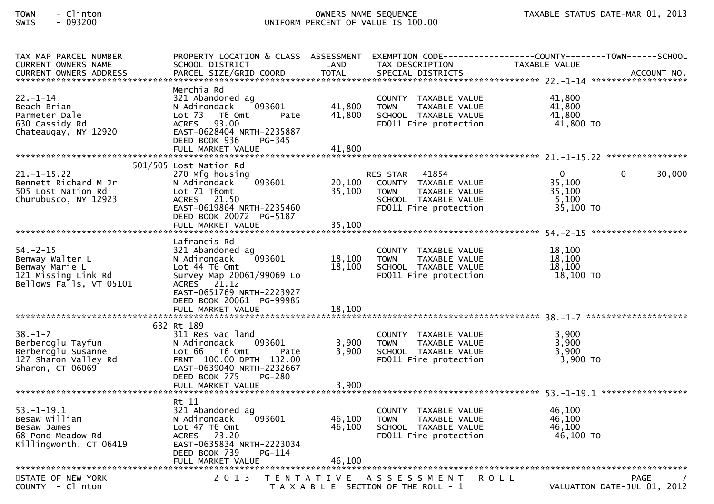| TAX MAP PARCEL NUMBER<br>CURRENT OWNERS NAME                                                          | SCHOOL DISTRICT                                                                                                                                                                 | LAND                       | TAX DESCRIPTION                                                                                                  | PROPERTY LOCATION & CLASS ASSESSMENT EXEMPTION CODE----------------COUNTY-------TOWN------SCHOOL<br>TAXABLE VALUE |             |
|-------------------------------------------------------------------------------------------------------|---------------------------------------------------------------------------------------------------------------------------------------------------------------------------------|----------------------------|------------------------------------------------------------------------------------------------------------------|-------------------------------------------------------------------------------------------------------------------|-------------|
| $22 - 1 - 14$<br>Beach Brian<br>Parmeter Dale<br>630 Cassidy Rd<br>Chateaugay, NY 12920               | Merchia Rd<br>321 Abandoned ag<br>093601<br>N Adirondack<br>Lot 73  T6 Omt<br>Pate<br>ACRES 93.00<br>EAST-0628404 NRTH-2235887<br>DEED BOOK 936<br>PG-345<br>FULL MARKET VALUE  | 41,800<br>41,800<br>41,800 | COUNTY TAXABLE VALUE<br><b>TOWN</b><br>TAXABLE VALUE<br>SCHOOL TAXABLE VALUE<br>FD011 Fire protection            | 41,800<br>41,800<br>41,800<br>41,800 TO                                                                           |             |
|                                                                                                       |                                                                                                                                                                                 |                            |                                                                                                                  |                                                                                                                   |             |
| $21. - 1 - 15.22$<br>Bennett Richard M Jr<br>505 Lost Nation Rd<br>Churubusco, NY 12923               | 501/505 Lost Nation Rd<br>270 Mfg housing<br>093601<br>N Adirondack<br>Lot 71 T6omt<br>ACRES 21.50<br>EAST-0619864 NRTH-2235460<br>DEED BOOK 20072 PG-5187<br>FULL MARKET VALUE | 20,100<br>35,100<br>35,100 | RES STAR 41854<br>COUNTY TAXABLE VALUE<br>TAXABLE VALUE<br>TOWN<br>SCHOOL TAXABLE VALUE<br>FD011 Fire protection | $\mathbf{0}$<br>0<br>35,100<br>35,100<br>5,100<br>35,100 TO                                                       | 30,000      |
|                                                                                                       | Lafrancis Rd                                                                                                                                                                    |                            |                                                                                                                  |                                                                                                                   |             |
| $54. - 2 - 15$<br>Benway Walter L<br>Benway Marie L<br>121 Missing Link Rd<br>Bellows Falls, VT 05101 | 321 Abandoned ag<br>093601<br>N Adirondack<br>Lot 44 T6 Omt<br>Survey Map 20061/99069 Lo<br>ACRES 21.12<br>EAST-0651769 NRTH-2223927<br>DEED BOOK 20061 PG-99985                | 18,100<br>18,100           | COUNTY TAXABLE VALUE<br><b>TOWN</b><br>TAXABLE VALUE<br>SCHOOL TAXABLE VALUE<br>FD011 Fire protection            | 18,100<br>18,100<br>18,100<br>18,100 TO                                                                           |             |
|                                                                                                       |                                                                                                                                                                                 |                            |                                                                                                                  |                                                                                                                   |             |
| $38. - 1 - 7$<br>Berberoglu Tayfun<br>Berberoglu Susanne<br>127 Sharon Valley Rd<br>Sharon, CT 06069  | 632 Rt 189<br>311 Res vac land<br>093601<br>N Adirondack<br>Lot 66 T6 Omt<br>Pate<br>FRNT 100.00 DPTH 132.00<br>EAST-0639040 NRTH-2232667<br>DEED BOOK 775<br>PG-280            | 3,900<br>3,900             | COUNTY TAXABLE VALUE<br>TAXABLE VALUE<br><b>TOWN</b><br>SCHOOL TAXABLE VALUE<br>FD011 Fire protection            | 3,900<br>3,900<br>3,900<br>$3,900$ TO                                                                             |             |
|                                                                                                       | FULL MARKET VALUE                                                                                                                                                               | 3,900                      |                                                                                                                  |                                                                                                                   |             |
| $53. - 1 - 19.1$<br>Besaw William<br>Besaw James<br>68 Pond Meadow Rd<br>Killingworth, CT 06419       | Rt 11<br>321 Abandoned ag<br>N Adirondack<br>093601<br>Lot 47 T6 Omt<br>ACRES 73.20<br>EAST-0635834 NRTH-2223034<br>DEED BOOK 739<br>PG-114<br>FULL MARKET VALUE                | 46,100<br>46,100<br>46,100 | COUNTY TAXABLE VALUE<br><b>TOWN</b><br>TAXABLE VALUE<br>SCHOOL TAXABLE VALUE<br>FD011 Fire protection            | 46,100<br>46,100<br>46,100<br>46,100 TO                                                                           |             |
|                                                                                                       |                                                                                                                                                                                 |                            |                                                                                                                  |                                                                                                                   |             |
| STATE OF NEW YORK<br>COUNTY - Clinton                                                                 | 2 0 1 3                                                                                                                                                                         | T E N T A T I V E          | A S S E S S M E N T<br>T A X A B L E SECTION OF THE ROLL - 1                                                     | <b>ROLL</b><br>VALUATION DATE-JUL 01, 2012                                                                        | <b>PAGE</b> |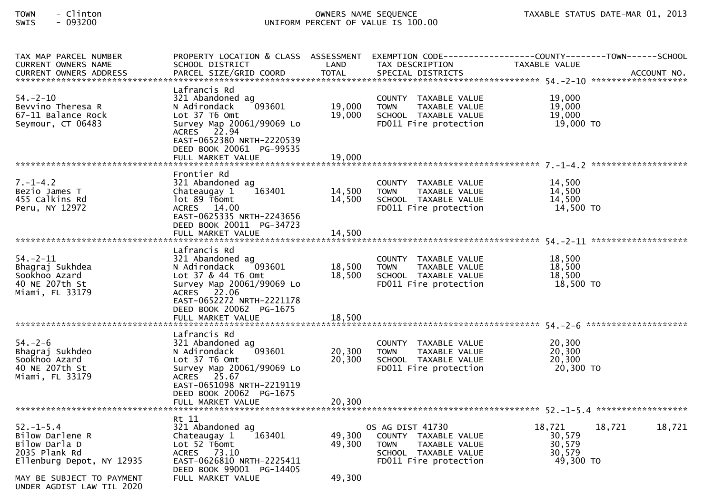| TAX MAP PARCEL NUMBER<br>CURRENT OWNERS NAME<br><b>CURRENT OWNERS ADDRESS</b>                    | SCHOOL DISTRICT<br>PARCEL SIZE/GRID COORD                                                                                                                                                             | LAND<br><b>TOTAL</b>       | TAX DESCRIPTION<br>SPECIAL DISTRICTS                                                                                      | PROPERTY LOCATION & CLASS ASSESSMENT EXEMPTION CODE----------------COUNTY-------TOWN------SCHOOL<br>TAXABLE VALUE<br>ACCOUNT NO. |
|--------------------------------------------------------------------------------------------------|-------------------------------------------------------------------------------------------------------------------------------------------------------------------------------------------------------|----------------------------|---------------------------------------------------------------------------------------------------------------------------|----------------------------------------------------------------------------------------------------------------------------------|
|                                                                                                  |                                                                                                                                                                                                       |                            |                                                                                                                           |                                                                                                                                  |
| $54. - 2 - 10$<br>Bevvino Theresa R<br>67-11 Balance Rock<br>Seymour, CT 06483                   | Lafrancis Rd<br>321 Abandoned ag<br>093601<br>N Adirondack<br>Lot 37 T6 Omt<br>Survey Map 20061/99069 Lo<br>ACRES 22.94<br>EAST-0652380 NRTH-2220539<br>DEED BOOK 20061 PG-99535<br>FULL MARKET VALUE | 19,000<br>19,000<br>19,000 | COUNTY TAXABLE VALUE<br><b>TOWN</b><br>TAXABLE VALUE<br>SCHOOL TAXABLE VALUE<br>FD011 Fire protection                     | 19,000<br>19,000<br>19,000<br>19,000 TO                                                                                          |
|                                                                                                  |                                                                                                                                                                                                       |                            |                                                                                                                           |                                                                                                                                  |
| $7. - 1 - 4.2$<br>Bezio James T<br>455 Calkins Rd<br>Peru, NY 12972                              | Frontier Rd<br>321 Abandoned ag<br>163401<br>Chateaugay 1<br>lot 89 T6omt<br>ACRES 14.00<br>EAST-0625335 NRTH-2243656<br>DEED BOOK 20011 PG-34723                                                     | 14,500<br>14,500           | COUNTY TAXABLE VALUE<br><b>TOWN</b><br>TAXABLE VALUE<br>SCHOOL TAXABLE VALUE<br>FD011 Fire protection                     | 14,500<br>14,500<br>14.500<br>14,500 TO                                                                                          |
|                                                                                                  |                                                                                                                                                                                                       |                            |                                                                                                                           |                                                                                                                                  |
| $54. - 2 - 11$<br>Bhagraj Sukhdea<br>Sookhoo Azard<br>40 NE 207th St<br>Miami, FL 33179          | Lafrancis Rd<br>321 Abandoned ag<br>N Adirondack<br>093601<br>Lot 37 & 44 T6 Omt<br>Survey Map 20061/99069 Lo<br>ACRES 22.06<br>EAST-0652272 NRTH-2221178<br>DEED BOOK 20062 PG-1675                  | 18,500<br>18,500           | COUNTY TAXABLE VALUE<br>TAXABLE VALUE<br><b>TOWN</b><br>SCHOOL TAXABLE VALUE<br>FD011 Fire protection                     | 18,500<br>18,500<br>18.500<br>18,500 TO                                                                                          |
|                                                                                                  | Lafrancis Rd                                                                                                                                                                                          |                            |                                                                                                                           |                                                                                                                                  |
| $54. - 2 - 6$<br>Bhagraj Sukhdeo<br>Sookhoo Azard<br>40 NE 207th St<br>Miami, FL 33179           | 321 Abandoned ag<br>093601<br>N Adirondack<br>Lot 37 T6 Omt<br>Survey Map 20061/99069 Lo<br>ACRES 25.67<br>EAST-0651098 NRTH-2219119                                                                  | 20,300<br>20,300           | COUNTY TAXABLE VALUE<br><b>TOWN</b><br>TAXABLE VALUE<br>SCHOOL TAXABLE VALUE<br>FD011 Fire protection                     | 20,300<br>20,300<br>20,300<br>20,300 TO                                                                                          |
|                                                                                                  | DEED BOOK 20062 PG-1675<br>FULL MARKET VALUE                                                                                                                                                          | 20,300                     |                                                                                                                           |                                                                                                                                  |
|                                                                                                  | Rt 11                                                                                                                                                                                                 |                            |                                                                                                                           |                                                                                                                                  |
| $52 - 1 - 5.4$<br>Bilow Darlene R<br>Bilow Darla D<br>2035 Plank Rd<br>Ellenburg Depot, NY 12935 | 321 Abandoned ag<br>163401<br>Chateaugay 1<br>Lot 52 T6omt<br>ACRES 73.10<br>EAST-0626810 NRTH-2225411                                                                                                | 49,300<br>49,300           | OS AG DIST 41730<br>COUNTY TAXABLE VALUE<br><b>TOWN</b><br>TAXABLE VALUE<br>SCHOOL TAXABLE VALUE<br>FD011 Fire protection | 18,721<br>18,721<br>18,721<br>30,579<br>30,579<br>30,579<br>49,300 TO                                                            |
|                                                                                                  | DEED BOOK 99001 PG-14405                                                                                                                                                                              |                            |                                                                                                                           |                                                                                                                                  |
| MAY BE SUBJECT TO PAYMENT<br>UNDER AGDIST LAW TIL 2020                                           | FULL MARKET VALUE                                                                                                                                                                                     | 49,300                     |                                                                                                                           |                                                                                                                                  |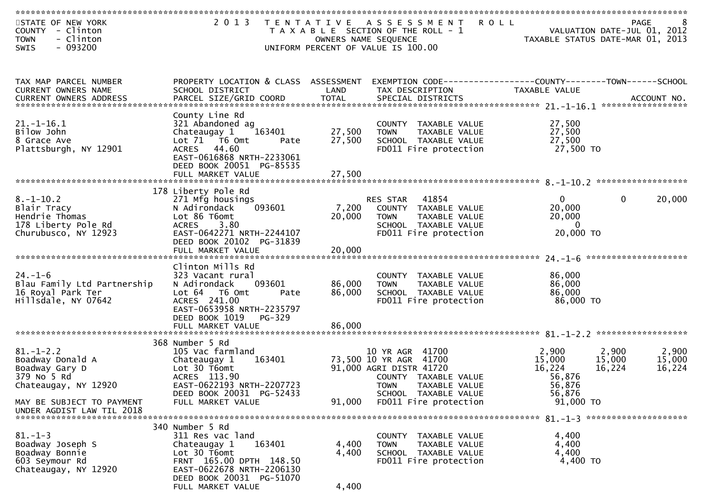| STATE OF NEW YORK<br>COUNTY<br>- Clinton<br>- Clinton<br><b>TOWN</b><br>$-093200$<br><b>SWIS</b>                                                                | 2 0 1 3                                                                                                                                                                                |                            | TENTATIVE ASSESSMENT ROLL<br>T A X A B L E SECTION OF THE ROLL - 1<br>OWNERS NAME SEQUENCE<br>UNIFORM PERCENT OF VALUE IS 100.00                     |                                                                 | <b>PAGE</b><br>8<br>VALUATION DATE-JUL 01, 2012<br>TAXABLE STATUS DATE-MAR 01, 2013 |
|-----------------------------------------------------------------------------------------------------------------------------------------------------------------|----------------------------------------------------------------------------------------------------------------------------------------------------------------------------------------|----------------------------|------------------------------------------------------------------------------------------------------------------------------------------------------|-----------------------------------------------------------------|-------------------------------------------------------------------------------------|
| TAX MAP PARCEL NUMBER<br>CURRENT OWNERS NAME<br>.CURRENT OWNERS ADDRESS PARCEL SIZE/GRID COORD TOTAL SPECIAL DISTRICTS ACCOUNT NO ACCOUNT NO ACCOUNT NO ACCOUNT | PROPERTY LOCATION & CLASS ASSESSMENT<br>SCHOOL DISTRICT                                                                                                                                | LAND                       | EXEMPTION CODE-----------------COUNTY-------TOWN------SCHOOL<br>TAX DESCRIPTION                                                                      | TAXABLE VALUE                                                   |                                                                                     |
| $21.-1-16.1$<br>Bilow John<br>8 Grace Ave<br>Plattsburgh, NY 12901                                                                                              | County Line Rd<br>321 Abandoned ag<br>163401<br>Chateaugay 1<br>Lot 71  T6 0mt<br>Pate<br>ACRES 44.60<br>EAST-0616868 NRTH-2233061<br>DEED BOOK 20051 PG-85535                         | 27,500<br>27,500           | COUNTY TAXABLE VALUE<br>TAXABLE VALUE<br><b>TOWN</b><br>SCHOOL TAXABLE VALUE<br>FD011 Fire protection                                                | 27,500<br>27,500<br>27,500<br>27,500 TO                         |                                                                                     |
|                                                                                                                                                                 |                                                                                                                                                                                        |                            |                                                                                                                                                      |                                                                 | ******************                                                                  |
| $8. - 1 - 10.2$<br>Blair Tracy<br>Hendrie Thomas<br>178 Liberty Pole Rd<br>Churubusco, NY 12923                                                                 | 178 Liberty Pole Rd<br>271 Mfg housings<br>093601<br>N Adirondack<br>Lot 86 T6omt<br>ACRES 3.80<br>EAST-0642271 NRTH-2244107<br>DEED BOOK 20102 PG-31839<br>FULL MARKET VALUE          | 7,200<br>20,000<br>20,000  | RES STAR<br>41854<br>COUNTY<br>TAXABLE VALUE<br><b>TOWN</b><br>TAXABLE VALUE<br>SCHOOL TAXABLE VALUE<br>FD011 Fire protection                        | $\overline{0}$<br>20,000<br>20,000<br>$\mathbf{0}$<br>20,000 TO | $\mathbf{0}$<br>20,000                                                              |
|                                                                                                                                                                 |                                                                                                                                                                                        |                            |                                                                                                                                                      |                                                                 |                                                                                     |
| $24. - 1 - 6$<br>Blau Family Ltd Partnership<br>16 Royal Park Ter<br>Hillsdale, NY 07642                                                                        | Clinton Mills Rd<br>323 Vacant rural<br>093601<br>N Adirondack<br>Lot 64  T6 Omt<br>Pate<br>ACRES 241.00<br>EAST-0653958 NRTH-2235797<br>DEED BOOK 1019<br>PG-329<br>FULL MARKET VALUE | 86,000<br>86,000<br>86,000 | COUNTY TAXABLE VALUE<br>TAXABLE VALUE<br><b>TOWN</b><br>SCHOOL TAXABLE VALUE<br>FD011 Fire protection                                                | 86,000<br>86,000<br>86,000<br>86,000 TO                         |                                                                                     |
|                                                                                                                                                                 |                                                                                                                                                                                        |                            |                                                                                                                                                      |                                                                 |                                                                                     |
| $81. - 1 - 2.2$<br>Boadway Donald A<br>Boadway Gary D<br>379 No 5 Rd<br>Chateaugay, NY 12920                                                                    | 368 Number 5 Rd<br>105 Vac farmland<br>163401<br>Chateaugay 1<br>Lot 30 T6omt<br>ACRES 113.90<br>EAST-0622193 NRTH-2207723<br>DEED BOOK 20031 PG-52433                                 |                            | 10 YR AGR 41700<br>73,500 10 YR AGR 41700<br>91,000 AGRI DISTR 41720<br>COUNTY TAXABLE VALUE<br><b>TOWN</b><br>TAXABLE VALUE<br>SCHOOL TAXABLE VALUE | 2,900<br>15,000<br>16,224<br>56,876<br>56,876<br>56,876         | 2,900<br>2,900<br>15,000<br>15,000<br>16,224<br>16,224                              |
| MAY BE SUBJECT TO PAYMENT<br>UNDER AGDIST LAW TIL 2018                                                                                                          | FULL MARKET VALUE                                                                                                                                                                      | 91,000                     | FD011 Fire protection                                                                                                                                | 91,000 TO                                                       |                                                                                     |
|                                                                                                                                                                 |                                                                                                                                                                                        |                            |                                                                                                                                                      |                                                                 |                                                                                     |
| $81. - 1 - 3$<br>Boadway Joseph S<br>Boadway Bonnie<br>603 Seymour Rd<br>Chateaugay, NY 12920                                                                   | 340 Number 5 Rd<br>311 Res vac land<br>163401<br>Chateaugay 1<br>Lot 30 T6omt<br>FRNT 165.00 DPTH 148.50<br>EAST-0622678 NRTH-2206130<br>DEED BOOK 20031 PG-51070                      | 4,400<br>4,400             | COUNTY TAXABLE VALUE<br>TAXABLE VALUE<br><b>TOWN</b><br>SCHOOL TAXABLE VALUE<br>FD011 Fire protection                                                | 4,400<br>4,400<br>4,400<br>4,400 TO                             |                                                                                     |
|                                                                                                                                                                 | FULL MARKET VALUE                                                                                                                                                                      | 4,400                      |                                                                                                                                                      |                                                                 |                                                                                     |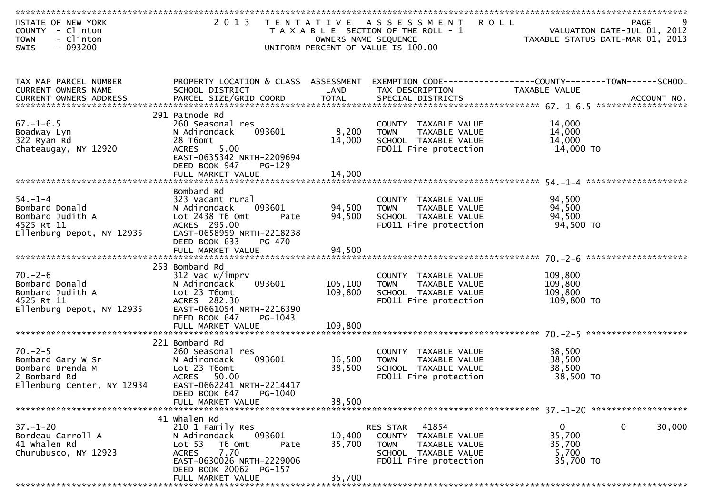| STATE OF NEW YORK<br>COUNTY - Clinton<br>- Clinton<br><b>TOWN</b><br>$-093200$<br>SWIS               |                                                                                                                                                                                  | OWNERS NAME SEQUENCE       | 2013 TENTATIVE ASSESSMENT ROLL<br>T A X A B L E SECTION OF THE ROLL - 1<br>UNIFORM PERCENT OF VALUE IS 100.00              | PAGE<br>VALUATION DATE-JUL 01, 2012<br>TAXABLE STATUS DATE-MAR 01, 2013       |
|------------------------------------------------------------------------------------------------------|----------------------------------------------------------------------------------------------------------------------------------------------------------------------------------|----------------------------|----------------------------------------------------------------------------------------------------------------------------|-------------------------------------------------------------------------------|
|                                                                                                      |                                                                                                                                                                                  |                            |                                                                                                                            |                                                                               |
| TAX MAP PARCEL NUMBER<br>CURRENT OWNERS NAME<br>CURRENT OWNERS ADDRESS                               | PROPERTY LOCATION & CLASS ASSESSMENT<br>SCHOOL DISTRICT                                                                                                                          | LAND                       | TAX DESCRIPTION                                                                                                            | EXEMPTION CODE-----------------COUNTY-------TOWN------SCHOOL<br>TAXABLE VALUE |
| $67. - 1 - 6.5$<br>Boadway Lyn<br>322 Ryan Rd<br>Chateaugay, NY 12920                                | 291 Patnode Rd<br>260 Seasonal res<br>093601<br>N Adirondack<br>28 T6omt<br>5.00<br><b>ACRES</b><br>EAST-0635342 NRTH-2209694<br>DEED BOOK 947<br>$PG-129$                       | 8,200<br>14,000            | COUNTY TAXABLE VALUE<br>TAXABLE VALUE<br><b>TOWN</b><br>SCHOOL TAXABLE VALUE<br>FD011 Fire protection                      | 14,000<br>14,000<br>14,000<br>14,000 TO                                       |
| $54. - 1 - 4$<br>Bombard Donald<br>Bombard Judith A<br>4525 Rt 11<br>Ellenburg Depot, NY 12935       | Bombard Rd<br>323 Vacant rural<br>N Adirondack<br>093601<br>Lot 2438 T6 Omt<br>Pate<br>ACRES 295.00<br>EAST-0658959 NRTH-2218238<br>DEED BOOK 633<br>PG-470<br>FULL MARKET VALUE | 94,500<br>94,500<br>94,500 | COUNTY TAXABLE VALUE<br><b>TOWN</b><br>TAXABLE VALUE<br>SCHOOL TAXABLE VALUE<br>FD011 Fire protection                      | 94,500<br>94,500<br>94,500<br>94,500 TO                                       |
|                                                                                                      |                                                                                                                                                                                  |                            |                                                                                                                            |                                                                               |
| $70. - 2 - 6$<br>Bombard Donald<br>Bombard Judith A<br>4525 Rt 11<br>Ellenburg Depot, NY 12935       | 253 Bombard Rd<br>312 Vac w/imprv<br>093601<br>N Adirondack<br>Lot 23 T6omt<br>ACRES 282.30<br>EAST-0661054 NRTH-2216390<br>DEED BOOK 647<br>PG-1043                             | 105,100<br>109,800         | COUNTY TAXABLE VALUE<br><b>TOWN</b><br>TAXABLE VALUE<br>SCHOOL TAXABLE VALUE<br>FD011 Fire protection                      | 109,800<br>109,800<br>109,800<br>109,800 то                                   |
|                                                                                                      | FULL MARKET VALUE                                                                                                                                                                | 109,800                    |                                                                                                                            |                                                                               |
| $70. - 2 - 5$<br>Bombard Gary W Sr<br>Bombard Brenda M<br>2 Bombard Rd<br>Ellenburg Center, NY 12934 | 221 Bombard Rd<br>260 Seasonal res<br>093601<br>N Adirondack<br>Lot 23 T6omt<br>ACRES 50.00<br>EAST-0662241 NRTH-2214417<br>PG-1040<br>DEED BOOK 647                             | 36,500<br>38,500           | COUNTY TAXABLE VALUE<br>TAXABLE VALUE<br><b>TOWN</b><br>SCHOOL TAXABLE VALUE<br>FD011 Fire protection                      | 38,500<br>38,500<br>38,500<br>38,500 TO                                       |
|                                                                                                      | FULL MARKET VALUE                                                                                                                                                                | 38,500                     |                                                                                                                            |                                                                               |
|                                                                                                      | 41 Whalen Rd                                                                                                                                                                     |                            |                                                                                                                            |                                                                               |
| $37. - 1 - 20$<br>Bordeau Carroll A<br>41 Whalen Rd<br>Churubusco, NY 12923                          | 210 1 Family Res<br>093601<br>N Adirondack<br>Lot 53<br>T6 Omt<br>Pate<br>7.70<br><b>ACRES</b><br>EAST-0630026 NRTH-2229006<br>DEED BOOK 20062 PG-157                            | 10,400<br>35,700           | 41854<br>RES STAR<br>COUNTY TAXABLE VALUE<br><b>TOWN</b><br>TAXABLE VALUE<br>SCHOOL TAXABLE VALUE<br>FD011 Fire protection | $\mathbf{0}$<br>30,000<br>0<br>35,700<br>35,700<br>5,700<br>35,700 TO         |
|                                                                                                      | FULL MARKET VALUE                                                                                                                                                                | 35,700                     |                                                                                                                            |                                                                               |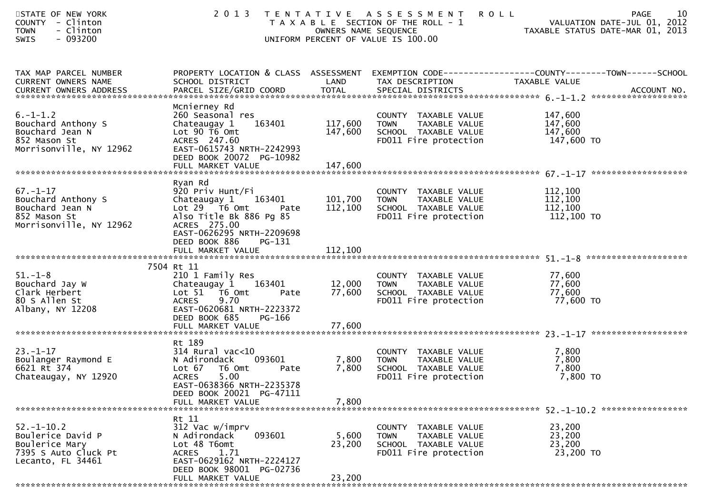| STATE OF NEW YORK<br>COUNTY - Clinton<br>- Clinton<br><b>TOWN</b><br>$-093200$<br>SWIS               | 2 0 1 3                                                                                                                                                                         |                           | TENTATIVE ASSESSMENT<br>T A X A B L E SECTION OF THE ROLL - 1<br>OWNERS NAME SEQUENCE<br>UNIFORM PERCENT OF VALUE IS 100.00 | 10<br><b>ROLL</b><br>PAGE<br>VALUATION DATE-JUL 01, 2012<br>TAXABLE STATUS DATE-MAR 01, 2013                      |
|------------------------------------------------------------------------------------------------------|---------------------------------------------------------------------------------------------------------------------------------------------------------------------------------|---------------------------|-----------------------------------------------------------------------------------------------------------------------------|-------------------------------------------------------------------------------------------------------------------|
| TAX MAP PARCEL NUMBER<br>CURRENT OWNERS NAME                                                         | SCHOOL DISTRICT                                                                                                                                                                 | LAND                      | TAX DESCRIPTION                                                                                                             | PROPERTY LOCATION & CLASS ASSESSMENT EXEMPTION CODE----------------COUNTY-------TOWN------SCHOOL<br>TAXABLE VALUE |
| $6. - 1 - 1.2$<br>Bouchard Anthony S<br>Bouchard Jean N<br>852 Mason St<br>Morrisonville, NY 12962   | Mcnierney Rd<br>260 Seasonal res<br>163401<br>Chateaugay 1<br>Lot 90 T6 Omt<br>ACRES 247.60<br>EAST-0615743 NRTH-2242993<br>DEED BOOK 20072 PG-10982                            | 117,600<br>147,600        | COUNTY TAXABLE VALUE<br>TAXABLE VALUE<br>TOWN<br>SCHOOL TAXABLE VALUE<br>FD011 Fire protection                              | 147,600<br>147,600<br>147,600<br>147,600 TO                                                                       |
| $67. - 1 - 17$<br>Bouchard Anthony S<br>Bouchard Jean N<br>852 Mason St<br>Morrisonville, NY 12962   | Ryan Rd<br>920 Priv Hunt/Fi<br>Chateaugay 1 163401<br>Lot 29  T6 Omt<br>Pate<br>Also Title Bk 886 Pg 85<br>ACRES 275.00<br>EAST-0626295 NRTH-2209698<br>DEED BOOK 886<br>PG-131 | 101,700<br>112,100        | COUNTY TAXABLE VALUE<br><b>TOWN</b><br>TAXABLE VALUE<br>SCHOOL TAXABLE VALUE<br>FD011 Fire protection                       | 112,100<br>112,100<br>112,100<br>112,100 TO                                                                       |
|                                                                                                      | 7504 Rt 11                                                                                                                                                                      |                           |                                                                                                                             |                                                                                                                   |
| $51. - 1 - 8$<br>Bouchard Jay W<br>Clark Herbert<br>80 S Allen St<br>Albany, NY 12208                | 210 1 Family Res<br>Chateaugay 1<br>163401<br>Lot $51$ T6 Omt<br>Pate<br>9.70<br><b>ACRES</b><br>EAST-0620681 NRTH-2223372<br>DEED BOOK 685<br>PG-166                           | 12,000<br>77,600          | COUNTY TAXABLE VALUE<br>TAXABLE VALUE<br><b>TOWN</b><br>FD011 Fire protection                                               | 77,600<br>77,600<br>77,600<br>77,600 TO                                                                           |
|                                                                                                      | FULL MARKET VALUE                                                                                                                                                               | 77,600                    |                                                                                                                             |                                                                                                                   |
| $23 - 1 - 17$<br>Boulanger Raymond E<br>6621 Rt 374<br>Chateaugay, NY 12920                          | Rt 189<br>$314$ Rural vac<10<br>093601<br>N Adirondack<br>Lot 67 76 0mt<br>Pate<br><b>ACRES</b><br>5.00<br>EAST-0638366 NRTH-2235378<br>DEED BOOK 20021 PG-47111                | 7,800<br>7,800            | COUNTY TAXABLE VALUE<br><b>TOWN</b><br>TAXABLE VALUE<br>SCHOOL TAXABLE VALUE<br>FD011 Fire protection                       | 7,800<br>7,800<br>7,800<br>7,800 TO                                                                               |
| *******************************                                                                      | FULL MARKET VALUE                                                                                                                                                               | 7,800                     |                                                                                                                             |                                                                                                                   |
| $52. - 1 - 10.2$<br>Boulerice David P<br>Boulerice Mary<br>7395 S Auto Cluck Pt<br>Lecanto, FL 34461 | Rt 11<br>312 Vac w/imprv<br>093601<br>N Adirondack<br>Lot 48 T6omt<br>1.71<br><b>ACRES</b><br>EAST-0629162 NRTH-2224127<br>DEED BOOK 98001 PG-02736<br>FULL MARKET VALUE        | 5,600<br>23,200<br>23,200 | COUNTY TAXABLE VALUE<br><b>TOWN</b><br>TAXABLE VALUE<br>SCHOOL TAXABLE VALUE<br>FD011 Fire protection                       | 23,200<br>23,200<br>23,200<br>23,200 TO                                                                           |
|                                                                                                      |                                                                                                                                                                                 |                           |                                                                                                                             |                                                                                                                   |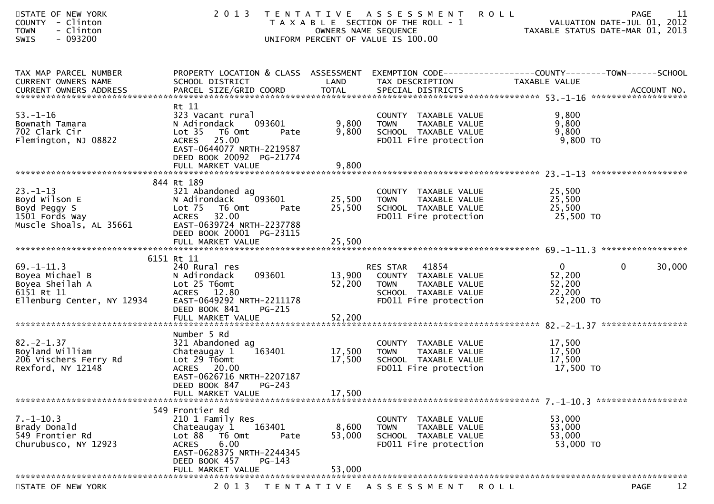| STATE OF NEW YORK<br>COUNTY - Clinton<br><b>TOWN</b><br>- Clinton<br>$-093200$<br><b>SWIS</b>      | 2 0 1 3                                                                                                                                                                        | OWNERS NAME SEQUENCE | TENTATIVE ASSESSMENT<br>T A X A B L E SECTION OF THE ROLL - 1<br>UNIFORM PERCENT OF VALUE IS 100.00                            | <b>ROLL</b><br>VALUATION DATE-JUL 01, 2012<br>TAXABLE STATUS DATE-MAR 01, 2013 | 11<br>PAGE |
|----------------------------------------------------------------------------------------------------|--------------------------------------------------------------------------------------------------------------------------------------------------------------------------------|----------------------|--------------------------------------------------------------------------------------------------------------------------------|--------------------------------------------------------------------------------|------------|
| TAX MAP PARCEL NUMBER<br>CURRENT OWNERS NAME                                                       | PROPERTY LOCATION & CLASS ASSESSMENT EXEMPTION CODE----------------COUNTY-------TOWN------SCHOOL<br>SCHOOL DISTRICT                                                            | LAND                 | TAX DESCRIPTION                                                                                                                | TAXABLE VALUE                                                                  |            |
| $53. - 1 - 16$<br>Bownath Tamara<br>702 Clark Cir<br>Flemington, NJ 08822                          | Rt 11<br>323 Vacant rural<br>093601<br>N Adirondack<br>Lot 35 T6 Omt<br>Pate<br>ACRES 25.00<br>EAST-0644077 NRTH-2219587<br>DEED BOOK 20092 PG-21774                           | 9,800<br>9,800       | COUNTY TAXABLE VALUE<br>TAXABLE VALUE<br><b>TOWN</b><br>SCHOOL TAXABLE VALUE<br>FD011 Fire protection                          | 9,800<br>9,800<br>9,800<br>9,800 TO                                            |            |
|                                                                                                    |                                                                                                                                                                                |                      |                                                                                                                                |                                                                                |            |
| $23 - 1 - 13$<br>Boyd Wilson E<br>Boyd Peggy S<br>1501 Fords Way<br>Muscle Shoals, AL 35661        | 844 Rt 189<br>321 Abandoned ag<br>N Adirondack 093601<br>Lot <sub>75</sub><br>T6 Omt<br>Pate<br><b>ACRES</b><br>32.00<br>EAST-0639724 NRTH-2237788<br>DEED BOOK 20001 PG-23115 | 25,500<br>25,500     | COUNTY TAXABLE VALUE<br>TAXABLE VALUE<br>TOWN<br>SCHOOL TAXABLE VALUE<br>FD011 Fire protection                                 | 25,500<br>25,500<br>25,500<br>25,500 TO                                        |            |
|                                                                                                    | FULL MARKET VALUE                                                                                                                                                              | 25,500               |                                                                                                                                |                                                                                |            |
|                                                                                                    | 6151 Rt 11                                                                                                                                                                     |                      |                                                                                                                                |                                                                                |            |
| $69. - 1 - 11.3$<br>Boyea Michael B<br>Boyea Sheilah A<br>6151 Rt 11<br>Ellenburg Center, NY 12934 | 240 Rural res<br>093601<br>N Adirondack<br>Lot 25 T6omt<br>ACRES 12.80<br>EAST-0649292 NRTH-2211178<br>DEED BOOK 841<br>PG-215                                                 | 52,200               | RES STAR 41854<br>13,900 COUNTY TAXABLE VALUE<br><b>TOWN</b><br>TAXABLE VALUE<br>SCHOOL TAXABLE VALUE<br>FD011 Fire protection | $\overline{0}$<br>$\mathbf 0$<br>52,200<br>52,200<br>22,200<br>52,200 TO       | 30,000     |
|                                                                                                    |                                                                                                                                                                                |                      |                                                                                                                                |                                                                                |            |
| $82 - 2 - 1.37$<br>Boyland William<br>206 Vischers Ferry Rd<br>Rexford, NY 12148                   | Number 5 Rd<br>321 Abandoned ag<br>163401<br>Chateaugay 1<br>Lot 29 T6omt<br>ACRES 20.00<br>EAST-0626716 NRTH-2207187<br>DEED BOOK 847<br>$PG-243$                             | 17,500<br>17,500     | COUNTY TAXABLE VALUE<br><b>TOWN</b><br>TAXABLE VALUE<br>SCHOOL TAXABLE VALUE<br>FD011 Fire protection                          | 17,500<br>17,500<br>17,500<br>17,500 TO                                        |            |
|                                                                                                    | FULL MARKET VALUE                                                                                                                                                              | 17,500               |                                                                                                                                |                                                                                |            |
| $7. - 1 - 10.3$<br>Brady Donald<br>549 Frontier Rd<br>Churubusco, NY 12923                         | 549 Frontier Rd<br>210 1 Family Res<br>Chateaugay 1<br>163401<br>Lot 88<br>T6 Omt<br>Pate<br>6.00<br><b>ACRES</b><br>EAST-0628375 NRTH-2244345<br>DEED BOOK 457<br>PG-143      | 8,600<br>53,000      | COUNTY TAXABLE VALUE<br>TAXABLE VALUE<br><b>TOWN</b><br>SCHOOL TAXABLE VALUE<br>FD011 Fire protection                          | 53,000<br>53,000<br>53,000<br>53,000 TO                                        |            |
|                                                                                                    | FULL MARKET VALUE                                                                                                                                                              | 53,000               |                                                                                                                                |                                                                                |            |
| STATE OF NEW YORK                                                                                  | 2 0 1 3                                                                                                                                                                        |                      | TENTATIVE ASSESSMENT                                                                                                           | R O L L                                                                        | 12<br>PAGE |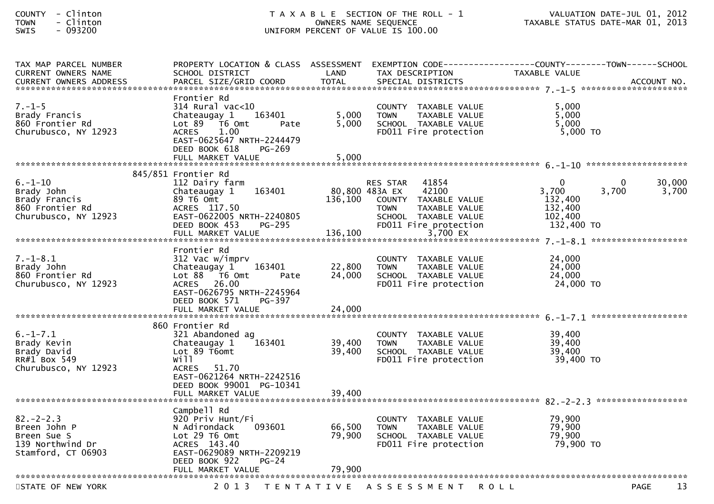| <b>COUNTY</b> |   | Clinton |
|---------------|---|---------|
| <b>TOWN</b>   | - | Clinton |
| <b>CINTC</b>  |   | nazzna  |

| TAX MAP PARCEL NUMBER      | PROPERTY LOCATION & CLASS ASSESSMENT |                   | EXEMPTION CODE--             | ----------------COUNTY--------TOWN------SCHOOL |             |
|----------------------------|--------------------------------------|-------------------|------------------------------|------------------------------------------------|-------------|
| <b>CURRENT OWNERS NAME</b> | SCHOOL DISTRICT                      | LAND              | TAX DESCRIPTION              | TAXABLE VALUE                                  |             |
|                            |                                      |                   |                              |                                                |             |
|                            |                                      |                   |                              |                                                |             |
|                            | Frontier Rd                          |                   |                              |                                                |             |
| $7. - 1 - 5$               | 314 Rural vac<10                     |                   | COUNTY TAXABLE VALUE         | 5,000                                          |             |
| Brady Francis              | Chateaugay 1<br>163401               | 5,000             | <b>TOWN</b><br>TAXABLE VALUE | 5,000                                          |             |
| 860 Frontier Rd            | $Lot 89$ T6 Omt<br>Pate              | 5,000             | SCHOOL TAXABLE VALUE         | 5,000                                          |             |
| Churubusco, NY 12923       | 1.00<br><b>ACRES</b>                 |                   | FD011 Fire protection        | 5,000 TO                                       |             |
|                            | EAST-0625647 NRTH-2244479            |                   |                              |                                                |             |
|                            | DEED BOOK 618<br>PG-269              |                   |                              |                                                |             |
|                            | FULL MARKET VALUE                    | 5,000             |                              |                                                |             |
|                            |                                      |                   |                              |                                                |             |
|                            | 845/851 Frontier Rd                  |                   |                              |                                                |             |
| $6. - 1 - 10$              | 112 Dairy farm                       |                   | 41854<br><b>RES STAR</b>     | $\mathbf 0$                                    | 30,000<br>0 |
| Brady John                 | 163401<br>Chateaugay 1               |                   | 80,800 483A EX<br>42100      | 3,700<br>3,700                                 | 3,700       |
| Brady Francis              | 89 T6 Omt                            | 136,100           | COUNTY TAXABLE VALUE         | 132,400                                        |             |
| 860 Frontier Rd            | ACRES 117.50                         |                   | <b>TOWN</b><br>TAXABLE VALUE | 132,400                                        |             |
| Churubusco, NY 12923       | EAST-0622005 NRTH-2240805            |                   | SCHOOL TAXABLE VALUE         | 102,400                                        |             |
|                            | DEED BOOK 453<br>PG-295              |                   | FD011 Fire protection        | 132,400 TO                                     |             |
|                            | FULL MARKET VALUE                    | 136,100           | 3,700 EX                     |                                                |             |
|                            |                                      |                   |                              |                                                |             |
|                            | Frontier Rd                          |                   |                              |                                                |             |
| $7. - 1 - 8.1$             | 312 Vac w/imprv                      |                   | COUNTY TAXABLE VALUE         | 24,000                                         |             |
| Brady John                 | 163401<br>Chateaugay 1               | 22,800            | <b>TOWN</b><br>TAXABLE VALUE | 24,000                                         |             |
| 860 Frontier Rd            | Lot 88 T6 Omt<br>Pate                | 24,000            | SCHOOL TAXABLE VALUE         | 24,000                                         |             |
| Churubusco, NY 12923       | 26.00<br>ACRES                       |                   | FD011 Fire protection        | 24,000 TO                                      |             |
|                            | EAST-0626795 NRTH-2245964            |                   |                              |                                                |             |
|                            | DEED BOOK 571<br>PG-397              |                   |                              |                                                |             |
|                            | FULL MARKET VALUE                    | 24,000            |                              |                                                |             |
|                            |                                      |                   |                              |                                                |             |
|                            | 860 Frontier Rd                      |                   |                              |                                                |             |
| $6. - 1 - 7.1$             | 321 Abandoned ag                     |                   | COUNTY TAXABLE VALUE         | 39,400                                         |             |
| Brady Kevin                | 163401<br>Chateaugay 1               | 39,400            | <b>TOWN</b><br>TAXABLE VALUE | 39,400                                         |             |
| Brady David                | Lot 89 T6omt                         | 39,400            | SCHOOL TAXABLE VALUE         | 39,400                                         |             |
| RR#1 Box 549               | will                                 |                   | FD011 Fire protection        | 39,400 TO                                      |             |
| Churubusco, NY 12923       | <b>ACRES</b><br>51.70                |                   |                              |                                                |             |
|                            | EAST-0621264 NRTH-2242516            |                   |                              |                                                |             |
|                            | DEED BOOK 99001 PG-10341             |                   |                              |                                                |             |
|                            | FULL MARKET VALUE                    | 39,400            |                              |                                                |             |
|                            |                                      |                   |                              |                                                |             |
|                            | Campbell Rd                          |                   |                              |                                                |             |
| $82 - 2 - 2.3$             | 920 Priv Hunt/Fi                     |                   | COUNTY TAXABLE VALUE         | 79,900                                         |             |
| Breen John P               | N Adirondack<br>093601               | 66,500            | <b>TOWN</b><br>TAXABLE VALUE | 79,900                                         |             |
| Breen Sue S                | Lot 29 T6 Omt                        | 79.900            | SCHOOL TAXABLE VALUE         | 79,900                                         |             |
| 139 Northwind Dr           | ACRES 143.40                         |                   | FD011 Fire protection        | 79,900 TO                                      |             |
| Stamford, CT 06903         | EAST-0629089 NRTH-2209219            |                   |                              |                                                |             |
|                            | DEED BOOK 922<br>$PG-24$             |                   |                              |                                                |             |
|                            | FULL MARKET VALUE                    | 79,900            |                              |                                                |             |
|                            |                                      |                   |                              |                                                |             |
| STATE OF NEW YORK          | 2 0 1 3                              | T E N T A T I V E | A S S E S S M E N T          | <b>ROLL</b>                                    | 13<br>PAGE  |
|                            |                                      |                   |                              |                                                |             |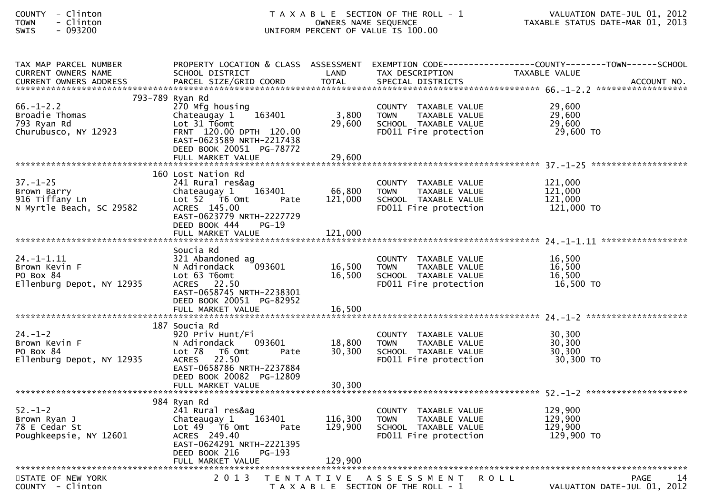| - Clinton<br><b>COUNTY</b><br>- Clinton<br><b>TOWN</b><br>$-093200$<br>SWIS |                                                                                                                                                                                                | T A X A B L E SECTION OF THE ROLL - 1<br>OWNERS NAME SEQUENCE<br>UNIFORM PERCENT OF VALUE IS 100.00 |                                                                                                          |                                                                                                                   |
|-----------------------------------------------------------------------------|------------------------------------------------------------------------------------------------------------------------------------------------------------------------------------------------|-----------------------------------------------------------------------------------------------------|----------------------------------------------------------------------------------------------------------|-------------------------------------------------------------------------------------------------------------------|
| TAX MAP PARCEL NUMBER<br>CURRENT OWNERS NAME                                | SCHOOL DISTRICT                                                                                                                                                                                | LAND                                                                                                | TAX DESCRIPTION                                                                                          | PROPERTY LOCATION & CLASS ASSESSMENT EXEMPTION CODE----------------COUNTY-------TOWN------SCHOOL<br>TAXABLE VALUE |
| $66. - 1 - 2.2$<br>Broadie Thomas<br>793 Ryan Rd<br>Churubusco, NY 12923    | 793-789 Ryan Rd<br>270 Mfg housing<br>163401<br>Chateaugay 1<br>Lot $31$ T6omt<br>FRNT 120.00 DPTH 120.00<br>EAST-0623589 NRTH-2217438<br>DEED BOOK 20051 PG-78772                             | 3,800<br>29,600                                                                                     | COUNTY TAXABLE VALUE<br><b>TOWN</b><br>TAXABLE VALUE<br>SCHOOL TAXABLE VALUE<br>FD011 Fire protection    | 29,600<br>29,600<br>29,600<br>29,600 TO                                                                           |
| $37. - 1 - 25$<br>Brown Barry<br>916 Tiffany Ln<br>N Myrtle Beach, SC 29582 | 160 Lost Nation Rd<br>241 Rural res&ag<br>163401<br>Chateaugay 1<br>Lot $52$ $\overline{76}$ Omt<br>Pate<br>ACRES 145.00<br>EAST-0623779 NRTH-2227729<br>DEED BOOK 444<br>$PG-19$              | 66,800<br>121,000                                                                                   | COUNTY TAXABLE VALUE<br><b>TOWN</b><br>TAXABLE VALUE<br>SCHOOL TAXABLE VALUE<br>FD011 Fire protection    | 121,000<br>121,000<br>121,000<br>121,000 TO                                                                       |
| $24. - 1 - 1.11$<br>Brown Kevin F<br>PO Box 84<br>Ellenburg Depot, NY 12935 | Soucia Rd<br>321 Abandoned ag<br>093601<br>N Adirondack<br>Lot 63 T6omt<br>ACRES 22.50<br>EAST-0658745 NRTH-2238301<br>DEED BOOK 20051 PG-82952                                                | 16,500<br>16,500                                                                                    | COUNTY<br>TAXABLE VALUE<br>TAXABLE VALUE<br><b>TOWN</b><br>SCHOOL TAXABLE VALUE<br>FD011 Fire protection | 16,500<br>16,500<br>16,500<br>16,500 TO                                                                           |
| $24. - 1 - 2$<br>Brown Kevin F<br>PO Box 84<br>Ellenburg Depot, NY 12935    | 187 Soucia Rd<br>920 Priv Hunt/Fi<br>093601<br>N Adirondack<br>Lot 78<br>T6 Omt<br>Pate<br>22.50<br><b>ACRES</b><br>EAST-0658786 NRTH-2237884<br>DEED BOOK 20082 PG-12809<br>FULL MARKET VALUE | 18,800<br>30,300<br>30,300                                                                          | COUNTY TAXABLE VALUE<br>TAXABLE VALUE<br><b>TOWN</b><br>SCHOOL TAXABLE VALUE<br>FD011 Fire protection    | 30,300<br>30,300<br>30,300<br>30,300 TO                                                                           |
| $52. - 1 - 2$<br>Brown Ryan J<br>78 E Cedar St<br>Poughkeepsie, NY 12601    | 984 Ryan Rd<br>241 Rural res&ag<br>163401<br>Chateaugay 1<br>Lot 49 T6 Omt<br>Pate<br>ACRES 249.40<br>EAST-0624291 NRTH-2221395<br>DEED BOOK 216<br>PG-193<br>FULL MARKET VALUE                | 116,300<br>129,900<br>129,900                                                                       | COUNTY TAXABLE VALUE<br>TAXABLE VALUE<br><b>TOWN</b><br>SCHOOL TAXABLE VALUE<br>FD011 Fire protection    | 129,900<br>129,900<br>129,900<br>129,900 TO                                                                       |
| STATE OF NEW YORK                                                           | 2 0 1 3                                                                                                                                                                                        | T E N T A T I V E                                                                                   | A S S E S S M E N T                                                                                      | <b>PAGE</b><br>ROLL<br>14<br>71110001<br>ר רחר                                                                    |

COUNTY - Clinton T A X A B L E SECTION OF THE ROLL - 1 VALUATION DATE-JUL 01, 2012

VALUATION DATE-JUL 01, 2012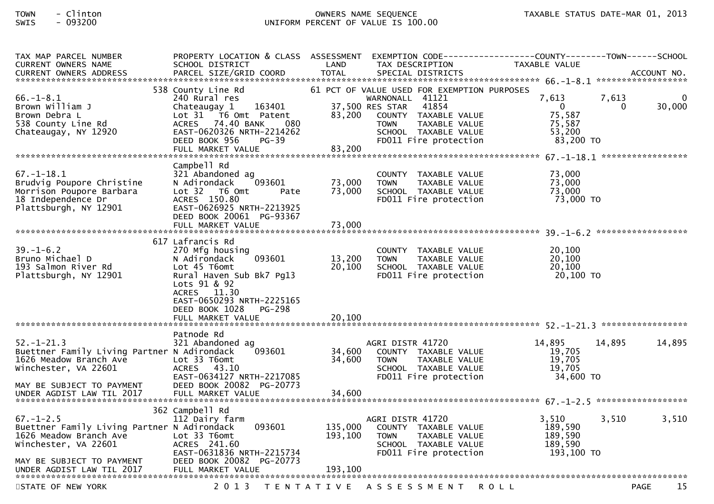| TAX MAP PARCEL NUMBER<br><b>CURRENT OWNERS NAME</b><br><b>CURRENT OWNERS ADDRESS</b>                                                                                       | PROPERTY LOCATION & CLASS ASSESSMENT<br>SCHOOL DISTRICT<br>PARCEL SIZE/GRID COORD                                                                                                                                             | LAND<br>TAX DESCRIPTION<br><b>TOTAL</b><br>SPECIAL DISTRICTS                                                                                                                                                            | <b>TAXABLE VALUE</b><br>ACCOUNT NO.                                                                           |
|----------------------------------------------------------------------------------------------------------------------------------------------------------------------------|-------------------------------------------------------------------------------------------------------------------------------------------------------------------------------------------------------------------------------|-------------------------------------------------------------------------------------------------------------------------------------------------------------------------------------------------------------------------|---------------------------------------------------------------------------------------------------------------|
| $66. - 1 - 8.1$<br>Brown William J<br>Brown Debra L<br>538 County Line Rd<br>Chateaugay, NY 12920                                                                          | 538 County Line Rd<br>240 Rural res<br>Chateaugay 1<br>163401<br>Lot 31 T6 Omt Patent<br>ACRES 74.40 BANK<br>080<br>EAST-0620326 NRTH-2214262<br>DEED BOOK 956<br>$PG-39$<br>FULL MARKET VALUE                                | 61 PCT OF VALUE USED FOR EXEMPTION PURPOSES<br>WARNONALL 41121<br>37,500 RES STAR<br>41854<br>83,200<br>COUNTY TAXABLE VALUE<br><b>TOWN</b><br>TAXABLE VALUE<br>SCHOOL TAXABLE VALUE<br>FD011 Fire protection<br>83,200 | 7,613<br>7,613<br>$\Omega$<br>30,000<br>$\overline{0}$<br>$\Omega$<br>75,587<br>75,587<br>53,200<br>83,200 TO |
| $67. - 1 - 18.1$<br>Brudvig Poupore Christine<br>Morrison Poupore Barbara<br>18 Independence Dr<br>Plattsburgh, NY 12901                                                   | Campbell Rd<br>321 Abandoned ag<br>093601<br>N Adirondack<br>Lot 32 76 0mt<br>Pate<br>ACRES 150.80<br>EAST-0626925 NRTH-2213925<br>DEED BOOK 20061 PG-93367<br>FULL MARKET VALUE                                              | COUNTY TAXABLE VALUE<br>73,000<br>TAXABLE VALUE<br><b>TOWN</b><br>73,000<br>SCHOOL TAXABLE VALUE<br>FD011 Fire protection<br>73,000                                                                                     | 73,000<br>73,000<br>73,000<br>73,000 TO                                                                       |
| $39. - 1 - 6.2$<br>Bruno Michael D<br>193 Salmon River Rd<br>Plattsburgh, NY 12901                                                                                         | 617 Lafrancis Rd<br>270 Mfg housing<br>093601<br>N Adirondack<br>Lot 45 T6omt<br>Rural Haven Sub Bk7 Pq13<br>Lots 91 & 92<br>ACRES 11.30<br>EAST-0650293 NRTH-2225165<br>DEED BOOK 1028<br><b>PG-298</b><br>FULL MARKET VALUE | COUNTY TAXABLE VALUE<br>13,200<br><b>TOWN</b><br>TAXABLE VALUE<br>20,100<br>SCHOOL TAXABLE VALUE<br>FD011 Fire protection<br>20,100                                                                                     | 20,100<br>20,100<br>20,100<br>20,100 TO                                                                       |
| $52. - 1 - 21.3$<br>Buettner Family Living Partner N Adirondack<br>1626 Meadow Branch Ave<br>Winchester, VA 22601<br>MAY BE SUBJECT TO PAYMENT                             | Patnode Rd<br>321 Abandoned ag<br>093601<br>Lot 33 T6omt<br>ACRES 43.10<br>EAST-0634127 NRTH-2217085<br>DEED BOOK 20082 PG-20773                                                                                              | AGRI DISTR 41720<br>34,600<br>COUNTY TAXABLE VALUE<br>34,600<br><b>TOWN</b><br>TAXABLE VALUE<br>SCHOOL TAXABLE VALUE<br>FD011 Fire protection                                                                           | 14,895<br>14,895<br>14,895<br>19,705<br>19,705<br>19,705<br>34,600 TO                                         |
| $67. - 1 - 2.5$<br>Buettner Family Living Partner N Adirondack<br>1626 Meadow Branch Ave<br>Winchester, VA 22601<br>MAY BE SUBJECT TO PAYMENT<br>UNDER AGDIST LAW TIL 2017 | 362 Campbell Rd<br>112 Dairy farm<br>093601<br>Lot 33 T6omt<br>ACRES 241.60<br>EAST-0631836 NRTH-2215734<br>DEED BOOK 20082 PG-20773<br>FULL MARKET VALUE                                                                     | AGRI DISTR 41720<br>135,000<br>COUNTY TAXABLE VALUE<br>193,100<br><b>TOWN</b><br>TAXABLE VALUE<br>SCHOOL TAXABLE VALUE<br>FD011 Fire protection<br>193,100                                                              | 3,510<br>3,510<br>3,510<br>189,590<br>189,590<br>189,590<br>193,100 TO                                        |
| STATE OF NEW YORK                                                                                                                                                          | 2 0 1 3                                                                                                                                                                                                                       | TENTATIVE ASSESSMENT                                                                                                                                                                                                    | 15<br><b>PAGE</b><br><b>ROLL</b>                                                                              |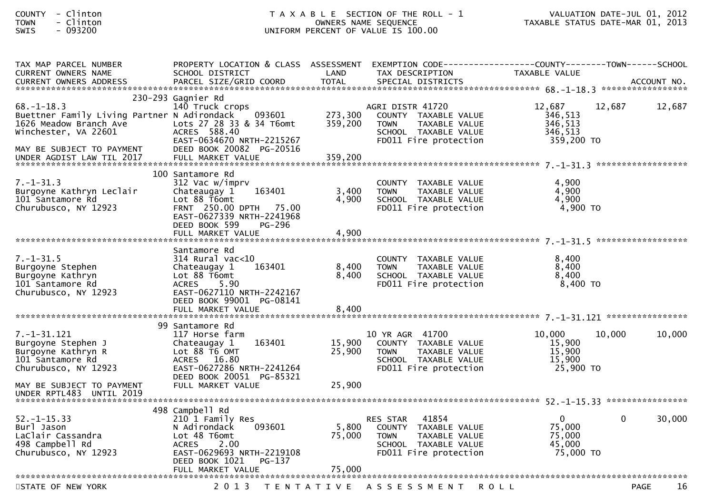| COUNTY       | Clinton |
|--------------|---------|
| TOWN         | Clinton |
| $C \cup T C$ | ______  |

| TAX MAP PARCEL NUMBER                       | PROPERTY LOCATION & CLASS ASSESSMENT EXEMPTION CODE----------------COUNTY--------TOWN------SCHOOL |                   |                              |                |        |        |
|---------------------------------------------|---------------------------------------------------------------------------------------------------|-------------------|------------------------------|----------------|--------|--------|
| <b>CURRENT OWNERS NAME</b>                  | SCHOOL DISTRICT                                                                                   | LAND              | TAX DESCRIPTION              | TAXABLE VALUE  |        |        |
|                                             |                                                                                                   |                   |                              |                |        |        |
|                                             |                                                                                                   |                   |                              |                |        |        |
|                                             | 230-293 Gagnier Rd                                                                                |                   |                              |                |        |        |
| $68. - 1 - 18.3$                            | 140 Truck crops                                                                                   |                   | AGRI DISTR 41720             | 12,687         | 12,687 | 12,687 |
| Buettner Family Living Partner N Adirondack | 093601                                                                                            | 273,300           | COUNTY TAXABLE VALUE         | 346,513        |        |        |
| 1626 Meadow Branch Ave                      | Lots 27 28 33 & 34 T6omt                                                                          | 359,200           | TAXABLE VALUE<br><b>TOWN</b> | 346,513        |        |        |
| Winchester, VA 22601                        | ACRES 588.40                                                                                      |                   | SCHOOL TAXABLE VALUE         | 346,513        |        |        |
|                                             | EAST-0634670 NRTH-2215267                                                                         |                   | FD011 Fire protection        | 359,200 TO     |        |        |
| MAY BE SUBJECT TO PAYMENT                   | DEED BOOK 20082 PG-20516                                                                          |                   |                              |                |        |        |
| UNDER AGDIST LAW TIL 2017                   | FULL MARKET VALUE                                                                                 | 359.200           |                              |                |        |        |
|                                             |                                                                                                   |                   |                              |                |        |        |
|                                             | 100 Santamore Rd                                                                                  |                   |                              |                |        |        |
| $7. - 1 - 31.3$                             | 312 Vac w/imprv                                                                                   |                   | COUNTY TAXABLE VALUE         | 4,900          |        |        |
| Burgoyne Kathryn Leclair                    | 163401<br>Chateaugay 1                                                                            | 3,400             | TAXABLE VALUE<br><b>TOWN</b> | 4,900          |        |        |
| 101 Santamore Rd                            | Lot 88 T6omt                                                                                      | 4,900             | SCHOOL TAXABLE VALUE         | 4,900          |        |        |
| Churubusco, NY 12923                        | FRNT 250.00 DPTH 75.00                                                                            |                   | FD011 Fire protection        | 4,900 TO       |        |        |
|                                             | EAST-0627339 NRTH-2241968                                                                         |                   |                              |                |        |        |
|                                             | DEED BOOK 599<br><b>PG-296</b>                                                                    |                   |                              |                |        |        |
|                                             | FULL MARKET VALUE                                                                                 | 4,900             |                              |                |        |        |
|                                             |                                                                                                   |                   |                              |                |        |        |
|                                             | Santamore Rd                                                                                      |                   |                              |                |        |        |
| $7. - 1 - 31.5$                             | 314 Rural vac<10                                                                                  |                   | COUNTY TAXABLE VALUE         | 8,400          |        |        |
| Burgoyne Stephen                            | Chateaugay 1<br>163401                                                                            | 8,400             | <b>TOWN</b><br>TAXABLE VALUE | 8,400          |        |        |
| Burgoyne Kathryn                            | Lot 88 T6omt                                                                                      | 8,400             | SCHOOL TAXABLE VALUE         | 8,400          |        |        |
| 101 Santamore Rd                            | 5.90<br><b>ACRES</b>                                                                              |                   | FD011 Fire protection        | $8,400$ TO     |        |        |
| Churubusco, NY 12923                        | EAST-0627110 NRTH-2242167                                                                         |                   |                              |                |        |        |
|                                             | DEED BOOK 99001 PG-08141                                                                          |                   |                              |                |        |        |
|                                             |                                                                                                   |                   |                              |                |        |        |
|                                             |                                                                                                   |                   |                              |                |        |        |
|                                             | 99 Santamore Rd                                                                                   |                   |                              |                |        |        |
| 7. –1–31.121                                | 117 Horse farm                                                                                    |                   | 10 YR AGR 41700              | 10.000         | 10,000 | 10,000 |
| Burgoyne Stephen J                          | 163401<br>Chateaugay 1                                                                            | 15,900            | COUNTY TAXABLE VALUE         | 15,900         |        |        |
| Burgoyne Kathryn R                          | Lot 88 T6 OMT                                                                                     | 25,900            | <b>TOWN</b><br>TAXABLE VALUE | 15,900         |        |        |
| 101 Santamore Rd                            | ACRES 16.80                                                                                       |                   | SCHOOL TAXABLE VALUE         | 15,900         |        |        |
| Churubusco, NY 12923                        | EAST-0627286 NRTH-2241264                                                                         |                   | FD011 Fire protection        | 25,900 TO      |        |        |
|                                             | DEED BOOK 20051 PG-85321                                                                          |                   |                              |                |        |        |
| MAY BE SUBJECT TO PAYMENT                   | FULL MARKET VALUE                                                                                 | 25,900            |                              |                |        |        |
| UNDER RPTL483 UNTIL 2019                    |                                                                                                   |                   |                              |                |        |        |
|                                             |                                                                                                   |                   |                              |                |        |        |
|                                             | 498 Campbell Rd                                                                                   |                   |                              |                |        |        |
| $52. - 1 - 15.33$                           | 210 1 Family Res                                                                                  |                   | 41854<br><b>RES STAR</b>     | $\overline{0}$ | 0      | 30,000 |
| Burl Jason                                  | 093601<br>N Adirondack                                                                            | 5,800             | COUNTY TAXABLE VALUE         | 75,000         |        |        |
| LaClair Cassandra                           | Lot 48 T6omt                                                                                      | 75,000            | <b>TOWN</b><br>TAXABLE VALUE | 75,000         |        |        |
| 498 Campbell Rd                             | <b>ACRES</b><br>2.00                                                                              |                   | SCHOOL TAXABLE VALUE         | 45,000         |        |        |
| Churubusco, NY 12923                        | EAST-0629693 NRTH-2219108                                                                         |                   | FD011 Fire protection        | 75,000 TO      |        |        |
|                                             | DEED BOOK 1021<br>PG-137                                                                          |                   |                              |                |        |        |
|                                             | FULL MARKET VALUE                                                                                 | 75,000            |                              |                |        |        |
|                                             |                                                                                                   |                   |                              |                |        |        |
| STATE OF NEW YORK                           | 2 0 1 3                                                                                           | T E N T A T I V E | A S S E S S M E N T          | R O L L        | PAGE   | 16     |
|                                             |                                                                                                   |                   |                              |                |        |        |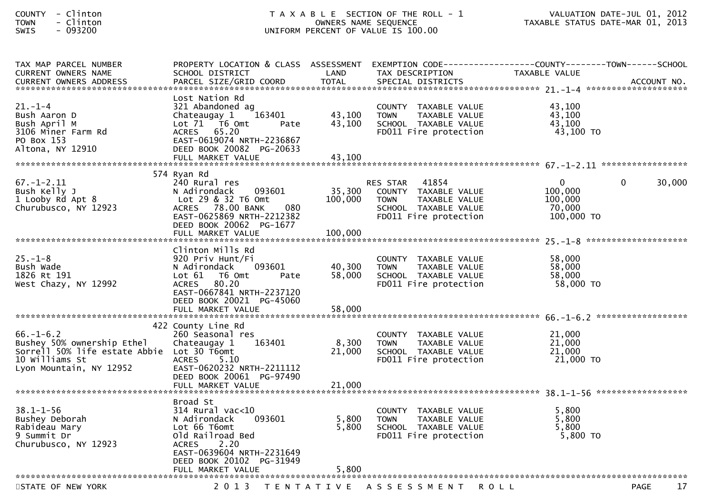| <b>COUNTY</b>  | - | Clintor |
|----------------|---|---------|
| <b>TOWN</b>    |   | Clintor |
| <b>CIAIT C</b> |   | nazznn  |

| TAX MAP PARCEL NUMBER                      | PROPERTY LOCATION & CLASS ASSESSMENT EXEMPTION CODE----------------COUNTY-------TOWN------SCHOOL |                   |                              |               |                    |
|--------------------------------------------|--------------------------------------------------------------------------------------------------|-------------------|------------------------------|---------------|--------------------|
| <b>CURRENT OWNERS NAME</b>                 | SCHOOL DISTRICT                                                                                  | LAND              | TAX DESCRIPTION              | TAXABLE VALUE |                    |
| <b>CURRENT OWNERS ADDRESS</b>              | PARCEL SIZE/GRID COORD                                                                           | <b>TOTAL</b>      | SPECIAL DISTRICTS            |               | ACCOUNT NO.        |
|                                            |                                                                                                  |                   |                              |               |                    |
|                                            | Lost Nation Rd                                                                                   |                   |                              |               |                    |
| $21. - 1 - 4$                              | 321 Abandoned ag                                                                                 |                   | COUNTY TAXABLE VALUE         | 43,100        |                    |
| Bush Aaron D                               | Chateaugay 1<br>163401                                                                           | 43,100            | TAXABLE VALUE<br><b>TOWN</b> | 43,100        |                    |
| Bush April M                               | Lot 71  T6 0mt<br>Pate                                                                           | 43,100            | SCHOOL TAXABLE VALUE         | 43,100        |                    |
| 3106 Miner Farm Rd                         | ACRES 65.20                                                                                      |                   | FD011 Fire protection        | 43,100 TO     |                    |
| PO Box 153                                 | EAST-0619074 NRTH-2236867                                                                        |                   |                              |               |                    |
| Altona, NY 12910                           | DEED BOOK 20082 PG-20633                                                                         |                   |                              |               |                    |
|                                            | FULL MARKET VALUE                                                                                | 43,100            |                              |               |                    |
|                                            |                                                                                                  |                   |                              |               |                    |
|                                            | 574 Ryan Rd                                                                                      |                   |                              |               |                    |
| $67. - 1 - 2.11$                           | 240 Rural res                                                                                    |                   | 41854<br><b>RES STAR</b>     | $\mathbf 0$   | 30,000<br>$\Omega$ |
| Bush Kelly J                               | N Adirondack<br>093601                                                                           | 35,300            | COUNTY TAXABLE VALUE         | 100,000       |                    |
| 1 Looby Rd Apt 8                           | Lot 29 & 32 T6 Omt                                                                               | 100,000           | <b>TOWN</b><br>TAXABLE VALUE | 100,000       |                    |
| Churubusco, NY 12923                       | ACRES 78.00 BANK<br>080                                                                          |                   | SCHOOL TAXABLE VALUE         | 70,000        |                    |
|                                            | EAST-0625869 NRTH-2212382                                                                        |                   | FD011 Fire protection        | 100,000 TO    |                    |
|                                            | DEED BOOK 20062 PG-1677                                                                          |                   |                              |               |                    |
|                                            | FULL MARKET VALUE                                                                                | 100,000           |                              |               |                    |
|                                            |                                                                                                  |                   |                              |               |                    |
|                                            | Clinton Mills Rd                                                                                 |                   |                              |               |                    |
| $25. - 1 - 8$                              | 920 Priv Hunt/Fi                                                                                 |                   | COUNTY TAXABLE VALUE         | 58,000        |                    |
| Bush Wade                                  | 093601<br>N Adirondack                                                                           | 40,300            | <b>TOWN</b><br>TAXABLE VALUE | 58,000        |                    |
| 1826 Rt 191                                | Lot 61 76 0mt<br>Pate                                                                            | 58,000            | SCHOOL TAXABLE VALUE         | 58,000        |                    |
| West Chazy, NY 12992                       | 80.20<br>ACRES                                                                                   |                   | FD011 Fire protection        | 58,000 TO     |                    |
|                                            | EAST-0667841 NRTH-2237120                                                                        |                   |                              |               |                    |
|                                            | DEED BOOK 20021 PG-45060                                                                         |                   |                              |               |                    |
|                                            |                                                                                                  |                   |                              |               |                    |
|                                            | FULL MARKET VALUE                                                                                | 58,000            |                              |               |                    |
|                                            |                                                                                                  |                   |                              |               |                    |
|                                            | 422 County Line Rd                                                                               |                   |                              |               |                    |
| $66. - 1 - 6.2$                            | 260 Seasonal res                                                                                 |                   | COUNTY TAXABLE VALUE         | 21,000        |                    |
| Bushey 50% ownership Ethel                 | 163401<br>Chateaugay 1                                                                           | 8,300             | <b>TOWN</b><br>TAXABLE VALUE | 21,000        |                    |
| Sorrell 50% life estate Abbie Lot 30 T6omt |                                                                                                  | 21,000            | SCHOOL TAXABLE VALUE         | 21,000        |                    |
| 10 Williams St                             | <b>ACRES</b><br>5.10                                                                             |                   | FD011 Fire protection        | 21,000 TO     |                    |
| Lyon Mountain, NY 12952                    | EAST-0620232 NRTH-2211112                                                                        |                   |                              |               |                    |
|                                            | DEED BOOK 20061 PG-97490                                                                         |                   |                              |               |                    |
|                                            | FULL MARKET VALUE                                                                                | 21,000            |                              |               |                    |
|                                            |                                                                                                  |                   |                              |               |                    |
|                                            | Broad St                                                                                         |                   |                              |               |                    |
| $38.1 - 1 - 56$                            | 314 Rural vac<10                                                                                 |                   | COUNTY TAXABLE VALUE         | 5,800         |                    |
| Bushey Deborah                             | N Adirondack<br>093601                                                                           | 5,800             | <b>TOWN</b><br>TAXABLE VALUE | 5,800         |                    |
| Rabideau Mary                              | Lot 66 T6omt                                                                                     | 5,800             | SCHOOL TAXABLE VALUE         | 5.800         |                    |
| 9 Summit Dr                                | Old Railroad Bed                                                                                 |                   | FD011 Fire protection        | 5,800 TO      |                    |
| Churubusco, NY 12923                       | <b>ACRES</b><br>2.20                                                                             |                   |                              |               |                    |
|                                            | EAST-0639604 NRTH-2231649                                                                        |                   |                              |               |                    |
|                                            | DEED BOOK 20102 PG-31949                                                                         |                   |                              |               |                    |
|                                            | FULL MARKET VALUE                                                                                | 5,800             |                              |               |                    |
|                                            |                                                                                                  |                   |                              |               |                    |
| STATE OF NEW YORK                          | 2 0 1 3                                                                                          | T E N T A T I V E | A S S E S S M E N T R O L L  |               | 17<br>PAGE         |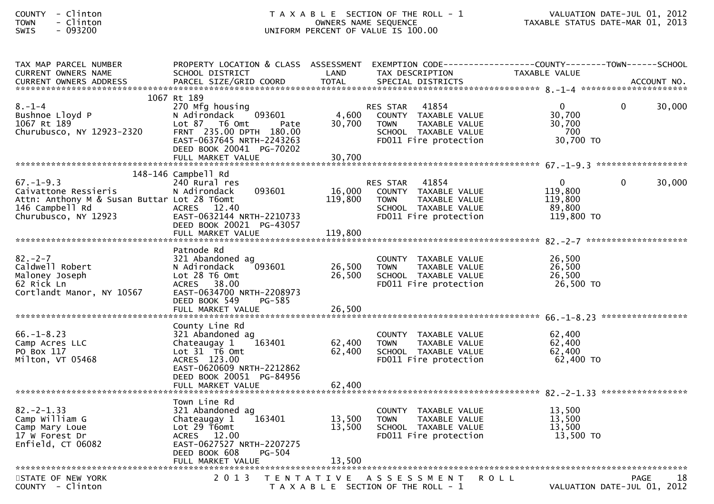| <b>COUNTY</b><br>- Clinton<br><b>TOWN</b><br>- Clinton<br>$-093200$<br>SWIS                                                                                                                                                    |                                                                                                                                                                             |                            | T A X A B L E SECTION OF THE ROLL - 1<br>OWNERS NAME SEQUENCE<br>UNIFORM PERCENT OF VALUE IS 100.00                               | VALUATION DATE-JUL 01, 2012<br>TAXABLE STATUS DATE-MAR 01, 2013 |              |                   |
|--------------------------------------------------------------------------------------------------------------------------------------------------------------------------------------------------------------------------------|-----------------------------------------------------------------------------------------------------------------------------------------------------------------------------|----------------------------|-----------------------------------------------------------------------------------------------------------------------------------|-----------------------------------------------------------------|--------------|-------------------|
| TAX MAP PARCEL NUMBER<br><b>CURRENT OWNERS NAME</b>                                                                                                                                                                            | PROPERTY LOCATION & CLASS ASSESSMENT<br>SCHOOL DISTRICT                                                                                                                     | LAND                       | EXEMPTION CODE-----------------COUNTY-------TOWN------SCHOOL<br>TAX DESCRIPTION                                                   | TAXABLE VALUE                                                   |              |                   |
| CURRENT OWNERS ADDRESS PARCEL SIZE/GRID COORD TOTAL SPECIAL DISTRICTS AND MOLE ACCOUNT NOLE AND MOLE TO A SERVER A SERVER AND TO A SERVER A SERVER AND TO A SERVER A SERVER AND TO A SERVER AND TO A SERVER AND THE SERVER AND |                                                                                                                                                                             |                            |                                                                                                                                   |                                                                 |              |                   |
| $8. - 1 - 4$<br>Bushnoe Lloyd P<br>1067 Rt 189<br>Churubusco, NY 12923-2320                                                                                                                                                    | 1067 Rt 189<br>270 Mfg housing<br>N Adirondack<br>093601<br>Lot 87 76 0mt<br>Pate<br>FRNT 235.00 DPTH 180.00<br>EAST-0637645 NRTH-2243263<br>DEED BOOK 20041 PG-70202       | 4,600<br>30,700            | 41854<br>RES STAR<br>COUNTY TAXABLE VALUE<br><b>TOWN</b><br>TAXABLE VALUE<br>SCHOOL TAXABLE VALUE<br>FD011 Fire protection        | $\mathbf{0}$<br>30,700<br>30,700<br>700<br>30,700 TO            | $\mathbf{0}$ | 30,000            |
|                                                                                                                                                                                                                                |                                                                                                                                                                             |                            |                                                                                                                                   |                                                                 |              |                   |
| $67. - 1 - 9.3$<br>Caivattone Ressieris<br>Attn: Anthony M & Susan Buttar Lot 28 T6omt<br>146 Campbell Rd<br>Churubusco, NY 12923                                                                                              | 148-146 Campbell Rd<br>240 Rural res<br>093601<br>N Adirondack<br>ACRES 12.40<br>EAST-0632144 NRTH-2210733<br>DEED BOOK 20021 PG-43057                                      | 16,000<br>119,800          | 41854<br><b>RES STAR</b><br>COUNTY TAXABLE VALUE<br><b>TOWN</b><br>TAXABLE VALUE<br>SCHOOL TAXABLE VALUE<br>FD011 Fire protection | $\overline{0}$<br>119,800<br>119,800<br>89,800<br>119,800 TO    | $\mathbf{0}$ | 30,000            |
|                                                                                                                                                                                                                                |                                                                                                                                                                             | 119,800                    |                                                                                                                                   |                                                                 |              |                   |
| $82 - 2 - 7$<br>Caldwell Robert<br>Maloney Joseph<br>62 Rick Ln<br>Cortlandt Manor, NY 10567                                                                                                                                   | Patnode Rd<br>321 Abandoned ag<br>093601<br>N Adirondack<br>Lot 28 T6 Omt<br>ACRES 38.00<br>EAST-0634700 NRTH-2208973<br>DEED BOOK 549<br>PG-585                            | 26,500<br>26,500           | COUNTY TAXABLE VALUE<br>TAXABLE VALUE<br>TOWN<br>SCHOOL TAXABLE VALUE<br>FD011 Fire protection                                    | 26,500<br>26,500<br>26,500<br>26,500 TO                         |              |                   |
|                                                                                                                                                                                                                                | FULL MARKET VALUE                                                                                                                                                           | 26,500                     |                                                                                                                                   |                                                                 |              | ***************** |
| $66. - 1 - 8.23$<br>Camp Acres LLC<br>PO Box 117<br>Milton, VT 05468                                                                                                                                                           | County Line Rd<br>321 Abandoned ag<br>163401<br>Chateaugay 1<br>Lot 31 T6 Omt<br>ACRES 123.00<br>EAST-0620609 NRTH-2212862<br>DEED BOOK 20051 PG-84956<br>FULL MARKET VALUE | 62,400<br>62,400<br>62,400 | COUNTY<br>TAXABLE VALUE<br><b>TOWN</b><br>TAXABLE VALUE<br>SCHOOL TAXABLE VALUE<br>FD011 Fire protection                          | 62,400<br>62,400<br>62,400<br>62,400 TO                         |              |                   |
|                                                                                                                                                                                                                                |                                                                                                                                                                             |                            |                                                                                                                                   | 82. - 2 - 1.33 *******************                              |              |                   |
| $82 - 2 - 1.33$<br>Camp William G<br>Camp Mary Loue<br>17 W Forest Dr<br>Enfield, CT 06082                                                                                                                                     | Town Line Rd<br>321 Abandoned ag<br>163401<br>Chateaugay 1<br>Lot 29 T6omt<br>ACRES 12.00<br>EAST-0627527 NRTH-2207275<br>DEED BOOK 608<br><b>PG-504</b>                    | 13,500<br>13,500           | COUNTY TAXABLE VALUE<br><b>TOWN</b><br>TAXABLE VALUE<br>SCHOOL TAXABLE VALUE<br>FD011 Fire protection                             | 13,500<br>13,500<br>13,500<br>13,500 TO                         |              |                   |
|                                                                                                                                                                                                                                | FULL MARKET VALUE                                                                                                                                                           | 13,500                     |                                                                                                                                   |                                                                 |              |                   |

STATE OF NEW YORK 2013 TENTATIVE ASSESSMENT ROLL PAGE 18<br>COUNTY Clinton COUNTY - Clinton T A X A B L E SECTION OF THE ROLL - 1 VALUATION DATE-JUL 01, 2012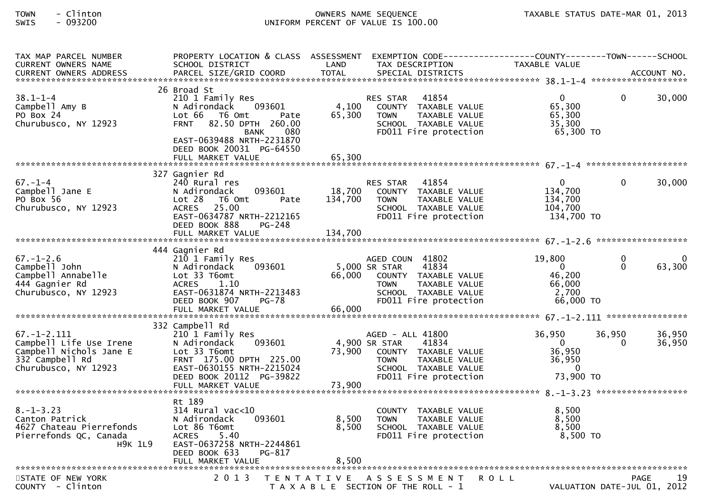| TAX MAP PARCEL NUMBER<br><b>CURRENT OWNERS NAME</b>                                                                | PROPERTY LOCATION & CLASS ASSESSMENT EXEMPTION CODE----------------COUNTY--------TOWN------SCHOOL<br>SCHOOL DISTRICT                                                                                                       | LAND                      | TAX DESCRIPTION                                                                                                                                     | TAXABLE VALUE                                                        |                             |                        |
|--------------------------------------------------------------------------------------------------------------------|----------------------------------------------------------------------------------------------------------------------------------------------------------------------------------------------------------------------------|---------------------------|-----------------------------------------------------------------------------------------------------------------------------------------------------|----------------------------------------------------------------------|-----------------------------|------------------------|
|                                                                                                                    |                                                                                                                                                                                                                            |                           |                                                                                                                                                     |                                                                      |                             |                        |
| $38.1 - 1 - 4$<br>Campbell Amy B<br>PO Box 24<br>Churubusco, NY 12923                                              | 26 Broad St<br>210 1 Family Res<br>093601<br>N Adirondack<br>Lot 66 T6 Omt<br>Pate<br><b>FRNT</b><br>82.50 DPTH 260.00<br>080<br><b>BANK</b><br>EAST-0639488 NRTH-2231870<br>DEED BOOK 20031 PG-64550<br>FULL MARKET VALUE | 4,100<br>65,300<br>65,300 | 41854<br><b>RES STAR</b><br>COUNTY TAXABLE VALUE<br>TAXABLE VALUE<br><b>TOWN</b><br>SCHOOL TAXABLE VALUE<br>FD011 Fire protection                   | $\mathbf{0}$<br>65,300<br>65,300<br>35,300<br>65,300 TO              | $\Omega$                    | 30,000                 |
|                                                                                                                    |                                                                                                                                                                                                                            |                           |                                                                                                                                                     |                                                                      |                             |                        |
| $67. - 1 - 4$<br>Campbell Jane E<br>PO Box 56<br>Churubusco, NY 12923                                              | 327 Gagnier Rd<br>240 Rural res<br>093601<br>N Adirondack<br>Lot 28<br>T6 Omt<br>Pate<br>25.00<br><b>ACRES</b><br>EAST-0634787 NRTH-2212165<br>DEED BOOK 888<br>PG-248                                                     | 18,700<br>134,700         | 41854<br><b>RES STAR</b><br>COUNTY TAXABLE VALUE<br><b>TOWN</b><br>TAXABLE VALUE<br>SCHOOL TAXABLE VALUE<br>FD011 Fire protection                   | $\mathbf{0}$<br>134,700<br>134,700<br>104,700<br>134,700 TO          | $\Omega$                    | 30,000                 |
|                                                                                                                    |                                                                                                                                                                                                                            |                           |                                                                                                                                                     |                                                                      |                             |                        |
| $67. - 1 - 2.6$<br>Campbell John<br>Campbell Annabelle<br>444 Gagnier Rd<br>Churubusco, NY 12923                   | 444 Gagnier Rd<br>210 1 Family Res<br>093601<br>N Adirondack<br>Lot 33 T6omt<br><b>ACRES</b><br>1.10<br>EAST-0631874 NRTH-2213483<br>DEED BOOK 907<br><b>PG-78</b><br>FULL MARKET VALUE                                    | 66.000<br>66,000          | AGED COUN 41802<br>5,000 SR STAR<br>41834<br>COUNTY TAXABLE VALUE<br>TAXABLE VALUE<br><b>TOWN</b><br>SCHOOL TAXABLE VALUE<br>FD011 Fire protection  | 19,800<br>$\overline{0}$<br>46,200<br>66,000<br>2,700<br>$66,000$ TO | $\mathbf{0}$<br>$\Omega$    | $\mathbf{0}$<br>63,300 |
|                                                                                                                    | 332 Campbell Rd                                                                                                                                                                                                            |                           |                                                                                                                                                     |                                                                      |                             |                        |
| $67. - 1 - 2.111$<br>Campbell Life Use Irene<br>Campbell Nichols Jane E<br>332 Campbell Rd<br>Churubusco, NY 12923 | 210 1 Family Res<br>093601<br>N Adirondack<br>Lot 33 T6omt<br>FRNT 175.00 DPTH 225.00<br>EAST-0630155 NRTH-2215024<br>DEED BOOK 20112 PG-39822<br>FULL MARKET VALUE                                                        | 73,900<br>73,900          | AGED - ALL 41800<br>4,900 SR STAR<br>41834<br>COUNTY TAXABLE VALUE<br>TAXABLE VALUE<br><b>TOWN</b><br>SCHOOL TAXABLE VALUE<br>FD011 Fire protection | 36,950<br>- 0<br>36,950<br>36,950<br>$\Omega$<br>73,900 TO           | 36,950<br>$\Omega$          | 36,950<br>36,950       |
|                                                                                                                    | Rt 189                                                                                                                                                                                                                     |                           |                                                                                                                                                     |                                                                      |                             |                        |
| $8. - 1 - 3.23$<br>Canton Patrick<br>4627 Chateau Pierrefonds<br>Pierrefonds QC, Canada<br><b>H9K 1L9</b>          | $314$ Rural vac< $10$<br>093601<br>N Adirondack<br>Lot 86 T6omt<br><b>ACRES</b><br>5.40<br>EAST-0637258 NRTH-2244861<br>DEED BOOK 633<br>PG-817                                                                            | 8,500<br>8,500            | COUNTY TAXABLE VALUE<br><b>TOWN</b><br>TAXABLE VALUE<br>SCHOOL TAXABLE VALUE<br>FD011 Fire protection                                               | 8,500<br>8,500<br>8,500<br>$8,500$ TO                                |                             |                        |
| STATE OF NEW YORK                                                                                                  | 2 0 1 3                                                                                                                                                                                                                    |                           | TENTATIVE ASSESSMENT                                                                                                                                | <b>ROLL</b>                                                          |                             | 19<br><b>PAGE</b>      |
| COUNTY - Clinton                                                                                                   |                                                                                                                                                                                                                            |                           | T A X A B L E SECTION OF THE ROLL - 1                                                                                                               |                                                                      | VALUATION DATE-JUL 01, 2012 |                        |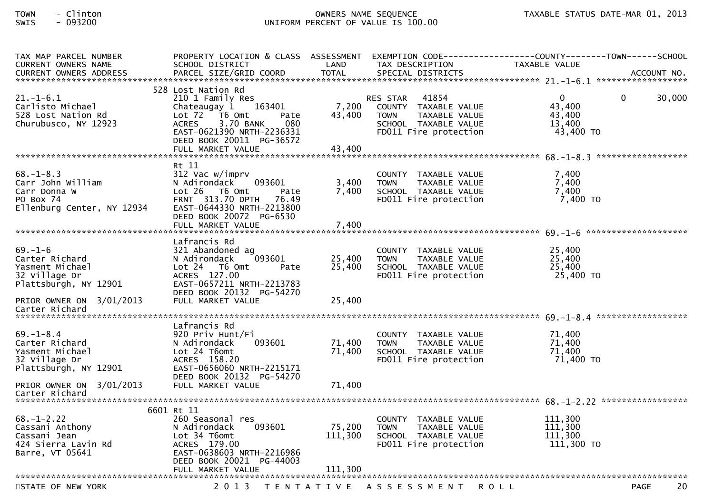| TAX MAP PARCEL NUMBER<br>CURRENT OWNERS NAME                                                    | PROPERTY LOCATION & CLASS ASSESSMENT EXEMPTION CODE----------------COUNTY--------TOWN------SCHOOL<br>SCHOOL DISTRICT                                                                                                    | LAND                         | TAX DESCRIPTION                                                                                                            | <b>TAXABLE VALUE</b>                                      |              |             |
|-------------------------------------------------------------------------------------------------|-------------------------------------------------------------------------------------------------------------------------------------------------------------------------------------------------------------------------|------------------------------|----------------------------------------------------------------------------------------------------------------------------|-----------------------------------------------------------|--------------|-------------|
| <b>CURRENT OWNERS ADDRESS</b>                                                                   | PARCEL SIZE/GRID COORD                                                                                                                                                                                                  | <b>TOTAL</b>                 | SPECIAL DISTRICTS                                                                                                          |                                                           |              | ACCOUNT NO. |
|                                                                                                 |                                                                                                                                                                                                                         |                              |                                                                                                                            |                                                           |              |             |
| $21. - 1 - 6.1$<br>Carlisto Michael<br>528 Lost Nation Rd<br>Churubusco, NY 12923               | 528 Lost Nation Rd<br>210 1 Family Res<br>Chateaugay 1 163401<br>Lot $72$ $\overline{76}$ Omt<br>Pate<br>3.70 BANK<br>080<br><b>ACRES</b><br>EAST-0621390 NRTH-2236331<br>DEED BOOK 20011 PG-36572<br>FULL MARKET VALUE | 7,200<br>43,400<br>43,400    | 41854<br>RES STAR<br>COUNTY TAXABLE VALUE<br>TAXABLE VALUE<br><b>TOWN</b><br>SCHOOL TAXABLE VALUE<br>FD011 Fire protection | $\overline{0}$<br>43,400<br>43,400<br>13,400<br>43,400 TO | $\mathbf{0}$ | 30,000      |
|                                                                                                 |                                                                                                                                                                                                                         |                              |                                                                                                                            |                                                           |              |             |
| $68. - 1 - 8.3$<br>Carr John William<br>Carr Donna W<br>PO Box 74<br>Ellenburg Center, NY 12934 | Rt 11<br>312 Vac w/imprv<br>N Adirondack<br>093601<br>$Lot 26$ T6 Omt<br>Pate<br>FRNT 313.70 DPTH 76.49<br>EAST-0644330 NRTH-2213800<br>DEED BOOK 20072 PG-6530                                                         | 3,400<br>7,400               | COUNTY TAXABLE VALUE<br><b>TOWN</b><br>TAXABLE VALUE<br>SCHOOL TAXABLE VALUE<br>FD011 Fire protection                      | 7,400<br>7,400<br>7,400<br>7,400 TO                       |              |             |
|                                                                                                 | Lafrancis Rd                                                                                                                                                                                                            |                              |                                                                                                                            |                                                           |              |             |
| $69. - 1 - 6$<br>Carter Richard<br>Yasment Michael<br>32 Village Dr<br>Plattsburgh, NY 12901    | 321 Abandoned ag<br>093601<br>N Adirondack<br>Lot 24 76 0mt<br>Pate<br>ACRES 127.00<br>EAST-0657211 NRTH-2213783                                                                                                        | 25,400<br>25,400             | COUNTY TAXABLE VALUE<br>TAXABLE VALUE<br><b>TOWN</b><br>SCHOOL TAXABLE VALUE<br>FD011 Fire protection                      | 25,400<br>25,400<br>25,400<br>25,400 TO                   |              |             |
| PRIOR OWNER ON 3/01/2013<br>Carter Richard                                                      | DEED BOOK 20132 PG-54270<br>FULL MARKET VALUE                                                                                                                                                                           | 25,400                       |                                                                                                                            |                                                           |              |             |
|                                                                                                 | Lafrancis Rd                                                                                                                                                                                                            |                              |                                                                                                                            |                                                           |              |             |
| $69. - 1 - 8.4$<br>Carter Richard<br>Yasment Michael<br>32 Village Dr<br>Plattsburgh, NY 12901  | 920 Priv Hunt/Fi<br>093601<br>N Adirondack<br>Lot 24 T6omt<br>ACRES 158.20<br>EAST-0656060 NRTH-2215171<br>DEED BOOK 20132 PG-54270                                                                                     | 71,400<br>71,400             | COUNTY TAXABLE VALUE<br><b>TOWN</b><br>TAXABLE VALUE<br>SCHOOL TAXABLE VALUE<br>FD011 Fire protection                      | 71,400<br>71,400<br>71,400<br>71,400 TO                   |              |             |
| PRIOR OWNER ON 3/01/2013<br>Carter Richard                                                      | FULL MARKET VALUE                                                                                                                                                                                                       | 71,400                       |                                                                                                                            |                                                           |              |             |
|                                                                                                 |                                                                                                                                                                                                                         |                              |                                                                                                                            |                                                           |              |             |
| $68. - 1 - 2.22$<br>Cassani Anthony<br>Cassani Jean<br>424 Sierra Lavin Rd<br>Barre, VT 05641   | 6601 Rt 11<br>260 Seasonal res<br>093601<br>N Adirondack<br>Lot 34 T6omt<br>ACRES 179.00<br>EAST-0638603 NRTH-2216986<br>DEED BOOK 20021 PG-44003<br>FULL MARKET VALUE                                                  | 75,200<br>111,300<br>111,300 | COUNTY TAXABLE VALUE<br><b>TOWN</b><br>TAXABLE VALUE<br>SCHOOL TAXABLE VALUE<br>FD011 Fire protection                      | 111,300<br>111,300<br>111,300<br>111,300 TO               |              |             |
|                                                                                                 |                                                                                                                                                                                                                         |                              |                                                                                                                            |                                                           |              |             |
| STATE OF NEW YORK                                                                               |                                                                                                                                                                                                                         |                              | 2013 TENTATIVE ASSESSMENT                                                                                                  | <b>ROLL</b>                                               | <b>PAGE</b>  | 20          |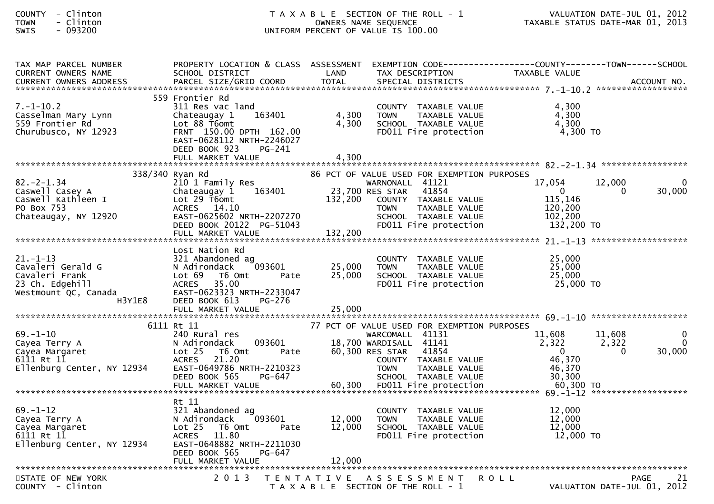| COUNTY         | Clinton   |
|----------------|-----------|
| <b>TOWN</b>    | - Clinton |
| <b>CIAIT C</b> | nazznn    |

| TAX MAP PARCEL NUMBER                                       | PROPERTY LOCATION & CLASS ASSESSMENT                          |                      |                                                      | EXEMPTION CODE-----------------COUNTY--------TOWN------SCHOOL |                    |
|-------------------------------------------------------------|---------------------------------------------------------------|----------------------|------------------------------------------------------|---------------------------------------------------------------|--------------------|
| <b>CURRENT OWNERS NAME</b><br><b>CURRENT OWNERS ADDRESS</b> | SCHOOL DISTRICT<br>PARCEL SIZE/GRID COORD                     | LAND<br><b>TOTAL</b> | TAX DESCRIPTION<br>SPECIAL DISTRICTS                 | TAXABLE VALUE                                                 | ACCOUNT NO.        |
|                                                             |                                                               |                      |                                                      |                                                               |                    |
| $7. - 1 - 10.2$                                             | 559 Frontier Rd<br>311 Res vac land                           |                      |                                                      |                                                               |                    |
| Casselman Mary Lynn                                         | Chateaugay 1<br>163401                                        | 4,300                | COUNTY TAXABLE VALUE<br>TAXABLE VALUE<br><b>TOWN</b> | 4,300<br>4,300                                                |                    |
| 559 Frontier Rd                                             | Lot 88 T6omt                                                  | 4,300                | SCHOOL TAXABLE VALUE                                 | 4,300                                                         |                    |
| Churubusco, NY 12923                                        | FRNT 150.00 DPTH 162.00                                       |                      | FD011 Fire protection                                | 4,300 TO                                                      |                    |
|                                                             | EAST-0628112 NRTH-2246027                                     |                      |                                                      |                                                               |                    |
|                                                             | DEED BOOK 923<br>PG-241                                       |                      |                                                      |                                                               |                    |
|                                                             | FULL MARKET VALUE                                             | 4,300                |                                                      |                                                               |                    |
|                                                             | 338/340 Ryan Rd                                               |                      | 86 PCT OF VALUE USED FOR EXEMPTION PURPOSES          |                                                               |                    |
| $82 - 2 - 1.34$                                             | 210 1 Family Res                                              |                      | WARNONALL 41121                                      | 17,054<br>12,000                                              | $\Omega$           |
| Caswell Casey A                                             | Chateaugay 1<br>163401                                        |                      | 41854<br>23,700 RES STAR                             | $\mathbf{0}$<br>0                                             | 30,000             |
| Caswell Kathleen I<br>PO Box 753                            | Lot 29 T6omt<br>ACRES 14.10                                   | 132,200              | COUNTY TAXABLE VALUE<br><b>TOWN</b><br>TAXABLE VALUE | 115,146<br>120,200                                            |                    |
| Chateaugay, NY 12920                                        | EAST-0625602 NRTH-2207270                                     |                      | SCHOOL TAXABLE VALUE                                 | 102,200                                                       |                    |
|                                                             | DEED BOOK 20122 PG-51043                                      |                      | FD011 Fire protection                                | 132,200 TO                                                    |                    |
|                                                             | FULL MARKET VALUE                                             | 132,200              |                                                      |                                                               |                    |
|                                                             |                                                               |                      |                                                      |                                                               |                    |
| $21. - 1 - 13$                                              | Lost Nation Rd<br>321 Abandoned ag                            |                      | COUNTY TAXABLE VALUE                                 | 25,000                                                        |                    |
| Cavaleri Gerald G                                           | 093601<br>N Adirondack                                        | 25,000               | <b>TOWN</b><br>TAXABLE VALUE                         | 25,000                                                        |                    |
| Cavaleri Frank                                              | Lot 69<br>T6 Omt<br>Pate                                      | 25,000               | SCHOOL TAXABLE VALUE                                 | 25,000                                                        |                    |
| 23 Ch. Edgehill                                             | 35.00<br><b>ACRES</b>                                         |                      | FD011 Fire protection                                | 25,000 TO                                                     |                    |
| Westmount QC, Canada                                        | EAST-0623323 NRTH-2233047                                     |                      |                                                      |                                                               |                    |
| H3Y1E8                                                      | DEED BOOK 613<br>PG-276                                       |                      |                                                      |                                                               |                    |
|                                                             |                                                               |                      |                                                      |                                                               |                    |
|                                                             | 6111 Rt 11                                                    |                      | 77 PCT OF VALUE USED FOR EXEMPTION PURPOSES          |                                                               |                    |
| $69. - 1 - 10$                                              | 240 Rural res                                                 |                      | WARCOMALL 41131                                      | 11,608<br>11,608                                              | $\Omega$           |
| Cayea Terry A<br>Cayea Margaret                             | 093601<br>N Adirondack<br>Lot <sub>25</sub><br>T6 Omt<br>Pate |                      | 18,700 WARDISALL 41141<br>60,300 RES STAR<br>41854   | 2,322<br>2,322<br>$\mathbf{0}$<br>$\mathbf{0}$                | $\Omega$<br>30,000 |
| 6111 Rt 11                                                  | 21.20<br><b>ACRES</b>                                         |                      | COUNTY TAXABLE VALUE                                 | 46,370                                                        |                    |
| Ellenburg Center, NY 12934                                  | EAST-0649786 NRTH-2210323                                     |                      | <b>TOWN</b><br>TAXABLE VALUE                         | 46,370                                                        |                    |
|                                                             | DEED BOOK 565<br>PG-647                                       |                      | SCHOOL TAXABLE VALUE                                 | 30.300                                                        |                    |
|                                                             | FULL MARKET VALUE                                             | 60,300               | FD011 Fire protection                                | 60,300 TO                                                     |                    |
|                                                             | Rt 11                                                         |                      |                                                      |                                                               |                    |
| $69. - 1 - 12$                                              | 321 Abandoned ag                                              |                      | COUNTY TAXABLE VALUE                                 | 12,000                                                        |                    |
| Cayea Terry A                                               | N Adirondack<br>093601                                        | 12,000               | <b>TOWN</b><br>TAXABLE VALUE                         | 12,000                                                        |                    |
| Cayea Margaret                                              | Lot 25<br>T6 Omt<br>Pate                                      | 12,000               | SCHOOL TAXABLE VALUE                                 | 12,000                                                        |                    |
| 6111 Rt 11<br>Ellenburg Center, NY 12934                    | <b>ACRES</b><br>11.80<br>EAST-0648882 NRTH-2211030            |                      | FD011 Fire protection                                | 12,000 TO                                                     |                    |
|                                                             | DEED BOOK 565<br>PG-647                                       |                      |                                                      |                                                               |                    |
|                                                             |                                                               |                      |                                                      |                                                               |                    |
|                                                             |                                                               |                      |                                                      |                                                               |                    |
| STATE OF NEW YORK                                           | 2 0 1 3                                                       | T E N T A T I V E    | A S S E S S M E N T                                  | <b>ROLL</b>                                                   | PAGE<br>21         |
| COUNTY - Clinton                                            |                                                               |                      | T A X A B L E SECTION OF THE ROLL - 1                | VALUATION DATE-JUL 01, 2012                                   |                    |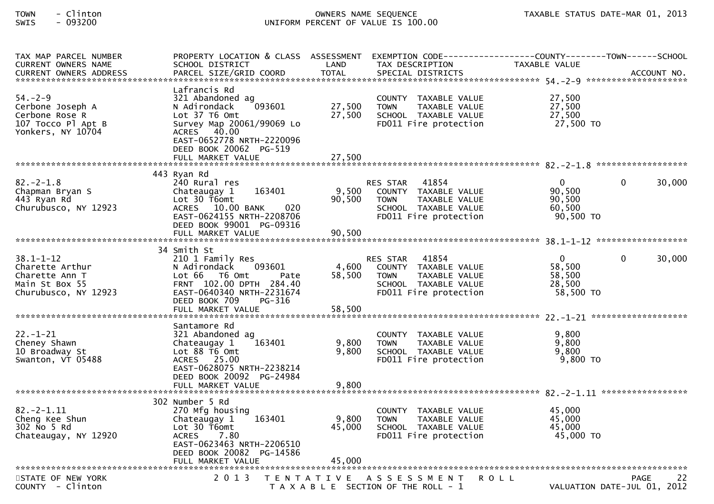| TAX MAP PARCEL NUMBER<br>CURRENT OWNERS NAME<br>CURRENT OWNERS ADDRESS PARCEL SIZE/GRID COORD TOTAL SPECIAL DISTRICTS (1.1999) ACCOUNT NO. | PROPERTY LOCATION & CLASS ASSESSMENT<br>SCHOOL DISTRICT                                                                                                                          | LAND                    | EXEMPTION        CODE------------------COUNTY-------TOWN------SCHOOL<br>TAX DESCRIPTION                                 | TAXABLE VALUE                                             |                                            |        |
|--------------------------------------------------------------------------------------------------------------------------------------------|----------------------------------------------------------------------------------------------------------------------------------------------------------------------------------|-------------------------|-------------------------------------------------------------------------------------------------------------------------|-----------------------------------------------------------|--------------------------------------------|--------|
| $54. - 2 - 9$<br>Cerbone Joseph A<br>Cerbone Rose R<br>107 Tocco Pl Apt B<br>Yonkers, NY 10704                                             | Lafrancis Rd<br>321 Abandoned ag<br>093601<br>N Adirondack<br>$Lot$ 37 T6 Omt<br>Survey Map 20061/99069 Lo<br>ACRES 40.00<br>EAST-0652778 NRTH-2220096<br>DEED BOOK 20062 PG-519 | 27,500<br>27,500        | COUNTY TAXABLE VALUE<br><b>TOWN</b><br>TAXABLE VALUE<br>SCHOOL TAXABLE VALUE<br>FD011 Fire protection                   | 27,500<br>27,500<br>27,500<br>27,500 TO                   |                                            |        |
| $82 - 2 - 1.8$<br>Chapman Bryan S<br>443 Ryan Rd<br>Churubusco, NY 12923                                                                   | 443 Ryan Rd<br>240 Rural res<br>163401<br>Chateaugay 1<br>Lot 30 T6omt<br>ACRES 10.00 BANK<br>020<br>EAST-0624155 NRTH-2208706<br>DEED BOOK 99001 PG-09316                       | 9,500<br>90,500         | RES STAR 41854<br>COUNTY TAXABLE VALUE<br>TAXABLE VALUE<br><b>TOWN</b><br>SCHOOL TAXABLE VALUE<br>FD011 Fire protection | $\mathbf{0}$<br>90,500<br>90,500<br>60,500<br>90,500 TO   | $\Omega$                                   | 30,000 |
| $38.1 - 1 - 12$<br>Charette Arthur<br>Charette Ann T<br>Main St Box 55<br>Churubusco, NY 12923                                             | 34 Smith St<br>210 1 Family Res<br>093601<br>N Adirondack<br>Lot 66  T6 0mt<br>Pate<br>FRNT 102.00 DPTH 284.40<br>EAST-0640340 NRTH-2231674<br>DEED BOOK 709<br>PG-316           | 4,600<br>58,500         | RES STAR 41854<br>COUNTY TAXABLE VALUE<br>TAXABLE VALUE<br><b>TOWN</b><br>SCHOOL TAXABLE VALUE<br>FD011 Fire protection | $\overline{0}$<br>58,500<br>58,500<br>28,500<br>58,500 TO | $\mathbf{0}$                               | 30,000 |
| $22. - 1 - 21$<br>Cheney Shawn<br>10 Broadway St<br>Swanton, VT 05488                                                                      | Santamore Rd<br>321 Abandoned ag<br>163401<br>Chateaugay 1<br>Lot 88 T6 Omt<br>ACRES 25.00<br>EAST-0628075 NRTH-2238214<br>DEED BOOK 20092 PG-24984<br>FULL MARKET VALUE         | 9,800<br>9,800<br>9,800 | COUNTY TAXABLE VALUE<br>TAXABLE VALUE<br><b>TOWN</b><br>SCHOOL TAXABLE VALUE<br>FD011 Fire protection                   | 9,800<br>9,800<br>9,800<br>$9,800$ TO                     |                                            |        |
| $82 - 2 - 1.11$<br>Cheng Kee Shun<br>302 No 5 Rd<br>Chateaugay, NY 12920                                                                   | 302 Number 5 Rd<br>270 Mfg housing<br>163401<br>Chateaugay 1<br>Lot 30 T6omt<br><b>ACRES</b><br>7.80<br>EAST-0623463 NRTH-2206510<br>DEED BOOK 20082 PG-14586                    | 9,800<br>45,000         | COUNTY TAXABLE VALUE<br><b>TOWN</b><br>TAXABLE VALUE<br>SCHOOL TAXABLE VALUE<br>FD011 Fire protection                   | 45,000<br>45,000<br>45,000<br>45,000 TO                   |                                            |        |
| STATE OF NEW YORK<br>COUNTY - Clinton                                                                                                      | 2 0 1 3                                                                                                                                                                          |                         | TENTATIVE ASSESSMENT<br>T A X A B L E SECTION OF THE ROLL - 1                                                           | <b>ROLL</b>                                               | <b>PAGE</b><br>VALUATION DATE-JUL 01, 2012 | 22     |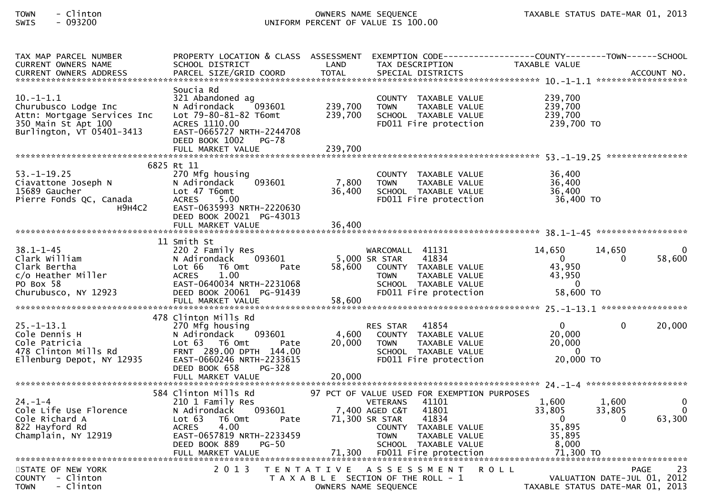| TAX MAP PARCEL NUMBER<br>CURRENT OWNERS NAME<br>. CURRENT OWNERS ADDRESS PARCEL SIZE/GRID COORD TOTAL SPECIAL DISTRICTS ACCOUNT NO ACCOUNT NO AND MANUSCRIPT OWNERS ADDRESS | PROPERTY LOCATION & CLASS ASSESSMENT<br>SCHOOL DISTRICT                                                                                                                                              | LAND                          | EXEMPTION CODE------------------COUNTY--------TOWN------SCHOOL<br>TAX DESCRIPTION                                                                                                                                                      | TAXABLE VALUE                                                                     |                                     |
|-----------------------------------------------------------------------------------------------------------------------------------------------------------------------------|------------------------------------------------------------------------------------------------------------------------------------------------------------------------------------------------------|-------------------------------|----------------------------------------------------------------------------------------------------------------------------------------------------------------------------------------------------------------------------------------|-----------------------------------------------------------------------------------|-------------------------------------|
| $10.-1-1.1$<br>Churubusco Lodge Inc<br>Attn: Mortgage Services Inc<br>350 Main St Apt 100<br>Burlington, VT 05401-3413                                                      | Soucia Rd<br>321 Abandoned ag<br>093601<br>N Adirondack<br>Lot 79-80-81-82 T6omt<br>ACRES 1110.00<br>EAST-0665727 NRTH-2244708<br>DEED BOOK 1002<br>PG-78<br>FULL MARKET VALUE                       | 239,700<br>239,700<br>239,700 | COUNTY TAXABLE VALUE<br><b>TOWN</b><br>TAXABLE VALUE<br>SCHOOL TAXABLE VALUE<br>FD011 Fire protection                                                                                                                                  | 239,700<br>239,700<br>239,700<br>239,700 TO                                       |                                     |
|                                                                                                                                                                             | 6825 Rt 11                                                                                                                                                                                           |                               |                                                                                                                                                                                                                                        |                                                                                   |                                     |
| $53. - 1 - 19.25$<br>Ciavattone Joseph N<br>15689 Gaucher<br>Pierre Fonds QC, Canada<br>H9H4C2                                                                              | 270 Mfg housing<br>093601<br>N Adirondack<br>Lot 47 T6omt<br><b>ACRES</b><br>5.00<br>EAST-0635993 NRTH-2220630<br>DEED BOOK 20021 PG-43013<br>FULL MARKET VALUE                                      | 7,800<br>36,400<br>36,400     | COUNTY TAXABLE VALUE<br><b>TOWN</b><br>TAXABLE VALUE<br>SCHOOL TAXABLE VALUE<br>FD011 Fire protection                                                                                                                                  | 36,400<br>36,400<br>36,400<br>36,400 TO                                           |                                     |
|                                                                                                                                                                             |                                                                                                                                                                                                      |                               |                                                                                                                                                                                                                                        |                                                                                   |                                     |
| $38.1 - 1 - 45$<br>Clark William<br>Clark Bertha<br>c/o Heather Miller<br>PO Box 58<br>Churubusco, NY 12923                                                                 | 11 Smith St<br>220 2 Family Res<br>N Adirondack<br>093601<br>Lot 66<br>T6 Omt<br>Pate<br>1.00<br><b>ACRES</b><br>EAST-0640034 NRTH-2231068<br>DEED BOOK 20061 PG-91439                               | 58,600                        | WARCOMALL 41131<br>5,000 SR STAR<br>41834<br>COUNTY TAXABLE VALUE<br>TAXABLE VALUE<br>TOWN<br>SCHOOL TAXABLE VALUE<br>FD011 Fire protection                                                                                            | 14,650<br>14,650<br>$\Omega$<br>43,950<br>43,950<br>$\overline{0}$<br>58,600 TO   | 58,600<br>0                         |
|                                                                                                                                                                             | 478 Clinton Mills Rd                                                                                                                                                                                 |                               |                                                                                                                                                                                                                                        |                                                                                   |                                     |
| $25. - 1 - 13.1$<br>Cole Dennis H<br>Cole Patricia<br>478 Clinton Mills Rd<br>Ellenburg Depot, NY 12935                                                                     | 270 Mfg housing<br>093601<br>N Adirondack<br>Lot 63 T6 Omt<br>Pate<br>FRNT 289.00 DPTH 144.00<br>EAST-0660246 NRTH-2233615<br>DEED BOOK 658<br>PG-328                                                | 4,600<br>20,000               | RES STAR 41854<br>COUNTY TAXABLE VALUE<br><b>TOWN</b><br>TAXABLE VALUE<br>SCHOOL TAXABLE VALUE<br>FD011 Fire protection                                                                                                                | $\mathbf{0}$<br>20,000<br>20,000<br>$\Omega$<br>20,000 TO                         | 20,000<br>$\mathbf{0}$              |
|                                                                                                                                                                             | FULL MARKET VALUE                                                                                                                                                                                    | 20,000                        |                                                                                                                                                                                                                                        |                                                                                   |                                     |
| $24. - 1 - 4$<br>Cole Life Use Florence<br>Cole Richard A<br>822 Hayford Rd<br>Champlain, NY 12919                                                                          | 584 Clinton Mills Rd<br>210 1 Family Res<br>093601<br>N Adirondack<br>Lot 63<br>T6 Omt<br>Pate<br><b>ACRES</b><br>4.00<br>EAST-0657819 NRTH-2233459<br>DEED BOOK 889<br>$PG-50$<br>FULL MARKET VALUE | 71,300                        | 97 PCT OF VALUE USED FOR EXEMPTION PURPOSES<br><b>VETERANS</b><br>41101<br>41801<br>7,400 AGED C&T<br>41834<br>71,300 SR STAR<br>COUNTY TAXABLE VALUE<br><b>TOWN</b><br>TAXABLE VALUE<br>SCHOOL TAXABLE VALUE<br>FD011 Fire protection | 1,600<br>1,600<br>33,805<br>33,805<br>0<br>35,895<br>35,895<br>8,000<br>71,300 TO | 0<br>$\Omega$<br>63,300<br>$\Omega$ |
| STATE OF NEW YORK<br>COUNTY - Clinton<br>- Clinton<br><b>TOWN</b>                                                                                                           | 2 0 1 3                                                                                                                                                                                              | T E N T A T I V E             | A S S E S S M E N T<br>R O L L<br>T A X A B L E SECTION OF THE ROLL - 1<br>OWNERS NAME SEQUENCE                                                                                                                                        | VALUATION DATE-JUL 01, 2012<br>TAXABLE STATUS DATE-MAR 01, 2013                   | 23<br><b>PAGE</b>                   |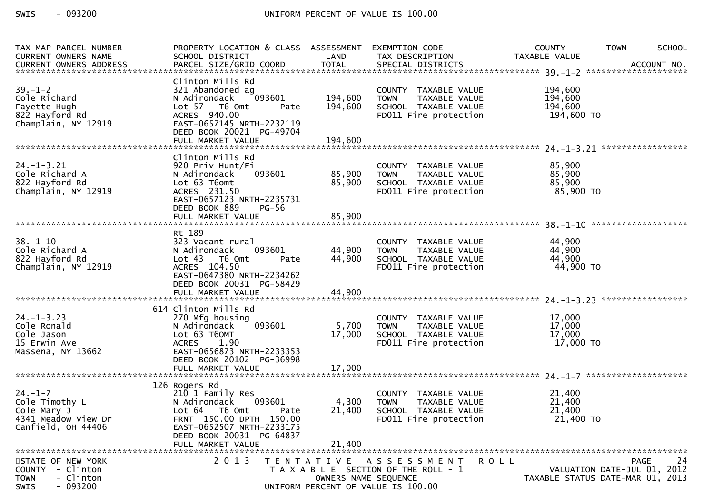$-093200$ SWIS

| TAX MAP PARCEL NUMBER                                                                  | PROPERTY LOCATION & CLASS ASSESSMENT                                                                                                                                                          |                                           |                                                                                                                                                      |                                                                                                           |
|----------------------------------------------------------------------------------------|-----------------------------------------------------------------------------------------------------------------------------------------------------------------------------------------------|-------------------------------------------|------------------------------------------------------------------------------------------------------------------------------------------------------|-----------------------------------------------------------------------------------------------------------|
| CURRENT OWNERS NAME                                                                    | SCHOOL DISTRICT                                                                                                                                                                               | LAND                                      | TAX DESCRIPTION                                                                                                                                      | TAXABLE VALUE<br>CURRENT OWNERS ADDRESS PARCEL SIZE/GRID COORD TOTAL SPECIAL DISTRICTS (2011) ACCOUNT NO. |
|                                                                                        |                                                                                                                                                                                               |                                           |                                                                                                                                                      |                                                                                                           |
| $39. - 1 - 2$<br>Cole Richard<br>Fayette Hugh<br>822 Hayford Rd<br>Champlain, NY 12919 | Clinton Mills Rd<br>321 Abandoned ag<br>093601<br>N Adirondack<br>Lot 57 T6 Omt<br>Pate<br>ACRES 940.00<br>EAST-0657145 NRTH-2232119<br>DEED BOOK 20021 PG-49704                              | 194,600<br>194,600                        | COUNTY TAXABLE VALUE<br>TAXABLE VALUE<br><b>TOWN</b><br>SCHOOL TAXABLE VALUE<br>FD011 Fire protection                                                | 194,600<br>194,600<br>194,600<br>194,600 то                                                               |
|                                                                                        |                                                                                                                                                                                               |                                           |                                                                                                                                                      |                                                                                                           |
| $24. - 1 - 3.21$<br>Cole Richard A<br>822 Hayford Rd<br>Champlain, NY 12919            | Clinton Mills Rd<br>920 Priv Hunt/Fi<br>N Adirondack<br>Lot 63 T6omt<br>ACRES 231.50<br>EAST-0657123 NRTH-2235731<br>DEED BOOK 889<br>PG-56                                                   |                                           | T<br>COUNTY TAXABLE VALUE 85,900<br>093601 85,900 TOWN TAXABLE VALUE 85,900<br>85,900 SCHOOL TAXABLE VALUE 85,900<br>FDO11 Fire protection 85,900 TO |                                                                                                           |
|                                                                                        |                                                                                                                                                                                               |                                           |                                                                                                                                                      |                                                                                                           |
| $38. - 1 - 10$<br>Cole Richard A<br>822 Hayford Rd<br>Champlain, NY 12919              | Rt 189<br>323 Vacant rural<br>093601<br>N Adirondack<br>Lot 43 T6 Omt<br>Pate<br>ACRES 104.50<br>EAST-0647380 NRTH-2234262<br>DEED BOOK 20031 PG-58429                                        | 44,900 TOWN<br>44,900                     | COUNTY TAXABLE VALUE<br>TOWN      TAXABLE VALUE<br>SCHOOL TAXABLE VALUE<br>FD011 Fire protection                                                     | 44,900<br>44,900<br>44,900<br>44,900 TO                                                                   |
|                                                                                        |                                                                                                                                                                                               |                                           |                                                                                                                                                      |                                                                                                           |
| $24. - 1 - 3.23$<br>Cole Ronald<br>Cole Jason<br>15 Erwin Ave<br>Massena, NY 13662     | 614 Clinton Mills Rd<br>270 Mfg housing<br>093601<br>N Adirondack<br>Lot 63 T6OMT<br><b>ACRES</b><br>1.90<br>EAST-0656873 NRTH-2233353<br>DEED BOOK 20102 PG-36998                            | 5,700<br>17,000                           | COUNTY TAXABLE VALUE<br>TAXABLE VALUE<br><b>TOWN</b><br>SCHOOL TAXABLE VALUE<br>FDO11 Fire protection                                                | 17,000<br>17,000<br>$\frac{1}{17,000}$ to                                                                 |
|                                                                                        |                                                                                                                                                                                               |                                           |                                                                                                                                                      |                                                                                                           |
| 24.-1-7<br>Cole Timothy L<br>cole Mary J<br>4341 Meadow View Dr<br>Canfield, OH 44406  | 126 Rogers Rd<br>210 1 Family Res<br>N Adirondack<br>093601<br>Lot 64 T6 Omt<br>Pate<br>FRNT 150.00 DPTH 150.00<br>EAST-0652507 NRTH-2233175<br>DEED BOOK 20031 PG-64837<br>FULL MARKET VALUE | 4,300<br>21,400<br>21,400                 | COUNTY TAXABLE VALUE<br>TAXABLE VALUE<br>TOWN<br>SCHOOL TAXABLE VALUE<br>FD011 Fire protection                                                       | 21,400<br>21,400<br>21,400<br>21,400 TO                                                                   |
| STATE OF NEW YORK<br>COUNTY - Clinton<br>- Clinton<br><b>TOWN</b><br>$-093200$<br>SWIS | 2 0 1 3                                                                                                                                                                                       | T E N T A T I V E<br>OWNERS NAME SEQUENCE | A S S E S S M E N T<br>T A X A B L E SECTION OF THE ROLL - 1<br>UNIFORM PERCENT OF VALUE IS 100.00                                                   | 24<br>R O L L<br><b>PAGE</b><br>VALUATION DATE-JUL 01, 2012<br>TAXABLE STATUS DATE-MAR 01, 2013           |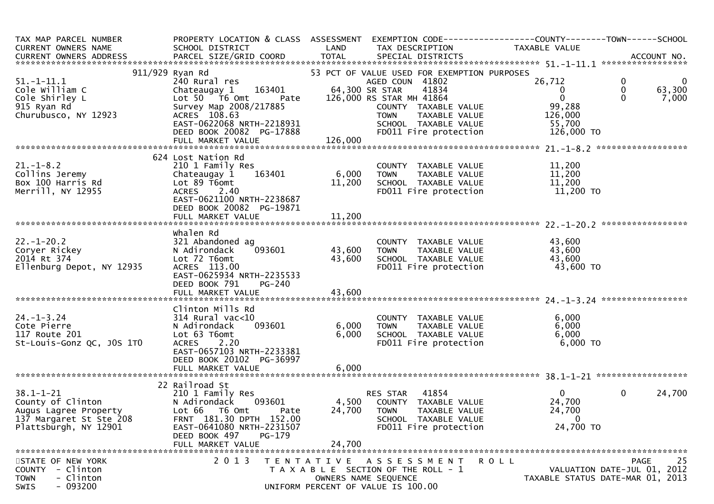| TAX MAP PARCEL NUMBER<br>CURRENT OWNERS NAME<br>CURRENT OWNERS ADDRESS                                                                                                                                                                                                                                                                        | PROPERTY LOCATION & CLASS ASSESSMENT EXEMPTION CODE----------------COUNTY-------TOWN------SCHOOL<br>SCHOOL DISTRICT                                                                                                                                                                                                                        |                                           | LAND TAX DESCRIPTION                                                                                                                                                                                                                                            | TAXABLE VALUE                                                                  |                                           |                                |
|-----------------------------------------------------------------------------------------------------------------------------------------------------------------------------------------------------------------------------------------------------------------------------------------------------------------------------------------------|--------------------------------------------------------------------------------------------------------------------------------------------------------------------------------------------------------------------------------------------------------------------------------------------------------------------------------------------|-------------------------------------------|-----------------------------------------------------------------------------------------------------------------------------------------------------------------------------------------------------------------------------------------------------------------|--------------------------------------------------------------------------------|-------------------------------------------|--------------------------------|
| 51.-1-11.1<br>51.-1-11.1<br>Cole William C<br>Cole Shirley L<br>915 Ryan Rd<br>Churubusco, NY 12923<br>Churubusco, NY 12923 (ACRES 108.63<br>EAST-0622068 NRTH-2218931 (DEED BOOK 20082 PG-17888 (Deep and FOUL TAXABLE VALUE<br>DEED BOOK 20082 PG-17888 (Deep and FOUL Fire protection FULL MARKET VALUE<br>FULL MARKET VALUE 126,000 (DEED | Ryan Rd<br>Part of VALUE USED FOR EXEMPTION PURPOSES<br>240 Rural res<br>Chateaugay 1 163401 64,300 SR STAR 41834<br>Lot 50 T6 Omt Pate 126,000 RS STAR M 41834<br>Lot 50 T6 Omt Pate 126,000 RS STAR M 41864<br>911/929 Ryan Rd<br>Survey Map 2008/217885<br>ACRES 108.63                                                                 |                                           | COUNTY TAXABLE VALUE<br>TOWN TAXABLE VALUE<br>SCHOOL TAXABLE VALUE 126,000<br>SCHOOL TAXABLE VALUE 55,700<br>FD011 Fire protection 126,000 TO                                                                                                                   | 26,712<br>$\mathbf{0}$<br>$\overline{0}$                                       | $\mathbf 0$<br>$\overline{0}$<br>$\Omega$ | $\mathbf 0$<br>63,300<br>7,000 |
| $21. - 1 - 8.2$<br>collins Jeremy<br>Box 100 Harris Rd<br>200 Harris Rd<br>Merrill, NY 12955                                                                                                                                                                                                                                                  | 624 Lost Nation Rd<br>Lot 89 T6omt<br>ACRES 2.40<br>EAST-0621100 NRTH-2238687<br>DEED BOOK 20082 PG-19871                                                                                                                                                                                                                                  |                                           | COUNTY TAXABLE VALUE $\begin{array}{ccc} 6,000 & \text{TOWN} & \text{TAXABLE VALUE} & 11,200 \\ 11,200 & \text{SCHOOL TAXABLE VALUE} & 11,200 \\ 11,200 & \text{SCHOOL TAXABLE VALUE} & 11,200 \\ \text{FD011 Fire protection} & 11,200 \text{ TO} \end{array}$ |                                                                                |                                           |                                |
| --.----20.2<br>Coryer Rickey<br>2014 Rt 374<br>Ellenburg Depot, NY 12935 ,                                                                                                                                                                                                                                                                    | Whalen Rd<br>321 Abandoned ag<br>093601<br>N Adirondack<br>Lot 72 T6omt<br>ACRES 113.00<br>EAST-0625934 NRTH-2235533<br>DEED BOOK 791<br><b>PG-240</b>                                                                                                                                                                                     | 43,600 TOWN<br>43,600                     | COUNTY TAXABLE VALUE 43,600<br>TOWN TAXABLE VALUE 43,600<br>SCHOOL TAXABLE VALUE 43,600<br>FDO11 Fire protection 43,600                                                                                                                                         | 43,600 TO                                                                      |                                           |                                |
| 24.-1-3.24<br>Cote Pierre<br>Cote Pierre<br>117 Route 201<br>St-Louis-Gonz QC, JOS 1TO                                                                                                                                                                                                                                                        | Clinton Mills Rd<br>ال السياسي العربي العربي المسيني بن المسيني بن المسيح المسيح المسيح المسيح المسيح المسيح المسيح المس<br>101 لم يستحد المسيح المسيح المسيح المسيح المسيح<br>101 لم يستحد المسيح المسيح المسيح المسيح المسيح المسيح المسيح المسيح<br>Lot 63 T6omt<br>ACRES 2.20<br>EAST-0657103 NRTH-2233381<br>DEED BOOK 20102 PG-36997 | 6,000                                     | COUNTY TAXABLE VALUE $\begin{array}{ccc} 6,000 \ \text{TOWN} & \text{TAXABLE VALUE} & 6,000 \ \text{SCHOOL} & \text{TAXABLE VALUE} & 6,000 \ \text{FD011 Fire protection} & 6,000 \end{array}$<br>6,000 TOWN                                                    |                                                                                |                                           |                                |
| 38.1-1-21<br>County of Clinton<br>Augus Lagree Property<br>137 Margaret St Ste 208<br>Plattsburgh, NY 12901                                                                                                                                                                                                                                   | 22 Railroad St<br>210 1 Family Res<br>N Adirondack<br>Lot 66 T6 Omt<br>Pate<br>FRNT 181.30 DPTH 152.00<br>EAST-0641080 NRTH-2231507<br>DEED BOOK 497<br>PG-179<br>FULL MARKET VALUE                                                                                                                                                        | 24,700                                    | RES STAR 41854<br>093601 4,500 COUNTY TAXABLE VALUE<br>24,700 TOWN<br>TAXABLE VALUE<br>SCHOOL TAXABLE VALUE<br>FD011 Fire protection                                                                                                                            | $0 \qquad \qquad$<br>24,700<br>24,700<br>$\mathbf 0$<br>24,700 TO              | $\mathbf{0}$                              | 24,700                         |
| STATE OF NEW YORK<br>COUNTY - Clinton<br>- Clinton<br><b>TOWN</b><br>$-093200$<br>SWIS                                                                                                                                                                                                                                                        | 2 0 1 3                                                                                                                                                                                                                                                                                                                                    | T E N T A T I V E<br>OWNERS NAME SEQUENCE | A S S E S S M E N T<br>T A X A B L E SECTION OF THE ROLL - 1<br>UNIFORM PERCENT OF VALUE IS 100.00                                                                                                                                                              | <b>ROLL</b><br>VALUATION DATE-JUL 01, 2012<br>TAXABLE STATUS DATE-MAR 01, 2013 |                                           | 25<br><b>PAGE</b>              |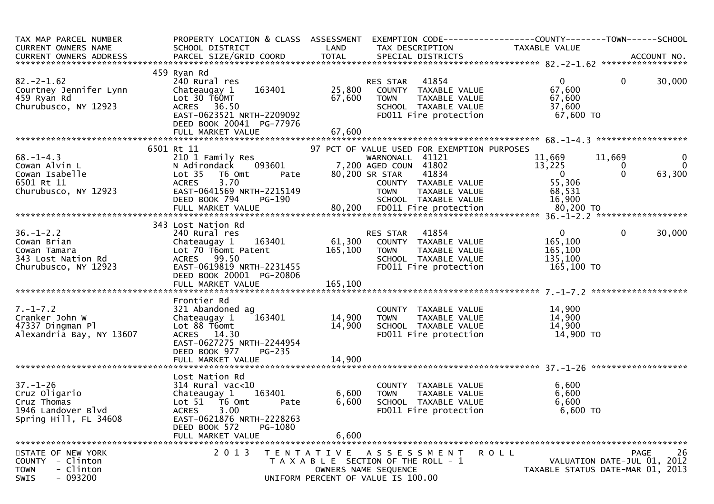| TAX MAP PARCEL NUMBER PROPERTY LOCATION & CLASS ASSESSMENT EXEMPTION CODE---------------COUNTY-------TOWN-----SCHOOL<br>CURRENT OWNERS NAME SCHOOL DISTRICT LAND TAX DESCRIPTION TAXABLE VALUE<br>CURRENT OWNERS ADDRESS PARCEL SIZE      |                                                                                                                                                         |                   |                                                                                                                             |                                              |                                  |
|-------------------------------------------------------------------------------------------------------------------------------------------------------------------------------------------------------------------------------------------|---------------------------------------------------------------------------------------------------------------------------------------------------------|-------------------|-----------------------------------------------------------------------------------------------------------------------------|----------------------------------------------|----------------------------------|
|                                                                                                                                                                                                                                           |                                                                                                                                                         |                   |                                                                                                                             |                                              |                                  |
|                                                                                                                                                                                                                                           | 459 Ryan Rd                                                                                                                                             |                   |                                                                                                                             |                                              |                                  |
| $82. -2 - 1.62$<br>Courtney Jennifer Lynn<br>459 Ryan Rd<br>Churubusco, NY 12923                                                                                                                                                          | 240 Rural res<br>163401<br>Chateaugay 1<br>Chateauguy 1<br>Lot 30 T60MT 67,600<br>ACRES 36.50<br>EAST-0623521 NRTH-2209092<br>EAST-0623521 NRTH-2209092 |                   | RES STAR 41854<br>25,800 COUNTY TAXABLE VALUE<br>67,600 TOWN TAXABLE VALUE<br>SCHOOL TAXABLE VALUE<br>FD011 Fire protection | 0<br>67,600<br>67,600<br>37,600<br>67,600 TO | $\mathbf{0}$<br>30,000           |
|                                                                                                                                                                                                                                           |                                                                                                                                                         |                   |                                                                                                                             |                                              |                                  |
|                                                                                                                                                                                                                                           |                                                                                                                                                         |                   |                                                                                                                             |                                              |                                  |
|                                                                                                                                                                                                                                           | 6501 Rt 11                                                                                                                                              |                   | 97 PCT OF VALUE USED FOR EXEMPTION PURPOSES                                                                                 |                                              |                                  |
| 68.-1-4.3<br>Cowan Alvin L<br>Cowan Isabelle<br>6501 Rt 11<br>Churubusco, NY 12923                                                                                                                                                        |                                                                                                                                                         |                   |                                                                                                                             |                                              |                                  |
|                                                                                                                                                                                                                                           |                                                                                                                                                         |                   |                                                                                                                             |                                              |                                  |
|                                                                                                                                                                                                                                           |                                                                                                                                                         |                   |                                                                                                                             |                                              |                                  |
|                                                                                                                                                                                                                                           |                                                                                                                                                         |                   |                                                                                                                             |                                              |                                  |
|                                                                                                                                                                                                                                           |                                                                                                                                                         |                   |                                                                                                                             |                                              |                                  |
|                                                                                                                                                                                                                                           |                                                                                                                                                         |                   |                                                                                                                             |                                              |                                  |
|                                                                                                                                                                                                                                           |                                                                                                                                                         |                   |                                                                                                                             |                                              |                                  |
| 41121 1,669 11,669 0<br>Cowan Alvin L anily Res (1,669 0 11,669 0 0<br>Cowan Isabelle Lot 35 T6 Omt Pate 80,200 SR STAR 41834 0 0 63,300<br>Cowan Isabelle Lot 35 T6 Omt Pate 80,200 SR STAR 41834 0 0 63,300<br>COUNTY TAXABLE VALUE     |                                                                                                                                                         |                   |                                                                                                                             |                                              |                                  |
|                                                                                                                                                                                                                                           |                                                                                                                                                         |                   |                                                                                                                             |                                              |                                  |
|                                                                                                                                                                                                                                           |                                                                                                                                                         |                   |                                                                                                                             | $\mathbf{0}$                                 | $\overline{0}$<br>30,000         |
|                                                                                                                                                                                                                                           |                                                                                                                                                         |                   |                                                                                                                             | 165,100                                      |                                  |
|                                                                                                                                                                                                                                           |                                                                                                                                                         |                   |                                                                                                                             | 165,100                                      |                                  |
|                                                                                                                                                                                                                                           |                                                                                                                                                         |                   |                                                                                                                             | 135,100                                      |                                  |
| 343 Lost Nation Rd 36.-1-2.2<br>Cowan Brian<br>Cowan Tamara<br>240 Rural res 240 Rural res 240 Rural res 240 Rural res 261,300 COUNTY TAXABLE VALUE<br>Coman Tamara<br>243 Lost Nation Rd 26.100 TOWN TAXABLE VALUE<br>343 Lost Nation Rd | DEED BOOK 20001 PG-20806                                                                                                                                |                   | FD011 Fire protection                                                                                                       | 165,100 TO                                   |                                  |
|                                                                                                                                                                                                                                           |                                                                                                                                                         |                   |                                                                                                                             |                                              |                                  |
|                                                                                                                                                                                                                                           | Frontier Rd                                                                                                                                             |                   |                                                                                                                             |                                              |                                  |
| $7. - 1 - 7.2$                                                                                                                                                                                                                            | 321 Abandoned ag                                                                                                                                        |                   |                                                                                                                             |                                              |                                  |
| Cranker John W                                                                                                                                                                                                                            | Chateaugay 1                                                                                                                                            |                   | 9<br>163401 14,900 TOWN TAXABLE VALUE 14,900<br>14,900 SCHOOL TAXABLE VALUE 14,900<br>FDO11 Fire protection 14,900 TO       |                                              |                                  |
| 47337 Dingman Pl                                                                                                                                                                                                                          | Lot 88 T6omt                                                                                                                                            |                   |                                                                                                                             |                                              |                                  |
| Alexandria Bay, NY 13607                                                                                                                                                                                                                  | ACRES 14.30                                                                                                                                             |                   |                                                                                                                             |                                              |                                  |
|                                                                                                                                                                                                                                           | EAST-0627275 NRTH-2244954                                                                                                                               |                   |                                                                                                                             |                                              |                                  |
|                                                                                                                                                                                                                                           | DEED BOOK 977<br>$PG-235$                                                                                                                               |                   |                                                                                                                             |                                              |                                  |
|                                                                                                                                                                                                                                           |                                                                                                                                                         |                   |                                                                                                                             |                                              |                                  |
|                                                                                                                                                                                                                                           |                                                                                                                                                         |                   |                                                                                                                             |                                              |                                  |
|                                                                                                                                                                                                                                           | Lost Nation Rd                                                                                                                                          |                   |                                                                                                                             |                                              |                                  |
|                                                                                                                                                                                                                                           | $314$ Rural vac<10                                                                                                                                      |                   | COUNTY TAXABLE VALUE                                                                                                        | 6,600                                        |                                  |
| <sup>(*****</sup> ***)<br>37.-1-26<br>Cruz Oligario<br>- Thomas                                                                                                                                                                           | Chateaugay 1 163401                                                                                                                                     | 6,600             | TAXABLE VALUE<br>TAXABLE VALUE<br>TAXABLE VALUE<br>ire protection<br><b>TOWN</b>                                            | 6,600                                        |                                  |
|                                                                                                                                                                                                                                           | Lot 51 76 0mt<br>Pate                                                                                                                                   | 6,600             | SCHOOL TAXABLE VALUE                                                                                                        | 6,600                                        |                                  |
| 1946 Landover Blvd                                                                                                                                                                                                                        | <b>ACRES</b><br>3.00                                                                                                                                    |                   | FD011 Fire protection                                                                                                       | 6,600 TO                                     |                                  |
| Spring Hill, FL 34608                                                                                                                                                                                                                     | EAST-0621876 NRTH-2228263                                                                                                                               |                   |                                                                                                                             |                                              |                                  |
|                                                                                                                                                                                                                                           | PG-1080<br>DEED BOOK 572                                                                                                                                |                   |                                                                                                                             |                                              |                                  |
|                                                                                                                                                                                                                                           | FULL MARKET VALUE                                                                                                                                       | 6,600             |                                                                                                                             |                                              |                                  |
|                                                                                                                                                                                                                                           |                                                                                                                                                         |                   |                                                                                                                             |                                              |                                  |
| STATE OF NEW YORK                                                                                                                                                                                                                         | 2 0 1 3                                                                                                                                                 | T E N T A T I V E | A S S E S S M E N T                                                                                                         | <b>ROLL</b>                                  | 26<br>PAGE                       |
| COUNTY - Clinton                                                                                                                                                                                                                          |                                                                                                                                                         |                   | T A X A B L E SECTION OF THE ROLL - 1                                                                                       |                                              | VALUATION DATE-JUL 01, 2012      |
| - Clinton<br><b>TOWN</b><br>$-093200$                                                                                                                                                                                                     |                                                                                                                                                         |                   | OWNERS NAME SEQUENCE<br>UNIFORM PERCENT OF VALUE IS 100.00                                                                  |                                              | TAXABLE STATUS DATE-MAR 01, 2013 |
| SWIS                                                                                                                                                                                                                                      |                                                                                                                                                         |                   |                                                                                                                             |                                              |                                  |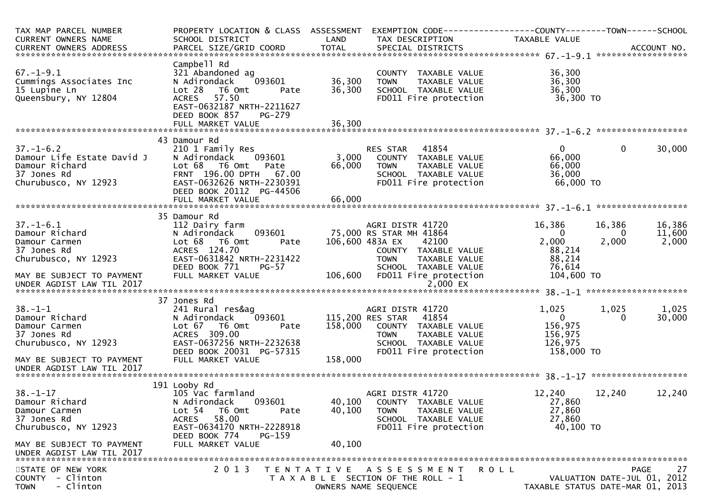| TAX MAP PARCEL NUMBER<br><b>CURRENT OWNERS NAME</b><br>CURRENT OWNERS ADDRESS                                                                             | PROPERTY LOCATION & CLASS ASSESSMENT<br>SCHOOL DISTRICT<br>PARCEL SIZE/GRID COORD                                                                                                                                                                  | LAND<br><b>TOTAL</b>       | EXEMPTION CODE-----------------COUNTY-------TOWN------SCHOOL<br>TAX DESCRIPTION<br>SPECIAL DISTRICTS                                                                                                                              | TAXABLE VALUE                                                                                        |                                           | ACCOUNT NO.                                  |
|-----------------------------------------------------------------------------------------------------------------------------------------------------------|----------------------------------------------------------------------------------------------------------------------------------------------------------------------------------------------------------------------------------------------------|----------------------------|-----------------------------------------------------------------------------------------------------------------------------------------------------------------------------------------------------------------------------------|------------------------------------------------------------------------------------------------------|-------------------------------------------|----------------------------------------------|
| $67. - 1 - 9.1$<br>Cummings Associates Inc<br>15 Lupine Ln<br>Queensbury, NY 12804                                                                        | Campbell Rd<br>321 Abandoned ag<br>093601<br>N Adirondack<br>Lot 28<br>T6 Omt<br>Pate<br>57.50<br><b>ACRES</b><br>EAST-0632187 NRTH-2211627<br>DEED BOOK 857<br>PG-279<br>FULL MARKET VALUE                                                        | 36,300<br>36,300<br>36,300 | COUNTY TAXABLE VALUE<br><b>TOWN</b><br>TAXABLE VALUE<br>SCHOOL TAXABLE VALUE<br>FD011 Fire protection                                                                                                                             | 36,300<br>36,300<br>36,300<br>36,300 TO                                                              |                                           |                                              |
|                                                                                                                                                           |                                                                                                                                                                                                                                                    |                            |                                                                                                                                                                                                                                   |                                                                                                      |                                           |                                              |
| $37. - 1 - 6.2$<br>Damour Life Estate David J<br>Damour Richard<br>37 Jones Rd<br>Churubusco, NY 12923                                                    | 43 Damour Rd<br>210 1 Family Res<br>N Adirondack<br>093601<br>Lot 68 T6 Omt<br>Pate<br>FRNT 196.00 DPTH<br>67.00<br>EAST-0632626 NRTH-2230391<br>DEED BOOK 20112 PG-44506                                                                          | 3,000<br>66,000            | RES STAR<br>41854<br>COUNTY TAXABLE VALUE<br><b>TOWN</b><br>TAXABLE VALUE<br>SCHOOL TAXABLE VALUE<br>FD011 Fire protection                                                                                                        | 0<br>66,000<br>66,000<br>36,000<br>66,000 TO                                                         | 0                                         | 30,000                                       |
|                                                                                                                                                           | FULL MARKET VALUE                                                                                                                                                                                                                                  | 66,000                     |                                                                                                                                                                                                                                   |                                                                                                      |                                           |                                              |
| $37. - 1 - 6.1$<br>Damour Richard<br>Damour Carmen<br>37 Jones Rd<br>Churubusco, NY 12923<br>MAY BE SUBJECT TO PAYMENT<br>$38. - 1 - 1$<br>Damour Richard | 35 Damour Rd<br>112 Dairy farm<br>N Adirondack<br>093601<br>Lot 68  T6 0mt<br>Pate<br>ACRES 124.70<br>EAST-0631842 NRTH-2231422<br>DEED BOOK 771<br><b>PG-57</b><br>FULL MARKET VALUE<br>37 Jones Rd<br>241 Rural res&ag<br>N Adirondack<br>093601 | 106,600                    | AGRI DISTR 41720<br>75,000 RS STAR MH 41864<br>106,600 483A EX<br>42100<br>COUNTY TAXABLE VALUE<br><b>TOWN</b><br>TAXABLE VALUE<br>SCHOOL TAXABLE VALUE<br>FD011 Fire protection<br>AGRI DISTR 41720<br>115,200 RES STAR<br>41854 | 16,386<br>$\mathbf{0}$<br>2,000<br>88,214<br>88,214<br>76,614<br>104,600 TO<br>1,025<br>$\mathbf{0}$ | 16,386<br>0<br>2,000<br>1,025<br>$\Omega$ | 16,386<br>11,600<br>2,000<br>1,025<br>30,000 |
| Damour Carmen<br>37 Jones Rd<br>Churubusco, NY 12923<br>MAY BE SUBJECT TO PAYMENT<br>UNDER AGDIST LAW TIL 2017                                            | Lot 67<br>T6 Omt<br>Pate<br>ACRES 309.00<br>EAST-0637256 NRTH-2232638<br>DEED BOOK 20031 PG-57315<br>FULL MARKET VALUE                                                                                                                             | 158,000<br>158,000         | COUNTY TAXABLE VALUE<br><b>TOWN</b><br>TAXABLE VALUE<br>SCHOOL TAXABLE VALUE<br>FD011 Fire protection                                                                                                                             | 156,975<br>156,975<br>126,975<br>158,000 TO                                                          |                                           |                                              |
|                                                                                                                                                           |                                                                                                                                                                                                                                                    |                            |                                                                                                                                                                                                                                   |                                                                                                      |                                           |                                              |
| $38. - 1 - 17$<br>Damour Richard<br>Damour Carmen<br>37 Jones Rd<br>Churubusco, NY 12923                                                                  | 191 Looby Rd<br>105 Vac farmland<br>N Adirondack<br>093601<br>Lot 54<br>T6 Omt<br>Pate<br>58.00<br><b>ACRES</b><br>EAST-0634170 NRTH-2228918<br>DEED BOOK 774<br>PG-159                                                                            | 40,100<br>40,100           | AGRI DISTR 41720<br>COUNTY TAXABLE VALUE<br>TAXABLE VALUE<br><b>TOWN</b><br>SCHOOL TAXABLE VALUE<br>FD011 Fire protection                                                                                                         | 12,240<br>27,860<br>27,860<br>27,860<br>40,100 TO                                                    | 12,240                                    | 12,240                                       |
| MAY BE SUBJECT TO PAYMENT<br>UNDER AGDIST LAW TIL 2017                                                                                                    | FULL MARKET VALUE                                                                                                                                                                                                                                  | 40,100                     |                                                                                                                                                                                                                                   |                                                                                                      |                                           |                                              |
| STATE OF NEW YORK<br>- Clinton<br><b>COUNTY</b><br>- Clinton<br><b>TOWN</b>                                                                               | 2 0 1 3                                                                                                                                                                                                                                            |                            | TENTATIVE ASSESSMENT<br>R O L L<br>T A X A B L E SECTION OF THE ROLL - 1<br>OWNERS NAME SEQUENCE                                                                                                                                  | TAXABLE STATUS DATE-MAR 01, 2013                                                                     |                                           | 27<br>PAGE<br>VALUATION DATE-JUL 01, 2012    |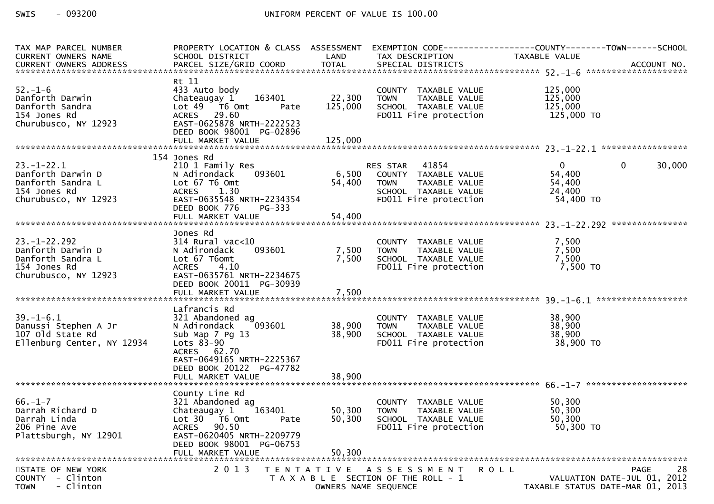| TAX MAP PARCEL NUMBER      | PROPERTY LOCATION & CLASS ASSESSMENT |                      |                                                                         | EXEMPTION CODE------------------COUNTY--------TOWN------SCHOOL |
|----------------------------|--------------------------------------|----------------------|-------------------------------------------------------------------------|----------------------------------------------------------------|
| CURRENT OWNERS NAME        | SCHOOL DISTRICT                      | LAND                 | TAX DESCRIPTION                                                         | TAXABLE VALUE                                                  |
|                            |                                      |                      |                                                                         |                                                                |
|                            | Rt 11                                |                      |                                                                         |                                                                |
| $52. - 1 - 6$              | 433 Auto body                        |                      | COUNTY TAXABLE VALUE                                                    | 125,000                                                        |
| Danforth Darwin            | 163401<br>Chateaugay 1               | 22,300               | TAXABLE VALUE<br><b>TOWN</b>                                            | 125,000                                                        |
| Danforth Sandra            | Lot $49$ $\overline{76}$ Omt<br>Pate | 125,000              | SCHOOL TAXABLE VALUE                                                    | 125,000                                                        |
| 154 Jones Rd               | ACRES 29.60                          |                      | FD011 Fire protection                                                   | 125,000 TO                                                     |
| Churubusco, NY 12923       | EAST-0625878 NRTH-2222523            |                      |                                                                         |                                                                |
|                            | DEED BOOK 98001 PG-02896             |                      |                                                                         |                                                                |
|                            |                                      |                      |                                                                         |                                                                |
|                            |                                      |                      |                                                                         |                                                                |
|                            | 154 Jones Rd                         |                      |                                                                         |                                                                |
| $23. - 1 - 22.1$           | 210 1 Family Res                     |                      | RES STAR 41854<br>RES STAR    41854<br>6,500    COUNTY   TAXABLE  VALUE | $\overline{0}$<br>$\mathbf 0$<br>30,000                        |
| Danforth Darwin D          | 093601<br>N Adirondack               |                      |                                                                         | 54,400                                                         |
| Danforth Sandra L          | Lot 67 T6 Omt                        | 54,400               | <b>TOWN</b><br>TAXABLE VALUE                                            | 54,400                                                         |
| 154 Jones Rd               | ACRES 1.30                           |                      | TOWN TAXADLL<br>SCHOOL TAXABLE VALUE<br>Time protection                 | 24,400                                                         |
| Churubusco, NY 12923       | EAST-0635548 NRTH-2234354            |                      |                                                                         | 54,400 TO                                                      |
|                            | DEED BOOK 776<br>PG-333              |                      |                                                                         |                                                                |
|                            |                                      |                      |                                                                         |                                                                |
|                            | Jones Rd                             |                      |                                                                         |                                                                |
| $23. - 1 - 22.292$         | $314$ Rural vac<10                   |                      |                                                                         | 7,500                                                          |
| Danforth Darwin D          | 093601<br>N Adirondack               |                      | COUNTY TAXABLE VALUE<br>TOWN     TAXABLE VALUE<br>7,500 TOWN            | 7,500                                                          |
| Danforth Sandra L          | Lot 67 T6omt                         | 7,500                | SCHOOL TAXABLE VALUE                                                    | 7,500                                                          |
| 154 Jones Rd               | ACRES 4.10                           |                      | FD011 Fire protection                                                   | 7,500 TO                                                       |
| Churubusco, NY 12923       | EAST-0635761 NRTH-2234675            |                      |                                                                         |                                                                |
|                            | DEED BOOK 20011 PG-30939             |                      |                                                                         |                                                                |
|                            |                                      |                      |                                                                         |                                                                |
|                            |                                      |                      |                                                                         |                                                                |
|                            | Lafrancis Rd                         |                      |                                                                         |                                                                |
| $39. - 1 - 6.1$            | 321 Abandoned ag                     |                      | COUNTY TAXABLE VALUE                                                    | 38,900                                                         |
| Danussi Stephen A Jr       | 093601<br>N Adirondack               | 38,900               | TOWN TAXABLE VALUE                                                      | 38,900                                                         |
| 107 old State Rd           | Sub Map 7 Pg 13                      | 38,900               | SCHOOL TAXABLE VALUE                                                    | 38,900                                                         |
| Ellenburg Center, NY 12934 | Lots $83-90$<br>ACRES 62.70          |                      | FD011 Fire protection                                                   | 38,900 TO                                                      |
|                            | EAST-0649165 NRTH-2225367            |                      |                                                                         |                                                                |
|                            | DEED BOOK 20122 PG-47782             |                      |                                                                         |                                                                |
|                            | FULL MARKET VALUE                    | 38,900               |                                                                         |                                                                |
|                            |                                      |                      |                                                                         |                                                                |
|                            | County Line Rd                       |                      |                                                                         |                                                                |
| $66. - 1 - 7$              | 321 Abandoned ag                     |                      | COUNTY TAXABLE VALUE                                                    | 50,300                                                         |
| Darrah Richard D           | Chateaugay 1 163401                  | 50,300               | <b>TOWN</b><br>TAXABLE VALUE                                            | 50,300                                                         |
| Darrah Linda               | Lot 30 76 0mt<br>Pate                | 50,300               | SCHOOL TAXABLE VALUE                                                    | 50,300                                                         |
| 206 Pine Ave               | 90.50<br>ACRES                       |                      | FD011 Fire protection                                                   | 50,300 TO                                                      |
| Plattsburgh, NY 12901      | EAST-0620405 NRTH-2209779            |                      |                                                                         |                                                                |
|                            | DEED BOOK 98001 PG-06753             |                      |                                                                         |                                                                |
|                            | FULL MARKET VALUE                    | 50,300               |                                                                         |                                                                |
| STATE OF NEW YORK          | 2 0 1 3                              | T E N T A T I V E    | <b>ROLL</b><br>A S S E S S M E N T                                      | 28<br>PAGE                                                     |
| <b>COUNTY</b><br>- Clinton |                                      |                      | T A X A B L E SECTION OF THE ROLL - 1                                   | VALUATION DATE-JUL 01, 2012                                    |
| - Clinton<br><b>TOWN</b>   |                                      | OWNERS NAME SEQUENCE |                                                                         | TAXABLE STATUS DATE-MAR 01, 2013                               |
|                            |                                      |                      |                                                                         |                                                                |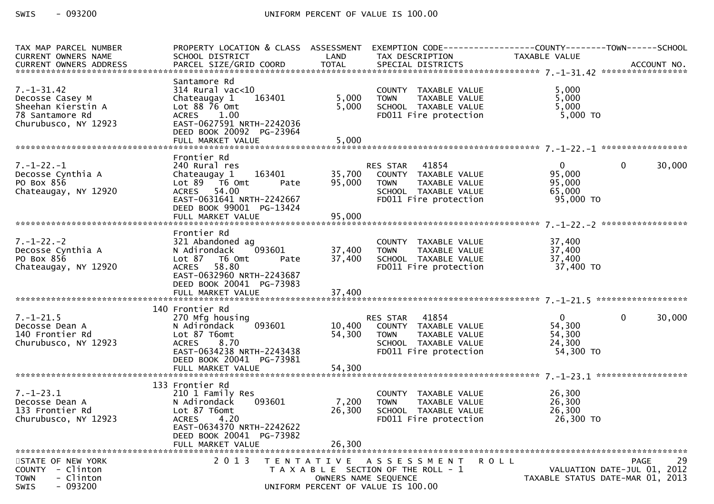$-093200$ SWIS

| TAX MAP PARCEL NUMBER    | SCHOOL DISTRICT                                       | LAND                 |                                                                        | PROPERTY LOCATION & CLASS ASSESSMENT EXEMPTION CODE----------------COUNTY-------TOWN------SCHOOL<br>TAXABLE VALUE |                   |
|--------------------------|-------------------------------------------------------|----------------------|------------------------------------------------------------------------|-------------------------------------------------------------------------------------------------------------------|-------------------|
| CURRENT OWNERS NAME      |                                                       |                      | TAX DESCRIPTION                                                        |                                                                                                                   |                   |
|                          |                                                       |                      |                                                                        |                                                                                                                   |                   |
| $7. - 1 - 31.42$         | Santamore Rd<br>$314$ Rural vac< $10$                 |                      |                                                                        | 5,000                                                                                                             |                   |
| Decosse Casey M          | 163401<br>Chateaugay 1                                | 5,000                |                                                                        | 5,000                                                                                                             |                   |
| Sheehan Kierstin A       | Lot 88 76 Omt                                         | 5,000                | COUNTY TAXABLE VALUE<br>TOWN    TAXABLE VALUE<br>SCHOOL  TAXABLE VALUE | 5,000                                                                                                             |                   |
| 78 Santamore Rd          | ACRES 1.00                                            |                      | FD011 Fire protection                                                  | 5,000 TO                                                                                                          |                   |
| Churubusco, NY 12923     | EAST-0627591 NRTH-2242036<br>DEED BOOK 20092 PG-23964 |                      |                                                                        |                                                                                                                   |                   |
|                          |                                                       |                      |                                                                        |                                                                                                                   |                   |
|                          | Frontier Rd                                           |                      |                                                                        |                                                                                                                   |                   |
| $7. - 1 - 22. - 1$       | 240 Rural res                                         |                      | <b>RES STAR 41854</b>                                                  | $\overline{0}$<br>$\mathbf{0}$                                                                                    | 30,000            |
| Decosse Cynthia A        |                                                       |                      |                                                                        | 95,000                                                                                                            |                   |
| PO Box 856               | Lot 89 T6 Omt<br>Pate                                 | 95,000               | TAXABLE VALUE<br><b>TOWN</b>                                           | 95,000                                                                                                            |                   |
| Chateaugay, NY 12920     | ACRES 54.00                                           |                      |                                                                        | 65,000                                                                                                            |                   |
|                          | EAST-0631641 NRTH-2242667                             |                      | SCHOOL TAXABLE VALUE<br>FDO11 Fire protection                          | 65,000<br>95,000 TO                                                                                               |                   |
|                          | DEED BOOK 99001 PG-13424                              |                      |                                                                        |                                                                                                                   |                   |
|                          |                                                       |                      |                                                                        |                                                                                                                   |                   |
|                          |                                                       |                      |                                                                        |                                                                                                                   |                   |
| $7. - 1 - 22. - 2$       | Frontier Rd                                           |                      |                                                                        | 37,400                                                                                                            |                   |
| Decosse Cynthia A        | 321 Abandoned ag<br>093601<br>N Adirondack            | 37,400               | COUNTY TAXABLE VALUE<br>TAXABLE VALUE                                  | 37,400                                                                                                            |                   |
| PO Box 856               |                                                       | 37,400               | <b>TOWN</b><br>SCHOOL TAXABLE VALUE                                    | 37,400                                                                                                            |                   |
| Chateaugay, NY 12920     | Lot 87 T6 Omt<br>Pate<br>ACRES 58.80                  |                      | FD011 Fire protection                                                  | 37,400 TO                                                                                                         |                   |
|                          | EAST-0632960 NRTH-2243687                             |                      |                                                                        |                                                                                                                   |                   |
|                          | DEED BOOK 20041 PG-73983                              |                      |                                                                        |                                                                                                                   |                   |
|                          |                                                       |                      |                                                                        |                                                                                                                   |                   |
|                          |                                                       |                      |                                                                        |                                                                                                                   |                   |
|                          | 140 Frontier Rd                                       |                      |                                                                        |                                                                                                                   |                   |
| $7. - 1 - 21.5$          | 270 Mfg housing                                       |                      | RES STAR 41854                                                         | $\mathbf{0}$<br>$\mathbf 0$                                                                                       | 30,000            |
| Decosse Dean A           | N Adirondack                                          |                      |                                                                        | 54,300                                                                                                            |                   |
| 140 Frontier Rd          | Lot 87 T6omt                                          | 54,300               | <b>TOWN</b><br>TAXABLE VALUE                                           | 54,300                                                                                                            |                   |
| Churubusco, NY 12923     | ACRES 8.70<br>EAST-0634238 NRTH-2243438               |                      | SCHOOL TAXABLE VALUE<br>FDO11 Fire protection                          | 24,300<br>54,300 TO                                                                                               |                   |
|                          | DEED BOOK 20041 PG-73981                              |                      |                                                                        |                                                                                                                   |                   |
|                          |                                                       |                      |                                                                        |                                                                                                                   |                   |
|                          |                                                       |                      |                                                                        |                                                                                                                   |                   |
|                          | 133 Frontier Rd                                       |                      |                                                                        |                                                                                                                   |                   |
| $7. - 1 - 23.1$          | 210 1 Family Res                                      |                      | COUNTY TAXABLE VALUE                                                   | 26,300                                                                                                            |                   |
| Decosse Dean A           | 093601<br>N Adirondack                                | 7,200                | TAXABLE VALUE<br><b>TOWN</b>                                           | 26,300                                                                                                            |                   |
| 133 Frontier Rd          | Lot 87 T6omt                                          | 26,300               | SCHOOL TAXABLE VALUE                                                   | 26,300                                                                                                            |                   |
| Churubusco, NY 12923     | <b>ACRES</b><br>4.20                                  |                      | FD011 Fire protection                                                  | 26,300 TO                                                                                                         |                   |
|                          | EAST-0634370 NRTH-2242622                             |                      |                                                                        |                                                                                                                   |                   |
|                          | DEED BOOK 20041 PG-73982<br>FULL MARKET VALUE         | 26,300               |                                                                        |                                                                                                                   |                   |
|                          |                                                       |                      |                                                                        |                                                                                                                   |                   |
| STATE OF NEW YORK        | 2013                                                  | T E N T A T I V E    | <b>ROLL</b><br>A S S E S S M E N T                                     |                                                                                                                   | 29<br><b>PAGE</b> |
| COUNTY - Clinton         |                                                       |                      | T A X A B L E SECTION OF THE ROLL - 1                                  | VALUATION DATE-JUL 01, 2012                                                                                       |                   |
| - Clinton<br><b>TOWN</b> |                                                       | OWNERS NAME SEQUENCE |                                                                        | TAXABLE STATUS DATE-MAR 01, 2013                                                                                  |                   |
| $-093200$<br>SWIS        |                                                       |                      | UNIFORM PERCENT OF VALUE IS 100.00                                     |                                                                                                                   |                   |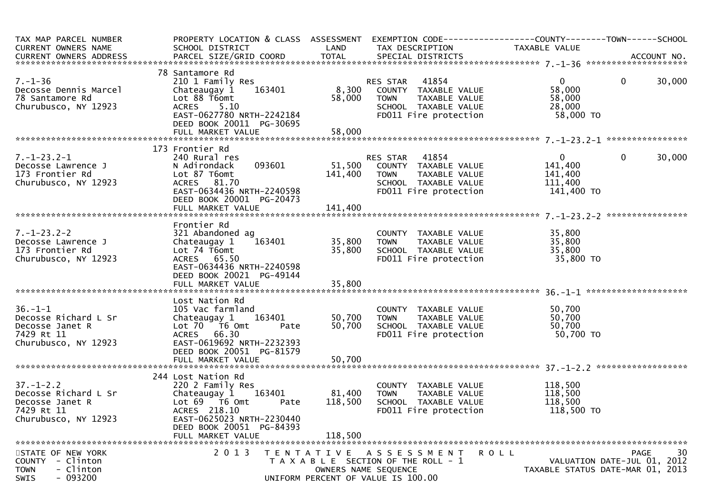| TAX MAP PARCEL NUMBER<br>CURRENT OWNERS NAME<br>CURRENT OWNERS ADDRESS                           | SCHOOL DISTRICT                                                                                                                                                 | LAND              | TAX DESCRIPTION                                                                                                               | PROPERTY LOCATION & CLASS ASSESSMENT EXEMPTION CODE----------------COUNTY-------TOWN------SCHOOL<br>TAXABLE VALUE |            |
|--------------------------------------------------------------------------------------------------|-----------------------------------------------------------------------------------------------------------------------------------------------------------------|-------------------|-------------------------------------------------------------------------------------------------------------------------------|-------------------------------------------------------------------------------------------------------------------|------------|
|                                                                                                  |                                                                                                                                                                 |                   |                                                                                                                               |                                                                                                                   |            |
| $7. - 1 - 36$<br>Decosse Dennis Marcel<br>78 Santamore Rd<br>Churubusco, NY 12923                | 78 Santamore Rd<br>210 1 Family Res<br>163401<br>Chateaugay 1<br>Lot 88 T6omt<br>ACRES<br>5.10<br>DEED BOOK 20011 PG-30695                                      | 58,000            | RES STAR 41854<br>8,300 COUNTY TAXABLE VALUE<br><b>TOWN</b><br>TAXABLE VALUE<br>SCHOOL TAXABLE VALUE<br>FD011 Fire protection | $\overline{0}$<br>$\mathbf{0}$<br>58,000<br>58,000<br>28,000<br>58,000 TO                                         | 30,000     |
|                                                                                                  |                                                                                                                                                                 |                   |                                                                                                                               |                                                                                                                   |            |
|                                                                                                  | 173 Frontier Rd                                                                                                                                                 |                   |                                                                                                                               |                                                                                                                   |            |
| $7. - 1 - 23.2 - 1$<br>Decosse Lawrence J<br>173 Frontier Rd<br>Churubusco, NY 12923             | 240 Rural res<br>093601<br>N Adirondack<br>Lot 87 T6omt<br>ACRES 81.70<br>EAST-0634436 NRTH-2240598<br>DEED BOOK 20001 PG-20473                                 | 141,400           | RES STAR 41854<br>51,500 COUNTY TAXABLE VALUE<br>TOWN TAXABLE VALUE<br>SCHOOL TAXABLE VALUE<br>FD011 Fire protection          | $\mathbf{0}$<br>$\mathbf{0}$<br>141,400<br>141,400<br>111,400<br>141,400 TO                                       | 30,000     |
|                                                                                                  | FULL MARKET VALUE                                                                                                                                               | 141,400           |                                                                                                                               |                                                                                                                   |            |
| $7. - 1 - 23.2 - 2$<br>Decosse Lawrence J<br>173 Frontier Rd                                     | Frontier Rd<br>321 Abandoned ag<br>163401<br>Chateaugay 1<br>Lot 74 T6omt                                                                                       | 35,800<br>35,800  | COUNTY TAXABLE VALUE<br><b>TOWN</b><br>TAXABLE VALUE<br>SCHOOL TAXABLE VALUE<br>FD011 Fire protection                         | 35,800<br>35,800<br>35,800<br>35,800 TO                                                                           |            |
| Churubusco, NY 12923                                                                             | ACRES 65.50<br>EAST-0634436 NRTH-2240598<br>DEED BOOK 20021 PG-49144                                                                                            |                   |                                                                                                                               |                                                                                                                   |            |
|                                                                                                  | Lost Nation Rd                                                                                                                                                  |                   |                                                                                                                               |                                                                                                                   |            |
| $36. - 1 - 1$<br>Decosse Richard L Sr<br>Decosse Janet R<br>7429 Rt 11<br>Churubusco, NY 12923   | 105 Vac farmland<br>Chateaugay 1 163401<br>Lot 70 T6 Omt<br>Pate<br>ACRES 66.30<br>EAST-0619692 NRTH-2232393<br>DEED BOOK 20051 PG-81579                        | 50,700            | COUNTY TAXABLE VALUE<br>50,700 TOWN TAXABLE VALUE<br>SCHOOL TAXABLE VALUE<br>FD011 Fire protection                            | 50,700<br>50,700<br>50,700<br>50,700 TO                                                                           |            |
|                                                                                                  | FULL MARKET VALUE                                                                                                                                               | 50,700            |                                                                                                                               |                                                                                                                   |            |
|                                                                                                  |                                                                                                                                                                 |                   |                                                                                                                               |                                                                                                                   |            |
| $37. - 1 - 2.2$<br>Decosse Richard L Sr<br>Decosse Janet R<br>7429 Rt 11<br>Churubusco, NY 12923 | 244 Lost Nation Rd<br>220 2 Family Res<br>Chateaugay 1 163401<br>Lot 69 76 0mt<br>Pate<br>ACRES 218.10<br>EAST-0625023 NRTH-2230440<br>DEED BOOK 20051 PG-84393 | 81,400<br>118,500 | COUNTY TAXABLE VALUE<br>TAXABLE VALUE<br><b>TOWN</b><br>SCHOOL TAXABLE VALUE<br>FD011 Fire protection                         | 118,500<br>118,500<br>118,500<br>118,500 TO                                                                       |            |
|                                                                                                  | FULL MARKET VALUE                                                                                                                                               | 118,500           |                                                                                                                               |                                                                                                                   |            |
| STATE OF NEW YORK<br>COUNTY - Clinton<br>- Clinton<br><b>TOWN</b><br>$-093200$<br>SWIS           | 2 0 1 3                                                                                                                                                         |                   | TENTATIVE ASSESSMENT<br>T A X A B L E SECTION OF THE ROLL - 1<br>OWNERS NAME SEQUENCE<br>UNIFORM PERCENT OF VALUE IS 100.00   | R O L L<br>VALUATION DATE-JUL 01, 2012<br>TAXABLE STATUS DATE-MAR 01, 2013                                        | 30<br>PAGE |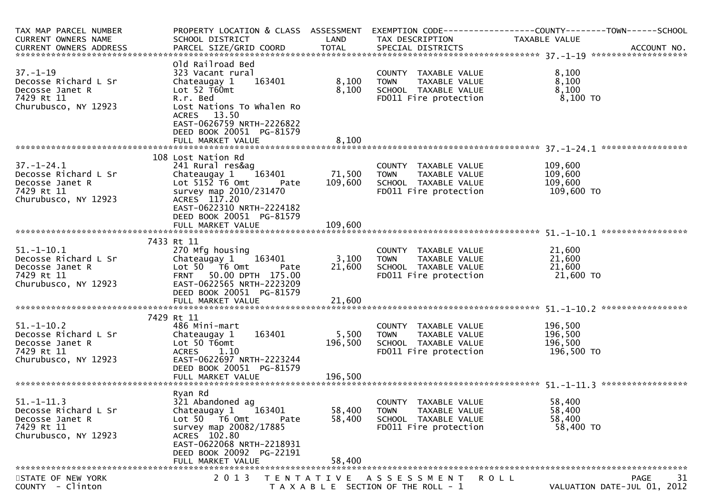| TAX MAP PARCEL NUMBER                                                                                                     |                                                                                                                                                                                                                      |                                |                                                                                                                       | PROPERTY LOCATION & CLASS ASSESSMENT EXEMPTION CODE----------------COUNTY-------TOWN------SCHOOL |
|---------------------------------------------------------------------------------------------------------------------------|----------------------------------------------------------------------------------------------------------------------------------------------------------------------------------------------------------------------|--------------------------------|-----------------------------------------------------------------------------------------------------------------------|--------------------------------------------------------------------------------------------------|
| CURRENT OWNERS NAME                                                                                                       | SCHOOL DISTRICT                                                                                                                                                                                                      | LAND                           | TAX DESCRIPTION                                                                                                       | TAXABLE VALUE                                                                                    |
|                                                                                                                           |                                                                                                                                                                                                                      |                                |                                                                                                                       | CURRENT OWNERS ADDRESS PARCEL SIZE/GRID COORD TOTAL SPECIAL DISTRICTS (2011) ACCOUNT NO.         |
| $37. - 1 - 19$<br>Decosse Richard L Sr<br>Decosse Janet R<br>7429 Rt 11<br>Churubusco, NY 12923                           | Old Railroad Bed<br>323 Vacant rural<br>163401<br>Chateaugay 1<br>Lot 52 T60mt<br>R.r. Bed<br>Lost Nations To Whalen Ro<br>ACRES 13.50<br>EAST-0626759 NRTH-2226822<br>DEED BOOK 20051 PG-81579<br>FULL MARKET VALUE | 8,100<br>8,100<br>8,100        | COUNTY TAXABLE VALUE<br><b>TOWN</b><br>TOWN       TAXABLE  VALUE<br>SCHOOL    TAXABLE  VALUE<br>FD011 Fire protection | 8,100<br>8,100<br>8,100<br>8,100 то                                                              |
|                                                                                                                           |                                                                                                                                                                                                                      |                                |                                                                                                                       |                                                                                                  |
| $37. - 1 - 24.1$<br>Decosse Richard L Sr<br>Decosse Janet R<br>7429 Rt 11<br>Churubusco, NY 12923                         | 108 Lost Nation Rd<br>241 Rural res&ag<br>Chateaugay 1 163401<br>Lot $515\overline{2}$ T6 Omt<br>Pate<br>survey map 2010/231470<br>ACRES 117.20<br>EAST-0622310 NRTH-2224182<br>DEED BOOK 20051 PG-81579             | 71,500<br>109,600              | COUNTY TAXABLE VALUE<br><b>TOWN</b><br>TAXABLE VALUE<br>SCHOOL TAXABLE VALUE<br>FD011 Fire protection                 | 109,600<br>109,600<br>109,600<br>109,600 то                                                      |
|                                                                                                                           | FULL MARKET VALUE                                                                                                                                                                                                    | 109,600                        |                                                                                                                       |                                                                                                  |
|                                                                                                                           | 7433 Rt 11                                                                                                                                                                                                           |                                |                                                                                                                       |                                                                                                  |
| $51.-1-10.1$<br>51.-1-10.1<br>Decosse Richard L Sr<br>Decosse Janet R<br>7429 Rt 11<br>7429 Rt 11<br>Churubusco, NY 12923 | 270 Mfg housing<br>Chateaugay 1 163401<br>Lot 50 T6 Omt<br>Pate<br>FRNT 50.00 DPTH 175.00<br>EAST-0622565 NRTH-2223209<br>DEED BOOK 20051 PG-81579<br>FULL MARKET VALUE                                              | 3,100 TOWN<br>21,600<br>21,600 | COUNTY TAXABLE VALUE<br>TOWN     TAXABLE VALUE<br>SCHOOL   TAXABLE VALUE<br>FD011 Fire protection                     | 21,600<br>21,600<br>21,600<br>21,600 TO                                                          |
|                                                                                                                           |                                                                                                                                                                                                                      |                                |                                                                                                                       |                                                                                                  |
| $51.-1-10.2$<br>Decosse Richard L Sr<br>Decosse Janet R<br>7429 Rt 11<br>Churubusco, NY 12923                             | 7429 Rt 11<br>486 Mini-mart<br>163401<br>Chateaugay 1<br>Lot 50 T6omt<br>ACRES 1.10<br>EAST-0622697 NRTH-2223244<br>DEED BOOK 20051 PG-81579<br>FULL MARKET VALUE                                                    | 5,500<br>196,500<br>196,500    | COUNTY TAXABLE VALUE<br>TAXABLE VALUE<br><b>TOWN</b><br>SCHOOL TAXABLE VALUE<br>FD011 Fire protection                 | 196,500<br>196,500<br>196,500<br>196,500 то                                                      |
|                                                                                                                           |                                                                                                                                                                                                                      |                                |                                                                                                                       |                                                                                                  |
| $51. - 1 - 11.3$<br>Decosse Richard L Sr<br>Decosse Janet R<br>7429 Rt 11<br>Churubusco, NY 12923                         | Ryan Rd<br>321 Abandoned ag<br>Chateaugay 1<br>163401<br>Lot 50 T6 Omt<br>Pate<br>survey map 20082/17885<br>ACRES 102.80<br>EAST-0622068 NRTH-2218931<br>DEED BOOK 20092 PG-22191<br>FULL MARKET VALUE               | 58,400<br>58,400<br>58,400     | COUNTY TAXABLE VALUE<br><b>TOWN</b><br>TAXABLE VALUE<br>SCHOOL TAXABLE VALUE<br>FD011 Fire protection                 | 58,400<br>58,400<br>58,400<br>58,400 TO                                                          |
| STATE OF NEW YORK                                                                                                         | 2 0 1 3<br>T E N T A T I V E                                                                                                                                                                                         |                                | A S S E S S M E N T                                                                                                   | 31<br><b>PAGE</b><br><b>ROLL</b>                                                                 |
| COUNTY - Clinton                                                                                                          |                                                                                                                                                                                                                      |                                | T A X A B L E SECTION OF THE ROLL - 1                                                                                 | VALUATION DATE-JUL 01, 2012                                                                      |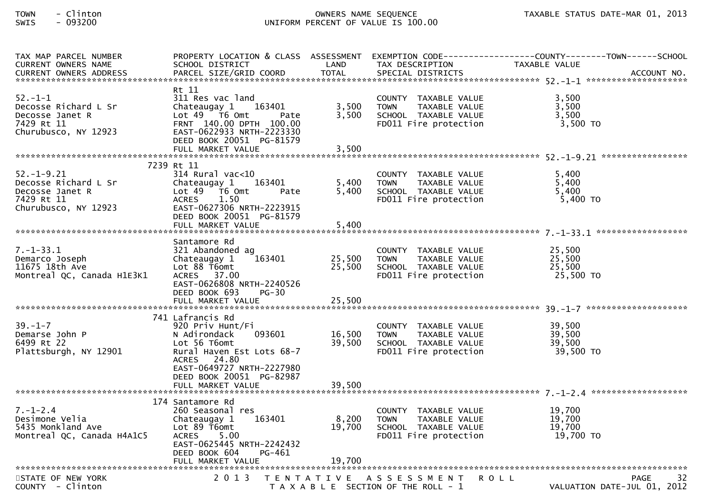| TAX MAP PARCEL NUMBER<br><b>CURRENT OWNERS NAME</b>                                                             | SCHOOL DISTRICT                                                                                                                                                                                   | LAND                    | TAX DESCRIPTION                                                                                       | PROPERTY LOCATION & CLASS ASSESSMENT EXEMPTION CODE----------------COUNTY-------TOWN------SCHOOL<br>TAXABLE VALUE |
|-----------------------------------------------------------------------------------------------------------------|---------------------------------------------------------------------------------------------------------------------------------------------------------------------------------------------------|-------------------------|-------------------------------------------------------------------------------------------------------|-------------------------------------------------------------------------------------------------------------------|
| $52 - 1 - 1$<br>Decosse Richard L Sr<br>Decosse Janet R<br>7429 Rt 11<br>Churubusco, NY 12923                   | Rt 11<br>311 Res vac land<br>Chateaugay 1 163401<br>Lot $49$ $\overline{76}$ Omt<br>Pate<br>FRNT 140.00 DPTH 100.00<br>EAST-0622933 NRTH-2223330<br>DEED BOOK 20051 PG-81579<br>FULL MARKET VALUE | 3,500<br>3,500<br>3,500 | COUNTY TAXABLE VALUE<br>TOWN     TAXABLE VALUE<br>SCHOOL TAXABLE VALUE<br>FD011 Fire protection       | 3,500<br>3,500<br>3,500<br>3,500 TO                                                                               |
|                                                                                                                 | 7239 Rt 11                                                                                                                                                                                        |                         |                                                                                                       |                                                                                                                   |
| $52. - 1 - 9.21$<br>Decosse Richard L Sr<br>Decosse Janet R<br>7429 Rt 11<br>7429 Rt 11<br>Churubusco, NY 12923 | 314 Rural vac<10<br>Chateaugay 1 163401<br>Lot $49$ T6 Omt<br>Pate<br><b>ACRES</b><br>1.50<br>EAST-0627306 NRTH-2223915<br>DEED BOOK 20051 PG-81579<br>FULL MARKET VALUE                          | 5,400<br>5,400<br>5,400 | COUNTY TAXABLE VALUE<br><b>TOWN</b><br>TAXABLE VALUE<br>SCHOOL TAXABLE VALUE<br>FDO11 Fire protection | 5,400<br>5,400<br>5,400<br>5,400 TO                                                                               |
|                                                                                                                 |                                                                                                                                                                                                   |                         |                                                                                                       |                                                                                                                   |
| $7. - 1 - 33.1$<br>Demarco Joseph<br>11675 18th Ave<br>Montreal QC, Canada H1E3K1                               | Santamore Rd<br>321 Abandoned ag<br>163401<br>Chateaugay 1<br>Lot 88 T6omt<br>ACRES 37.00<br>EAST-0626808 NRTH-2240526<br>DEED BOOK 693<br>PG-30                                                  | 25,500<br>25,500        | COUNTY TAXABLE VALUE<br>TAXABLE VALUE<br><b>TOWN</b><br>SCHOOL TAXABLE VALUE<br>FD011 Fire protection | 25,500<br>25,500<br>25,500<br>25,500 TO                                                                           |
|                                                                                                                 | FULL MARKET VALUE                                                                                                                                                                                 | 25,500                  |                                                                                                       |                                                                                                                   |
| $39. - 1 - 7$<br>Demarse John P<br>6499 Rt 22<br>Plattsburgh, NY 12901                                          | 741 Lafrancis Rd<br>920 Priv Hunt/Fi<br>093601<br>N Adirondack<br>Lot 56 T6omt<br>Rural Haven Est Lots 68-7<br>ACRES 24.80<br>EAST-0649727 NRTH-2227980                                           | 16,500<br>39,500        | COUNTY TAXABLE VALUE 39,500<br>TOWN TAXABLE VALUE<br>SCHOOL TAXABLE VALUE<br>FD011 Fire protection    | 39,500<br>39,500<br>39,500 TO                                                                                     |
|                                                                                                                 | DEED BOOK 20051 PG-82987<br>FULL MARKET VALUE                                                                                                                                                     | 39,500                  |                                                                                                       |                                                                                                                   |
|                                                                                                                 |                                                                                                                                                                                                   |                         |                                                                                                       |                                                                                                                   |
| $7. - 1 - 2.4$<br>Desimone Velia<br>5435 Monkland Ave<br>Montreal QC, Canada H4A1C5                             | 174 Santamore Rd<br>260 Seasonal res<br>Chateaugay 1 163401<br>Lot 89 T6omt<br><b>ACRES</b><br>5.00<br>EAST-0625445 NRTH-2242432<br>DEED BOOK 604<br>PG-461                                       | 8,200<br>19,700         | COUNTY TAXABLE VALUE<br><b>TOWN</b><br>TAXABLE VALUE<br>SCHOOL TAXABLE VALUE<br>FD011 Fire protection | 19.700<br>19,700<br>19,700<br>19,700<br>19,700 TO                                                                 |
|                                                                                                                 |                                                                                                                                                                                                   |                         |                                                                                                       |                                                                                                                   |
| STATE OF NEW YORK<br>COUNTY - Clinton                                                                           |                                                                                                                                                                                                   |                         | 2013 TENTATIVE ASSESSMENT ROLL<br>T A X A B L E SECTION OF THE ROLL - 1                               | 32<br>PAGE<br>VALUATION DATE-JUL 01, 2012                                                                         |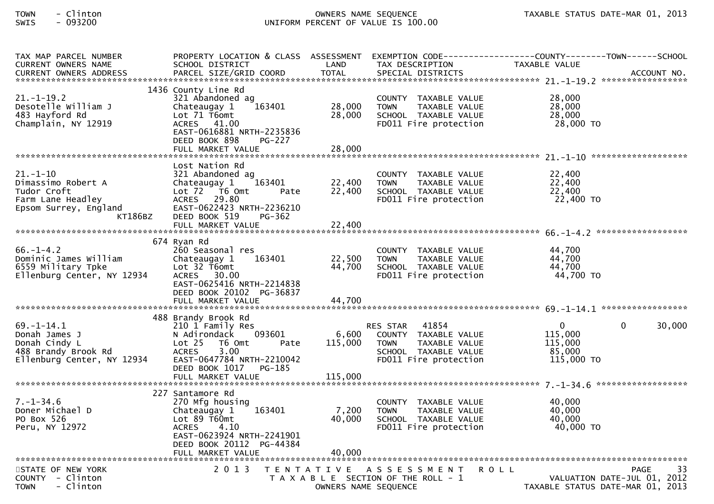| TAX MAP PARCEL NUMBER<br>CURRENT OWNERS NAME                                                            | PROPERTY LOCATION & CLASS ASSESSMENT<br>SCHOOL DISTRICT                                                                                                                              | LAND                       | EXEMPTION CODE------------------COUNTY-------TOWN------SCHOOL<br>TAX DESCRIPTION                                        | TAXABLE VALUE                                                   |            |
|---------------------------------------------------------------------------------------------------------|--------------------------------------------------------------------------------------------------------------------------------------------------------------------------------------|----------------------------|-------------------------------------------------------------------------------------------------------------------------|-----------------------------------------------------------------|------------|
| $21. - 1 - 19.2$<br>Desotelle William J<br>483 Hayford Rd<br>Champlain, NY 12919                        | 1436 County Line Rd<br>321 Abandoned ag<br>163401<br>Chateaugay 1<br>Lot 71 T6omt<br>ACRES 41.00<br>EAST-0616881 NRTH-2235836<br>DEED BOOK 898<br><b>PG-227</b><br>FULL MARKET VALUE | 28,000<br>28,000<br>28,000 | COUNTY TAXABLE VALUE<br><b>TOWN</b><br>TAXABLE VALUE<br>SCHOOL TAXABLE VALUE<br>FD011 Fire protection                   | 28,000<br>28,000<br>28,000<br>28,000 TO                         |            |
| $21. - 1 - 10$                                                                                          | Lost Nation Rd<br>321 Abandoned ag                                                                                                                                                   |                            | COUNTY TAXABLE VALUE                                                                                                    | 22,400                                                          |            |
| Dimassimo Robert A<br>Tudor Croft<br>Farm Lane Headley<br>Epsom Surrey, England<br>KT186BZ              | 163401<br>Chateaugay 1<br>Lot 72 T6 Omt<br>Pate<br>ACRES 29.80<br>EAST-0622423 NRTH-2236210<br>DEED BOOK 519<br>PG-362                                                               | 22,400<br>22,400           | <b>TOWN</b><br>TAXABLE VALUE<br>SCHOOL TAXABLE VALUE<br>FD011 Fire protection                                           | 22,400<br>22,400<br>22,400 TO                                   |            |
|                                                                                                         | FULL MARKET VALUE                                                                                                                                                                    | 22,400                     |                                                                                                                         |                                                                 |            |
| $66. - 1 - 4.2$<br>Dominic James William<br>6559 Military Tpke<br>Ellenburg Center, NY 12934            | 674 Ryan Rd<br>260 Seasonal res<br>163401<br>Chateaugay 1<br>Lot 32 T6omt<br>ACRES 30.00<br>EAST-0625416 NRTH-2214838<br>DEED BOOK 20102 PG-36837<br>FULL MARKET VALUE               | 22,500<br>44,700<br>44,700 | COUNTY TAXABLE VALUE<br><b>TOWN</b><br>TAXABLE VALUE<br>SCHOOL TAXABLE VALUE<br>FD011 Fire protection                   | 44,700<br>44,700<br>44,700<br>44,700 TO                         |            |
|                                                                                                         | 488 Brandy Brook Rd                                                                                                                                                                  |                            |                                                                                                                         |                                                                 |            |
| $69. - 1 - 14.1$<br>Donah James J<br>Donah Cindy L<br>488 Brandy Brook Rd<br>Ellenburg Center, NY 12934 | 210 1 Family Res<br>093601<br>N Adirondack<br>Lot 25 T6 Omt<br>Pate<br>3.00<br><b>ACRES</b><br>EAST-0647784 NRTH-2210042<br>DEED BOOK 1017 PG-185                                    | 6,600<br>115,000           | RES STAR 41854<br>COUNTY TAXABLE VALUE<br><b>TOWN</b><br>TAXABLE VALUE<br>SCHOOL TAXABLE VALUE<br>FD011 Fire protection | $\mathbf{0}$<br>0<br>115,000<br>115,000<br>85,000<br>115,000 TO | 30,000     |
|                                                                                                         | FULL MARKET VALUE                                                                                                                                                                    | 115,000                    |                                                                                                                         |                                                                 |            |
| $7. - 1 - 34.6$<br>Doner Michael D<br>PO Box 526<br>Peru, NY 12972                                      | 227 Santamore Rd<br>270 Mfg housing<br>163401<br>Chateaugay 1<br>Lot 89 T60mt<br>ACRES 4.10<br>EAST-0623924 NRTH-2241901<br>DEED BOOK 20112 PG-44384<br>FULL MARKET VALUE            | 7,200<br>40,000<br>40,000  | COUNTY TAXABLE VALUE<br><b>TOWN</b><br>TAXABLE VALUE<br>SCHOOL TAXABLE VALUE<br>FD011 Fire protection                   | 40,000<br>40,000<br>40,000<br>40,000 TO                         |            |
| TENTATIVE ASSESSMENT                                                                                    |                                                                                                                                                                                      |                            |                                                                                                                         |                                                                 |            |
| STATE OF NEW YORK<br>COUNTY - Clinton<br>- Clinton<br><b>TOWN</b>                                       | 2 0 1 3                                                                                                                                                                              | OWNERS NAME SEQUENCE       | ROLL<br>T A X A B L E SECTION OF THE ROLL - 1                                                                           | VALUATION DATE-JUL 01, 2012<br>TAXABLE STATUS DATE-MAR 01, 2013 | 33<br>PAGE |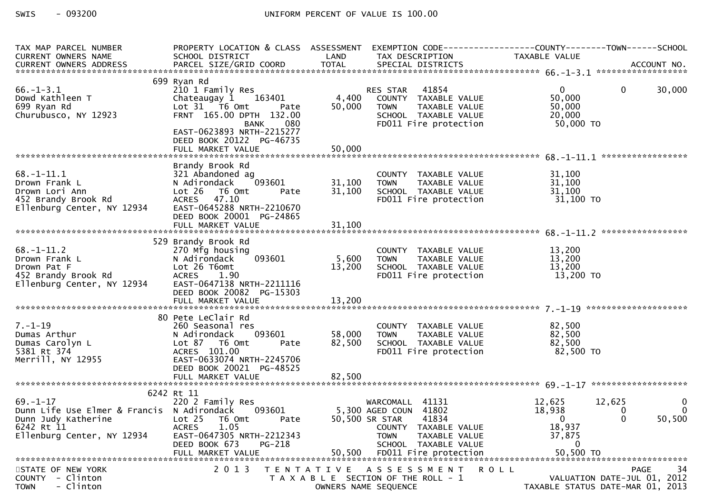| TAX MAP PARCEL NUMBER<br>CURRENT OWNERS NAME                                                                               | PROPERTY LOCATION & CLASS ASSESSMENT EXEMPTION CODE----------------COUNTY-------TOWN------SCHOOL<br>SCHOOL DISTRICT                                                                                     | LAND                 | TAX DESCRIPTION                                                                                                                                                                     | TAXABLE VALUE                                                          |                                                                               |  |
|----------------------------------------------------------------------------------------------------------------------------|---------------------------------------------------------------------------------------------------------------------------------------------------------------------------------------------------------|----------------------|-------------------------------------------------------------------------------------------------------------------------------------------------------------------------------------|------------------------------------------------------------------------|-------------------------------------------------------------------------------|--|
|                                                                                                                            |                                                                                                                                                                                                         |                      |                                                                                                                                                                                     |                                                                        |                                                                               |  |
| $66. - 1 - 3.1$<br>Dowd Kathleen T<br>699 Ryan Rd<br>Churubusco, NY 12923                                                  | 699 Ryan Rd<br>210 1 Family Res<br>Chateaugay 1 163401<br>Lot 31 76 0mt<br>Pate<br>FRNT 165.00 DPTH 132.00<br>080<br>BANK<br>EAST-0623893 NRTH-2215277<br>DEED BOOK 20122 PG-46735<br>FULL MARKET VALUE | 50,000<br>50,000     | 41854<br>RES STAR<br>4,400 COUNTY TAXABLE VALUE<br><b>TOWN</b><br>TAXABLE VALUE<br>SCHOOL TAXABLE VALUE<br>FD011 Fire protection                                                    | $\mathbf{0}$<br>50,000<br>50,000<br>20,000<br>50,000 TO                | 30,000<br>$\mathbf{0}$                                                        |  |
|                                                                                                                            |                                                                                                                                                                                                         |                      |                                                                                                                                                                                     |                                                                        |                                                                               |  |
| $68. - 1 - 11.1$<br>Drown Frank L<br>Drown Lori Ann<br>452 Brandy Brook Rd<br>Ellenburg Center, NY 12934                   | Brandy Brook Rd<br>$1.106$<br>$0.93601$<br>$0.9242$<br>$0.31.106$<br>321 Abandoned ag<br>N Adirondack<br>Lot 26 T6 Omt<br>Pate<br>ACRES 47.10<br>EAST-0645288 NRTH-2210670<br>DEED BOOK 20001 PG-24865  | 31,100<br>31,100     | COUNTY TAXABLE VALUE<br><b>TOWN</b><br>TAXABLE VALUE<br>SCHOOL TAXABLE VALUE<br>FD011 Fire protection                                                                               | 31,100<br>31,100<br>31,100<br>$31,100$ TO                              |                                                                               |  |
|                                                                                                                            | FULL MARKET VALUE                                                                                                                                                                                       | 31,100               |                                                                                                                                                                                     |                                                                        |                                                                               |  |
|                                                                                                                            | 529 Brandy Brook Rd                                                                                                                                                                                     |                      |                                                                                                                                                                                     |                                                                        |                                                                               |  |
| $68. - 1 - 11.2$<br>Drown Frank L<br>Drown Pat F<br>452 Brandy Brook Rd<br>Ellenburg Center, NY 12934                      | 270 Mfg housing<br>093601<br>N Adirondack<br>Lot 26 T6omt<br>ACRES 1.90<br>EAST-0647138 NRTH-2211116<br>DEED BOOK 20082 PG-15303                                                                        | 5,600 TOWN<br>13,200 | COUNTY TAXABLE VALUE<br>TAXABLE VALUE<br>SCHOOL TAXABLE VALUE<br>FD011 Fire protection                                                                                              | 13,200<br>13,200<br>13,200<br>13,200 TO                                |                                                                               |  |
|                                                                                                                            |                                                                                                                                                                                                         |                      |                                                                                                                                                                                     |                                                                        |                                                                               |  |
|                                                                                                                            |                                                                                                                                                                                                         |                      |                                                                                                                                                                                     |                                                                        |                                                                               |  |
| $7. - 1 - 19$<br>Dumas Arthur<br>Dumas Carolyn L<br>5381 Rt 374<br>Merrill, NY 12955                                       | 80 Pete LeClair Rd<br>260 Seasonal res<br>093601<br>N Adirondack<br>Lot 87 T6 Omt<br>Pate<br>ACRES 101.00<br>EAST-0633074 NRTH-2245706<br>DEED BOOK 20021 PG-48525                                      | 58,000<br>82,500     | COUNTY TAXABLE VALUE<br><b>TOWN</b><br>TAXABLE VALUE<br>SCHOOL TAXABLE VALUE<br>SCHOOL TAXABLE VALUE<br>FDO11 Fire protection                                                       | 82,500<br>82,500<br>82,500<br>$82,500$ TO                              |                                                                               |  |
|                                                                                                                            |                                                                                                                                                                                                         |                      |                                                                                                                                                                                     |                                                                        |                                                                               |  |
| 69. –1–17<br>Dunn Life Use Elmer & Francis N Adirondack<br>Dunn Judy Katherine<br>6242 Rt 11<br>Ellenburg Center, NY 12934 | 6242 Rt 11<br>220 2 Family Res<br>Lot 25 T6 Omt<br>Pate<br>1.05<br><b>ACRES</b><br>EAST-0647305 NRTH-2212343<br>DEED BOOK 673<br>PG-218<br>FULL MARKET VALUE                                            | 50,500               | WARCOMALL 41131<br>093601 5,300 AGED COUN 41802<br>50,500 SR STAR<br>41834<br>COUNTY TAXABLE VALUE<br><b>TOWN</b><br>TAXABLE VALUE<br>SCHOOL TAXABLE VALUE<br>FD011 Fire protection | 12,625<br>18,938<br>$\mathbf{0}$<br>18,937<br>37,875<br>0<br>50,500 TO | 12,625<br>$\bf{0}$<br>$\Omega$<br>50,500<br>$\Omega$                          |  |
| STATE OF NEW YORK<br>- Clinton<br><b>COUNTY</b><br>- Clinton<br><b>TOWN</b>                                                | 2 0 1 3                                                                                                                                                                                                 | T E N T A T I V E    | A S S E S S M E N T<br>T A X A B L E SECTION OF THE ROLL - 1<br>OWNERS NAME SEQUENCE                                                                                                | <b>ROLL</b>                                                            | 34<br>PAGE<br>VALUATION DATE-JUL 01, 2012<br>TAXABLE STATUS DATE-MAR 01, 2013 |  |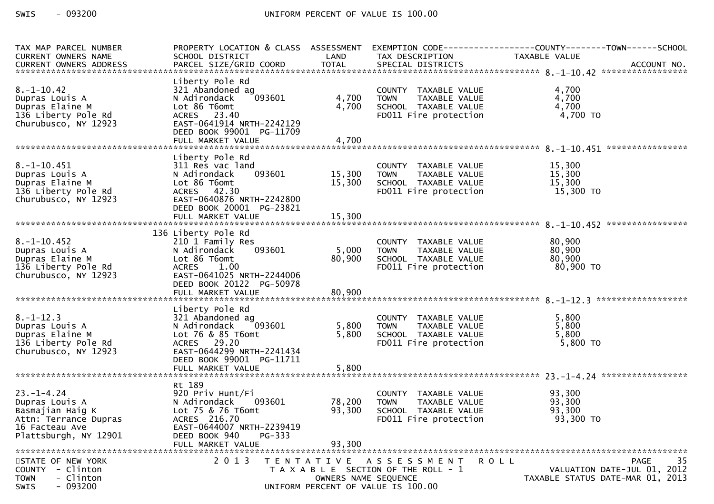| TAX MAP PARCEL NUMBER<br>CURRENT OWNERS NAME<br>CURRENT OWNERS ADDRESS                                                     | PROPERTY LOCATION & CLASS ASSESSMENT<br>SCHOOL DISTRICT                                                                                                            | LAND                                      | TAX DESCRIPTION                                                                                       | EXEMPTION CODE------------------COUNTY--------TOWN------SCHOOL<br>TAXABLE VALUE                 |  |  |
|----------------------------------------------------------------------------------------------------------------------------|--------------------------------------------------------------------------------------------------------------------------------------------------------------------|-------------------------------------------|-------------------------------------------------------------------------------------------------------|-------------------------------------------------------------------------------------------------|--|--|
| $8. - 1 - 10.42$<br>Dupras Louis A<br>Dupras Elaine M<br>136 Liberty Pole Rd<br>Churubusco, NY 12923                       | Liberty Pole Rd<br>321 Abandoned ag<br>093601<br>N Adirondack<br>Lot 86 T6omt<br>ACRES 23.40<br>EAST-0641914 NRTH-2242129<br>DEED BOOK 99001 PG-11709              | 4,700<br>4,700                            | COUNTY TAXABLE VALUE<br><b>TOWN</b><br>TAXABLE VALUE<br>SCHOOL TAXABLE VALUE<br>FD011 Fire protection | 4,700<br>4,700<br>4,700<br>4,700 TO                                                             |  |  |
|                                                                                                                            | FULL MARKET VALUE                                                                                                                                                  | 4,700                                     |                                                                                                       |                                                                                                 |  |  |
| $8. -1 - 10.451$<br>Dupras Louis A<br>Dupras Elaine M<br>136 Liberty Pole Rd<br>Churubusco, NY 12923                       | Liberty Pole Rd<br>311 Res vac land<br>093601<br>N Adirondack<br>Lot 86 T6omt<br>ACRES 42.30<br>EAST-0640876 NRTH-2242800<br>DEED BOOK 20001 PG-23821              | 15,300<br>15,300                          | COUNTY TAXABLE VALUE<br>TAXABLE VALUE<br><b>TOWN</b><br>SCHOOL TAXABLE VALUE<br>FD011 Fire protection | 15,300<br>15,300<br>15,300<br>15,300 TO                                                         |  |  |
|                                                                                                                            |                                                                                                                                                                    |                                           |                                                                                                       |                                                                                                 |  |  |
| $8. - 1 - 10.452$<br>Dupras Louis A<br>Dupras Elaine M<br>136 Liberty Pole Rd<br>Churubusco, NY 12923                      | 136 Liberty Pole Rd<br>210 1 Family Res<br>N Adirondack<br>093601<br>Lot 86 T6omt<br><b>ACRES</b><br>1.00<br>EAST-0641025 NRTH-2244006<br>DEED BOOK 20122 PG-50978 | 5,000<br>80,900                           | COUNTY TAXABLE VALUE<br>TAXABLE VALUE<br><b>TOWN</b><br>SCHOOL TAXABLE VALUE<br>FD011 Fire protection | 80,900<br>80,900<br>80,900<br>80,900 TO                                                         |  |  |
|                                                                                                                            |                                                                                                                                                                    |                                           |                                                                                                       |                                                                                                 |  |  |
| $8. - 1 - 12.3$<br>Dupras Louis A<br>Dupras Elaine M<br>136 Liberty Pole Rd<br>Churubusco, NY 12923                        | Liberty Pole Rd<br>321 Abandoned ag<br>N Adirondack<br>093601<br>Lot 76 & 85 T6omt<br>ACRES 29.20<br>EAST-0644299 NRTH-2241434<br>DEED BOOK 99001 PG-11711         | 5,800<br>5,800                            | COUNTY TAXABLE VALUE<br>TAXABLE VALUE<br><b>TOWN</b><br>SCHOOL TAXABLE VALUE<br>FD011 Fire protection | 5,800<br>5,800<br>5,800<br>$5,800$ TO                                                           |  |  |
| 5,800<br>FULL MARKET VALUE                                                                                                 |                                                                                                                                                                    |                                           |                                                                                                       |                                                                                                 |  |  |
| $23. - 1 - 4.24$<br>Dupras Louis A<br>Basmajian Haig K<br>Attn: Terrance Dupras<br>16 Facteau Ave<br>Plattsburgh, NY 12901 | Rt 189<br>920 Priv Hunt/Fi<br>N Adirondack<br>093601<br>Lot 75 & 76 T6omt<br>ACRES 216.70<br>EAST-0644007 NRTH-2239419<br>DEED BOOK 940<br>$PG-333$                | 78,200<br>93,300                          | COUNTY TAXABLE VALUE<br>TAXABLE VALUE<br><b>TOWN</b><br>SCHOOL TAXABLE VALUE<br>FD011 Fire protection | 93,300<br>93,300<br>93,300<br>93,300 TO                                                         |  |  |
|                                                                                                                            | FULL MARKET VALUE                                                                                                                                                  | 93.300                                    |                                                                                                       |                                                                                                 |  |  |
| STATE OF NEW YORK<br>COUNTY - Clinton<br>- Clinton<br><b>TOWN</b><br>$-093200$<br>SWIS                                     | 2 0 1 3                                                                                                                                                            | T E N T A T I V E<br>OWNERS NAME SEQUENCE | A S S E S S M E N T<br>T A X A B L E SECTION OF THE ROLL - 1<br>UNIFORM PERCENT OF VALUE IS 100.00    | 35<br>R O L L<br><b>PAGE</b><br>VALUATION DATE-JUL 01, 2012<br>TAXABLE STATUS DATE-MAR 01, 2013 |  |  |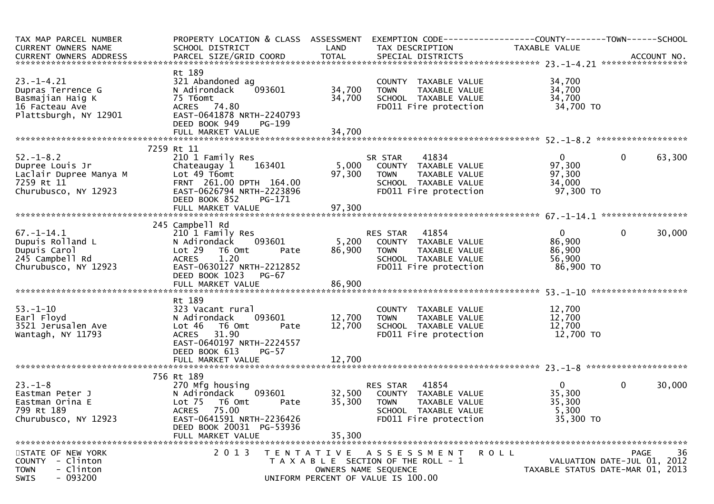| TAX MAP PARCEL NUMBER<br>CURRENT OWNERS NAME                                                         | SCHOOL DISTRICT                                                                                                                                                                            | LAND                       | PROPERTY LOCATION & CLASS ASSESSMENT EXEMPTION CODE----------------COUNTY-------TOWN------SCHOOL<br>TAX DESCRIPTION                    | TAXABLE VALUE                                            |                                            |
|------------------------------------------------------------------------------------------------------|--------------------------------------------------------------------------------------------------------------------------------------------------------------------------------------------|----------------------------|----------------------------------------------------------------------------------------------------------------------------------------|----------------------------------------------------------|--------------------------------------------|
|                                                                                                      |                                                                                                                                                                                            |                            |                                                                                                                                        |                                                          |                                            |
| $23. - 1 - 4.21$<br>Dupras Terrence G<br>Basmajian Haig K<br>16 Facteau Ave<br>Plattsburgh, NY 12901 | Rt 189<br>321 Abandoned ag<br>N Adirondack<br>093601<br>75 T6omt<br>ACRES 74.80<br>EAST-0641878 NRTH-2240793                                                                               | 34,700<br>34,700           | COUNTY TAXABLE VALUE<br><b>TOWN</b><br>TAXABLE VALUE<br>SCHOOL TAXABLE VALUE<br>FD011 Fire protection                                  | 34,700<br>34,700<br>34,700<br>34,700 TO                  |                                            |
|                                                                                                      | DEED BOOK 949<br>PG-199                                                                                                                                                                    |                            |                                                                                                                                        |                                                          |                                            |
|                                                                                                      |                                                                                                                                                                                            |                            |                                                                                                                                        |                                                          |                                            |
| $52. - 1 - 8.2$<br>Dupree Louis Jr<br>Laclair Dupree Manya M<br>7259 Rt 11<br>Churubusco, NY 12923   | 7259 Rt 11<br>210 1 Family Res<br>163401<br>Chateaugay 1<br>Lot 49 T6omt<br>FRNT 261.00 DPTH 164.00<br>EAST-0626794 NRTH-2223896<br>DEED BOOK 852<br>PG-171                                | 97,300                     | 41834<br>SR STAR<br>5,000 COUNTY TAXABLE VALUE<br>TAXABLE VALUE<br>TOWN<br>SCHOOL TAXABLE VALUE<br>FD011 Fire protection               | $\mathbf{0}$<br>97,300<br>97,300<br>34,000<br>97,300 TO  | $\mathbf{0}$<br>63,300                     |
|                                                                                                      |                                                                                                                                                                                            |                            |                                                                                                                                        |                                                          |                                            |
| $67. - 1 - 14.1$<br>Dupuis Rolland L<br>Dupuis Carol<br>245 Campbell Rd<br>Churubusco, NY 12923      | 245 Campbell Rd<br>210 1 Family Res<br>093601<br>N Adirondack<br>Lot 29<br>T6 Omt<br>Pate<br>1.20<br>ACRES<br>EAST-0630127 NRTH-2212852<br>DEED BOOK 1023<br><b>PG-67</b>                  | 86,900                     | RES STAR 41854<br>5,200 COUNTY TAXABLE VALUE<br><b>TOWN</b><br>TAXABLE VALUE<br>SCHOOL TAXABLE VALUE<br>FD011 Fire protection          | $\mathbf{0}$<br>86,900<br>86,900<br>56,900<br>86,900 TO  | $\mathbf 0$<br>30,000                      |
|                                                                                                      |                                                                                                                                                                                            |                            |                                                                                                                                        |                                                          |                                            |
| $53. - 1 - 10$<br>Earl Floyd<br>3521 Jerusalen Ave<br>Wantagh, NY 11793                              | Rt 189<br>323 Vacant rural<br>093601<br>N Adirondack<br>Lot 46<br>T6 Omt<br>Pate<br>ACRES 31.90<br>EAST-0640197 NRTH-2224557<br>DEED BOOK 613<br>$PG-57$<br>FULL MARKET VALUE              | 12,700<br>12,700<br>12,700 | COUNTY TAXABLE VALUE<br><b>TOWN</b><br>TAXABLE VALUE<br>SCHOOL TAXABLE VALUE<br>FD011 Fire protection                                  | 12,700<br>12,700<br>12,700<br>12,700 TO                  |                                            |
|                                                                                                      |                                                                                                                                                                                            |                            |                                                                                                                                        |                                                          |                                            |
| $23 - 1 - 8$<br>Eastman Peter J<br>Eastman Orina E<br>799 Rt 189<br>Churubusco, NY 12923             | 756 Rt 189<br>270 Mfg housing<br>093601<br>N Adirondack<br>Lot 75<br>T6 Omt<br>Pate<br><b>ACRES</b><br>75.00<br>EAST-0641591 NRTH-2236426<br>DEED BOOK 20031 PG-53936<br>FULL MARKET VALUE | 32,500<br>35,300<br>35,300 | <b>RES STAR 41854</b><br>COUNTY TAXABLE VALUE<br><b>TOWN</b><br>TAXABLE VALUE<br>SCHOOL TAXABLE VALUE<br>FD011 Fire protection         | $\overline{0}$<br>35,300<br>35,300<br>5,300<br>35,300 TO | $\mathbf 0$<br>30,000                      |
| STATE OF NEW YORK<br>COUNTY - Clinton<br>- Clinton<br><b>TOWN</b><br>$-093200$<br><b>SWIS</b>        | 2 0 1 3                                                                                                                                                                                    |                            | TENTATIVE ASSESSMENT<br>R O L L<br>T A X A B L E SECTION OF THE ROLL - 1<br>OWNERS NAME SEQUENCE<br>UNIFORM PERCENT OF VALUE IS 100.00 | TAXABLE STATUS DATE-MAR 01, 2013                         | -36<br>PAGE<br>VALUATION DATE-JUL 01, 2012 |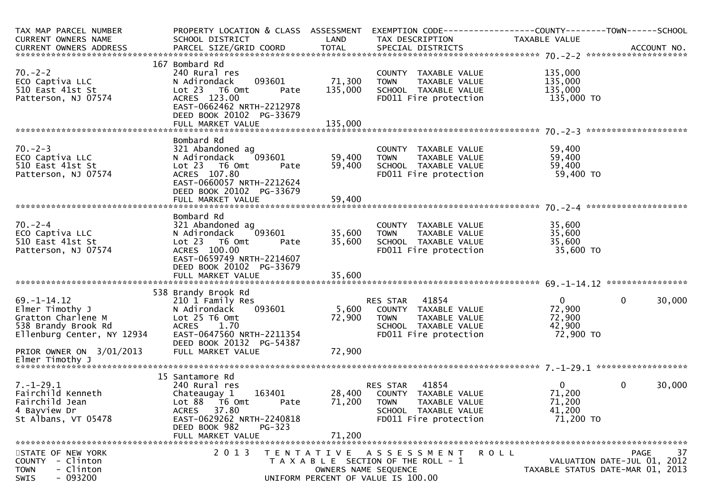| TAX MAP PARCEL NUMBER                                                                                           | PROPERTY LOCATION & CLASS ASSESSMENT                                                                                                                                                   |                       | EXEMPTION CODE-----------------COUNTY-------TOWN------SCHOOL                                                                                                               |                                              |                                                                                      |
|-----------------------------------------------------------------------------------------------------------------|----------------------------------------------------------------------------------------------------------------------------------------------------------------------------------------|-----------------------|----------------------------------------------------------------------------------------------------------------------------------------------------------------------------|----------------------------------------------|--------------------------------------------------------------------------------------|
| CURRENT OWNERS NAME                                                                                             | SCHOOL DISTRICT                                                                                                                                                                        | LAND                  | TAX DESCRIPTION                                                                                                                                                            | TAXABLE VALUE                                |                                                                                      |
|                                                                                                                 |                                                                                                                                                                                        |                       |                                                                                                                                                                            |                                              |                                                                                      |
| 70.-2-2<br>ECO Captiva LLC<br>510 East 41st St<br>Patterson, NJ 07574                                           | 167 Bombard Rd<br>240 Rural res<br>093601<br>N Adirondack<br>Lot 23 T6 Omt<br>Pate<br>ACRES 123.00<br>EAST-0662462 NRTH-2212978<br>DEED BOOK 20102 PG-33679                            | 71,300<br>135,000     | COUNTY TAXABLE VALUE 135,000<br>TOWN TAXABLE VALUE 135,000<br>TOWN<br>SCHOOL TAXABLE VALUE<br>FD011 Fire protection                                                        | 135,000<br>135,000 TO                        |                                                                                      |
|                                                                                                                 |                                                                                                                                                                                        |                       |                                                                                                                                                                            |                                              |                                                                                      |
| $70. - 2 - 3$<br>ECO Captiva LLC<br>510 East 41st St<br>Patterson, NJ 07574                                     | Bombard Rd<br>321 Abandoned ag<br>N Adirondack 093601<br>Lot 23  T6 Omt<br>Pate<br>ACRES 107.80<br>EAST-0660057 NRTH-2212624<br>DEED BOOK 20102 PG-33679                               | 59,400 TOWN<br>59,400 | WAPLE VALUE<br>TOWN TAXABLE VALUE<br>SCHOOL TAXABLE VALUE<br>FDO11 Fire protection                                                                                         | 59,400<br>59,400<br>59,400<br>59,400 TO      |                                                                                      |
|                                                                                                                 |                                                                                                                                                                                        |                       |                                                                                                                                                                            |                                              |                                                                                      |
| $70. - 2 - 4$<br>ECO Captiva LLC<br>510 East 41st St<br>Patterson, NJ 07574                                     | Bombard Rd<br>321 Abandoned ag<br>N Adirondack<br>093601<br>Lot 23 T6 Omt<br>Pate<br>ACRES 100.00<br>EAST-0659749 NRTH-2214607<br>DEED BOOK 20102 PG-33679                             | 35,600<br>35,600      | COUNTY TAXABLE VALUE<br>TOWN     TAXABLE VALUE<br><b>TOWN</b><br>SCHOOL TAXABLE VALUE<br>FD011 Fire protection                                                             | 35,600<br>35,600<br>35,600<br>35,600 TO      |                                                                                      |
|                                                                                                                 |                                                                                                                                                                                        |                       |                                                                                                                                                                            |                                              |                                                                                      |
| $69. - 1 - 14.12$<br>Elmer Timothy J<br>Gratton Charlene M<br>538 Brandy Brook Rd<br>Ellenburg Center, NY 12934 | 538 Brandy Brook Rd<br>210 1 Family Res<br>093601<br>N Adirondack<br>Lot 25 T6 Omt<br>ACRES 1.70<br>EAST-0647560 NRTH-2211354<br>DEED BOOK 20132 PG-54387                              | 72,900                | <b>RES STAR 41854</b><br>RES STAR     41854<br>5,600    COUNTY   TAXABLE VALUE_<br>TAXABLE VALUE<br><b>TOWN</b><br>TOWN TAXADLL<br>SCHOOL TAXABLE VALUE<br>Time protection | 0<br>72,900<br>72,900<br>42,900<br>72,900 TO | $\mathbf{0}$<br>30,000                                                               |
| PRIOR OWNER ON 3/01/2013                                                                                        | FULL MARKET VALUE                                                                                                                                                                      | 72,900                |                                                                                                                                                                            |                                              |                                                                                      |
|                                                                                                                 |                                                                                                                                                                                        |                       |                                                                                                                                                                            |                                              |                                                                                      |
| $7. - 1 - 29.1$<br>Fairchild Kenneth<br>Fairchild Jean<br>4 Bayview Dr<br>St Albans, VT 05478                   | 15 Santamore Rd<br>240 Rural res<br>163401<br>Chateaugay 1<br>Lot 88 T6 Omt<br>Pate<br>ACRES 37.80<br>EAST-0629262 NRTH-2240818<br>DEED BOOK 982<br><b>PG-323</b><br>FULL MARKET VALUE | 71,200                | RES STAR 41854<br>28,400 COUNTY TAXABLE VALUE<br>71,200 TOWN<br>TAXABLE VALUE<br>SCHOOL TAXABLE VALUE<br>FD011 Fire protection                                             | 0<br>71,200<br>71,200<br>41,200<br>71,200 TO | $\mathbf{0}$<br>30,000                                                               |
|                                                                                                                 |                                                                                                                                                                                        |                       |                                                                                                                                                                            |                                              |                                                                                      |
| STATE OF NEW YORK<br>- Clinton<br><b>COUNTY</b><br>- Clinton<br><b>TOWN</b><br>$-093200$<br>SWIS                | 2 0 1 3                                                                                                                                                                                | OWNERS NAME SEQUENCE  | TENTATIVE ASSESSMENT<br>T A X A B L E SECTION OF THE ROLL - 1<br>UNIFORM PERCENT OF VALUE IS 100.00                                                                        | R O L L                                      | 37<br><b>PAGE</b><br>VALUATION DATE-JUL 01, 2012<br>TAXABLE STATUS DATE-MAR 01, 2013 |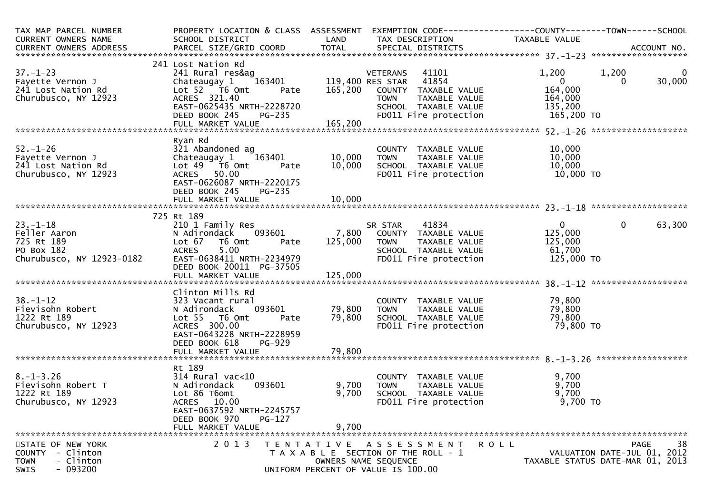| TAX MAP PARCEL NUMBER<br>CURRENT OWNERS NAME | PROPERTY LOCATION & CLASS ASSESSMENT<br>SCHOOL DISTRICT             | <b>Example 18 The LAND</b> | EXEMPTION CODE-----------------COUNTY-------TOWN------SCHOOL<br>TAX DESCRIPTION | TAXABLE VALUE                    |                             |                       |
|----------------------------------------------|---------------------------------------------------------------------|----------------------------|---------------------------------------------------------------------------------|----------------------------------|-----------------------------|-----------------------|
|                                              |                                                                     |                            |                                                                                 |                                  |                             |                       |
|                                              | 241 Lost Nation Rd                                                  |                            |                                                                                 |                                  |                             |                       |
| $37. - 1 - 23$<br>Fayette Vernon J           | 241 Rural res&ag<br>Chateaugay 1                                    |                            | VETERANS 41101<br>$^{2}$ 163401 119,400 RES STAR 41854                          | 1,200<br>$\overline{\mathbf{0}}$ | 1,200<br>$\Omega$           | $\mathbf 0$<br>30,000 |
| 241 Lost Nation Rd<br>Churubusco, NY 12923   | Lot $52$ $\overline{76}$ Omt<br>Pate<br>ACRES 321.40                |                            | 165,200 COUNTY TAXABLE VALUE<br><b>TOWN</b><br>TAXABLE VALUE                    | 164,000<br>164,000               |                             |                       |
|                                              | EAST-0625435 NRTH-2228720<br>DEED BOOK 245<br><b>PG-235</b>         |                            | SCHOOL TAXABLE VALUE<br>FD011 Fire protection                                   | 135,200<br>165,200 TO            |                             |                       |
|                                              |                                                                     | 165,200                    |                                                                                 |                                  |                             |                       |
|                                              | Ryan Rd                                                             |                            |                                                                                 |                                  |                             |                       |
| $52. - 1 - 26$                               | 321 Abandoned ag                                                    |                            | COUNTY TAXABLE VALUE                                                            | 10,000                           |                             |                       |
| Fayette Vernon J                             | Chateaugay 1 163401                                                 | 10,000                     | TAXABLE VALUE<br>TOWN                                                           | 10,000                           |                             |                       |
| 241 Lost Nation Rd                           | Lot 49 76 0mt<br>Pate                                               | 10,000                     | SCHOOL TAXABLE VALUE                                                            | 10,000                           |                             |                       |
| Churubusco, NY 12923                         | ACRES 50.00<br>EAST-0626087 NRTH-2220175<br>DEED BOOK 245<br>PG-235 |                            | FD011 Fire protection                                                           | 10,000 TO                        |                             |                       |
|                                              |                                                                     |                            |                                                                                 |                                  |                             |                       |
|                                              |                                                                     |                            |                                                                                 |                                  |                             |                       |
|                                              | 725 Rt 189                                                          |                            |                                                                                 |                                  |                             |                       |
| $23. - 1 - 18$                               | 210 1 Family Res                                                    |                            | SR STAR 41834                                                                   | 0                                | $\mathbf 0$                 | 63,300                |
| Feller Aaron                                 | N Adirondack 093601                                                 |                            | 7,800 COUNTY TAXABLE VALUE                                                      | 125,000                          |                             |                       |
| 725 Rt 189                                   | Lot 67 T6 Omt<br>Pate                                               | 125,000                    | <b>TOWN</b><br>TAXABLE VALUE                                                    | 125,000                          |                             |                       |
| PO Box 182                                   | 5.00<br><b>ACRES</b>                                                |                            | SCHOOL TAXABLE VALUE                                                            | 61,700                           |                             |                       |
| Churubusco, NY 12923-0182                    | EAST-0638411 NRTH-2234979<br>DEED BOOK 20011 PG-37505               |                            | FD011 Fire protection                                                           | 125,000 TO                       |                             |                       |
|                                              |                                                                     |                            |                                                                                 |                                  |                             |                       |
|                                              | Clinton Mills Rd                                                    |                            |                                                                                 |                                  |                             |                       |
| $38. - 1 - 12$                               | 323 Vacant rural                                                    |                            | COUNTY TAXABLE VALUE                                                            | 79,800                           |                             |                       |
| Fievisohn Robert                             | 093601<br>N Adirondack                                              | 79,800                     | <b>TOWN</b><br>TAXABLE VALUE                                                    | 79,800                           |                             |                       |
| 1222 Rt 189                                  | Lot 55 T6 Omt<br>Pate                                               | 79,800                     | SCHOOL TAXABLE VALUE                                                            | 79,800                           |                             |                       |
| Churubusco, NY 12923                         | ACRES 300.00                                                        |                            | FD011 Fire protection                                                           | 79,800 TO                        |                             |                       |
|                                              | EAST-0643228 NRTH-2228959<br>DEED BOOK 618<br>PG-929                |                            |                                                                                 |                                  |                             |                       |
|                                              |                                                                     |                            |                                                                                 |                                  |                             |                       |
|                                              |                                                                     |                            |                                                                                 |                                  |                             |                       |
|                                              | Rt 189                                                              |                            |                                                                                 |                                  |                             |                       |
| $8. - 1 - 3.26$                              | $314$ Rural vac<10                                                  |                            | COUNTY TAXABLE VALUE                                                            | 9,700                            |                             |                       |
| Fievisohn Robert T                           | N Adirondack<br>093601                                              | 9,700                      | <b>TOWN</b><br>TAXABLE VALUE                                                    | 9,700                            |                             |                       |
| 1222 Rt 189                                  | Lot 86 T6omt                                                        | 9,700                      | SCHOOL TAXABLE VALUE                                                            | 9,700                            |                             |                       |
| Churubusco, NY 12923                         | ACRES 10.00                                                         |                            | FD011 Fire protection                                                           | $9,700$ TO                       |                             |                       |
|                                              | EAST-0637592 NRTH-2245757<br>DEED BOOK 970<br>$PG-127$              |                            |                                                                                 |                                  |                             |                       |
|                                              | FULL MARKET VALUE                                                   | 9,700                      |                                                                                 |                                  |                             |                       |
|                                              |                                                                     |                            |                                                                                 |                                  |                             |                       |
| STATE OF NEW YORK                            | 2013                                                                | T E N T A T I V E          | A S S E S S M E N T                                                             | <b>ROLL</b>                      |                             | 38<br><b>PAGE</b>     |
| COUNTY - Clinton                             |                                                                     |                            | T A X A B L E SECTION OF THE ROLL - 1                                           |                                  | VALUATION DATE-JUL 01, 2012 |                       |
| - Clinton<br>TOWN                            |                                                                     |                            | OWNERS NAME SEQUENCE                                                            | TAXABLE STATUS DATE-MAR 01, 2013 |                             |                       |
| $-093200$<br>SWIS                            |                                                                     |                            | UNIFORM PERCENT OF VALUE IS 100.00                                              |                                  |                             |                       |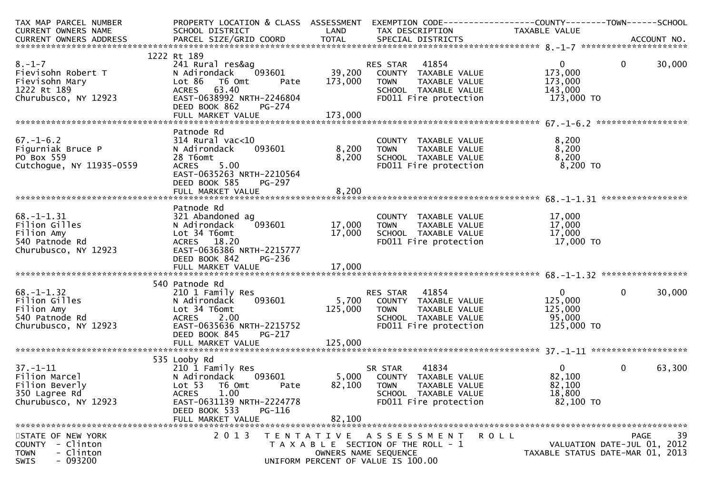| TAX MAP PARCEL NUMBER    | PROPERTY LOCATION & CLASS ASSESSMENT                 |         | EXEMPTION CODE------------------COUNTY--------TOWN------SCHOOL |                           |                                  |
|--------------------------|------------------------------------------------------|---------|----------------------------------------------------------------|---------------------------|----------------------------------|
| CURRENT OWNERS NAME      | SCHOOL DISTRICT                                      | LAND    | TAX DESCRIPTION                                                | TAXABLE VALUE             |                                  |
|                          |                                                      |         |                                                                |                           |                                  |
|                          |                                                      |         |                                                                |                           |                                  |
| $8. - 1 - 7$             | 1222 Rt 189                                          |         |                                                                |                           |                                  |
|                          | 241 Rural res&ag<br>093601                           | 39,200  | 41854<br>RES STAR                                              | $\overline{0}$<br>173,000 | $\mathbf 0$<br>30,000            |
| Fievisohn Robert T       | N Adirondack<br>T6 Omt                               |         | COUNTY TAXABLE VALUE                                           |                           |                                  |
| Fievisohn Mary           | Lot 86<br>Pate                                       | 173,000 | TAXABLE VALUE<br><b>TOWN</b>                                   | 173,000                   |                                  |
| 1222 Rt 189              | ACRES 63.40                                          |         | SCHOOL TAXABLE VALUE                                           | 143,000                   |                                  |
| Churubusco, NY 12923     | EAST-0638992 NRTH-2246804<br>DEED BOOK 862<br>PG-274 |         | FD011 Fire protection                                          | 173,000 TO                |                                  |
|                          |                                                      |         |                                                                |                           |                                  |
|                          |                                                      |         |                                                                |                           |                                  |
|                          | Patnode Rd                                           |         |                                                                |                           |                                  |
| $67. - 1 - 6.2$          | $314$ Rural vac<10                                   |         | COUNTY TAXABLE VALUE                                           | 8,200                     |                                  |
| Figurniak Bruce P        | N Adirondack<br>093601                               | 8,200   | TAXABLE VALUE<br><b>TOWN</b>                                   | 8,200                     |                                  |
| PO Box 559               | 28 T6omt                                             | 8,200   | SCHOOL TAXABLE VALUE                                           | 8,200                     |                                  |
| Cutchogue, NY 11935-0559 | 5.00<br><b>ACRES</b>                                 |         | FD011 Fire protection                                          | 8,200 TO                  |                                  |
|                          | EAST-0635263 NRTH-2210564                            |         |                                                                |                           |                                  |
|                          | DEED BOOK 585<br>PG-297                              |         |                                                                |                           |                                  |
|                          | FULL MARKET VALUE                                    | 8,200   |                                                                |                           |                                  |
|                          |                                                      |         |                                                                |                           |                                  |
|                          | Patnode Rd                                           |         |                                                                |                           |                                  |
| $68. - 1 - 1.31$         | 321 Abandoned ag                                     |         | COUNTY TAXABLE VALUE                                           | 17,000                    |                                  |
| Filion Gilles            | 093601<br>N Adirondack                               | 17,000  | TAXABLE VALUE<br><b>TOWN</b>                                   | 17,000                    |                                  |
| Filion Amy               | Lot 34 T6omt                                         | 17,000  | SCHOOL TAXABLE VALUE                                           | 17,000                    |                                  |
| 540 Patnode Rd           | ACRES 18.20                                          |         | FD011 Fire protection                                          | 17,000 TO                 |                                  |
| Churubusco, NY 12923     | EAST-0636386 NRTH-2215777                            |         |                                                                |                           |                                  |
|                          | DEED BOOK 842<br>PG-236                              |         |                                                                |                           |                                  |
|                          |                                                      |         |                                                                |                           |                                  |
|                          |                                                      |         |                                                                |                           |                                  |
|                          | 540 Patnode Rd                                       |         |                                                                |                           |                                  |
| $68. - 1 - 1.32$         | 210 1 Family Res                                     |         | RES STAR<br>41854                                              | $\overline{0}$            | 30,000<br>$\Omega$               |
| Filion Gilles            | 093601<br>N Adirondack                               | 5,700   | COUNTY TAXABLE VALUE                                           | 125,000                   |                                  |
| Filion Amy               | Lot 34 T6omt                                         | 125,000 | <b>TOWN</b><br>TAXABLE VALUE                                   | 125,000                   |                                  |
| 540 Patnode Rd           | ACRES<br>2.00                                        |         | SCHOOL TAXABLE VALUE                                           | 95,000                    |                                  |
| Churubusco, NY 12923     | EAST-0635636 NRTH-2215752                            |         | FD011 Fire protection                                          | 125,000 TO                |                                  |
|                          | DEED BOOK 845<br><b>PG-217</b>                       |         |                                                                |                           |                                  |
|                          | FULL MARKET VALUE                                    | 125,000 |                                                                |                           |                                  |
|                          |                                                      |         |                                                                |                           |                                  |
|                          | 535 Looby Rd                                         |         |                                                                |                           |                                  |
| $37. - 1 - 11$           | 210 1 Family Res                                     |         | 41834<br>SR STAR                                               | $\overline{0}$            | 63,300<br>$\mathbf{0}$           |
| Filion Marcel            | N Adirondack<br>093601                               | 5,000   | COUNTY TAXABLE VALUE                                           | 82,100                    |                                  |
| Filion Beverly           | Lot 53<br>T6 Omt<br>Pate                             | 82,100  | <b>TOWN</b><br>TAXABLE VALUE                                   | 82,100                    |                                  |
| 350 Lagree Rd            | 1.00<br><b>ACRES</b>                                 |         | SCHOOL TAXABLE VALUE                                           | 18,800                    |                                  |
| Churubusco, NY 12923     | EAST-0631139 NRTH-2224778                            |         | FD011 Fire protection                                          | 82,100 TO                 |                                  |
|                          | DEED BOOK 533<br>PG-116                              |         |                                                                |                           |                                  |
|                          | FULL MARKET VALUE                                    | 82,100  |                                                                |                           |                                  |
|                          |                                                      |         |                                                                |                           |                                  |
| STATE OF NEW YORK        | 2 0 1 3                                              |         | TENTATIVE ASSESSMENT ROLL                                      |                           | 39<br>PAGE                       |
| COUNTY - Clinton         |                                                      |         | T A X A B L E SECTION OF THE ROLL - 1                          |                           | VALUATION DATE-JUL 01, 2012      |
| - Clinton<br><b>TOWN</b> |                                                      |         | OWNERS NAME SEQUENCE                                           |                           | TAXABLE STATUS DATE-MAR 01, 2013 |
| $-093200$<br><b>SWIS</b> |                                                      |         | UNIFORM PERCENT OF VALUE IS 100.00                             |                           |                                  |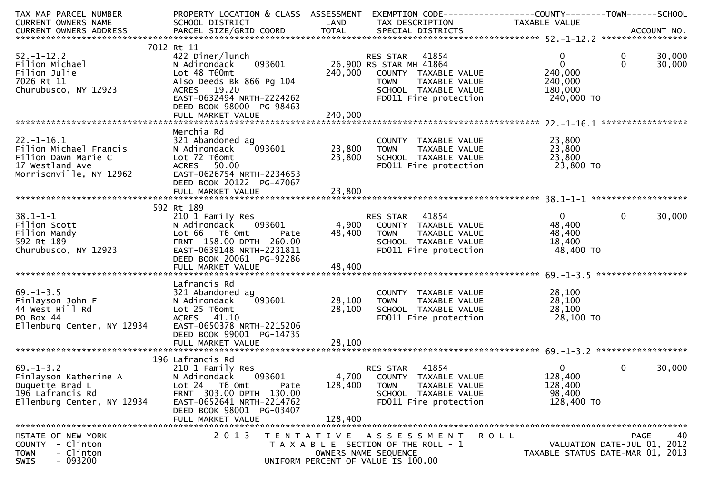| TAX MAP PARCEL NUMBER<br>CURRENT OWNERS NAME                                                                    | PROPERTY LOCATION & CLASS ASSESSMENT<br>SCHOOL DISTRICT                                                                                                                                          | LAND               | EXEMPTION CODE-----------------COUNTY--------TOWN------SCHOOL<br>TAX DESCRIPTION                                                                   | TAXABLE VALUE                                                               |                         |                  |
|-----------------------------------------------------------------------------------------------------------------|--------------------------------------------------------------------------------------------------------------------------------------------------------------------------------------------------|--------------------|----------------------------------------------------------------------------------------------------------------------------------------------------|-----------------------------------------------------------------------------|-------------------------|------------------|
|                                                                                                                 |                                                                                                                                                                                                  |                    |                                                                                                                                                    |                                                                             |                         |                  |
| $52. - 1 - 12.2$<br>Filion Michael<br>Filion Julie<br>7026 Rt 11<br>Churubusco, NY 12923                        | 7012 Rt 11<br>422 Diner/lunch<br>093601<br>N Adirondack<br>Lot 48 T60mt<br>Also Deeds Bk 866 Pg 104<br>ACRES 19.20<br>EAST-0632494 NRTH-2224262<br>DEED BOOK 98000 PG-98463                      | 240,000            | RES STAR 41854<br>26,900 RS STAR MH 41864<br>COUNTY TAXABLE VALUE<br><b>TOWN</b><br>TAXABLE VALUE<br>SCHOOL TAXABLE VALUE<br>FD011 Fire protection | $\mathbf{0}$<br>$\mathbf{0}$<br>240,000<br>240,000<br>180,000<br>240,000 TO | $\mathbf 0$<br>$\Omega$ | 30,000<br>30,000 |
|                                                                                                                 | Merchia Rd                                                                                                                                                                                       |                    |                                                                                                                                                    |                                                                             |                         |                  |
| $22. - 1 - 16.1$<br>Filion Michael Francis<br>Filion Dawn Marie C<br>17 Westland Ave<br>Morrisonville, NY 12962 | 321 Abandoned ag<br>093601<br>N Adirondack<br>Lot 72 T6omt<br>ACRES 50.00<br>EAST-0626754 NRTH-2234653<br>DEED BOOK 20122 PG-47067                                                               | 23,800<br>23,800   | COUNTY TAXABLE VALUE<br><b>TOWN</b><br>TAXABLE VALUE<br>SCHOOL TAXABLE VALUE<br>FD011 Fire protection                                              | 23,800<br>23,800<br>23,800<br>$\frac{1}{2}$ 3,800 TO                        |                         |                  |
|                                                                                                                 |                                                                                                                                                                                                  |                    |                                                                                                                                                    |                                                                             |                         |                  |
| $38.1 - 1 - 1$<br>Filion Scott<br>Filion Mandy<br>592 Rt 189<br>Churubusco, NY 12923                            | 592 Rt 189<br>210 1 Family Res<br>093601<br>N Adirondack<br>Lot 66 T6 Omt<br>Pate<br>FRNT 158.00 DPTH 260.00<br>EAST-0639148 NRTH-2231811<br>DEED BOOK 20061 PG-92286<br>FULL MARKET VALUE       | 48,400<br>48,400   | RES STAR 41854<br>4,900 COUNTY TAXABLE VALUE<br>TOWN      TAXABLE VALUE<br>SCHOOL   TAXABLE VALUE<br>FD011 Fire protection                         | 0<br>48,400<br>48,400<br>18,400<br>48,400 TO                                | $\mathbf{0}$            | 30,000           |
|                                                                                                                 | Lafrancis Rd                                                                                                                                                                                     |                    |                                                                                                                                                    |                                                                             |                         |                  |
| $69. - 1 - 3.5$<br>Finlayson John F<br>44 West Hill Rd<br>PO Box 44<br>Ellenburg Center, NY 12934               | 321 Abandoned ag<br>093601<br>N Adirondack<br>Lot 25 T6omt<br>ACRES 41.10<br>EAST-0650378 NRTH-2215206<br>DEED BOOK 99001 PG-14735                                                               | 28,100<br>28,100   | COUNTY TAXABLE VALUE<br><b>TOWN</b><br>TAXABLE VALUE<br>SCHOOL TAXABLE VALUE<br>FD011 Fire protection                                              | 28,100<br>28,100<br>28,100<br>28,100 TO                                     |                         |                  |
|                                                                                                                 |                                                                                                                                                                                                  |                    |                                                                                                                                                    |                                                                             |                         |                  |
| $69. - 1 - 3.2$<br>Finlayson Katherine A<br>Duquette Brad L<br>196 Lafrancis Rd<br>Ellenburg Center, NY 12934   | 196 Lafrancis Rd<br>210 1 Family Res<br>093601<br>N Adirondack<br>Lot 24 T6 Omt<br>Pate<br>FRNT 303.00 DPTH 130.00<br>EAST-0652641 NRTH-2214762<br>DEED BOOK 98001 PG-03407<br>FULL MARKET VALUE | 128,400<br>128,400 | 41854<br><b>RES STAR</b><br>4,700 COUNTY TAXABLE VALUE<br><b>TOWN</b><br>TAXABLE VALUE<br>SCHOOL TAXABLE VALUE<br>FD011 Fire protection            | $\overline{0}$<br>128,400<br>128,400<br>98,400<br>128,400 TO                | $\mathbf{0}$            | 30,000           |
| STATE OF NEW YORK                                                                                               | 2 0 1 3                                                                                                                                                                                          |                    |                                                                                                                                                    |                                                                             |                         | 40               |
| COUNTY<br>- Clinton<br>- Clinton<br><b>TOWN</b><br>$-093200$<br><b>SWIS</b>                                     |                                                                                                                                                                                                  |                    | TENTATIVE ASSESSMENT<br>T A X A B L E SECTION OF THE ROLL - 1<br>OWNERS NAME SEQUENCE<br>UNIFORM PERCENT OF VALUE IS 100.00                        | ROLL<br>VALUATION DATE-JUL 01, 2012<br>TAXABLE STATUS DATE-MAR 01, 2013     | PAGE                    |                  |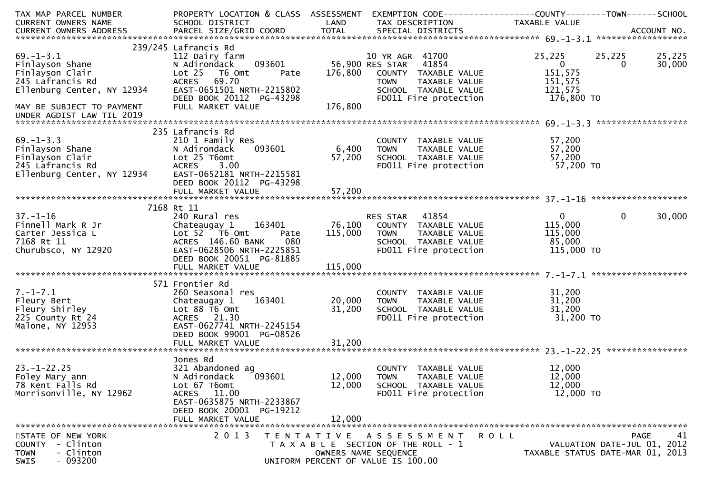| TAX MAP PARCEL NUMBER                                                                                             | PROPERTY LOCATION & CLASS ASSESSMENT                  |                           | EXEMPTION CODE------------------COUNTY--------TOWN------SCHOOL        |                                  |              |                             |
|-------------------------------------------------------------------------------------------------------------------|-------------------------------------------------------|---------------------------|-----------------------------------------------------------------------|----------------------------------|--------------|-----------------------------|
| CURRENT OWNERS NAME                                                                                               | SCHOOL DISTRICT                                       | <b>Example 12 DE LAND</b> | TAX DESCRIPTION                                                       | TAXABLE VALUE                    |              |                             |
|                                                                                                                   |                                                       |                           |                                                                       |                                  |              |                             |
|                                                                                                                   | 239/245 Lafrancis Rd                                  |                           |                                                                       |                                  |              |                             |
| $69. - 1 - 3.1$                                                                                                   | 112 Dairy farm                                        |                           | 10 YR AGR 41700                                                       | 25,225                           | 25,225       | 25,225                      |
| Finlayson Shane                                                                                                   | 093601<br>N Adirondack                                |                           | 56,900 RES STAR 41854                                                 | $\overline{0}$                   | 0            | 30,000                      |
| Finlayson Clair                                                                                                   | Lot 25 T6 Omt<br>Pate                                 |                           | 176,800 COUNTY TAXABLE VALUE                                          | 151,575                          |              |                             |
| 245 Lafrancis Rd                                                                                                  | ACRES 69.70                                           |                           | TOWN TAXABLE VALUE<br>SCHOOL TAXABLE VALUE                            | 151,575<br>121,575               |              |                             |
| Ellenburg Center, NY 12934                                                                                        | EAST-0651501 NRTH-2215802<br>DEED BOOK 20112 PG-43298 |                           | FD011 Fire protection                                                 | 176,800 TO                       |              |                             |
| MAY BE SUBJECT TO PAYMENT                                                                                         | FULL MARKET VALUE                                     | 176,800                   |                                                                       |                                  |              |                             |
| UNDER AGDIST LAW TIL 2019                                                                                         |                                                       |                           |                                                                       |                                  |              |                             |
|                                                                                                                   |                                                       |                           |                                                                       |                                  |              |                             |
|                                                                                                                   | 235 Lafrancis Rd                                      |                           |                                                                       |                                  |              |                             |
| $69. - 1 - 3.3$                                                                                                   | 210 1 Family Res                                      |                           | COUNTY TAXABLE VALUE                                                  | 57,200                           |              |                             |
|                                                                                                                   | 093601                                                | 6,400                     | <b>TOWN</b><br>TAXABLE VALUE                                          | 57,200                           |              |                             |
|                                                                                                                   |                                                       | 57,200                    | SCHOOL TAXABLE VALUE<br>SCHOOL TAXABLE VALUE<br>FDO11 Fire protection | 57,200<br>יט, 200<br>57,200 TO   |              |                             |
| Finlayson Shane<br>Finlayson Clair<br>245 Lafrancis Rd<br>Ellenburg Center, NY 12934<br>EAST-0652181 NRTH-2215581 |                                                       |                           |                                                                       |                                  |              |                             |
|                                                                                                                   | DEED BOOK 20112 PG-43298                              |                           |                                                                       |                                  |              |                             |
|                                                                                                                   | FULL MARKET VALUE                                     | 57,200                    |                                                                       |                                  |              |                             |
|                                                                                                                   |                                                       |                           |                                                                       |                                  |              |                             |
|                                                                                                                   | 7168 Rt 11                                            |                           |                                                                       |                                  |              |                             |
| $37. - 1 - 16$                                                                                                    | 240 Rural res                                         |                           | RES STAR 41854                                                        | $\overline{0}$                   | $\mathbf{0}$ | 30,000                      |
|                                                                                                                   |                                                       |                           | 163401 76,100 COUNTY TAXABLE VALUE                                    | 115,000                          |              |                             |
|                                                                                                                   | Lot 52 T6 Omt<br>Pate                                 |                           | 115,000 TOWN<br>TOWN TAXABLE VALUE<br>SCHOOL TAXABLE VALUE            | 115,000                          |              |                             |
|                                                                                                                   | ACRES 146.60 BANK<br>080                              |                           |                                                                       | 85,000                           |              |                             |
| Churubsco, NY 12920                                                                                               | EAST-0628506 NRTH-2225851<br>DEED BOOK 20051 PG-81885 |                           | FD011 Fire protection                                                 | 115,000 TO                       |              |                             |
|                                                                                                                   | FULL MARKET VALUE                                     | 115,000                   |                                                                       |                                  |              |                             |
|                                                                                                                   |                                                       |                           |                                                                       |                                  |              |                             |
|                                                                                                                   | 571 Frontier Rd                                       |                           |                                                                       |                                  |              |                             |
| $7. - 1 - 7.1$                                                                                                    | 260 Seasonal res                                      |                           | COUNTY TAXABLE VALUE                                                  | 31,200                           |              |                             |
| Fleury Bert                                                                                                       | 163401<br>Chateaugay 1                                | 20,000                    | <b>TOWN</b><br>TAXABLE VALUE                                          | 31,200                           |              |                             |
| Fleury Shirley                                                                                                    | Lot 88 T6 Omt                                         | 31,200                    | SCHOOL TAXABLE VALUE                                                  | 31,200                           |              |                             |
| 225 County Rt 24<br>Malone, NY 12953                                                                              | ACRES 21.30<br>EAST-0627741 NRTH-2245154              |                           | FD011 Fire protection                                                 | $31,200$ TO                      |              |                             |
|                                                                                                                   | DEED BOOK 99001 PG-08526                              |                           |                                                                       |                                  |              |                             |
|                                                                                                                   | FULL MARKET VALUE                                     | 31,200                    |                                                                       |                                  |              |                             |
|                                                                                                                   |                                                       |                           |                                                                       |                                  |              |                             |
|                                                                                                                   | Jones Rd                                              |                           |                                                                       |                                  |              |                             |
| $23. - 1 - 22.25$                                                                                                 | 321 Abandoned ag                                      |                           | COUNTY TAXABLE VALUE                                                  | 12,000                           |              |                             |
| Foley Mary ann                                                                                                    | 093601<br>N Adirondack                                | 12,000                    | <b>TOWN</b><br>TAXABLE VALUE                                          | 12,000                           |              |                             |
| 78 Kent Falls Rd                                                                                                  | Lot 67 T6omt                                          | 12,000                    | SCHOOL TAXABLE VALUE                                                  | 12,000                           |              |                             |
| Morrisonville, NY 12962                                                                                           | ACRES 11.00<br>EAST-0635875 NRTH-2233867              |                           | FD011 Fire protection                                                 | 12,000 TO                        |              |                             |
|                                                                                                                   | DEED BOOK 20001 PG-19212                              |                           |                                                                       |                                  |              |                             |
|                                                                                                                   | FULL MARKET VALUE                                     | 12,000                    |                                                                       |                                  |              |                             |
|                                                                                                                   |                                                       |                           |                                                                       |                                  |              |                             |
| STATE OF NEW YORK                                                                                                 | 2 0 1 3                                               |                           | TENTATIVE ASSESSMENT                                                  | R O L L                          |              | 41<br><b>PAGE</b>           |
| <b>COUNTY</b><br>- Clinton                                                                                        |                                                       |                           | T A X A B L E SECTION OF THE ROLL - 1                                 |                                  |              | VALUATION DATE-JUL 01, 2012 |
| - Clinton<br><b>TOWN</b>                                                                                          |                                                       |                           | OWNERS NAME SEQUENCE                                                  | TAXABLE STATUS DATE-MAR 01, 2013 |              |                             |
| $-093200$<br><b>SWIS</b>                                                                                          |                                                       |                           | UNIFORM PERCENT OF VALUE IS 100.00                                    |                                  |              |                             |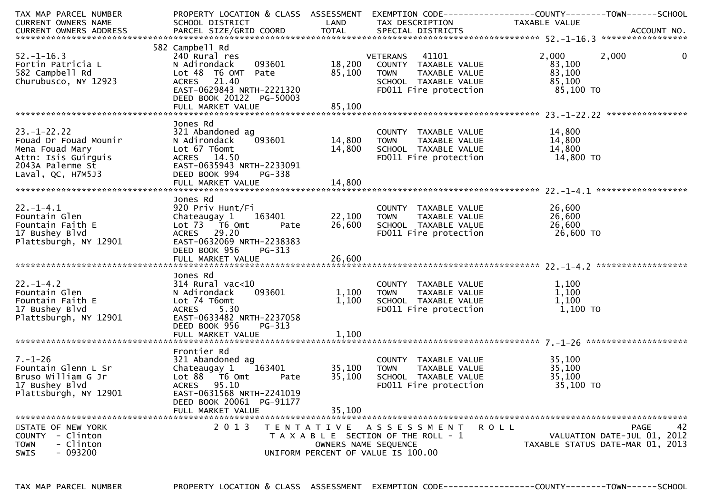| TAX MAP PARCEL NUMBER    | PROPERTY LOCATION & CLASS ASSESSMENT EXEMPTION CODE----------------COUNTY-------TOWN------SCHOOL |                      |                                               |                                  |                             |
|--------------------------|--------------------------------------------------------------------------------------------------|----------------------|-----------------------------------------------|----------------------------------|-----------------------------|
| CURRENT OWNERS NAME      | SCHOOL DISTRICT<br><b>Example 12 District LAND</b>                                               |                      | TAX DESCRIPTION                               | TAXABLE VALUE                    |                             |
|                          |                                                                                                  |                      |                                               |                                  |                             |
|                          |                                                                                                  |                      |                                               |                                  |                             |
|                          | 582 Campbell Rd                                                                                  |                      |                                               |                                  |                             |
| $52. - 1 - 16.3$         | 240 Rural res                                                                                    |                      | VETERANS 41101                                | 2,000                            | $\mathbf 0$<br>2,000        |
| Fortin Patricia L        | 093601<br>N Adirondack                                                                           | 18,200               | COUNTY TAXABLE VALUE                          | 83,100                           |                             |
| 582 Campbell Rd          | Lot 48 T6 OMT Pate                                                                               | 85,100               | TAXABLE VALUE<br><b>TOWN</b>                  | 83,100                           |                             |
|                          | ACRES 21.40                                                                                      |                      |                                               | 85,100                           |                             |
| Churubusco, NY 12923     | EAST-0629843 NRTH-2221320                                                                        |                      | SCHOOL TAXABLE VALUE<br>FDO11 Fire protection |                                  |                             |
|                          |                                                                                                  |                      |                                               | 85,100 TO                        |                             |
|                          | DEED BOOK 20122 PG-50003                                                                         |                      |                                               |                                  |                             |
|                          |                                                                                                  |                      |                                               |                                  |                             |
|                          |                                                                                                  |                      |                                               |                                  |                             |
|                          | Jones Rd                                                                                         |                      |                                               |                                  |                             |
| $23. - 1 - 22.22$        | 321 Abandoned ag                                                                                 |                      | COUNTY TAXABLE VALUE                          | 14,800                           |                             |
| Fouad Dr Fouad Mounir    | $^{3}$ 093601<br>N Adirondack                                                                    | 14,800               | TAXABLE VALUE<br><b>TOWN</b>                  | 14,800                           |                             |
| Mena Fouad Mary          | Lot 67 T6omt                                                                                     | 14,800               | SCHOOL TAXABLE VALUE                          | 14,800                           |                             |
| Attn: Isis Guirguis      | ACRES 14.50                                                                                      |                      | FD011 Fire protection                         | 14,800 TO                        |                             |
| 2043A Palerme St         | EAST-0635943 NRTH-2233091                                                                        |                      |                                               |                                  |                             |
| Laval, QC, H7M5J3        | DEED BOOK 994<br>PG-338                                                                          |                      |                                               |                                  |                             |
|                          |                                                                                                  |                      |                                               |                                  |                             |
|                          |                                                                                                  |                      |                                               |                                  |                             |
|                          | Jones Rd                                                                                         |                      |                                               |                                  |                             |
| $22. - 1 - 4.1$          | 920 Priv Hunt/Fi                                                                                 |                      | COUNTY TAXABLE VALUE                          | 26,600                           |                             |
| Fountain Glen            | Chateaugay 1<br>163401 2001                                                                      | 22,100               | TAXABLE VALUE<br>TOWN                         | 26,600                           |                             |
| Fountain Faith E         | Lot 73 T6 Omt<br>Pate                                                                            | 26,600               | SCHOOL TAXABLE VALUE                          | 26,600                           |                             |
|                          | ACRES 29.20                                                                                      |                      | FD011 Fire protection                         |                                  |                             |
| 17 Bushey Blvd           |                                                                                                  |                      |                                               | 26,600 TO                        |                             |
| Plattsburgh, NY 12901    | EAST-0632069 NRTH-2238383                                                                        |                      |                                               |                                  |                             |
|                          | DEED BOOK 956<br>PG-313                                                                          |                      |                                               |                                  |                             |
|                          |                                                                                                  |                      |                                               |                                  |                             |
|                          |                                                                                                  |                      |                                               |                                  |                             |
|                          | Jones Rd                                                                                         |                      |                                               |                                  |                             |
| $22. - 1 - 4.2$          | $314$ Rural vac< $10$                                                                            |                      | COUNTY TAXABLE VALUE                          | 1,100                            |                             |
| Fountain Glen            | 093601<br>N Adirondack                                                                           | 1,100                | TAXABLE VALUE<br><b>TOWN</b>                  | 1,100                            |                             |
| Fountain Faith E         | Lot 74 T6omt                                                                                     | 1,100                | SCHOOL TAXABLE VALUE                          | 1,100                            |                             |
| 17 Bushey Blvd           | ACRES 5.30                                                                                       |                      | FD011 Fire protection                         | 1,100 TO                         |                             |
| Plattsburgh, NY 12901    | EAST-0633482 NRTH-2237058                                                                        |                      |                                               |                                  |                             |
|                          | DEED BOOK 956<br>$PG-313$                                                                        |                      |                                               |                                  |                             |
|                          |                                                                                                  |                      |                                               |                                  |                             |
|                          |                                                                                                  |                      |                                               |                                  |                             |
|                          | Frontier Rd                                                                                      |                      |                                               |                                  |                             |
| $7. - 1 - 26$            | 321 Abandoned ag                                                                                 |                      | COUNTY TAXABLE VALUE                          | 35,100                           |                             |
| Fountain Glenn L Sr      | 163401<br>Chateaugay 1                                                                           | 35,100               | TAXABLE VALUE<br><b>TOWN</b>                  | 35,100                           |                             |
| Bruso William G Jr       | Lot 88 T6 Omt<br>Pate                                                                            | 35,100               | SCHOOL TAXABLE VALUE                          | 35,100                           |                             |
| 17 Bushey Blvd           | 95.10<br><b>ACRES</b>                                                                            |                      | FD011 Fire protection                         | 35,100 TO                        |                             |
| Plattsburgh, NY 12901    | EAST-0631568 NRTH-2241019                                                                        |                      |                                               |                                  |                             |
|                          | DEED BOOK 20061 PG-91177                                                                         |                      |                                               |                                  |                             |
|                          |                                                                                                  |                      |                                               |                                  |                             |
|                          | FULL MARKET VALUE                                                                                | 35,100               |                                               |                                  |                             |
|                          |                                                                                                  |                      |                                               |                                  |                             |
| STATE OF NEW YORK        | 2 0 1 3                                                                                          |                      | TENTATIVE ASSESSMENT<br>ROLL                  |                                  | 42<br><b>PAGE</b>           |
| COUNTY - Clinton         |                                                                                                  |                      | T A X A B L E SECTION OF THE ROLL - 1         |                                  | VALUATION DATE-JUL 01, 2012 |
| <b>TOWN</b><br>- Clinton |                                                                                                  | OWNERS NAME SEQUENCE |                                               | TAXABLE STATUS DATE-MAR 01, 2013 |                             |
| $-093200$<br><b>SWIS</b> |                                                                                                  |                      | UNIFORM PERCENT OF VALUE IS 100.00            |                                  |                             |
|                          |                                                                                                  |                      |                                               |                                  |                             |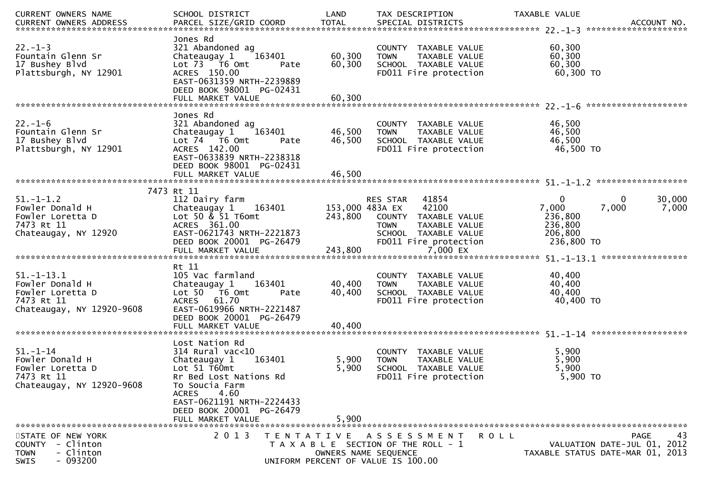| CURRENT OWNERS NAME                                                                                     | SCHOOL DISTRICT                                                                                                                                                                                                           | LAND                                                                                                | TAX DESCRIPTION                                                                                                                     | TAXABLE VALUE                                             |                                                                               |
|---------------------------------------------------------------------------------------------------------|---------------------------------------------------------------------------------------------------------------------------------------------------------------------------------------------------------------------------|-----------------------------------------------------------------------------------------------------|-------------------------------------------------------------------------------------------------------------------------------------|-----------------------------------------------------------|-------------------------------------------------------------------------------|
| $22. - 1 - 3$<br>Fountain Glenn Sr<br>17 Bushey Blvd<br>Plattsburgh, NY 12901                           | Jones Rd<br>321 Abandoned ag<br>163401<br>Chateaugay 1<br>Lot 73  T6 Omt<br>ACRES 150.00<br>EAST-0631359 NRTH-2239889<br>DEED BOOK 98001 PG-02431                                                                         | 60,300<br>60,300<br>Pate                                                                            | COUNTY TAXABLE VALUE<br><b>TOWN</b><br>TAXABLE VALUE<br>SCHOOL TAXABLE VALUE<br>FD011 Fire protection                               | 60,300<br>60,300<br>60,300<br>60,300 TO                   |                                                                               |
|                                                                                                         | Jones Rd                                                                                                                                                                                                                  |                                                                                                     |                                                                                                                                     |                                                           |                                                                               |
| $22. - 1 - 6$<br>Fountain Glenn Sr<br>17 Bushey Blvd<br>Plattsburgh, NY 12901                           | 321 Abandoned ag<br>Chateaugay 1<br>163401<br>Lot 74 T6 Omt<br>ACRES 142.00<br>EAST-0633839 NRTH-2238318<br>DEED BOOK 98001 PG-02431                                                                                      | 46,500<br>46,500<br>Pate                                                                            | COUNTY TAXABLE VALUE<br><b>TOWN</b><br>TAXABLE VALUE<br>SCHOOL TAXABLE VALUE<br>FD011 Fire protection                               | 46,500<br>46,500<br>46,500<br>46,500 TO                   |                                                                               |
|                                                                                                         |                                                                                                                                                                                                                           |                                                                                                     |                                                                                                                                     |                                                           |                                                                               |
| $51. - 1 - 1.2$<br>Fowler Donald H<br>Fowler Loretta D<br>7473 Rt 11<br>Chateaugay, NY 12920            | 7473 Rt 11<br>112 Dairy farm<br>Chateaugay 1<br>163401<br>Lot 50 $\&$ 51 T6omt<br>ACRES 361.00<br>EAST-0621743 NRTH-2221873<br>DEED BOOK 20001 PG-26479                                                                   | 153,000 483A EX<br>243,800                                                                          | 41854<br>RES STAR<br>42100<br>COUNTY TAXABLE VALUE<br><b>TOWN</b><br>TAXABLE VALUE<br>SCHOOL TAXABLE VALUE<br>FD011 Fire protection | 0<br>7,000<br>236,800<br>236,800<br>206,800<br>236,800 TO | 30,000<br>0<br>7,000<br>7,000                                                 |
| $51. - 1 - 13.1$<br>Fowler Donald H<br>Fowler Loretta D<br>7473 Rt 11<br>Chateaugay, NY 12920-9608      | Rt 11<br>105 Vac farmland<br>163401<br>Chateaugay 1<br>Lot 50  T6 0mt<br>61.70<br><b>ACRES</b><br>EAST-0619966 NRTH-2221487<br>DEED BOOK 20001 PG-26479<br>FULL MARKET VALUE                                              | 40,400<br>40,400<br>Pate<br>40,400                                                                  | COUNTY TAXABLE VALUE<br><b>TOWN</b><br>TAXABLE VALUE<br>SCHOOL TAXABLE VALUE<br>FD011 Fire protection                               | 40,400<br>40,400<br>40,400<br>40,400 TO                   |                                                                               |
| $51. - 1 - 14$<br>Fowler Donald H<br>Fowler Loretta D<br>7473 Rt 11<br>Chateaugay, NY 12920-9608        | Lost Nation Rd<br>$314$ Rural vac<10<br>163401<br>Chateaugay 1<br>Lot 51 T60mt<br>Rr Bed Lost Nations Rd<br>To Soucia Farm<br>4.60<br>ACRES<br>EAST-0621191 NRTH-2224433<br>DEED BOOK 20001 PG-26479<br>FULL MARKET VALUE | 5,900<br>5,900<br>5,900                                                                             | COUNTY TAXABLE VALUE<br><b>TOWN</b><br>TAXABLE VALUE<br>SCHOOL TAXABLE VALUE<br>FD011 Fire protection                               | 5,900<br>5,900<br>5,900<br>5,900 TO                       |                                                                               |
| STATE OF NEW YORK<br>- Clinton<br><b>COUNTY</b><br>- Clinton<br><b>TOWN</b><br>$-093200$<br><b>SWIS</b> | 2 0 1 3                                                                                                                                                                                                                   | TENTATIVE ASSESSMENT<br>T A X A B L E SECTION OF THE ROLL - 1<br>UNIFORM PERCENT OF VALUE IS 100.00 | OWNERS NAME SEQUENCE                                                                                                                | <b>ROLL</b>                                               | 43<br>PAGE<br>VALUATION DATE-JUL 01, 2012<br>TAXABLE STATUS DATE-MAR 01, 2013 |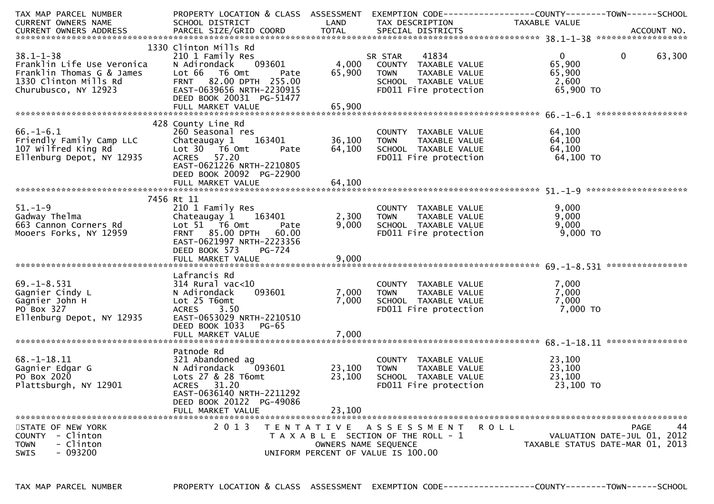| TAX MAP PARCEL NUMBER<br>CURRENT OWNERS NAME                                                                                | PROPERTY LOCATION & CLASS ASSESSMENT EXEMPTION CODE---------------COUNTY-------TOWN------SCHOOL<br>SCHOOL DISTRICT                                                                                | LAND                       | TAX DESCRIPTION                                                                                                                                  | TAXABLE VALUE                                               |                                                                                      |
|-----------------------------------------------------------------------------------------------------------------------------|---------------------------------------------------------------------------------------------------------------------------------------------------------------------------------------------------|----------------------------|--------------------------------------------------------------------------------------------------------------------------------------------------|-------------------------------------------------------------|--------------------------------------------------------------------------------------|
|                                                                                                                             |                                                                                                                                                                                                   |                            |                                                                                                                                                  |                                                             |                                                                                      |
| $38.1 - 1 - 38$<br>Franklin Life Use Veronica<br>Franklin Thomas G & James<br>1330 Clinton Mills Rd<br>Churubusco, NY 12923 | 1330 Clinton Mills Rd<br>210 1 Family Res<br>N Adirondack 093601<br>Lot 66 T6 Omt<br>Pate<br>FRNT 82.00 DPTH 255.00<br>EAST-0639656 NRTH-2230915<br>DEED BOOK 20031 PG-51477<br>FULL MARKET VALUE | 65,900<br>65,900           | SR STAR 41834<br>4,000 COUNTY TAXABLE VALUE<br><b>TOWN</b><br>TAXABLE VALUE<br>SCHOOL TAXABLE VALUE<br>FD011 Fire protection                     | $0 \qquad \qquad$<br>65,900<br>65,900<br>2,600<br>65,900 TO | $\mathbf 0$<br>63,300                                                                |
| $66. - 1 - 6.1$<br>Friendly Family Camp LLC<br>107 Wilfred King Rd<br>Ellenburg Depot, NY 12935                             | 428 County Line Rd<br>260 Seasonal res<br>Chateaugay 1 163401<br>Lot 30 T6 Omt<br>Pate<br>ACRES 57.20<br>EAST-0621226 NRTH-2210805<br>DEED BOOK 20092 PG-22900<br>FULL MARKET VALUE               | 36,100<br>64,100<br>64,100 | COUNTY TAXABLE VALUE<br>TAXABLE VALUE<br><b>TOWN</b><br>SCHOOL TAXABLE VALUE<br>FD011 Fire protection                                            | 64,100<br>64,100<br>64,100<br>64,100 TO                     |                                                                                      |
|                                                                                                                             | 7456 Rt 11                                                                                                                                                                                        |                            |                                                                                                                                                  |                                                             |                                                                                      |
| $51.-1-9$<br>Gadway Thelma<br>663 Cannon Corners Rd<br>Mooers Forks, NY 12959                                               | 210 1 Family Res<br>Chateaugay 1 163401<br>Lot 51 T6 Omt Pate<br>FRNT 85.00 DPTH 60.00<br>EAST-0621997 NRTH-2223356<br>DEED BOOK 573<br>PG-724                                                    | 2,300<br>9,000             | COUNTY TAXABLE VALUE<br><b>TAXABLE VALUE<br/>TAXABLE VALUE<br/>COMABLE VALUE</b><br><b>TOWN</b><br>SCHOOL TAXABLE VALUE<br>FD011 Fire protection | 9,000<br>9,000<br>9,000<br>$9,000$ TO                       |                                                                                      |
|                                                                                                                             |                                                                                                                                                                                                   |                            |                                                                                                                                                  |                                                             |                                                                                      |
| $69. - 1 - 8.531$<br>Gagnier Cindy L<br>Gagnier John H<br>PO Box 327<br>Ellenburg Depot, NY 12935                           | Lafrancis Rd<br>314 Rural vac<10<br>093601<br>N Adirondack<br>Lot 25 T6omt<br>ACRES 3.50<br>EAST-0653029 NRTH-2210510<br>DEED BOOK 1033<br>PG-65                                                  | 7,000<br>7,000             | COUNTY TAXABLE VALUE<br><b>TOWN</b><br>TAXABLE VALUE<br>SCHOOL TAXABLE VALUE<br>FD011 Fire protection                                            | 7,000<br>7,000<br>7,000<br>7,000 TO                         |                                                                                      |
|                                                                                                                             | FULL MARKET VALUE                                                                                                                                                                                 | 7,000                      |                                                                                                                                                  |                                                             |                                                                                      |
| $68. - 1 - 18.11$<br>Gagnier Edgar G<br>PO Box 2020<br>Plattsburgh, NY 12901                                                | Patnode Rd<br>321 Abandoned ag<br>N Adirondack<br>093601<br>Lots 27 & 28 T6omt<br>ACRES 31.20<br>EAST-0636140 NRTH-2211292<br>DEED BOOK 20122 PG-49086<br>FULL MARKET VALUE                       | 23,100<br>23,100<br>23,100 | COUNTY TAXABLE VALUE<br>TAXABLE VALUE<br><b>TOWN</b><br>SCHOOL TAXABLE VALUE<br>FD011 Fire protection                                            | 23,100<br>23,100<br>23,100<br>23,100 TO                     |                                                                                      |
|                                                                                                                             |                                                                                                                                                                                                   |                            |                                                                                                                                                  |                                                             |                                                                                      |
| STATE OF NEW YORK<br>- Clinton<br><b>COUNTY</b><br>- Clinton<br><b>TOWN</b><br>$-093200$<br><b>SWIS</b>                     | 2 0 1 3                                                                                                                                                                                           | OWNERS NAME SEQUENCE       | TENTATIVE ASSESSMENT<br>T A X A B L E SECTION OF THE ROLL - 1<br>UNIFORM PERCENT OF VALUE IS 100.00                                              | R O L L                                                     | 44<br><b>PAGE</b><br>VALUATION DATE-JUL 01, 2012<br>TAXABLE STATUS DATE-MAR 01, 2013 |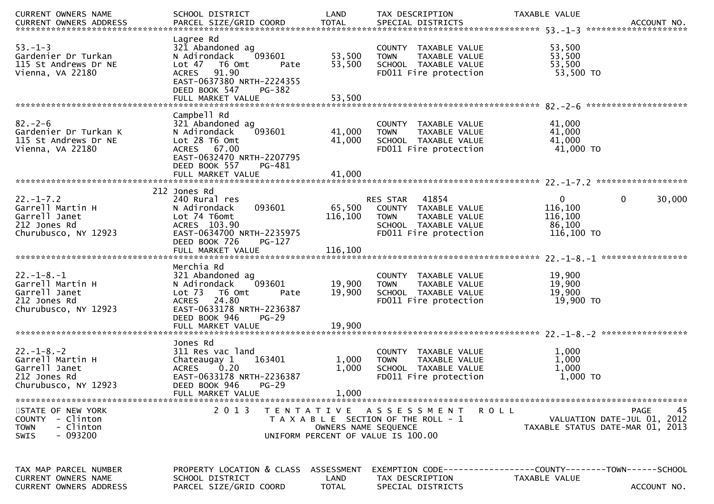| CURRENT OWNERS NAME<br>CURRENT OWNERS ADDRESS PARCEL SIZE/GRID COORD TOTAL SPECIAL DISTRICTS 75 7 7 7 8 100 ACCOUNT NO. | SCHOOL DISTRICT                | LAND                 | TAX DESCRIPTION                       | TAXABLE VALUE                                                   |                   |
|-------------------------------------------------------------------------------------------------------------------------|--------------------------------|----------------------|---------------------------------------|-----------------------------------------------------------------|-------------------|
|                                                                                                                         |                                |                      |                                       |                                                                 |                   |
|                                                                                                                         | Lagree Rd                      |                      |                                       |                                                                 |                   |
| $53. - 1 - 3$                                                                                                           | 321 Abandoned ag               |                      | COUNTY TAXABLE VALUE                  | 53,500                                                          |                   |
| Gardenier Dr Turkan                                                                                                     | 093601<br>N Adirondack         | 53,500               | <b>TOWN</b><br>TAXABLE VALUE          | 53,500                                                          |                   |
| 115 St Andrews Dr NE                                                                                                    | Lot 47 T6 Omt<br>Pate          | 53,500               | SCHOOL TAXABLE VALUE                  | 53,500                                                          |                   |
| Vienna, VA 22180                                                                                                        | 91.90<br><b>ACRES</b>          |                      | FD011 Fire protection                 | 53,500 TO                                                       |                   |
|                                                                                                                         | EAST-0637380 NRTH-2224355      |                      |                                       |                                                                 |                   |
|                                                                                                                         | DEED BOOK 547<br><b>PG-382</b> |                      |                                       |                                                                 |                   |
|                                                                                                                         |                                |                      |                                       |                                                                 |                   |
|                                                                                                                         | Campbell Rd                    |                      |                                       |                                                                 |                   |
| $82 - 2 - 6$                                                                                                            | 321 Abandoned ag               |                      | COUNTY TAXABLE VALUE                  | 41,000                                                          |                   |
| Gardenier Dr Turkan K                                                                                                   | 093601<br>N Adirondack         | 41,000               | <b>TOWN</b><br>TAXABLE VALUE          | 41,000                                                          |                   |
| 115 St Andrews Dr NE                                                                                                    | Lot 28 T6 Omt                  | 41,000               | SCHOOL TAXABLE VALUE                  | 41,000                                                          |                   |
| Vienna, VA 22180                                                                                                        | ACRES 67.00                    |                      | FD011 Fire protection                 | 41,000 TO                                                       |                   |
|                                                                                                                         | EAST-0632470 NRTH-2207795      |                      |                                       |                                                                 |                   |
|                                                                                                                         | DEED BOOK 557<br>PG-481        |                      |                                       |                                                                 |                   |
|                                                                                                                         |                                |                      |                                       |                                                                 |                   |
|                                                                                                                         |                                |                      |                                       |                                                                 |                   |
|                                                                                                                         | 212 Jones Rd                   |                      |                                       |                                                                 |                   |
| $22. - 1 - 7.2$                                                                                                         | 240 Rural res                  |                      | RES STAR 41854                        | $\mathbf 0$<br>$\mathbf{0}$                                     | 30,000            |
| Garrell Martin H                                                                                                        | 093601<br>N Adirondack         | 65,500               | COUNTY TAXABLE VALUE                  | 116,100                                                         |                   |
| Garrell Janet                                                                                                           | Lot 74 T6omt                   | 116,100              | TAXABLE VALUE<br><b>TOWN</b>          | 116,100                                                         |                   |
| 212 Jones Rd                                                                                                            | ACRES 103.90                   |                      | SCHOOL TAXABLE VALUE                  | 86,100                                                          |                   |
| Churubusco, NY 12923                                                                                                    | EAST-0634700 NRTH-2235975      |                      | FD011 Fire protection                 | 116,100 TO                                                      |                   |
|                                                                                                                         | DEED BOOK 726<br>PG-127        |                      |                                       |                                                                 |                   |
|                                                                                                                         |                                |                      |                                       |                                                                 |                   |
|                                                                                                                         | Merchia Rd                     |                      |                                       |                                                                 |                   |
| $22. - 1 - 8. - 1$                                                                                                      | 321 Abandoned ag               |                      | COUNTY TAXABLE VALUE                  | 19,900                                                          |                   |
| Garrell Martin H                                                                                                        | 093601<br>N Adirondack         | 19,900               | TAXABLE VALUE<br><b>TOWN</b>          | 19,900                                                          |                   |
| Garrell Janet                                                                                                           | Lot 73 T6 Omt<br>Pate          | 19,900               | SCHOOL TAXABLE VALUE                  | 19,900                                                          |                   |
| 212 Jones Rd                                                                                                            | 24.80<br><b>ACRES</b>          |                      | FD011 Fire protection                 | 19,900 TO                                                       |                   |
| Churubusco, NY 12923                                                                                                    | EAST-0633178 NRTH-2236387      |                      |                                       |                                                                 |                   |
|                                                                                                                         | $PG-29$<br>DEED BOOK 946       |                      |                                       |                                                                 |                   |
|                                                                                                                         | FULL MARKET VALUE              | 19,900               |                                       |                                                                 |                   |
|                                                                                                                         |                                |                      |                                       |                                                                 |                   |
|                                                                                                                         | Jones Rd                       |                      |                                       |                                                                 |                   |
| $22. - 1 - 8. - 2$                                                                                                      | 311 Res vac land               |                      | COUNTY TAXABLE VALUE                  | 1,000                                                           |                   |
| Garrell Martin H                                                                                                        | 163401<br>Chateaugay 1         | 1,000                | TAXABLE VALUE<br><b>TOWN</b>          | 1,000                                                           |                   |
| Garrell Janet                                                                                                           | 0.20<br><b>ACRES</b>           | 1,000                | SCHOOL TAXABLE VALUE                  | 1,000                                                           |                   |
| 212 Jones Rd                                                                                                            | EAST-0633178 NRTH-2236387      |                      | FD011 Fire protection                 | $1,000$ TO                                                      |                   |
| Churubusco, NY 12923                                                                                                    | DEED BOOK 946<br>$PG-29$       |                      |                                       |                                                                 |                   |
|                                                                                                                         | FULL MARKET VALUE              | 1,000                |                                       |                                                                 |                   |
|                                                                                                                         | 2013                           |                      |                                       |                                                                 |                   |
| STATE OF NEW YORK<br>- Clinton<br>COUNTY                                                                                |                                |                      | TENTATIVE ASSESSMENT                  | R O L L                                                         | 45<br><b>PAGE</b> |
| - Clinton<br><b>TOWN</b>                                                                                                |                                | OWNERS NAME SEQUENCE | T A X A B L E SECTION OF THE ROLL - 1 | VALUATION DATE-JUL 01, 2012<br>TAXABLE STATUS DATE-MAR 01, 2013 |                   |
| - 093200<br><b>SWIS</b>                                                                                                 |                                |                      | UNIFORM PERCENT OF VALUE IS 100.00    |                                                                 |                   |
|                                                                                                                         |                                |                      |                                       |                                                                 |                   |
|                                                                                                                         |                                |                      |                                       |                                                                 |                   |
|                                                                                                                         |                                |                      |                                       |                                                                 |                   |
| TAX MAP PARCEL NUMBER                                                                                                   | PROPERTY LOCATION & CLASS      | ASSESSMENT           |                                       |                                                                 |                   |
| CURRENT OWNERS NAME                                                                                                     | SCHOOL DISTRICT                | LAND                 | TAX DESCRIPTION                       | TAXABLE VALUE                                                   |                   |
| CURRENT OWNERS ADDRESS                                                                                                  | PARCEL SIZE/GRID COORD         | <b>TOTAL</b>         | SPECIAL DISTRICTS                     |                                                                 | ACCOUNT NO.       |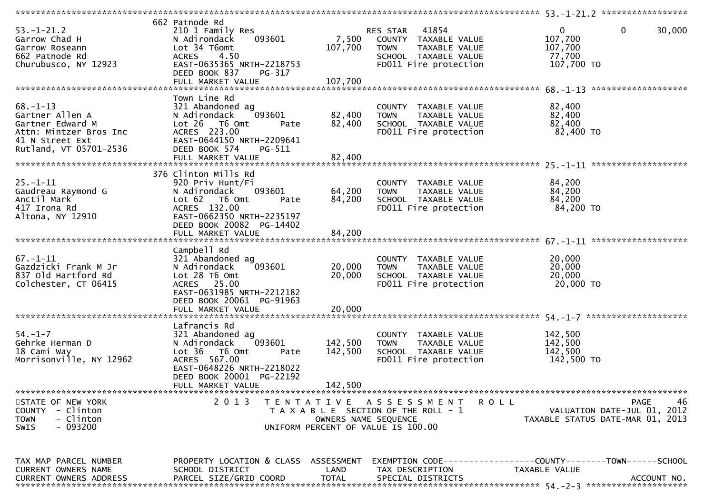| $53. - 1 - 21.2$<br>Garrow Chad H<br>Garrow Roseann<br>662 Patnode Rd<br>Churubusco, NY 12923                                | 662 Patnode Rd<br>210 1 Family Res<br>093601<br>N Adirondack<br>Lot 34 T6omt<br>4.50<br><b>ACRES</b><br>EAST-0635365 NRTH-2218753<br>DEED BOOK 837<br>PG-317                       | 7,500<br>107,700              | RES STAR 41854<br>COUNTY TAXABLE VALUE<br><b>TOWN</b><br>TAXABLE VALUE<br>SCHOOL TAXABLE VALUE<br>FD011 Fire protection                   | 0<br>0<br>30,000<br>107,700<br>107,700<br>77,700<br>107,700 TO<br>*******************         |
|------------------------------------------------------------------------------------------------------------------------------|------------------------------------------------------------------------------------------------------------------------------------------------------------------------------------|-------------------------------|-------------------------------------------------------------------------------------------------------------------------------------------|-----------------------------------------------------------------------------------------------|
| $68. - 1 - 13$<br>Gartner Allen A<br>Gartner Edward M<br>Attn: Mintzer Bros Inc<br>41 N Street Ext<br>Rutland, VT 05701-2536 | Town Line Rd<br>321 Abandoned ag<br>N Adirondack<br>093601<br>Lot 26 T6 Omt<br>Pate<br>ACRES 223.00<br>EAST-0644150 NRTH-2209641<br>DEED BOOK 574<br>PG-511                        | 82,400<br>82,400              | COUNTY TAXABLE VALUE<br>TAXABLE VALUE<br><b>TOWN</b><br>SCHOOL TAXABLE VALUE<br>FD011 Fire protection                                     | 82,400<br>82,400<br>82,400<br>82,400 TO                                                       |
| $25. - 1 - 11$<br>Gaudreau Raymond G<br>Anctil Mark<br>417 Irona Rd<br>Altona, NY 12910                                      | 376 Clinton Mills Rd<br>920 Priv Hunt/Fi<br>093601<br>N Adirondack<br>Lot 62<br>T6 Omt<br>Pate<br>ACRES 132.00<br>EAST-0662350 NRTH-2235197<br>DEED BOOK 20082 PG-14402            | 64,200<br>84,200              | COUNTY TAXABLE VALUE<br>TAXABLE VALUE<br><b>TOWN</b><br>SCHOOL TAXABLE VALUE<br>FD011 Fire protection                                     | 84,200<br>84,200<br>84,200<br>84,200 TO                                                       |
| $67. - 1 - 11$<br>Gazdzicki Frank M Jr<br>837 Old Hartford Rd<br>Colchester, CT 06415                                        | Campbell Rd<br>321 Abandoned ag<br>093601<br>N Adirondack<br>Lot 28 T6 Omt<br>ACRES 25.00<br>EAST-0631985 NRTH-2212182<br>DEED BOOK 20061 PG-91963<br>FULL MARKET VALUE            | 20,000<br>20,000<br>20,000    | COUNTY TAXABLE VALUE<br>TAXABLE VALUE<br><b>TOWN</b><br>SCHOOL TAXABLE VALUE<br>FD011 Fire protection                                     | 20,000<br>20,000<br>20,000<br>20,000 TO<br>********************                               |
| $54. - 1 - 7$<br>Gehrke Herman D<br>18 Cami Way<br>Morrisonville, NY 12962                                                   | Lafrancis Rd<br>321 Abandoned ag<br>093601<br>N Adirondack<br>Lot 36  T6 0mt<br>Pate<br>ACRES 567.00<br>EAST-0648226 NRTH-2218022<br>DEED BOOK 20001 PG-22192<br>FULL MARKET VALUE | 142,500<br>142,500<br>142,500 | COUNTY TAXABLE VALUE<br><b>TOWN</b><br>TAXABLE VALUE<br>SCHOOL TAXABLE VALUE<br>FD011 Fire protection                                     | 142,500<br>142,500<br>142,500<br>142,500 TO                                                   |
| STATE OF NEW YORK<br>- Clinton<br><b>COUNTY</b><br><b>TOWN</b><br>- Clinton<br>$-093200$<br>SWIS                             | 2 0 1 3                                                                                                                                                                            | T E N T A T I V E             | A S S E S S M E N T<br><b>ROLL</b><br>T A X A B L E SECTION OF THE ROLL - 1<br>OWNERS NAME SEQUENCE<br>UNIFORM PERCENT OF VALUE IS 100.00 | 46<br>PAGE<br>VALUATION DATE-JUL 01, 2012<br>TAXABLE STATUS DATE-MAR 01, 2013                 |
| TAX MAP PARCEL NUMBER<br>CURRENT OWNERS NAME<br><b>CURRENT OWNERS ADDRESS</b>                                                | PROPERTY LOCATION & CLASS ASSESSMENT<br>SCHOOL DISTRICT<br>PARCEL SIZE/GRID COORD                                                                                                  | LAND<br><b>TOTAL</b>          | TAX DESCRIPTION<br>SPECIAL DISTRICTS                                                                                                      | EXEMPTION CODE-----------------COUNTY--------TOWN------SCHOOL<br>TAXABLE VALUE<br>ACCOUNT NO. |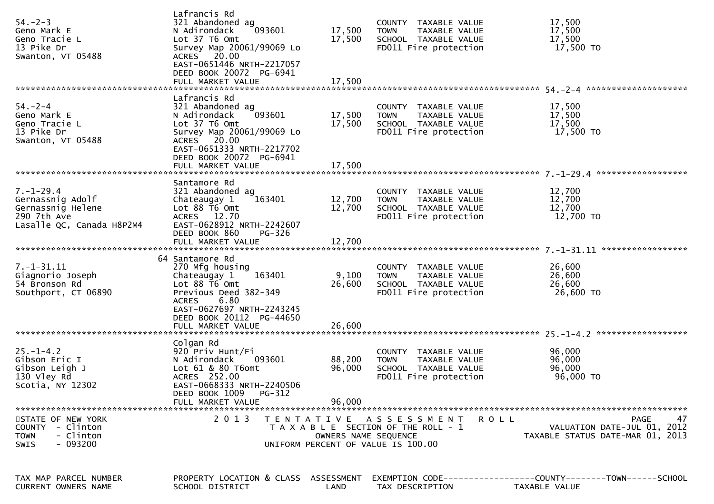| $54. - 2 - 3$<br>Geno Mark E<br>Geno Tracie L<br>13 Pike Dr<br>Swanton, VT 05488                     | Lafrancis Rd<br>321 Abandoned ag<br>093601<br>N Adirondack<br>Lot 37 T6 Omt<br>Survey Map 20061/99069 Lo<br>ACRES 20.00<br>EAST-0651446 NRTH-2217057<br>DEED BOOK 20072 PG-6941<br>FULL MARKET VALUE | 17,500<br>17,500<br>17,500 | COUNTY TAXABLE VALUE<br><b>TOWN</b><br>TAXABLE VALUE<br>SCHOOL TAXABLE VALUE<br>FD011 Fire protection       | 17,500<br>17,500<br>17,500<br>17,500 TO                                       |
|------------------------------------------------------------------------------------------------------|------------------------------------------------------------------------------------------------------------------------------------------------------------------------------------------------------|----------------------------|-------------------------------------------------------------------------------------------------------------|-------------------------------------------------------------------------------|
| $54. - 2 - 4$                                                                                        | Lafrancis Rd                                                                                                                                                                                         |                            |                                                                                                             |                                                                               |
| Geno Mark E<br>Geno Tracie L<br>13 Pike Dr<br>Swanton, VT 05488                                      | 321 Abandoned ag<br>093601<br>N Adirondack<br>Lot 37 T6 Omt<br>Survey Map 20061/99069 Lo<br>ACRES 20.00<br>EAST-0651333 NRTH-2217702                                                                 | 17,500<br>17,500           | COUNTY TAXABLE VALUE<br><b>TOWN</b><br>TAXABLE VALUE<br>SCHOOL TAXABLE VALUE<br>FD011 Fire protection       | 17,500<br>17,500<br>17,500<br>17,500 TO                                       |
|                                                                                                      | DEED BOOK 20072 PG-6941<br>FULL MARKET VALUE                                                                                                                                                         | 17,500                     |                                                                                                             |                                                                               |
|                                                                                                      | Santamore Rd                                                                                                                                                                                         |                            |                                                                                                             |                                                                               |
| $7. - 1 - 29.4$<br>Gernassnig Adolf<br>Gernassnig Helene<br>290 7th Ave<br>Lasalle QC, Canada H8P2M4 | 321 Abandoned ag<br>163401<br>Chateaugay 1<br>Lot $88 \overline{16}$ Omt<br>ACRES 12.70<br>EAST-0628912 NRTH-2242607                                                                                 | 12,700<br>12,700           | COUNTY TAXABLE VALUE<br>TAXABLE VALUE<br><b>TOWN</b><br>SCHOOL TAXABLE VALUE<br>FD011 Fire protection       | 12,700<br>12,700<br>12,700<br>12,700 TO                                       |
|                                                                                                      | DEED BOOK 860<br>PG-326<br>FULL MARKET VALUE                                                                                                                                                         | 12,700                     |                                                                                                             |                                                                               |
|                                                                                                      | 64 Santamore Rd                                                                                                                                                                                      |                            |                                                                                                             |                                                                               |
| 7. -1 - 31. 11<br>Giagnorio Joseph<br>54 Bronson Rd<br>Southport, CT 06890                           | 270 Mfg housing<br>163401<br>Chateaugay 1<br>Lot $88 \overline{16}$ Omt<br>Previous Deed 382-349<br><b>ACRES</b><br>6.80<br>EAST-0627697 NRTH-2243245<br>DEED BOOK 20112 PG-44650                    | 9,100<br>26,600            | COUNTY TAXABLE VALUE<br><b>TOWN</b><br>TAXABLE VALUE<br>SCHOOL TAXABLE VALUE<br>FD011 Fire protection       | 26,600<br>26,600<br>26,600<br>26,600 TO                                       |
|                                                                                                      |                                                                                                                                                                                                      |                            |                                                                                                             |                                                                               |
|                                                                                                      | Colgan Rd                                                                                                                                                                                            |                            |                                                                                                             |                                                                               |
| $25. - 1 - 4.2$<br>Gibson Eric I<br>Gibson Leigh J<br>130 Vley Rd<br>Scotia, NY 12302                | 920 Priv Hunt/Fi<br>093601<br>N Adirondack<br>Lot 61 & 80 T6omt<br>ACRES 252.00<br>EAST-0668333 NRTH-2240506<br>DEED BOOK 1009 PG-312<br>FULL MARKET VALUE                                           | 88,200<br>96,000<br>96,000 | COUNTY TAXABLE VALUE<br><b>TOWN</b><br>TAXABLE VALUE<br>SCHOOL TAXABLE VALUE<br>FD011 Fire protection       | 96,000<br>96,000<br>96,000<br>96,000 TO                                       |
|                                                                                                      |                                                                                                                                                                                                      |                            |                                                                                                             |                                                                               |
| STATE OF NEW YORK<br>COUNTY - Clinton<br>- Clinton<br><b>TOWN</b><br>$-093200$<br><b>SWIS</b>        | 2 0 1 3                                                                                                                                                                                              | OWNERS NAME SEQUENCE       | TENTATIVE ASSESSMENT<br>ROLL<br>T A X A B L E SECTION OF THE ROLL - 1<br>UNIFORM PERCENT OF VALUE IS 100.00 | PAGE<br>47<br>VALUATION DATE-JUL 01, 2012<br>TAXABLE STATUS DATE-MAR 01, 2013 |
|                                                                                                      |                                                                                                                                                                                                      |                            |                                                                                                             |                                                                               |
| TAX MAP PARCEL NUMBER<br>CURRENT OWNERS NAME                                                         | PROPERTY LOCATION & CLASS ASSESSMENT<br>SCHOOL DISTRICT                                                                                                                                              | LAND                       | TAX DESCRIPTION                                                                                             | TAXABLE VALUE                                                                 |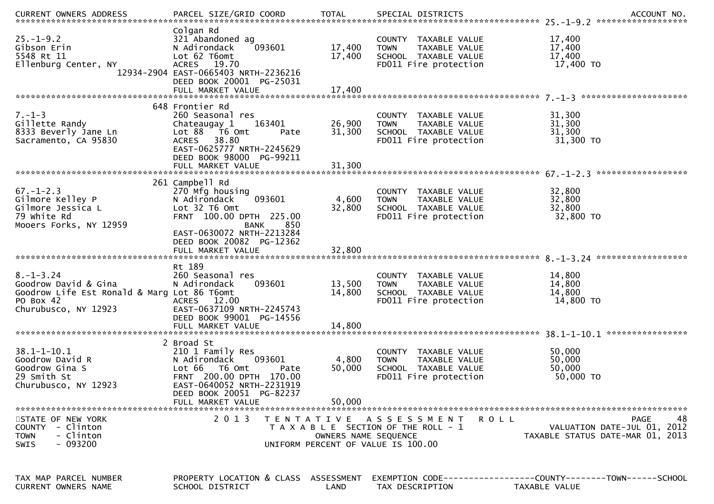| CURRENT OWNERS ADDRESS                                                                                                      | PARCEL SIZE/GRID COORD                                                                                                                                                                     | <b>TOTAL</b>                              | SPECIAL DISTRICTS                                                                                                 | ACCOUNT NO.                                                                          |
|-----------------------------------------------------------------------------------------------------------------------------|--------------------------------------------------------------------------------------------------------------------------------------------------------------------------------------------|-------------------------------------------|-------------------------------------------------------------------------------------------------------------------|--------------------------------------------------------------------------------------|
| $25. - 1 - 9.2$<br>Gibson Erin<br>5548 Rt 11<br>Ellenburg Center, NY                                                        | Colgan Rd<br>321 Abandoned ag<br>093601<br>N Adirondack<br>Lot 62 T6omt<br>ACRES 19.70<br>12934-2904 EAST-0665403 NRTH-2236216<br>DEED BOOK 20001 PG-25031<br>FULL MARKET VALUE            | 17,400<br>17,400<br>17,400                | COUNTY TAXABLE VALUE<br>TAXABLE VALUE<br><b>TOWN</b><br>SCHOOL TAXABLE VALUE<br>FD011 Fire protection             | 17,400<br>17,400<br>17,400<br>17,400 TO                                              |
|                                                                                                                             | 648 Frontier Rd                                                                                                                                                                            |                                           |                                                                                                                   |                                                                                      |
| $7. - 1 - 3$<br>Gillette Randy<br>8333 Beverly Jane Ln<br>Sacramento, CA 95830                                              | 260 Seasonal res<br>163401<br>Chateaugay 1<br>Lot 88<br>T6 Omt<br>Pate<br>38.80<br>ACRES<br>EAST-0625777 NRTH-2245629<br>DEED BOOK 98000 PG-99211<br>FULL MARKET VALUE                     | 26,900<br>31,300<br>31,300                | COUNTY TAXABLE VALUE<br>TAXABLE VALUE<br><b>TOWN</b><br>SCHOOL TAXABLE VALUE<br>FD011 Fire protection             | 31,300<br>31,300<br>31,300<br>31,300 TO                                              |
|                                                                                                                             |                                                                                                                                                                                            |                                           |                                                                                                                   | ******************                                                                   |
| $67. - 1 - 2.3$<br>Gilmore Kelley P<br>Gilmore Jessica L<br>79 white Rd<br>Mooers Forks, NY 12959                           | 261 Campbell Rd<br>270 Mfg housing<br>093601<br>N Adirondack<br>Lot 32 T6 Omt<br>FRNT 100.00 DPTH 225.00<br>850<br><b>BANK</b><br>EAST-0630072 NRTH-2213284                                | 4,600<br>32,800                           | COUNTY TAXABLE VALUE<br>TAXABLE VALUE<br><b>TOWN</b><br>SCHOOL TAXABLE VALUE<br>FD011 Fire protection             | 32,800<br>32,800<br>32,800<br>32,800 TO                                              |
|                                                                                                                             | DEED BOOK 20082 PG-12362<br>FULL MARKET VALUE                                                                                                                                              | 32,800                                    |                                                                                                                   |                                                                                      |
| $8. - 1 - 3.24$<br>Goodrow David & Gina<br>Goodrow Life Est Ronald & Marg Lot 86 T6omt<br>PO Box 42<br>Churubusco, NY 12923 | Rt 189<br>260 Seasonal res<br>093601<br>N Adirondack<br>ACRES 12.00<br>EAST-0637109 NRTH-2245743<br>DEED BOOK 99001 PG-14556<br>FULL MARKET VALUE                                          | 13,500<br>14,800<br>14,800                | COUNTY TAXABLE VALUE<br><b>TOWN</b><br>TAXABLE VALUE<br>SCHOOL TAXABLE VALUE<br>FD011 Fire protection             | 14,800<br>14,800<br>14,800<br>14,800 TO                                              |
|                                                                                                                             |                                                                                                                                                                                            |                                           |                                                                                                                   |                                                                                      |
| $38.1 - 1 - 10.1$<br>Goodrow David R<br>Goodrow Gina S<br>29 Smith St<br>Churubusco, NY 12923                               | 2 Broad St<br>210 1 Family Res<br>093601<br>N Adirondack<br>Lot 66 T6 Omt<br>Pate<br>FRNT 200.00 DPTH 170.00<br>EAST-0640052 NRTH-2231919<br>DEED BOOK 20051 PG-82237<br>FULL MARKET VALUE | 4,800<br>50,000<br>50,000                 | COUNTY TAXABLE VALUE<br><b>TOWN</b><br>TAXABLE VALUE<br>SCHOOL TAXABLE VALUE<br>FD011 Fire protection             | 50,000<br>50,000<br>50,000<br>50,000 TO                                              |
|                                                                                                                             |                                                                                                                                                                                            |                                           |                                                                                                                   |                                                                                      |
| STATE OF NEW YORK<br>COUNTY - Clinton<br>- Clinton<br><b>TOWN</b><br>$-093200$<br><b>SWIS</b>                               | 2 0 1 3                                                                                                                                                                                    | T E N T A T I V E<br>OWNERS NAME SEQUENCE | <b>ROLL</b><br>A S S E S S M E N T<br>T A X A B L E SECTION OF THE ROLL - 1<br>UNIFORM PERCENT OF VALUE IS 100.00 | 48<br><b>PAGE</b><br>VALUATION DATE-JUL 01, 2012<br>TAXABLE STATUS DATE-MAR 01, 2013 |
| TAX MAP PARCEL NUMBER<br><b>CURRENT OWNERS NAME</b>                                                                         | PROPERTY LOCATION & CLASS ASSESSMENT<br>SCHOOL DISTRICT                                                                                                                                    | LAND                                      | TAX DESCRIPTION                                                                                                   | EXEMPTION CODE-----------------COUNTY-------TOWN------SCHOOL<br><b>TAXABLE VALUE</b> |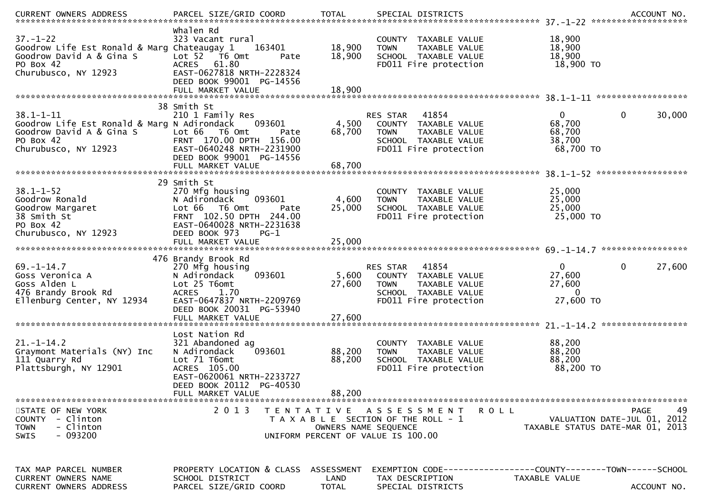| <b>CURRENT OWNERS ADDRESS</b>                                                                                                   | PARCEL SIZE/GRID COORD                                                                                                                                                                       | <b>TOTAL</b>                       | SPECIAL DISTRICTS                                                                                                          |                                                                   | ACCOUNT NO.                                      |
|---------------------------------------------------------------------------------------------------------------------------------|----------------------------------------------------------------------------------------------------------------------------------------------------------------------------------------------|------------------------------------|----------------------------------------------------------------------------------------------------------------------------|-------------------------------------------------------------------|--------------------------------------------------|
| $37. - 1 - 22$<br>Goodrow Life Est Ronald & Marg Chateaugay 1<br>Goodrow David A & Gina S<br>PO Box 42<br>Churubusco, NY 12923  | Whalen Rd<br>323 Vacant rural<br>163401<br>Lot 52 T6 Omt<br>Pate<br>ACRES 61.80<br>EAST-0627818 NRTH-2228324<br>DEED BOOK 99001 PG-14556                                                     | 18,900<br>18,900                   | COUNTY TAXABLE VALUE<br>TAXABLE VALUE<br><b>TOWN</b><br>SCHOOL TAXABLE VALUE<br>FD011 Fire protection                      | 18,900<br>18,900<br>18,900<br>18,900 TO                           |                                                  |
|                                                                                                                                 | FULL MARKET VALUE                                                                                                                                                                            | 18,900                             |                                                                                                                            |                                                                   |                                                  |
| $38.1 - 1 - 11$<br>Goodrow Life Est Ronald & Marg N Adirondack<br>Goodrow David A & Gina S<br>PO Box 42<br>Churubusco, NY 12923 | 38 Smith St<br>210 1 Family Res<br>093601<br>Lot 66<br>T6 Omt<br>Pate<br>FRNT 170.00 DPTH 156.00<br>EAST-0640248 NRTH-2231900<br>DEED BOOK 99001 PG-14556                                    | 4,500<br>68,700                    | RES STAR 41854<br>COUNTY TAXABLE VALUE<br><b>TOWN</b><br>TAXABLE VALUE<br>SCHOOL TAXABLE VALUE<br>FD011 Fire protection    | $\mathbf{0}$<br>68,700<br>68,700<br>38,700<br>68,700 TO           | $\mathbf{0}$<br>30,000                           |
|                                                                                                                                 | FULL MARKET VALUE                                                                                                                                                                            | 68,700                             |                                                                                                                            |                                                                   |                                                  |
| $38.1 - 1 - 52$<br>Goodrow Ronald<br>Goodrow Margaret<br>38 Smith St<br>PO Box 42<br>Churubusco, NY 12923                       | 29 Smith St<br>270 Mfg housing<br>093601<br>N Adirondack<br>Lot 66<br>T6 Omt<br>Pate<br>FRNT 102.50 DPTH 244.00<br>EAST-0640028 NRTH-2231638<br>DEED BOOK 973<br>$PG-1$<br>FULL MARKET VALUE | 4,600<br>25,000<br>25,000          | COUNTY TAXABLE VALUE<br>TAXABLE VALUE<br><b>TOWN</b><br>SCHOOL TAXABLE VALUE<br>FD011 Fire protection                      | 25,000<br>25,000<br>25,000<br>25,000 TO                           |                                                  |
|                                                                                                                                 | 476 Brandy Brook Rd                                                                                                                                                                          |                                    |                                                                                                                            |                                                                   |                                                  |
| $69. - 1 - 14.7$<br>Goss Veronica A<br>Goss Alden L<br>476 Brandy Brook Rd<br>Ellenburg Center, NY 12934                        | 270 Mfg housing<br>093601<br>N Adirondack<br>Lot 25 T6omt<br><b>ACRES</b><br>1.70<br>EAST-0647837 NRTH-2209769<br>DEED BOOK 20031 PG-53940<br>FULL MARKET VALUE                              | 5,600<br>27,600<br>27,600          | 41854<br>RES STAR<br>COUNTY TAXABLE VALUE<br><b>TOWN</b><br>TAXABLE VALUE<br>SCHOOL TAXABLE VALUE<br>FD011 Fire protection | $\overline{0}$<br>27,600<br>27,600<br>$\overline{0}$<br>27,600 TO | 0<br>27,600                                      |
|                                                                                                                                 | Lost Nation Rd                                                                                                                                                                               |                                    |                                                                                                                            |                                                                   |                                                  |
| $21. - 1 - 14.2$<br>Graymont Materials (NY) Inc<br>111 Quarry Rd<br>Plattsburgh, NY 12901                                       | 321 Abandoned ag<br>093601<br>N Adirondack<br>Lot 71 T6omt<br>ACRES 105.00<br>EAST-0620061 NRTH-2233727<br>DEED BOOK 20112 PG-40530                                                          | 88,200<br>88,200                   | COUNTY TAXABLE VALUE<br><b>TOWN</b><br>TAXABLE VALUE<br>SCHOOL TAXABLE VALUE<br>FD011 Fire protection                      | 88,200<br>88,200<br>88,200<br>88,200 TO                           |                                                  |
|                                                                                                                                 | FULL MARKET VALUE                                                                                                                                                                            | 88,200                             |                                                                                                                            |                                                                   |                                                  |
| STATE OF NEW YORK<br>- Clinton<br><b>COUNTY</b><br>- Clinton<br><b>TOWN</b><br>- 093200<br><b>SWIS</b>                          | 2 0 1 3                                                                                                                                                                                      | OWNERS NAME SEQUENCE               | TENTATIVE ASSESSMENT<br>ROLL<br>T A X A B L E SECTION OF THE ROLL - 1<br>UNIFORM PERCENT OF VALUE IS 100.00                | TAXABLE STATUS DATE-MAR 01, 2013                                  | 49<br><b>PAGE</b><br>VALUATION DATE-JUL 01, 2012 |
| TAX MAP PARCEL NUMBER<br>CURRENT OWNERS NAME<br>CURRENT OWNERS ADDRESS                                                          | PROPERTY LOCATION & CLASS<br>SCHOOL DISTRICT<br>PARCEL SIZE/GRID COORD                                                                                                                       | ASSESSMENT<br>LAND<br><b>TOTAL</b> | EXEMPTION        CODE-----------------COUNTY-------TOWN------SCHOOL<br>TAX DESCRIPTION<br>SPECIAL DISTRICTS                | TAXABLE VALUE                                                     | ACCOUNT NO.                                      |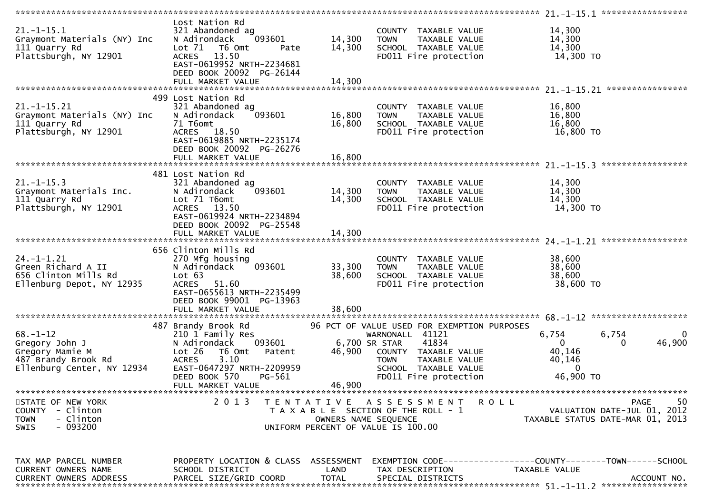|                                                                                                          |                                                                                                                                                                                 |                            |                                                                                                                                                                                                   | $21. - 1 - 15.1$ ******************                                                          |
|----------------------------------------------------------------------------------------------------------|---------------------------------------------------------------------------------------------------------------------------------------------------------------------------------|----------------------------|---------------------------------------------------------------------------------------------------------------------------------------------------------------------------------------------------|----------------------------------------------------------------------------------------------|
| $21.-1-15.1$<br>Graymont Materials (NY) Inc<br>111 Quarry Rd<br>Plattsburgh, NY 12901                    | Lost Nation Rd<br>321 Abandoned ag<br>N Adirondack<br>093601<br>Lot 71<br>T6 Omt<br>Pate<br>ACRES 13.50<br>EAST-0619952 NRTH-2234681<br>DEED BOOK 20092 PG-26144                | 14,300<br>14,300           | COUNTY TAXABLE VALUE<br><b>TOWN</b><br>TAXABLE VALUE<br>SCHOOL TAXABLE VALUE<br>FD011 Fire protection                                                                                             | 14,300<br>14,300<br>14,300<br>14,300 TO                                                      |
|                                                                                                          | 499 Lost Nation Rd                                                                                                                                                              |                            |                                                                                                                                                                                                   |                                                                                              |
| $21. - 1 - 15.21$<br>Graymont Materials (NY) Inc<br>111 Quarry Rd<br>Plattsburgh, NY 12901               | 321 Abandoned ag<br>N Adirondack<br>093601<br>71 T6omt<br>ACRES 18.50<br>EAST-0619885 NRTH-2235174<br>DEED BOOK 20092 PG-26276<br>FULL MARKET VALUE                             | 16,800<br>16,800<br>16,800 | COUNTY TAXABLE VALUE<br><b>TAXABLE VALUE</b><br><b>TOWN</b><br>SCHOOL TAXABLE VALUE<br>FD011 Fire protection                                                                                      | 16,800<br>16,800<br>16,800<br>16,800 TO                                                      |
|                                                                                                          |                                                                                                                                                                                 |                            |                                                                                                                                                                                                   | *****************                                                                            |
| $21. - 1 - 15.3$<br>Graymont Materials Inc.<br>111 Quarry Rd<br>Plattsburgh, NY 12901                    | 481 Lost Nation Rd<br>321 Abandoned ag<br>093601<br>N Adirondack<br>Lot 71 T6omt<br>ACRES 13.50<br>EAST-0619924 NRTH-2234894<br>DEED BOOK 20092 PG-25548                        | 14,300<br>14,300           | COUNTY TAXABLE VALUE<br><b>TOWN</b><br>TAXABLE VALUE<br>SCHOOL TAXABLE VALUE<br>FD011 Fire protection                                                                                             | 14,300<br>14,300<br>14,300<br>14,300 TO                                                      |
|                                                                                                          | FULL MARKET VALUE                                                                                                                                                               | 14,300                     |                                                                                                                                                                                                   |                                                                                              |
| $24. - 1 - 1.21$<br>Green Richard A II<br>656 Clinton Mills Rd<br>Ellenburg Depot, NY 12935              | 656 Clinton Mills Rd<br>270 Mfg housing<br>N Adirondack<br>093601<br>Lot 63<br>ACRES 51.60<br>EAST-0655613 NRTH-2235499<br>DEED BOOK 99001 PG-13963<br>FULL MARKET VALUE        | 33,300<br>38,600<br>38,600 | COUNTY TAXABLE VALUE<br><b>TOWN</b><br>TAXABLE VALUE<br>SCHOOL TAXABLE VALUE<br>FD011 Fire protection                                                                                             | 38,600<br>38,600<br>38,600<br>38,600 TO                                                      |
|                                                                                                          |                                                                                                                                                                                 |                            |                                                                                                                                                                                                   | 68. -1-12 *********************                                                              |
| $68. - 1 - 12$<br>Gregory John J<br>Gregory Mamie M<br>487 Brandy Brook Rd<br>Ellenburg Center, NY 12934 | 487 Brandy Brook Rd<br>210 1 Family Res<br>093601<br>N Adirondack<br>Lot 26<br>T6 Omt<br>Patent<br>3.10<br><b>ACRES</b><br>EAST-0647297 NRTH-2209959<br>DEED BOOK 570<br>PG-561 | 46,900                     | 96 PCT OF VALUE USED FOR EXEMPTION PURPOSES<br>WARNONALL 41121<br>41834<br>6,700 SR STAR<br>COUNTY TAXABLE VALUE<br><b>TOWN</b><br>TAXABLE VALUE<br>SCHOOL TAXABLE VALUE<br>FD011 Fire protection | 6,754<br>6,754<br>0<br>46,900<br>0<br>0<br>40,146<br>40,146<br>$\Omega$<br>46,900 TO         |
|                                                                                                          | FULL MARKET VALUE                                                                                                                                                               | 46,900                     |                                                                                                                                                                                                   |                                                                                              |
| STATE OF NEW YORK<br>- Clinton<br><b>COUNTY</b><br><b>TOWN</b><br>- Clinton<br>$-093200$<br>SWIS         | 2 0 1 3                                                                                                                                                                         | T E N T A T I V E          | A S S E S S M E N T<br>ROLL<br>T A X A B L E SECTION OF THE ROLL - 1<br>OWNERS NAME SEQUENCE<br>UNIFORM PERCENT OF VALUE IS 100.00                                                                | 50<br><b>PAGE</b><br>VALUATION DATE-JUL 01, 2012<br>TAXABLE STATUS DATE-MAR 01, 2013         |
| TAX MAP PARCEL NUMBER<br>CURRENT OWNERS NAME<br><b>CURRENT OWNERS ADDRESS</b>                            | PROPERTY LOCATION & CLASS ASSESSMENT<br>SCHOOL DISTRICT<br>PARCEL SIZE/GRID COORD                                                                                               | LAND<br><b>TOTAL</b>       | TAX DESCRIPTION<br>SPECIAL DISTRICTS                                                                                                                                                              | EXEMPTION CODE-----------------COUNTY--------TOWN-----SCHOOL<br>TAXABLE VALUE<br>ACCOUNT NO. |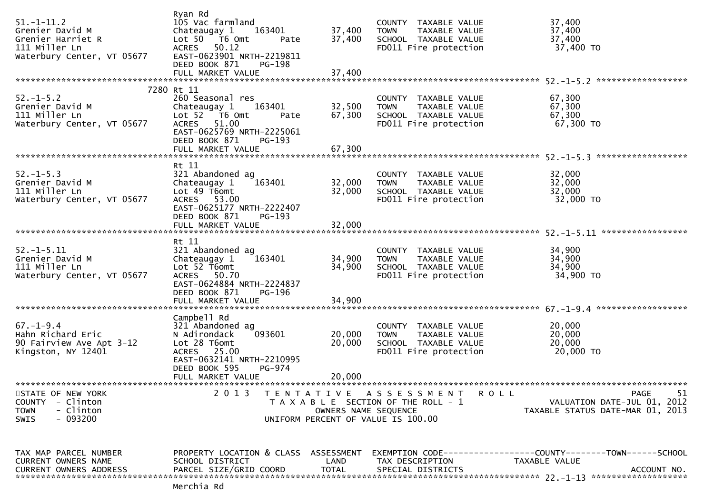| $51. - 1 - 11.2$<br>Grenier David M<br>Grenier Harriet R<br>111 Miller Ln<br>Waterbury Center, VT 05677 | Ryan Rd<br>105 Vac farmland<br>Chateaugay 1<br>163401<br>Lot 50 T6 Omt<br>Pate<br>ACRES 50.12<br>EAST-0623901 NRTH-2219811<br>DEED BOOK 871<br>PG-198                 | 37,400<br>37,400           | COUNTY TAXABLE VALUE<br><b>TOWN</b><br>TAXABLE VALUE<br>SCHOOL TAXABLE VALUE<br>FD011 Fire protection          | 37,400<br>37,400<br>37,400<br>37,400 TO                                                             |
|---------------------------------------------------------------------------------------------------------|-----------------------------------------------------------------------------------------------------------------------------------------------------------------------|----------------------------|----------------------------------------------------------------------------------------------------------------|-----------------------------------------------------------------------------------------------------|
|                                                                                                         | 7280 Rt 11                                                                                                                                                            |                            |                                                                                                                |                                                                                                     |
| $52. - 1 - 5.2$<br>Grenier David M<br>111 Miller Ln<br>Waterbury Center, VT 05677                       | 260 Seasonal res<br>Chateaugay 1<br>163401<br>Lot $52$ T6 Omt<br>Pate<br>ACRES 51.00<br>EAST-0625769 NRTH-2225061<br>DEED BOOK 871<br>PG-193                          | 32,500<br>67,300           | COUNTY TAXABLE VALUE<br><b>TOWN</b><br>TAXABLE VALUE<br>SCHOOL TAXABLE VALUE<br>FD011 Fire protection          | 67,300<br>67,300<br>67,300<br>67,300 TO                                                             |
|                                                                                                         |                                                                                                                                                                       |                            |                                                                                                                |                                                                                                     |
|                                                                                                         |                                                                                                                                                                       |                            |                                                                                                                |                                                                                                     |
| $52. - 1 - 5.3$<br>Grenier David M<br>111 Miller Ln<br>Waterbury Center, VT 05677                       | Rt 11<br>321 Abandoned ag<br>163401<br>Chateaugay 1<br>Lot 49 T6omt<br>ACRES 53.00<br>EAST-0625177 NRTH-2222407                                                       | 32,000<br>32,000           | COUNTY TAXABLE VALUE<br><b>TOWN</b><br>TAXABLE VALUE<br>SCHOOL TAXABLE VALUE<br>FD011 Fire protection          | 32,000<br>32,000<br>32,000<br>32,000 TO                                                             |
|                                                                                                         | DEED BOOK 871<br>PG-193                                                                                                                                               |                            |                                                                                                                |                                                                                                     |
|                                                                                                         |                                                                                                                                                                       |                            |                                                                                                                |                                                                                                     |
|                                                                                                         | Rt 11                                                                                                                                                                 |                            |                                                                                                                |                                                                                                     |
| $52. - 1 - 5.11$<br>Grenier David M<br>111 Miller Ln<br>Waterbury Center, VT 05677                      | 321 Abandoned ag<br>163401<br>Chateaugay 1<br>Lot $52$ T6omt<br>ACRES 50.70<br>EAST-0624884 NRTH-2224837<br>DEED BOOK 871<br><b>PG-196</b>                            | 34,900<br>34,900           | COUNTY TAXABLE VALUE<br><b>TOWN</b><br>TAXABLE VALUE<br>SCHOOL TAXABLE VALUE<br>FD011 Fire protection          | 34,900<br>34,900<br>34,900<br>34,900 TO                                                             |
|                                                                                                         |                                                                                                                                                                       |                            |                                                                                                                |                                                                                                     |
|                                                                                                         |                                                                                                                                                                       |                            |                                                                                                                |                                                                                                     |
| $67. - 1 - 9.4$<br>Hahn Richard Eric<br>90 Fairview Ave Apt 3-12<br>Kingston, NY 12401                  | Campbell Rd<br>321 Abandoned ag<br>093601<br>N Adirondack<br>Lot 28 T6omt<br>ACRES 25.00<br>EAST-0632141 NRTH-2210995<br>DEED BOOK 595<br>PG-974<br>FULL MARKET VALUE | 20,000<br>20,000<br>20,000 | COUNTY TAXABLE VALUE<br><b>TOWN</b><br>TAXABLE VALUE<br>SCHOOL TAXABLE VALUE<br>FD011 Fire protection          | 20,000<br>20,000<br>20,000<br>20,000 TO                                                             |
|                                                                                                         |                                                                                                                                                                       |                            |                                                                                                                |                                                                                                     |
| STATE OF NEW YORK<br><b>COUNTY</b><br>- Clinton<br><b>TOWN</b><br>- Clinton<br>$-093200$<br>SWIS        | 2 0 1 3                                                                                                                                                               | OWNERS NAME SEQUENCE       | TENTATIVE ASSESSMENT<br>R O L L<br>T A X A B L E SECTION OF THE ROLL - 1<br>UNIFORM PERCENT OF VALUE IS 100.00 | 51<br>PAGE<br>VALUATION DATE-JUL 01, 2012<br>TAXABLE STATUS DATE-MAR 01, 2013                       |
|                                                                                                         |                                                                                                                                                                       |                            |                                                                                                                |                                                                                                     |
| TAX MAP PARCEL NUMBER<br>CURRENT OWNERS NAME<br><b>CURRENT OWNERS ADDRESS</b>                           | PROPERTY LOCATION & CLASS ASSESSMENT<br>SCHOOL DISTRICT<br>PARCEL SIZE/GRID COORD                                                                                     | LAND<br><b>TOTAL</b>       | TAX DESCRIPTION<br>SPECIAL DISTRICTS                                                                           | EXEMPTION        CODE-----------------COUNTY-------TOWN------SCHOOL<br>TAXABLE VALUE<br>ACCOUNT NO. |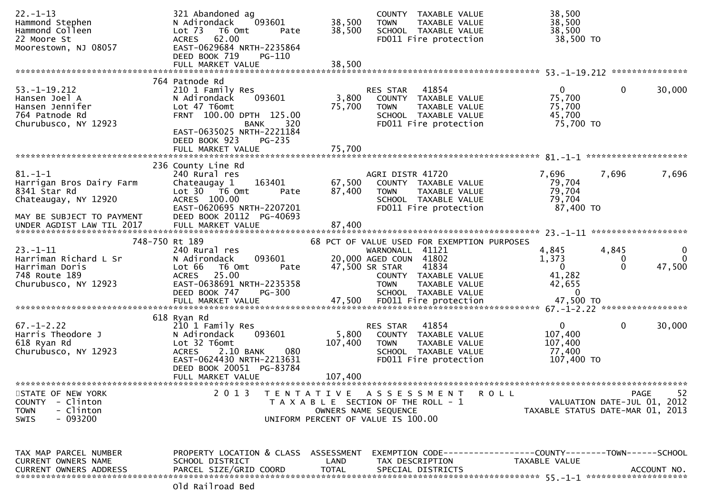| $22. - 1 - 13$<br>Hammond Stephen<br>Hammond Colleen                                                    | 321 Abandoned ag<br>N Adirondack<br>093601<br>Lot <sub>73</sub><br>T6 Omt<br>Pate                                                                                            | 38,500<br>38,500            | COUNTY TAXABLE VALUE<br>TAXABLE VALUE<br><b>TOWN</b><br>SCHOOL TAXABLE VALUE                                                 | 38,500<br>38,500<br>38,500                                 |                        |                                           |
|---------------------------------------------------------------------------------------------------------|------------------------------------------------------------------------------------------------------------------------------------------------------------------------------|-----------------------------|------------------------------------------------------------------------------------------------------------------------------|------------------------------------------------------------|------------------------|-------------------------------------------|
| 22 Moore St<br>Moorestown, NJ 08057                                                                     | ACRES 62.00<br>EAST-0629684 NRTH-2235864<br>DEED BOOK 719<br>PG-110                                                                                                          |                             | FD011 Fire protection                                                                                                        | 38,500 TO                                                  |                        |                                           |
|                                                                                                         |                                                                                                                                                                              |                             |                                                                                                                              |                                                            |                        |                                           |
| $53. - 1 - 19.212$<br>Hansen Joel A<br>Hansen Jennifer<br>764 Patnode Rd<br>Churubusco, NY 12923        | 764 Patnode Rd<br>210 1 Family Res<br>093601<br>N Adirondack<br>Lot 47 T6omt<br>FRNT 100.00 DPTH 125.00<br>320<br><b>BANK</b>                                                | 3,800<br>75,700             | RES STAR<br>41854<br>COUNTY TAXABLE VALUE<br><b>TOWN</b><br>TAXABLE VALUE<br>SCHOOL TAXABLE VALUE<br>FD011 Fire protection   | $\mathbf{0}$<br>75,700<br>75,700<br>45,700<br>75,700 TO    | $\mathbf{0}$           | 30,000                                    |
|                                                                                                         | EAST-0635025 NRTH-2221184<br>DEED BOOK 923<br>PG-235<br>FULL MARKET VALUE                                                                                                    | 75,700                      |                                                                                                                              |                                                            |                        |                                           |
|                                                                                                         | 236 County Line Rd                                                                                                                                                           |                             |                                                                                                                              |                                                            |                        |                                           |
| $81. - 1 - 1$<br>Harrigan Bros Dairy Farm<br>8341 Star Rd<br>Chateaugay, NY 12920                       | 240 Rural res<br>163401<br>Chateaugay 1<br>Lot 30 T6 Omt<br>Pate<br>ACRES 100.00<br>EAST-0620695 NRTH-2207201                                                                | 67,500<br>87,400            | AGRI DISTR 41720<br>COUNTY TAXABLE VALUE<br>TAXABLE VALUE<br><b>TOWN</b><br>SCHOOL TAXABLE VALUE<br>FD011 Fire protection    | 7,696<br>79,704<br>79,704<br>79,704<br>87,400 TO           | 7,696                  | 7,696                                     |
| MAY BE SUBJECT TO PAYMENT<br>UNDER AGDIST LAW TIL 2017                                                  | DEED BOOK 20112 PG-40693<br>FULL MARKET VALUE                                                                                                                                | 87,400                      |                                                                                                                              |                                                            |                        |                                           |
| 748-750 Rt 189                                                                                          |                                                                                                                                                                              |                             | 68 PCT OF VALUE USED FOR EXEMPTION PURPOSES                                                                                  |                                                            |                        |                                           |
| $23. - 1 - 11$<br>Harriman Richard L Sr<br>Harriman Doris<br>748 Route 189<br>Churubusco, NY 12923      | 240 Rural res<br>N Adirondack<br>093601<br>Lot 66<br>T6 Omt<br>Pate<br>25.00<br><b>ACRES</b><br>EAST-0638691 NRTH-2235358                                                    |                             | WARNONALL 41121<br>20,000 AGED COUN 41802<br>47,500 SR STAR<br>41834<br>COUNTY TAXABLE VALUE<br><b>TOWN</b><br>TAXABLE VALUE | 4,845<br>1,373<br>$\mathbf{0}$<br>41,282<br>42,655         | 4,845<br>0<br>$\Omega$ | $\mathbf{0}$<br>$\mathbf{0}$<br>47,500    |
|                                                                                                         | DEED BOOK 747<br><b>PG-300</b>                                                                                                                                               |                             | SCHOOL TAXABLE VALUE                                                                                                         | $\Omega$                                                   |                        |                                           |
|                                                                                                         | 618 Ryan Rd                                                                                                                                                                  |                             |                                                                                                                              |                                                            |                        |                                           |
| $67. - 1 - 2.22$<br>Harris Theodore J<br>618 Ryan Rd<br>Churubusco, NY 12923                            | 210 1 Family Res<br>N Adirondack<br>093601<br>Lot 32 T6omt<br>080<br>2.10 BANK<br><b>ACRES</b><br>EAST-0624430 NRTH-2213631<br>DEED BOOK 20051 PG-83784<br>FULL MARKET VALUE | 5,800<br>107,400<br>107,400 | 41854<br>RES STAR<br>COUNTY TAXABLE VALUE<br><b>TOWN</b><br>TAXABLE VALUE<br>SCHOOL TAXABLE VALUE<br>FD011 Fire protection   | $\mathbf{0}$<br>107,400<br>107,400<br>77,400<br>107,400 TO | $\mathbf{0}$           | 30,000                                    |
|                                                                                                         |                                                                                                                                                                              |                             |                                                                                                                              |                                                            |                        |                                           |
| STATE OF NEW YORK<br>- Clinton<br><b>COUNTY</b><br>- Clinton<br><b>TOWN</b><br>$-093200$<br><b>SWIS</b> | 2 0 1 3                                                                                                                                                                      |                             | TENTATIVE ASSESSMENT<br>T A X A B L E SECTION OF THE ROLL - 1<br>OWNERS NAME SEQUENCE<br>UNIFORM PERCENT OF VALUE IS 100.00  | R O L L<br>TAXABLE STATUS DATE-MAR 01, 2013                |                        | 52<br>PAGE<br>VALUATION DATE-JUL 01, 2012 |
| TAX MAP PARCEL NUMBER<br>CURRENT OWNERS NAME<br><b>CURRENT OWNERS ADDRESS</b>                           | PROPERTY LOCATION & CLASS ASSESSMENT<br>SCHOOL DISTRICT<br>PARCEL SIZE/GRID COORD<br>لهمو لهجمصائحهو لهات                                                                    | LAND<br><b>TOTAL</b>        | EXEMPTION CODE-----------------COUNTY-------TOWN------SCHOOL<br>TAX DESCRIPTION<br>SPECIAL DISTRICTS                         | TAXABLE VALUE                                              |                        | ACCOUNT NO.                               |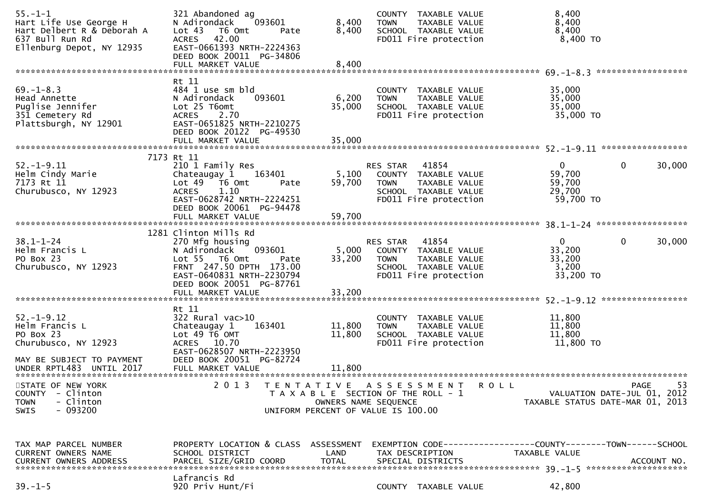| $55. - 1 - 1$<br>Hart Life Use George H<br>Hart Delbert R & Deborah A<br>637 Bull Run Rd<br>Ellenburg Depot, NY 12935 | 321 Abandoned ag<br>N Adirondack<br>093601<br>Lot <sub>43</sub><br>T6 Omt<br>Pate<br>ACRES 42.00<br>EAST-0661393 NRTH-2224363<br>DEED BOOK 20011 PG-34806                                            | 8,400<br>8,400                    | COUNTY TAXABLE VALUE<br>TAXABLE VALUE<br><b>TOWN</b><br>SCHOOL TAXABLE VALUE<br>FD011 Fire protection                      | 8,400<br>8,400<br>8,400<br>8,400 TO                                    |                    |
|-----------------------------------------------------------------------------------------------------------------------|------------------------------------------------------------------------------------------------------------------------------------------------------------------------------------------------------|-----------------------------------|----------------------------------------------------------------------------------------------------------------------------|------------------------------------------------------------------------|--------------------|
|                                                                                                                       | FULL MARKET VALUE                                                                                                                                                                                    | 8,400                             |                                                                                                                            |                                                                        | ****************** |
| $69. - 1 - 8.3$<br>Head Annette<br>Puglise Jennifer<br>351 Cemetery Rd<br>Plattsburgh, NY 12901                       | Rt 11<br>484 1 use sm bld<br>N Adirondack<br>093601<br>Lot 25 T6omt<br>2.70<br><b>ACRES</b><br>EAST-0651825 NRTH-2210275<br>DEED BOOK 20122 PG-49530<br>FULL MARKET VALUE                            | 6,200<br>35,000<br>35,000         | COUNTY TAXABLE VALUE<br><b>TOWN</b><br>TAXABLE VALUE<br>SCHOOL TAXABLE VALUE<br>FD011 Fire protection                      | 35,000<br>35,000<br>35,000<br>35,000 TO                                |                    |
|                                                                                                                       |                                                                                                                                                                                                      |                                   |                                                                                                                            |                                                                        |                    |
| $52. - 1 - 9.11$<br>Helm Cindy Marie<br>7173 Rt 11<br>Churubusco, NY 12923                                            | 7173 Rt 11<br>210 1 Family Res<br>Chateaugay 1<br>163401<br>Lot 49  T6 0mt<br>Pate<br>1.10<br><b>ACRES</b><br>EAST-0628742 NRTH-2224251<br>DEED BOOK 20061 PG-94478                                  | 5,100<br>59,700                   | 41854<br>RES STAR<br>COUNTY TAXABLE VALUE<br><b>TOWN</b><br>TAXABLE VALUE<br>SCHOOL TAXABLE VALUE<br>FD011 Fire protection | $\mathbf 0$<br>$\mathbf{0}$<br>59,700<br>59,700<br>29,700<br>59,700 TO | 30,000             |
|                                                                                                                       |                                                                                                                                                                                                      |                                   |                                                                                                                            |                                                                        |                    |
| $38.1 - 1 - 24$<br>Helm Francis L<br>PO Box 23<br>Churubusco, NY 12923                                                | 1281 Clinton Mills Rd<br>270 Mfg housing<br>093601<br>N Adirondack<br>Lot 55 T6 Omt<br>Pate<br>FRNT 247.50 DPTH 173.00<br>EAST-0640831 NRTH-2230794<br>DEED BOOK 20051 PG-87761<br>FULL MARKET VALUE | 5,000<br>33,200<br>33,200         | RES STAR<br>41854<br>COUNTY TAXABLE VALUE<br><b>TOWN</b><br>TAXABLE VALUE<br>SCHOOL TAXABLE VALUE<br>FD011 Fire protection | 0<br>0<br>33,200<br>33,200<br>3,200<br>33,200 TO                       | 30,000             |
|                                                                                                                       |                                                                                                                                                                                                      |                                   |                                                                                                                            |                                                                        |                    |
| $52. - 1 - 9.12$<br>Helm Francis L<br>PO Box 23<br>Churubusco, NY 12923<br>MAY BE SUBJECT TO PAYMENT                  | Rt 11<br>$322$ Rural vac $>10$<br>Chateaugay 1<br>163401<br>Lot 49 T6 OMT<br>ACRES 10.70<br>EAST-0628507 NRTH-2223950<br>DEED BOOK 20051 PG-82724                                                    | 11,800<br>11,800                  | COUNTY TAXABLE VALUE<br>TAXABLE VALUE<br><b>TOWN</b><br>SCHOOL TAXABLE VALUE<br>FD011 Fire protection                      | 11,800<br>11,800<br>11,800<br>11,800 TO                                |                    |
| UNDER RPTL483 UNTIL 2017<br>******************************                                                            | FULL MARKET VALUE<br>***************************                                                                                                                                                     | 11,800                            | **************************                                                                                                 |                                                                        |                    |
| STATE OF NEW YORK<br><b>COUNTY</b><br>- Clinton<br>- Clinton<br><b>TOWN</b><br>$-093200$<br><b>SWIS</b>               | 2 0 1 3                                                                                                                                                                                              | TENTATIVE<br>OWNERS NAME SEQUENCE | ASSESSMENT<br><b>ROLL</b><br>T A X A B L E SECTION OF THE ROLL - 1<br>UNIFORM PERCENT OF VALUE IS 100.00                   | VALUATION DATE-JUL 01, 2012<br>TAXABLE STATUS DATE-MAR 01, 2013        | 53<br>PAGE         |
| TAX MAP PARCEL NUMBER<br>CURRENT OWNERS NAME<br><b>CURRENT OWNERS ADDRESS</b>                                         | PROPERTY LOCATION & CLASS ASSESSMENT<br>SCHOOL DISTRICT<br>PARCEL SIZE/GRID COORD                                                                                                                    | LAND<br><b>TOTAL</b>              | EXEMPTION        CODE-----------------COUNTY-------TOWN------SCHOOL<br>TAX DESCRIPTION<br>SPECIAL DISTRICTS                | TAXABLE VALUE                                                          | ACCOUNT NO.        |
| $39. - 1 - 5$                                                                                                         | Lafrancis Rd<br>920 Priv Hunt/Fi                                                                                                                                                                     |                                   | COUNTY TAXABLE VALUE                                                                                                       | 42,800                                                                 |                    |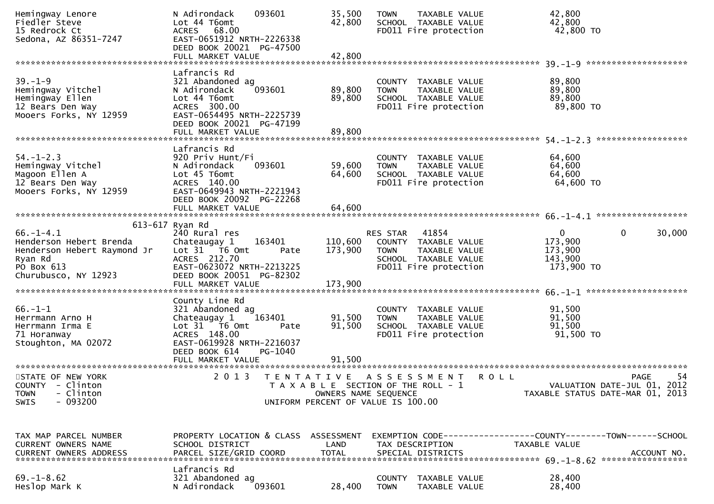| Hemingway Lenore<br>Fiedler Steve<br>15 Redrock Ct<br>Sedona, AZ 86351-7247                                                | 093601<br>N Adirondack<br>Lot 44 T6omt<br>ACRES 68.00<br>EAST-0651912 NRTH-2226338<br>DEED BOOK 20021 PG-47500<br>FULL MARKET VALUE                                                              | 35,500<br>42,800<br>42,800 | <b>TOWN</b><br>TAXABLE VALUE<br>SCHOOL TAXABLE VALUE<br>FD011 Fire protection                                                      | 42,800<br>42,800<br>42,800 TO                                                                       |
|----------------------------------------------------------------------------------------------------------------------------|--------------------------------------------------------------------------------------------------------------------------------------------------------------------------------------------------|----------------------------|------------------------------------------------------------------------------------------------------------------------------------|-----------------------------------------------------------------------------------------------------|
|                                                                                                                            |                                                                                                                                                                                                  |                            |                                                                                                                                    |                                                                                                     |
| $39. - 1 - 9$<br>Hemingway Vitchel<br>Hemingway Ellen<br>12 Bears Den Way<br>Mooers Forks, NY 12959                        | Lafrancis Rd<br>321 Abandoned ag<br>093601<br>N Adirondack<br>Lot 44 T6omt<br>ACRES 300.00<br>EAST-0654495 NRTH-2225739<br>DEED BOOK 20021 PG-47199<br>FULL MARKET VALUE                         | 89,800<br>89,800<br>89,800 | COUNTY TAXABLE VALUE<br><b>TOWN</b><br>TAXABLE VALUE<br>SCHOOL TAXABLE VALUE<br>FD011 Fire protection                              | 89,800<br>89,800<br>89,800<br>89,800 TO                                                             |
|                                                                                                                            |                                                                                                                                                                                                  |                            |                                                                                                                                    |                                                                                                     |
| $54. - 1 - 2.3$<br>Hemingway Vitchel<br>Magoon Ellen A<br>12 Bears Den Way<br>Mooers Forks, NY 12959                       | Lafrancis Rd<br>920 Priv Hunt/Fi<br>093601<br>N Adirondack<br>Lot 45 T6omt<br>ACRES 140.00<br>EAST-0649943 NRTH-2221943<br>DEED BOOK 20092 PG-22268                                              | 59,600<br>64,600           | COUNTY TAXABLE VALUE<br><b>TOWN</b><br>TAXABLE VALUE<br>SCHOOL TAXABLE VALUE<br>FD011 Fire protection                              | 64,600<br>64,600<br>64,600<br>64,600 TO                                                             |
|                                                                                                                            |                                                                                                                                                                                                  |                            |                                                                                                                                    |                                                                                                     |
|                                                                                                                            |                                                                                                                                                                                                  |                            |                                                                                                                                    |                                                                                                     |
| $66. - 1 - 4.1$<br>Henderson Hebert Brenda<br>Henderson Hebert Raymond Jr<br>Ryan Rd<br>PO Box 613<br>Churubusco, NY 12923 | 613-617 Ryan Rd<br>240 Rural res<br>163401<br>Chateaugay 1<br>Lot $31$ $\overline{76}$ Omt<br>Pate<br>ACRES 212.70<br>EAST-0623072 NRTH-2213225<br>DEED BOOK 20051 PG-82302<br>FULL MARKET VALUE | 173,900<br>173,900         | 41854<br>RES STAR<br>110,600 COUNTY TAXABLE VALUE<br><b>TOWN</b><br>TAXABLE VALUE<br>SCHOOL TAXABLE VALUE<br>FD011 Fire protection | $\mathbf{0}$<br>$\mathbf 0$<br>30,000<br>173,900<br>173,900<br>143,900<br>173,900 TO                |
|                                                                                                                            |                                                                                                                                                                                                  |                            |                                                                                                                                    |                                                                                                     |
| $66. - 1 - 1$<br>Herrmann Arno H<br>Herrmann Irma E<br>71 Horanway<br>Stoughton, MA 02072                                  | County Line Rd<br>321 Abandoned ag<br>163401<br>Chateaugay 1<br>Lot 31 T6 Omt<br>Pate<br>ACRES 148.00<br>EAST-0619928 NRTH-2216037<br>DEED BOOK 614<br>PG-1040                                   | 91,500<br>91,500           | COUNTY TAXABLE VALUE<br><b>TOWN</b><br>TAXABLE VALUE<br>SCHOOL TAXABLE VALUE<br>FD011 Fire protection                              | 91,500<br>91,500<br>91,500<br>91,500 TO                                                             |
|                                                                                                                            |                                                                                                                                                                                                  |                            |                                                                                                                                    |                                                                                                     |
| STATE OF NEW YORK<br>COUNTY - Clinton<br>- Clinton<br><b>TOWN</b><br>$-093200$<br><b>SWIS</b>                              | 2 0 1 3                                                                                                                                                                                          | OWNERS NAME SEQUENCE       | TENTATIVE ASSESSMENT<br>T A X A B L E SECTION OF THE ROLL - 1<br>UNIFORM PERCENT OF VALUE IS 100.00                                | 54<br><b>ROLL</b><br><b>PAGE</b><br>VALUATION DATE-JUL 01, 2012<br>TAXABLE STATUS DATE-MAR 01, 2013 |
| TAX MAP PARCEL NUMBER<br>CURRENT OWNERS NAME                                                                               | PROPERTY LOCATION & CLASS ASSESSMENT<br>SCHOOL DISTRICT                                                                                                                                          | LAND                       | TAX DESCRIPTION                                                                                                                    | EXEMPTION CODE-----------------COUNTY-------TOWN------SCHOOL<br>TAXABLE VALUE                       |
| $69. - 1 - 8.62$<br>Heslop Mark K                                                                                          | Lafrancis Rd<br>321 Abandoned ag<br>093601<br>N Adirondack                                                                                                                                       | 28,400                     | COUNTY<br>TAXABLE VALUE<br><b>TOWN</b><br>TAXABLE VALUE                                                                            | 28,400<br>28,400                                                                                    |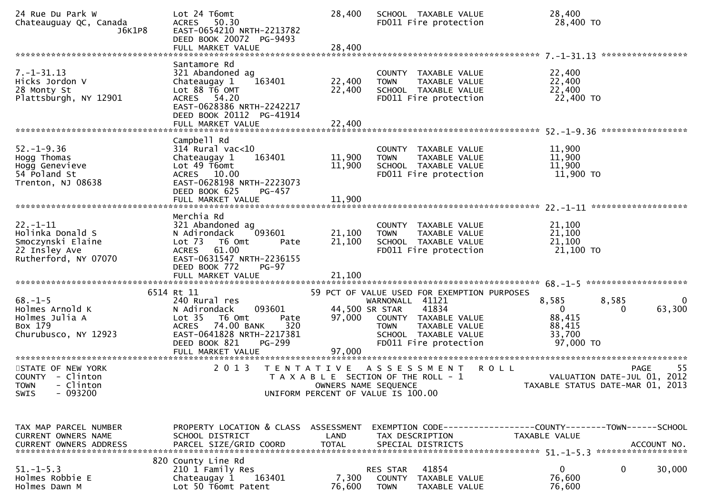| 24 Rue Du Park W<br>Chateauguay QC, Canada<br>J6K1P8                                             | Lot 24 T6omt<br>50.30<br><b>ACRES</b><br>EAST-0654210 NRTH-2213782<br>DEED BOOK 20072 PG-9493<br>FULL MARKET VALUE                                                                               | 28,400<br>28,400                   | SCHOOL TAXABLE VALUE<br>FD011 Fire protection                                                                                     | 28,400<br>28,400 TO                                                            |                   |
|--------------------------------------------------------------------------------------------------|--------------------------------------------------------------------------------------------------------------------------------------------------------------------------------------------------|------------------------------------|-----------------------------------------------------------------------------------------------------------------------------------|--------------------------------------------------------------------------------|-------------------|
| $7. - 1 - 31.13$<br>Hicks Jordon V<br>28 Monty St<br>Plattsburgh, NY 12901                       | Santamore Rd<br>321 Abandoned ag<br>163401<br>Chateaugay 1<br>Lot 88 T6 OMT<br>ACRES 54.20<br>EAST-0628386 NRTH-2242217<br>DEED BOOK 20112 PG-41914                                              | 22,400<br>22,400                   | COUNTY TAXABLE VALUE<br>TAXABLE VALUE<br><b>TOWN</b><br>SCHOOL TAXABLE VALUE<br>FD011 Fire protection                             | 22,400<br>22,400<br>22,400<br>22,400 TO                                        |                   |
|                                                                                                  | FULL MARKET VALUE                                                                                                                                                                                | 22,400                             |                                                                                                                                   |                                                                                |                   |
| $52. - 1 - 9.36$<br>Hogg Thomas<br>Hogg Genevieve<br>54 Poland St<br>Trenton, NJ 08638           | Campbell Rd<br>314 Rural vac<10<br>163401<br>Chateaugay 1<br>Lot 49 T6omt<br>ACRES 10.00<br>EAST-0628198 NRTH-2223073<br>DEED BOOK 625<br>$PG-457$                                               | 11,900<br>11,900                   | COUNTY TAXABLE VALUE<br>TAXABLE VALUE<br><b>TOWN</b><br>SCHOOL TAXABLE VALUE<br>FD011 Fire protection                             | 11,900<br>11,900<br>11,900<br>11,900 TO                                        |                   |
|                                                                                                  | FULL MARKET VALUE                                                                                                                                                                                | 11,900                             |                                                                                                                                   |                                                                                |                   |
| $22. - 1 - 11$<br>Holinka Donald S<br>Smoczynski Elaine<br>22 Insley Ave<br>Rutherford, NY 07070 | Merchia Rd<br>321 Abandoned ag<br>N Adirondack<br>093601<br>T6 Omt<br>Lot 73<br>Pate<br>ACRES 61.00<br>EAST-0631547 NRTH-2236155<br>DEED BOOK 772<br>PG-97                                       | 21,100<br>21,100                   | COUNTY TAXABLE VALUE<br><b>TOWN</b><br>TAXABLE VALUE<br>SCHOOL TAXABLE VALUE<br>FD011 Fire protection                             | 21,100<br>21,100<br>21,100<br>21,100 TO                                        |                   |
|                                                                                                  | 6514 Rt 11                                                                                                                                                                                       |                                    | 59 PCT OF VALUE USED FOR EXEMPTION PURPOSES                                                                                       |                                                                                |                   |
| $68. - 1 - 5$<br>Holmes Arnold K<br>Holmes Julia A<br>Box 179<br>Churubusco, NY 12923            | 240 Rural res<br>N Adirondack<br>093601<br>Lot <sub>35</sub><br>T6 Omt<br>Pate<br>74.00 BANK<br>320<br><b>ACRES</b><br>EAST-0641828 NRTH-2217381<br>PG-299<br>DEED BOOK 821<br>FULL MARKET VALUE | 44,500 SR STAR<br>97,000<br>97,000 | WARNONALL 41121<br>41834<br>COUNTY TAXABLE VALUE<br><b>TOWN</b><br>TAXABLE VALUE<br>SCHOOL TAXABLE VALUE<br>FD011 Fire protection | 8,585<br>8,585<br>$\Omega$<br>88,415<br>88,415<br>33,700<br>97,000 TO          | 0<br>63,300<br>0  |
| STATE OF NEW YORK<br>COUNTY - Clinton<br>TOWN - Clinton<br>$-093200$<br><b>SWIS</b>              | 2 0 1 3<br>T E N T A T I V E                                                                                                                                                                     | OWNERS NAME SEQUENCE               | A S S E S S M E N T<br>T A X A B L E SECTION OF THE ROLL - 1<br>UNIFORM PERCENT OF VALUE IS 100.00                                | <b>ROLL</b><br>VALUATION DATE-JUL 01, 2012<br>TAXABLE STATUS DATE-MAR 01, 2013 | 55<br><b>PAGE</b> |
| TAX MAP PARCEL NUMBER<br><b>CURRENT OWNERS NAME</b><br>CURRENT OWNERS ADDRESS                    | PROPERTY LOCATION & CLASS ASSESSMENT EXEMPTION CODE----------------COUNTY-------TOWN------SCHOOL<br>SCHOOL DISTRICT<br>PARCEL SIZE/GRID COORD                                                    | LAND<br><b>TOTAL</b>               | TAX DESCRIPTION<br>SPECIAL DISTRICTS                                                                                              | TAXABLE VALUE                                                                  | ACCOUNT NO.       |
| $51. - 1 - 5.3$<br>Holmes Robbie E<br>Holmes Dawn M                                              | 820 County Line Rd<br>210 1 Family Res<br>163401<br>Chateaugay 1<br>Lot 50 T6omt Patent                                                                                                          | 7,300<br>76,600                    | RES STAR<br>41854<br>COUNTY TAXABLE VALUE<br><b>TOWN</b><br>TAXABLE VALUE                                                         | $\mathbf{0}$<br>76,600<br>76,600                                               | 0<br>30,000       |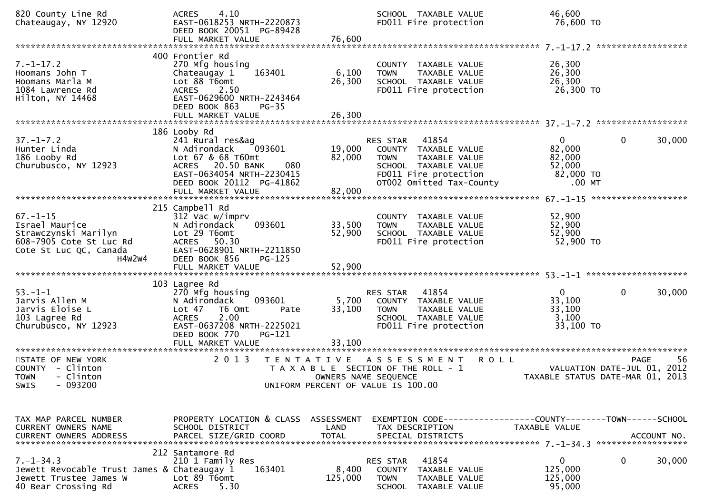| 820 County Line Rd<br>Chateaugay, NY 12920                                                                              | 4.10<br><b>ACRES</b><br>EAST-0618253 NRTH-2220873<br>DEED BOOK 20051 PG-89428                                                                                                            |                                           | SCHOOL TAXABLE VALUE<br>FD011 Fire protection                                                                                                          | 46,600<br>76,600 TO                                                 |                       |
|-------------------------------------------------------------------------------------------------------------------------|------------------------------------------------------------------------------------------------------------------------------------------------------------------------------------------|-------------------------------------------|--------------------------------------------------------------------------------------------------------------------------------------------------------|---------------------------------------------------------------------|-----------------------|
| $7. - 1 - 17.2$<br>Hoomans John T<br>Hoomans Marla M<br>1084 Lawrence Rd<br>Hilton, NY 14468                            | 400 Frontier Rd<br>270 Mfg housing<br>163401<br>Chateaugay 1<br>Lot 88 T6omt<br>ACRES 2.50<br>EAST-0629600 NRTH-2243464<br>DEED BOOK 863<br>$PG-35$                                      | 6,100<br>26,300                           | COUNTY TAXABLE VALUE<br><b>TOWN</b><br>TAXABLE VALUE<br>SCHOOL TAXABLE VALUE<br>FD011 Fire protection                                                  | 26,300<br>26,300<br>26,300<br>26,300 TO                             |                       |
| $37. - 1 - 7.2$<br>Hunter Linda<br>186 Looby Rd<br>Churubusco, NY 12923                                                 | 186 Looby Rd<br>241 Rural res&ag<br>093601<br>N Adirondack<br>Lot 67 & 68 T60mt<br>080<br>ACRES 20.50 BANK<br>EAST-0634054 NRTH-2230415<br>DEED BOOK 20112 PG-41862<br>FULL MARKET VALUE | 82,000<br>82,000                          | RES STAR<br>41854<br>19,000 COUNTY TAXABLE VALUE<br>TAXABLE VALUE<br>TOWN<br>SCHOOL TAXABLE VALUE<br>FD011 Fire protection<br>OT002 Omitted Tax-County | $\mathbf{0}$<br>82,000<br>82,000<br>52,000<br>82,000 TO<br>$.00$ MT | $\mathbf 0$<br>30,000 |
| $67. - 1 - 15$<br>Israel Maurice<br>Strawczynski Marilyn<br>608-7905 Cote St Luc Rd<br>Cote St Luc QC, Canada<br>H4W2W4 | 215 Campbell Rd<br>312 Vac w/imprv<br>N Adirondack<br>093601<br>Lot 29 T6omt<br>ACRES 50.30<br>EAST-0628901 NRTH-2211850<br>DEED BOOK 856<br>$PG-125$                                    | 33,500<br>52,900                          | COUNTY TAXABLE VALUE<br>TAXABLE VALUE<br><b>TOWN</b><br>SCHOOL TAXABLE VALUE<br>FD011 Fire protection                                                  | 52,900<br>52,900<br>52,900<br>52,900 TO                             |                       |
| $53. - 1 - 1$<br>Jarvis Allen M<br>Jarvis Eloise L<br>103 Lagree Rd<br>Churubusco, NY 12923                             | 103 Lagree Rd<br>270 Mfg housing<br>093601<br>N Adirondack<br>Lot 47 76 0mt<br>Pate<br><b>ACRES</b><br>2.00<br>EAST-0637208 NRTH-2225021<br>DEED BOOK 770<br>PG-121<br>FULL MARKET VALUE | 5,700<br>33,100<br>33,100                 | 41854<br>RES STAR<br>COUNTY TAXABLE VALUE<br>TAXABLE VALUE<br>TOWN<br>SCHOOL TAXABLE VALUE<br>FD011 Fire protection                                    | $\mathbf{0}$<br>33,100<br>33,100<br>3,100<br>33,100 TO              | $\mathbf 0$<br>30,000 |
| STATE OF NEW YORK<br>COUNTY - Clinton<br>- Clinton<br><b>TOWN</b><br>SWIS - 093200                                      | 2 0 1 3                                                                                                                                                                                  | T E N T A T I V E<br>OWNERS NAME SEQUENCE | ASSESSMENT ROLL<br>T A X A B L E SECTION OF THE ROLL - 1<br>UNIFORM PERCENT OF VALUE IS 100.00                                                         | VALUATION DATE-JUL 01, 2012<br>TAXABLE STATUS DATE-MAR 01, 2013     | PAGE<br>56            |
| TAX MAP PARCEL NUMBER<br>CURRENT OWNERS NAME                                                                            | PROPERTY LOCATION & CLASS ASSESSMENT<br>SCHOOL DISTRICT                                                                                                                                  | LAND                                      | EXEMPTION CODE-----------------COUNTY-------TOWN------SCHOOL<br>TAX DESCRIPTION                                                                        | TAXABLE VALUE                                                       |                       |
| $7. - 1 - 34.3$<br>Jewett Revocable Trust James & Chateaugay 1<br>Jewett Trustee James W<br>40 Bear Crossing Rd         | 212 Santamore Rd<br>210 1 Family Res<br>163401<br>Lot 89 T6omt<br><b>ACRES</b><br>5.30                                                                                                   | 8,400<br>125,000                          | 41854<br>RES STAR<br>COUNTY TAXABLE VALUE<br><b>TOWN</b><br>TAXABLE VALUE<br>SCHOOL TAXABLE VALUE                                                      | $\mathbf{0}$<br>125,000<br>125,000<br>95,000                        | 30,000<br>$\Omega$    |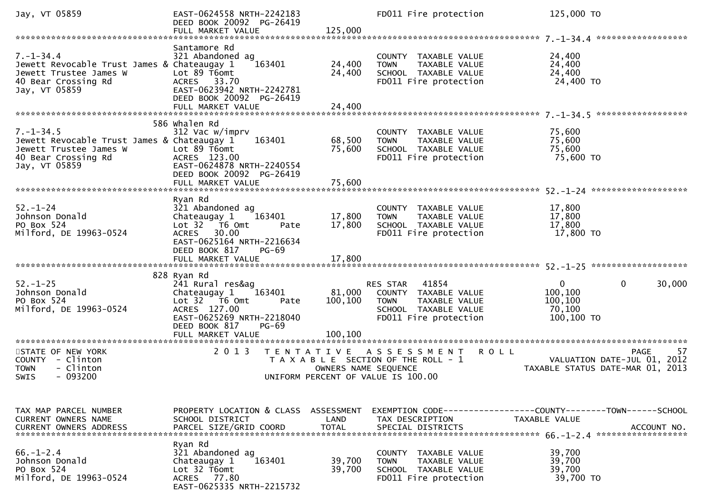| Jay, VT 05859                                                                                                                    | EAST-0624558 NRTH-2242183<br>DEED BOOK 20092 PG-26419<br>FULL MARKET VALUE                                                                                                       | 125,000                      | FD011 Fire protection                                                                                                      | 125,000 TO                                                                          |
|----------------------------------------------------------------------------------------------------------------------------------|----------------------------------------------------------------------------------------------------------------------------------------------------------------------------------|------------------------------|----------------------------------------------------------------------------------------------------------------------------|-------------------------------------------------------------------------------------|
| $7. - 1 - 34.4$<br>Jewett Revocable Trust James & Chateaugay 1<br>Jewett Trustee James W<br>40 Bear Crossing Rd<br>Jay, VT 05859 | Santamore Rd<br>321 Abandoned ag<br>163401<br>Lot 89 T6omt<br>ACRES 33.70<br>EAST-0623942 NRTH-2242781<br>DEED BOOK 20092 PG-26419<br>FULL MARKET VALUE                          | 24,400<br>24,400<br>24,400   | COUNTY TAXABLE VALUE<br>TAXABLE VALUE<br><b>TOWN</b><br>SCHOOL TAXABLE VALUE<br>FD011 Fire protection                      | 24,400<br>24,400<br>24,400<br>24,400 TO                                             |
|                                                                                                                                  | 586 whalen Rd                                                                                                                                                                    |                              |                                                                                                                            |                                                                                     |
| $7. - 1 - 34.5$<br>Jewett Revocable Trust James & Chateaugay 1<br>Jewett Trustee James W<br>40 Bear Crossing Rd<br>Jay, VT 05859 | 312 Vac w/imprv<br>163401<br>Lot 89 T6omt<br>ACRES 123.00<br>EAST-0624878 NRTH-2240554<br>DEED BOOK 20092 PG-26419                                                               | 68,500<br>75,600             | COUNTY TAXABLE VALUE<br><b>TOWN</b><br>TAXABLE VALUE<br>SCHOOL TAXABLE VALUE<br>FD011 Fire protection                      | 75,600<br>75,600<br>75,600<br>75,600 TO                                             |
|                                                                                                                                  | FULL MARKET VALUE                                                                                                                                                                | 75,600                       |                                                                                                                            |                                                                                     |
| $52. - 1 - 24$<br>Johnson Donald<br>PO Box 524<br>Milford, DE 19963-0524                                                         | Ryan Rd<br>321 Abandoned ag<br>Chateaugay 1<br>163401<br>Lot 32 76 0mt<br>Pate<br>ACRES 30.00<br>EAST-0625164 NRTH-2216634<br>DEED BOOK 817<br><b>PG-69</b><br>FULL MARKET VALUE | 17,800<br>17,800<br>17,800   | COUNTY TAXABLE VALUE<br>TAXABLE VALUE<br><b>TOWN</b><br>SCHOOL TAXABLE VALUE<br>FD011 Fire protection                      | 17,800<br>17,800<br>17,800<br>17,800 TO                                             |
|                                                                                                                                  | 828 Ryan Rd                                                                                                                                                                      |                              |                                                                                                                            |                                                                                     |
| $52. - 1 - 25$<br>Johnson Donald<br>PO Box 524<br>Milford, DE 19963-0524                                                         | 241 Rural res&ag<br>Chateaugay 1<br>163401<br>Lot 32 76 0mt<br>Pate<br>ACRES 127.00<br>EAST-0625269 NRTH-2218040<br>DEED BOOK 817<br><b>PG-69</b><br>FULL MARKET VALUE           | 81,000<br>100,100<br>100.100 | 41854<br>RES STAR<br>COUNTY TAXABLE VALUE<br><b>TOWN</b><br>TAXABLE VALUE<br>SCHOOL TAXABLE VALUE<br>FD011 Fire protection | $\mathbf 0$<br>$\mathbf{0}$<br>30,000<br>100,100<br>100,100<br>70,100<br>100,100 TO |
|                                                                                                                                  | ******************                                                                                                                                                               |                              |                                                                                                                            |                                                                                     |
| STATE OF NEW YORK<br>COUNTY - Clinton<br><b>TOWN</b><br>- Clinton<br>$-093200$<br>SWIS                                           | 2013<br>T E N T A T I V E                                                                                                                                                        | OWNERS NAME SEQUENCE         | R O L L<br>A S S E S S M E N T<br>T A X A B L E SECTION OF THE ROLL - 1<br>UNIFORM PERCENT OF VALUE IS 100.00              | -57<br>PAGE<br>VALUATION DATE-JUL 01, 2012<br>TAXABLE STATUS DATE-MAR 01, 2013      |
|                                                                                                                                  |                                                                                                                                                                                  |                              |                                                                                                                            |                                                                                     |
| TAX MAP PARCEL NUMBER<br>CURRENT OWNERS NAME                                                                                     | PROPERTY LOCATION & CLASS<br>SCHOOL DISTRICT                                                                                                                                     | ASSESSMENT<br>LAND           | TAX DESCRIPTION                                                                                                            | TAXABLE VALUE                                                                       |
| $66. - 1 - 2.4$<br>Johnson Donald<br>PO Box 524<br>Milford, DE 19963-0524                                                        | Ryan Rd<br>321 Abandoned ag<br>163401<br>Chateaugay 1<br>Lot 32 T6omt<br>ACRES 77.80<br>EAST-0625335 NRTH-2215732                                                                | 39,700<br>39,700             | COUNTY TAXABLE VALUE<br>TAXABLE VALUE<br><b>TOWN</b><br>SCHOOL TAXABLE VALUE<br>FD011 Fire protection                      | 39,700<br>39,700<br>39,700<br>39,700 TO                                             |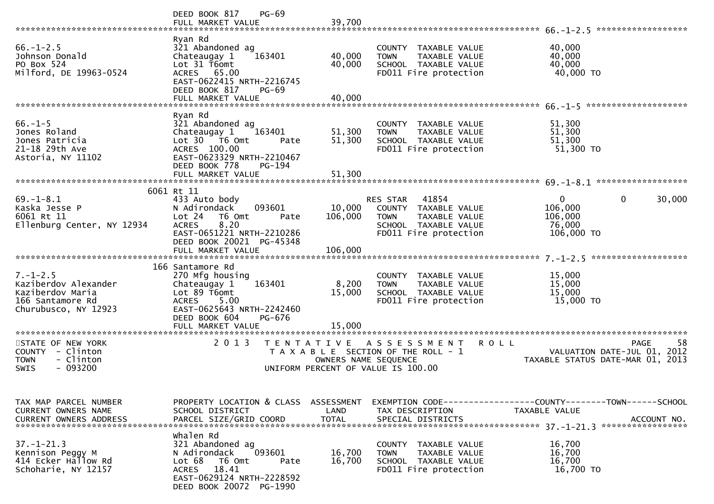|                                                                                                                 | PG-69<br>DEED BOOK 817<br>FULL MARKET VALUE                                                                                                                                             | 39,700                             |                                                                                                                            | ******************<br>$66. - 1 - 2.5$                                                           |
|-----------------------------------------------------------------------------------------------------------------|-----------------------------------------------------------------------------------------------------------------------------------------------------------------------------------------|------------------------------------|----------------------------------------------------------------------------------------------------------------------------|-------------------------------------------------------------------------------------------------|
| $66. - 1 - 2.5$<br>Johnson Donald<br>PO Box 524<br>Milford, DE 19963-0524                                       | Ryan Rd<br>321 Abandoned ag<br>163401<br>Chateaugay 1<br>Lot 31 T6omt<br>ACRES 65.00<br>EAST-0622415 NRTH-2216745<br>DEED BOOK 817<br>PG-69<br>FULL MARKET VALUE                        | 40,000<br>40,000<br>40,000         | COUNTY TAXABLE VALUE<br>TAXABLE VALUE<br><b>TOWN</b><br>SCHOOL TAXABLE VALUE<br>FD011 Fire protection                      | 40,000<br>40,000<br>40,000<br>40,000 TO                                                         |
|                                                                                                                 |                                                                                                                                                                                         |                                    |                                                                                                                            |                                                                                                 |
| $66. - 1 - 5$<br>Jones Roland<br>Jones Patricia<br>21-18 29th Ave<br>Astoria, NY 11102                          | Ryan Rd<br>321 Abandoned ag<br>Chateaugay 1<br>163401<br>$Lot 30 76 0$ $mt$<br>Pate<br>ACRES 100.00<br>EAST-0623329 NRTH-2210467<br>DEED BOOK 778<br><b>PG-194</b><br>FULL MARKET VALUE | 51,300<br>51,300<br>51,300         | COUNTY TAXABLE VALUE<br><b>TOWN</b><br>TAXABLE VALUE<br>SCHOOL TAXABLE VALUE<br>FD011 Fire protection                      | 51,300<br>51,300<br>51,300<br>51,300 TO                                                         |
|                                                                                                                 |                                                                                                                                                                                         |                                    |                                                                                                                            |                                                                                                 |
| $69. - 1 - 8.1$<br>Kaska Jesse P<br>6061 Rt 11<br>Ellenburg Center, NY 12934                                    | 6061 Rt 11<br>433 Auto body<br>093601<br>N Adirondack<br>Lot 24<br>T6 Omt<br>Pate<br>8.20<br><b>ACRES</b><br>EAST-0651221 NRTH-2210286<br>DEED BOOK 20021 PG-45348                      | 10,000<br>106,000                  | RES STAR<br>41854<br>COUNTY TAXABLE VALUE<br><b>TOWN</b><br>TAXABLE VALUE<br>SCHOOL TAXABLE VALUE<br>FD011 Fire protection | $\mathbf 0$<br>0<br>30,000<br>106,000<br>106,000<br>76,000<br>106,000 TO                        |
|                                                                                                                 | FULL MARKET VALUE                                                                                                                                                                       | 106,000                            |                                                                                                                            |                                                                                                 |
| $7. - 1 - 2.5$<br>Kaziberdov Alexander<br>Kaziberdov Maria<br>166 Santamore Rd<br>Churubusco, NY 12923          | 166 Santamore Rd<br>270 Mfg housing<br>163401<br>Chateaugay 1<br>Lot 89 T6omt<br>5.00<br><b>ACRES</b><br>EAST-0625643 NRTH-2242460<br>DEED BOOK 604<br>PG-676                           | 8,200<br>15,000                    | COUNTY TAXABLE VALUE<br><b>TOWN</b><br>TAXABLE VALUE<br>SCHOOL TAXABLE VALUE<br>FD011 Fire protection                      | *******************<br>15,000<br>15,000<br>15,000<br>15,000 TO                                  |
|                                                                                                                 | FULL MARKET VALUE                                                                                                                                                                       | 15,000                             |                                                                                                                            |                                                                                                 |
| *********************<br>STATE OF NEW YORK<br>COUNTY - Clinton<br>- Clinton<br><b>TOWN</b><br>$-093200$<br>SWIS | ********************<br>2 0 1 3<br>T E N T A T I V E                                                                                                                                    | OWNERS NAME SEQUENCE               | A S S E S S M E N T<br>T A X A B L E SECTION OF THE ROLL - 1<br>UNIFORM PERCENT OF VALUE IS 100.00                         | 58<br><b>PAGE</b><br>R O L L<br>VALUATION DATE-JUL 01, 2012<br>TAXABLE STATUS DATE-MAR 01, 2013 |
| TAX MAP PARCEL NUMBER<br>CURRENT OWNERS NAME<br><b>CURRENT OWNERS ADDRESS</b>                                   | PROPERTY LOCATION & CLASS<br>SCHOOL DISTRICT<br>PARCEL SIZE/GRID COORD                                                                                                                  | ASSESSMENT<br>LAND<br><b>TOTAL</b> | TAX DESCRIPTION<br>SPECIAL DISTRICTS                                                                                       | TAXABLE VALUE<br>ACCOUNT NO.                                                                    |
| $37. - 1 - 21.3$<br>Kennison Peggy M<br>414 Ecker Hallow Rd<br>Schoharie, NY 12157                              | Whalen Rd<br>321 Abandoned ag<br>093601<br>N Adirondack<br>Lot 68<br>T6 Omt<br>Pate<br>18.41<br>ACRES<br>EAST-0629124 NRTH-2228592<br>DEED BOOK 20072 PG-1990                           | 16,700<br>16,700                   | COUNTY TAXABLE VALUE<br>TAXABLE VALUE<br><b>TOWN</b><br>SCHOOL TAXABLE VALUE<br>FD011 Fire protection                      | 16,700<br>16,700<br>16,700<br>16,700 TO                                                         |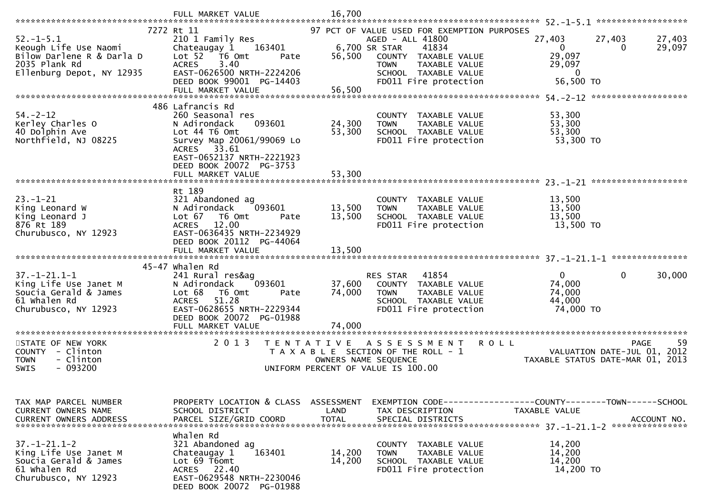| FULL MARKET VALUE                                                                                                                                                                                        | 16,700                                   |                                                                                                                                               |                                                                                                                                                                             |                                                                                                                              |
|----------------------------------------------------------------------------------------------------------------------------------------------------------------------------------------------------------|------------------------------------------|-----------------------------------------------------------------------------------------------------------------------------------------------|-----------------------------------------------------------------------------------------------------------------------------------------------------------------------------|------------------------------------------------------------------------------------------------------------------------------|
| 7272 Rt 11<br>210 1 Family Res<br>163401<br>Chateaugay 1<br>Lot 52 T6 Omt<br>Pate<br>3.40<br><b>ACRES</b><br>EAST-0626500 NRTH-2224206<br>DEED BOOK 99001 PG-14403<br>FULL MARKET VALUE                  | 56,500<br>56,500                         | 41834<br>COUNTY TAXABLE VALUE<br>TAXABLE VALUE<br><b>TOWN</b><br>SCHOOL TAXABLE VALUE<br>FD011 Fire protection                                | 27,403<br>27,403<br>0<br>$\Omega$<br>29,097<br>29,097<br>$\mathbf 0$<br>56,500 TO                                                                                           | 27,403<br>29,097                                                                                                             |
| 486 Lafrancis Rd<br>260 Seasonal res<br>093601<br>N Adirondack<br>Lot 44 T6 Omt<br>Survey Map 20061/99069 Lo<br>ACRES 33.61<br>EAST-0652137 NRTH-2221923<br>DEED BOOK 20072 PG-3753<br>FULL MARKET VALUE | 24,300<br>53,300<br>53,300               | COUNTY TAXABLE VALUE<br>TAXABLE VALUE<br><b>TOWN</b><br>SCHOOL TAXABLE VALUE<br>FD011 Fire protection                                         | 53,300<br>53,300<br>53,300<br>53,300 TO                                                                                                                                     |                                                                                                                              |
| Rt 189<br>321 Abandoned ag<br>N Adirondack<br>093601<br>Lot 67 T6 Omt<br>Pate<br><b>ACRES</b><br>12.00<br>EAST-0636435 NRTH-2234929<br>DEED BOOK 20112 PG-44064<br>FULL MARKET VALUE                     | 13,500<br>13,500<br>13,500               | COUNTY TAXABLE VALUE<br>TAXABLE VALUE<br><b>TOWN</b><br>SCHOOL TAXABLE VALUE<br>FD011 Fire protection                                         | 13,500<br>13,500<br>13,500<br>13,500 TO                                                                                                                                     |                                                                                                                              |
| 45-47 whalen Rd<br>241 Rural res&ag<br>093601<br>N Adirondack<br>Lot 68<br>T6 Omt<br>Pate<br><b>ACRES</b><br>51.28<br>EAST-0628655 NRTH-2229344<br>DEED BOOK 20072 PG-01988<br>FULL MARKET VALUE         | 37,600<br>74,000<br>74,000               | 41854<br>COUNTY TAXABLE VALUE<br><b>TOWN</b><br>TAXABLE VALUE<br>SCHOOL TAXABLE VALUE<br>FD011 Fire protection                                | $\mathbf{0}$<br>$\mathbf{0}$<br>74,000<br>74,000<br>44,000<br>74,000 TO                                                                                                     | 30,000                                                                                                                       |
| 2 0 1 3                                                                                                                                                                                                  |                                          |                                                                                                                                               | <b>PAGE</b><br>VALUATION DATE-JUL 01, 2012<br>TAXABLE STATUS DATE-MAR 01, 2013                                                                                              | 59                                                                                                                           |
| SCHOOL DISTRICT<br>PARCEL SIZE/GRID COORD<br>Whalen Rd<br>321 Abandoned ag<br>163401<br>Chateaugay 1<br>Lot 69 T6omt<br>ACRES 22.40<br>EAST-0629548 NRTH-2230046                                         | LAND<br><b>TOTAL</b><br>14,200<br>14,200 | TAX DESCRIPTION<br>SPECIAL DISTRICTS<br>COUNTY TAXABLE VALUE<br><b>TOWN</b><br>TAXABLE VALUE<br>SCHOOL TAXABLE VALUE<br>FD011 Fire protection | TAXABLE VALUE<br>14,200<br>14,200<br>14,200<br>14,200 TO                                                                                                                    | ACCOUNT NO.                                                                                                                  |
|                                                                                                                                                                                                          |                                          | T E N T A T I V E<br>PROPERTY LOCATION & CLASS ASSESSMENT                                                                                     | AGED - ALL 41800<br>6,700 SR STAR<br>RES STAR<br>A S S E S S M E N T<br>T A X A B L E SECTION OF THE ROLL - 1<br>OWNERS NAME SEQUENCE<br>UNIFORM PERCENT OF VALUE IS 100.00 | 97 PCT OF VALUE USED FOR EXEMPTION PURPOSES<br><b>ROLL</b><br>EXEMPTION CODE------------------COUNTY--------TOWN------SCHOOL |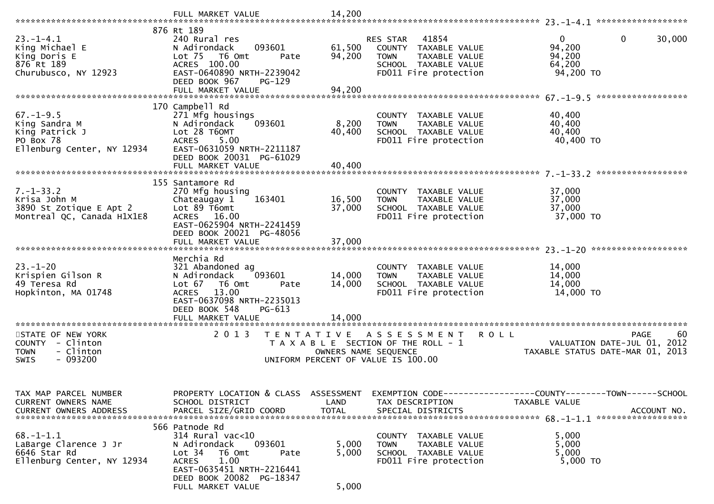|                                                                                               | FULL MARKET VALUE                                                                                                                                                                                | 14,200                     |                                                                                                                            |                                                                                              |
|-----------------------------------------------------------------------------------------------|--------------------------------------------------------------------------------------------------------------------------------------------------------------------------------------------------|----------------------------|----------------------------------------------------------------------------------------------------------------------------|----------------------------------------------------------------------------------------------|
|                                                                                               | 876 Rt 189                                                                                                                                                                                       |                            |                                                                                                                            |                                                                                              |
| $23. - 1 - 4.1$<br>King Michael E<br>King Doris E<br>876 Rt 189<br>Churubusco, NY 12923       | 240 Rural res<br>093601<br>N Adirondack<br>Lot <sub>75</sub><br>T6 Omt<br>Pate<br>ACRES 100.00<br>EAST-0640890 NRTH-2239042<br>DEED BOOK 967<br>PG-129<br>FULL MARKET VALUE                      | 61,500<br>94,200<br>94,200 | 41854<br>RES STAR<br>COUNTY TAXABLE VALUE<br>TAXABLE VALUE<br><b>TOWN</b><br>SCHOOL TAXABLE VALUE<br>FD011 Fire protection | 0<br>$\overline{0}$<br>30,000<br>94,200<br>94,200<br>64,200<br>94,200 TO                     |
|                                                                                               |                                                                                                                                                                                                  |                            |                                                                                                                            |                                                                                              |
| $67. - 1 - 9.5$<br>King Sandra M<br>King Patrick J<br>PO Box 78<br>Ellenburg Center, NY 12934 | 170 Campbell Rd<br>271 Mfg housings<br>N Adirondack<br>093601<br>Lot 28 T60MT<br>5.00<br><b>ACRES</b><br>EAST-0631059 NRTH-2211187<br>DEED BOOK 20031 PG-61029<br>FULL MARKET VALUE              | 8,200<br>40,400<br>40,400  | COUNTY TAXABLE VALUE<br>TAXABLE VALUE<br><b>TOWN</b><br>SCHOOL TAXABLE VALUE<br>FD011 Fire protection                      | 40,400<br>40,400<br>40,400<br>40,400 TO                                                      |
|                                                                                               |                                                                                                                                                                                                  |                            |                                                                                                                            |                                                                                              |
| $7. - 1 - 33.2$<br>Krisa John M<br>3890 St Zotique E Apt 2<br>Montreal QC, Canada H1X1E8      | 155 Santamore Rd<br>270 Mfg housing<br>Chateaugay 1<br>163401<br>Lot 89 T6omt<br>ACRES 16.00<br>EAST-0625904 NRTH-2241459<br>DEED BOOK 20021 PG-48056<br>FULL MARKET VALUE                       | 16,500<br>37,000<br>37,000 | COUNTY TAXABLE VALUE<br>TAXABLE VALUE<br><b>TOWN</b><br>SCHOOL TAXABLE VALUE<br>FD011 Fire protection                      | 37,000<br>37,000<br>37,000<br>37,000 TO                                                      |
|                                                                                               |                                                                                                                                                                                                  |                            |                                                                                                                            |                                                                                              |
| $23 - 1 - 20$<br>Krispien Gilson R<br>49 Teresa Rd<br>Hopkinton, MA 01748                     | Merchia Rd<br>321 Abandoned ag<br>N Adirondack<br>093601<br>Lot 67<br>T6 Omt<br>Pate<br>13.00<br><b>ACRES</b><br>EAST-0637098 NRTH-2235013<br>DEED BOOK 548<br>PG-613<br>FULL MARKET VALUE       | 14,000<br>14,000<br>14,000 | COUNTY TAXABLE VALUE<br><b>TAXABLE VALUE</b><br><b>TOWN</b><br>SCHOOL TAXABLE VALUE<br>FD011 Fire protection               | 14,000<br>14,000<br>14,000<br>14,000 TO                                                      |
| STATE OF NEW YORK<br>COUNTY - Clinton<br><b>TOWN</b><br>- Clinton<br>$-093200$<br>SWIS        | 2 0 1 3<br>T E N T A T I V E                                                                                                                                                                     | OWNERS NAME SEQUENCE       | <b>ROLL</b><br>A S S E S S M E N T<br>T A X A B L E SECTION OF THE ROLL - 1<br>UNIFORM PERCENT OF VALUE IS 100.00          | 60<br><b>PAGE</b><br>VALUATION DATE-JUL 01,<br>2012<br>TAXABLE STATUS DATE-MAR 01,<br>2013   |
| TAX MAP PARCEL NUMBER<br>CURRENT OWNERS NAME<br><b>CURRENT OWNERS ADDRESS</b>                 | PROPERTY LOCATION & CLASS ASSESSMENT<br>SCHOOL DISTRICT<br>PARCEL SIZE/GRID COORD                                                                                                                | LAND<br><b>TOTAL</b>       | TAX DESCRIPTION<br>SPECIAL DISTRICTS                                                                                       | EXEMPTION CODE-----------------COUNTY-------TOWN------SCHOOL<br>TAXABLE VALUE<br>ACCOUNT NO. |
| $68. - 1 - 1.1$<br>LaBarge Clarence J Jr<br>6646 Star Rd<br>Ellenburg Center, NY 12934        | 566 Patnode Rd<br>$314$ Rural vac<10<br>093601<br>N Adirondack<br>Lot 34<br>T6 Omt<br>Pate<br>1.00<br><b>ACRES</b><br>EAST-0635451 NRTH-2216441<br>DEED BOOK 20082 PG-18347<br>FULL MARKET VALUE | 5,000<br>5,000<br>5,000    | COUNTY TAXABLE VALUE<br>TAXABLE VALUE<br>TOWN<br>SCHOOL TAXABLE VALUE<br>FD011 Fire protection                             | 5,000<br>5,000<br>5,000<br>5,000 TO                                                          |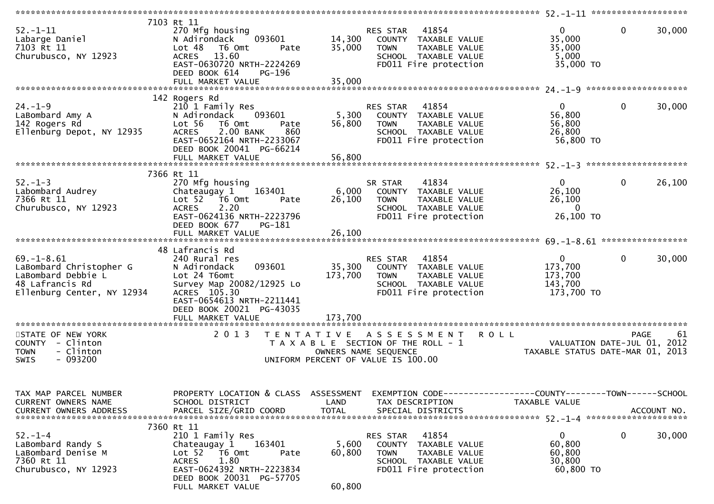| $52. - 1 - 11$<br>Labarge Daniel<br>7103 Rt 11<br>Churubusco, NY 12923                                             | 7103 Rt 11<br>270 Mfg housing<br>093601<br>N Adirondack<br>Lot <sub>48</sub><br>T6 Omt<br>Pate<br>13.60<br><b>ACRES</b><br>EAST-0630720 NRTH-2224269<br>DEED BOOK 614<br>PG-196                       | 14,300<br>35,000             | RES STAR 41854<br>COUNTY TAXABLE VALUE<br>TAXABLE VALUE<br><b>TOWN</b><br>SCHOOL TAXABLE VALUE<br>FD011 Fire protection          | $\overline{0}$<br>35,000<br>35,000<br>5,000<br>35,000 TO        | $\mathbf 0$<br>30,000  |
|--------------------------------------------------------------------------------------------------------------------|-------------------------------------------------------------------------------------------------------------------------------------------------------------------------------------------------------|------------------------------|----------------------------------------------------------------------------------------------------------------------------------|-----------------------------------------------------------------|------------------------|
|                                                                                                                    |                                                                                                                                                                                                       |                              |                                                                                                                                  |                                                                 |                        |
| $24. - 1 - 9$<br>LaBombard Amy A<br>142 Rogers Rd<br>Ellenburg Depot, NY 12935                                     | 142 Rogers Rd<br>210 1 Family Res<br>N Adirondack<br>093601<br>Lot 56<br>T6 Omt<br>Pate<br>2.00 BANK<br><b>ACRES</b><br>860<br>EAST-0652164 NRTH-2233067<br>DEED BOOK 20041 PG-66214                  | 5,300<br>56,800              | RES STAR 41854<br>COUNTY TAXABLE VALUE<br>TAXABLE VALUE<br><b>TOWN</b><br>SCHOOL TAXABLE VALUE<br>FD011 Fire protection          | $\mathbf{0}$<br>56,800<br>56,800<br>26,800<br>56,800 TO         | $\mathbf 0$<br>30,000  |
|                                                                                                                    |                                                                                                                                                                                                       |                              |                                                                                                                                  |                                                                 |                        |
| $52 - 1 - 3$<br>Labombard Audrey<br>7366 Rt 11<br>Churubusco, NY 12923                                             | 7366 Rt 11<br>270 Mfg housing<br>Chateaugay 1<br>163401<br>Lot 52 T6 Omt<br>Pate<br>2.20<br><b>ACRES</b><br>EAST-0624136 NRTH-2223796<br>DEED BOOK 677<br>PG-181                                      | 6,000<br>26,100              | 41834<br>SR STAR<br>COUNTY TAXABLE VALUE<br><b>TOWN</b><br>TAXABLE VALUE<br>SCHOOL TAXABLE VALUE<br>FD011 Fire protection        | $\mathbf{0}$<br>26,100<br>26,100<br>$\mathbf{0}$<br>26,100 ТО   | $\mathbf 0$<br>26,100  |
|                                                                                                                    |                                                                                                                                                                                                       |                              |                                                                                                                                  |                                                                 |                        |
| $69. - 1 - 8.61$<br>LaBombard Christopher G<br>LaBombard Debbie L<br>48 Lafrancis Rd<br>Ellenburg Center, NY 12934 | 48 Lafrancis Rd<br>240 Rural res<br>093601<br>N Adirondack<br>Lot 24 T6omt<br>Survey Map 20082/12925 Lo<br>ACRES 105.30<br>EAST-0654613 NRTH-2211441<br>DEED BOOK 20021 PG-43035<br>FULL MARKET VALUE | 35,300<br>173,700<br>173,700 | RES STAR 41854<br>COUNTY TAXABLE VALUE<br><b>TOWN</b><br>TAXABLE VALUE<br>SCHOOL TAXABLE VALUE<br>FD011 Fire protection          | $\mathbf{0}$<br>173,700<br>173,700<br>143,700<br>173,700 TO     | $\mathbf{0}$<br>30,000 |
| STATE OF NEW YORK<br>COUNTY - Clinton<br>- Clinton<br><b>TOWN</b><br>$-093200$<br>SWIS                             | 2 0 1 3                                                                                                                                                                                               |                              | TENTATIVE ASSESSMENT ROLL<br>T A X A B L E SECTION OF THE ROLL - 1<br>OWNERS NAME SEQUENCE<br>UNIFORM PERCENT OF VALUE IS 100.00 | VALUATION DATE-JUL 01, 2012<br>TAXABLE STATUS DATE-MAR 01, 2013 | PAGE<br>-61            |
| TAX MAP PARCEL NUMBER<br>CURRENT OWNERS NAME<br><b>CURRENT OWNERS ADDRESS</b>                                      | PROPERTY LOCATION & CLASS ASSESSMENT<br>SCHOOL DISTRICT<br>PARCEL SIZE/GRID COORD                                                                                                                     | LAND<br><b>TOTAL</b>         | EXEMPTION CODE-----------------COUNTY-------TOWN------SCHOOL<br>TAX DESCRIPTION<br>SPECIAL DISTRICTS                             | TAXABLE VALUE                                                   | ACCOUNT NO.            |
| $52 - 1 - 4$<br>LaBombard Randy S<br>LaBombard Denise M<br>7360 Rt 11<br>Churubusco, NY 12923                      | 7360 Rt 11<br>210 1 Family Res<br>163401<br>Chateaugay 1<br>Lot 52 T6 Omt<br>Pate<br>1.80<br>ACRES<br>EAST-0624392 NRTH-2223834<br>DEED BOOK 20031 PG-57705<br>FULL MARKET VALUE                      | 5,600<br>60,800<br>60,800    | 41854<br>RES STAR<br>COUNTY<br>TAXABLE VALUE<br><b>TOWN</b><br>TAXABLE VALUE<br>SCHOOL TAXABLE VALUE<br>FD011 Fire protection    | $\mathbf{0}$<br>60,800<br>60,800<br>30,800<br>60,800 TO         | 0<br>30,000            |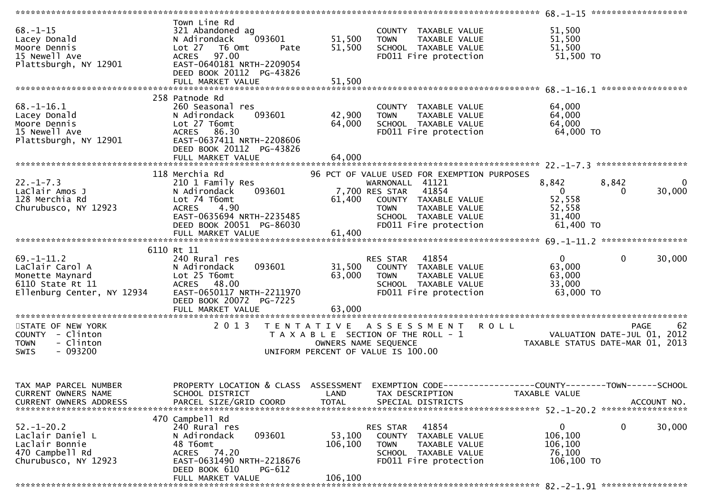| $68. - 1 - 15$<br>Lacey Donald<br>Moore Dennis<br>15 Newell Ave<br>Plattsburgh, NY 12901                 | Town Line Rd<br>321 Abandoned ag<br>N Adirondack<br>093601<br>Lot 27<br>T6 Omt<br>Pate<br>97.00<br><b>ACRES</b><br>EAST-0640181 NRTH-2209054<br>DEED BOOK 20112 PG-43826           | 51,500<br>51,500             | COUNTY TAXABLE VALUE<br>TAXABLE VALUE<br><b>TOWN</b><br>SCHOOL TAXABLE VALUE<br>FD011 Fire protection                                                                                              | 51,500<br>51,500<br>51,500<br>51,500 TO                            |                                                                                  |
|----------------------------------------------------------------------------------------------------------|------------------------------------------------------------------------------------------------------------------------------------------------------------------------------------|------------------------------|----------------------------------------------------------------------------------------------------------------------------------------------------------------------------------------------------|--------------------------------------------------------------------|----------------------------------------------------------------------------------|
|                                                                                                          |                                                                                                                                                                                    |                              |                                                                                                                                                                                                    |                                                                    |                                                                                  |
| $68. - 1 - 16.1$<br>Lacey Donald<br>Moore Dennis<br>15 Newell Ave<br>Plattsburgh, NY 12901               | 258 Patnode Rd<br>260 Seasonal res<br>093601<br>N Adirondack<br>Lot 27 T6omt<br>ACRES 86.30<br>EAST-0637411 NRTH-2208606<br>DEED BOOK 20112 PG-43826<br>FULL MARKET VALUE          | 42,900<br>64,000<br>64,000   | COUNTY TAXABLE VALUE<br>TAXABLE VALUE<br>TOWN<br>SCHOOL TAXABLE VALUE<br>FD011 Fire protection                                                                                                     | 64,000<br>64,000<br>64,000<br>64,000 TO                            |                                                                                  |
|                                                                                                          |                                                                                                                                                                                    |                              |                                                                                                                                                                                                    |                                                                    |                                                                                  |
| $22. - 1 - 7.3$<br>LaClair Amos J<br>128 Merchia Rd<br>Churubusco, NY 12923                              | 118 Merchia Rd<br>210 1 Family Res<br>093601<br>N Adirondack<br>Lot 74 T6omt<br>4.90<br><b>ACRES</b><br>EAST-0635694 NRTH-2235485<br>DEED BOOK 20051 PG-86030<br>FULL MARKET VALUE | 61,400<br>61,400             | 96 PCT OF VALUE USED FOR EXEMPTION PURPOSES<br>WARNONALL 41121<br>7,700 RES STAR<br>41854<br>COUNTY TAXABLE VALUE<br>TAXABLE VALUE<br><b>TOWN</b><br>SCHOOL TAXABLE VALUE<br>FD011 Fire protection | 8,842<br>$\overline{0}$<br>52,558<br>52,558<br>31,400<br>61,400 TO | 8,842<br>$\Omega$<br>30,000<br>0                                                 |
|                                                                                                          |                                                                                                                                                                                    |                              |                                                                                                                                                                                                    |                                                                    |                                                                                  |
|                                                                                                          | 6110 Rt 11                                                                                                                                                                         |                              |                                                                                                                                                                                                    |                                                                    |                                                                                  |
| $69. - 1 - 11.2$<br>LaClair Carol A<br>Monette Maynard<br>6110 State Rt 11<br>Ellenburg Center, NY 12934 | 240 Rural res<br>093601<br>N Adirondack<br>Lot 25 T6omt<br>ACRES 48.00<br>EAST-0650117 NRTH-2211970<br>DEED BOOK 20072 PG-7225                                                     | 31,500<br>63,000             | RES STAR 41854<br>COUNTY TAXABLE VALUE<br><b>TOWN</b><br>TAXABLE VALUE<br>SCHOOL TAXABLE VALUE<br>FD011 Fire protection                                                                            | $\overline{0}$<br>63,000<br>63,000<br>33,000<br>63,000 TO          | $\mathbf{0}$<br>30,000                                                           |
|                                                                                                          | FULL MARKET VALUE                                                                                                                                                                  | 63,000                       |                                                                                                                                                                                                    |                                                                    |                                                                                  |
| STATE OF NEW YORK<br>COUNTY - Clinton<br><b>TOWN</b><br>- Clinton<br>- 093200<br><b>SWIS</b>             | 2 0 1 3                                                                                                                                                                            |                              | TENTATIVE ASSESSMENT ROLL<br>T A X A B L E SECTION OF THE ROLL - 1<br>OWNERS NAME SEQUENCE<br>UNIFORM PERCENT OF VALUE IS 100.00                                                                   |                                                                    | 62<br>PAGE<br>VALUATION DATE-JUL 01,<br>2012<br>TAXABLE STATUS DATE-MAR 01, 2013 |
| TAX MAP PARCEL NUMBER<br>CURRENT OWNERS NAME<br><b>CURRENT OWNERS ADDRESS</b>                            | PROPERTY LOCATION & CLASS ASSESSMENT<br>SCHOOL DISTRICT<br>PARCEL SIZE/GRID COORD                                                                                                  | LAND<br><b>TOTAL</b>         | TAX DESCRIPTION<br>SPECIAL DISTRICTS                                                                                                                                                               | TAXABLE VALUE                                                      | ACCOUNT NO.                                                                      |
|                                                                                                          | 470 Campbell Rd                                                                                                                                                                    |                              |                                                                                                                                                                                                    |                                                                    |                                                                                  |
| $52. - 1 - 20.2$<br>Laclair Daniel L<br>Laclair Bonnie<br>470 Campbell Rd<br>Churubusco, NY 12923        | 240 Rural res<br>093601<br>N Adirondack<br>48 T6omt<br>ACRES 74.20<br>EAST-0631490 NRTH-2218676<br>DEED BOOK 610<br><b>PG-612</b><br>FULL MARKET VALUE                             | 53,100<br>106,100<br>106,100 | 41854<br>RES STAR<br>COUNTY TAXABLE VALUE<br>TAXABLE VALUE<br><b>TOWN</b><br>SCHOOL TAXABLE VALUE<br>FD011 Fire protection                                                                         | $\mathbf 0$<br>106,100<br>106,100<br>76,100<br>106,100 TO          | $\mathbf 0$<br>30,000                                                            |
|                                                                                                          |                                                                                                                                                                                    |                              |                                                                                                                                                                                                    |                                                                    |                                                                                  |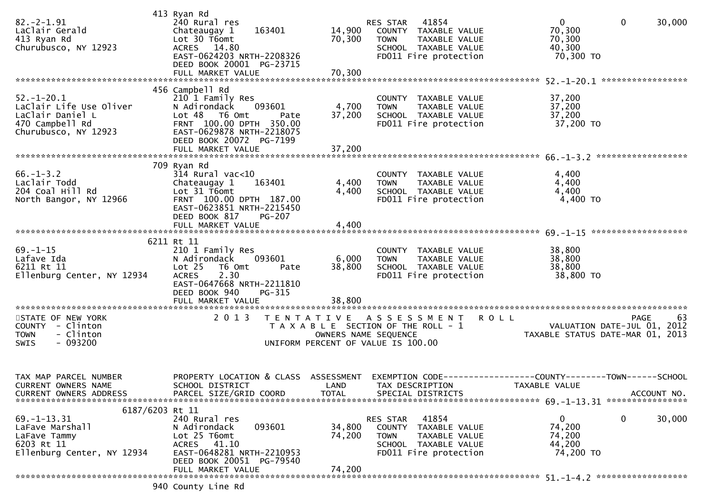| $82.-2-1.91$<br>LaClair Gerald<br>413 Ryan Rd<br>Churubusco, NY 12923                                               | 413 Ryan Rd<br>240 Rural res<br>Chateaugay 1<br>163401<br>Lot 30 T6omt<br>ACRES 14.80<br>EAST-0624203 NRTH-2208326<br>DEED BOOK 20001 PG-23715<br>FULL MARKET VALUE                         | 14,900<br>70,300<br>70,300 | RES STAR 41854<br>COUNTY TAXABLE VALUE<br>TAXABLE VALUE<br><b>TOWN</b><br>SCHOOL TAXABLE VALUE<br>FD011 Fire protection           | $\overline{0}$<br>$\mathbf{0}$<br>30,000<br>70,300<br>70,300<br>40,300<br>70,300 TO                                              |
|---------------------------------------------------------------------------------------------------------------------|---------------------------------------------------------------------------------------------------------------------------------------------------------------------------------------------|----------------------------|-----------------------------------------------------------------------------------------------------------------------------------|----------------------------------------------------------------------------------------------------------------------------------|
| $52. - 1 - 20.1$<br>LaClair Life Use Oliver<br>LaClair Daniel L<br>470 Campbell Rd<br>Churubusco, NY 12923          | 456 Campbell Rd<br>210 1 Family Res<br>N Adirondack 093601<br>Lot 48 T6 Omt<br>Pate<br>FRNT 100.00 DPTH 350.00<br>EAST-0629878 NRTH-2218075<br>DEED BOOK 20072 PG-7199<br>FULL MARKET VALUE | 4,700<br>37,200<br>37,200  | COUNTY TAXABLE VALUE<br><b>TOWN</b><br>TAXABLE VALUE<br>SCHOOL TAXABLE VALUE<br>FD011 Fire protection                             | 37,200<br>37,200<br>37,200<br>37,200 TO                                                                                          |
| $66. - 1 - 3.2$<br>Laclair Todd<br>204 Coal Hill Rd<br>North Bangor, NY 12966                                       | 709 Ryan Rd<br>$314$ Rural vac< $10$<br>Chateaugay 1 163401<br>Lot 31 T6omt<br>FRNT 100.00 DPTH 187.00<br>EAST-0623851 NRTH-2215450<br>DEED BOOK 817<br><b>PG-207</b>                       | 4,400<br>4,400             | COUNTY TAXABLE VALUE<br>TAXABLE VALUE<br><b>TOWN</b><br>SCHOOL TAXABLE VALUE<br>FD011 Fire protection                             | 4,400<br>4,400<br>4,400<br>4,400 TO                                                                                              |
| $69. - 1 - 15$<br>Lafave Ida<br>6211 Rt 11<br>Ellenburg Center, NY 12934                                            | 6211 Rt 11<br>210 1 Family Res<br>N Adirondack<br>093601<br>Lot 25 T6 Omt<br>Pate<br>2.30<br><b>ACRES</b><br>EAST-0647668 NRTH-2211810<br>DEED BOOK 940<br>PG-315<br>FULL MARKET VALUE      | 6,000<br>38,800<br>38,800  | COUNTY TAXABLE VALUE<br><b>TOWN</b><br>TAXABLE VALUE<br>SCHOOL TAXABLE VALUE<br>FD011 Fire protection                             | 38,800<br>38,800<br>38,800<br>38,800 TO                                                                                          |
| STATE OF NEW YORK<br>COUNTY - Clinton<br>- Clinton<br><b>TOWN</b><br>$-093200$<br><b>SWIS</b>                       | 2013                                                                                                                                                                                        |                            | TENTATIVE ASSESSMENT ROLL<br>T A X A B L E SECTION OF THE ROLL - 1<br>OWNERS NAME SEQUENCE<br>UNIFORM PERCENT OF VALUE IS 100.00  | PAGE<br>63<br>VALUATION DATE-JUL 01, 2012<br>TAXABLE STATUS DATE-MAR 01, 2013                                                    |
| TAX MAP PARCEL NUMBER<br>CURRENT OWNERS NAME<br>CURRENT OWNERS ADDRESS                                              | SCHOOL DISTRICT<br>PARCEL SIZE/GRID COORD                                                                                                                                                   | <b>TOTAL</b>               | LAND TAX DESCRIPTION<br>SPECIAL DISTRICTS                                                                                         | PROPERTY LOCATION & CLASS ASSESSMENT EXEMPTION CODE----------------COUNTY-------TOWN------SCHOOL<br>TAXABLE VALUE<br>ACCOUNT NO. |
| 6187/6203 Rt 11<br>$69. - 1 - 13.31$<br>LaFave Marshall<br>LaFave Tammy<br>6203 Rt 11<br>Ellenburg Center, NY 12934 | 240 Rural res<br>N Adirondack<br>093601<br>Lot 25 T6omt<br>ACRES 41.10<br>EAST-0648281 NRTH-2210953<br>DEED BOOK 20051 PG-79540<br>FULL MARKET VALUE                                        | 34,800<br>74,200<br>74,200 | 41854<br><b>RES STAR</b><br>COUNTY TAXABLE VALUE<br><b>TOWN</b><br>TAXABLE VALUE<br>SCHOOL TAXABLE VALUE<br>FD011 Fire protection | 0<br>30,000<br>0<br>74,200<br>74,200<br>44,200<br>74,200 TO                                                                      |
|                                                                                                                     | 940 County Line Rd                                                                                                                                                                          |                            |                                                                                                                                   |                                                                                                                                  |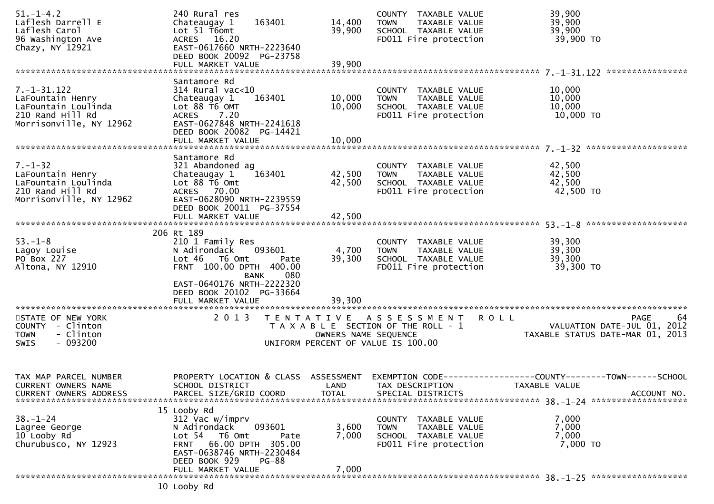| $51. - 1 - 4.2$<br>Laflesh Darrell E<br>Laflesh Carol<br>96 Washington Ave<br>Chazy, NY 12921               | 240 Rural res<br>163401<br>Chateaugay 1<br>Lot 51 T6omt<br>ACRES 16.20<br>EAST-0617660 NRTH-2223640<br>DEED BOOK 20092 PG-23758<br>FULL MARKET VALUE                                                                   | 14,400<br>39,900<br>39,900         | COUNTY TAXABLE VALUE<br>TAXABLE VALUE<br><b>TOWN</b><br>SCHOOL TAXABLE VALUE<br>FD011 Fire protection              | 39,900<br>39,900<br>39,900<br>39,900 TO<br>****************                                         |
|-------------------------------------------------------------------------------------------------------------|------------------------------------------------------------------------------------------------------------------------------------------------------------------------------------------------------------------------|------------------------------------|--------------------------------------------------------------------------------------------------------------------|-----------------------------------------------------------------------------------------------------|
|                                                                                                             | Santamore Rd                                                                                                                                                                                                           |                                    |                                                                                                                    |                                                                                                     |
| $7. - 1 - 31.122$<br>LaFountain Henry<br>LaFountain Loulinda<br>210 Rand Hill Rd<br>Morrisonville, NY 12962 | $314$ Rural vac< $10$<br>163401<br>Chateaugay 1<br>Lot 88 T6 OMT<br>ACRES 7.20<br>EAST-0627848 NRTH-2241618<br>DEED BOOK 20082 PG-14421<br>FULL MARKET VALUE                                                           | 10,000<br>10,000<br>10,000         | COUNTY TAXABLE VALUE<br>TAXABLE VALUE<br><b>TOWN</b><br>SCHOOL TAXABLE VALUE<br>FD011 Fire protection              | 10,000<br>10,000<br>10,000<br>10,000 TO                                                             |
|                                                                                                             |                                                                                                                                                                                                                        |                                    |                                                                                                                    |                                                                                                     |
| $7. - 1 - 32$<br>LaFountain Henry<br>LaFountain Loulinda<br>210 Rand Hill Rd<br>Morrisonville, NY 12962     | Santamore Rd<br>321 Abandoned ag<br>163401<br>Chateaugay 1<br>Lot $88 \overline{16}$ Omt<br>ACRES 70.00<br>EAST-0628090 NRTH-2239559<br>DEED BOOK 20011 PG-37554<br>FULL MARKET VALUE                                  | 42,500<br>42,500<br>42,500         | COUNTY TAXABLE VALUE<br>TAXABLE VALUE<br><b>TOWN</b><br>SCHOOL TAXABLE VALUE<br>FD011 Fire protection              | 42,500<br>42,500<br>42,500<br>42,500 TO                                                             |
|                                                                                                             |                                                                                                                                                                                                                        |                                    |                                                                                                                    |                                                                                                     |
| $53. - 1 - 8$<br>Lagoy Louise<br>PO Box 227<br>Altona, NY 12910                                             | 206 Rt 189<br>210 1 Family Res<br>093601<br>N Adirondack<br>Lot 46 T6 Omt<br>Pate<br>FRNT 100.00 DPTH 400.00<br>080<br><b>BANK</b><br>EAST-0640176 NRTH-2222320<br>DEED BOOK 20102 PG-33664                            | 4,700<br>39,300                    | COUNTY TAXABLE VALUE<br><b>TOWN</b><br>TAXABLE VALUE<br>SCHOOL TAXABLE VALUE<br>FD011 Fire protection              | 39,300<br>39,300<br>39,300<br>39,300 TO                                                             |
|                                                                                                             |                                                                                                                                                                                                                        |                                    |                                                                                                                    |                                                                                                     |
| STATE OF NEW YORK<br>COUNTY - Clinton<br>- Clinton<br><b>TOWN</b><br>$-093200$<br>SWIS                      | 2 0 1 3                                                                                                                                                                                                                | OWNERS NAME SEQUENCE               | TENTATIVE ASSESSMENT<br><b>ROLL</b><br>T A X A B L E SECTION OF THE ROLL - 1<br>UNIFORM PERCENT OF VALUE IS 100.00 | 64<br>PAGE<br>VALUATION DATE-JUL 01, 2012<br>TAXABLE STATUS DATE-MAR 01, 2013                       |
| TAX MAP PARCEL NUMBER<br><b>CURRENT OWNERS NAME</b><br><b>CURRENT OWNERS ADDRESS</b>                        | PROPERTY LOCATION & CLASS<br>SCHOOL DISTRICT<br>PARCEL SIZE/GRID COORD                                                                                                                                                 | ASSESSMENT<br>LAND<br><b>TOTAL</b> | TAX DESCRIPTION<br>SPECIAL DISTRICTS                                                                               | EXEMPTION        CODE-----------------COUNTY-------TOWN------SCHOOL<br>TAXABLE VALUE<br>ACCOUNT NO. |
| $38. - 1 - 24$<br>Lagree George<br>10 Looby Rd<br>Churubusco, NY 12923                                      | 15 Looby Rd<br>312 Vac w/imprv<br>093601<br>N Adirondack<br>Lot <sub>54</sub><br>T6 Omt<br>Pate<br>66.00 DPTH 305.00<br><b>FRNT</b><br>EAST-0638746 NRTH-2230484<br>DEED BOOK 929<br><b>PG-88</b><br>FULL MARKET VALUE | 3,600<br>7,000<br>7,000            | COUNTY TAXABLE VALUE<br><b>TOWN</b><br>TAXABLE VALUE<br>SCHOOL TAXABLE VALUE<br>FD011 Fire protection              | 7,000<br>7,000<br>7,000<br>7,000 TO                                                                 |
|                                                                                                             | 10 Looby Rd                                                                                                                                                                                                            |                                    |                                                                                                                    |                                                                                                     |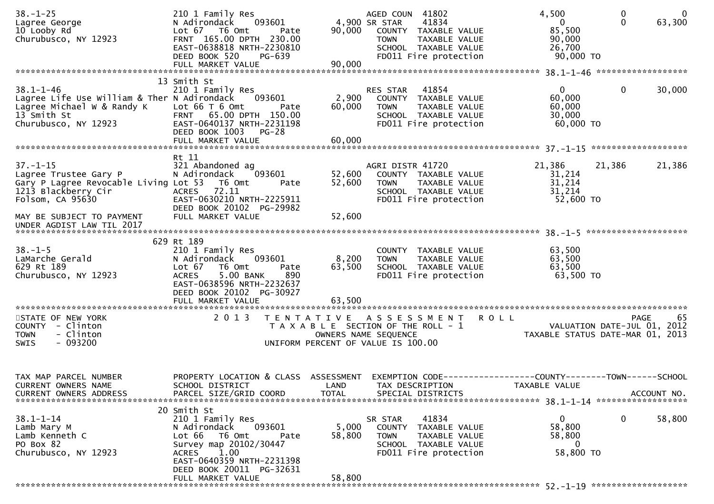| $38. - 1 - 25$<br>Lagree George<br>10 Looby Rd<br>Churubusco, NY 12923                                                              | 210 1 Family Res<br>093601<br>N Adirondack<br>Lot 67 76 0mt<br>Pate<br>FRNT 165.00 DPTH 230.00<br>EAST-0638818 NRTH-2230810<br>DEED BOOK 520<br>PG-639<br>FULL MARKET VALUE                                           | 90,000<br>90,000                                                                                 | AGED COUN 41802<br>4,900 SR STAR<br><b>TOWN</b> | 41834<br>COUNTY TAXABLE VALUE<br>TAXABLE VALUE<br>SCHOOL TAXABLE VALUE<br>FD011 Fire protection | 4,500<br>$\mathbf{0}$<br>85,500<br>90,000<br>26,700<br>90,000 TO                     | 0<br>$\Omega$                       | $\overline{0}$<br>63,300 |
|-------------------------------------------------------------------------------------------------------------------------------------|-----------------------------------------------------------------------------------------------------------------------------------------------------------------------------------------------------------------------|--------------------------------------------------------------------------------------------------|-------------------------------------------------|-------------------------------------------------------------------------------------------------|--------------------------------------------------------------------------------------|-------------------------------------|--------------------------|
|                                                                                                                                     | 13 Smith St                                                                                                                                                                                                           |                                                                                                  |                                                 |                                                                                                 |                                                                                      |                                     |                          |
| $38.1 - 1 - 46$<br>Lagree Life Use William & Ther N Adirondack<br>Lagree Michael W & Randy K<br>13 Smith St<br>Churubusco, NY 12923 | 210 1 Family Res<br>093601<br>Lot $66$ T $6$ Omt<br>Pate<br>FRNT 65.00 DPTH 150.00<br>EAST-0640137 NRTH-2231198<br>DEED BOOK 1003<br><b>PG-28</b><br>FULL MARKET VALUE                                                | 2,900<br>60,000<br>60,000                                                                        | RES STAR<br><b>TOWN</b>                         | 41854<br>COUNTY TAXABLE VALUE<br>TAXABLE VALUE<br>SCHOOL TAXABLE VALUE<br>FD011 Fire protection | 0<br>60,000<br>60,000<br>30,000<br>60,000 TO                                         | $\Omega$                            | 30,000                   |
|                                                                                                                                     | Rt 11                                                                                                                                                                                                                 |                                                                                                  |                                                 |                                                                                                 |                                                                                      |                                     |                          |
| $37. - 1 - 15$<br>Lagree Trustee Gary P<br>Gary P Lagree Revocable Living Lot 53<br>1213 Blackberry Cir<br>Folsom, CA 95630         | 321 Abandoned ag<br>093601<br>N Adirondack<br>T6 Omt<br>Pate<br>72.11<br><b>ACRES</b><br>EAST-0630210 NRTH-2225911<br>DEED BOOK 20102 PG-29982                                                                        | 52,600<br>52,600                                                                                 | AGRI DISTR 41720<br><b>TOWN</b>                 | COUNTY TAXABLE VALUE<br>TAXABLE VALUE<br>SCHOOL TAXABLE VALUE<br>FD011 Fire protection          | 21,386<br>31,214<br>31,214<br>31,214<br>52,600 TO                                    | 21,386                              | 21,386                   |
| MAY BE SUBJECT TO PAYMENT<br>UNDER AGDIST LAW TIL 2017                                                                              | FULL MARKET VALUE                                                                                                                                                                                                     | 52,600                                                                                           |                                                 |                                                                                                 |                                                                                      |                                     |                          |
| $38. - 1 - 5$<br>LaMarche Gerald<br>629 Rt 189<br>Churubusco, NY 12923                                                              | 629 Rt 189<br>210 1 Family Res<br>093601<br>N Adirondack<br>Lot $67$<br>T6 Omt<br>Pate<br>5.00 BANK<br>890<br><b>ACRES</b><br>EAST-0638596 NRTH-2232637<br>DEED BOOK 20102 PG-30927                                   | 8,200<br>63,500                                                                                  | <b>TOWN</b>                                     | COUNTY TAXABLE VALUE<br>TAXABLE VALUE<br>SCHOOL TAXABLE VALUE<br>FD011 Fire protection          | 63,500<br>63,500<br>63,500<br>63,500 TO                                              |                                     |                          |
|                                                                                                                                     |                                                                                                                                                                                                                       |                                                                                                  |                                                 |                                                                                                 |                                                                                      |                                     |                          |
| STATE OF NEW YORK<br>COUNTY - Clinton<br>- Clinton<br><b>TOWN</b><br>$-093200$<br><b>SWIS</b>                                       | 2 0 1 3                                                                                                                                                                                                               | T E N T A T I V E<br>T A X A B L E SECTION OF THE ROLL - 1<br>UNIFORM PERCENT OF VALUE IS 100.00 | A S S E S S M E N T<br>OWNERS NAME SEQUENCE     |                                                                                                 | <b>ROLL</b><br>TAXABLE STATUS DATE-MAR 01, 2013                                      | PAGE<br>VALUATION DATE-JUL 01, 2012 | 65                       |
| TAX MAP PARCEL NUMBER<br><b>CURRENT OWNERS NAME</b><br><b>CURRENT OWNERS ADDRESS</b>                                                | PROPERTY LOCATION & CLASS<br>SCHOOL DISTRICT<br>PARCEL SIZE/GRID COORD                                                                                                                                                | ASSESSMENT<br>LAND<br><b>TOTAL</b>                                                               | TAX DESCRIPTION                                 | SPECIAL DISTRICTS                                                                               | EXEMPTION        CODE-----------------COUNTY-------TOWN------SCHOOL<br>TAXABLE VALUE |                                     | ACCOUNT NO.              |
| $38.1 - 1 - 14$<br>Lamb Mary M<br>Lamb Kenneth C<br>PO Box 82<br>Churubusco, NY 12923                                               | 20 Smith St<br>210 1 Family Res<br>093601<br>N Adirondack<br>Lot 66<br>T6 Omt<br>Pate<br>Survey map 20102/30447<br>1.00<br><b>ACRES</b><br>EAST-0640359 NRTH-2231398<br>DEED BOOK 20011 PG-32631<br>FULL MARKET VALUE | 5,000<br>58,800<br>58,800                                                                        | SR STAR<br><b>TOWN</b>                          | 41834<br>COUNTY TAXABLE VALUE<br>TAXABLE VALUE<br>SCHOOL TAXABLE VALUE<br>FD011 Fire protection | 0<br>58,800<br>58,800<br>0<br>58,800 TO                                              | 0                                   | 58,800                   |
|                                                                                                                                     |                                                                                                                                                                                                                       |                                                                                                  |                                                 |                                                                                                 |                                                                                      |                                     |                          |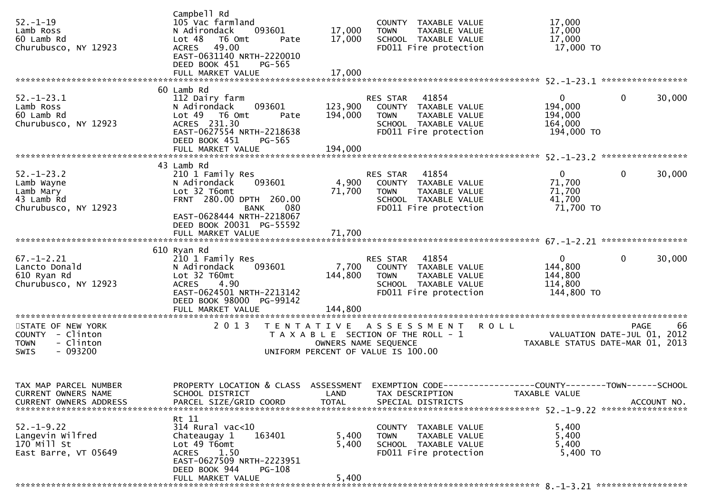| $52. - 1 - 19$<br>Lamb Ross<br>60 Lamb Rd<br>Churubusco, NY 12923                            | Campbell Rd<br>105 Vac farmland<br>093601<br>N Adirondack<br>Lot 48<br>T6 Omt<br>Pate<br>ACRES 49.00<br>EAST-0631140 NRTH-2220010<br>DEED BOOK 451<br>PG-565   | 17,000<br>17,000        | COUNTY TAXABLE VALUE<br>TAXABLE VALUE<br><b>TOWN</b><br>SCHOOL TAXABLE VALUE<br>FD011 Fire protection                         | 17,000<br>17,000<br>17,000<br>17,000 TO                                        |                        |
|----------------------------------------------------------------------------------------------|----------------------------------------------------------------------------------------------------------------------------------------------------------------|-------------------------|-------------------------------------------------------------------------------------------------------------------------------|--------------------------------------------------------------------------------|------------------------|
|                                                                                              |                                                                                                                                                                |                         |                                                                                                                               |                                                                                |                        |
| $52. - 1 - 23.1$<br>Lamb Ross<br>60 Lamb Rd<br>Churubusco, NY 12923                          | 60 Lamb Rd<br>112 Dairy farm<br>093601<br>N Adirondack<br>Lot 49 T6 Omt<br>Pate<br>ACRES 231.30<br>EAST-0627554 NRTH-2218638<br>DEED BOOK 451<br>PG-565        | 123,900<br>194,000      | 41854<br>RES STAR<br>COUNTY TAXABLE VALUE<br>TAXABLE VALUE<br><b>TOWN</b><br>SCHOOL TAXABLE VALUE<br>FD011 Fire protection    | $\Omega$<br>194,000<br>194,000<br>164,000<br>194,000 TO                        | 0<br>30,000            |
|                                                                                              | 43 Lamb Rd                                                                                                                                                     |                         |                                                                                                                               |                                                                                |                        |
| $52. - 1 - 23.2$<br>Lamb Wayne<br>Lamb Mary<br>43 Lamb Rd<br>Churubusco, NY 12923            | 210 1 Family Res<br>N Adirondack<br>093601<br>Lot 32 T6omt<br>FRNT 280.00 DPTH 260.00<br>080<br>BANK                                                           | 71,700                  | RES STAR 41854<br>4,900 COUNTY TAXABLE VALUE<br>TAXABLE VALUE<br><b>TOWN</b><br>SCHOOL TAXABLE VALUE<br>FD011 Fire protection | $\overline{0}$<br>71,700<br>71,700<br>41,700<br>71,700 TO                      | 0<br>30,000            |
|                                                                                              | EAST-0628444 NRTH-2218067<br>DEED BOOK 20031 PG-55592                                                                                                          |                         |                                                                                                                               |                                                                                |                        |
| $67. - 1 - 2.21$<br>Lancto Donald<br>610 Ryan Rd<br>Churubusco, NY 12923                     | 610 Ryan Rd<br>210 1 Family Res<br>093601<br>N Adirondack<br>Lot 32 T60mt<br><b>ACRES</b><br>4.90<br>EAST-0624501 NRTH-2213142<br>DEED BOOK 98000 PG-99142     | 7,700<br>144,800        | 41854<br>RES STAR<br>COUNTY TAXABLE VALUE<br>TAXABLE VALUE<br><b>TOWN</b><br>SCHOOL TAXABLE VALUE<br>FD011 Fire protection    | $\mathbf{0}$<br>144,800<br>144,800<br>114,800<br>144,800 TO                    | $\mathbf{0}$<br>30,000 |
|                                                                                              | FULL MARKET VALUE                                                                                                                                              | 144,800                 |                                                                                                                               |                                                                                |                        |
| STATE OF NEW YORK<br>COUNTY - Clinton<br>- Clinton<br><b>TOWN</b><br>- 093200<br><b>SWIS</b> | 2 0 1 3                                                                                                                                                        |                         | TENTATIVE ASSESSMENT<br>T A X A B L E SECTION OF THE ROLL - 1<br>OWNERS NAME SEQUENCE<br>UNIFORM PERCENT OF VALUE IS 100.00   | <b>ROLL</b><br>VALUATION DATE-JUL 01, 2012<br>TAXABLE STATUS DATE-MAR 01, 2013 | <b>PAGE</b><br>66      |
| TAX MAP PARCEL NUMBER<br>CURRENT OWNERS NAME                                                 | PROPERTY LOCATION & CLASS ASSESSMENT EXEMPTION CODE----------------COUNTY-------TOWN------SCHOOL<br>SCHOOL DISTRICT                                            | LAND                    | TAX DESCRIPTION                                                                                                               | TAXABLE VALUE                                                                  |                        |
| $52. - 1 - 9.22$<br>Langevin Wilfred<br>170 Mill St<br>East Barre, VT 05649                  | Rt 11<br>314 Rural vac<10<br>163401<br>Chateaugay 1<br>Lot 49 T6omt<br>ACRES 1.50<br>EAST-0627509 NRTH-2223951<br>DEED BOOK 944<br>PG-108<br>FULL MARKET VALUE | 5,400<br>5,400<br>5,400 | COUNTY TAXABLE VALUE<br>TAXABLE VALUE<br><b>TOWN</b><br>SCHOOL TAXABLE VALUE<br>FD011 Fire protection                         | 5,400<br>5,400<br>5,400<br>5,400 TO                                            |                        |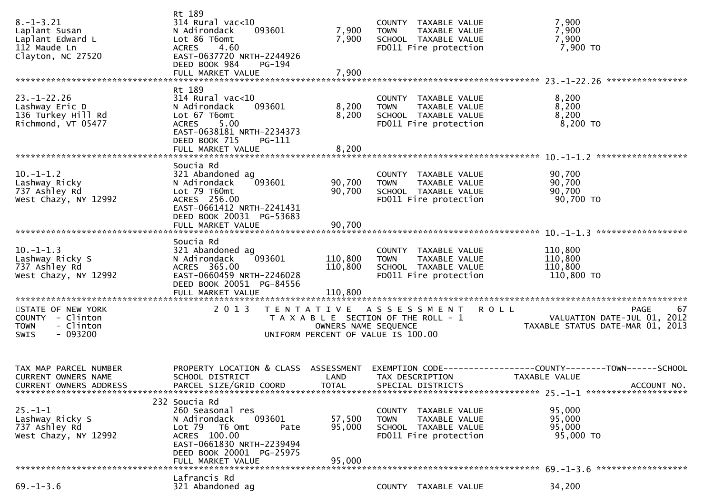| Rt 189<br>$23. - 1 - 22.26$<br>8,200<br>$314$ Rural vac<10<br>COUNTY TAXABLE VALUE<br>8,200<br>093601<br>8,200<br>Lashway Eric D<br>N Adirondack<br>TAXABLE VALUE<br><b>TOWN</b><br>8,200<br>136 Turkey Hill Rd<br>Lot 67 T6omt<br>8,200<br>SCHOOL TAXABLE VALUE<br>8,200 TO<br>Richmond, VT 05477<br>FD011 Fire protection<br>5.00<br><b>ACRES</b><br>EAST-0638181 NRTH-2234373<br>DEED BOOK 715<br>PG-111<br>8,200<br>FULL MARKET VALUE<br>Soucia Rd<br>$10.-1-1.2$<br>90,700<br>321 Abandoned ag<br>COUNTY TAXABLE VALUE<br>90,700<br>093601<br>90,700<br>Lashway Ricky<br>N Adirondack<br><b>TOWN</b><br>TAXABLE VALUE<br>90,700<br>737 Ashley Rd<br>Lot 79 T60mt<br>90,700<br>SCHOOL TAXABLE VALUE<br>90,700 TO<br>West Chazy, NY 12992<br>FD011 Fire protection<br>ACRES 256.00<br>EAST-0661412 NRTH-2241431<br>DEED BOOK 20031 PG-53683<br>90,700<br>FULL MARKET VALUE<br>Soucia Rd<br>$10.-1-1.3$<br>110,800<br>321 Abandoned ag<br>COUNTY TAXABLE VALUE<br>Lashway Ricky S<br>093601<br>110,800<br>110,800<br>N Adirondack<br>TAXABLE VALUE<br><b>TOWN</b><br>737 Ashley Rd<br>ACRES 365.00<br>110,800<br>110,800<br>SCHOOL TAXABLE VALUE<br>West Chazy, NY 12992<br>EAST-0660459 NRTH-2246028<br>FD011 Fire protection<br>110,800 TO<br>DEED BOOK 20051 PG-84556<br>2 0 1 3<br>67<br>STATE OF NEW YORK<br>TENTATIVE ASSESSMENT<br><b>ROLL</b><br>PAGE<br>COUNTY - Clinton<br>T A X A B L E SECTION OF THE ROLL - 1<br>VALUATION DATE-JUL 01, 2012<br>- Clinton<br>TAXABLE STATUS DATE-MAR 01, 2013<br><b>TOWN</b><br>OWNERS NAME SEQUENCE<br>$-093200$<br>UNIFORM PERCENT OF VALUE IS 100.00<br>SWIS<br>PROPERTY LOCATION & CLASS ASSESSMENT<br>TAX MAP PARCEL NUMBER<br>EXEMPTION CODE------------------COUNTY--------TOWN------SCHOOL<br>CURRENT OWNERS NAME<br>SCHOOL DISTRICT<br>LAND<br>TAX DESCRIPTION<br>TAXABLE VALUE<br>PARCEL SIZE/GRID COORD<br><b>TOTAL</b><br>SPECIAL DISTRICTS<br>CURRENT OWNERS ADDRESS<br>ACCOUNT NO.<br>$25. -1 - 1$ **********************<br>232 Soucia Rd<br>$25. - 1 - 1$<br>260 Seasonal res<br>95,000<br>COUNTY TAXABLE VALUE<br>093601<br>Lashway Ricky S<br>N Adirondack<br>57,500<br>95,000<br><b>TOWN</b><br>TAXABLE VALUE<br>737 Ashley Rd<br>95,000<br>Lot 79 T6 Omt<br>95,000<br>SCHOOL TAXABLE VALUE<br>Pate<br>ACRES 100.00<br>FD011 Fire protection<br>95,000 TO<br>West Chazy, NY 12992<br>EAST-0661830 NRTH-2239494<br>DEED BOOK 20001 PG-25975<br>95,000<br>FULL MARKET VALUE | $8. - 1 - 3.21$<br>Laplant Susan<br>Laplant Edward L<br>112 Maude Ln<br>Clayton, NC 27520 | Rt 189<br>$314$ Rural vac<10<br>093601<br>N Adirondack<br>Lot 86 T6omt<br>4.60<br><b>ACRES</b><br>EAST-0637720 NRTH-2244926<br>DEED BOOK 984<br>PG-194<br>FULL MARKET VALUE | 7,900<br>7,900<br>7,900 | COUNTY TAXABLE VALUE<br><b>TOWN</b><br>TAXABLE VALUE<br>SCHOOL TAXABLE VALUE<br>FD011 Fire protection | 7,900<br>7,900<br>7,900<br>7,900 TO |
|---------------------------------------------------------------------------------------------------------------------------------------------------------------------------------------------------------------------------------------------------------------------------------------------------------------------------------------------------------------------------------------------------------------------------------------------------------------------------------------------------------------------------------------------------------------------------------------------------------------------------------------------------------------------------------------------------------------------------------------------------------------------------------------------------------------------------------------------------------------------------------------------------------------------------------------------------------------------------------------------------------------------------------------------------------------------------------------------------------------------------------------------------------------------------------------------------------------------------------------------------------------------------------------------------------------------------------------------------------------------------------------------------------------------------------------------------------------------------------------------------------------------------------------------------------------------------------------------------------------------------------------------------------------------------------------------------------------------------------------------------------------------------------------------------------------------------------------------------------------------------------------------------------------------------------------------------------------------------------------------------------------------------------------------------------------------------------------------------------------------------------------------------------------------------------------------------------------------------------------------------------------------------------------------------------------------------------------------------------------------------------------------------------------------------------------------|-------------------------------------------------------------------------------------------|-----------------------------------------------------------------------------------------------------------------------------------------------------------------------------|-------------------------|-------------------------------------------------------------------------------------------------------|-------------------------------------|
|                                                                                                                                                                                                                                                                                                                                                                                                                                                                                                                                                                                                                                                                                                                                                                                                                                                                                                                                                                                                                                                                                                                                                                                                                                                                                                                                                                                                                                                                                                                                                                                                                                                                                                                                                                                                                                                                                                                                                                                                                                                                                                                                                                                                                                                                                                                                                                                                                                             |                                                                                           |                                                                                                                                                                             |                         |                                                                                                       |                                     |
|                                                                                                                                                                                                                                                                                                                                                                                                                                                                                                                                                                                                                                                                                                                                                                                                                                                                                                                                                                                                                                                                                                                                                                                                                                                                                                                                                                                                                                                                                                                                                                                                                                                                                                                                                                                                                                                                                                                                                                                                                                                                                                                                                                                                                                                                                                                                                                                                                                             |                                                                                           |                                                                                                                                                                             |                         |                                                                                                       |                                     |
|                                                                                                                                                                                                                                                                                                                                                                                                                                                                                                                                                                                                                                                                                                                                                                                                                                                                                                                                                                                                                                                                                                                                                                                                                                                                                                                                                                                                                                                                                                                                                                                                                                                                                                                                                                                                                                                                                                                                                                                                                                                                                                                                                                                                                                                                                                                                                                                                                                             |                                                                                           |                                                                                                                                                                             |                         |                                                                                                       |                                     |
|                                                                                                                                                                                                                                                                                                                                                                                                                                                                                                                                                                                                                                                                                                                                                                                                                                                                                                                                                                                                                                                                                                                                                                                                                                                                                                                                                                                                                                                                                                                                                                                                                                                                                                                                                                                                                                                                                                                                                                                                                                                                                                                                                                                                                                                                                                                                                                                                                                             |                                                                                           |                                                                                                                                                                             |                         |                                                                                                       |                                     |
|                                                                                                                                                                                                                                                                                                                                                                                                                                                                                                                                                                                                                                                                                                                                                                                                                                                                                                                                                                                                                                                                                                                                                                                                                                                                                                                                                                                                                                                                                                                                                                                                                                                                                                                                                                                                                                                                                                                                                                                                                                                                                                                                                                                                                                                                                                                                                                                                                                             |                                                                                           |                                                                                                                                                                             |                         |                                                                                                       |                                     |
|                                                                                                                                                                                                                                                                                                                                                                                                                                                                                                                                                                                                                                                                                                                                                                                                                                                                                                                                                                                                                                                                                                                                                                                                                                                                                                                                                                                                                                                                                                                                                                                                                                                                                                                                                                                                                                                                                                                                                                                                                                                                                                                                                                                                                                                                                                                                                                                                                                             |                                                                                           |                                                                                                                                                                             |                         |                                                                                                       |                                     |
|                                                                                                                                                                                                                                                                                                                                                                                                                                                                                                                                                                                                                                                                                                                                                                                                                                                                                                                                                                                                                                                                                                                                                                                                                                                                                                                                                                                                                                                                                                                                                                                                                                                                                                                                                                                                                                                                                                                                                                                                                                                                                                                                                                                                                                                                                                                                                                                                                                             |                                                                                           |                                                                                                                                                                             |                         |                                                                                                       |                                     |
|                                                                                                                                                                                                                                                                                                                                                                                                                                                                                                                                                                                                                                                                                                                                                                                                                                                                                                                                                                                                                                                                                                                                                                                                                                                                                                                                                                                                                                                                                                                                                                                                                                                                                                                                                                                                                                                                                                                                                                                                                                                                                                                                                                                                                                                                                                                                                                                                                                             |                                                                                           |                                                                                                                                                                             |                         |                                                                                                       |                                     |
|                                                                                                                                                                                                                                                                                                                                                                                                                                                                                                                                                                                                                                                                                                                                                                                                                                                                                                                                                                                                                                                                                                                                                                                                                                                                                                                                                                                                                                                                                                                                                                                                                                                                                                                                                                                                                                                                                                                                                                                                                                                                                                                                                                                                                                                                                                                                                                                                                                             |                                                                                           |                                                                                                                                                                             |                         |                                                                                                       |                                     |
|                                                                                                                                                                                                                                                                                                                                                                                                                                                                                                                                                                                                                                                                                                                                                                                                                                                                                                                                                                                                                                                                                                                                                                                                                                                                                                                                                                                                                                                                                                                                                                                                                                                                                                                                                                                                                                                                                                                                                                                                                                                                                                                                                                                                                                                                                                                                                                                                                                             |                                                                                           |                                                                                                                                                                             |                         |                                                                                                       |                                     |
|                                                                                                                                                                                                                                                                                                                                                                                                                                                                                                                                                                                                                                                                                                                                                                                                                                                                                                                                                                                                                                                                                                                                                                                                                                                                                                                                                                                                                                                                                                                                                                                                                                                                                                                                                                                                                                                                                                                                                                                                                                                                                                                                                                                                                                                                                                                                                                                                                                             |                                                                                           |                                                                                                                                                                             |                         |                                                                                                       |                                     |
| $69. - 1 - 3.6$<br>321 Abandoned ag<br>34,200<br>COUNTY TAXABLE VALUE                                                                                                                                                                                                                                                                                                                                                                                                                                                                                                                                                                                                                                                                                                                                                                                                                                                                                                                                                                                                                                                                                                                                                                                                                                                                                                                                                                                                                                                                                                                                                                                                                                                                                                                                                                                                                                                                                                                                                                                                                                                                                                                                                                                                                                                                                                                                                                       |                                                                                           | Lafrancis Rd                                                                                                                                                                |                         |                                                                                                       |                                     |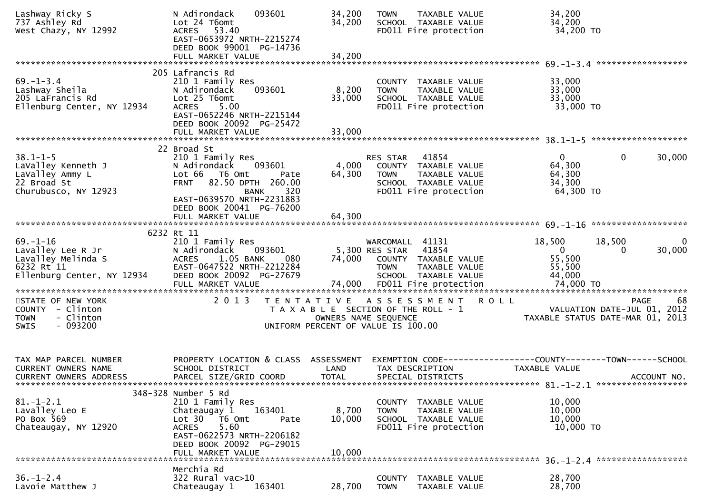| Lashway Ricky S<br>737 Ashley Rd<br>West Chazy, NY 12992                                              | 093601<br>N Adirondack<br>Lot 24 T6omt<br>ACRES 53.40<br>EAST-0653972 NRTH-2215274<br>DEED BOOK 99001 PG-14736                                                                                   | 34,200<br>34,200          | <b>TOWN</b><br>TAXABLE VALUE<br>SCHOOL TAXABLE VALUE<br>FD011 Fire protection                                               | 34,200<br>34,200<br>34,200 TO                                                         |                    |
|-------------------------------------------------------------------------------------------------------|--------------------------------------------------------------------------------------------------------------------------------------------------------------------------------------------------|---------------------------|-----------------------------------------------------------------------------------------------------------------------------|---------------------------------------------------------------------------------------|--------------------|
|                                                                                                       | FULL MARKET VALUE                                                                                                                                                                                | 34,200                    |                                                                                                                             |                                                                                       |                    |
| $69. - 1 - 3.4$<br>Lashway Sheila<br>205 LaFrancis Rd<br>Ellenburg Center, NY 12934                   | 205 Lafrancis Rd<br>210 1 Family Res<br>093601<br>N Adirondack<br>Lot 25 T6omt<br><b>ACRES</b><br>5.00<br>EAST-0652246 NRTH-2215144<br>DEED BOOK 20092 PG-25472                                  | 8,200<br>33,000<br>33,000 | COUNTY TAXABLE VALUE<br><b>TOWN</b><br>TAXABLE VALUE<br>SCHOOL TAXABLE VALUE<br>FD011 Fire protection                       | 33,000<br>33,000<br>33,000<br>33,000 TO                                               |                    |
|                                                                                                       | FULL MARKET VALUE                                                                                                                                                                                |                           |                                                                                                                             |                                                                                       |                    |
| $38.1 - 1 - 5$<br>LaValley Kenneth J<br>LaValley Ammy L<br>22 Broad St<br>Churubusco, NY 12923        | 22 Broad St<br>210 1 Family Res<br>093601<br>N Adirondack<br>Lot 66 T6 Omt<br>Pate<br><b>FRNT</b><br>82.50 DPTH 260.00<br>320<br><b>BANK</b><br>EAST-0639570 NRTH-2231883                        | 4,000<br>64,300           | 41854<br>RES STAR<br>COUNTY TAXABLE VALUE<br><b>TOWN</b><br>TAXABLE VALUE<br>SCHOOL TAXABLE VALUE<br>FD011 Fire protection  | $\Omega$<br>$\mathbf{0}$<br>64,300<br>64,300<br>34,300<br>64,300 TO                   | 30,000             |
|                                                                                                       | DEED BOOK 20041 PG-76200                                                                                                                                                                         |                           |                                                                                                                             |                                                                                       |                    |
| $69. - 1 - 16$<br>Lavalley Lee R Jr<br>Lavalley Melinda S<br>6232 Rt 11<br>Ellenburg Center, NY 12934 | 6232 Rt 11<br>210 1 Family Res<br>N Adirondack<br>093601<br>1.05 BANK<br>080<br><b>ACRES</b><br>EAST-0647522 NRTH-2212284<br>DEED BOOK 20092 PG-27679                                            | 74,000                    | WARCOMALL 41131<br>41854<br>5,300 RES STAR<br>COUNTY TAXABLE VALUE<br><b>TOWN</b><br>TAXABLE VALUE<br>SCHOOL TAXABLE VALUE  | 18,500<br>18,500<br>$\mathbf{0}$<br>$\Omega$<br>55,500<br>55,500<br>44,000            | $\bf{0}$<br>30,000 |
| STATE OF NEW YORK<br>COUNTY - Clinton<br>- Clinton<br><b>TOWN</b><br>$-093200$<br><b>SWIS</b>         | 2 0 1 3                                                                                                                                                                                          |                           | TENTATIVE ASSESSMENT<br>T A X A B L E SECTION OF THE ROLL - 1<br>OWNERS NAME SEQUENCE<br>UNIFORM PERCENT OF VALUE IS 100.00 | R O L L<br>PAGE<br>VALUATION DATE-JUL 01, 2012<br>TAXABLE STATUS DATE-MAR 01, 2013    | 68                 |
| TAX MAP PARCEL NUMBER<br>CURRENT OWNERS NAME<br><b>CURRENT OWNERS ADDRESS</b>                         | PROPERTY LOCATION & CLASS ASSESSMENT<br>SCHOOL DISTRICT<br>PARCEL SIZE/GRID COORD                                                                                                                | LAND<br><b>TOTAL</b>      | TAX DESCRIPTION<br>SPECIAL DISTRICTS                                                                                        | EXEMPTION CODE-----------------COUNTY--------TOWN------SCHOOL<br><b>TAXABLE VALUE</b> | ACCOUNT NO.        |
| $81. - 1 - 2.1$<br>Lavalley Leo E<br>PO Box 569<br>Chateaugay, NY 12920                               | 348-328 Number 5 Rd<br>210 1 Family Res<br>163401<br>Chateaugay 1<br>Lot 30 76 0mt<br>Pate<br>5.60<br><b>ACRES</b><br>EAST-0622573 NRTH-2206182<br>DEED BOOK 20092 PG-29015<br>FULL MARKET VALUE | 8,700<br>10,000<br>10,000 | COUNTY TAXABLE VALUE<br><b>TOWN</b><br>TAXABLE VALUE<br>SCHOOL TAXABLE VALUE<br>FD011 Fire protection                       | 10,000<br>10,000<br>10,000<br>10,000 TO                                               |                    |
| $36. - 1 - 2.4$<br>Lavoie Matthew J                                                                   | Merchia Rd<br>$322$ Rural vac $>10$<br>Chateaugay 1<br>163401                                                                                                                                    | 28,700                    | TAXABLE VALUE<br>COUNTY<br><b>TOWN</b><br>TAXABLE VALUE                                                                     | 28,700<br>28,700                                                                      |                    |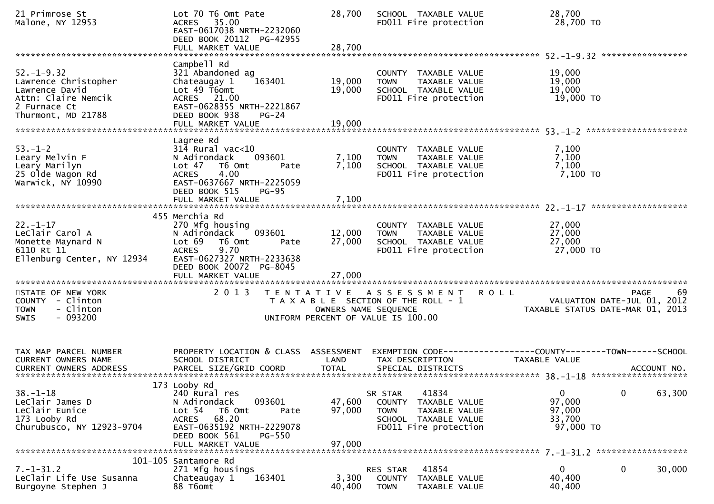| 21 Primrose St<br>Malone, NY 12953                                                                                      | Lot 70 T6 Omt Pate<br>ACRES 35.00<br>EAST-0617038 NRTH-2232060<br>DEED BOOK 20112 PG-42955<br>FULL MARKET VALUE                                                                             | 28,700<br>28,700           | SCHOOL TAXABLE VALUE<br>FD011 Fire protection                                                                                | 28,700<br>28,700 TO                                                                                         |        |
|-------------------------------------------------------------------------------------------------------------------------|---------------------------------------------------------------------------------------------------------------------------------------------------------------------------------------------|----------------------------|------------------------------------------------------------------------------------------------------------------------------|-------------------------------------------------------------------------------------------------------------|--------|
|                                                                                                                         |                                                                                                                                                                                             |                            |                                                                                                                              |                                                                                                             |        |
| $52. - 1 - 9.32$<br>Lawrence Christopher<br>Lawrence David<br>Attn: Claire Nemcik<br>2 Furnace Ct<br>Thurmont, MD 21788 | Campbell Rd<br>321 Abandoned ag<br>163401<br>Chateaugay 1<br>Lot 49 T6omt<br>ACRES 21.00<br>EAST-0628355 NRTH-2221867<br>DEED BOOK 938<br>$PG-24$<br>FULL MARKET VALUE                      | 19,000<br>19,000<br>19,000 | COUNTY TAXABLE VALUE<br>TAXABLE VALUE<br><b>TOWN</b><br>SCHOOL TAXABLE VALUE<br>FD011 Fire protection                        | 19,000<br>19,000<br>19,000<br>19,000 TO                                                                     |        |
|                                                                                                                         |                                                                                                                                                                                             |                            |                                                                                                                              |                                                                                                             |        |
| $53. - 1 - 2$<br>Leary Melvin F<br>Leary Marilyn<br>25 Olde Wagon Rd<br>Warwick, NY 10990                               | Lagree Rd<br>$314$ Rural vac<10<br>093601<br>N Adirondack<br>Lot 47 76 0mt<br>Pate<br>4.00<br><b>ACRES</b><br>EAST-0637667 NRTH-2225059<br>DEED BOOK 515<br>$PG-95$<br>FULL MARKET VALUE    | 7,100<br>7,100<br>7,100    | COUNTY TAXABLE VALUE<br><b>TOWN</b><br>TAXABLE VALUE<br>SCHOOL TAXABLE VALUE<br>FD011 Fire protection                        | 7,100<br>7,100<br>7,100<br>7,100 то                                                                         |        |
|                                                                                                                         |                                                                                                                                                                                             |                            |                                                                                                                              |                                                                                                             |        |
| $22. - 1 - 17$<br>LeClair Carol A<br>Monette Maynard N<br>6110 Rt 11<br>Ellenburg Center, NY 12934                      | 455 Merchia Rd<br>270 Mfg housing<br>093601<br>N Adirondack<br>Lot 69<br>T6 Omt<br>Pate<br><b>ACRES</b><br>9.70<br>EAST-0627327 NRTH-2233638<br>DEED BOOK 20072 PG-8045                     | 12,000<br>27,000           | COUNTY TAXABLE VALUE<br>TAXABLE VALUE<br><b>TOWN</b><br>SCHOOL TAXABLE VALUE<br>FD011 Fire protection                        | 27,000<br>27,000<br>27,000<br>27,000 TO                                                                     |        |
| STATE OF NEW YORK<br>COUNTY - Clinton<br>- Clinton<br><b>TOWN</b><br>$-093200$<br>SWIS                                  | 2 0 1 3                                                                                                                                                                                     | OWNERS NAME SEQUENCE       | TENTATIVE ASSESSMENT<br>T A X A B L E SECTION OF THE ROLL - 1<br>UNIFORM PERCENT OF VALUE IS 100.00                          | <b>ROLL</b><br><b>PAGE</b><br>VALUATION DATE-JUL $\overline{0}1$ , 2012<br>TAXABLE STATUS DATE-MAR 01, 2013 | 69     |
| TAX MAP PARCEL NUMBER<br>CURRENT OWNERS NAME                                                                            | PROPERTY LOCATION & CLASS ASSESSMENT<br>SCHOOL DISTRICT                                                                                                                                     | LAND                       | TAX DESCRIPTION                                                                                                              | EXEMPTION CODE-----------------COUNTY--------TOWN------SCHOOL<br>TAXABLE VALUE                              |        |
| 38. –1–18<br>LeClair James D<br>LeClair Eunice<br>173 Looby Rd<br>Churubusco, NY 12923-9704                             | 173 Looby Rd<br>240 Rural res<br>093601<br>N Adirondack<br>Lot 54<br>T6 Omt<br>Pate<br><b>ACRES</b><br>68.20<br>EAST-0635192 NRTH-2229078<br>DEED BOOK 561<br>$PG-550$<br>FULL MARKET VALUE | 47,600<br>97,000<br>97,000 | 41834<br>SR STAR<br>TAXABLE VALUE<br>COUNTY<br>TAXABLE VALUE<br><b>TOWN</b><br>SCHOOL TAXABLE VALUE<br>FD011 Fire protection | $\mathbf 0$<br>$\mathbf 0$<br>97,000<br>97,000<br>33,700<br>97,000 TO                                       | 63,300 |
|                                                                                                                         | 101-105 Santamore Rd                                                                                                                                                                        |                            |                                                                                                                              |                                                                                                             |        |
| $7. - 1 - 31.2$<br>LeClair Life Use Susanna<br>Burgoyne Stephen J                                                       | 271 Mfg housings<br>163401<br>Chateaugay 1<br>88 T6omt                                                                                                                                      | 3,300<br>40,400            | 41854<br>RES STAR<br>COUNTY<br>TAXABLE VALUE<br><b>TOWN</b><br>TAXABLE VALUE                                                 | 0<br>$\bf{0}$<br>40,400<br>40,400                                                                           | 30,000 |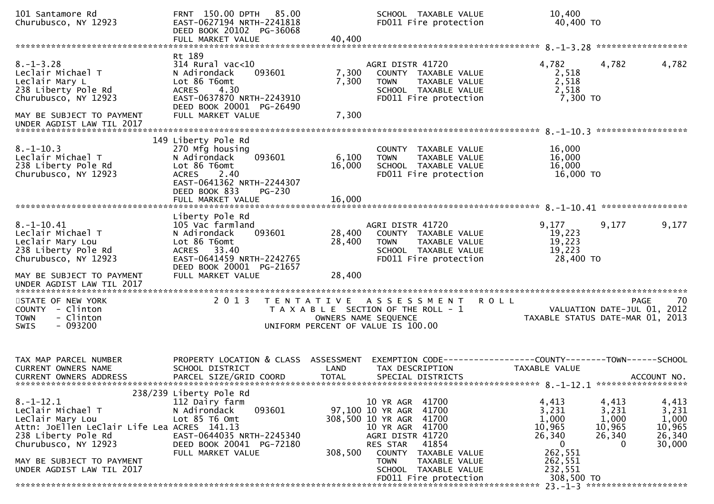| 101 Santamore Rd<br>Churubusco, NY 12923                                                                                                                                                                         | FRNT 150.00 DPTH 85.00<br>EAST-0627194 NRTH-2241818<br>DEED BOOK 20102 PG-36068<br>FULL MARKET VALUE                                                                                    | 40,400                     | SCHOOL TAXABLE VALUE<br>FD011 Fire protection                                                                                                                                                                    | 10,400<br>40,400 TO                                                                          |                                                                                                                  |
|------------------------------------------------------------------------------------------------------------------------------------------------------------------------------------------------------------------|-----------------------------------------------------------------------------------------------------------------------------------------------------------------------------------------|----------------------------|------------------------------------------------------------------------------------------------------------------------------------------------------------------------------------------------------------------|----------------------------------------------------------------------------------------------|------------------------------------------------------------------------------------------------------------------|
| $8. - 1 - 3.28$<br>Leclair Michael T<br>Leclair Mary L<br>238 Liberty Pole Rd<br>Churubusco, NY 12923<br>MAY BE SUBJECT TO PAYMENT<br>UNDER AGDIST LAW TIL 2017                                                  | Rt 189<br>$314$ Rural vac<10<br>N Adirondack<br>093601<br>Lot 86 T6omt<br>4.30<br><b>ACRES</b><br>EAST-0637870 NRTH-2243910<br>DEED BOOK 20001 PG-26490<br>FULL MARKET VALUE            | 7,300<br>7,300<br>7,300    | AGRI DISTR 41720<br>COUNTY TAXABLE VALUE<br><b>TOWN</b><br>TAXABLE VALUE<br>SCHOOL TAXABLE VALUE<br>FD011 Fire protection                                                                                        | 4,782<br>2,518<br>2,518<br>2,518<br>7,300 TO                                                 | 4,782<br>4,782                                                                                                   |
| $8. -1 - 10.3$<br>Leclair Michael T<br>238 Liberty Pole Rd<br>Churubusco, NY 12923                                                                                                                               | 149 Liberty Pole Rd<br>270 Mfg housing<br>093601<br>N Adirondack<br>Lot 86 T6omt<br><b>ACRES</b><br>2.40<br>EAST-0641362 NRTH-2244307<br>DEED BOOK 833<br>$PG-230$<br>FULL MARKET VALUE | 6,100<br>16,000<br>16,000  | COUNTY TAXABLE VALUE<br><b>TOWN</b><br>TAXABLE VALUE<br>SCHOOL TAXABLE VALUE<br>FD011 Fire protection                                                                                                            | 16,000<br>16,000<br>16,000<br>16,000 TO                                                      |                                                                                                                  |
| $8. - 1 - 10.41$<br>Leclair Michael T<br>Leclair Mary Lou<br>238 Liberty Pole Rd<br>Churubusco, NY 12923<br>MAY BE SUBJECT TO PAYMENT<br>UNDER AGDIST LAW TIL 2017                                               | Liberty Pole Rd<br>105 Vac farmland<br>N Adirondack<br>093601<br>Lot 86 T6omt<br>ACRES 33.40<br>EAST-0641459 NRTH-2242765<br>DEED BOOK 20001 PG-21657<br>FULL MARKET VALUE              | 28,400<br>28,400<br>28,400 | AGRI DISTR 41720<br>COUNTY TAXABLE VALUE<br>TAXABLE VALUE<br>TOWN<br>SCHOOL TAXABLE VALUE<br>FD011 Fire protection                                                                                               | 9,177<br>19,223<br>19,223<br>19,223<br>28,400 TO                                             | 9,177<br>9,177                                                                                                   |
| STATE OF NEW YORK<br>COUNTY - Clinton<br><b>TOWN</b><br>- Clinton<br>$-093200$<br><b>SWIS</b>                                                                                                                    | 2 0 1 3                                                                                                                                                                                 |                            | TENTATIVE ASSESSMENT<br>T A X A B L E SECTION OF THE ROLL - 1<br>OWNERS NAME SEQUENCE<br>UNIFORM PERCENT OF VALUE IS 100.00                                                                                      | <b>ROLL</b>                                                                                  | 70<br>PAGE<br>VALUATION DATE-JUL 01, 2012<br>TAXABLE STATUS DATE-MAR 01, 2013                                    |
| TAX MAP PARCEL NUMBER<br>CURRENT OWNERS NAME<br><b>CURRENT OWNERS ADDRESS</b>                                                                                                                                    | PROPERTY LOCATION & CLASS ASSESSMENT<br>SCHOOL DISTRICT<br>PARCEL SIZE/GRID COORD                                                                                                       | LAND<br><b>TOTAL</b>       | EXEMPTION CODE------------------COUNTY--------TOWN------SCHOOL<br>TAX DESCRIPTION<br>SPECIAL DISTRICTS                                                                                                           | TAXABLE VALUE                                                                                | ACCOUNT NO.                                                                                                      |
| $8. - 1 - 12.1$<br>LeClair Michael T<br>LeClair Mary Lou<br>Attn: JoEllen LeClair Life Lea ACRES 141.13<br>238 Liberty Pole Rd<br>Churubusco, NY 12923<br>MAY BE SUBJECT TO PAYMENT<br>UNDER AGDIST LAW TIL 2017 | 238/239 Liberty Pole Rd<br>112 Dairy farm<br>093601<br>N Adirondack<br>Lot 85 T6 Omt<br>EAST-0644035 NRTH-2245340<br>DEED BOOK 20041 PG-72180<br>FULL MARKET VALUE                      | 308,500                    | 10 YR AGR 41700<br>97,100 10 YR AGR 41700<br>308,500 10 YR AGR 41700<br>10 YR AGR 41700<br>AGRI DISTR 41720<br>RES STAR<br>41854<br>COUNTY TAXABLE VALUE<br><b>TOWN</b><br>TAXABLE VALUE<br>SCHOOL TAXABLE VALUE | 4,413<br>3,231<br>1,000<br>10,965<br>26,340<br>$\mathbf{0}$<br>262,551<br>262,551<br>232,551 | 4,413<br>4,413<br>3,231<br>3,231<br>1,000<br>1,000<br>10,965<br>10,965<br>26,340<br>26,340<br>30,000<br>$\Omega$ |
|                                                                                                                                                                                                                  |                                                                                                                                                                                         |                            | FD011 Fire protection                                                                                                                                                                                            | 308,500 TO                                                                                   | $23. - 1 - 3$ **********************                                                                             |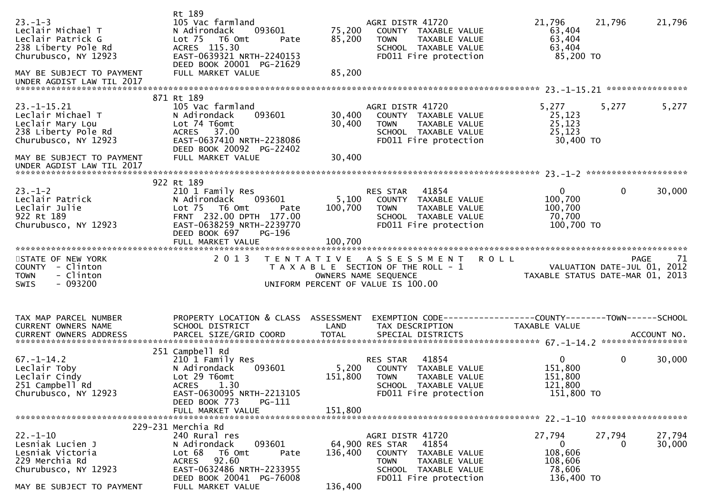| $23 - 1 - 3$<br>Leclair Michael T<br>Leclair Patrick G<br>238 Liberty Pole Rd<br>Churubusco, NY 12923<br>MAY BE SUBJECT TO PAYMENT<br>UNDER AGDIST LAW TIL 2017    | Rt 189<br>105 Vac farmland<br>093601<br>N Adirondack<br>Lot 75  T6 Omt<br>Pate<br>ACRES 115.30<br>EAST-0639321 NRTH-2240153<br>DEED BOOK 20001 PG-21629<br>FULL MARKET VALUE               | 75,200<br>85,200<br>85,200  | AGRI DISTR 41720<br>COUNTY TAXABLE VALUE<br>TAXABLE VALUE<br><b>TOWN</b><br>SCHOOL TAXABLE VALUE<br>FD011 Fire protection                      | 21,796<br>63,404<br>63,404<br>63,404<br>85,200 TO                                              | 21,796<br>21,796                |
|--------------------------------------------------------------------------------------------------------------------------------------------------------------------|--------------------------------------------------------------------------------------------------------------------------------------------------------------------------------------------|-----------------------------|------------------------------------------------------------------------------------------------------------------------------------------------|------------------------------------------------------------------------------------------------|---------------------------------|
| $23. -1 - 15.21$<br>Leclair Michael T<br>Leclair Mary Lou<br>238 Liberty Pole Rd<br>Churubusco, NY 12923<br>MAY BE SUBJECT TO PAYMENT<br>UNDER AGDIST LAW TIL 2017 | 871 Rt 189<br>105 Vac farmland<br>N Adirondack<br>093601<br>Lot 74 T6omt<br>ACRES 37.00<br>EAST-0637410 NRTH-2238086<br>DEED BOOK 20092 PG-22402<br>FULL MARKET VALUE                      | 30,400<br>30,400<br>30,400  | AGRI DISTR 41720<br>COUNTY TAXABLE VALUE<br>TAXABLE VALUE<br><b>TOWN</b><br>SCHOOL TAXABLE VALUE<br>FD011 Fire protection                      | 5,277<br>25,123<br>25,123<br>25,123<br>30,400 TO                                               | 5,277<br>5,277                  |
| $23 - 1 - 2$<br>Leclair Patrick<br>Leclair Julie<br>922 Rt 189<br>Churubusco, NY 12923                                                                             | 922 Rt 189<br>210 1 Family Res<br>093601<br>N Adirondack<br>Lot 75  T6 Omt<br>Pate<br>FRNT 232.00 DPTH 177.00<br>EAST-0638259 NRTH-2239770<br>DEED BOOK 697<br>PG-196<br>FULL MARKET VALUE | 5,100<br>100,700<br>100,700 | 41854<br>RES STAR<br>COUNTY TAXABLE VALUE<br>TAXABLE VALUE<br><b>TOWN</b><br>SCHOOL TAXABLE VALUE<br>FD011 Fire protection                     | $\mathbf{0}$<br>100,700<br>100,700<br>70,700<br>100,700 TO                                     | $\mathbf{0}$<br>30,000          |
| STATE OF NEW YORK<br>COUNTY - Clinton<br>- Clinton<br><b>TOWN</b><br>$-093200$<br><b>SWIS</b>                                                                      | 2 0 1 3                                                                                                                                                                                    |                             | TENTATIVE ASSESSMENT ROLL<br>T A X A B L E SECTION OF THE ROLL - 1<br>OWNERS NAME SEQUENCE<br>UNIFORM PERCENT OF VALUE IS 100.00               | VALUATION DATE-JUL 01, 2012<br>VALUATION DATE-JUL 01, 2012<br>TAXABLE STATUS DATE-MAR 01, 2013 | PAGE<br>-71                     |
| TAX MAP PARCEL NUMBER<br>CURRENT OWNERS NAME                                                                                                                       | PROPERTY LOCATION & CLASS ASSESSMENT<br>SCHOOL DISTRICT                                                                                                                                    | LAND                        | EXEMPTION CODE------------------COUNTY--------TOWN------SCHOOL<br>TAX DESCRIPTION                                                              | TAXABLE VALUE                                                                                  |                                 |
| $67. - 1 - 14.2$<br>Leclair Toby<br>Leclair Cindy<br>251 Campbell Rd<br>Churubusco, NY 12923                                                                       | 251 Campbell Rd<br>210 1 Family Res<br>093601<br>N Adirondack<br>Lot 29 T6omt<br>ACRES 1.30<br>EAST-0630095 NRTH-2213105<br>DEED BOOK 773<br>PG-111                                        | 5,200<br>151,800            | 41854<br>RES STAR<br>COUNTY TAXABLE VALUE<br><b>TOWN</b><br>TAXABLE VALUE<br>SCHOOL TAXABLE VALUE<br>FD011 Fire protection                     | $\mathbf{0}$<br>151,800<br>151,800<br>121,800<br>151,800 TO                                    | $\mathbf 0$<br>30,000           |
|                                                                                                                                                                    | FULL MARKET VALUE                                                                                                                                                                          | 151,800                     |                                                                                                                                                |                                                                                                |                                 |
| $22. - 1 - 10$<br>Lesniak Lucien J<br>Lesniak Victoria<br>229 Merchia Rd<br>Churubusco, NY 12923<br>MAY BE SUBJECT TO PAYMENT                                      | 229-231 Merchia Rd<br>240 Rural res<br>N Adirondack<br>093601<br>Lot 68<br>T6 Omt<br>Pate<br>92.60<br>ACRES<br>EAST-0632486 NRTH-2233955<br>DEED BOOK 20041 PG-76008<br>FULL MARKET VALUE  | 136,400<br>136,400          | AGRI DISTR 41720<br>64,900 RES STAR<br>41854<br>COUNTY TAXABLE VALUE<br>TAXABLE VALUE<br>TOWN<br>SCHOOL TAXABLE VALUE<br>FD011 Fire protection | 27,794<br>$\mathbf{0}$<br>108,606<br>108,606<br>78,606<br>136,400 TO                           | 27,794<br>27,794<br>30,000<br>0 |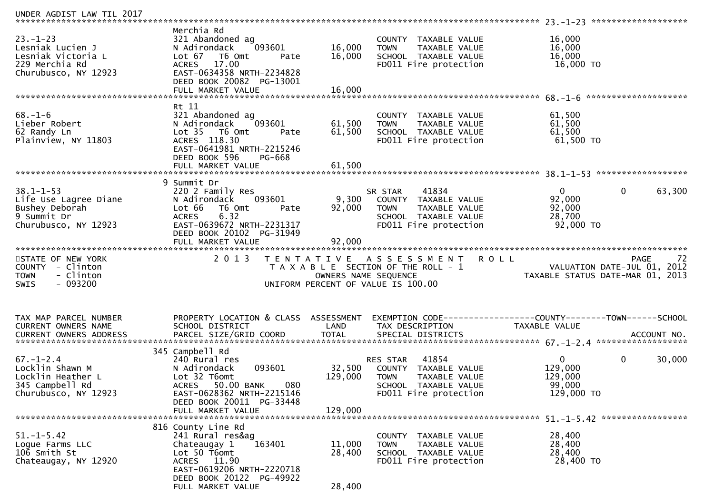| UNDER AGDIST LAW TIL 2017                                                                          |                                                                                                                                                                                                |                            |                                                                                                                            |                                                            |                                           |
|----------------------------------------------------------------------------------------------------|------------------------------------------------------------------------------------------------------------------------------------------------------------------------------------------------|----------------------------|----------------------------------------------------------------------------------------------------------------------------|------------------------------------------------------------|-------------------------------------------|
| $23. - 1 - 23$<br>Lesniak Lucien J<br>Lesniak Victoria L<br>229 Merchia Rd<br>Churubusco, NY 12923 | Merchia Rd<br>321 Abandoned ag<br>093601<br>N Adirondack<br>Lot $67$<br>T6 Omt<br>Pate<br>17.00<br><b>ACRES</b><br>EAST-0634358 NRTH-2234828<br>DEED BOOK 20082 PG-13001<br>FULL MARKET VALUE  | 16,000<br>16,000<br>16,000 | COUNTY TAXABLE VALUE<br>TAXABLE VALUE<br><b>TOWN</b><br>SCHOOL TAXABLE VALUE<br>FD011 Fire protection                      | 16,000<br>16,000<br>16,000<br>16,000 TO                    |                                           |
|                                                                                                    |                                                                                                                                                                                                |                            |                                                                                                                            |                                                            |                                           |
| $68. - 1 - 6$<br>Lieber Robert<br>62 Randy Ln<br>Plainview, NY 11803                               | Rt 11<br>321 Abandoned ag<br>093601<br>N Adirondack<br>Lot <sub>35</sub><br>T6 Omt<br>Pate<br>ACRES 118.30<br>EAST-0641981 NRTH-2215246<br>DEED BOOK 596<br><b>PG-668</b><br>FULL MARKET VALUE | 61,500<br>61,500<br>61,500 | COUNTY TAXABLE VALUE<br>TAXABLE VALUE<br><b>TOWN</b><br>SCHOOL TAXABLE VALUE<br>FD011 Fire protection                      | 61,500<br>61,500<br>61,500<br>61,500 TO                    |                                           |
|                                                                                                    | 9 Summit Dr                                                                                                                                                                                    |                            |                                                                                                                            |                                                            | ******************                        |
| $38.1 - 1 - 53$<br>Life Use Lagree Diane<br>Bushey Deborah<br>9 Summit Dr<br>Churubusco, NY 12923  | 220 2 Family Res<br>093601<br>N Adirondack<br>Lot 66<br>T6 Omt<br>Pate<br>6.32<br><b>ACRES</b><br>EAST-0639672 NRTH-2231317<br>DEED BOOK 20102 PG-31949<br>FULL MARKET VALUE                   | 9,300<br>92,000<br>92,000  | 41834<br>SR STAR<br>COUNTY TAXABLE VALUE<br><b>TOWN</b><br>TAXABLE VALUE<br>SCHOOL TAXABLE VALUE<br>FD011 Fire protection  | $\Omega$<br>92,000<br>92,000<br>28,700<br>92,000 TO        | $\mathbf 0$<br>63,300                     |
|                                                                                                    |                                                                                                                                                                                                |                            |                                                                                                                            |                                                            |                                           |
| STATE OF NEW YORK<br>COUNTY - Clinton<br><b>TOWN</b><br>- Clinton<br>$-093200$<br><b>SWIS</b>      | 2 0 1 3                                                                                                                                                                                        | OWNERS NAME SEQUENCE       | TENTATIVE ASSESSMENT<br>T A X A B L E SECTION OF THE ROLL - 1<br>UNIFORM PERCENT OF VALUE IS 100.00                        | <b>ROLL</b><br>TAXABLE STATUS DATE-MAR 01, 2013            | 72<br>PAGE<br>VALUATION DATE-JUL 01, 2012 |
| TAX MAP PARCEL NUMBER<br><b>CURRENT OWNERS NAME</b>                                                | PROPERTY LOCATION & CLASS ASSESSMENT<br>SCHOOL DISTRICT                                                                                                                                        | LAND                       | TAX DESCRIPTION                                                                                                            | TAXABLE VALUE                                              |                                           |
|                                                                                                    | 345 Campbell Rd                                                                                                                                                                                |                            |                                                                                                                            |                                                            |                                           |
| $67. - 1 - 2.4$<br>Locklin Shawn M<br>Locklin Heather L<br>345 Campbell Rd<br>Churubusco, NY 12923 | 240 Rural res<br>N Adirondack<br>093601<br>Lot 32 T6omt<br>50.00 BANK<br>080<br><b>ACRES</b><br>EAST-0628362 NRTH-2215146<br>DEED BOOK 20011 PG-33448                                          | 32,500<br>129,000          | 41854<br>RES STAR<br>COUNTY TAXABLE VALUE<br><b>TOWN</b><br>TAXABLE VALUE<br>SCHOOL TAXABLE VALUE<br>FD011 Fire protection | $\mathbf{0}$<br>129,000<br>129,000<br>99,000<br>129,000 TO | $\mathbf 0$<br>30,000                     |
|                                                                                                    | FULL MARKET VALUE                                                                                                                                                                              | 129,000                    |                                                                                                                            |                                                            |                                           |
| $51. - 1 - 5.42$<br>Loque Farms LLC<br>106 Smith St<br>Chateaugay, NY 12920                        | 816 County Line Rd<br>241 Rural res&ag<br>Chateaugay 1<br>163401<br>Lot 50 T6omt<br>ACRES 11.90<br>EAST-0619206 NRTH-2220718<br>DEED BOOK 20122 PG-49922<br>FULL MARKET VALUE                  | 11,000<br>28,400<br>28,400 | COUNTY TAXABLE VALUE<br><b>TOWN</b><br>TAXABLE VALUE<br>SCHOOL TAXABLE VALUE<br>FD011 Fire protection                      | 28,400<br>28,400<br>28,400<br>28,400 TO                    |                                           |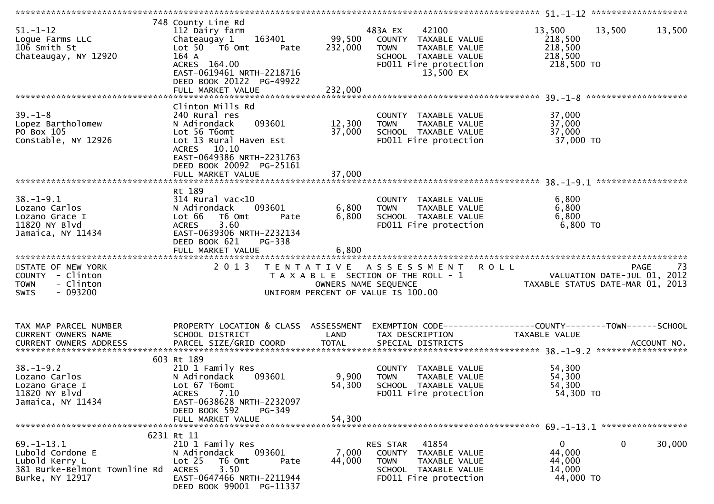| $51. - 1 - 12$<br>Logue Farms LLC<br>106 Smith St<br>Chateaugay, NY 12920                    | 748 County Line Rd<br>112 Dairy farm<br>Chateaugay 1 163401<br>Lot 50 T6 Omt<br>Pate<br>164 A<br>ACRES 164.00<br>EAST-0619461 NRTH-2218716<br>DEED BOOK 20122 PG-49922<br>FULL MARKET VALUE | 99,500<br>232,000<br>232,000 | 483A EX<br>42100<br>COUNTY TAXABLE VALUE<br>TAXABLE VALUE<br><b>TOWN</b><br>SCHOOL TAXABLE VALUE<br>FD011 Fire protection<br>13,500 EX | 13,500<br>13,500<br>218,500<br>218,500<br>218,500<br>218,500 TO                                          | 13,500 |
|----------------------------------------------------------------------------------------------|---------------------------------------------------------------------------------------------------------------------------------------------------------------------------------------------|------------------------------|----------------------------------------------------------------------------------------------------------------------------------------|----------------------------------------------------------------------------------------------------------|--------|
|                                                                                              |                                                                                                                                                                                             |                              |                                                                                                                                        |                                                                                                          |        |
| $39. - 1 - 8$<br>Lopez Bartholomew<br>PO Box 105<br>Constable, NY 12926                      | Clinton Mills Rd<br>240 Rural res<br>093601<br>N Adirondack<br>Lot 56 T6omt<br>Lot 13 Rural Haven Est<br>ACRES 10.10<br>EAST-0649386 NRTH-2231763                                           | 12,300<br>37,000             | COUNTY TAXABLE VALUE<br><b>TOWN</b><br>TAXABLE VALUE<br>SCHOOL TAXABLE VALUE<br>FD011 Fire protection                                  | 37,000<br>37,000<br>37,000<br>37,000 TO                                                                  |        |
|                                                                                              | DEED BOOK 20092 PG-25161                                                                                                                                                                    |                              |                                                                                                                                        |                                                                                                          |        |
|                                                                                              |                                                                                                                                                                                             |                              |                                                                                                                                        |                                                                                                          |        |
| $38. - 1 - 9.1$<br>Lozano Carlos<br>Lozano Grace I<br>11820 NY Blvd<br>Jamaica, NY 11434     | Rt 189<br>$314$ Rural vac<10<br>N Adirondack<br>093601<br>Lot 66<br>T6 Omt<br>Pate<br>3.60<br><b>ACRES</b><br>EAST-0639306 NRTH-2232134<br>DEED BOOK 621<br>PG-338                          | 6,800<br>6,800               | COUNTY TAXABLE VALUE<br>TAXABLE VALUE<br><b>TOWN</b><br>SCHOOL TAXABLE VALUE<br>FD011 Fire protection                                  | 6,800<br>6,800<br>6,800<br>$6,800$ TO                                                                    |        |
|                                                                                              | FULL MARKET VALUE                                                                                                                                                                           | 6,800                        |                                                                                                                                        |                                                                                                          |        |
| STATE OF NEW YORK<br>COUNTY - Clinton<br>- Clinton<br><b>TOWN</b><br>- 093200<br><b>SWIS</b> |                                                                                                                                                                                             | OWNERS NAME SEQUENCE         | 2013 TENTATIVE ASSESSMENT ROLL<br>T A X A B L E SECTION OF THE ROLL - 1<br>UNIFORM PERCENT OF VALUE IS 100.00                          | PAGE 73<br>VALUATION DATE-JUL 01, 2012<br>TAXARLE STATIS ATTERICALLE<br>TAXABLE STATUS DATE-MAR 01, 2013 |        |
| TAX MAP PARCEL NUMBER                                                                        | PROPERTY LOCATION & CLASS ASSESSMENT                                                                                                                                                        |                              |                                                                                                                                        | EXEMPTION CODE------------------COUNTY--------TOWN------SCHOOL                                           |        |
| CURRENT OWNERS NAME                                                                          | SCHOOL DISTRICT                                                                                                                                                                             | LAND                         | TAX DESCRIPTION                                                                                                                        | <b>TAXABLE VALUE</b>                                                                                     |        |
|                                                                                              |                                                                                                                                                                                             |                              |                                                                                                                                        |                                                                                                          |        |
| $38. - 1 - 9.2$<br>Lozano Carlos<br>Lozano Grace I<br>11820 NY Blvd                          | 603 Rt 189<br>210 1 Family Res<br>093601<br>N Adirondack<br>Lot 67 T6omt<br>7.10<br><b>ACRES</b>                                                                                            | 9,900<br>54,300              | COUNTY TAXABLE VALUE<br><b>TOWN</b><br>TAXABLE VALUE<br>SCHOOL TAXABLE VALUE<br>FD011 Fire protection                                  | 54,300<br>54,300<br>54,300<br>54,300 TO                                                                  |        |
| Jamaica, NY 11434                                                                            | EAST-0638628 NRTH-2232097<br>DEED BOOK 592<br>PG-349<br>FULL MARKET VALUE                                                                                                                   | 54,300                       |                                                                                                                                        |                                                                                                          |        |
|                                                                                              |                                                                                                                                                                                             |                              |                                                                                                                                        |                                                                                                          |        |
| $69. - 1 - 13.1$<br>Lubold Cordone E<br>Lubold Kerry L<br>381 Burke-Belmont Townline Rd      | 6231 Rt 11<br>210 1 Family Res<br>N Adirondack<br>093601<br>Lot <sub>25</sub><br>T6 Omt<br>Pate                                                                                             | 7,000<br>44,000              | RES STAR<br>41854<br>COUNTY TAXABLE VALUE<br><b>TOWN</b><br>TAXABLE VALUE                                                              | 0<br>0<br>44,000<br>44,000                                                                               | 30,000 |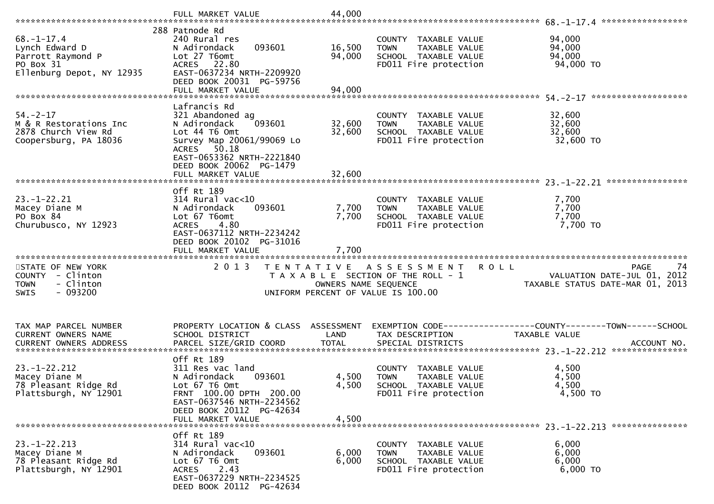|                                                                                                   | FULL MARKET VALUE                                                                                                                                                                  | 44,000                     |                                                                                                                    |                                                                                       |
|---------------------------------------------------------------------------------------------------|------------------------------------------------------------------------------------------------------------------------------------------------------------------------------------|----------------------------|--------------------------------------------------------------------------------------------------------------------|---------------------------------------------------------------------------------------|
| $68. - 1 - 17.4$<br>Lynch Edward D<br>Parrott Raymond P<br>PO Box 31<br>Ellenburg Depot, NY 12935 | 288 Patnode Rd<br>240 Rural res<br>093601<br>N Adirondack<br>Lot 27 T6omt<br>ACRES 22.80<br>EAST-0637234 NRTH-2209920<br>DEED BOOK 20031 PG-59756<br>FULL MARKET VALUE             | 16,500<br>94,000<br>94,000 | COUNTY TAXABLE VALUE<br>TAXABLE VALUE<br><b>TOWN</b><br>SCHOOL TAXABLE VALUE<br>FD011 Fire protection              | 94,000<br>94,000<br>94,000<br>94,000 TO                                               |
| $54. - 2 - 17$<br>M & R Restorations Inc<br>2878 Church View Rd<br>Coopersburg, PA 18036          | Lafrancis Rd<br>321 Abandoned ag<br>093601<br>N Adirondack<br>Lot 44 T6 Omt<br>Survey Map 20061/99069 Lo<br>ACRES 50.18<br>EAST-0653362 NRTH-2221840<br>DEED BOOK 20062 PG-1479    | 32,600<br>32,600           | COUNTY TAXABLE VALUE<br>TAXABLE VALUE<br><b>TOWN</b><br>SCHOOL TAXABLE VALUE<br>FD011 Fire protection              | 32,600<br>32,600<br>32,600<br>32,600 TO                                               |
|                                                                                                   |                                                                                                                                                                                    |                            |                                                                                                                    | ****************                                                                      |
| $23. - 1 - 22.21$<br>Macey Diane M<br>PO Box 84<br>Churubusco, NY 12923                           | Off Rt 189<br>$314$ Rural vac<10<br>N Adirondack<br>093601<br>Lot 67 T6omt<br>4.80<br><b>ACRES</b><br>EAST-0637112 NRTH-2234242<br>DEED BOOK 20102 PG-31016                        | 7,700<br>7,700             | COUNTY TAXABLE VALUE<br>TAXABLE VALUE<br><b>TOWN</b><br>SCHOOL TAXABLE VALUE<br>FD011 Fire protection              | 7,700<br>7,700<br>7,700<br>7,700 TO                                                   |
|                                                                                                   |                                                                                                                                                                                    |                            |                                                                                                                    |                                                                                       |
|                                                                                                   | FULL MARKET VALUE                                                                                                                                                                  | 7,700                      |                                                                                                                    |                                                                                       |
| STATE OF NEW YORK<br>COUNTY - Clinton<br>- Clinton<br><b>TOWN</b><br>$-093200$<br>SWIS            | 2013                                                                                                                                                                               | OWNERS NAME SEQUENCE       | <b>ROLL</b><br>TENTATIVE ASSESSMENT<br>T A X A B L E SECTION OF THE ROLL - 1<br>UNIFORM PERCENT OF VALUE IS 100.00 | -74<br><b>PAGE</b><br>VALUATION DATE-JUL 01, 2012<br>TAXABLE STATUS DATE-MAR 01, 2013 |
| TAX MAP PARCEL NUMBER<br>CURRENT OWNERS NAME<br>CURRENT OWNERS ADDRESS                            | PROPERTY LOCATION & CLASS ASSESSMENT<br>SCHOOL DISTRICT<br>PARCEL SIZE/GRID COORD                                                                                                  | LAND<br><b>TOTAL</b>       | TAX DESCRIPTION<br>SPECIAL DISTRICTS                                                                               | TAXABLE VALUE<br>ACCOUNT NO.                                                          |
| $23. - 1 - 22.212$<br>Macey Diane M<br>78 Pleasant Ridge Rd<br>Plattsburgh, NY 12901              | Off Rt 189<br>311 Res vac land<br>093601<br>N Adirondack<br>Lot 67 T6 Omt<br>FRNT 100.00 DPTH 200.00<br>EAST-0637546 NRTH-2234562<br>DEED BOOK 20112 PG-42634<br>FULL MARKET VALUE | 4,500<br>4,500<br>4,500    | COUNTY TAXABLE VALUE<br><b>TOWN</b><br><b>TAXABLE VALUE</b><br>SCHOOL TAXABLE VALUE<br>FD011 Fire protection       | 4,500<br>4,500<br>4,500<br>4,500 TO                                                   |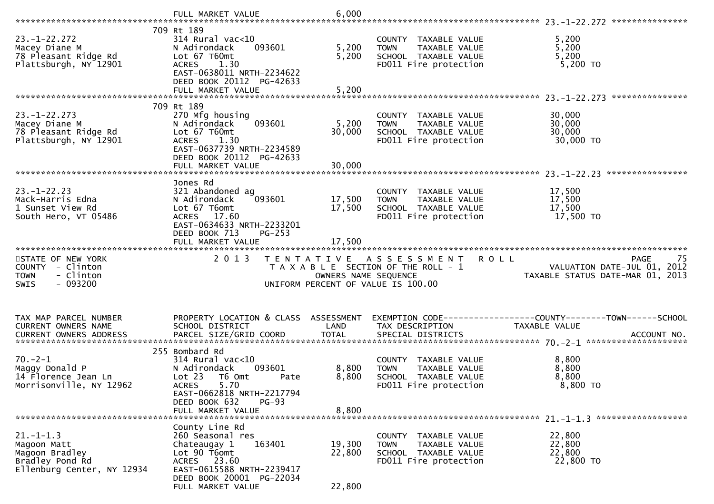|                                                                                       | FULL MARKET VALUE                                                                                                                               | 6,000                |                                                                                                       |                                                                                                     |
|---------------------------------------------------------------------------------------|-------------------------------------------------------------------------------------------------------------------------------------------------|----------------------|-------------------------------------------------------------------------------------------------------|-----------------------------------------------------------------------------------------------------|
|                                                                                       | 709 Rt 189                                                                                                                                      |                      |                                                                                                       |                                                                                                     |
| $23. - 1 - 22.272$<br>Macey Diane M<br>78 Pleasant Ridge Rd<br>Plattsburgh, NY 12901  | 314 Rural vac<10<br>N Adirondack<br>093601<br>Lot 67 T60mt<br>ACRES 1.30<br>EAST-0638011 NRTH-2234622                                           | 5,200<br>5,200       | COUNTY TAXABLE VALUE<br>TAXABLE VALUE<br><b>TOWN</b><br>SCHOOL TAXABLE VALUE<br>FD011 Fire protection | 5,200<br>5,200<br>5,200<br>5,200 TO                                                                 |
|                                                                                       | DEED BOOK 20112 PG-42633<br>FULL MARKET VALUE                                                                                                   | 5,200                |                                                                                                       |                                                                                                     |
|                                                                                       |                                                                                                                                                 |                      |                                                                                                       |                                                                                                     |
| $23. - 1 - 22.273$<br>Macey Diane M<br>78 Pleasant Ridge Rd<br>Plattsburgh, NY 12901  | 709 Rt 189<br>270 Mfg housing<br>093601<br>N Adirondack<br>Lot 67 T60mt<br>ACRES 1.30<br>EAST-0637739 NRTH-2234589                              | 5,200<br>30,000      | COUNTY TAXABLE VALUE<br>TAXABLE VALUE<br><b>TOWN</b><br>SCHOOL TAXABLE VALUE<br>FD011 Fire protection | 30,000<br>30,000<br>30,000<br>30,000 TO                                                             |
|                                                                                       | DEED BOOK 20112 PG-42633                                                                                                                        |                      |                                                                                                       |                                                                                                     |
|                                                                                       |                                                                                                                                                 |                      |                                                                                                       |                                                                                                     |
| $23. - 1 - 22.23$<br>Mack-Harris Edna<br>1 Sunset View Rd<br>South Hero, VT 05486     | Jones Rd<br>321 Abandoned ag<br>093601<br>N Adirondack<br>Lot 67 T6omt<br>ACRES 17.60<br>EAST-0634633 NRTH-2233201<br>DEED BOOK 713<br>$PG-253$ | 17,500<br>17,500     | COUNTY TAXABLE VALUE<br>TAXABLE VALUE<br><b>TOWN</b><br>SCHOOL TAXABLE VALUE<br>FD011 Fire protection | 17,500<br>17,500<br>17,500<br>17,500 TO                                                             |
|                                                                                       | FULL MARKET VALUE                                                                                                                               | 17,500               |                                                                                                       |                                                                                                     |
|                                                                                       |                                                                                                                                                 |                      |                                                                                                       |                                                                                                     |
| STATE OF NEW YORK<br>COUNTY - Clinton<br>- Clinton<br><b>TOWN</b><br>SWIS<br>- 093200 | 2 0 1 3                                                                                                                                         | OWNERS NAME SEQUENCE | TENTATIVE ASSESSMENT<br>T A X A B L E SECTION OF THE ROLL - 1<br>UNIFORM PERCENT OF VALUE IS 100.00   | <b>ROLL</b><br><b>PAGE</b><br>75<br>VALUATION DATE-JUL 01, 2012<br>TAXABLE STATUS DATE-MAR 01, 2013 |
|                                                                                       |                                                                                                                                                 |                      |                                                                                                       |                                                                                                     |
| TAX MAP PARCEL NUMBER<br>CURRENT OWNERS NAME                                          | PROPERTY LOCATION & CLASS ASSESSMENT<br>SCHOOL DISTRICT                                                                                         | LAND                 | TAX DESCRIPTION                                                                                       | TAXABLE VALUE                                                                                       |
|                                                                                       |                                                                                                                                                 |                      |                                                                                                       |                                                                                                     |
| $70. -2 - 1$<br>Maggy Donald P<br>14 Florence Jean Ln<br>Morrisonville, NY 12962      | 255 Bombard Rd<br>$314$ Rural vac<10<br>N Adirondack<br>093601<br>Lot 23<br>T6 Omt<br>Pate<br><b>ACRES</b><br>5.70<br>EAST-0662818 NRTH-2217794 | 8,800<br>8,800       | COUNTY TAXABLE VALUE<br>TAXABLE VALUE<br><b>TOWN</b><br>SCHOOL TAXABLE VALUE<br>FD011 Fire protection | 8,800<br>8,800<br>8,800<br>8,800 TO                                                                 |
|                                                                                       | DEED BOOK 632<br>$PG-93$<br>FULL MARKET VALUE                                                                                                   | 8,800                |                                                                                                       |                                                                                                     |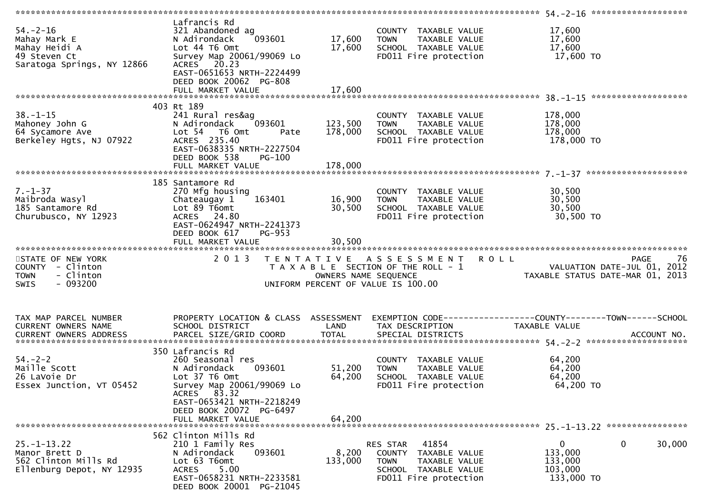|                                                                                               |                                                                                                                                                                                                          |                            |                                                                                                                            | 54.-2-16 *********************                                                       |
|-----------------------------------------------------------------------------------------------|----------------------------------------------------------------------------------------------------------------------------------------------------------------------------------------------------------|----------------------------|----------------------------------------------------------------------------------------------------------------------------|--------------------------------------------------------------------------------------|
| $54. - 2 - 16$<br>Mahay Mark E<br>Mahay Heidi A<br>49 Steven Ct<br>Saratoga Springs, NY 12866 | Lafrancis Rd<br>321 Abandoned ag<br>N Adirondack<br>093601<br>Lot 44 T6 Omt<br>Survey Map 20061/99069 Lo<br>ACRES 20.23<br>EAST-0651653 NRTH-2224499<br>DEED BOOK 20062 PG-808                           | 17,600<br>17,600           | COUNTY TAXABLE VALUE<br><b>TOWN</b><br>TAXABLE VALUE<br>SCHOOL TAXABLE VALUE<br>FD011 Fire protection                      | 17,600<br>17,600<br>17,600<br>17,600 TO                                              |
|                                                                                               | FULL MARKET VALUE                                                                                                                                                                                        | 17,600                     |                                                                                                                            |                                                                                      |
|                                                                                               | 403 Rt 189                                                                                                                                                                                               |                            |                                                                                                                            |                                                                                      |
| $38. - 1 - 15$<br>Mahoney John G<br>64 Sycamore Ave<br>Berkeley Hgts, NJ 07922                | 241 Rural res&ag<br>093601<br>N Adirondack<br>Lot 54 T6 Omt<br>Pate<br>ACRES 235.40<br>EAST-0638335 NRTH-2227504<br>DEED BOOK 538<br>PG-100                                                              | 123,500<br>178,000         | COUNTY TAXABLE VALUE<br><b>TOWN</b><br>TAXABLE VALUE<br>SCHOOL TAXABLE VALUE<br>FD011 Fire protection                      | 178,000<br>178,000<br>178,000<br>178,000 TO                                          |
|                                                                                               | FULL MARKET VALUE                                                                                                                                                                                        | 178,000                    |                                                                                                                            |                                                                                      |
| $7. - 1 - 37$<br>Maibroda Wasyl<br>185 Santamore Rd<br>Churubusco, NY 12923                   | 185 Santamore Rd<br>270 Mfg housing<br>163401<br>Chateaugay 1<br>Lot 89 T6omt<br>ACRES 24.80<br>EAST-0624947 NRTH-2241373<br>DEED BOOK 617<br>PG-953<br>FULL MARKET VALUE                                | 16,900<br>30,500<br>30,500 | COUNTY TAXABLE VALUE<br><b>TOWN</b><br>TAXABLE VALUE<br>SCHOOL TAXABLE VALUE<br>FD011 Fire protection                      | 30,500<br>30,500<br>30,500<br>30,500 TO                                              |
| STATE OF NEW YORK                                                                             | 2 0 1 3                                                                                                                                                                                                  |                            | TENTATIVE ASSESSMENT                                                                                                       | <b>ROLL</b><br>-76<br>PAGE                                                           |
| COUNTY - Clinton<br>- Clinton<br><b>TOWN</b><br>$-093200$<br>SWIS                             |                                                                                                                                                                                                          | OWNERS NAME SEQUENCE       | T A X A B L E SECTION OF THE ROLL - 1<br>UNIFORM PERCENT OF VALUE IS 100.00                                                | VALUATION DATE-JUL 01, 2012<br>TAXABLE STATUS DATE-MAR 01, 2013                      |
| TAX MAP PARCEL NUMBER<br>CURRENT OWNERS NAME                                                  | PROPERTY LOCATION & CLASS ASSESSMENT<br>SCHOOL DISTRICT                                                                                                                                                  | LAND                       | TAX DESCRIPTION                                                                                                            | EXEMPTION        CODE-----------------COUNTY-------TOWN------SCHOOL<br>TAXABLE VALUE |
| $54. - 2 - 2$<br>Maille Scott<br>26 LaVoie Dr<br>Essex Junction, VT 05452                     | 350 Lafrancis Rd<br>260 Seasonal res<br>N Adirondack<br>093601<br>Lot 37 T6 Omt<br>Survey Map 20061/99069 Lo<br>ACRES 83.32<br>EAST-0653421 NRTH-2218249<br>DEED BOOK 20072 PG-6497<br>FULL MARKET VALUE | 51,200<br>64,200<br>64,200 | COUNTY TAXABLE VALUE<br>TAXABLE VALUE<br><b>TOWN</b><br>SCHOOL TAXABLE VALUE<br>FD011 Fire protection                      | 64,200<br>64,200<br>64,200<br>64,200 TO                                              |
|                                                                                               |                                                                                                                                                                                                          |                            |                                                                                                                            |                                                                                      |
| $25. - 1 - 13.22$<br>Manor Brett D<br>562 Clinton Mills Rd<br>Ellenburg Depot, NY 12935       | 562 Clinton Mills Rd<br>210 1 Family Res<br>N Adirondack<br>093601<br>Lot 63 T6omt<br>5.00<br><b>ACRES</b><br>EAST-0658231 NRTH-2233581<br>DEED BOOK 20001 PG-21045                                      | 8,200<br>133,000           | 41854<br>RES STAR<br>COUNTY TAXABLE VALUE<br><b>TOWN</b><br>TAXABLE VALUE<br>SCHOOL TAXABLE VALUE<br>FD011 Fire protection | 0<br>30,000<br>0<br>133,000<br>133,000<br>103,000<br>133,000 TO                      |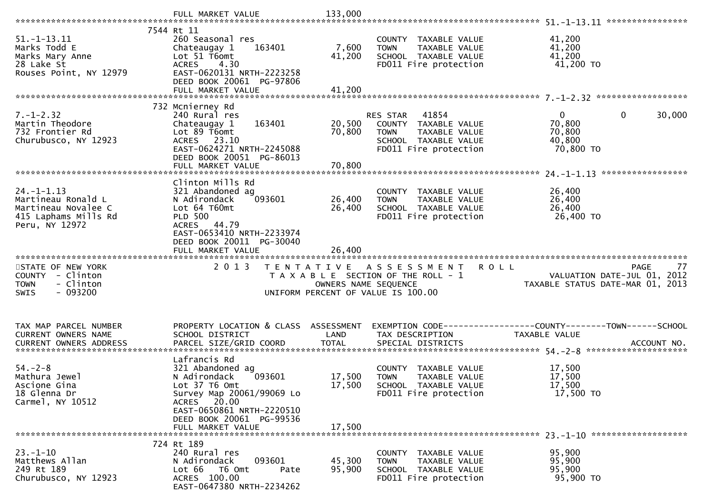|                                                                                                         | FULL MARKET VALUE                                                                                                                                                        | 133,000              |                                                                                                                         |                                                                                      |
|---------------------------------------------------------------------------------------------------------|--------------------------------------------------------------------------------------------------------------------------------------------------------------------------|----------------------|-------------------------------------------------------------------------------------------------------------------------|--------------------------------------------------------------------------------------|
|                                                                                                         |                                                                                                                                                                          |                      |                                                                                                                         |                                                                                      |
| $51. - 1 - 13.11$<br>Marks Todd E<br>Marks Mary Anne<br>28 Lake St<br>Rouses Point, NY 12979            | 7544 Rt 11<br>260 Seasonal res<br>163401<br>Chateaugay 1<br>Lot 51 T6omt<br><b>ACRES</b><br>4.30<br>EAST-0620131 NRTH-2223258<br>DEED BOOK 20061 PG-97806                | 7,600<br>41,200      | COUNTY TAXABLE VALUE<br><b>TOWN</b><br>TAXABLE VALUE<br>SCHOOL TAXABLE VALUE<br>FD011 Fire protection                   | 41,200<br>41,200<br>41,200<br>41,200 TO                                              |
|                                                                                                         | FULL MARKET VALUE                                                                                                                                                        | 41,200               |                                                                                                                         |                                                                                      |
|                                                                                                         |                                                                                                                                                                          |                      |                                                                                                                         |                                                                                      |
| $7. - 1 - 2.32$<br>Martin Theodore<br>732 Frontier Rd<br>Churubusco, NY 12923                           | 732 Mcnierney Rd<br>240 Rural res<br>163401<br>Chateaugay 1<br>Lot 89 T6omt<br>ACRES 23.10<br>EAST-0624271 NRTH-2245088<br>DEED BOOK 20051 PG-86013                      | 20,500<br>70,800     | RES STAR 41854<br>COUNTY TAXABLE VALUE<br><b>TOWN</b><br>TAXABLE VALUE<br>SCHOOL TAXABLE VALUE<br>FD011 Fire protection | $\overline{0}$<br>$\mathbf 0$<br>30,000<br>70,800<br>70,800<br>40,800<br>70,800 TO   |
|                                                                                                         |                                                                                                                                                                          |                      |                                                                                                                         | *****************                                                                    |
| $24. - 1 - 1.13$<br>Martineau Ronald L<br>Martineau Novalee C<br>415 Laphams Mills Rd<br>Peru, NY 12972 | Clinton Mills Rd<br>321 Abandoned ag<br>093601<br>N Adirondack<br>Lot 64 T60mt<br><b>PLD 500</b><br>ACRES 44.79<br>EAST-0653410 NRTH-2233974<br>DEED BOOK 20011 PG-30040 | 26,400<br>26,400     | COUNTY TAXABLE VALUE<br><b>TOWN</b><br>TAXABLE VALUE<br>SCHOOL TAXABLE VALUE<br>FD011 Fire protection                   | 26,400<br>26,400<br>26,400<br>26,400 TO                                              |
|                                                                                                         | FULL MARKET VALUE                                                                                                                                                        | 26,400               |                                                                                                                         |                                                                                      |
|                                                                                                         |                                                                                                                                                                          |                      |                                                                                                                         |                                                                                      |
| STATE OF NEW YORK<br>COUNTY - Clinton<br><b>TOWN</b><br>- Clinton<br>$-093200$<br><b>SWIS</b>           | 2 0 1 3                                                                                                                                                                  | OWNERS NAME SEQUENCE | <b>ROLL</b><br>TENTATIVE ASSESSMENT<br>T A X A B L E SECTION OF THE ROLL - 1<br>UNIFORM PERCENT OF VALUE IS 100.00      | 77<br><b>PAGE</b><br>VALUATION DATE-JUL 01, 2012<br>TAXABLE STATUS DATE-MAR 01, 2013 |
|                                                                                                         |                                                                                                                                                                          |                      |                                                                                                                         |                                                                                      |
| TAX MAP PARCEL NUMBER<br>CURRENT OWNERS NAME                                                            | PROPERTY LOCATION & CLASS ASSESSMENT<br>SCHOOL DISTRICT                                                                                                                  | LAND                 | EXEMPTION CODE-----------------COUNTY-------TOWN------SCHOOL<br>TAX DESCRIPTION                                         | TAXABLE VALUE                                                                        |
|                                                                                                         | Lafrancis Rd                                                                                                                                                             |                      |                                                                                                                         |                                                                                      |
| $54. - 2 - 8$<br>Mathura Jewel<br>Ascione Gina<br>18 Glenna Dr                                          | 321 Abandoned ag<br>N Adirondack<br>093601<br>Lot 37 T6 Omt<br>Survey Map 20061/99069 Lo                                                                                 | 17,500<br>17,500     | COUNTY TAXABLE VALUE<br><b>TOWN</b><br>TAXABLE VALUE<br>SCHOOL TAXABLE VALUE<br>FD011 Fire protection                   | 17,500<br>17,500<br>17,500<br>17,500 TO                                              |
| Carmel, NY 10512                                                                                        | ACRES 20.00<br>EAST-0650861 NRTH-2220510<br>DEED BOOK 20061 PG-99536<br>FULL MARKET VALUE                                                                                | 17,500               |                                                                                                                         |                                                                                      |
|                                                                                                         | 724 Rt 189                                                                                                                                                               |                      |                                                                                                                         |                                                                                      |
| $23. - 1 - 10$<br>Matthews Allan<br>249 Rt 189<br>Churubusco, NY 12923                                  | 240 Rural res<br>N Adirondack<br>093601<br>Lot 66<br>T6 Omt<br>Pate<br>ACRES 100.00<br>EAST-0647380 NRTH-2234262                                                         | 45,300<br>95,900     | COUNTY<br>TAXABLE VALUE<br><b>TOWN</b><br>TAXABLE VALUE<br>SCHOOL TAXABLE VALUE<br>FD011 Fire protection                | 95,900<br>95,900<br>95,900<br>95,900 TO                                              |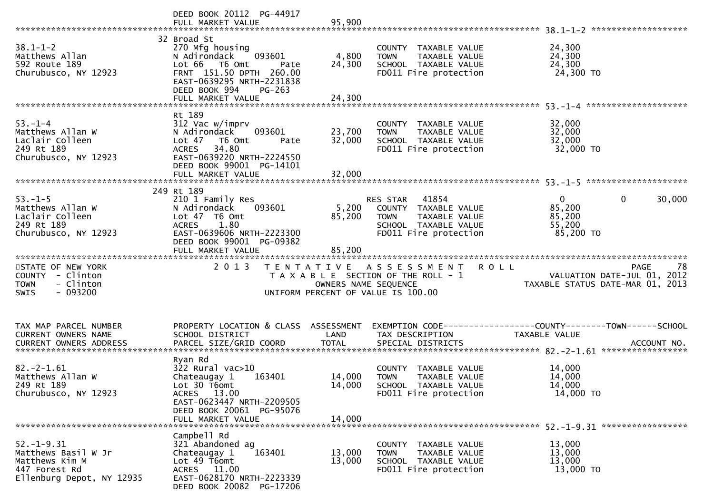|                                                                                               | DEED BOOK 20112 PG-44917                                                                                                                                                  |                            |                                                                                                                            |                                                                                              |
|-----------------------------------------------------------------------------------------------|---------------------------------------------------------------------------------------------------------------------------------------------------------------------------|----------------------------|----------------------------------------------------------------------------------------------------------------------------|----------------------------------------------------------------------------------------------|
| $38.1 - 1 - 2$<br>Matthews Allan<br>592 Route 189<br>Churubusco, NY 12923                     | 32 Broad St<br>270 Mfg housing<br>093601<br>N Adirondack<br>Lot 66<br>T6 Omt<br>Pate<br>FRNT 151.50 DPTH 260.00<br>EAST-0639295 NRTH-2231838<br>DEED BOOK 994<br>$PG-263$ | 4,800<br>24,300            | COUNTY TAXABLE VALUE<br>TAXABLE VALUE<br><b>TOWN</b><br>SCHOOL TAXABLE VALUE<br>FD011 Fire protection                      | 24,300<br>24,300<br>24,300<br>24,300 TO                                                      |
|                                                                                               |                                                                                                                                                                           |                            |                                                                                                                            |                                                                                              |
| $53. - 1 - 4$<br>Matthews Allan W<br>Laclair Colleen<br>249 Rt 189<br>Churubusco, NY 12923    | Rt 189<br>312 Vac w/imprv<br>N Adirondack<br>093601<br>Lot 47<br>T6 Omt<br>Pate<br>34.80<br><b>ACRES</b><br>EAST-0639220 NRTH-2224550<br>DEED BOOK 99001 PG-14101         | 23,700<br>32,000           | COUNTY TAXABLE VALUE<br>TAXABLE VALUE<br><b>TOWN</b><br>SCHOOL TAXABLE VALUE<br>FD011 Fire protection                      | 32,000<br>32,000<br>32,000<br>32,000 TO                                                      |
|                                                                                               |                                                                                                                                                                           |                            |                                                                                                                            |                                                                                              |
|                                                                                               | 249 Rt 189                                                                                                                                                                |                            |                                                                                                                            |                                                                                              |
| $53. - 1 - 5$<br>Matthews Allan W<br>Laclair Colleen<br>249 Rt 189<br>Churubusco, NY 12923    | 210 1 Family Res<br>093601<br>N Adirondack<br>Lot 47 T6 Omt<br><b>ACRES</b><br>1.80<br>EAST-0639606 NRTH-2223300<br>DEED BOOK 99001 PG-09382                              | 5,200<br>85,200            | RES STAR<br>41854<br>COUNTY TAXABLE VALUE<br><b>TOWN</b><br>TAXABLE VALUE<br>SCHOOL TAXABLE VALUE<br>FD011 Fire protection | $\mathbf{0}$<br>$\mathbf{0}$<br>30,000<br>85,200<br>85,200<br>55,200<br>85,200 TO            |
|                                                                                               | FULL MARKET VALUE                                                                                                                                                         | 85,200                     |                                                                                                                            |                                                                                              |
|                                                                                               |                                                                                                                                                                           |                            |                                                                                                                            |                                                                                              |
| STATE OF NEW YORK<br>COUNTY - Clinton<br><b>TOWN</b><br>- Clinton<br>$-093200$<br><b>SWIS</b> | 2 0 1 3                                                                                                                                                                   | OWNERS NAME SEQUENCE       | TENTATIVE ASSESSMENT<br>T A X A B L E SECTION OF THE ROLL - 1<br>UNIFORM PERCENT OF VALUE IS 100.00                        | 78<br>R O L L<br>PAGE<br>VALUATION DATE-JUL 01, 2012<br>TAXABLE STATUS DATE-MAR 01, 2013     |
| TAX MAP PARCEL NUMBER<br>CURRENT OWNERS NAME<br><b>CURRENT OWNERS ADDRESS</b>                 | PROPERTY LOCATION & CLASS ASSESSMENT<br>SCHOOL DISTRICT<br>PARCEL SIZE/GRID COORD                                                                                         | LAND<br><b>TOTAL</b>       | TAX DESCRIPTION<br>SPECIAL DISTRICTS                                                                                       | EXEMPTION CODE-----------------COUNTY-------TOWN------SCHOOL<br>TAXABLE VALUE<br>ACCOUNT NO. |
| $82. - 2 - 1.61$<br>Matthews Allan W<br>249 Rt 189<br>Churubusco, NY 12923                    | Ryan Rd<br>322 Rural vac>10<br>Chateaugay 1<br>163401<br>Lot 30 T6omt<br>ACRES 13.00<br>EAST-0623447 NRTH-2209505<br>DEED BOOK 20061 PG-95076<br>FULL MARKET VALUE        | 14,000<br>14,000<br>14,000 | COUNTY TAXABLE VALUE<br><b>TOWN</b><br>TAXABLE VALUE<br>SCHOOL TAXABLE VALUE<br>FD011 Fire protection                      | 14,000<br>14,000<br>14,000<br>14,000 TO                                                      |
|                                                                                               | Campbell Rd                                                                                                                                                               |                            |                                                                                                                            |                                                                                              |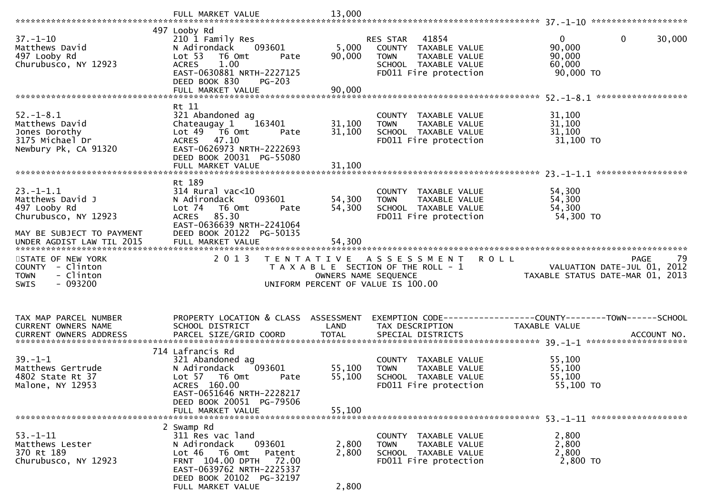|                                                                          | FULL MARKET VALUE                                                                                                           | 13,000               |                                                                                                                                   |                                                                               |
|--------------------------------------------------------------------------|-----------------------------------------------------------------------------------------------------------------------------|----------------------|-----------------------------------------------------------------------------------------------------------------------------------|-------------------------------------------------------------------------------|
|                                                                          | 497 Looby Rd                                                                                                                |                      |                                                                                                                                   |                                                                               |
| $37. - 1 - 10$<br>Matthews David<br>497 Looby Rd<br>Churubusco, NY 12923 | 210 1 Family Res<br>N Adirondack<br>093601<br>Lot 53<br>T6 Omt<br>Pate<br>1.00<br><b>ACRES</b><br>EAST-0630881 NRTH-2227125 | 5,000<br>90,000      | RES STAR<br>41854<br>COUNTY TAXABLE VALUE<br><b>TOWN</b><br><b>TAXABLE VALUE</b><br>SCHOOL TAXABLE VALUE<br>FD011 Fire protection | $\mathbf{0}$<br>0<br>30,000<br>90,000<br>90,000<br>60,000<br>90,000 TO        |
|                                                                          | DEED BOOK 830<br>$PG-203$<br>FULL MARKET VALUE                                                                              | 90,000               |                                                                                                                                   |                                                                               |
|                                                                          |                                                                                                                             |                      |                                                                                                                                   |                                                                               |
|                                                                          | Rt 11                                                                                                                       |                      |                                                                                                                                   |                                                                               |
| $52. - 1 - 8.1$<br>Matthews David                                        | 321 Abandoned ag<br>Chateaugay 1<br>163401                                                                                  | 31,100               | COUNTY TAXABLE VALUE<br>TAXABLE VALUE<br><b>TOWN</b>                                                                              | 31,100<br>31,100                                                              |
| Jones Dorothy                                                            | Lot 49 76 0mt<br>Pate                                                                                                       | 31,100               | SCHOOL TAXABLE VALUE                                                                                                              | 31,100                                                                        |
| 3175 Michael Dr                                                          | ACRES 47.10                                                                                                                 |                      | FD011 Fire protection                                                                                                             | 31,100 TO                                                                     |
| Newbury Pk, CA 91320                                                     | EAST-0626973 NRTH-2222693<br>DEED BOOK 20031 PG-55080                                                                       |                      |                                                                                                                                   |                                                                               |
|                                                                          | FULL MARKET VALUE                                                                                                           | 31,100               |                                                                                                                                   |                                                                               |
|                                                                          |                                                                                                                             |                      |                                                                                                                                   | ******************                                                            |
| $23. - 1 - 1.1$                                                          | Rt 189<br>$314$ Rural vac<10                                                                                                |                      | COUNTY TAXABLE VALUE                                                                                                              | 54,300                                                                        |
| Matthews David J                                                         | 093601<br>N Adirondack                                                                                                      | 54,300               | <b>TOWN</b><br>TAXABLE VALUE                                                                                                      | 54,300                                                                        |
| 497 Looby Rd                                                             | Lot 74<br>T6 Omt<br>Pate                                                                                                    | 54,300               | SCHOOL TAXABLE VALUE                                                                                                              | 54,300                                                                        |
| Churubusco, NY 12923                                                     | 85.30<br><b>ACRES</b><br>EAST-0636639 NRTH-2241064                                                                          |                      | FD011 Fire protection                                                                                                             | 54,300 TO                                                                     |
| MAY BE SUBJECT TO PAYMENT<br>UNDER AGDIST LAW TIL 2015                   | DEED BOOK 20122 PG-50135<br>FULL MARKET VALUE                                                                               | 54,300               |                                                                                                                                   |                                                                               |
|                                                                          |                                                                                                                             |                      |                                                                                                                                   |                                                                               |
|                                                                          | 2 0 1 3                                                                                                                     |                      |                                                                                                                                   | 79<br><b>PAGE</b>                                                             |
| STATE OF NEW YORK<br>COUNTY - Clinton                                    |                                                                                                                             |                      | <b>ROLL</b><br>TENTATIVE ASSESSMENT<br>T A X A B L E SECTION OF THE ROLL - 1                                                      | VALUATION DATE-JUL 01, 2012                                                   |
| - Clinton<br><b>TOWN</b>                                                 |                                                                                                                             | OWNERS NAME SEQUENCE |                                                                                                                                   | TAXABLE STATUS DATE-MAR 01, 2013                                              |
| $-093200$<br><b>SWIS</b>                                                 |                                                                                                                             |                      | UNIFORM PERCENT OF VALUE IS 100.00                                                                                                |                                                                               |
|                                                                          |                                                                                                                             |                      |                                                                                                                                   |                                                                               |
|                                                                          |                                                                                                                             |                      |                                                                                                                                   |                                                                               |
| TAX MAP PARCEL NUMBER<br>CURRENT OWNERS NAME                             | PROPERTY LOCATION & CLASS ASSESSMENT<br>SCHOOL DISTRICT                                                                     | LAND                 | TAX DESCRIPTION                                                                                                                   | EXEMPTION CODE-----------------COUNTY-------TOWN------SCHOOL<br>TAXABLE VALUE |
|                                                                          |                                                                                                                             |                      |                                                                                                                                   |                                                                               |
|                                                                          | 714 Lafrancis Rd                                                                                                            |                      |                                                                                                                                   |                                                                               |
| $39 - 1 - 1$                                                             | 321 Abandoned ag                                                                                                            |                      | COUNTY TAXABLE VALUE                                                                                                              | 55,100                                                                        |
| Matthews Gertrude                                                        | N Adirondack<br>093601                                                                                                      | 55,100               | TAXABLE VALUE<br><b>TOWN</b>                                                                                                      | 55,100                                                                        |
| 4802 State Rt 37                                                         | Lot 57 76 0mt<br>Pate<br>ACRES 160.00                                                                                       | 55,100               | SCHOOL TAXABLE VALUE<br>FD011 Fire protection                                                                                     | 55,100<br>55,100 TO                                                           |
| Malone, NY 12953                                                         | EAST-0651646 NRTH-2228217                                                                                                   |                      |                                                                                                                                   |                                                                               |
|                                                                          | DEED BOOK 20051 PG-79506                                                                                                    |                      |                                                                                                                                   |                                                                               |
|                                                                          | FULL MARKET VALUE                                                                                                           | 55,100               |                                                                                                                                   |                                                                               |
|                                                                          | 2 Swamp Rd                                                                                                                  |                      |                                                                                                                                   |                                                                               |
| $53 - 1 - 11$                                                            | 311 Res vac land                                                                                                            |                      | COUNTY TAXABLE VALUE                                                                                                              | 2,800                                                                         |
| Matthews Lester<br>370 Rt 189                                            | N Adirondack<br>093601<br>Lot 46<br>T6 Omt<br>Patent                                                                        | 2,800<br>2,800       | TAXABLE VALUE<br><b>TOWN</b><br>SCHOOL TAXABLE VALUE                                                                              | 2,800<br>2,800                                                                |
| Churubusco, NY 12923                                                     | FRNT 104.00 DPTH 72.00                                                                                                      |                      | FD011 Fire protection                                                                                                             | 2,800 TO                                                                      |
|                                                                          | EAST-0639762 NRTH-2225337<br>DEED BOOK 20102 PG-32197                                                                       |                      |                                                                                                                                   |                                                                               |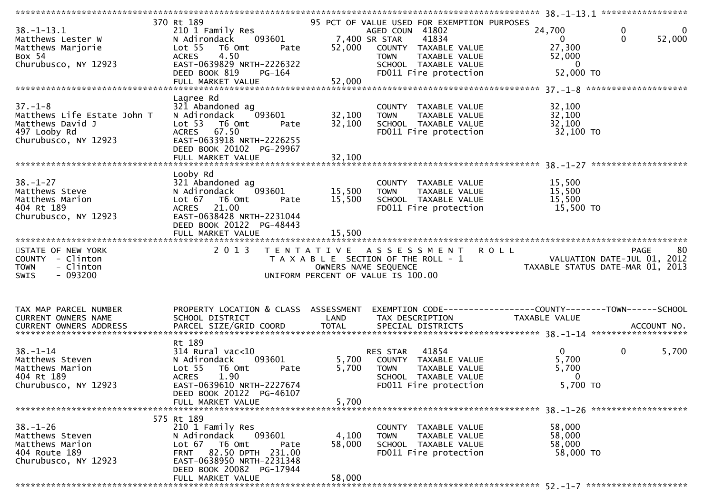| 370 Rt 189<br>95 PCT OF VALUE USED FOR EXEMPTION PURPOSES<br>0<br>$38. - 1 - 13.1$<br>24,700<br>210 1 Family Res<br>AGED COUN 41802<br>0<br>7,400 SR STAR<br>093601<br>$\Omega$<br>52,000<br>41834<br>Matthews Lester W<br>N Adirondack<br>$\Omega$<br>27,300<br>Lot <sub>55</sub><br>T6 Omt<br>52,000<br>Matthews Marjorie<br>COUNTY TAXABLE VALUE<br>Pate<br>4.50<br><b>ACRES</b><br>Box 54<br><b>TOWN</b><br>TAXABLE VALUE<br>52,000<br>EAST-0639829 NRTH-2226322<br>Churubusco, NY 12923<br>SCHOOL TAXABLE VALUE<br>$\overline{0}$<br>52,000 TO<br>FD011 Fire protection<br>DEED BOOK 819<br>PG-164<br>Lagree Rd<br>$37. - 1 - 8$<br>321 Abandoned ag<br>32,100<br>COUNTY TAXABLE VALUE<br>32,100<br>32,100<br>Matthews Life Estate John T<br>N Adirondack<br>093601<br><b>TAXABLE VALUE</b><br><b>TOWN</b><br>Matthews David J<br>32,100<br>32,100<br>Lot <sub>53</sub><br>T6 Omt<br>SCHOOL TAXABLE VALUE<br>Pate<br>ACRES 67.50<br>497 Looby Rd<br>32,100 TO<br>FD011 Fire protection<br>EAST-0633918 NRTH-2226255<br>Churubusco, NY 12923<br>DEED BOOK 20102 PG-29967<br>Looby Rd<br>$38. - 1 - 27$<br>15,500<br>321 Abandoned ag<br>COUNTY TAXABLE VALUE<br>Matthews Steve<br>093601<br>15,500<br>15,500<br>N Adirondack<br>TAXABLE VALUE<br><b>TOWN</b><br>15,500<br>Matthews Marion<br>Lot 67<br>T6 Omt<br>15,500<br>SCHOOL TAXABLE VALUE<br>Pate<br>21.00<br>404 Rt 189<br>15,500 TO<br><b>ACRES</b><br>FD011 Fire protection<br>EAST-0638428 NRTH-2231044<br>Churubusco, NY 12923<br>DEED BOOK 20122 PG-48443<br>15,500<br>FULL MARKET VALUE<br>2013<br>80<br>TENTATIVE ASSESSMENT ROLL<br>STATE OF NEW YORK<br><b>PAGE</b><br>COUNTY - Clinton<br>VALUATION DATE-JUL 01, 2012<br>T A X A B L E SECTION OF THE ROLL - 1<br>- Clinton<br><b>TOWN</b><br>OWNERS NAME SEQUENCE<br>TAXABLE STATUS DATE-MAR 01, 2013<br>$-093200$<br>SWIS<br>UNIFORM PERCENT OF VALUE IS 100.00<br>PROPERTY LOCATION & CLASS ASSESSMENT<br>TAX MAP PARCEL NUMBER<br>EXEMPTION CODE-----------------COUNTY-------TOWN------SCHOOL<br>CURRENT OWNERS NAME<br>SCHOOL DISTRICT<br>LAND<br>TAX DESCRIPTION<br>TAXABLE VALUE<br>CURRENT OWNERS ADDRESS<br>Rt 189<br>$\overline{0}$<br>314 Rural vac<10<br>41854<br>$\Omega$<br>5,700<br>$38 - 1 - 14$<br>RES STAR<br>5,700<br>5,700<br>Matthews Steven<br>N Adirondack<br>093601<br>COUNTY TAXABLE VALUE<br>Matthews Marion<br>5,700<br>Lot <sub>55</sub><br>T6 Omt<br>5,700<br>TAXABLE VALUE<br>Pate<br><b>TOWN</b><br>404 Rt 189<br>1.90<br><b>ACRES</b><br>SCHOOL TAXABLE VALUE<br>$\mathbf{0}$<br>5,700 TO<br>EAST-0639610 NRTH-2227674<br>FD011 Fire protection<br>Churubusco, NY 12923<br>DEED BOOK 20122 PG-46107<br>5,700<br>FULL MARKET VALUE<br>575 Rt 189<br>$38. - 1 - 26$<br>210 1 Family Res<br>58,000<br>COUNTY TAXABLE VALUE<br>093601<br>58,000<br>Matthews Steven<br>N Adirondack<br>4,100<br><b>TOWN</b><br>TAXABLE VALUE<br>58,000<br>58,000<br>Matthews Marion<br>Lot 67 76 0mt<br>SCHOOL TAXABLE VALUE<br>Pate<br>FRNT 82.50 DPTH 231.00<br>FD011 Fire protection<br>58,000 TO<br>404 Route 189<br>EAST-0638950 NRTH-2231348<br>Churubusco, NY 12923<br>DEED BOOK 20082 PG-17944<br>58,000<br>FULL MARKET VALUE |  |  | $38. -1 - 13.1$ ****************** |  |
|------------------------------------------------------------------------------------------------------------------------------------------------------------------------------------------------------------------------------------------------------------------------------------------------------------------------------------------------------------------------------------------------------------------------------------------------------------------------------------------------------------------------------------------------------------------------------------------------------------------------------------------------------------------------------------------------------------------------------------------------------------------------------------------------------------------------------------------------------------------------------------------------------------------------------------------------------------------------------------------------------------------------------------------------------------------------------------------------------------------------------------------------------------------------------------------------------------------------------------------------------------------------------------------------------------------------------------------------------------------------------------------------------------------------------------------------------------------------------------------------------------------------------------------------------------------------------------------------------------------------------------------------------------------------------------------------------------------------------------------------------------------------------------------------------------------------------------------------------------------------------------------------------------------------------------------------------------------------------------------------------------------------------------------------------------------------------------------------------------------------------------------------------------------------------------------------------------------------------------------------------------------------------------------------------------------------------------------------------------------------------------------------------------------------------------------------------------------------------------------------------------------------------------------------------------------------------------------------------------------------------------------------------------------------------------------------------------------------------------------------------------------------------------------------------------------------------------------------------------------------------------------------------------------------------------------------------------------------------------------------------------------------------------------------------------------------------------------------------------------------------------------------------------------------|--|--|------------------------------------|--|
|                                                                                                                                                                                                                                                                                                                                                                                                                                                                                                                                                                                                                                                                                                                                                                                                                                                                                                                                                                                                                                                                                                                                                                                                                                                                                                                                                                                                                                                                                                                                                                                                                                                                                                                                                                                                                                                                                                                                                                                                                                                                                                                                                                                                                                                                                                                                                                                                                                                                                                                                                                                                                                                                                                                                                                                                                                                                                                                                                                                                                                                                                                                                                                        |  |  |                                    |  |
|                                                                                                                                                                                                                                                                                                                                                                                                                                                                                                                                                                                                                                                                                                                                                                                                                                                                                                                                                                                                                                                                                                                                                                                                                                                                                                                                                                                                                                                                                                                                                                                                                                                                                                                                                                                                                                                                                                                                                                                                                                                                                                                                                                                                                                                                                                                                                                                                                                                                                                                                                                                                                                                                                                                                                                                                                                                                                                                                                                                                                                                                                                                                                                        |  |  |                                    |  |
|                                                                                                                                                                                                                                                                                                                                                                                                                                                                                                                                                                                                                                                                                                                                                                                                                                                                                                                                                                                                                                                                                                                                                                                                                                                                                                                                                                                                                                                                                                                                                                                                                                                                                                                                                                                                                                                                                                                                                                                                                                                                                                                                                                                                                                                                                                                                                                                                                                                                                                                                                                                                                                                                                                                                                                                                                                                                                                                                                                                                                                                                                                                                                                        |  |  |                                    |  |
|                                                                                                                                                                                                                                                                                                                                                                                                                                                                                                                                                                                                                                                                                                                                                                                                                                                                                                                                                                                                                                                                                                                                                                                                                                                                                                                                                                                                                                                                                                                                                                                                                                                                                                                                                                                                                                                                                                                                                                                                                                                                                                                                                                                                                                                                                                                                                                                                                                                                                                                                                                                                                                                                                                                                                                                                                                                                                                                                                                                                                                                                                                                                                                        |  |  |                                    |  |
|                                                                                                                                                                                                                                                                                                                                                                                                                                                                                                                                                                                                                                                                                                                                                                                                                                                                                                                                                                                                                                                                                                                                                                                                                                                                                                                                                                                                                                                                                                                                                                                                                                                                                                                                                                                                                                                                                                                                                                                                                                                                                                                                                                                                                                                                                                                                                                                                                                                                                                                                                                                                                                                                                                                                                                                                                                                                                                                                                                                                                                                                                                                                                                        |  |  |                                    |  |
|                                                                                                                                                                                                                                                                                                                                                                                                                                                                                                                                                                                                                                                                                                                                                                                                                                                                                                                                                                                                                                                                                                                                                                                                                                                                                                                                                                                                                                                                                                                                                                                                                                                                                                                                                                                                                                                                                                                                                                                                                                                                                                                                                                                                                                                                                                                                                                                                                                                                                                                                                                                                                                                                                                                                                                                                                                                                                                                                                                                                                                                                                                                                                                        |  |  |                                    |  |
|                                                                                                                                                                                                                                                                                                                                                                                                                                                                                                                                                                                                                                                                                                                                                                                                                                                                                                                                                                                                                                                                                                                                                                                                                                                                                                                                                                                                                                                                                                                                                                                                                                                                                                                                                                                                                                                                                                                                                                                                                                                                                                                                                                                                                                                                                                                                                                                                                                                                                                                                                                                                                                                                                                                                                                                                                                                                                                                                                                                                                                                                                                                                                                        |  |  |                                    |  |
|                                                                                                                                                                                                                                                                                                                                                                                                                                                                                                                                                                                                                                                                                                                                                                                                                                                                                                                                                                                                                                                                                                                                                                                                                                                                                                                                                                                                                                                                                                                                                                                                                                                                                                                                                                                                                                                                                                                                                                                                                                                                                                                                                                                                                                                                                                                                                                                                                                                                                                                                                                                                                                                                                                                                                                                                                                                                                                                                                                                                                                                                                                                                                                        |  |  |                                    |  |
|                                                                                                                                                                                                                                                                                                                                                                                                                                                                                                                                                                                                                                                                                                                                                                                                                                                                                                                                                                                                                                                                                                                                                                                                                                                                                                                                                                                                                                                                                                                                                                                                                                                                                                                                                                                                                                                                                                                                                                                                                                                                                                                                                                                                                                                                                                                                                                                                                                                                                                                                                                                                                                                                                                                                                                                                                                                                                                                                                                                                                                                                                                                                                                        |  |  |                                    |  |
|                                                                                                                                                                                                                                                                                                                                                                                                                                                                                                                                                                                                                                                                                                                                                                                                                                                                                                                                                                                                                                                                                                                                                                                                                                                                                                                                                                                                                                                                                                                                                                                                                                                                                                                                                                                                                                                                                                                                                                                                                                                                                                                                                                                                                                                                                                                                                                                                                                                                                                                                                                                                                                                                                                                                                                                                                                                                                                                                                                                                                                                                                                                                                                        |  |  |                                    |  |
|                                                                                                                                                                                                                                                                                                                                                                                                                                                                                                                                                                                                                                                                                                                                                                                                                                                                                                                                                                                                                                                                                                                                                                                                                                                                                                                                                                                                                                                                                                                                                                                                                                                                                                                                                                                                                                                                                                                                                                                                                                                                                                                                                                                                                                                                                                                                                                                                                                                                                                                                                                                                                                                                                                                                                                                                                                                                                                                                                                                                                                                                                                                                                                        |  |  |                                    |  |
|                                                                                                                                                                                                                                                                                                                                                                                                                                                                                                                                                                                                                                                                                                                                                                                                                                                                                                                                                                                                                                                                                                                                                                                                                                                                                                                                                                                                                                                                                                                                                                                                                                                                                                                                                                                                                                                                                                                                                                                                                                                                                                                                                                                                                                                                                                                                                                                                                                                                                                                                                                                                                                                                                                                                                                                                                                                                                                                                                                                                                                                                                                                                                                        |  |  |                                    |  |
|                                                                                                                                                                                                                                                                                                                                                                                                                                                                                                                                                                                                                                                                                                                                                                                                                                                                                                                                                                                                                                                                                                                                                                                                                                                                                                                                                                                                                                                                                                                                                                                                                                                                                                                                                                                                                                                                                                                                                                                                                                                                                                                                                                                                                                                                                                                                                                                                                                                                                                                                                                                                                                                                                                                                                                                                                                                                                                                                                                                                                                                                                                                                                                        |  |  |                                    |  |
|                                                                                                                                                                                                                                                                                                                                                                                                                                                                                                                                                                                                                                                                                                                                                                                                                                                                                                                                                                                                                                                                                                                                                                                                                                                                                                                                                                                                                                                                                                                                                                                                                                                                                                                                                                                                                                                                                                                                                                                                                                                                                                                                                                                                                                                                                                                                                                                                                                                                                                                                                                                                                                                                                                                                                                                                                                                                                                                                                                                                                                                                                                                                                                        |  |  |                                    |  |
|                                                                                                                                                                                                                                                                                                                                                                                                                                                                                                                                                                                                                                                                                                                                                                                                                                                                                                                                                                                                                                                                                                                                                                                                                                                                                                                                                                                                                                                                                                                                                                                                                                                                                                                                                                                                                                                                                                                                                                                                                                                                                                                                                                                                                                                                                                                                                                                                                                                                                                                                                                                                                                                                                                                                                                                                                                                                                                                                                                                                                                                                                                                                                                        |  |  |                                    |  |
|                                                                                                                                                                                                                                                                                                                                                                                                                                                                                                                                                                                                                                                                                                                                                                                                                                                                                                                                                                                                                                                                                                                                                                                                                                                                                                                                                                                                                                                                                                                                                                                                                                                                                                                                                                                                                                                                                                                                                                                                                                                                                                                                                                                                                                                                                                                                                                                                                                                                                                                                                                                                                                                                                                                                                                                                                                                                                                                                                                                                                                                                                                                                                                        |  |  |                                    |  |
|                                                                                                                                                                                                                                                                                                                                                                                                                                                                                                                                                                                                                                                                                                                                                                                                                                                                                                                                                                                                                                                                                                                                                                                                                                                                                                                                                                                                                                                                                                                                                                                                                                                                                                                                                                                                                                                                                                                                                                                                                                                                                                                                                                                                                                                                                                                                                                                                                                                                                                                                                                                                                                                                                                                                                                                                                                                                                                                                                                                                                                                                                                                                                                        |  |  |                                    |  |
|                                                                                                                                                                                                                                                                                                                                                                                                                                                                                                                                                                                                                                                                                                                                                                                                                                                                                                                                                                                                                                                                                                                                                                                                                                                                                                                                                                                                                                                                                                                                                                                                                                                                                                                                                                                                                                                                                                                                                                                                                                                                                                                                                                                                                                                                                                                                                                                                                                                                                                                                                                                                                                                                                                                                                                                                                                                                                                                                                                                                                                                                                                                                                                        |  |  |                                    |  |
|                                                                                                                                                                                                                                                                                                                                                                                                                                                                                                                                                                                                                                                                                                                                                                                                                                                                                                                                                                                                                                                                                                                                                                                                                                                                                                                                                                                                                                                                                                                                                                                                                                                                                                                                                                                                                                                                                                                                                                                                                                                                                                                                                                                                                                                                                                                                                                                                                                                                                                                                                                                                                                                                                                                                                                                                                                                                                                                                                                                                                                                                                                                                                                        |  |  |                                    |  |
|                                                                                                                                                                                                                                                                                                                                                                                                                                                                                                                                                                                                                                                                                                                                                                                                                                                                                                                                                                                                                                                                                                                                                                                                                                                                                                                                                                                                                                                                                                                                                                                                                                                                                                                                                                                                                                                                                                                                                                                                                                                                                                                                                                                                                                                                                                                                                                                                                                                                                                                                                                                                                                                                                                                                                                                                                                                                                                                                                                                                                                                                                                                                                                        |  |  |                                    |  |
|                                                                                                                                                                                                                                                                                                                                                                                                                                                                                                                                                                                                                                                                                                                                                                                                                                                                                                                                                                                                                                                                                                                                                                                                                                                                                                                                                                                                                                                                                                                                                                                                                                                                                                                                                                                                                                                                                                                                                                                                                                                                                                                                                                                                                                                                                                                                                                                                                                                                                                                                                                                                                                                                                                                                                                                                                                                                                                                                                                                                                                                                                                                                                                        |  |  |                                    |  |
|                                                                                                                                                                                                                                                                                                                                                                                                                                                                                                                                                                                                                                                                                                                                                                                                                                                                                                                                                                                                                                                                                                                                                                                                                                                                                                                                                                                                                                                                                                                                                                                                                                                                                                                                                                                                                                                                                                                                                                                                                                                                                                                                                                                                                                                                                                                                                                                                                                                                                                                                                                                                                                                                                                                                                                                                                                                                                                                                                                                                                                                                                                                                                                        |  |  |                                    |  |
|                                                                                                                                                                                                                                                                                                                                                                                                                                                                                                                                                                                                                                                                                                                                                                                                                                                                                                                                                                                                                                                                                                                                                                                                                                                                                                                                                                                                                                                                                                                                                                                                                                                                                                                                                                                                                                                                                                                                                                                                                                                                                                                                                                                                                                                                                                                                                                                                                                                                                                                                                                                                                                                                                                                                                                                                                                                                                                                                                                                                                                                                                                                                                                        |  |  |                                    |  |
|                                                                                                                                                                                                                                                                                                                                                                                                                                                                                                                                                                                                                                                                                                                                                                                                                                                                                                                                                                                                                                                                                                                                                                                                                                                                                                                                                                                                                                                                                                                                                                                                                                                                                                                                                                                                                                                                                                                                                                                                                                                                                                                                                                                                                                                                                                                                                                                                                                                                                                                                                                                                                                                                                                                                                                                                                                                                                                                                                                                                                                                                                                                                                                        |  |  |                                    |  |
|                                                                                                                                                                                                                                                                                                                                                                                                                                                                                                                                                                                                                                                                                                                                                                                                                                                                                                                                                                                                                                                                                                                                                                                                                                                                                                                                                                                                                                                                                                                                                                                                                                                                                                                                                                                                                                                                                                                                                                                                                                                                                                                                                                                                                                                                                                                                                                                                                                                                                                                                                                                                                                                                                                                                                                                                                                                                                                                                                                                                                                                                                                                                                                        |  |  |                                    |  |
|                                                                                                                                                                                                                                                                                                                                                                                                                                                                                                                                                                                                                                                                                                                                                                                                                                                                                                                                                                                                                                                                                                                                                                                                                                                                                                                                                                                                                                                                                                                                                                                                                                                                                                                                                                                                                                                                                                                                                                                                                                                                                                                                                                                                                                                                                                                                                                                                                                                                                                                                                                                                                                                                                                                                                                                                                                                                                                                                                                                                                                                                                                                                                                        |  |  |                                    |  |
|                                                                                                                                                                                                                                                                                                                                                                                                                                                                                                                                                                                                                                                                                                                                                                                                                                                                                                                                                                                                                                                                                                                                                                                                                                                                                                                                                                                                                                                                                                                                                                                                                                                                                                                                                                                                                                                                                                                                                                                                                                                                                                                                                                                                                                                                                                                                                                                                                                                                                                                                                                                                                                                                                                                                                                                                                                                                                                                                                                                                                                                                                                                                                                        |  |  |                                    |  |
|                                                                                                                                                                                                                                                                                                                                                                                                                                                                                                                                                                                                                                                                                                                                                                                                                                                                                                                                                                                                                                                                                                                                                                                                                                                                                                                                                                                                                                                                                                                                                                                                                                                                                                                                                                                                                                                                                                                                                                                                                                                                                                                                                                                                                                                                                                                                                                                                                                                                                                                                                                                                                                                                                                                                                                                                                                                                                                                                                                                                                                                                                                                                                                        |  |  |                                    |  |
|                                                                                                                                                                                                                                                                                                                                                                                                                                                                                                                                                                                                                                                                                                                                                                                                                                                                                                                                                                                                                                                                                                                                                                                                                                                                                                                                                                                                                                                                                                                                                                                                                                                                                                                                                                                                                                                                                                                                                                                                                                                                                                                                                                                                                                                                                                                                                                                                                                                                                                                                                                                                                                                                                                                                                                                                                                                                                                                                                                                                                                                                                                                                                                        |  |  |                                    |  |
|                                                                                                                                                                                                                                                                                                                                                                                                                                                                                                                                                                                                                                                                                                                                                                                                                                                                                                                                                                                                                                                                                                                                                                                                                                                                                                                                                                                                                                                                                                                                                                                                                                                                                                                                                                                                                                                                                                                                                                                                                                                                                                                                                                                                                                                                                                                                                                                                                                                                                                                                                                                                                                                                                                                                                                                                                                                                                                                                                                                                                                                                                                                                                                        |  |  |                                    |  |
|                                                                                                                                                                                                                                                                                                                                                                                                                                                                                                                                                                                                                                                                                                                                                                                                                                                                                                                                                                                                                                                                                                                                                                                                                                                                                                                                                                                                                                                                                                                                                                                                                                                                                                                                                                                                                                                                                                                                                                                                                                                                                                                                                                                                                                                                                                                                                                                                                                                                                                                                                                                                                                                                                                                                                                                                                                                                                                                                                                                                                                                                                                                                                                        |  |  |                                    |  |
|                                                                                                                                                                                                                                                                                                                                                                                                                                                                                                                                                                                                                                                                                                                                                                                                                                                                                                                                                                                                                                                                                                                                                                                                                                                                                                                                                                                                                                                                                                                                                                                                                                                                                                                                                                                                                                                                                                                                                                                                                                                                                                                                                                                                                                                                                                                                                                                                                                                                                                                                                                                                                                                                                                                                                                                                                                                                                                                                                                                                                                                                                                                                                                        |  |  |                                    |  |
|                                                                                                                                                                                                                                                                                                                                                                                                                                                                                                                                                                                                                                                                                                                                                                                                                                                                                                                                                                                                                                                                                                                                                                                                                                                                                                                                                                                                                                                                                                                                                                                                                                                                                                                                                                                                                                                                                                                                                                                                                                                                                                                                                                                                                                                                                                                                                                                                                                                                                                                                                                                                                                                                                                                                                                                                                                                                                                                                                                                                                                                                                                                                                                        |  |  |                                    |  |
|                                                                                                                                                                                                                                                                                                                                                                                                                                                                                                                                                                                                                                                                                                                                                                                                                                                                                                                                                                                                                                                                                                                                                                                                                                                                                                                                                                                                                                                                                                                                                                                                                                                                                                                                                                                                                                                                                                                                                                                                                                                                                                                                                                                                                                                                                                                                                                                                                                                                                                                                                                                                                                                                                                                                                                                                                                                                                                                                                                                                                                                                                                                                                                        |  |  |                                    |  |
|                                                                                                                                                                                                                                                                                                                                                                                                                                                                                                                                                                                                                                                                                                                                                                                                                                                                                                                                                                                                                                                                                                                                                                                                                                                                                                                                                                                                                                                                                                                                                                                                                                                                                                                                                                                                                                                                                                                                                                                                                                                                                                                                                                                                                                                                                                                                                                                                                                                                                                                                                                                                                                                                                                                                                                                                                                                                                                                                                                                                                                                                                                                                                                        |  |  |                                    |  |
|                                                                                                                                                                                                                                                                                                                                                                                                                                                                                                                                                                                                                                                                                                                                                                                                                                                                                                                                                                                                                                                                                                                                                                                                                                                                                                                                                                                                                                                                                                                                                                                                                                                                                                                                                                                                                                                                                                                                                                                                                                                                                                                                                                                                                                                                                                                                                                                                                                                                                                                                                                                                                                                                                                                                                                                                                                                                                                                                                                                                                                                                                                                                                                        |  |  |                                    |  |
|                                                                                                                                                                                                                                                                                                                                                                                                                                                                                                                                                                                                                                                                                                                                                                                                                                                                                                                                                                                                                                                                                                                                                                                                                                                                                                                                                                                                                                                                                                                                                                                                                                                                                                                                                                                                                                                                                                                                                                                                                                                                                                                                                                                                                                                                                                                                                                                                                                                                                                                                                                                                                                                                                                                                                                                                                                                                                                                                                                                                                                                                                                                                                                        |  |  |                                    |  |
|                                                                                                                                                                                                                                                                                                                                                                                                                                                                                                                                                                                                                                                                                                                                                                                                                                                                                                                                                                                                                                                                                                                                                                                                                                                                                                                                                                                                                                                                                                                                                                                                                                                                                                                                                                                                                                                                                                                                                                                                                                                                                                                                                                                                                                                                                                                                                                                                                                                                                                                                                                                                                                                                                                                                                                                                                                                                                                                                                                                                                                                                                                                                                                        |  |  |                                    |  |
|                                                                                                                                                                                                                                                                                                                                                                                                                                                                                                                                                                                                                                                                                                                                                                                                                                                                                                                                                                                                                                                                                                                                                                                                                                                                                                                                                                                                                                                                                                                                                                                                                                                                                                                                                                                                                                                                                                                                                                                                                                                                                                                                                                                                                                                                                                                                                                                                                                                                                                                                                                                                                                                                                                                                                                                                                                                                                                                                                                                                                                                                                                                                                                        |  |  |                                    |  |
|                                                                                                                                                                                                                                                                                                                                                                                                                                                                                                                                                                                                                                                                                                                                                                                                                                                                                                                                                                                                                                                                                                                                                                                                                                                                                                                                                                                                                                                                                                                                                                                                                                                                                                                                                                                                                                                                                                                                                                                                                                                                                                                                                                                                                                                                                                                                                                                                                                                                                                                                                                                                                                                                                                                                                                                                                                                                                                                                                                                                                                                                                                                                                                        |  |  |                                    |  |
|                                                                                                                                                                                                                                                                                                                                                                                                                                                                                                                                                                                                                                                                                                                                                                                                                                                                                                                                                                                                                                                                                                                                                                                                                                                                                                                                                                                                                                                                                                                                                                                                                                                                                                                                                                                                                                                                                                                                                                                                                                                                                                                                                                                                                                                                                                                                                                                                                                                                                                                                                                                                                                                                                                                                                                                                                                                                                                                                                                                                                                                                                                                                                                        |  |  |                                    |  |
|                                                                                                                                                                                                                                                                                                                                                                                                                                                                                                                                                                                                                                                                                                                                                                                                                                                                                                                                                                                                                                                                                                                                                                                                                                                                                                                                                                                                                                                                                                                                                                                                                                                                                                                                                                                                                                                                                                                                                                                                                                                                                                                                                                                                                                                                                                                                                                                                                                                                                                                                                                                                                                                                                                                                                                                                                                                                                                                                                                                                                                                                                                                                                                        |  |  |                                    |  |
|                                                                                                                                                                                                                                                                                                                                                                                                                                                                                                                                                                                                                                                                                                                                                                                                                                                                                                                                                                                                                                                                                                                                                                                                                                                                                                                                                                                                                                                                                                                                                                                                                                                                                                                                                                                                                                                                                                                                                                                                                                                                                                                                                                                                                                                                                                                                                                                                                                                                                                                                                                                                                                                                                                                                                                                                                                                                                                                                                                                                                                                                                                                                                                        |  |  |                                    |  |
|                                                                                                                                                                                                                                                                                                                                                                                                                                                                                                                                                                                                                                                                                                                                                                                                                                                                                                                                                                                                                                                                                                                                                                                                                                                                                                                                                                                                                                                                                                                                                                                                                                                                                                                                                                                                                                                                                                                                                                                                                                                                                                                                                                                                                                                                                                                                                                                                                                                                                                                                                                                                                                                                                                                                                                                                                                                                                                                                                                                                                                                                                                                                                                        |  |  |                                    |  |
|                                                                                                                                                                                                                                                                                                                                                                                                                                                                                                                                                                                                                                                                                                                                                                                                                                                                                                                                                                                                                                                                                                                                                                                                                                                                                                                                                                                                                                                                                                                                                                                                                                                                                                                                                                                                                                                                                                                                                                                                                                                                                                                                                                                                                                                                                                                                                                                                                                                                                                                                                                                                                                                                                                                                                                                                                                                                                                                                                                                                                                                                                                                                                                        |  |  |                                    |  |
|                                                                                                                                                                                                                                                                                                                                                                                                                                                                                                                                                                                                                                                                                                                                                                                                                                                                                                                                                                                                                                                                                                                                                                                                                                                                                                                                                                                                                                                                                                                                                                                                                                                                                                                                                                                                                                                                                                                                                                                                                                                                                                                                                                                                                                                                                                                                                                                                                                                                                                                                                                                                                                                                                                                                                                                                                                                                                                                                                                                                                                                                                                                                                                        |  |  |                                    |  |
|                                                                                                                                                                                                                                                                                                                                                                                                                                                                                                                                                                                                                                                                                                                                                                                                                                                                                                                                                                                                                                                                                                                                                                                                                                                                                                                                                                                                                                                                                                                                                                                                                                                                                                                                                                                                                                                                                                                                                                                                                                                                                                                                                                                                                                                                                                                                                                                                                                                                                                                                                                                                                                                                                                                                                                                                                                                                                                                                                                                                                                                                                                                                                                        |  |  |                                    |  |
|                                                                                                                                                                                                                                                                                                                                                                                                                                                                                                                                                                                                                                                                                                                                                                                                                                                                                                                                                                                                                                                                                                                                                                                                                                                                                                                                                                                                                                                                                                                                                                                                                                                                                                                                                                                                                                                                                                                                                                                                                                                                                                                                                                                                                                                                                                                                                                                                                                                                                                                                                                                                                                                                                                                                                                                                                                                                                                                                                                                                                                                                                                                                                                        |  |  |                                    |  |
|                                                                                                                                                                                                                                                                                                                                                                                                                                                                                                                                                                                                                                                                                                                                                                                                                                                                                                                                                                                                                                                                                                                                                                                                                                                                                                                                                                                                                                                                                                                                                                                                                                                                                                                                                                                                                                                                                                                                                                                                                                                                                                                                                                                                                                                                                                                                                                                                                                                                                                                                                                                                                                                                                                                                                                                                                                                                                                                                                                                                                                                                                                                                                                        |  |  |                                    |  |
|                                                                                                                                                                                                                                                                                                                                                                                                                                                                                                                                                                                                                                                                                                                                                                                                                                                                                                                                                                                                                                                                                                                                                                                                                                                                                                                                                                                                                                                                                                                                                                                                                                                                                                                                                                                                                                                                                                                                                                                                                                                                                                                                                                                                                                                                                                                                                                                                                                                                                                                                                                                                                                                                                                                                                                                                                                                                                                                                                                                                                                                                                                                                                                        |  |  |                                    |  |
|                                                                                                                                                                                                                                                                                                                                                                                                                                                                                                                                                                                                                                                                                                                                                                                                                                                                                                                                                                                                                                                                                                                                                                                                                                                                                                                                                                                                                                                                                                                                                                                                                                                                                                                                                                                                                                                                                                                                                                                                                                                                                                                                                                                                                                                                                                                                                                                                                                                                                                                                                                                                                                                                                                                                                                                                                                                                                                                                                                                                                                                                                                                                                                        |  |  |                                    |  |
|                                                                                                                                                                                                                                                                                                                                                                                                                                                                                                                                                                                                                                                                                                                                                                                                                                                                                                                                                                                                                                                                                                                                                                                                                                                                                                                                                                                                                                                                                                                                                                                                                                                                                                                                                                                                                                                                                                                                                                                                                                                                                                                                                                                                                                                                                                                                                                                                                                                                                                                                                                                                                                                                                                                                                                                                                                                                                                                                                                                                                                                                                                                                                                        |  |  |                                    |  |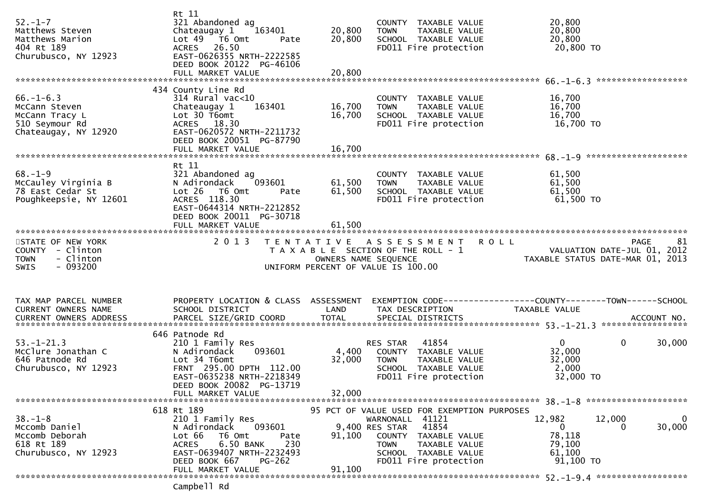| $52 - 1 - 7$<br>Matthews Steven<br>Matthews Marion<br>404 Rt 189<br>Churubusco, NY 12923      | Rt 11<br>321 Abandoned ag<br>Chateaugay $1$ $163401$<br>Lot 49 T6 Omt<br>Pate<br>26.50<br><b>ACRES</b><br>EAST-0626355 NRTH-2222585<br>DEED BOOK 20122 PG-46106                           | 20,800<br>20,800           | COUNTY TAXABLE VALUE<br>TAXABLE VALUE<br><b>TOWN</b><br>SCHOOL TAXABLE VALUE<br>FD011 Fire protection                                               | 20,800<br>20,800<br>20,800<br>20,800 TO                                                                       |                       |
|-----------------------------------------------------------------------------------------------|-------------------------------------------------------------------------------------------------------------------------------------------------------------------------------------------|----------------------------|-----------------------------------------------------------------------------------------------------------------------------------------------------|---------------------------------------------------------------------------------------------------------------|-----------------------|
|                                                                                               | FULL MARKET VALUE                                                                                                                                                                         | 20,800                     |                                                                                                                                                     |                                                                                                               |                       |
| $66. - 1 - 6.3$<br>McCann Steven<br>McCann Tracy L<br>510 Seymour Rd<br>Chateaugay, NY 12920  | 434 County Line Rd<br>$314$ Rural vac<10<br>163401<br>Chateaugay 1<br>Lot 30 T6omt<br>ACRES 18.30<br>EAST-0620572 NRTH-2211732<br>DEED BOOK 20051 PG-87790<br>FULL MARKET VALUE           | 16,700<br>16,700<br>16,700 | COUNTY TAXABLE VALUE<br>TAXABLE VALUE<br><b>TOWN</b><br>SCHOOL TAXABLE VALUE<br>FD011 Fire protection                                               | 16,700<br>16,700<br>16,700<br>16,700 TO                                                                       |                       |
| $68. - 1 - 9$<br>McCauley Virginia B<br>78 East Cedar St<br>Poughkeepsie, NY 12601            | Rt 11<br>321 Abandoned ag<br>093601<br>N Adirondack<br>$Lot 26$ T6 Omt<br>Pate<br>ACRES 118.30<br>EAST-0644314 NRTH-2212852<br>DEED BOOK 20011 PG-30718<br>FULL MARKET VALUE              | 61,500<br>61,500<br>61,500 | COUNTY TAXABLE VALUE<br><b>TOWN</b><br>TAXABLE VALUE<br>SCHOOL TAXABLE VALUE<br>FD011 Fire protection                                               | 61,500<br>61,500<br>61,500<br>61,500 TO                                                                       |                       |
| STATE OF NEW YORK<br>COUNTY - Clinton<br>- Clinton<br><b>TOWN</b><br>$-093200$<br><b>SWIS</b> | 2 0 1 3                                                                                                                                                                                   | OWNERS NAME SEQUENCE       | TENTATIVE ASSESSMENT<br>T A X A B L E SECTION OF THE ROLL - 1<br>UNIFORM PERCENT OF VALUE IS 100.00                                                 | <b>ROLL</b><br>VALUATION DATE-JUL 01, 2012<br>VALUATION DATE SUL 01, 2013<br>TAXABLE STATUS DATE-MAR 01, 2013 | <b>PAGE</b><br>81     |
| TAX MAP PARCEL NUMBER<br>CURRENT OWNERS NAME<br>CURRENT OWNERS ADDRESS                        | PROPERTY LOCATION & CLASS ASSESSMENT<br>SCHOOL DISTRICT<br>PARCEL SIZE/GRID COORD                                                                                                         | LAND<br><b>TOTAL</b>       | TAX DESCRIPTION<br>SPECIAL DISTRICTS                                                                                                                | EXEMPTION CODE------------------COUNTY--------TOWN------SCHOOL<br>TAXABLE VALUE                               | ACCOUNT NO.           |
| $53. - 1 - 21.3$<br>McClure Jonathan C<br>646 Patnode Rd<br>Churubusco, NY 12923              | 646 Patnode Rd<br>210 1 Family Res<br>093601<br>N Adirondack<br>Lot 34 T6omt<br>FRNT 295.00 DPTH 112.00<br>EAST-0635238 NRTH-2218349<br>DEED BOOK 20082 PG-13719<br>FULL MARKET VALUE     | 4,400<br>32,000<br>32,000  | 41854<br>RES STAR<br>COUNTY TAXABLE VALUE<br>TAXABLE VALUE<br><b>TOWN</b><br>SCHOOL TAXABLE VALUE<br>FD011 Fire protection                          | $\mathbf{0}$<br>32,000<br>32,000<br>2,000<br>32,000 TO                                                        | $\mathbf 0$<br>30,000 |
|                                                                                               | 618 Rt 189                                                                                                                                                                                |                            | 95 PCT OF VALUE USED FOR EXEMPTION PURPOSES                                                                                                         |                                                                                                               |                       |
| $38. - 1 - 8$<br>Mccomb Daniel<br>Mccomb Deborah<br>618 Rt 189<br>Churubusco, NY 12923        | 210 1 Family Res<br>093601<br>N Adirondack<br>T6 Omt<br>Lot 66<br>Pate<br>6.50 BANK<br>230<br><b>ACRES</b><br>EAST-0639407 NRTH-2232493<br>DEED BOOK 667<br>$PG-262$<br>FULL MARKET VALUE | 91,100<br>91,100           | WARNONALL 41121<br>41854<br>9,400 RES STAR<br>COUNTY TAXABLE VALUE<br><b>TOWN</b><br>TAXABLE VALUE<br>SCHOOL TAXABLE VALUE<br>FD011 Fire protection | 12,982<br>12,000<br>$\overline{0}$<br>78,118<br>79,100<br>61,100<br>91,100 TO                                 | 0<br>30,000<br>0      |
|                                                                                               | ramnhall pd                                                                                                                                                                               |                            |                                                                                                                                                     |                                                                                                               |                       |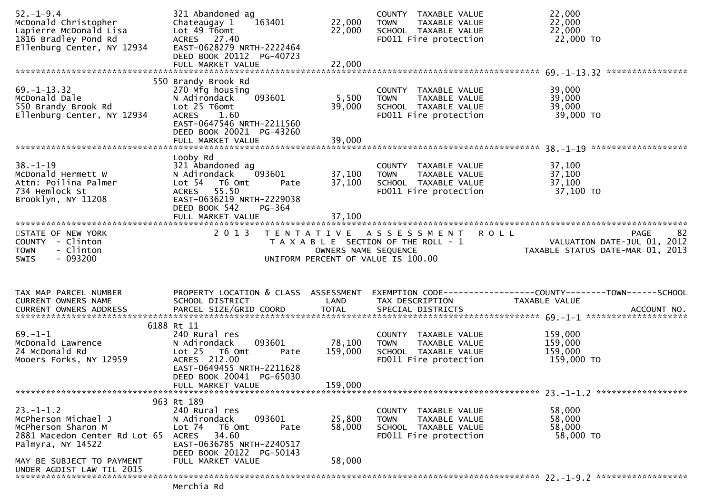| $52. - 1 - 9.4$<br>McDonald Christopher<br>Lapierre McDonald Lisa<br>1816 Bradley Pond Rd<br>Ellenburg Center, NY 12934 | 321 Abandoned ag<br>Chateaugay 1<br>163401<br>Lot 49 T6omt<br>ACRES 27.40<br>EAST-0628279 NRTH-2222464<br>DEED BOOK 20112 PG-40723<br>FULL MARKET VALUE                                    | 22,000<br>22,000<br>22,000   | COUNTY TAXABLE VALUE<br>TAXABLE VALUE<br><b>TOWN</b><br>SCHOOL TAXABLE VALUE<br>FD011 Fire protection | 22,000<br>22,000<br>22,000<br>22,000 TO<br>*****************                                        |
|-------------------------------------------------------------------------------------------------------------------------|--------------------------------------------------------------------------------------------------------------------------------------------------------------------------------------------|------------------------------|-------------------------------------------------------------------------------------------------------|-----------------------------------------------------------------------------------------------------|
| $69. -1 - 13.32$<br>McDonald Dale<br>550 Brandy Brook Rd<br>Ellenburg Center, NY 12934                                  | 550 Brandy Brook Rd<br>270 Mfg housing<br>N Adirondack<br>093601<br>Lot 25 T6omt<br><b>ACRES</b><br>1.60<br>EAST-0647546 NRTH-2211560<br>DEED BOOK 20021 PG-43260                          | 5,500<br>39,000              | COUNTY TAXABLE VALUE<br>TAXABLE VALUE<br><b>TOWN</b><br>SCHOOL TAXABLE VALUE<br>FD011 Fire protection | 39,000<br>39,000<br>39,000<br>39,000 TO                                                             |
| $38. - 1 - 19$<br>McDonald Hermett W<br>Attn: Poilina Palmer<br>734 Hemlock St<br>Brooklyn, NY 11208                    | Looby Rd<br>321 Abandoned ag<br>N Adirondack<br>093601<br>Lot 54 T6 Omt<br>Pate<br>ACRES 55.50<br>EAST-0636219 NRTH-2229038<br>DEED BOOK 542<br>PG-364                                     | 37,100<br>37,100             | COUNTY TAXABLE VALUE<br>TAXABLE VALUE<br><b>TOWN</b><br>SCHOOL TAXABLE VALUE<br>FD011 Fire protection | 37,100<br>37,100<br>37,100<br>37,100 TO                                                             |
| STATE OF NEW YORK<br>COUNTY - Clinton<br>- Clinton<br><b>TOWN</b><br>$-093200$<br><b>SWIS</b>                           | 2 0 1 3                                                                                                                                                                                    | OWNERS NAME SEQUENCE         | TENTATIVE ASSESSMENT<br>T A X A B L E SECTION OF THE ROLL - 1<br>UNIFORM PERCENT OF VALUE IS 100.00   | 82<br><b>ROLL</b><br><b>PAGE</b><br>VALUATION DATE-JUL 01, 2012<br>TAXABLE STATUS DATE-MAR 01, 2013 |
| TAX MAP PARCEL NUMBER<br>CURRENT OWNERS NAME                                                                            | PROPERTY LOCATION & CLASS ASSESSMENT<br>SCHOOL DISTRICT                                                                                                                                    | LAND                         | TAX DESCRIPTION                                                                                       | TAXABLE VALUE                                                                                       |
| $69. - 1 - 1$<br>McDonald Lawrence<br>24 McDonald Rd<br>Mooers Forks, NY 12959                                          | 6188 Rt 11<br>240 Rural res<br>093601<br>N Adirondack<br>Lot <sub>25</sub><br>T6 Omt<br>Pate<br>ACRES 212.00<br>EAST-0649455 NRTH-2211628<br>DEED BOOK 20041 PG-65030<br>FULL MARKET VALUE | 78,100<br>159,000<br>159,000 | COUNTY TAXABLE VALUE<br>TAXABLE VALUE<br><b>TOWN</b><br>SCHOOL TAXABLE VALUE<br>FD011 Fire protection | 159,000<br>159,000<br>159,000<br>159,000 TO                                                         |
|                                                                                                                         |                                                                                                                                                                                            |                              |                                                                                                       |                                                                                                     |
| $23. - 1 - 1.2$<br>McPherson Michael J<br>McPherson Sharon M<br>2881 Macedon Center Rd Lot 65<br>Palmyra, NY 14522      | 963 Rt 189<br>240 Rural res<br>N Adirondack<br>093601<br>Lot 74<br>T6 Omt<br>Pate<br>34.60<br>ACRES<br>EAST-0636785 NRTH-2240517<br>DEED BOOK 20122 PG-50143                               | 25,800<br>58,000             | COUNTY TAXABLE VALUE<br><b>TOWN</b><br>TAXABLE VALUE<br>SCHOOL TAXABLE VALUE<br>FD011 Fire protection | 58,000<br>58,000<br>58,000<br>58,000 TO                                                             |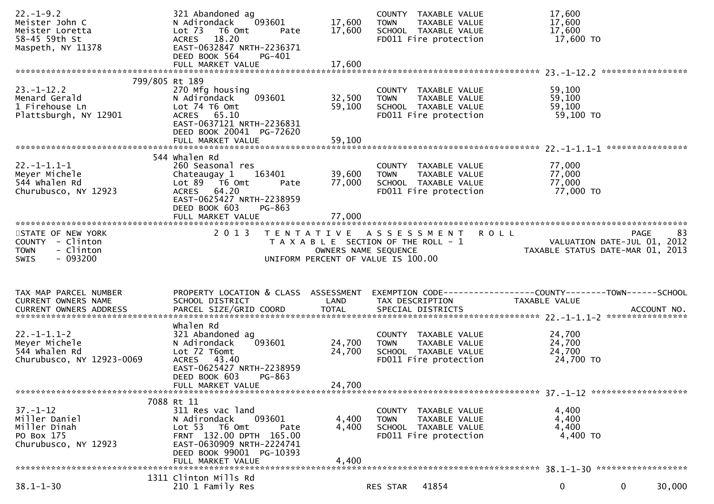| $22. - 1 - 9.2$<br>Meister John C<br>Meister Loretta<br>58-45 59th St<br>Maspeth, NY 11378 | 321 Abandoned ag<br>N Adirondack<br>093601<br>Lot 73 T6 Omt<br>Pate<br>ACRES 18.20<br>EAST-0632847 NRTH-2236371<br>DEED BOOK 564<br>PG-401                                                 | 17,600<br>17,600        | COUNTY TAXABLE VALUE<br>TAXABLE VALUE<br><b>TOWN</b><br>SCHOOL TAXABLE VALUE<br>FD011 Fire protection | 17,600<br>17,600<br>17,600<br>17,600 TO<br>*****************                  |
|--------------------------------------------------------------------------------------------|--------------------------------------------------------------------------------------------------------------------------------------------------------------------------------------------|-------------------------|-------------------------------------------------------------------------------------------------------|-------------------------------------------------------------------------------|
|                                                                                            |                                                                                                                                                                                            |                         |                                                                                                       |                                                                               |
| $23. - 1 - 12.2$<br>Menard Gerald<br>1 Firehouse Ln<br>Plattsburgh, NY 12901               | 799/805 Rt 189<br>270 Mfg housing<br>N Adirondack<br>093601<br>Lot 74 T6 Omt<br>ACRES 65.10<br>EAST-0637121 NRTH-2236831<br>DEED BOOK 20041 PG-72620                                       | 32,500<br>59,100        | COUNTY TAXABLE VALUE<br>TAXABLE VALUE<br><b>TOWN</b><br>SCHOOL TAXABLE VALUE<br>FD011 Fire protection | 59,100<br>59,100<br>59,100<br>59,100 TO                                       |
|                                                                                            |                                                                                                                                                                                            |                         |                                                                                                       |                                                                               |
| $22. -1 - 1.1 - 1$<br>Meyer Michele<br>544 whalen Rd<br>Churubusco, NY 12923               | 544 whalen Rd<br>260 Seasonal res<br>Chateaugay 1<br>163401<br>Lot $89$ $\overline{76}$ Omt<br>Pate<br>ACRES 64.20<br>EAST-0625427 NRTH-2238959<br>DEED BOOK 603<br>PG-863                 | 39,600<br>77,000        | COUNTY TAXABLE VALUE<br>TAXABLE VALUE<br><b>TOWN</b><br>SCHOOL TAXABLE VALUE<br>FD011 Fire protection | 77,000<br>77,000<br>77,000<br>77,000 TO                                       |
|                                                                                            |                                                                                                                                                                                            |                         |                                                                                                       |                                                                               |
| STATE OF NEW YORK<br>COUNTY - Clinton                                                      | 2 0 1 3                                                                                                                                                                                    |                         | TENTATIVE ASSESSMENT<br>T A X A B L E SECTION OF THE ROLL - 1                                         | 83<br><b>ROLL</b><br><b>PAGE</b><br>VALUATION DATE-JUL 01, 2012               |
| - Clinton<br><b>TOWN</b><br>$-093200$<br>SWIS                                              |                                                                                                                                                                                            | OWNERS NAME SEQUENCE    | UNIFORM PERCENT OF VALUE IS 100.00                                                                    | TAXABLE STATUS DATE-MAR 01, 2013                                              |
| TAX MAP PARCEL NUMBER<br><b>CURRENT OWNERS NAME</b>                                        | PROPERTY LOCATION & CLASS ASSESSMENT<br>SCHOOL DISTRICT                                                                                                                                    | LAND                    | TAX DESCRIPTION                                                                                       | EXEMPTION CODE-----------------COUNTY-------TOWN------SCHOOL<br>TAXABLE VALUE |
|                                                                                            |                                                                                                                                                                                            |                         |                                                                                                       |                                                                               |
| $22. -1 - 1.1 - 2$<br>Meyer Michele<br>544 whalen Rd<br>Churubusco, NY 12923-0069          | whalen Rd<br>321 Abandoned ag<br>093601<br>N Adirondack<br>Lot 72 T6omt<br>ACRES 43.40<br>EAST-0625427 NRTH-2238959<br>DEED BOOK 603<br>PG-863                                             | 24,700<br>24,700        | COUNTY TAXABLE VALUE<br>TAXABLE VALUE<br><b>TOWN</b><br>SCHOOL TAXABLE VALUE<br>FD011 Fire protection | 24,700<br>24,700<br>24,700<br>24,700 TO                                       |
|                                                                                            | FULL MARKET VALUE                                                                                                                                                                          | 24,700                  |                                                                                                       |                                                                               |
|                                                                                            |                                                                                                                                                                                            |                         |                                                                                                       |                                                                               |
| $37. - 1 - 12$<br>Miller Daniel<br>Miller Dinah<br>PO Box 175<br>Churubusco, NY 12923      | 7088 Rt 11<br>311 Res vac land<br>N Adirondack<br>093601<br>Lot 53 T6 Omt<br>Pate<br>FRNT 132.00 DPTH 165.00<br>EAST-0630909 NRTH-2224741<br>DEED BOOK 99001 PG-10393<br>FULL MARKET VALUE | 4,400<br>4,400<br>4,400 | COUNTY TAXABLE VALUE<br><b>TOWN</b><br>TAXABLE VALUE<br>SCHOOL TAXABLE VALUE<br>FD011 Fire protection | 4,400<br>4,400<br>4,400<br>4,400 TO                                           |
|                                                                                            | 1311 Clinton Mills Rd                                                                                                                                                                      |                         |                                                                                                       |                                                                               |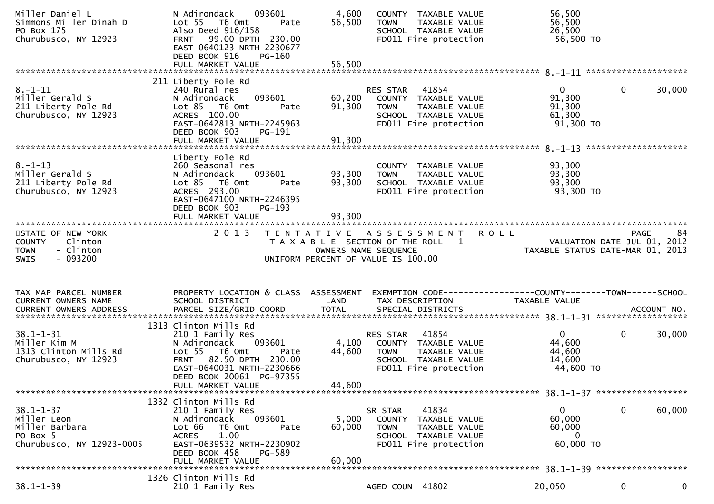| Miller Daniel L<br>Simmons Miller Dinah D<br>PO Box 175<br>Churubusco, NY 12923           | N Adirondack<br>093601<br>Lot 55  T6 Omt<br>Pate<br>Also Deed 916/158<br>FRNT 99.00 DPTH 230.00<br>EAST-0640123 NRTH-2230677<br>DEED BOOK 916<br><b>PG-160</b>                                              | 4,600<br>56,500            | COUNTY TAXABLE VALUE<br>TAXABLE VALUE<br><b>TOWN</b><br>SCHOOL TAXABLE VALUE<br>FD011 Fire protection                        | 56,500<br>56,500<br>26,500<br>56,500 TO                   |                                     |    |
|-------------------------------------------------------------------------------------------|-------------------------------------------------------------------------------------------------------------------------------------------------------------------------------------------------------------|----------------------------|------------------------------------------------------------------------------------------------------------------------------|-----------------------------------------------------------|-------------------------------------|----|
|                                                                                           | 211 Liberty Pole Rd                                                                                                                                                                                         |                            |                                                                                                                              |                                                           |                                     |    |
| $8. - 1 - 11$<br>Miller Gerald S<br>211 Liberty Pole Rd<br>Churubusco, NY 12923           | 240 Rural res<br>N Adirondack<br>093601<br>$Lot 85$ T6 Omt<br>Pate<br>ACRES 100.00<br>EAST-0642813 NRTH-2245963<br>DEED BOOK 903<br>PG-191                                                                  | 60,200<br>91,300           | RES STAR<br>41854<br>COUNTY TAXABLE VALUE<br><b>TOWN</b><br>TAXABLE VALUE<br>SCHOOL TAXABLE VALUE<br>FD011 Fire protection   | $\mathbf{0}$<br>91,300<br>91,300<br>61,300<br>$91,300$ TO | 30,000<br>$\mathbf{0}$              |    |
|                                                                                           | Liberty Pole Rd                                                                                                                                                                                             |                            |                                                                                                                              |                                                           |                                     |    |
| $8. - 1 - 13$<br>Miller Gerald S<br>211 Liberty Pole Rd<br>Churubusco, NY 12923           | 260 Seasonal res<br>093601<br>N Adirondack<br>Lot 85 T6 Omt<br>Pate<br>ACRES 293.00<br>EAST-0647100 NRTH-2246395<br>DEED BOOK 903<br>PG-193<br>FULL MARKET VALUE                                            | 93,300<br>93,300<br>93,300 | COUNTY TAXABLE VALUE<br><b>TOWN</b><br>TAXABLE VALUE<br>SCHOOL TAXABLE VALUE<br>FD011 Fire protection                        | 93,300<br>93,300<br>93,300<br>93,300 TO                   |                                     |    |
|                                                                                           |                                                                                                                                                                                                             |                            |                                                                                                                              |                                                           |                                     |    |
| STATE OF NEW YORK<br>COUNTY - Clinton<br><b>TOWN</b><br>- Clinton                         | 2 0 1 3                                                                                                                                                                                                     | OWNERS NAME SEQUENCE       | TENTATIVE ASSESSMENT ROLL<br>T A X A B L E SECTION OF THE ROLL - 1                                                           | TAXABLE STATUS DATE-MAR 01, 2013                          | PAGE<br>VALUATION DATE-JUL 01, 2012 | 84 |
| $-093200$<br><b>SWIS</b>                                                                  |                                                                                                                                                                                                             |                            | UNIFORM PERCENT OF VALUE IS 100.00                                                                                           |                                                           |                                     |    |
|                                                                                           |                                                                                                                                                                                                             |                            |                                                                                                                              |                                                           |                                     |    |
| TAX MAP PARCEL NUMBER<br>CURRENT OWNERS NAME                                              | PROPERTY LOCATION & CLASS ASSESSMENT<br>SCHOOL DISTRICT                                                                                                                                                     | LAND                       | EXEMPTION CODE-----------------COUNTY-------TOWN-----SCHOOL<br>TAX DESCRIPTION                                               | TAXABLE VALUE                                             |                                     |    |
|                                                                                           |                                                                                                                                                                                                             |                            |                                                                                                                              |                                                           |                                     |    |
| $38.1 - 1 - 31$<br>Miller Kim M<br>1313 Clinton Mills Rd<br>Churubusco, NY 12923          | 1313 Clinton Mills Rd<br>210 1 Family Res<br>093601<br>N Adirondack<br>Lot 55  T6 Omt<br>Pate<br>FRNT 82.50 DPTH 230.00<br>EAST-0640031 NRTH-2230666<br>DEED BOOK 20061 PG-97355                            | 4,100<br>44,600            | 41854<br>RES STAR<br>COUNTY TAXABLE VALUE<br><b>TOWN</b><br>TAXABLE VALUE<br>SCHOOL TAXABLE VALUE<br>FD011 Fire protection   | $\mathbf{0}$<br>44,600<br>44,600<br>14,600<br>44,600 TO   | $\mathbf 0$<br>30,000               |    |
|                                                                                           | FULL MARKET VALUE                                                                                                                                                                                           | 44,600                     |                                                                                                                              |                                                           |                                     |    |
| $38.1 - 1 - 37$<br>Miller Leon<br>Miller Barbara<br>PO Box 5<br>Churubusco, NY 12923-0005 | 1332 Clinton Mills Rd<br>210 1 Family Res<br>093601<br>N Adirondack<br>Lot 66<br>T6 Omt<br>Pate<br>1.00<br><b>ACRES</b><br>EAST-0639532 NRTH-2230902<br>DEED BOOK 458<br><b>PG-589</b><br>FULL MARKET VALUE | 5,000<br>60,000<br>60,000  | 41834<br>SR STAR<br>COUNTY<br>TAXABLE VALUE<br><b>TOWN</b><br>TAXABLE VALUE<br>SCHOOL TAXABLE VALUE<br>FD011 Fire protection | $\mathbf{0}$<br>60,000<br>60,000<br>$\bf{0}$<br>60,000 TO | 0<br>60,000                         |    |
|                                                                                           | 1326 Clinton Mills Rd                                                                                                                                                                                       |                            |                                                                                                                              |                                                           |                                     |    |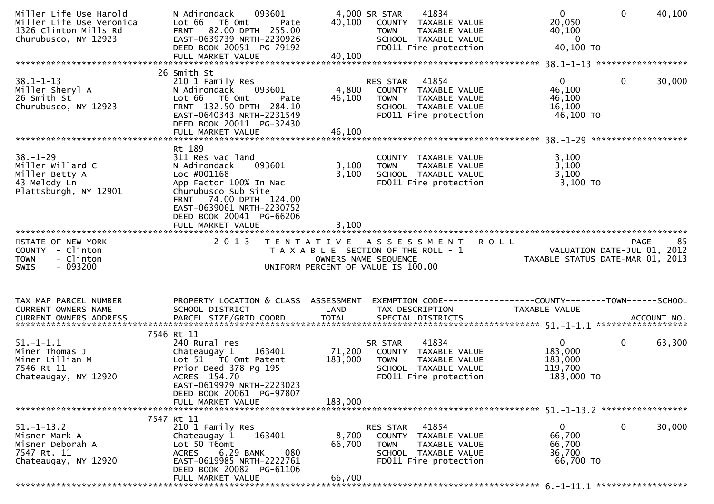| Miller Life Use Harold<br>Miller Life Use Veronica<br>1326 Clinton Mills Rd<br>Churubusco, NY 12923 | 093601<br>N Adirondack<br>Lot 66 T6 Omt<br>Pate<br>FRNT 82.00 DPTH 255.00<br>EAST-0639739 NRTH-2230926<br>DEED BOOK 20051 PG-79192<br>FULL MARKET VALUE                                                                      | 40,100<br>40,100             | 4,000 SR STAR<br>41834<br>COUNTY TAXABLE VALUE<br><b>TOWN</b><br>TAXABLE VALUE<br>SCHOOL TAXABLE VALUE<br>FD011 Fire protection  | $\mathbf{0}$<br>20,050<br>40,100<br>$\overline{0}$<br>40,100 TO                 | $\Omega$<br>40,100    |
|-----------------------------------------------------------------------------------------------------|------------------------------------------------------------------------------------------------------------------------------------------------------------------------------------------------------------------------------|------------------------------|----------------------------------------------------------------------------------------------------------------------------------|---------------------------------------------------------------------------------|-----------------------|
| $38.1 - 1 - 13$<br>Miller Sheryl A<br>26 Smith St<br>Churubusco, NY 12923                           | 26 Smith St<br>210 1 Family Res<br>093601<br>N Adirondack<br>Lot 66 T6 Omt<br>Pate<br>FRNT 132.50 DPTH 284.10<br>EAST-0640343 NRTH-2231549<br>DEED BOOK 20011 PG-32430<br>FULL MARKET VALUE                                  | 4,800<br>46,100<br>46,100    | RES STAR<br>41854<br>COUNTY TAXABLE VALUE<br>TAXABLE VALUE<br>TOWN<br>SCHOOL TAXABLE VALUE<br>FD011 Fire protection              | $\mathbf{0}$<br>46,100<br>46,100<br>16,100<br>46,100 TO                         | $\mathbf 0$<br>30,000 |
| $38. - 1 - 29$<br>Miller Willard C<br>Miller Betty A<br>43 Melody Ln<br>Plattsburgh, NY 12901       | Rt 189<br>311 Res vac land<br>093601<br>N Adirondack<br>Loc #001168<br>App Factor 100% In Nac<br>Churubusco Sub Site<br>FRNT 74.00 DPTH 124.00<br>EAST-0639061 NRTH-2230752<br>DEED BOOK 20041 PG-66206<br>FULL MARKET VALUE | 3,100<br>3,100<br>3.100      | COUNTY TAXABLE VALUE<br>TAXABLE VALUE<br>TOWN<br>SCHOOL TAXABLE VALUE<br>FD011 Fire protection                                   | 3,100<br>3,100<br>3,100<br>$3,100$ TO                                           |                       |
| STATE OF NEW YORK<br>COUNTY - Clinton<br>- Clinton<br><b>TOWN</b><br>- 093200<br><b>SWIS</b>        | 2 0 1 3                                                                                                                                                                                                                      |                              | TENTATIVE ASSESSMENT ROLL<br>T A X A B L E SECTION OF THE ROLL - 1<br>OWNERS NAME SEQUENCE<br>UNIFORM PERCENT OF VALUE IS 100.00 | 05 PAGE<br>2012 VALUATION DATE-JUL 01, 2012<br>TAXABLE STATUS DATE-MAR 01, 2013 | 85<br><b>PAGE</b>     |
| TAX MAP PARCEL NUMBER<br>CURRENT OWNERS NAME                                                        | PROPERTY LOCATION & CLASS ASSESSMENT<br>SCHOOL DISTRICT                                                                                                                                                                      | LAND                         | EXEMPTION CODE------------------COUNTY--------TOWN------SCHOOL<br>TAX DESCRIPTION                                                | TAXABLE VALUE                                                                   |                       |
| $51.-1-1.1$<br>Miner Thomas J<br>Miner Lillian M<br>7546 Rt 11<br>Chateaugay, NY 12920              | 7546 Rt 11<br>240 Rural res<br>Chateaugay 1<br>163401<br>Lot 51 T6 Omt Patent<br>Prior Deed 378 Pg 195<br>ACRES 154.70<br>EAST-0619979 NRTH-2223023<br>DEED BOOK 20061 PG-97807                                              | 71,200<br>183,000<br>183,000 | 41834<br>SR STAR<br>COUNTY TAXABLE VALUE<br>TAXABLE VALUE<br>TOWN<br>SCHOOL TAXABLE VALUE<br>FD011 Fire protection               | $\mathbf{0}$<br>183,000<br>183,000<br>119,700<br>183,000 TO                     | $\mathbf 0$<br>63,300 |
|                                                                                                     | FULL MARKET VALUE                                                                                                                                                                                                            |                              |                                                                                                                                  |                                                                                 |                       |
| $51. - 1 - 13.2$<br>Misner Mark A<br>Misner Deborah A<br>7547 Rt. 11<br>Chateaugay, NY 12920        | 7547 Rt 11<br>210 1 Family Res<br>163401<br>Chateaugay 1<br>Lot 50 T6omt<br>6.29 BANK<br><b>ACRES</b><br>080<br>EAST-0619985 NRTH-2222761<br>DEED BOOK 20082 PG-61106<br>FULL MARKET VALUE                                   | 8,700<br>66,700<br>66,700    | RES STAR<br>41854<br>COUNTY TAXABLE VALUE<br><b>TOWN</b><br>TAXABLE VALUE<br>SCHOOL TAXABLE VALUE<br>FD011 Fire protection       | $\overline{0}$<br>66,700<br>66,700<br>36,700<br>66,700 TO                       | $\mathbf 0$<br>30,000 |
|                                                                                                     |                                                                                                                                                                                                                              |                              |                                                                                                                                  |                                                                                 |                       |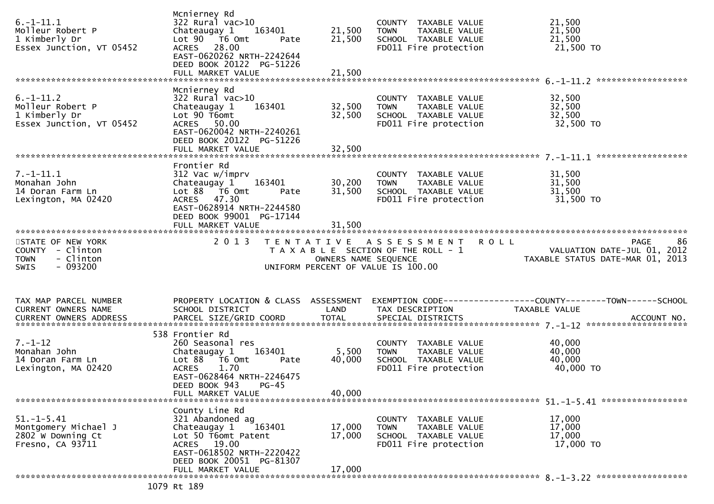| $6. -1 - 11.1$<br>Molleur Robert P<br>1 Kimberly Dr<br>Essex Junction, VT 05452   | Mcnierney Rd<br>322 Rural vac>10<br>Chateaugay 1<br>163401<br>Lot $90$ $\overline{76}$ Omt<br>Pate<br>ACRES 28.00<br>EAST-0620262 NRTH-2242644<br>DEED BOOK 20122 PG-51226<br>FULL MARKET VALUE             | 21,500<br>21,500<br>21,500 | COUNTY TAXABLE VALUE<br><b>TOWN</b><br>TAXABLE VALUE<br>SCHOOL TAXABLE VALUE<br>FD011 Fire protection | 21,500<br>21,500<br>21,500<br>21,500 TO                                                        |
|-----------------------------------------------------------------------------------|-------------------------------------------------------------------------------------------------------------------------------------------------------------------------------------------------------------|----------------------------|-------------------------------------------------------------------------------------------------------|------------------------------------------------------------------------------------------------|
|                                                                                   |                                                                                                                                                                                                             |                            |                                                                                                       |                                                                                                |
| $6. -1 - 11.2$<br>Molleur Robert P<br>1 Kimberly Dr<br>Essex Junction, VT 05452   | Mcnierney Rd<br>322 Rural vac>10<br>163401<br>Chateaugay 1<br>Lot 90 T6omt<br>ACRES 50.00<br>EAST-0620042 NRTH-2240261<br>DEED BOOK 20122 PG-51226<br>FULL MARKET VALUE                                     | 32,500<br>32,500<br>32,500 | COUNTY TAXABLE VALUE<br>TAXABLE VALUE<br><b>TOWN</b><br>SCHOOL TAXABLE VALUE<br>FD011 Fire protection | 32,500<br>32,500<br>32,500<br>32,500 TO                                                        |
|                                                                                   | Frontier Rd                                                                                                                                                                                                 |                            |                                                                                                       |                                                                                                |
| $7. - 1 - 11.1$<br>Monahan John<br>14 Doran Farm Ln<br>Lexington, MA 02420        | 312 Vac w/imprv<br>163401<br>Chateaugay 1<br>Lot 88 T6 Omt<br>Pate<br>ACRES 47.30<br>EAST-0628914 NRTH-2244580<br>DEED BOOK 99001 PG-17144                                                                  | 30,200<br>31,500           | COUNTY TAXABLE VALUE<br>TAXABLE VALUE<br><b>TOWN</b><br>SCHOOL TAXABLE VALUE<br>FD011 Fire protection | 31,500<br>31,500<br>31,500<br>31,500 TO                                                        |
|                                                                                   | FULL MARKET VALUE                                                                                                                                                                                           | 31,500                     |                                                                                                       |                                                                                                |
| STATE OF NEW YORK                                                                 | 2 0 1 3                                                                                                                                                                                                     |                            | TENTATIVE ASSESSMENT<br><b>ROLL</b>                                                                   | <b>PAGE</b><br>86                                                                              |
| COUNTY - Clinton<br>- Clinton<br><b>TOWN</b><br>- 093200<br><b>SWIS</b>           |                                                                                                                                                                                                             | OWNERS NAME SEQUENCE       | T A X A B L E SECTION OF THE ROLL - 1<br>UNIFORM PERCENT OF VALUE IS 100.00                           | VALUATION DATE-JUL 01, 2012<br>TAXABLE STATUS DATE-MAR 01, 2013                                |
| TAX MAP PARCEL NUMBER<br>CURRENT OWNERS NAME<br>CURRENT OWNERS ADDRESS            | PROPERTY LOCATION & CLASS ASSESSMENT<br>SCHOOL DISTRICT<br>PARCEL SIZE/GRID COORD                                                                                                                           | LAND<br><b>TOTAL</b>       | TAX DESCRIPTION<br>SPECIAL DISTRICTS                                                                  | EXEMPTION CODE------------------COUNTY--------TOWN------SCHOOL<br>TAXABLE VALUE<br>ACCOUNT NO. |
| $7. - 1 - 12$<br>Monahan John<br>14 Doran Farm Ln<br>Lexington, MA 02420          | 538 Frontier Rd<br>260 Seasonal res<br>163401<br>Chateaugay 1<br>Lot $88$ $\overline{76}$ Omt<br>Pate<br><b>ACRES</b><br>1.70<br>EAST-0628464 NRTH-2246475<br>DEED BOOK 943<br>$PG-45$<br>FULL MARKET VALUE | 5,500<br>40,000<br>40,000  | COUNTY TAXABLE VALUE<br>TAXABLE VALUE<br><b>TOWN</b><br>SCHOOL TAXABLE VALUE<br>FD011 Fire protection | 40,000<br>40,000<br>40,000<br>40,000 TO                                                        |
|                                                                                   |                                                                                                                                                                                                             |                            |                                                                                                       |                                                                                                |
| $51. - 1 - 5.41$<br>Montgomery Michael J<br>2802 W Downing Ct<br>Fresno, CA 93711 | County Line Rd<br>321 Abandoned ag<br>Chateaugay 1<br>163401<br>Lot 50 T6omt Patent<br>ACRES 19.00<br>EAST-0618502 NRTH-2220422<br>DEED BOOK 20051 PG-81307                                                 | 17,000<br>17,000           | COUNTY TAXABLE VALUE<br>TAXABLE VALUE<br><b>TOWN</b><br>SCHOOL TAXABLE VALUE<br>FD011 Fire protection | 17,000<br>17,000<br>17,000<br>17,000 TO                                                        |
|                                                                                   | FULL MARKET VALUE                                                                                                                                                                                           | 17,000                     |                                                                                                       |                                                                                                |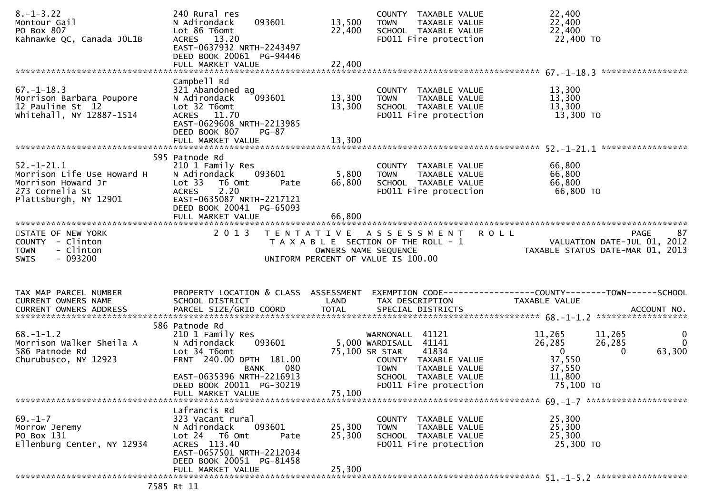| $8. - 1 - 3.22$<br>Montour Gail<br>PO Box 807<br>Kahnawke QC, Canada JOL1B                                   | 240 Rural res<br>093601<br>N Adirondack<br>Lot 86 T6omt<br>ACRES 13.20<br>EAST-0637932 NRTH-2243497<br>DEED BOOK 20061 PG-94446                                           | 13,500<br>22,400 | COUNTY TAXABLE VALUE<br><b>TOWN</b><br>TAXABLE VALUE<br>SCHOOL TAXABLE VALUE<br>FD011 Fire protection                            | 22,400<br>22,400<br>22,400<br>22,400 TO                                                                           |                                          |
|--------------------------------------------------------------------------------------------------------------|---------------------------------------------------------------------------------------------------------------------------------------------------------------------------|------------------|----------------------------------------------------------------------------------------------------------------------------------|-------------------------------------------------------------------------------------------------------------------|------------------------------------------|
|                                                                                                              |                                                                                                                                                                           |                  |                                                                                                                                  |                                                                                                                   | *****************                        |
| $67. - 1 - 18.3$<br>Morrison Barbara Poupore<br>12 Pauline St 12<br>whitehall, NY 12887-1514                 | Campbell Rd<br>321 Abandoned ag<br>N Adirondack<br>093601<br>Lot 32 T6omt<br>ACRES 11.70<br>EAST-0629608 NRTH-2213985<br>DEED BOOK 807<br>PG-87                           | 13,300<br>13,300 | COUNTY TAXABLE VALUE<br><b>TOWN</b><br>TAXABLE VALUE<br>SCHOOL TAXABLE VALUE<br>FD011 Fire protection                            | 13,300<br>13,300<br>13,300<br>13,300 TO                                                                           |                                          |
|                                                                                                              |                                                                                                                                                                           |                  |                                                                                                                                  |                                                                                                                   |                                          |
| $52.-1-21.1$<br>Morrison Life Use Howard H<br>Morrison Howard Jr<br>273 Cornelia St<br>Plattsburgh, NY 12901 | 595 Patnode Rd<br>210 1 Family Res<br>N Adirondack<br>093601<br>Lot 33<br>T6 Omt<br>Pate<br>2.20<br><b>ACRES</b><br>EAST-0635087 NRTH-2217121<br>DEED BOOK 20041 PG-65093 | 5,800<br>66,800  | COUNTY TAXABLE VALUE<br>TAXABLE VALUE<br>TOWN<br>SCHOOL TAXABLE VALUE<br>FD011 Fire protection                                   | 66,800<br>66,800<br>66,800<br>66,800 TO                                                                           |                                          |
| STATE OF NEW YORK<br>COUNTY - Clinton<br>- Clinton<br><b>TOWN</b><br>$-093200$<br>SWIS                       | 2013                                                                                                                                                                      |                  | TENTATIVE ASSESSMENT ROLL<br>T A X A B L E SECTION OF THE ROLL - 1<br>OWNERS NAME SEQUENCE<br>UNIFORM PERCENT OF VALUE IS 100.00 | VALUATION DATE-JUL 01, 2012<br>TAXABLE STATUS DATE-MAR 01, 2013                                                   | 87<br><b>PAGE</b>                        |
| TAX MAP PARCEL NUMBER<br>CURRENT OWNERS NAME                                                                 | SCHOOL DISTRICT                                                                                                                                                           | LAND             | TAX DESCRIPTION                                                                                                                  | PROPERTY LOCATION & CLASS ASSESSMENT EXEMPTION CODE----------------COUNTY-------TOWN------SCHOOL<br>TAXABLE VALUE |                                          |
|                                                                                                              |                                                                                                                                                                           |                  |                                                                                                                                  |                                                                                                                   |                                          |
| $68. - 1 - 1.2$                                                                                              | 586 Patnode Rd                                                                                                                                                            |                  |                                                                                                                                  |                                                                                                                   |                                          |
| Morrison Walker Sheila A<br>586 Patnode Rd<br>Churubusco, NY 12923                                           | 210 1 Family Res<br>093601<br>N Adirondack<br>Lot 34 T6omt<br>FRNT 240.00 DPTH 181.00<br>080<br>BANK                                                                      |                  | WARNONALL 41121<br>5,000 WARDISALL 41141<br>75,100 SR STAR<br>41834<br>COUNTY TAXABLE VALUE<br>TAXABLE VALUE<br><b>TOWN</b>      | 11,265<br>11,265<br>26,285<br>26,285<br>$\overline{0}$<br>$\Omega$<br>37,550<br>37,550                            | $\mathbf{0}$<br>$\overline{0}$<br>63,300 |
|                                                                                                              | EAST-0635396 NRTH-2216913                                                                                                                                                 |                  | SCHOOL TAXABLE VALUE                                                                                                             | 11,800                                                                                                            |                                          |
|                                                                                                              | DEED BOOK 20011 PG-30219<br>FULL MARKET VALUE                                                                                                                             | 75,100           | FD011 Fire protection                                                                                                            | 75,100 TO                                                                                                         |                                          |
|                                                                                                              |                                                                                                                                                                           |                  |                                                                                                                                  |                                                                                                                   |                                          |
| $69. - 1 - 7$<br>Morrow Jeremy<br>PO Box 131<br>Ellenburg Center, NY 12934                                   | Lafrancis Rd<br>323 Vacant rural<br>N Adirondack<br>093601<br>Lot 24 76 0mt<br>Pate<br>ACRES 113.40<br>EAST-0657501 NRTH-2212034<br>DEED BOOK 20051 PG-81458              | 25,300<br>25,300 | COUNTY TAXABLE VALUE<br><b>TOWN</b><br>TAXABLE VALUE<br>SCHOOL TAXABLE VALUE<br>FD011 Fire protection                            | 25,300<br>25,300<br>25,300<br>25,300 TO                                                                           |                                          |
|                                                                                                              | FULL MARKET VALUE                                                                                                                                                         | 25,300           |                                                                                                                                  |                                                                                                                   |                                          |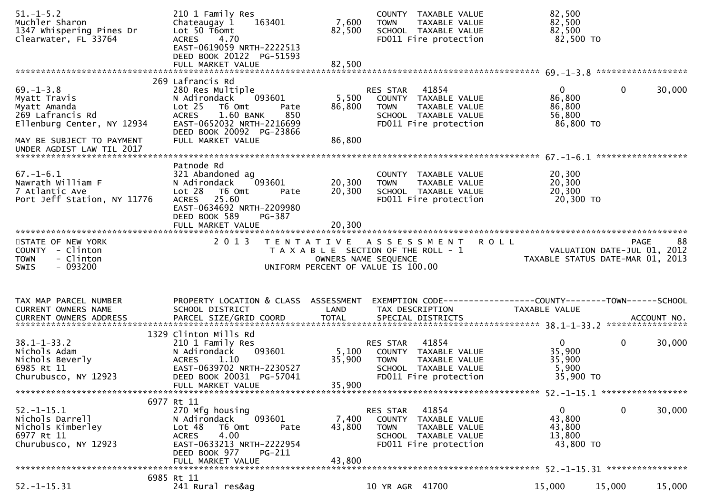| $51.-1-5.2$<br>Muchler Sharon<br>1347 Whispering Pines Dr<br>Clearwater, FL 33764                                                                           | 210 1 Family Res<br>Chateaugay 1<br>163401<br>Lot 50 T6omt<br><b>ACRES</b><br>4.70<br>EAST-0619059 NRTH-2222513<br>DEED BOOK 20122 PG-51593                                                                             | 7,600<br>82,500            | COUNTY TAXABLE VALUE<br>TAXABLE VALUE<br><b>TOWN</b><br>SCHOOL TAXABLE VALUE<br>FD011 Fire protection                      | 82,500<br>82,500<br>82,500<br>82,500 TO                                        |        |
|-------------------------------------------------------------------------------------------------------------------------------------------------------------|-------------------------------------------------------------------------------------------------------------------------------------------------------------------------------------------------------------------------|----------------------------|----------------------------------------------------------------------------------------------------------------------------|--------------------------------------------------------------------------------|--------|
| $69. - 1 - 3.8$<br>Myatt Travis<br>Myatt Amanda<br>269 Lafrancis Rd<br>Ellenburg Center, NY 12934<br>MAY BE SUBJECT TO PAYMENT<br>UNDER AGDIST LAW TIL 2017 | 269 Lafrancis Rd<br>280 Res Multiple<br>N Adirondack<br>093601<br>Lot <sub>25</sub><br>T6 Omt<br>Pate<br>1.60 BANK<br><b>ACRES</b><br>850<br>EAST-0652032 NRTH-2216699<br>DEED BOOK 20092 PG-23866<br>FULL MARKET VALUE | 5,500<br>86,800<br>86,800  | RES STAR<br>41854<br>COUNTY TAXABLE VALUE<br><b>TOWN</b><br>TAXABLE VALUE<br>SCHOOL TAXABLE VALUE<br>FD011 Fire protection | $\mathbf{0}$<br>$\mathbf 0$<br>86,800<br>86,800<br>56,800<br>86,800 TO         | 30,000 |
| $67. - 1 - 6.1$<br>Nawrath William F<br>7 Atlantic Ave<br>Port Jeff Station, NY 11776                                                                       | Patnode Rd<br>321 Abandoned ag<br>093601<br>N Adirondack<br>Lot 28<br>T6 Omt<br>Pate<br>25.60<br><b>ACRES</b><br>EAST-0634692 NRTH-2209980<br>DEED BOOK 589<br>PG-387<br>FULL MARKET VALUE                              | 20,300<br>20,300<br>20,300 | COUNTY TAXABLE VALUE<br><b>TOWN</b><br>TAXABLE VALUE<br>SCHOOL TAXABLE VALUE<br>FD011 Fire protection                      | 20,300<br>20,300<br>20,300<br>20,300 TO                                        |        |
| STATE OF NEW YORK<br>COUNTY - Clinton                                                                                                                       | 2013                                                                                                                                                                                                                    |                            | TENTATIVE ASSESSMENT ROLL<br>T A X A B L E SECTION OF THE ROLL - 1                                                         | <b>PAGE</b><br>VALUATION DATE-JUL 01, 2012<br>TAXABLE STATUS DATE-MAR 01, 2013 | 88     |
| - Clinton<br><b>TOWN</b><br>$-093200$<br><b>SWIS</b>                                                                                                        |                                                                                                                                                                                                                         | OWNERS NAME SEQUENCE       | UNIFORM PERCENT OF VALUE IS 100.00                                                                                         |                                                                                |        |
| TAX MAP PARCEL NUMBER<br>CURRENT OWNERS NAME                                                                                                                | PROPERTY LOCATION & CLASS ASSESSMENT<br>SCHOOL DISTRICT                                                                                                                                                                 | LAND                       | TAX DESCRIPTION                                                                                                            | EXEMPTION CODE-----------------COUNTY-------TOWN------SCHOOL<br>TAXABLE VALUE  |        |
| $38.1 - 1 - 33.2$<br>Nichols Adam<br>Nichols Beverly<br>6985 Rt 11<br>Churubusco, NY 12923                                                                  | 1329 Clinton Mills Rd<br>210 1 Family Res<br>093601<br>N Adirondack<br><b>ACRES</b><br>1.10<br>EAST-0639702 NRTH-2230527<br>DEED BOOK 20031 PG-57041<br>FULL MARKET VALUE                                               | 5,100<br>35,900<br>35,900  | 41854<br>RES STAR<br>COUNTY TAXABLE VALUE<br>TAXABLE VALUE<br><b>TOWN</b><br>SCHOOL TAXABLE VALUE<br>FD011 Fire protection | $\mathbf 0$<br>$\overline{0}$<br>35,900<br>35,900<br>5,900<br>35,900 TO        | 30,000 |
| $52. - 1 - 15.1$<br>Nichols Darrell<br>Nichols Kimberley<br>6977 Rt 11<br>Churubusco, NY 12923                                                              | 6977 Rt 11<br>270 Mfg housing<br>093601<br>N Adirondack<br>T6 Omt<br>Lot 48<br>Pate<br>4.00<br><b>ACRES</b><br>EAST-0633213 NRTH-2222954<br>DEED BOOK 977<br>PG-211<br>FULL MARKET VALUE                                | 7,400<br>43,800<br>43,800  | 41854<br>RES STAR<br>COUNTY TAXABLE VALUE<br><b>TOWN</b><br>TAXABLE VALUE<br>SCHOOL TAXABLE VALUE<br>FD011 Fire protection | $\Omega$<br>0<br>43,800<br>43,800<br>13,800<br>43,800 TO                       | 30,000 |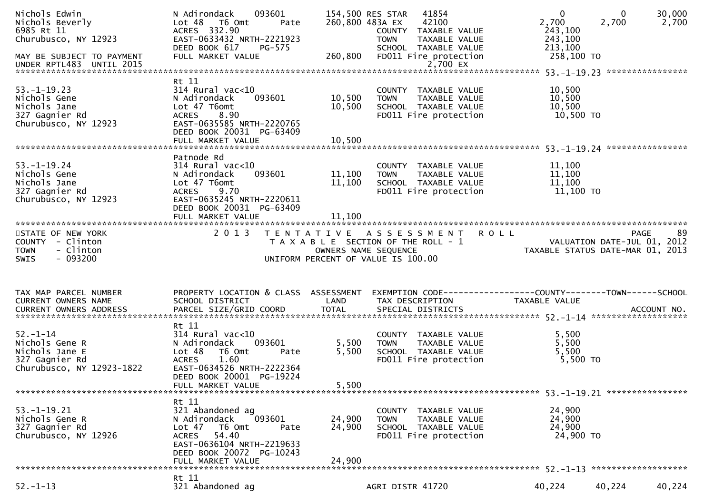| Nichols Edwin<br>Nichols Beverly<br>6985 Rt 11<br>Churubusco, NY 12923<br>MAY BE SUBJECT TO PAYMENT | N Adirondack<br>093601<br>Lot 48 T6 Omt<br>Pate<br>ACRES 332.90<br>EAST-0633432 NRTH-2221923<br>DEED BOOK 617<br>PG-575<br>FULL MARKET VALUE                                            | 260,800                    | 154,500 RES STAR<br>41854<br>260,800 483A EX<br>42100<br>COUNTY TAXABLE VALUE<br><b>TOWN</b><br>TAXABLE VALUE<br>SCHOOL TAXABLE VALUE<br>FD011 Fire protection | $\mathbf 0$<br>$\mathbf{0}$<br>2,700<br>2,700<br>243,100<br>243,100<br>213,100<br>258,100 TO | 30,000<br>2,700 |
|-----------------------------------------------------------------------------------------------------|-----------------------------------------------------------------------------------------------------------------------------------------------------------------------------------------|----------------------------|----------------------------------------------------------------------------------------------------------------------------------------------------------------|----------------------------------------------------------------------------------------------|-----------------|
|                                                                                                     |                                                                                                                                                                                         |                            |                                                                                                                                                                |                                                                                              |                 |
| $53. - 1 - 19.23$<br>Nichols Gene<br>Nichols Jane<br>327 Gagnier Rd<br>Churubusco, NY 12923         | Rt 11<br>$314$ Rural vac<10<br>N Adirondack<br>093601<br>Lot 47 T6omt<br>8.90<br><b>ACRES</b><br>EAST-0635585 NRTH-2220765<br>DEED BOOK 20031 PG-63409                                  | 10,500<br>10,500           | COUNTY TAXABLE VALUE<br>TAXABLE VALUE<br><b>TOWN</b><br>SCHOOL TAXABLE VALUE<br>FD011 Fire protection                                                          | 10,500<br>10,500<br>10,500<br>10,500 TO                                                      |                 |
|                                                                                                     |                                                                                                                                                                                         |                            |                                                                                                                                                                |                                                                                              |                 |
| $53. - 1 - 19.24$<br>Nichols Gene<br>Nichols Jane<br>327 Gagnier Rd<br>Churubusco, NY 12923         | Patnode Rd<br>$314$ Rural vac<10<br>093601<br>N Adirondack<br>Lot 47 T6omt<br>9.70<br>ACRES<br>EAST-0635245 NRTH-2220611<br>DEED BOOK 20031 PG-63409                                    | 11,100<br>11,100           | COUNTY TAXABLE VALUE<br>TAXABLE VALUE<br><b>TOWN</b><br>SCHOOL TAXABLE VALUE<br>FD011 Fire protection                                                          | 11,100<br>11,100<br>11,100<br>11,100 TO                                                      |                 |
|                                                                                                     |                                                                                                                                                                                         |                            |                                                                                                                                                                |                                                                                              |                 |
| STATE OF NEW YORK<br>COUNTY - Clinton<br>- Clinton<br><b>TOWN</b><br>$-093200$<br>SWIS              | 2 0 1 3                                                                                                                                                                                 |                            | TENTATIVE ASSESSMENT ROLL<br>T A X A B L E SECTION OF THE ROLL - 1<br>OWNERS NAME SEQUENCE<br>UNIFORM PERCENT OF VALUE IS 100.00                               | <b>PAGE</b><br>VALUATION DATE-JUL 01, 2012<br>TAXABLE STATUS DATE-MAR 01, 2013               | 89              |
| TAX MAP PARCEL NUMBER<br>CURRENT OWNERS NAME                                                        | PROPERTY LOCATION & CLASS ASSESSMENT<br>SCHOOL DISTRICT                                                                                                                                 | LAND                       | TAX DESCRIPTION                                                                                                                                                | EXEMPTION CODE-----------------COUNTY-------TOWN------SCHOOL<br>TAXABLE VALUE                |                 |
| $52. - 1 - 14$<br>Nichols Gene R<br>Nichols Jane E<br>327 Gagnier Rd<br>Churubusco, NY 12923-1822   | Rt 11<br>$314$ Rural vac<10<br>N Adirondack<br>093601<br>Lot 48<br>T6 Omt<br>Pate<br>1.60<br><b>ACRES</b><br>EAST-0634526 NRTH-2222364<br>DEED BOOK 20001 PG-19224<br>FULL MARKET VALUE | 5,500<br>5,500<br>5,500    | COUNTY TAXABLE VALUE<br><b>TOWN</b><br>TAXABLE VALUE<br>SCHOOL TAXABLE VALUE<br>FD011 Fire protection                                                          | 5,500<br>5,500<br>5,500<br>$5,500$ TO                                                        |                 |
|                                                                                                     |                                                                                                                                                                                         |                            |                                                                                                                                                                |                                                                                              |                 |
| $53. - 1 - 19.21$<br>Nichols Gene R<br>327 Gagnier Rd<br>Churubusco, NY 12926                       | Rt 11<br>321 Abandoned ag<br>093601<br>N Adirondack<br>Lot 47<br>T6 Omt<br>Pate<br>54.40<br><b>ACRES</b><br>EAST-0636104 NRTH-2219633<br>DEED BOOK 20072 PG-10243<br>FULL MARKET VALUE  | 24,900<br>24,900<br>24,900 | COUNTY TAXABLE VALUE<br><b>TOWN</b><br>TAXABLE VALUE<br>SCHOOL TAXABLE VALUE<br>FD011 Fire protection                                                          | 24,900<br>24,900<br>24,900<br>24,900 TO                                                      |                 |
|                                                                                                     |                                                                                                                                                                                         |                            |                                                                                                                                                                |                                                                                              |                 |
| $52. - 1 - 13$                                                                                      | Rt 11<br>321 Abandoned ag                                                                                                                                                               |                            | AGRI DISTR 41720                                                                                                                                               | 40,224<br>40,224                                                                             | 40,224          |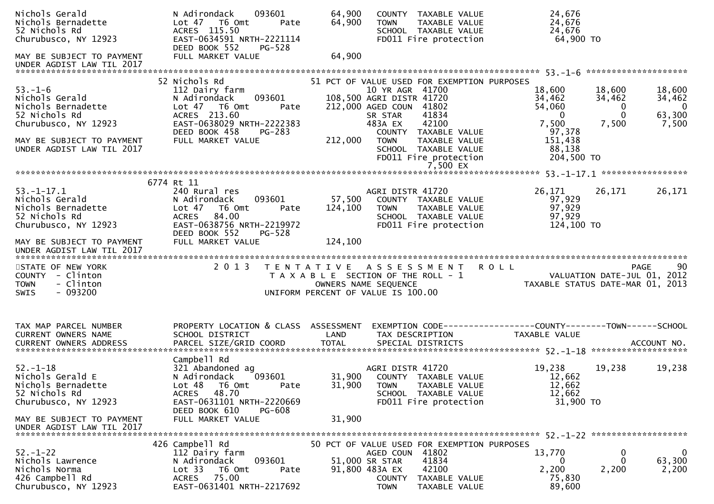| Nichols Gerald<br>Nichols Bernadette<br>52 Nichols Rd<br>Churubusco, NY 12923                                                                               | 093601<br>N Adirondack<br>Lot 47 T6 Omt<br>Pate<br>ACRES 115.50<br>EAST-0634591 NRTH-2221114<br>DEED BOOK 552<br><b>PG-528</b>                                                          | 64,900<br>64,900             | COUNTY TAXABLE VALUE<br><b>TOWN</b><br>TAXABLE VALUE<br>SCHOOL TAXABLE VALUE<br>FD011 Fire protection                                                                                                                                                                              | 24,676<br>24,676<br>24,676<br>64,900 TO                                                                                                                                              |                |
|-------------------------------------------------------------------------------------------------------------------------------------------------------------|-----------------------------------------------------------------------------------------------------------------------------------------------------------------------------------------|------------------------------|------------------------------------------------------------------------------------------------------------------------------------------------------------------------------------------------------------------------------------------------------------------------------------|--------------------------------------------------------------------------------------------------------------------------------------------------------------------------------------|----------------|
| MAY BE SUBJECT TO PAYMENT                                                                                                                                   | FULL MARKET VALUE                                                                                                                                                                       | 64,900                       |                                                                                                                                                                                                                                                                                    |                                                                                                                                                                                      |                |
| $53. - 1 - 6$<br>Nichols Gerald<br>Nichols Bernadette<br>52 Nichols Rd<br>Churubusco, NY 12923<br>MAY BE SUBJECT TO PAYMENT<br>UNDER AGDIST LAW TIL 2017    | 52 Nichols Rd<br>112 Dairy farm<br>093601<br>N Adirondack<br>Lot 47 T6 Omt<br>Pate<br>ACRES 213.60<br>EAST-0638029 NRTH-2222383<br>DEED BOOK 458<br><b>PG-283</b><br>FULL MARKET VALUE  | 212,000                      | 51 PCT OF VALUE USED FOR EXEMPTION PURPOSES<br>10 YR AGR 41700<br>108,500 AGRI DISTR 41720<br>212,000 AGED COUN 41802<br>41834<br>SR STAR<br>42100<br>483A EX<br>COUNTY TAXABLE VALUE<br><b>TOWN</b><br>TAXABLE VALUE<br>SCHOOL TAXABLE VALUE<br>FD011 Fire protection<br>7,500 EX | 18,600<br>18,600<br>18,600<br>34,462<br>34,462<br>34,462<br>54,060<br>0<br>63,300<br>$\Omega$<br>$\mathbf 0$<br>7,500<br>7,500<br>7,500<br>97,378<br>151,438<br>88,138<br>204,500 TO | $\overline{0}$ |
| $53. - 1 - 17.1$<br>Nichols Gerald<br>Nichols Bernadette<br>52 Nichols Rd<br>Churubusco, NY 12923<br>MAY BE SUBJECT TO PAYMENT<br>UNDER AGDIST LAW TIL 2017 | 6774 Rt 11<br>240 Rural res<br>N Adirondack<br>093601<br>T6 Omt<br>Lot 47<br>Pate<br>84.00<br><b>ACRES</b><br>EAST-0638756 NRTH-2219972<br>DEED BOOK 552<br>PG-528<br>FULL MARKET VALUE | 57,500<br>124,100<br>124,100 | AGRI DISTR 41720<br>COUNTY TAXABLE VALUE<br><b>TOWN</b><br>TAXABLE VALUE<br>SCHOOL TAXABLE VALUE<br>FD011 Fire protection                                                                                                                                                          | 26,171<br>26,171<br>26,171<br>97,929<br>97,929<br>97,929<br>124,100 TO                                                                                                               |                |
|                                                                                                                                                             |                                                                                                                                                                                         |                              |                                                                                                                                                                                                                                                                                    |                                                                                                                                                                                      |                |
| STATE OF NEW YORK<br>COUNTY - Clinton<br>- Clinton<br><b>TOWN</b><br>$-093200$<br><b>SWIS</b>                                                               | 2 0 1 3                                                                                                                                                                                 |                              | TENTATIVE ASSESSMENT<br>T A X A B L E SECTION OF THE ROLL - 1<br>OWNERS NAME SEQUENCE<br>UNIFORM PERCENT OF VALUE IS 100.00                                                                                                                                                        | <b>ROLL</b><br><b>PAGE</b><br>VALUATION DATE-JUL 01, 2012<br>TAXABLE STATUS DATE-MAR 01, 2013                                                                                        | 90             |
| TAX MAP PARCEL NUMBER<br>CURRENT OWNERS NAME                                                                                                                | PROPERTY LOCATION & CLASS ASSESSMENT<br>SCHOOL DISTRICT                                                                                                                                 | LAND                         | TAX DESCRIPTION                                                                                                                                                                                                                                                                    | TAXABLE VALUE                                                                                                                                                                        |                |
| $52. - 1 - 18$<br>Nichols Gerald E<br>Nichols Bernadette<br>52 Nichols Rd<br>Churubusco, NY 12923                                                           | Campbell Rd<br>321 Abandoned ag<br>093601<br>N Adirondack<br>Lot 48 T6 Omt<br>Pate<br>ACRES 48.70<br>EAST-0631101 NRTH-2220669<br>DEED BOOK 610<br>PG-608                               | 31,900                       | AGRI DISTR 41720<br>31,900 COUNTY TAXABLE VALUE<br><b>TOWN</b><br>TAXABLE VALUE<br>SCHOOL TAXABLE VALUE<br>FD011 Fire protection                                                                                                                                                   | 19,238<br>19,238<br>19,238<br>12,662<br>12,662<br>12,662<br>31,900 TO                                                                                                                |                |
| MAY BE SUBJECT TO PAYMENT<br>UNDER AGDIST LAW TIL 2017                                                                                                      | FULL MARKET VALUE<br>426 Campbell Rd                                                                                                                                                    | 31,900                       | 50 PCT OF VALUE USED FOR EXEMPTION PURPOSES                                                                                                                                                                                                                                        |                                                                                                                                                                                      |                |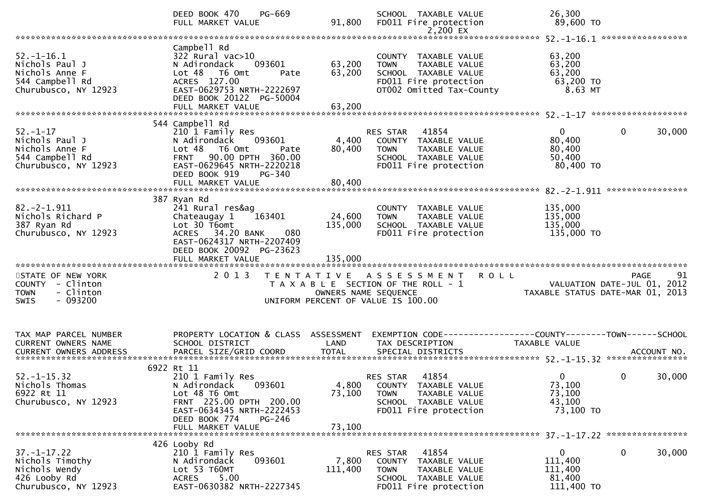|                                                                                                 | DEED BOOK 470<br>PG-669<br>FULL MARKET VALUE                                                                                                                                       | 91,800                       | SCHOOL TAXABLE VALUE<br>FD011 Fire protection<br>2,200 EX                                                                         | 26,300<br>89,600 TO                                        |                                                  |
|-------------------------------------------------------------------------------------------------|------------------------------------------------------------------------------------------------------------------------------------------------------------------------------------|------------------------------|-----------------------------------------------------------------------------------------------------------------------------------|------------------------------------------------------------|--------------------------------------------------|
|                                                                                                 |                                                                                                                                                                                    |                              |                                                                                                                                   |                                                            |                                                  |
| $52. - 1 - 16.1$<br>Nichols Paul J<br>Nichols Anne F<br>544 Campbell Rd<br>Churubusco, NY 12923 | Campbell Rd<br>322 Rural vac>10<br>N Adirondack<br>093601<br>Lot 48 T6 Omt<br>Pate<br>ACRES 127.00<br>EAST-0629753 NRTH-2222697<br>DEED BOOK 20122 PG-50004<br>FULL MARKET VALUE   | 63,200<br>63,200<br>63,200   | COUNTY TAXABLE VALUE<br>TAXABLE VALUE<br><b>TOWN</b><br>SCHOOL TAXABLE VALUE<br>FD011 Fire protection<br>OT002 Omitted Tax-County | 63,200<br>63,200<br>63,200<br>63,200 TO<br>8.63 MT         |                                                  |
|                                                                                                 |                                                                                                                                                                                    |                              |                                                                                                                                   |                                                            |                                                  |
| $52 - 1 - 17$<br>Nichols Paul J<br>Nichols Anne F<br>544 Campbell Rd<br>Churubusco, NY 12923    | 544 Campbell Rd<br>210 1 Family Res<br>093601<br>N Adirondack<br>Lot 48 T6 Omt<br>Pate<br>FRNT 90.00 DPTH 360.00<br>EAST-0629645 NRTH-2220218<br>DEED BOOK 919<br><b>PG-340</b>    | 4,400<br>80,400              | RES STAR 41854<br>COUNTY TAXABLE VALUE<br><b>TOWN</b><br>TAXABLE VALUE<br>SCHOOL TAXABLE VALUE<br>FD011 Fire protection           | 0<br>80,400<br>80,400<br>50,400<br>80,400 TO               | $\mathbf 0$<br>30,000                            |
|                                                                                                 |                                                                                                                                                                                    |                              |                                                                                                                                   |                                                            | ****************                                 |
| $82.-2-1.911$<br>Nichols Richard P<br>387 Ryan Rd<br>Churubusco, NY 12923                       | 387 Ryan Rd<br>241 Rural res&ag<br>Chateaugay 1<br>163401<br>Lot 30 T6omt<br>ACRES 34.20 BANK<br>080<br>EAST-0624317 NRTH-2207409<br>DEED BOOK 20092 PG-23623<br>FULL MARKET VALUE | 24,600<br>135,000<br>135,000 | COUNTY TAXABLE VALUE<br><b>TOWN</b><br>TAXABLE VALUE<br>SCHOOL TAXABLE VALUE<br>FD011 Fire protection                             | 135,000<br>135,000<br>135,000<br>135,000 TO                |                                                  |
|                                                                                                 |                                                                                                                                                                                    |                              |                                                                                                                                   |                                                            |                                                  |
| STATE OF NEW YORK<br>COUNTY - Clinton<br>- Clinton<br><b>TOWN</b><br>$-093200$<br><b>SWIS</b>   | 2 0 1 3                                                                                                                                                                            | OWNERS NAME SEQUENCE         | TENTATIVE ASSESSMENT<br>T A X A B L E SECTION OF THE ROLL - 1<br>UNIFORM PERCENT OF VALUE IS 100.00                               | <b>ROLL</b><br>TAXABLE STATUS DATE-MAR 01, 2013            | <b>PAGE</b><br>91<br>VALUATION DATE-JUL 01, 2012 |
| TAX MAP PARCEL NUMBER<br>CURRENT OWNERS NAME<br>CURRENT OWNERS ADDRESS                          | PROPERTY LOCATION & CLASS ASSESSMENT<br>SCHOOL DISTRICT                                                                                                                            | LAND                         | EXEMPTION CODE------------------COUNTY--------TOWN------SCHOOL<br>TAX DESCRIPTION                                                 | TAXABLE VALUE                                              |                                                  |
| $52. - 1 - 15.32$<br>Nichols Thomas<br>6922 Rt 11<br>Churubusco, NY 12923                       | 6922 Rt 11<br>210 1 Family Res<br>N Adirondack 093601<br>Lot 48 T6 Omt<br>FRNT 225.00 DPTH 200.00<br>EAST-0634345 NRTH-2222453<br>DEED BOOK 774<br>PG-246                          | 73,100<br>73,100             | 41854<br>RES STAR<br>4,800 COUNTY TAXABLE VALUE<br>TAXABLE VALUE<br><b>TOWN</b><br>SCHOOL TAXABLE VALUE<br>FD011 Fire protection  | $\mathbf 0$<br>73,100<br>73,100<br>43,100<br>73,100 TO     | $\mathbf 0$<br>30,000                            |
|                                                                                                 | FULL MARKET VALUE                                                                                                                                                                  |                              |                                                                                                                                   |                                                            |                                                  |
| $37. - 1 - 17.22$<br>Nichols Timothy<br>Nichols Wendy<br>426 Looby Rd<br>Churubusco, NY 12923   | 426 Looby Rd<br>210 1 Family Res<br>N Adirondack<br>093601<br>Lot 53 T60MT<br><b>ACRES</b><br>5.00<br>EAST-0630382 NRTH-2227345                                                    | 7,800<br>111,400             | RES STAR<br>41854<br>COUNTY TAXABLE VALUE<br>TAXABLE VALUE<br><b>TOWN</b><br>SCHOOL TAXABLE VALUE<br>FD011 Fire protection        | $\mathbf{0}$<br>111,400<br>111,400<br>81,400<br>111,400 TO | $\mathbf 0$<br>30,000                            |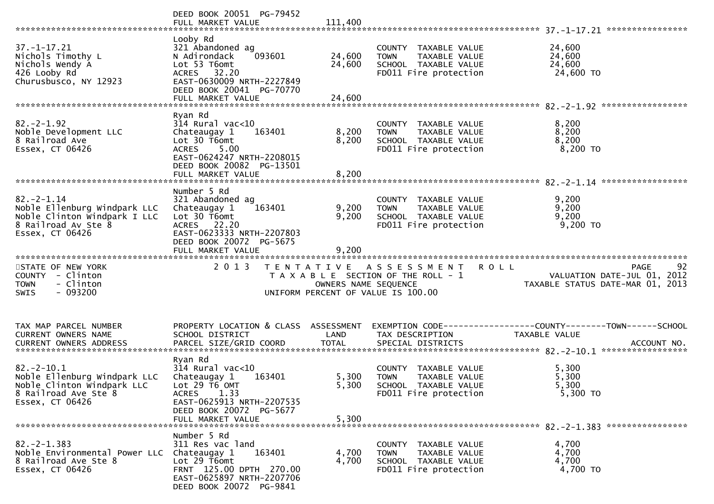|                                                                                                                           | DEED BOOK 20051 PG-79452                                                                                                                                          |                         |                                                                                                       | ****************                                                                                    |
|---------------------------------------------------------------------------------------------------------------------------|-------------------------------------------------------------------------------------------------------------------------------------------------------------------|-------------------------|-------------------------------------------------------------------------------------------------------|-----------------------------------------------------------------------------------------------------|
| $37. - 1 - 17.21$<br>Nichols Timothy L<br>Nichols Wendy A<br>426 Looby Rd<br>Churusbusco, NY 12923                        | Looby Rd<br>321 Abandoned ag<br>N Adirondack<br>093601<br>Lot 53 T6omt<br>ACRES 32.20<br>EAST-0630009 NRTH-2227849<br>DEED BOOK 20041 PG-70770                    | 24,600<br>24,600        | COUNTY TAXABLE VALUE<br><b>TOWN</b><br>TAXABLE VALUE<br>SCHOOL TAXABLE VALUE<br>FD011 Fire protection | 24,600<br>24,600<br>24,600<br>24,600 TO                                                             |
|                                                                                                                           | Ryan Rd                                                                                                                                                           |                         |                                                                                                       |                                                                                                     |
| $82. -2 - 1.92$<br>Noble Development LLC<br>8 Railroad Ave<br>Essex, CT 06426                                             | $314$ Rural vac<10<br>Chateaugay 1<br>163401<br>Lot 30 T6omt<br>5.00<br><b>ACRES</b><br>EAST-0624247 NRTH-2208015<br>DEED BOOK 20082 PG-13501                     | 8,200<br>8,200          | COUNTY TAXABLE VALUE<br>TAXABLE VALUE<br><b>TOWN</b><br>SCHOOL TAXABLE VALUE<br>FD011 Fire protection | 8,200<br>8,200<br>8,200<br>8,200 TO                                                                 |
|                                                                                                                           |                                                                                                                                                                   |                         |                                                                                                       |                                                                                                     |
| $82. -2 - 1.14$<br>Noble Ellenburg Windpark LLC<br>Noble Clinton Windpark I LLC<br>8 Railroad Av Ste 8<br>Essex, CT 06426 | Number 5 Rd<br>321 Abandoned ag<br>Chateaugay 1<br>163401<br>Lot 30 T6omt<br>ACRES 22.20<br>EAST-0623333 NRTH-2207803<br>DEED BOOK 20072 PG-5675                  | 9,200<br>9,200          | COUNTY TAXABLE VALUE<br><b>TOWN</b><br>TAXABLE VALUE<br>SCHOOL TAXABLE VALUE<br>FD011 Fire protection | 9,200<br>9,200<br>9,200<br>9,200 TO                                                                 |
|                                                                                                                           | FULL MARKET VALUE                                                                                                                                                 | 9,200                   |                                                                                                       |                                                                                                     |
| STATE OF NEW YORK                                                                                                         |                                                                                                                                                                   |                         |                                                                                                       |                                                                                                     |
| COUNTY - Clinton<br>- Clinton<br>TOWN<br>$-093200$<br><b>SWIS</b>                                                         | 2 0 1 3                                                                                                                                                           | OWNERS NAME SEQUENCE    | TENTATIVE ASSESSMENT<br>T A X A B L E SECTION OF THE ROLL - 1<br>UNIFORM PERCENT OF VALUE IS 100.00   | <b>ROLL</b><br>92<br><b>PAGE</b><br>VALUATION DATE-JUL 01, 2012<br>TAXABLE STATUS DATE-MAR 01, 2013 |
| TAX MAP PARCEL NUMBER<br>CURRENT OWNERS NAME                                                                              | PROPERTY LOCATION & CLASS ASSESSMENT<br>SCHOOL DISTRICT                                                                                                           | LAND                    | TAX DESCRIPTION                                                                                       | EXEMPTION        CODE-----------------COUNTY-------TOWN------SCHOOL<br>TAXABLE VALUE                |
| $82.-2-10.1$<br>Noble Ellenburg Windpark LLC<br>Noble Clinton Windpark LLC<br>8 Railroad Ave Ste 8<br>Essex, CT 06426     | Ryan Rd<br>314 Rural vac<10<br>163401<br>Chateaugay 1<br>Lot 29 T6 OMT<br>ACRES 1.33<br>EAST-0625913 NRTH-2207535<br>DEED BOOK 20072 PG-5677<br>FULL MARKET VALUE | 5,300<br>5,300<br>5,300 | COUNTY TAXABLE VALUE<br><b>TOWN</b><br>TAXABLE VALUE<br>SCHOOL TAXABLE VALUE<br>FD011 Fire protection | 5,300<br>5,300<br>5,300<br>5,300 TO                                                                 |
| $82. -2 - 1.383$                                                                                                          | Number 5 Rd<br>311 Res vac land                                                                                                                                   |                         |                                                                                                       |                                                                                                     |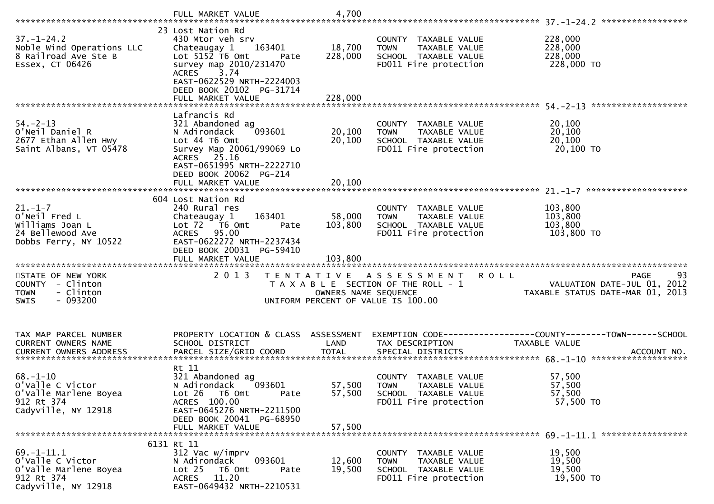|                                                                                                    | FULL MARKET VALUE                                                                                                                                                                                   | 4,700                        |                                                                                                                    |                                                                               |
|----------------------------------------------------------------------------------------------------|-----------------------------------------------------------------------------------------------------------------------------------------------------------------------------------------------------|------------------------------|--------------------------------------------------------------------------------------------------------------------|-------------------------------------------------------------------------------|
| $37. - 1 - 24.2$<br>Noble Wind Operations LLC<br>8 Railroad Ave Ste B<br>Essex, CT 06426           | 23 Lost Nation Rd<br>430 Mtor veh srv<br>Chateaugay 1<br>163401<br>Lot $5152$ T6 Omt<br>Pate<br>survey map 2010/231470<br>ACRES 3.74<br>EAST-0622529 NRTH-2224003<br>DEED BOOK 20102 PG-31714       | 18,700<br>228,000            | COUNTY TAXABLE VALUE<br>TAXABLE VALUE<br><b>TOWN</b><br>SCHOOL TAXABLE VALUE<br>FD011 Fire protection              | 228,000<br>228,000<br>228,000<br>228,000 TO                                   |
| $54. - 2 - 13$<br>O'Neil Daniel R<br>2677 Ethan Allen Hwy<br>Saint Albans, VT 05478                | Lafrancis Rd<br>321 Abandoned ag<br>N Adirondack<br>093601<br>Lot 44 76 0mt<br>Survey Map 20061/99069 Lo<br>ACRES 25.16<br>EAST-0651995 NRTH-2222710<br>DEED BOOK 20062 PG-214<br>FULL MARKET VALUE | 20,100<br>20,100<br>20,100   | COUNTY TAXABLE VALUE<br>TAXABLE VALUE<br><b>TOWN</b><br>SCHOOL TAXABLE VALUE<br>FD011 Fire protection              | 20,100<br>20,100<br>20,100<br>20,100 TO                                       |
|                                                                                                    |                                                                                                                                                                                                     |                              |                                                                                                                    |                                                                               |
| $21. - 1 - 7$<br>O'Neil Fred L<br>Williams Joan L<br>24 Bellewood Ave<br>Dobbs Ferry, NY 10522     | 604 Lost Nation Rd<br>240 Rural res<br>Chateaugay 1<br>163401<br>Lot 72  T6 0mt<br>Pate<br>95.00<br>ACRES<br>EAST-0622272 NRTH-2237434<br>DEED BOOK 20031 PG-59410                                  | 58,000<br>103,800<br>103,800 | COUNTY TAXABLE VALUE<br>TAXABLE VALUE<br><b>TOWN</b><br>SCHOOL TAXABLE VALUE<br>FD011 Fire protection              | 103,800<br>103,800<br>103,800<br>103,800 TO                                   |
| STATE OF NEW YORK<br>COUNTY - Clinton<br>- Clinton<br><b>TOWN</b><br>$-093200$<br>SWIS             | 2 0 1 3                                                                                                                                                                                             | OWNERS NAME SEQUENCE         | TENTATIVE ASSESSMENT<br><b>ROLL</b><br>T A X A B L E SECTION OF THE ROLL - 1<br>UNIFORM PERCENT OF VALUE IS 100.00 | 93<br>PAGE<br>VALUATION DATE-JUL 01, 2012<br>TAXABLE STATUS DATE-MAR 01, 2013 |
| TAX MAP PARCEL NUMBER<br>CURRENT OWNERS NAME                                                       | PROPERTY LOCATION & CLASS ASSESSMENT<br>SCHOOL DISTRICT                                                                                                                                             | LAND                         | TAX DESCRIPTION                                                                                                    | <b>TAXABLE VALUE</b>                                                          |
| $68. - 1 - 10$<br>o'valle C Victor<br>O'Valle Marlene Boyea<br>912 Rt 374<br>Cadyville, NY 12918   | Rt 11<br>321 Abandoned ag<br>093601<br>N Adirondack<br>Lot 26<br>T6 Omt<br>Pate<br>ACRES 100.00<br>EAST-0645276 NRTH-2211500<br>DEED BOOK 20041 PG-68950<br>FULL MARKET VALUE                       | 57,500<br>57,500<br>57,500   | COUNTY TAXABLE VALUE<br><b>TOWN</b><br>TAXABLE VALUE<br>SCHOOL TAXABLE VALUE<br>FD011 Fire protection              | 57,500<br>57,500<br>57,500<br>57,500 TO                                       |
| $69. - 1 - 11.1$<br>o'valle C victor<br>O'Valle Marlene Boyea<br>912 Rt 374<br>Cadyville, NY 12918 | 6131 Rt 11<br>312 Vac w/imprv<br>093601<br>N Adirondack<br>T6 Omt<br>Lot <sub>25</sub><br>Pate<br><b>ACRES</b><br>11.20<br>EAST-0649432 NRTH-2210531                                                | 12,600<br>19,500             | COUNTY TAXABLE VALUE<br>TAXABLE VALUE<br><b>TOWN</b><br>SCHOOL TAXABLE VALUE<br>FD011 Fire protection              | 19,500<br>19,500<br>19,500<br>19,500 TO                                       |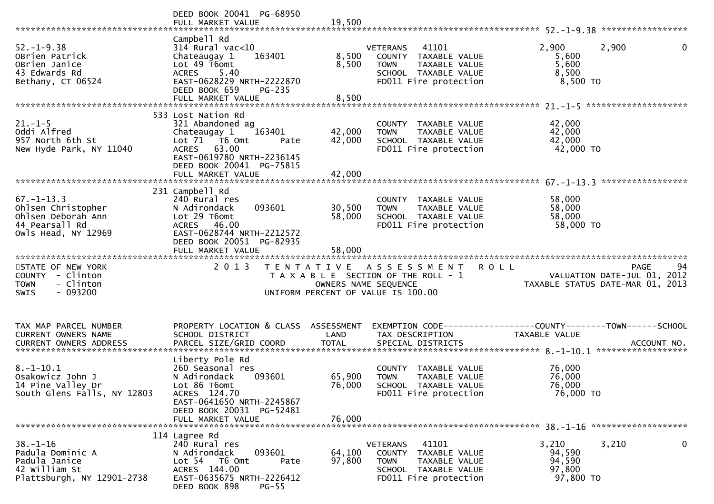|                                                                                                       | DEED BOOK 20041 PG-68950<br>FULL MARKET VALUE                                                                                                                                | 19,500                                    |                                                                                                                                   |                                                                                                     |
|-------------------------------------------------------------------------------------------------------|------------------------------------------------------------------------------------------------------------------------------------------------------------------------------|-------------------------------------------|-----------------------------------------------------------------------------------------------------------------------------------|-----------------------------------------------------------------------------------------------------|
| $52. - 1 - 9.38$<br>OBrien Patrick<br>OBrien Janice<br>43 Edwards Rd<br>Bethany, CT 06524             | Campbell Rd<br>$314$ Rural vac< $10$<br>Chateaugay 1<br>163401<br>Lot 49 T6omt<br>5.40<br>ACRES<br>EAST-0628229 NRTH-2222870<br>DEED BOOK 659<br>PG-235<br>FULL MARKET VALUE | 8,500<br>8,500<br>8,500                   | 41101<br><b>VETERANS</b><br>COUNTY TAXABLE VALUE<br><b>TOWN</b><br>TAXABLE VALUE<br>SCHOOL TAXABLE VALUE<br>FD011 Fire protection | 2,900<br>2,900<br>0<br>5,600<br>5,600<br>8,500<br>8,500 TO                                          |
|                                                                                                       |                                                                                                                                                                              |                                           |                                                                                                                                   |                                                                                                     |
| $21. - 1 - 5$<br>Oddi Alfred<br>957 North 6th St<br>New Hyde Park, NY 11040                           | 533 Lost Nation Rd<br>321 Abandoned ag<br>Chateaugay 1<br>163401<br>Lot 71 76 0mt<br>Pate<br>ACRES 63.00<br>EAST-0619780 NRTH-2236145<br>DEED BOOK 20041 PG-75815            | 42,000<br>42,000                          | COUNTY TAXABLE VALUE<br>TAXABLE VALUE<br><b>TOWN</b><br>SCHOOL TAXABLE VALUE<br>FD011 Fire protection                             | 42,000<br>42,000<br>42,000<br>42,000 TO                                                             |
|                                                                                                       | FULL MARKET VALUE                                                                                                                                                            | 42,000                                    |                                                                                                                                   |                                                                                                     |
|                                                                                                       |                                                                                                                                                                              |                                           |                                                                                                                                   |                                                                                                     |
| $67. - 1 - 13.3$<br>Ohlsen Christopher<br>Ohlsen Deborah Ann<br>44 Pearsall Rd<br>Owls Head, NY 12969 | 231 Campbell Rd<br>240 Rural res<br>093601<br>N Adirondack<br>Lot 29 T6omt<br>ACRES 46.00<br>EAST-0628744 NRTH-2212572<br>DEED BOOK 20051 PG-82935                           | 30,500<br>58,000                          | COUNTY TAXABLE VALUE<br><b>TOWN</b><br>TAXABLE VALUE<br>SCHOOL TAXABLE VALUE<br>FD011 Fire protection                             | 58,000<br>58,000<br>58,000<br>58,000 TO                                                             |
|                                                                                                       |                                                                                                                                                                              |                                           |                                                                                                                                   |                                                                                                     |
|                                                                                                       |                                                                                                                                                                              |                                           |                                                                                                                                   |                                                                                                     |
|                                                                                                       | FULL MARKET VALUE                                                                                                                                                            | 58,000                                    |                                                                                                                                   |                                                                                                     |
| STATE OF NEW YORK<br>COUNTY - Clinton<br>- Clinton<br><b>TOWN</b><br>$-093200$<br><b>SWIS</b>         | 2 0 1 3                                                                                                                                                                      | T E N T A T I V E<br>OWNERS NAME SEQUENCE | A S S E S S M E N T<br>T A X A B L E SECTION OF THE ROLL - 1<br>UNIFORM PERCENT OF VALUE IS 100.00                                | 94<br><b>PAGE</b><br><b>ROLL</b><br>VALUATION DATE-JUL 01, 2012<br>TAXABLE STATUS DATE-MAR 01, 2013 |
|                                                                                                       |                                                                                                                                                                              |                                           |                                                                                                                                   |                                                                                                     |
| TAX MAP PARCEL NUMBER<br>CURRENT OWNERS NAME                                                          | PROPERTY LOCATION & CLASS ASSESSMENT<br>SCHOOL DISTRICT                                                                                                                      | LAND                                      | TAX DESCRIPTION                                                                                                                   | EXEMPTION        CODE-----------------COUNTY-------TOWN------SCHOOL<br>TAXABLE VALUE                |
|                                                                                                       |                                                                                                                                                                              |                                           |                                                                                                                                   |                                                                                                     |
| $8. - 1 - 10.1$<br>Osakowicz John J<br>14 Pine Valley Dr<br>South Glens Falls, NY 12803               | Liberty Pole Rd<br>260 Seasonal res<br>N Adirondack<br>093601<br>Lot 86 T6omt<br>ACRES 124.70                                                                                | 65,900<br>76,000                          | COUNTY TAXABLE VALUE<br><b>TOWN</b><br>TAXABLE VALUE<br>SCHOOL TAXABLE VALUE<br>FD011 Fire protection                             | 76,000<br>76,000<br>76,000<br>76,000 TO                                                             |
|                                                                                                       | EAST-0641650 NRTH-2245867<br>DEED BOOK 20031 PG-52481                                                                                                                        |                                           |                                                                                                                                   |                                                                                                     |
|                                                                                                       | FULL MARKET VALUE                                                                                                                                                            | 76,000                                    |                                                                                                                                   |                                                                                                     |
|                                                                                                       |                                                                                                                                                                              |                                           |                                                                                                                                   |                                                                                                     |
| $38. - 1 - 16$<br>Padula Dominic A<br>Padula Janice<br>42 William St<br>Plattsburgh, NY 12901-2738    | 114 Lagree Rd<br>240 Rural res<br>N Adirondack<br>093601<br>Lot <sub>54</sub><br>T6 Omt<br>Pate<br>ACRES 144.00<br>EAST-0635675 NRTH-2226412<br>DEED BOOK 898<br>$PG-55$     | 64,100<br>97,800                          | 41101<br><b>VETERANS</b><br>COUNTY TAXABLE VALUE<br><b>TOWN</b><br>TAXABLE VALUE<br>SCHOOL TAXABLE VALUE<br>FD011 Fire protection | 0<br>3,210<br>3,210<br>94,590<br>94,590<br>97,800<br>97,800 TO                                      |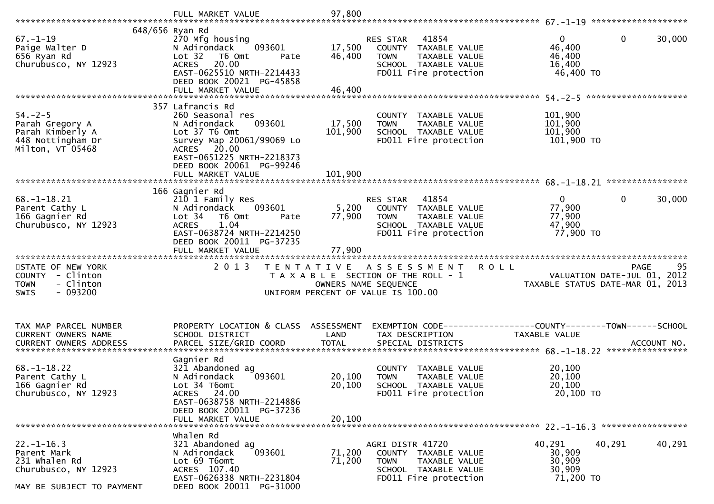|                                                                                                       | FULL MARKET VALUE                                                                                                                                                                                          | 97,800                       |                                                                                                                            |                                                                                              |
|-------------------------------------------------------------------------------------------------------|------------------------------------------------------------------------------------------------------------------------------------------------------------------------------------------------------------|------------------------------|----------------------------------------------------------------------------------------------------------------------------|----------------------------------------------------------------------------------------------|
| $67. - 1 - 19$<br>Paige Walter D<br>656 Ryan Rd<br>Churubusco, NY 12923                               | 648/656 Ryan Rd<br>270 Mfg housing<br>093601<br>N Adirondack<br>Lot <sub>32</sub><br>T6 Omt<br>Pate<br>20.00<br><b>ACRES</b><br>EAST-0625510 NRTH-2214433<br>DEED BOOK 20021 PG-45858<br>FULL MARKET VALUE | 17,500<br>46,400<br>46,400   | RES STAR<br>41854<br>COUNTY TAXABLE VALUE<br>TAXABLE VALUE<br><b>TOWN</b><br>SCHOOL TAXABLE VALUE<br>FD011 Fire protection | 0<br>30,000<br>0<br>46,400<br>46,400<br>16,400<br>46,400 TO                                  |
| $54. - 2 - 5$<br>Parah Gregory A<br>Parah Kimberly A<br>448 Nottingham Dr<br>Milton, VT 05468         | 357 Lafrancis Rd<br>260 Seasonal res<br>093601<br>N Adirondack<br>Lot 37 T6 Omt<br>Survey Map 20061/99069 Lo<br>ACRES 20.00<br>EAST-0651225 NRTH-2218373<br>DEED BOOK 20061 PG-99246<br>FULL MARKET VALUE  | 17,500<br>101,900<br>101,900 | COUNTY TAXABLE VALUE<br><b>TOWN</b><br>TAXABLE VALUE<br>SCHOOL TAXABLE VALUE<br>FD011 Fire protection                      | 101,900<br>101,900<br>101,900<br>101,900 TO                                                  |
| $68. - 1 - 18.21$<br>Parent Cathy L<br>166 Gagnier Rd<br>Churubusco, NY 12923                         | 166 Gagnier Rd<br>210 1 Family Res<br>093601<br>N Adirondack<br>Lot 34<br>T6 Omt<br>Pate<br><b>ACRES</b><br>1.04<br>EAST-0638724 NRTH-2214250<br>DEED BOOK 20011 PG-37235<br>FULL MARKET VALUE             | 5,200<br>77,900<br>77,900    | 41854<br>RES STAR<br>COUNTY TAXABLE VALUE<br><b>TOWN</b><br>TAXABLE VALUE<br>SCHOOL TAXABLE VALUE<br>FD011 Fire protection | $\Omega$<br>$\mathbf{0}$<br>30,000<br>77,900<br>77,900<br>47,900<br>77,900 TO                |
| STATE OF NEW YORK<br>COUNTY - Clinton<br>- Clinton<br><b>TOWN</b><br>$-093200$<br><b>SWIS</b>         | 2 0 1 3                                                                                                                                                                                                    | OWNERS NAME SEQUENCE         | TENTATIVE ASSESSMENT<br>T A X A B L E SECTION OF THE ROLL - 1<br>UNIFORM PERCENT OF VALUE IS 100.00                        | 95<br><b>ROLL</b><br>PAGE<br>VALUATION DATE-JUL 01, 2012<br>TAXABLE STATUS DATE-MAR 01, 2013 |
| TAX MAP PARCEL NUMBER<br>CURRENT OWNERS NAME                                                          | PROPERTY LOCATION & CLASS ASSESSMENT<br>SCHOOL DISTRICT                                                                                                                                                    | LAND                         | TAX DESCRIPTION                                                                                                            | EXEMPTION CODE-----------------COUNTY-------TOWN------SCHOOL<br><b>TAXABLE VALUE</b>         |
| $68. - 1 - 18.22$<br>Parent Cathy L<br>166 Gagnier Rd<br>Churubusco, NY 12923                         | Gagnier Rd<br>321 Abandoned ag<br>093601<br>N Adirondack<br>Lot 34 T6omt<br>ACRES 24.00<br>EAST-0638758 NRTH-2214886<br>DEED BOOK 20011 PG-37236<br>FULL MARKET VALUE                                      | 20,100<br>20,100<br>20,100   | COUNTY TAXABLE VALUE<br><b>TOWN</b><br>TAXABLE VALUE<br>SCHOOL TAXABLE VALUE<br>FD011 Fire protection                      | 20,100<br>20,100<br>20,100<br>20,100 TO                                                      |
| $22. - 1 - 16.3$<br>Parent Mark<br>231 whalen Rd<br>Churubusco, NY 12923<br>MAY BE SUBJECT TO PAYMENT | whalen Rd<br>321 Abandoned ag<br>N Adirondack<br>093601<br>Lot 69 T6omt<br>ACRES 107.40<br>EAST-0626338 NRTH-2231804<br>DEED BOOK 20011 PG-31000                                                           | 71,200<br>71,200             | AGRI DISTR 41720<br>COUNTY TAXABLE VALUE<br><b>TOWN</b><br>TAXABLE VALUE<br>SCHOOL TAXABLE VALUE<br>FD011 Fire protection  | 40,291<br>40,291<br>40,291<br>30,909<br>30,909<br>30,909<br>71,200 TO                        |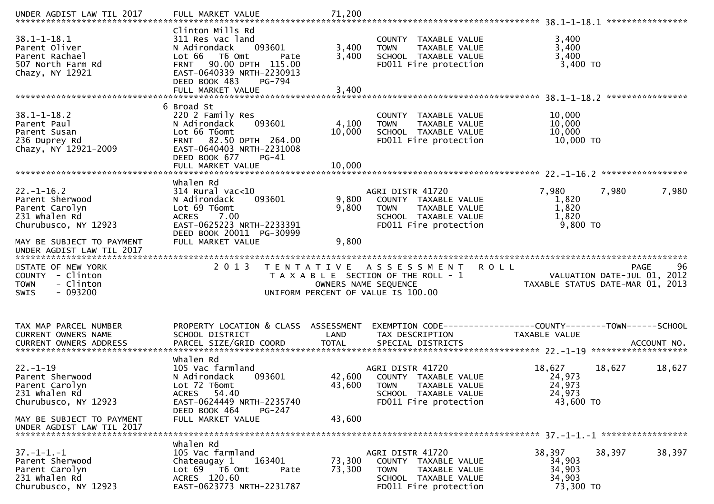| UNDER AGDIST LAW TIL 2017                                                                                                   | FULL MARKET VALUE                                                                                                                                                                                        | 71,200                                                     |                                                                                                                                  |                                                                                |            |
|-----------------------------------------------------------------------------------------------------------------------------|----------------------------------------------------------------------------------------------------------------------------------------------------------------------------------------------------------|------------------------------------------------------------|----------------------------------------------------------------------------------------------------------------------------------|--------------------------------------------------------------------------------|------------|
| $38.1 - 1 - 18.1$<br>Parent Oliver<br>Parent Rachael<br>507 North Farm Rd<br>Chazy, NY 12921                                | Clinton Mills Rd<br>311 Res vac land<br>093601<br>N Adirondack<br>Lot 66 T6 Omt<br>Pate<br>90.00 DPTH 115.00<br><b>FRNT</b><br>EAST-0640339 NRTH-2230913<br>DEED BOOK 483<br>PG-794<br>FULL MARKET VALUE | 3,400<br>3,400<br>3,400                                    | COUNTY TAXABLE VALUE<br>TAXABLE VALUE<br><b>TOWN</b><br>SCHOOL TAXABLE VALUE<br>FD011 Fire protection                            | 3,400<br>3,400<br>3,400<br>3,400 TO                                            |            |
|                                                                                                                             | 6 Broad St                                                                                                                                                                                               |                                                            |                                                                                                                                  |                                                                                |            |
| $38.1 - 1 - 18.2$<br>Parent Paul<br>Parent Susan<br>236 Duprey Rd<br>Chazy, NY 12921-2009                                   | 220 2 Family Res<br>093601<br>N Adirondack<br>Lot 66 T6omt<br>FRNT 82.50 DPTH 264.00<br>EAST-0640403 NRTH-2231008<br>DEED BOOK 677<br>$PG-41$                                                            | 4,100<br>10,000                                            | COUNTY TAXABLE VALUE<br>TAXABLE VALUE<br><b>TOWN</b><br>SCHOOL TAXABLE VALUE<br>FD011 Fire protection                            | 10,000<br>10,000<br>10,000<br>10,000 TO                                        |            |
|                                                                                                                             |                                                                                                                                                                                                          |                                                            |                                                                                                                                  |                                                                                |            |
| $22. - 1 - 16.2$<br>Parent Sherwood<br>Parent Carolyn<br>231 whalen Rd<br>Churubusco, NY 12923<br>MAY BE SUBJECT TO PAYMENT | whalen Rd<br>$314$ Rural vac<10<br>093601<br>N Adirondack<br>Lot 69 T6omt<br>7.00<br><b>ACRES</b><br>EAST-0625223 NRTH-2233391<br>DEED BOOK 20011 PG-30999<br>FULL MARKET VALUE                          | 9,800<br>9,800<br>9,800                                    | AGRI DISTR 41720<br>COUNTY TAXABLE VALUE<br><b>TOWN</b><br>TAXABLE VALUE<br>SCHOOL TAXABLE VALUE<br>FD011 Fire protection        | 7,980<br>7,980<br>1,820<br>1,820<br>1,820<br>$9,800$ TO                        | 7,980      |
|                                                                                                                             |                                                                                                                                                                                                          |                                                            |                                                                                                                                  |                                                                                |            |
| UNDER AGDIST LAW TIL 2017                                                                                                   |                                                                                                                                                                                                          |                                                            |                                                                                                                                  |                                                                                |            |
| STATE OF NEW YORK<br>COUNTY - Clinton<br><b>TOWN</b><br>- Clinton<br>$-093200$<br><b>SWIS</b>                               | 2 0 1 3                                                                                                                                                                                                  | OWNERS NAME SEQUENCE<br>UNIFORM PERCENT OF VALUE IS 100.00 | TENTATIVE ASSESSMENT<br>T A X A B L E SECTION OF THE ROLL - 1                                                                    | <b>ROLL</b><br>VALUATION DATE-JUL 01, 2012<br>TAXABLE STATUS DATE-MAR 01, 2013 | 96<br>PAGE |
| TAX MAP PARCEL NUMBER                                                                                                       | PROPERTY LOCATION & CLASS ASSESSMENT                                                                                                                                                                     |                                                            |                                                                                                                                  | EXEMPTION CODE-----------------COUNTY-------TOWN------SCHOOL                   |            |
| CURRENT OWNERS NAME                                                                                                         | SCHOOL DISTRICT                                                                                                                                                                                          | LAND                                                       | TAX DESCRIPTION                                                                                                                  | TAXABLE VALUE                                                                  |            |
| $22. - 1 - 19$<br>Parent Sherwood<br>Parent Carolyn<br>231 Whalen Rd<br>Churubusco, NY 12923                                | Whalen Rd<br>105 Vac farmland<br>093601<br>N Adirondack<br>Lot 72 T6omt<br>ACRES 54.40<br>EAST-0624449 NRTH-2235740                                                                                      | 43,600                                                     | AGRI DISTR 41720<br>42,600 COUNTY TAXABLE VALUE<br><b>TOWN</b><br>TAXABLE VALUE<br>SCHOOL TAXABLE VALUE<br>FD011 Fire protection | 18,627<br>18,627<br>24,973<br>24,973<br>24,973<br>43,600 TO                    | 18,627     |
| MAY BE SUBJECT TO PAYMENT<br>UNDER AGDIST LAW TIL 2017                                                                      | DEED BOOK 464<br>PG-247<br>FULL MARKET VALUE                                                                                                                                                             | 43,600                                                     |                                                                                                                                  |                                                                                |            |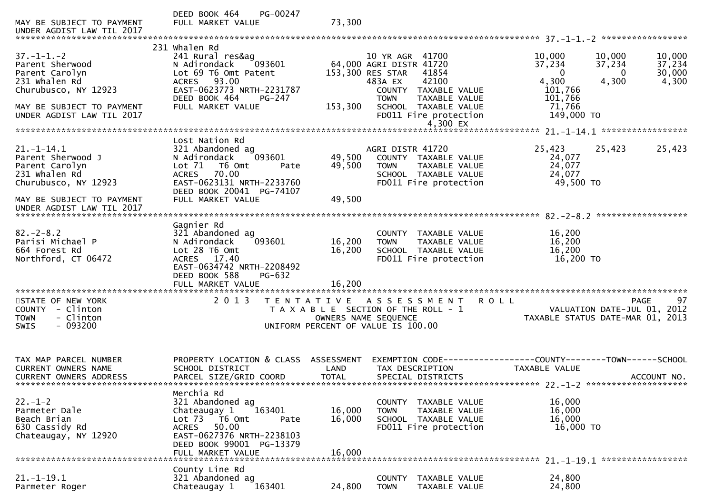| MAY BE SUBJECT TO PAYMENT<br>UNDER AGDIST LAW TIL 2017                                                 | DEED BOOK 464<br>PG-00247<br>FULL MARKET VALUE                                                                                                                                                             | 73,300                     |                                                                                                                            |                                                                                           |                                     |
|--------------------------------------------------------------------------------------------------------|------------------------------------------------------------------------------------------------------------------------------------------------------------------------------------------------------------|----------------------------|----------------------------------------------------------------------------------------------------------------------------|-------------------------------------------------------------------------------------------|-------------------------------------|
|                                                                                                        |                                                                                                                                                                                                            |                            |                                                                                                                            |                                                                                           |                                     |
| $37. - 1 - 1. - 2$<br>Parent Sherwood<br>Parent Carolyn<br>231 whalen Rd<br>Churubusco, NY 12923       | 231 Whalen Rd<br>241 Rural res&ag<br>N Adirondack<br>093601<br>Lot 69 T6 Omt Patent<br>93.00<br><b>ACRES</b><br>EAST-0623773 NRTH-2231787                                                                  |                            | 10 YR AGR 41700<br>64,000 AGRI DISTR 41720<br>153,300 RES STAR<br>41854<br>42100<br>483A EX<br>COUNTY TAXABLE VALUE        | 10,000<br>10,000<br>37,234<br>37,234<br>$\Omega$<br>$\Omega$<br>4,300<br>4,300<br>101,766 | 10,000<br>37,234<br>30,000<br>4,300 |
| MAY BE SUBJECT TO PAYMENT<br>UNDER AGDIST LAW TIL 2017                                                 | DEED BOOK 464<br>$PG-247$<br>FULL MARKET VALUE                                                                                                                                                             | 153,300                    | <b>TAXABLE VALUE</b><br><b>TOWN</b><br>SCHOOL TAXABLE VALUE<br>FD011 Fire protection<br>4,300 EX                           | 101,766<br>71,766<br>149,000 TO                                                           |                                     |
|                                                                                                        |                                                                                                                                                                                                            |                            |                                                                                                                            |                                                                                           |                                     |
| $21. - 1 - 14.1$<br>Parent Sherwood J<br>Parent Carolyn<br>231 whalen Rd<br>Churubusco, NY 12923       | Lost Nation Rd<br>321 Abandoned ag<br>093601<br>N Adirondack<br>Lot 71<br>T6 Omt<br>Pate<br>70.00<br><b>ACRES</b><br>EAST-0623131 NRTH-2233760<br>DEED BOOK 20041 PG-74107                                 | 49,500<br>49,500           | AGRI DISTR 41720<br>COUNTY TAXABLE VALUE<br>TAXABLE VALUE<br><b>TOWN</b><br>SCHOOL TAXABLE VALUE<br>FD011 Fire protection  | 25,423<br>25,423<br>24,077<br>24,077<br>24,077<br>49,500 TO                               | 25,423                              |
| MAY BE SUBJECT TO PAYMENT<br>UNDER AGDIST LAW TIL 2017                                                 | FULL MARKET VALUE                                                                                                                                                                                          | 49,500                     |                                                                                                                            |                                                                                           |                                     |
| $82 - 2 - 8.2$<br>Parisi Michael P<br>664 Forest Rd<br>Northford, CT 06472<br>************************ | Gagnier Rd<br>321 Abandoned ag<br>N Adirondack<br>093601<br>Lot 28 T6 Omt<br>ACRES 17.40<br>EAST-0634742 NRTH-2208492<br>DEED BOOK 588<br>PG-632<br>FULL MARKET VALUE<br>********************************* | 16,200<br>16,200<br>16,200 | COUNTY TAXABLE VALUE<br>TAXABLE VALUE<br><b>TOWN</b><br>SCHOOL TAXABLE VALUE<br>FD011 Fire protection                      | 16,200<br>16,200<br>16,200<br>16,200 TO                                                   |                                     |
| STATE OF NEW YORK<br>COUNTY - Clinton<br>- Clinton<br><b>TOWN</b><br>$-093200$<br><b>SWIS</b>          | 2 0 1 3                                                                                                                                                                                                    | T E N T A T I V E          | A S S E S S M E N T<br>T A X A B L E SECTION OF THE ROLL - 1<br>OWNERS NAME SEQUENCE<br>UNIFORM PERCENT OF VALUE IS 100.00 | <b>ROLL</b><br>VALUATION DATE-JUL 01,<br>TAXABLE STATUS DATE-MAR 01, 2013                 | 97<br><b>PAGE</b><br>2012           |
| TAX MAP PARCEL NUMBER<br>CURRENT OWNERS NAME<br><b>CURRENT OWNERS ADDRESS</b>                          | PROPERTY LOCATION & CLASS ASSESSMENT<br>SCHOOL DISTRICT<br>PARCEL SIZE/GRID COORD                                                                                                                          | LAND<br><b>TOTAL</b>       | TAX DESCRIPTION<br>SPECIAL DISTRICTS                                                                                       | EXEMPTION        CODE-----------------COUNTY-------TOWN------SCHOOL<br>TAXABLE VALUE      | ACCOUNT NO.                         |
| $22 - 1 - 2$<br>Parmeter Dale<br>Beach Brian<br>630 Cassidy Rd<br>Chateaugay, NY 12920                 | Merchia Rd<br>321 Abandoned ag<br>163401<br>Chateaugay 1<br>Lot $73$ $\overline{76}$ Omt<br>Pate<br>50.00<br><b>ACRES</b><br>EAST-0627376 NRTH-2238103<br>DEED BOOK 99001 PG-13379<br>FULL MARKET VALUE    | 16,000<br>16,000<br>16,000 | COUNTY<br>TAXABLE VALUE<br><b>TOWN</b><br>TAXABLE VALUE<br>SCHOOL TAXABLE VALUE<br>FD011 Fire protection                   | 16,000<br>16,000<br>16,000<br>16,000 TO                                                   |                                     |
| 21. –1–19.1<br>Parmeter Roger                                                                          | County Line Rd<br>321 Abandoned ag<br>163401<br>Chateaugay 1                                                                                                                                               | 24,800                     | <b>COUNTY</b><br>TAXABLE VALUE<br>TAXABLE VALUE<br><b>TOWN</b>                                                             | 24,800<br>24,800                                                                          |                                     |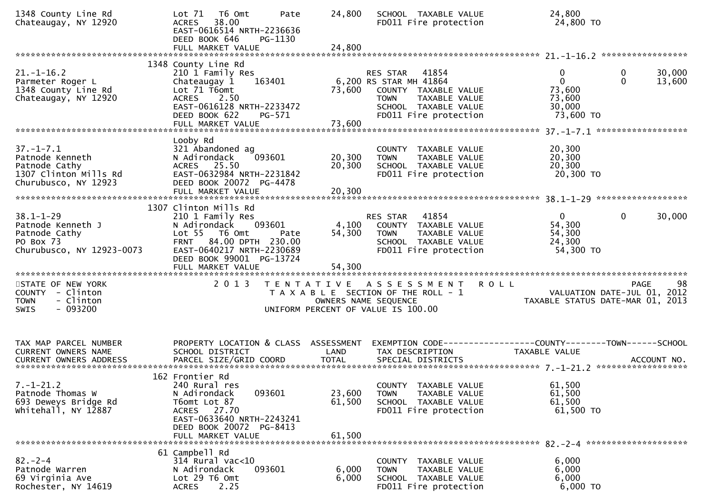| 1348 County Line Rd<br>Chateaugay, NY 12920                                                          | Lot 71  T6 0mt<br>Pate<br>ACRES 38.00<br>EAST-0616514 NRTH-2236636<br>DEED BOOK 646<br>PG-1130                                                                               | 24,800                     | SCHOOL TAXABLE VALUE<br>FD011 Fire protection                                                                                                                   | 24,800<br>24,800 TO                                                                                                          |                                              |
|------------------------------------------------------------------------------------------------------|------------------------------------------------------------------------------------------------------------------------------------------------------------------------------|----------------------------|-----------------------------------------------------------------------------------------------------------------------------------------------------------------|------------------------------------------------------------------------------------------------------------------------------|----------------------------------------------|
|                                                                                                      |                                                                                                                                                                              |                            |                                                                                                                                                                 |                                                                                                                              |                                              |
| $21. - 1 - 16.2$<br>Parmeter Roger L<br>1348 County Line Rd<br>Chateaugay, NY 12920                  | 1348 County Line Rd<br>210 1 Family Res<br>163401<br>Chateaugay 1<br>Lot 71 T6omt<br>ACRES 2.50<br>EAST-0616128 NRTH-2233472<br>DEED BOOK 622<br>PG-571<br>FULL MARKET VALUE | 73,600                     | <b>RES STAR 41854</b><br>6,200 RS STAR MH 41864<br>73,600 COUNTY TAXABLE VALUE<br><b>TOWN</b><br>TAXABLE VALUE<br>SCHOOL TAXABLE VALUE<br>FD011 Fire protection | $\mathbf{0}$<br>$\overline{0}$<br>73,600<br>73,600<br>30,000<br>73,600 TO                                                    | $\mathbf{0}$<br>30,000<br>$\Omega$<br>13,600 |
|                                                                                                      |                                                                                                                                                                              |                            |                                                                                                                                                                 |                                                                                                                              |                                              |
| $37. - 1 - 7.1$<br>Patnode Kenneth<br>Patnode Cathy<br>1307 Clinton Mills Rd<br>Churubusco, NY 12923 | Looby Rd<br>321 Abandoned ag<br>093601<br>N Adirondack<br>ACRES 25.50<br>EAST-0632984 NRTH-2231842<br>DEED BOOK 20072 PG-4478<br>FULL MARKET VALUE                           | 20,300<br>20,300<br>20,300 | COUNTY TAXABLE VALUE<br><b>TOWN</b><br>TAXABLE VALUE<br>SCHOOL TAXABLE VALUE<br>FD011 Fire protection                                                           | 20,300<br>20,300<br>20,300<br>20,300 TO                                                                                      |                                              |
|                                                                                                      | 1307 Clinton Mills Rd                                                                                                                                                        |                            |                                                                                                                                                                 |                                                                                                                              |                                              |
| $38.1 - 1 - 29$<br>Patnode Kenneth J<br>Patnode Cathy<br>PO Box 73<br>Churubusco, NY 12923-0073      | 210 1 Family Res<br>093601<br>N Adirondack<br>Lot 55 T6 Omt<br>Pate<br>FRNT 84.00 DPTH 230.00<br>EAST-0640217 NRTH-2230689<br>DEED BOOK 99001 PG-13724                       | 54,300                     | RES STAR 41854<br>4,100 COUNTY TAXABLE VALUE<br>TAXABLE VALUE<br><b>TOWN</b><br>SCHOOL TAXABLE VALUE<br>FD011 Fire protection                                   | 0<br>54,300<br>54,300<br>24,300<br>54,300 TO                                                                                 | $\mathbf 0$<br>30,000                        |
|                                                                                                      |                                                                                                                                                                              |                            |                                                                                                                                                                 |                                                                                                                              |                                              |
| STATE OF NEW YORK<br>COUNTY - Clinton<br>- Clinton<br><b>TOWN</b><br>- 093200<br><b>SWIS</b>         | 2 0 1 3                                                                                                                                                                      |                            | TENTATIVE ASSESSMENT<br>T A X A B L E SECTION OF THE ROLL - 1<br>OWNERS NAME SEQUENCE<br>UNIFORM PERCENT OF VALUE IS 100.00                                     | <b>ROLL</b><br>PAGE 98<br>VALUATION DATE-JUL 01, 2012<br>TAXARLE STATUS DATE USE OF 2012<br>TAXABLE STATUS DATE-MAR 01, 2013 | 98<br><b>PAGE</b>                            |
|                                                                                                      |                                                                                                                                                                              |                            |                                                                                                                                                                 |                                                                                                                              |                                              |
| TAX MAP PARCEL NUMBER<br>CURRENT OWNERS NAME                                                         | PROPERTY LOCATION & CLASS ASSESSMENT<br>SCHOOL DISTRICT                                                                                                                      | LAND                       | TAX DESCRIPTION                                                                                                                                                 | EXEMPTION CODE-----------------COUNTY--------TOWN------SCHOOL<br>TAXABLE VALUE                                               |                                              |
|                                                                                                      |                                                                                                                                                                              |                            |                                                                                                                                                                 |                                                                                                                              |                                              |
| $7. - 1 - 21.2$<br>Patnode Thomas W<br>693 Deweys Bridge Rd<br>Whitehall, NY 12887                   | 162 Frontier Rd<br>240 Rural res<br>N Adirondack<br>093601<br>T6omt Lot 87<br>ACRES 27.70<br>EAST-0633640 NRTH-2243241<br>DEED BOOK 20072 PG-8413<br>FULL MARKET VALUE       | 23,600<br>61,500<br>61,500 | COUNTY TAXABLE VALUE<br><b>TOWN</b><br>TAXABLE VALUE<br>SCHOOL TAXABLE VALUE<br>FD011 Fire protection                                                           | 61,500<br>61,500<br>61,500<br>61,500 TO                                                                                      |                                              |
|                                                                                                      | 61 Campbell Rd                                                                                                                                                               |                            |                                                                                                                                                                 |                                                                                                                              |                                              |
| $82 - 2 - 4$<br>Patnode Warren<br>69 Virginia Ave<br>Rochester, NY 14619                             | $314$ Rural vac<10<br>093601<br>N Adirondack<br>Lot 29 T6 Omt<br>2.25<br>ACRES                                                                                               | 6,000<br>6,000             | COUNTY TAXABLE VALUE<br>TAXABLE VALUE<br><b>TOWN</b><br>SCHOOL TAXABLE VALUE<br>FD011 Fire protection                                                           | 6,000<br>6,000<br>6,000<br>6,000 TO                                                                                          |                                              |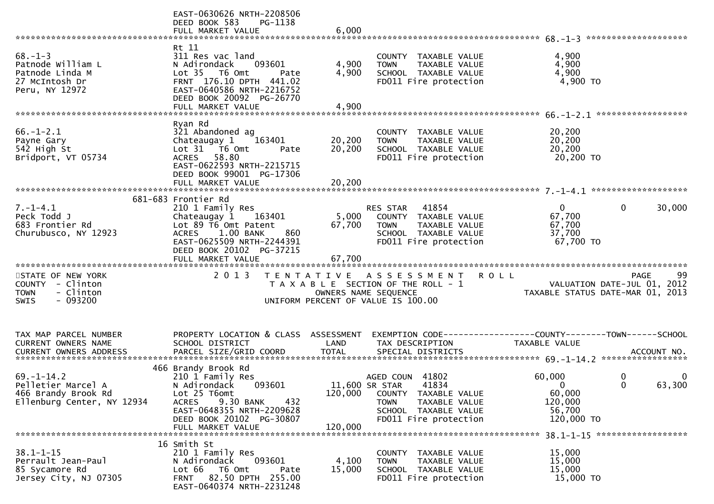|                                                     | EAST-0630626 NRTH-2208506<br>DEED BOOK 583<br>PG-1138<br>FULL MARKET VALUE                                 | 6,000   |                                                                                   |                      |                                           |
|-----------------------------------------------------|------------------------------------------------------------------------------------------------------------|---------|-----------------------------------------------------------------------------------|----------------------|-------------------------------------------|
| $68. - 1 - 3$<br>Patnode William L                  | Rt 11<br>311 Res vac land<br>N Adirondack<br>093601                                                        | 4,900   | COUNTY TAXABLE VALUE<br>TAXABLE VALUE<br><b>TOWN</b>                              | 4,900<br>4,900       |                                           |
| Patnode Linda M<br>27 McIntosh Dr<br>Peru, NY 12972 | Lot 35  T6 Omt<br>Pate<br>FRNT 176.10 DPTH 441.02<br>EAST-0640586 NRTH-2216752<br>DEED BOOK 20092 PG-26770 | 4,900   | SCHOOL TAXABLE VALUE<br>FD011 Fire protection                                     | 4,900<br>4,900 TO    |                                           |
|                                                     | FULL MARKET VALUE                                                                                          | 4,900   |                                                                                   |                      |                                           |
| $66. - 1 - 2.1$                                     | Ryan Rd                                                                                                    |         | COUNTY TAXABLE VALUE                                                              |                      |                                           |
| Payne Gary                                          | 321 Abandoned ag<br>Chateaugay 1<br>163401                                                                 | 20,200  | <b>TOWN</b><br>TAXABLE VALUE                                                      | 20,200<br>20,200     |                                           |
| 542 High St<br>Bridport, VT 05734                   | Lot 31 76 0mt<br>Pate<br>58.80<br><b>ACRES</b>                                                             | 20,200  | SCHOOL TAXABLE VALUE<br>FD011 Fire protection                                     | 20,200<br>20,200 TO  |                                           |
|                                                     | EAST-0622593 NRTH-2215715<br>DEED BOOK 99001 PG-17306                                                      |         |                                                                                   |                      |                                           |
|                                                     | FULL MARKET VALUE                                                                                          | 20,200  |                                                                                   |                      |                                           |
| $7. - 1 - 4.1$                                      | 681-683 Frontier Rd<br>210 1 Family Res                                                                    |         | 41854<br>RES STAR                                                                 | $\mathbf{0}$         | $\mathbf{0}$<br>30,000                    |
| Peck Todd J                                         | Chateaugay 1<br>163401                                                                                     | 5,000   | COUNTY TAXABLE VALUE                                                              | 67,700               |                                           |
| 683 Frontier Rd                                     | Lot 89 T6 Omt Patent                                                                                       | 67,700  | TAXABLE VALUE<br><b>TOWN</b>                                                      | 67,700               |                                           |
| Churubusco, NY 12923                                | ACRES 1.00 BANK<br>860<br>EAST-0625509 NRTH-2244391                                                        |         | SCHOOL TAXABLE VALUE<br>FD011 Fire protection                                     | 37,700<br>67,700 TO  |                                           |
|                                                     | DEED BOOK 20102 PG-37215                                                                                   |         |                                                                                   |                      |                                           |
|                                                     |                                                                                                            |         |                                                                                   |                      |                                           |
| STATE OF NEW YORK<br>COUNTY - Clinton               | 2 0 1 3                                                                                                    |         | TENTATIVE ASSESSMENT<br>T A X A B L E SECTION OF THE ROLL - 1                     | <b>ROLL</b>          | 99<br>PAGE<br>VALUATION DATE-JUL 01, 2012 |
| - Clinton<br><b>TOWN</b>                            |                                                                                                            |         | OWNERS NAME SEQUENCE                                                              |                      | TAXABLE STATUS DATE-MAR 01, 2013          |
| $-093200$<br><b>SWIS</b>                            |                                                                                                            |         | UNIFORM PERCENT OF VALUE IS 100.00                                                |                      |                                           |
|                                                     |                                                                                                            |         |                                                                                   |                      |                                           |
| TAX MAP PARCEL NUMBER<br><b>CURRENT OWNERS NAME</b> | PROPERTY LOCATION & CLASS ASSESSMENT<br>SCHOOL DISTRICT                                                    | LAND    | EXEMPTION CODE------------------COUNTY--------TOWN------SCHOOL<br>TAX DESCRIPTION | <b>TAXABLE VALUE</b> |                                           |
|                                                     |                                                                                                            |         |                                                                                   |                      |                                           |
|                                                     | 466 Brandy Brook Rd                                                                                        |         |                                                                                   |                      |                                           |
| $69. - 1 - 14.2$                                    | 210 1 Family Res                                                                                           |         | AGED COUN 41802                                                                   | 60,000               | 0<br>0                                    |
| Pelletier Marcel A                                  | N Adirondack<br>093601<br>Lot 25 T6omt                                                                     |         | 11,600 SR STAR<br>41834                                                           | $\Omega$             | 63,300<br>$\Omega$                        |
| 466 Brandy Brook Rd<br>Ellenburg Center, NY 12934   |                                                                                                            | 120,000 | TAXABLE VALUE<br>COUNTY                                                           | 60,000               |                                           |
|                                                     |                                                                                                            |         |                                                                                   |                      |                                           |
|                                                     | <b>ACRES</b><br>9.30 BANK<br>432<br>EAST-0648355 NRTH-2209628                                              |         | <b>TOWN</b><br>TAXABLE VALUE<br>SCHOOL TAXABLE VALUE                              | 120,000<br>56,700    |                                           |
|                                                     | DEED BOOK 20102 PG-30807                                                                                   |         | FD011 Fire protection                                                             | 120,000 TO           |                                           |
|                                                     | FULL MARKET VALUE                                                                                          | 120,000 |                                                                                   |                      | 38.1-1-15 ********************            |
|                                                     | 16 Smith St                                                                                                |         |                                                                                   |                      |                                           |
| $38.1 - 1 - 15$<br>Perrault Jean-Paul               | 210 1 Family Res<br>093601<br>N Adirondack                                                                 | 4,100   | COUNTY TAXABLE VALUE<br>TAXABLE VALUE<br><b>TOWN</b>                              | 15,000<br>15,000     |                                           |
| 85 Sycamore Rd<br>Jersey City, NJ 07305             | Lot 66<br>T6 Omt<br>Pate<br>82.50 DPTH 255.00<br><b>FRNT</b>                                               | 15,000  | SCHOOL TAXABLE VALUE<br>FD011 Fire protection                                     | 15,000<br>15,000 TO  |                                           |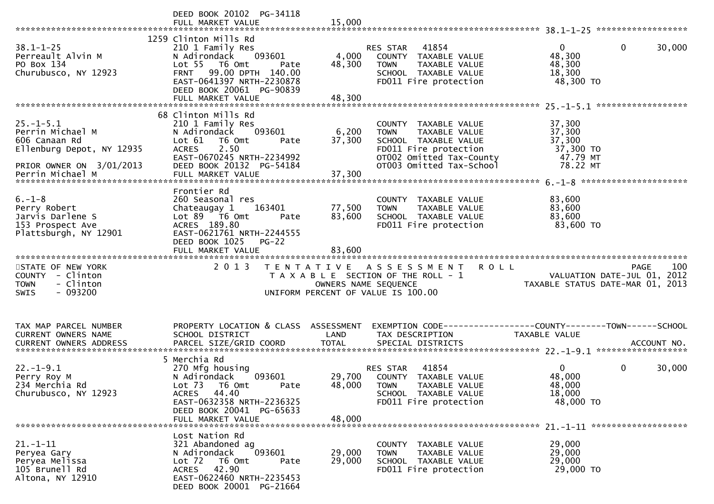|                                                                                                               | DEED BOOK 20102 PG-34118                                                                                                                                                         |                      |                                                                                                                                                               |                                                                                |  |
|---------------------------------------------------------------------------------------------------------------|----------------------------------------------------------------------------------------------------------------------------------------------------------------------------------|----------------------|---------------------------------------------------------------------------------------------------------------------------------------------------------------|--------------------------------------------------------------------------------|--|
| $38.1 - 1 - 25$<br>Perreault Alvin M<br>PO Box 134<br>Churubusco, NY 12923                                    | 1259 Clinton Mills Rd<br>210 1 Family Res<br>093601<br>N Adirondack<br>Lot 55 T6 Omt<br>Pate<br>FRNT 99.00 DPTH 140.00<br>EAST-0641397 NRTH-2230878<br>DEED BOOK 20061 PG-90839  | 4,000<br>48,300      | RES STAR 41854<br>COUNTY TAXABLE VALUE<br><b>TOWN</b><br>TAXABLE VALUE<br>SCHOOL TAXABLE VALUE<br>FD011 Fire protection                                       | $\mathbf{0}$<br>0<br>30,000<br>48,300<br>48,300<br>18,300<br>48,300 TO         |  |
|                                                                                                               |                                                                                                                                                                                  |                      |                                                                                                                                                               |                                                                                |  |
| $25. - 1 - 5.1$<br>Perrin Michael M<br>606 Canaan Rd<br>Ellenburg Depot, NY 12935<br>PRIOR OWNER ON 3/01/2013 | 68 Clinton Mills Rd<br>210 1 Family Res<br>093601<br>N Adirondack<br>Lot $61$<br>T6 Omt<br>Pate<br>2.50<br><b>ACRES</b><br>EAST-0670245 NRTH-2234992<br>DEED BOOK 20132 PG-54184 | 6,200<br>37,300      | COUNTY TAXABLE VALUE<br><b>TOWN</b><br>TAXABLE VALUE<br>SCHOOL TAXABLE VALUE<br>FD011 Fire protection<br>OTOO2 Omitted Tax-County<br>OT003 Omitted Tax-School | 37,300<br>37,300<br>37,300<br>37,300 TO<br>47.79 MT<br>78.22 MT                |  |
|                                                                                                               |                                                                                                                                                                                  |                      |                                                                                                                                                               |                                                                                |  |
| $6. - 1 - 8$<br>Perry Robert<br>Jarvis Darlene S<br>153 Prospect Ave<br>Plattsburgh, NY 12901                 | Frontier Rd<br>260 Seasonal res<br>163401<br>Chateaugay 1<br>Lot 89 T6 Omt<br>Pate<br>ACRES 189.80<br>EAST-0621761 NRTH-2244555<br>DEED BOOK 1025 PG-22                          | 77,500<br>83,600     | COUNTY TAXABLE VALUE<br>TAXABLE VALUE<br><b>TOWN</b><br>SCHOOL TAXABLE VALUE<br>FD011 Fire protection                                                         | 83,600<br>83,600<br>83,600<br>83,600 TO                                        |  |
|                                                                                                               | FULL MARKET VALUE                                                                                                                                                                | 83,600               |                                                                                                                                                               |                                                                                |  |
| STATE OF NEW YORK<br>COUNTY - Clinton<br><b>TOWN</b><br>- Clinton<br>$-093200$<br><b>SWIS</b>                 | 2 0 1 3                                                                                                                                                                          | OWNERS NAME SEQUENCE | <b>ROLL</b><br>TENTATIVE ASSESSMENT<br>T A X A B L E SECTION OF THE ROLL - 1<br>UNIFORM PERCENT OF VALUE IS 100.00                                            | 100<br>PAGE<br>VALUATION DATE-JUL 01, 2012<br>TAXABLE STATUS DATE-MAR 01, 2013 |  |
| TAX MAP PARCEL NUMBER<br>CURRENT OWNERS NAME                                                                  | PROPERTY LOCATION & CLASS ASSESSMENT<br>SCHOOL DISTRICT                                                                                                                          | LAND                 | TAX DESCRIPTION                                                                                                                                               | EXEMPTION CODE-----------------COUNTY-------TOWN------SCHOOL<br>TAXABLE VALUE  |  |
| $22. - 1 - 9.1$<br>Perry Roy M<br>234 Merchia Rd<br>Churubusco, NY 12923                                      | 5 Merchia Rd<br>270 Mfg housing<br>093601<br>N Adirondack<br>Lot 73 T6 Omt<br>Pate<br>ACRES 44.40<br>EAST-0632358 NRTH-2236325<br>DEED BOOK 20041 PG-65633<br>FULL MARKET VALUE  | 48,000<br>48,000     | RES STAR 41854<br>29,700 COUNTY TAXABLE VALUE<br><b>TOWN</b><br>TAXABLE VALUE<br>SCHOOL TAXABLE VALUE<br>FD011 Fire protection                                | $\overline{0}$<br>0<br>30,000<br>48,000<br>48,000<br>18,000<br>48,000 TO       |  |
| $21. - 1 - 11$<br>Peryea Gary                                                                                 | Lost Nation Rd<br>321 Abandoned ag                                                                                                                                               |                      | COUNTY TAXABLE VALUE                                                                                                                                          | 29,000                                                                         |  |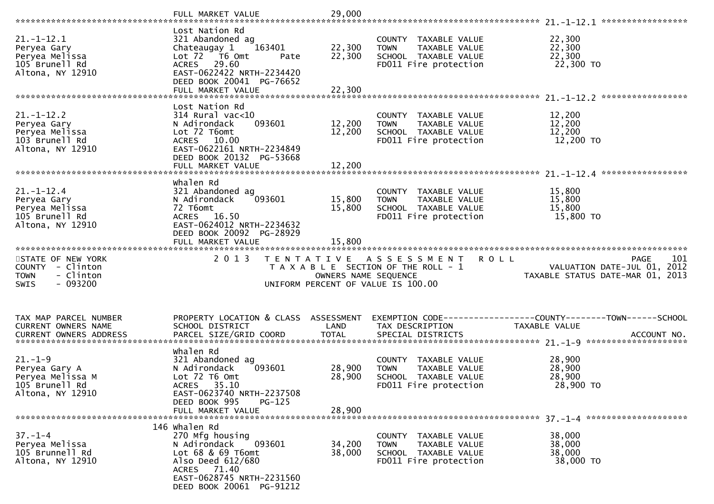|                                                                                               | FULL MARKET VALUE                                                                                                                                                                   | 29,000                     |                                                                                                       |                                                                                               |
|-----------------------------------------------------------------------------------------------|-------------------------------------------------------------------------------------------------------------------------------------------------------------------------------------|----------------------------|-------------------------------------------------------------------------------------------------------|-----------------------------------------------------------------------------------------------|
| $21. - 1 - 12.1$<br>Peryea Gary<br>Peryea Melissa<br>105 Brunell Rd<br>Altona, NY 12910       | Lost Nation Rd<br>321 Abandoned ag<br>163401<br>Chateaugay 1<br>Lot 72  T6 0mt<br>Pate<br>ACRES 29.60<br>EAST-0622422 NRTH-2234420<br>DEED BOOK 20041 PG-76652<br>FULL MARKET VALUE | 22,300<br>22,300<br>22,300 | COUNTY TAXABLE VALUE<br><b>TOWN</b><br>TAXABLE VALUE<br>SCHOOL TAXABLE VALUE<br>FD011 Fire protection | 22,300<br>22,300<br>22,300<br>22,300 TO                                                       |
|                                                                                               |                                                                                                                                                                                     |                            |                                                                                                       |                                                                                               |
| $21. - 1 - 12.2$<br>Peryea Gary<br>Peryea Melissa<br>103 Brunell Rd<br>Altona, NY 12910       | Lost Nation Rd<br>$314$ Rural vac<10<br>093601<br>N Adirondack<br>Lot 72 T6omt<br>ACRES 10.00<br>EAST-0622161 NRTH-2234849<br>DEED BOOK 20132 PG-53668<br>FULL MARKET VALUE         | 12,200<br>12,200<br>12,200 | COUNTY TAXABLE VALUE<br>TAXABLE VALUE<br><b>TOWN</b><br>SCHOOL TAXABLE VALUE<br>FD011 Fire protection | 12,200<br>12,200<br>12,200<br>12,200 TO                                                       |
|                                                                                               |                                                                                                                                                                                     |                            |                                                                                                       |                                                                                               |
| $21. - 1 - 12.4$<br>Peryea Gary<br>Peryea Melissa<br>105 Brunell Rd<br>Altona, NY 12910       | Whalen Rd<br>321 Abandoned ag<br>N Adirondack<br>093601<br>72 T6omt<br>ACRES 16.50<br>EAST-0624012 NRTH-2234632<br>DEED BOOK 20092 PG-28929<br>FULL MARKET VALUE                    | 15,800<br>15,800<br>15,800 | COUNTY TAXABLE VALUE<br>TAXABLE VALUE<br><b>TOWN</b><br>SCHOOL TAXABLE VALUE<br>FD011 Fire protection | 15,800<br>15,800<br>15,800<br>15,800 TO                                                       |
|                                                                                               |                                                                                                                                                                                     |                            |                                                                                                       |                                                                                               |
|                                                                                               |                                                                                                                                                                                     |                            |                                                                                                       |                                                                                               |
| STATE OF NEW YORK<br>COUNTY - Clinton<br>- Clinton<br><b>TOWN</b><br>$-093200$<br><b>SWIS</b> | 2 0 1 3                                                                                                                                                                             | OWNERS NAME SEQUENCE       | TENTATIVE ASSESSMENT<br>T A X A B L E SECTION OF THE ROLL - 1<br>UNIFORM PERCENT OF VALUE IS 100.00   | <b>ROLL</b><br>101<br>PAGE<br>VALUATION DATE-JUL 01, 2012<br>TAXABLE STATUS DATE-MAR 01, 2013 |
| TAX MAP PARCEL NUMBER<br>CURRENT OWNERS NAME<br>CURRENT OWNERS ADDRESS                        | PROPERTY LOCATION & CLASS ASSESSMENT<br>SCHOOL DISTRICT                                                                                                                             | LAND                       | TAX DESCRIPTION                                                                                       | EXEMPTION CODE-----------------COUNTY-------TOWN------SCHOOL<br>TAXABLE VALUE                 |
| $21. - 1 - 9$<br>Peryea Gary A<br>Peryea Melissa M<br>105 Brunell Rd<br>Altona, NY 12910      | Whalen Rd<br>321 Abandoned ag<br>N Adirondack<br>093601<br>Lot 72 T6 Omt<br>ACRES 35.10<br>EAST-0623740 NRTH-2237508<br>DEED BOOK 995<br>$PG-125$                                   | 28,900<br>28,900           | COUNTY TAXABLE VALUE<br>TAXABLE VALUE<br><b>TOWN</b><br>SCHOOL TAXABLE VALUE<br>FD011 Fire protection | 28,900<br>28,900<br>28,900<br>28,900 TO                                                       |
|                                                                                               | FULL MARKET VALUE                                                                                                                                                                   | 28,900                     |                                                                                                       |                                                                                               |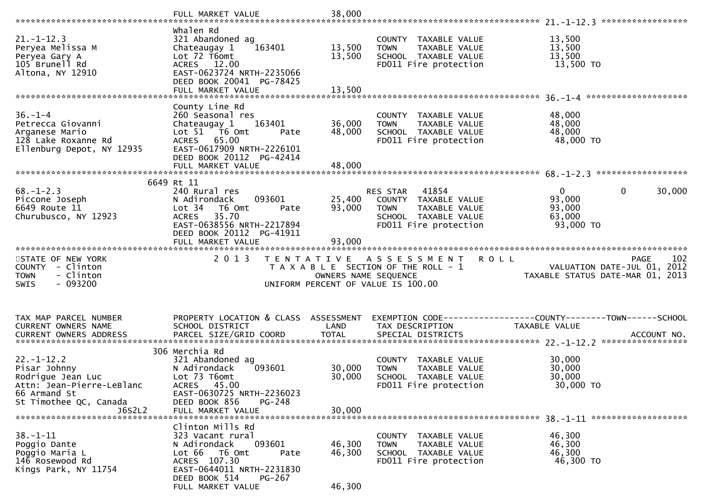|                                                                                                                                        | FULL MARKET VALUE                                                                                                                                                                                   | 38,000                                    |                                                                                                                            |                                                                                                      |
|----------------------------------------------------------------------------------------------------------------------------------------|-----------------------------------------------------------------------------------------------------------------------------------------------------------------------------------------------------|-------------------------------------------|----------------------------------------------------------------------------------------------------------------------------|------------------------------------------------------------------------------------------------------|
| $21. - 1 - 12.3$<br>Peryea Melissa M<br>Peryea Gary A<br>105 Brunell Rd<br>Altona, NY 12910                                            | Whalen Rd<br>321 Abandoned ag<br>163401<br>Chateaugay 1<br>Lot 72 T6omt<br>ACRES 12.00<br>EAST-0623724 NRTH-2235066<br>DEED BOOK 20041 PG-78425<br>FULL MARKET VALUE                                | 13,500<br>13,500<br>13,500                | COUNTY TAXABLE VALUE<br><b>TOWN</b><br>TAXABLE VALUE<br>SCHOOL TAXABLE VALUE<br>FD011 Fire protection                      | 13,500<br>13,500<br>13,500<br>13,500 TO                                                              |
| $36. - 1 - 4$<br>Petrecca Giovanni<br>Arganese Mario<br>128 Lake Roxanne Rd<br>Ellenburg Depot, NY 12935                               | County Line Rd<br>260 Seasonal res<br>163401<br>Chateaugay 1<br>Lot 51 76 0mt<br>Pate<br>ACRES 65.00<br>EAST-0617909 NRTH-2226101<br>DEED BOOK 20112 PG-42414<br>FULL MARKET VALUE                  | 36,000<br>48,000<br>48,000                | COUNTY TAXABLE VALUE<br>TAXABLE VALUE<br><b>TOWN</b><br>SCHOOL TAXABLE VALUE<br>FD011 Fire protection                      | 48,000<br>48,000<br>48,000<br>48,000 TO                                                              |
| $68. - 1 - 2.3$<br>Piccone Joseph<br>6649 Route 11<br>Churubusco, NY 12923                                                             | 6649 Rt 11<br>240 Rural res<br>093601<br>N Adirondack<br>Lot <sub>34</sub><br>T6 Omt<br>Pate<br>35.70<br><b>ACRES</b><br>EAST-0638556 NRTH-2217894<br>DEED BOOK 20112 PG-41911<br>FULL MARKET VALUE | 25,400<br>93,000<br>93,000                | RES STAR<br>41854<br>COUNTY TAXABLE VALUE<br>TAXABLE VALUE<br><b>TOWN</b><br>SCHOOL TAXABLE VALUE<br>FD011 Fire protection | $\mathbf{0}$<br>$\mathbf 0$<br>30,000<br>93,000<br>93,000<br>63,000<br>93,000 TO                     |
|                                                                                                                                        |                                                                                                                                                                                                     |                                           |                                                                                                                            |                                                                                                      |
| STATE OF NEW YORK<br>COUNTY - Clinton<br>- Clinton<br><b>TOWN</b><br>$-093200$<br><b>SWIS</b>                                          | 2 0 1 3                                                                                                                                                                                             | T E N T A T I V E<br>OWNERS NAME SEQUENCE | A S S E S S M E N T<br>T A X A B L E SECTION OF THE ROLL - 1<br>UNIFORM PERCENT OF VALUE IS 100.00                         | <b>ROLL</b><br>102<br><b>PAGE</b><br>VALUATION DATE-JUL 01, 2012<br>TAXABLE STATUS DATE-MAR 01, 2013 |
| TAX MAP PARCEL NUMBER<br>CURRENT OWNERS NAME<br>CURRENT OWNERS ADDRESS                                                                 | PROPERTY LOCATION & CLASS ASSESSMENT<br>SCHOOL DISTRICT<br>306 Merchia Rd                                                                                                                           | LAND                                      | TAX DESCRIPTION                                                                                                            | EXEMPTION CODE-----------------COUNTY-------TOWN------SCHOOL<br>TAXABLE VALUE                        |
| $22. - 1 - 12.2$<br>Pisar Johnny<br>Rodrigue Jean Luc<br>Attn: Jean-Pierre-LeBlanc<br>66 Armand St<br>St Timothee QC, Canada<br>J6S2L2 | 321 Abandoned ag<br>093601<br>N Adirondack<br>Lot 73 T6omt<br>ACRES 45.00<br>EAST-0630725 NRTH-2236023<br>DEED BOOK 856<br>$PG-248$<br>FULL MARKET VALUE                                            | 30,000<br>30,000<br>30,000                | COUNTY TAXABLE VALUE<br>TAXABLE VALUE<br><b>TOWN</b><br>SCHOOL TAXABLE VALUE<br>FD011 Fire protection                      | 30,000<br>30,000<br>30,000<br>30,000 TO                                                              |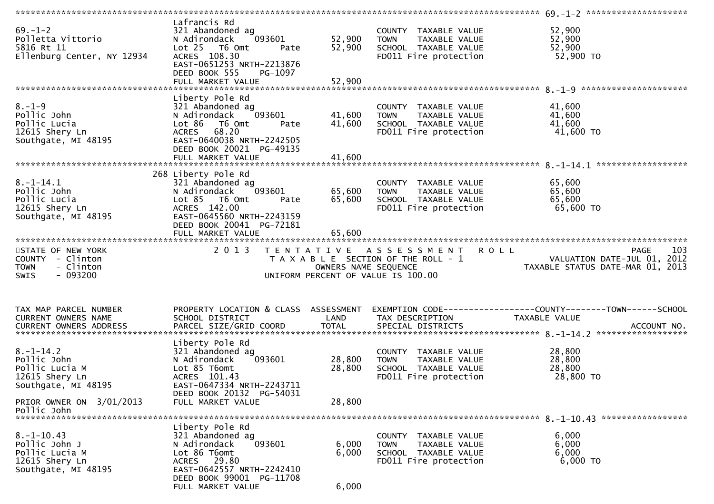| $69. - 1 - 2$<br>Polletta Vittorio<br>5816 Rt 11<br>Ellenburg Center, NY 12934                | Lafrancis Rd<br>321 Abandoned ag<br>093601<br>N Adirondack<br>Lot <sub>25</sub><br>T6 Omt<br>Pate<br>ACRES 108.30<br>EAST-0651253 NRTH-2213876<br>DEED BOOK 555<br>PG-1097 | 52,900<br>52,900     | COUNTY TAXABLE VALUE<br>TAXABLE VALUE<br><b>TOWN</b><br>SCHOOL TAXABLE VALUE<br>FD011 Fire protection    | 52,900<br>52,900<br>52,900<br>52,900 TO                                                      |
|-----------------------------------------------------------------------------------------------|----------------------------------------------------------------------------------------------------------------------------------------------------------------------------|----------------------|----------------------------------------------------------------------------------------------------------|----------------------------------------------------------------------------------------------|
|                                                                                               |                                                                                                                                                                            |                      |                                                                                                          |                                                                                              |
| $8. - 1 - 9$<br>Pollic John<br>Pollic Lucia<br>12615 Shery Ln<br>Southgate, MI 48195          | Liberty Pole Rd<br>321 Abandoned ag<br>N Adirondack<br>093601<br>Lot 86<br>T6 Omt<br>Pate<br>ACRES 68.20<br>EAST-0640038 NRTH-2242505<br>DEED BOOK 20021 PG-49135          | 41,600<br>41,600     | COUNTY TAXABLE VALUE<br>TAXABLE VALUE<br><b>TOWN</b><br>SCHOOL TAXABLE VALUE<br>FD011 Fire protection    | 41,600<br>41,600<br>41,600<br>41,600 TO<br>******************                                |
|                                                                                               | 268 Liberty Pole Rd                                                                                                                                                        |                      |                                                                                                          |                                                                                              |
| $8. - 1 - 14.1$<br>Pollic John<br>Pollic Lucia<br>12615 Shery Ln<br>Southgate, MI 48195       | 321 Abandoned ag<br>N Adirondack<br>093601<br>Lot 85<br>T6 Omt<br>Pate<br>ACRES 142.00<br>EAST-0645560 NRTH-2243159<br>DEED BOOK 20041 PG-72181                            | 65,600<br>65,600     | COUNTY TAXABLE VALUE<br>TAXABLE VALUE<br><b>TOWN</b><br>SCHOOL TAXABLE VALUE<br>FD011 Fire protection    | 65,600<br>65,600<br>65,600<br>65,600 TO                                                      |
|                                                                                               | FULL MARKET VALUE                                                                                                                                                          | 65,600               |                                                                                                          |                                                                                              |
|                                                                                               |                                                                                                                                                                            |                      |                                                                                                          |                                                                                              |
|                                                                                               |                                                                                                                                                                            |                      |                                                                                                          |                                                                                              |
| STATE OF NEW YORK<br>COUNTY - Clinton<br>- Clinton<br><b>TOWN</b><br>$-093200$<br><b>SWIS</b> | 2 0 1 3                                                                                                                                                                    | OWNERS NAME SEQUENCE | TENTATIVE ASSESSMENT ROLL<br>T A X A B L E SECTION OF THE ROLL - 1<br>UNIFORM PERCENT OF VALUE IS 100.00 | 103<br>PAGE<br>VALUATION DATE-JUL 01, 2012<br>TAXABLE STATUS DATE-MAR 01, 2013               |
|                                                                                               |                                                                                                                                                                            |                      |                                                                                                          |                                                                                              |
| TAX MAP PARCEL NUMBER<br>CURRENT OWNERS NAME                                                  | PROPERTY LOCATION & CLASS ASSESSMENT<br>SCHOOL DISTRICT                                                                                                                    | LAND                 | TAX DESCRIPTION                                                                                          | EXEMPTION CODE-----------------COUNTY-------TOWN------SCHOOL<br>TAXABLE VALUE<br>ACCOUNT NO. |
| CURRENT OWNERS ADDRESS                                                                        | PARCEL SIZE/GRID COORD                                                                                                                                                     | <b>TOTAL</b>         | SPECIAL DISTRICTS                                                                                        |                                                                                              |
| $8. - 1 - 14.2$<br>Pollic John<br>Pollic Lucia M<br>12615 Shery Ln<br>Southgate, MI 48195     | Liberty Pole Rd<br>321 Abandoned ag<br>N Adirondack<br>093601<br>Lot 85 T6omt<br>ACRES 101.43<br>EAST-0647334 NRTH-2243711                                                 | 28,800<br>28,800     | COUNTY TAXABLE VALUE<br>TAXABLE VALUE<br><b>TOWN</b><br>SCHOOL TAXABLE VALUE<br>FD011 Fire protection    | 28,800<br>28,800<br>28,800<br>28,800 TO                                                      |
| PRIOR OWNER ON 3/01/2013<br>Pollic John                                                       | DEED BOOK 20132 PG-54031<br>FULL MARKET VALUE                                                                                                                              | 28,800               |                                                                                                          |                                                                                              |
| $8. -1 - 10.43$<br>Pollic John J<br>Pollic Lucia M<br>12615 Shery Ln                          | Liberty Pole Rd<br>321 Abandoned ag<br>N Adirondack<br>093601<br>Lot 86 T6omt<br>ACRES 29.80                                                                               | 6,000<br>6,000       | COUNTY TAXABLE VALUE<br>TAXABLE VALUE<br><b>TOWN</b><br>SCHOOL TAXABLE VALUE<br>FD011 Fire protection    | 6,000<br>6,000<br>6,000<br>6,000 TO                                                          |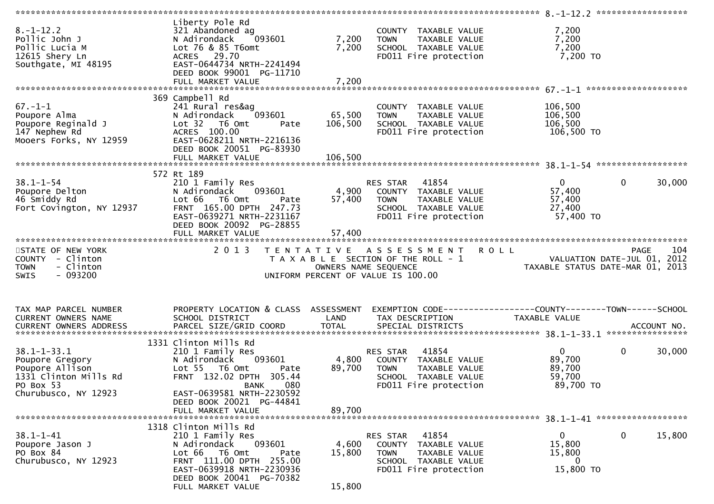| $8. - 1 - 12.2$<br>Pollic John J<br>Pollic Lucia M<br>12615 Shery Ln<br>Southgate, MI 48195                                              | Liberty Pole Rd<br>321 Abandoned ag<br>N Adirondack<br>093601<br>Lot 76 & 85 T6omt<br>ACRES 29.70<br>EAST-0644734 NRTH-2241494<br>DEED BOOK 99001 PG-11710                                    | 7,200<br>7,200<br>7,200   | COUNTY TAXABLE VALUE<br>TAXABLE VALUE<br><b>TOWN</b><br>SCHOOL TAXABLE VALUE<br>FD011 Fire protection                      | 7,200<br>7,200<br>7,200<br>7,200 TO                                                 |
|------------------------------------------------------------------------------------------------------------------------------------------|-----------------------------------------------------------------------------------------------------------------------------------------------------------------------------------------------|---------------------------|----------------------------------------------------------------------------------------------------------------------------|-------------------------------------------------------------------------------------|
|                                                                                                                                          |                                                                                                                                                                                               |                           |                                                                                                                            |                                                                                     |
| $67. - 1 - 1$<br>Poupore Alma<br>Poupore Reginald J<br>147 Nephew Rd<br>Mooers Forks, NY 12959                                           | 369 Campbell Rd<br>241 Rural res&ag<br>N Adirondack<br>093601<br>Lot <sub>32</sub><br>T6 Omt<br>Pate<br>ACRES 100.00<br>EAST-0628211 NRTH-2216136<br>DEED BOOK 20051 PG-83930                 | 65,500<br>106,500         | COUNTY TAXABLE VALUE<br>TAXABLE VALUE<br><b>TOWN</b><br>SCHOOL TAXABLE VALUE<br>FD011 Fire protection                      | 106,500<br>106,500<br>106,500<br>106,500 TO                                         |
|                                                                                                                                          |                                                                                                                                                                                               |                           |                                                                                                                            |                                                                                     |
| $38.1 - 1 - 54$<br>Poupore Delton<br>46 Smiddy Rd<br>Fort Covington, NY 12937                                                            | 572 Rt 189<br>210 1 Family Res<br>N Adirondack<br>093601<br>Lot 66<br>T6 Omt<br>Pate<br>FRNT 165.00 DPTH 247.73<br>EAST-0639271 NRTH-2231167<br>DEED BOOK 20092 PG-28855<br>FULL MARKET VALUE | 4,900<br>57,400<br>57,400 | RES STAR<br>41854<br>COUNTY TAXABLE VALUE<br><b>TOWN</b><br>TAXABLE VALUE<br>SCHOOL TAXABLE VALUE<br>FD011 Fire protection | $\mathbf{0}$<br>$\mathbf{0}$<br>30,000<br>57,400<br>57,400<br>27,400<br>57,400 TO   |
|                                                                                                                                          |                                                                                                                                                                                               |                           |                                                                                                                            |                                                                                     |
| STATE OF NEW YORK<br>COUNTY - Clinton                                                                                                    | 2 0 1 3                                                                                                                                                                                       |                           | TENTATIVE ASSESSMENT                                                                                                       | <b>ROLL</b><br>104<br><b>PAGE</b>                                                   |
| - Clinton<br><b>TOWN</b><br>$-093200$<br>SWIS                                                                                            |                                                                                                                                                                                               |                           | T A X A B L E SECTION OF THE ROLL - 1<br>OWNERS NAME SEQUENCE<br>UNIFORM PERCENT OF VALUE IS 100.00                        | VALUATION DATE-JUL 01, 2012<br>TAXABLE STATUS DATE-MAR 01, 2013                     |
| TAX MAP PARCEL NUMBER<br>CURRENT OWNERS NAME                                                                                             | PROPERTY LOCATION & CLASS ASSESSMENT<br>SCHOOL DISTRICT                                                                                                                                       | LAND                      | TAX DESCRIPTION                                                                                                            | EXEMPTION CODE-----------------COUNTY-------TOWN------SCHOOL<br>TAXABLE VALUE       |
| CURRENT OWNERS ADDRESS                                                                                                                   |                                                                                                                                                                                               |                           |                                                                                                                            |                                                                                     |
|                                                                                                                                          |                                                                                                                                                                                               |                           |                                                                                                                            |                                                                                     |
| $38.1 - 1 - 33.1$<br>Poupore Gregory<br>Poupore Allison<br>Poupore Allison<br>1331 Clinton Mills Rd<br>PO Box 53<br>Churubusco, NY 12923 | 1331 Clinton Mills Rd<br>210 1 Family Res<br>093601<br>N Adirondack<br>Lot 55 T6 Omt<br>Pate<br>FRNT 132.02 DPTH 305.44<br>080<br><b>BANK</b><br>EAST-0639581 NRTH-2230592                    | 4,800<br>89,700           | 41854<br>RES STAR<br>COUNTY TAXABLE VALUE<br><b>TOWN</b><br>TAXABLE VALUE<br>SCHOOL TAXABLE VALUE<br>FD011 Fire protection | $\overline{0}$<br>$\mathbf{0}$<br>30,000<br>89,700<br>89,700<br>59,700<br>89,700 TO |
|                                                                                                                                          | DEED BOOK 20021 PG-44841<br>FULL MARKET VALUE                                                                                                                                                 | 89,700                    |                                                                                                                            |                                                                                     |
|                                                                                                                                          | 1318 Clinton Mills Rd                                                                                                                                                                         |                           |                                                                                                                            |                                                                                     |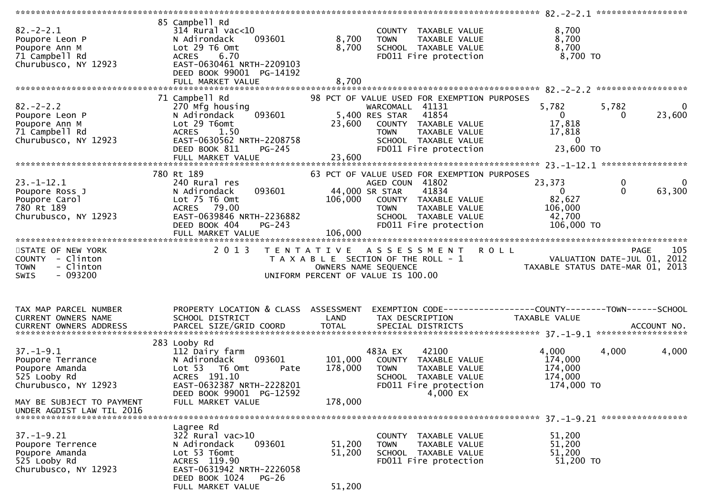| $82 - 2 - 2.1$<br>Poupore Leon P<br>Poupore Ann M<br>71 Campbell Rd<br>Churubusco, NY 12923    | 85 Campbell Rd<br>$314$ Rural vac<10<br>093601<br>N Adirondack<br>Lot 29 T6 Omt<br>6.70<br><b>ACRES</b><br>EAST-0630461 NRTH-2209103<br>DEED BOOK 99001 PG-14192<br>FULL MARKET VALUE | 8,700<br>8,700<br>8,700    | COUNTY TAXABLE VALUE<br>TAXABLE VALUE<br><b>TOWN</b><br>SCHOOL TAXABLE VALUE<br>FD011 Fire protection                                                                                              | 8,700<br>8,700<br>8,700<br>8,700 TO                                                                             |
|------------------------------------------------------------------------------------------------|---------------------------------------------------------------------------------------------------------------------------------------------------------------------------------------|----------------------------|----------------------------------------------------------------------------------------------------------------------------------------------------------------------------------------------------|-----------------------------------------------------------------------------------------------------------------|
|                                                                                                | 71 Campbell Rd                                                                                                                                                                        |                            | 98 PCT OF VALUE USED FOR EXEMPTION PURPOSES                                                                                                                                                        |                                                                                                                 |
| $82 - 2 - 2.2$<br>Poupore Leon P<br>Poupore Ann M<br>71 Campbell Rd<br>Churubusco, NY 12923    | 270 Mfg housing<br>N Adirondack<br>093601<br>Lot 29 T6omt<br>1.50<br><b>ACRES</b><br>EAST-0630562 NRTH-2208758<br>DEED BOOK 811<br>$PG-245$                                           | 23,600                     | WARCOMALL 41131<br>5,400 RES STAR<br>41854<br>COUNTY TAXABLE VALUE<br>TAXABLE VALUE<br><b>TOWN</b><br>SCHOOL TAXABLE VALUE<br>FD011 Fire protection                                                | 5,782<br>5,782<br>$\mathbf{0}$<br>$\overline{0}$<br>23,600<br>0<br>17,818<br>17,818<br>$\mathbf 0$<br>23,600 TO |
|                                                                                                |                                                                                                                                                                                       |                            |                                                                                                                                                                                                    |                                                                                                                 |
| $23. - 1 - 12.1$<br>Poupore Ross J<br>Poupore Carol<br>780 Rt 189<br>Churubusco, NY 12923      | 780 Rt 189<br>240 Rural res<br>N Adirondack<br>093601<br>Lot 75 T6 Omt<br>ACRES 79.00<br>EAST-0639846 NRTH-2236882<br>DEED BOOK 404<br>PG-243<br>FULL MARKET VALUE                    | 106,000<br>106,000         | 63 PCT OF VALUE USED FOR EXEMPTION PURPOSES<br>AGED COUN 41802<br>41834<br>44,000 SR STAR<br>COUNTY TAXABLE VALUE<br>TAXABLE VALUE<br><b>TOWN</b><br>SCHOOL TAXABLE VALUE<br>FD011 Fire protection | 23,373<br>0<br>$\mathbf{0}$<br>$\Omega$<br>63,300<br>$\Omega$<br>82,627<br>106,000<br>42,700<br>106,000 TO      |
|                                                                                                |                                                                                                                                                                                       |                            |                                                                                                                                                                                                    |                                                                                                                 |
| STATE OF NEW YORK<br>COUNTY - Clinton<br>- Clinton<br><b>TOWN</b><br>$-093200$<br>SWIS         | 2 0 1 3                                                                                                                                                                               | T E N T A T I V E          | A S S E S S M E N T<br>T A X A B L E SECTION OF THE ROLL - 1<br>OWNERS NAME SEQUENCE<br>UNIFORM PERCENT OF VALUE IS 100.00                                                                         | <b>ROLL</b><br>105<br><b>PAGE</b><br>VALUATION DATE-JUL 01, 2012<br>TAXABLE STATUS DATE-MAR 01, 2013            |
| TAX MAP PARCEL NUMBER<br>CURRENT OWNERS NAME<br>CURRENT OWNERS ADDRESS                         | PROPERTY LOCATION & CLASS ASSESSMENT<br>SCHOOL DISTRICT<br>PARCEL SIZE/GRID COORD                                                                                                     | LAND<br><b>TOTAL</b>       | TAX DESCRIPTION<br>SPECIAL DISTRICTS                                                                                                                                                               | EXEMPTION CODE-----------------COUNTY-------TOWN------SCHOOL<br>TAXABLE VALUE<br>ACCOUNT NO.                    |
| $37. - 1 - 9.1$<br>Poupore Terrance<br>Poupore Amanda<br>525 Looby Rd<br>Churubusco, NY 12923  | 283 Looby Rd<br>112 Dairy farm<br>093601<br>N Adirondack<br>Lot 53 T6 Omt<br>Pate<br>ACRES 191.10                                                                                     | 101,000<br>178,000         | 483A EX<br>42100<br>COUNTY TAXABLE VALUE<br><b>TAXABLE VALUE</b><br><b>TOWN</b><br>SCHOOL TAXABLE VALUE                                                                                            | 4,000<br>4,000<br>4,000<br>174,000<br>174,000<br>174,000                                                        |
| MAY BE SUBJECT TO PAYMENT                                                                      | EAST-0632387 NRTH-2228201<br>DEED BOOK 99001 PG-12592<br>FULL MARKET VALUE                                                                                                            | 178,000                    | FD011 Fire protection<br>4,000 EX                                                                                                                                                                  | 174,000 TO                                                                                                      |
| UNDER AGDIST LAW TIL 2016                                                                      |                                                                                                                                                                                       |                            |                                                                                                                                                                                                    |                                                                                                                 |
| $37. - 1 - 9.21$<br>Poupore Terrence<br>Poupore Amanda<br>525 Looby Rd<br>Churubusco, NY 12923 | Lagree Rd<br>$32\overline{2}$ Rural vac $>10$<br>093601<br>N Adirondack<br>Lot 53 T6omt<br>ACRES 119.90<br>EAST-0631942 NRTH-2226058<br>DEED BOOK 1024<br>PG-26<br>FULL MARKET VALUE  | 51,200<br>51,200<br>51,200 | COUNTY TAXABLE VALUE<br>TAXABLE VALUE<br><b>TOWN</b><br>SCHOOL TAXABLE VALUE<br>FD011 Fire protection                                                                                              | 51,200<br>51,200<br>51,200<br>51,200 TO                                                                         |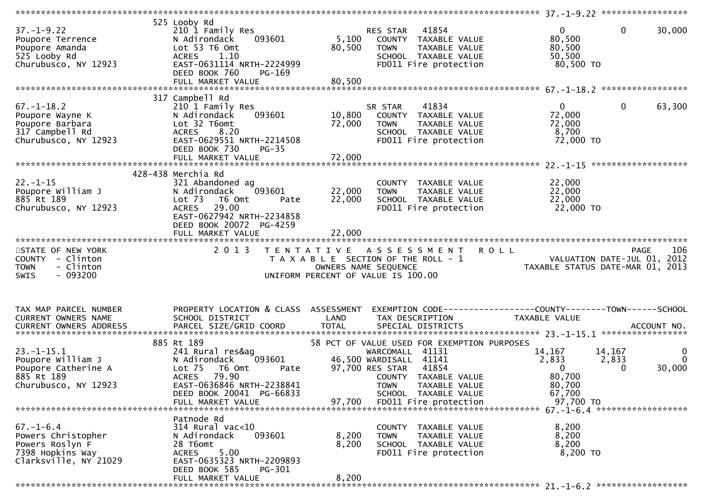| $37. - 1 - 9.22$<br>Poupore Terrence<br>Poupore Amanda<br>525 Looby Rd<br>Churubusco, NY 12923        | 525 Looby Rd<br>210 1 Family Res<br>N Adirondack<br>093601<br>Lot 53 T6 Omt<br>1.10<br><b>ACRES</b><br>EAST-0631114 NRTH-2224999<br>DEED BOOK 760<br>PG-169                                            | 5,100<br>80,500                           | 41854<br>RES STAR<br>COUNTY TAXABLE VALUE<br><b>TOWN</b><br>TAXABLE VALUE<br>SCHOOL TAXABLE VALUE<br>FD011 Fire protection                                                                                                    | $\overline{0}$<br>80,500<br>80,500<br>50,500<br>80,500 TO                      | $\mathbf 0$<br>30,000                                             |
|-------------------------------------------------------------------------------------------------------|--------------------------------------------------------------------------------------------------------------------------------------------------------------------------------------------------------|-------------------------------------------|-------------------------------------------------------------------------------------------------------------------------------------------------------------------------------------------------------------------------------|--------------------------------------------------------------------------------|-------------------------------------------------------------------|
|                                                                                                       | 317 Campbell Rd                                                                                                                                                                                        |                                           |                                                                                                                                                                                                                               |                                                                                |                                                                   |
| $67. - 1 - 18.2$<br>Poupore Wayne K<br>Poupore Barbara<br>317 Campbell Rd<br>Churubusco, NY 12923     | 210 1 Family Res<br>N Adirondack<br>093601<br>Lot 32 T6omt<br>8.20<br><b>ACRES</b><br>EAST-0629551 NRTH-2214508<br>DEED BOOK 730<br><b>PG-35</b>                                                       | 10,800<br>72,000                          | 41834<br>SR STAR<br>COUNTY TAXABLE VALUE<br><b>TOWN</b><br>TAXABLE VALUE<br>SCHOOL TAXABLE VALUE<br>FD011 Fire protection                                                                                                     | $\mathbf{0}$<br>72,000<br>72,000<br>8,700<br>72,000 TO                         | $\mathbf 0$<br>63,300                                             |
|                                                                                                       |                                                                                                                                                                                                        |                                           |                                                                                                                                                                                                                               |                                                                                |                                                                   |
| $22. - 1 - 15$<br>Poupore William J<br>885 Rt 189<br>Churubusco, NY 12923                             | 428-438 Merchia Rd<br>321 Abandoned ag<br>N Adirondack<br>093601<br>Lot <sub>73</sub><br>T6 Omt<br>Pate<br>29.00<br><b>ACRES</b><br>EAST-0627942 NRTH-2234858<br>DEED BOOK 20072 PG-4259               | 22,000<br>22,000                          | COUNTY TAXABLE VALUE<br>TAXABLE VALUE<br><b>TOWN</b><br>SCHOOL TAXABLE VALUE<br>FD011 Fire protection                                                                                                                         | 22,000<br>22,000<br>22,000<br>22,000 TO                                        |                                                                   |
|                                                                                                       | FULL MARKET VALUE                                                                                                                                                                                      | 22,000                                    |                                                                                                                                                                                                                               |                                                                                |                                                                   |
| STATE OF NEW YORK<br>COUNTY - Clinton<br>- Clinton<br><b>TOWN</b><br>$-093200$<br>SWIS                | 2 0 1 3                                                                                                                                                                                                | T E N T A T I V E<br>OWNERS NAME SEQUENCE | A S S E S S M E N T<br>T A X A B L E SECTION OF THE ROLL - 1<br>UNIFORM PERCENT OF VALUE IS 100.00                                                                                                                            | <b>ROLL</b><br>TAXABLE STATUS DATE-MAR 01, 2013                                | 106<br><b>PAGE</b><br>VALUATION DATE-JUL 01, 2012                 |
| TAX MAP PARCEL NUMBER<br>CURRENT OWNERS NAME                                                          | PROPERTY LOCATION & CLASS ASSESSMENT                                                                                                                                                                   |                                           |                                                                                                                                                                                                                               |                                                                                |                                                                   |
| CURRENT OWNERS ADDRESS                                                                                | SCHOOL DISTRICT                                                                                                                                                                                        | LAND                                      | TAX DESCRIPTION                                                                                                                                                                                                               | EXEMPTION CODE-----------------COUNTY--------TOWN------SCHOOL<br>TAXABLE VALUE |                                                                   |
| $23. - 1 - 15.1$<br>Poupore William J<br>Poupore Catherine A<br>885 Rt 189<br>Churubusco, NY 12923    | 885 Rt 189<br>241 Rural res&ag<br>093601<br>N Adirondack<br>Lot <sub>75</sub><br>T6 Omt<br>Pate<br>79.90<br><b>ACRES</b><br>EAST-0636846 NRTH-2238841<br>DEED BOOK 20041 PG-66833<br>FULL MARKET VALUE | 97,700                                    | 58 PCT OF VALUE USED FOR EXEMPTION PURPOSES<br>WARCOMALL 41131<br>46,500 WARDISALL 41141<br>97,700 RES STAR<br>41854<br>COUNTY TAXABLE VALUE<br><b>TOWN</b><br>TAXABLE VALUE<br>SCHOOL TAXABLE VALUE<br>FD011 Fire protection | 14,167<br>2,833<br>$\Omega$<br>80,700<br>80,700<br>67,700<br>97,700 TO         | 14,167<br>$\mathbf{0}$<br>2,833<br>$\Omega$<br>$\Omega$<br>30,000 |
|                                                                                                       | Patnode Rd                                                                                                                                                                                             |                                           |                                                                                                                                                                                                                               |                                                                                |                                                                   |
| $67. - 1 - 6.4$<br>Powers Christopher<br>Powers Roslyn F<br>7398 Hopkins Way<br>Clarksville, NY 21029 | 314 Rural vac<10<br>093601<br>N Adirondack<br>28 T6omt<br>5.00<br><b>ACRES</b><br>EAST-0635323 NRTH-2209893<br>DEED BOOK 585<br>PG-301                                                                 | 8,200<br>8,200<br>8,200                   | COUNTY TAXABLE VALUE<br>TAXABLE VALUE<br><b>TOWN</b><br>SCHOOL TAXABLE VALUE<br>FD011 Fire protection                                                                                                                         | 8,200<br>8,200<br>8,200<br>8,200 TO                                            |                                                                   |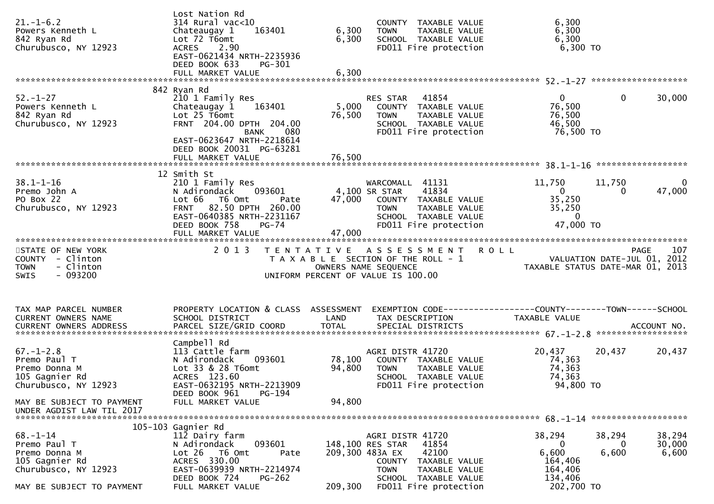| $21. - 1 - 6.2$<br>Powers Kenneth L<br>842 Ryan Rd<br>Churubusco, NY 12923                                                                           | Lost Nation Rd<br>314 Rural vac<10<br>163401<br>Chateaugay 1<br>Lot 72 T6omt<br>2.90<br><b>ACRES</b><br>EAST-0621434 NRTH-2235936<br>DEED BOOK 633<br>PG-301<br>FULL MARKET VALUE                         | 6,300<br>6,300<br>6,300    | COUNTY TAXABLE VALUE<br>TAXABLE VALUE<br>TOWN<br>SCHOOL TAXABLE VALUE<br>FD011 Fire protection                                                                                        | 6,300<br>6,300<br>6,300<br>$6,300$ TO                                                              |                           |
|------------------------------------------------------------------------------------------------------------------------------------------------------|-----------------------------------------------------------------------------------------------------------------------------------------------------------------------------------------------------------|----------------------------|---------------------------------------------------------------------------------------------------------------------------------------------------------------------------------------|----------------------------------------------------------------------------------------------------|---------------------------|
|                                                                                                                                                      |                                                                                                                                                                                                           |                            |                                                                                                                                                                                       |                                                                                                    |                           |
| $52. - 1 - 27$<br>Powers Kenneth L<br>842 Ryan Rd<br>Churubusco, NY 12923                                                                            | 842 Ryan Rd<br>210 1 Family Res<br>163401<br>Chateaugay 1<br>Lot 25 T6omt<br>FRNT 204.00 DPTH 204.00<br>080<br>BANK<br>EAST-0623647 NRTH-2218614<br>DEED BOOK 20031 PG-63281                              | 5,000<br>76,500            | 41854<br>RES STAR<br>COUNTY TAXABLE VALUE<br><b>TOWN</b><br>TAXABLE VALUE<br>SCHOOL TAXABLE VALUE<br>FD011 Fire protection                                                            | $\overline{0}$<br>$\mathbf 0$<br>76,500<br>76,500<br>46,500<br>76,500 TO                           | 30,000                    |
|                                                                                                                                                      |                                                                                                                                                                                                           |                            |                                                                                                                                                                                       |                                                                                                    |                           |
| $38.1 - 1 - 16$<br>Premo John A<br>PO Box 22<br>Churubusco, NY 12923                                                                                 | 12 Smith St<br>210 1 Family Res<br>093601<br>N Adirondack<br>Lot 66 T6 Omt<br>Pate<br>82.50 DPTH 260.00<br><b>FRNT</b><br>EAST-0640385 NRTH-2231167<br>DEED BOOK 758<br><b>PG-74</b><br>FULL MARKET VALUE | 47,000                     | WARCOMALL 41131<br>41834<br>4,100 SR STAR<br>47,000 COUNTY TAXABLE VALUE<br>TAXABLE VALUE<br><b>TOWN</b><br>SCHOOL TAXABLE VALUE<br>FD011 Fire protection                             | 11,750<br>11,750<br>0<br>$\bf{0}$<br>35,250<br>35,250<br>$\overline{0}$<br>47,000 TO               | $\bf{0}$<br>47,000        |
| STATE OF NEW YORK<br>COUNTY - Clinton<br>- Clinton<br><b>TOWN</b><br>$-093200$<br><b>SWIS</b>                                                        | 2 0 1 3                                                                                                                                                                                                   |                            | TENTATIVE ASSESSMENT ROLL<br>T A X A B L E SECTION OF THE ROLL - 1<br>OWNERS NAME SEQUENCE<br>UNIFORM PERCENT OF VALUE IS 100.00                                                      | r U7<br>VALUATION DATE-JUL 01, 2012<br>TAXABLE STATUS DATE-MAR 01, 2013                            | 107<br><b>PAGE</b>        |
| TAX MAP PARCEL NUMBER<br>CURRENT OWNERS NAME                                                                                                         | PROPERTY LOCATION & CLASS ASSESSMENT<br>SCHOOL DISTRICT                                                                                                                                                   | LAND                       | TAX DESCRIPTION                                                                                                                                                                       | EXEMPTION CODE------------------COUNTY--------TOWN------SCHOOL<br>TAXABLE VALUE                    |                           |
| $67. - 1 - 2.8$<br>Premo Paul T<br>Premo Donna M<br>105 Gagnier Rd<br>Churubusco, NY 12923<br>MAY BE SUBJECT TO PAYMENT<br>UNDER AGDIST LAW TIL 2017 | Campbell Rd<br>113 Cattle farm<br>093601<br>N Adirondack<br>Lot 33 & 28 T6omt<br>ACRES 123.60<br>EAST-0632195 NRTH-2213909<br>DEED BOOK 961<br>PG-194<br>FULL MARKET VALUE                                | 78,100<br>94,800<br>94,800 | AGRI DISTR 41720<br>COUNTY TAXABLE VALUE<br>TAXABLE VALUE<br><b>TOWN</b><br>SCHOOL TAXABLE VALUE<br>FD011 Fire protection                                                             | 20,437<br>20,437<br>74,363<br>74,363<br>74,363<br>94,800 TO                                        | 20,437                    |
|                                                                                                                                                      |                                                                                                                                                                                                           |                            |                                                                                                                                                                                       |                                                                                                    |                           |
| $68. - 1 - 14$<br>Premo Paul T<br>Premo Donna M<br>105 Gagnier Rd<br>Churubusco, NY 12923<br>MAY BE SUBJECT TO PAYMENT                               | 105-103 Gagnier Rd<br>112 Dairy farm<br>N Adirondack<br>093601<br>Lot 26 T6 Omt<br>Pate<br>ACRES 330.00<br>EAST-0639939 NRTH-2214974<br>DEED BOOK 724<br><b>PG-262</b><br>FULL MARKET VALUE               | 209,300                    | AGRI DISTR 41720<br>148,100 RES STAR<br>41854<br>42100<br>209,300 483A EX<br>TAXABLE VALUE<br>COUNTY<br><b>TOWN</b><br>TAXABLE VALUE<br>SCHOOL TAXABLE VALUE<br>FD011 Fire protection | 38,294<br>38,294<br>$\bf{0}$<br>0<br>6,600<br>6,600<br>164,406<br>164,406<br>134,406<br>202,700 TO | 38,294<br>30,000<br>6,600 |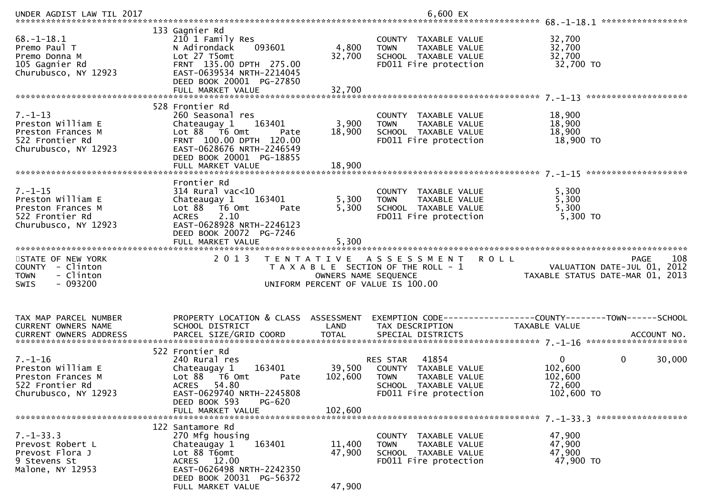| UNDER AGDIST LAW TIL 2017                                                                          |                                                                                                                                                                                       |                           | 6,600 EX                                                                                                                          |                                                                                       |
|----------------------------------------------------------------------------------------------------|---------------------------------------------------------------------------------------------------------------------------------------------------------------------------------------|---------------------------|-----------------------------------------------------------------------------------------------------------------------------------|---------------------------------------------------------------------------------------|
| $68. - 1 - 18.1$<br>Premo Paul T<br>Premo Donna M<br>105 Gagnier Rd<br>Churubusco, NY 12923        | 133 Gagnier Rd<br>210 1 Family Res<br>093601<br>N Adirondack<br>Lot 27 T5omt<br>FRNT 135.00 DPTH 275.00<br>EAST-0639534 NRTH-2214045<br>DEED BOOK 20001 PG-27850<br>FULL MARKET VALUE | 4,800<br>32,700<br>32,700 | COUNTY TAXABLE VALUE<br><b>TOWN</b><br>TAXABLE VALUE<br>SCHOOL TAXABLE VALUE<br>FD011 Fire protection                             | 32,700<br>32,700<br>32,700<br>32,700 TO                                               |
|                                                                                                    | 528 Frontier Rd                                                                                                                                                                       |                           |                                                                                                                                   |                                                                                       |
| $7. - 1 - 13$<br>Preston William E<br>Preston Frances M<br>522 Frontier Rd<br>Churubusco, NY 12923 | 260 Seasonal res<br>163401<br>Chateaugay 1<br>Lot 88 T6 Omt<br>Pate<br>FRNT 100.00 DPTH 120.00<br>EAST-0628676 NRTH-2246549<br>DEED BOOK 20001 PG-18855                               | 3,900<br>18,900           | COUNTY TAXABLE VALUE<br>TAXABLE VALUE<br><b>TOWN</b><br>SCHOOL TAXABLE VALUE<br>FD011 Fire protection                             | 18,900<br>18,900<br>18,900<br>18,900 TO                                               |
|                                                                                                    |                                                                                                                                                                                       |                           |                                                                                                                                   |                                                                                       |
| $7. - 1 - 15$<br>Preston William E<br>Preston Frances M<br>522 Frontier Rd<br>Churubusco, NY 12923 | Frontier Rd<br>314 Rural vac<10<br>163401<br>Chateaugay 1<br>Lot 88 T6 Omt<br>Pate<br><b>ACRES</b><br>2.10<br>EAST-0628928 NRTH-2246123<br>DEED BOOK 20072 PG-7246                    | 5,300<br>5,300            | COUNTY TAXABLE VALUE<br>TAXABLE VALUE<br><b>TOWN</b><br>SCHOOL TAXABLE VALUE<br>FD011 Fire protection                             | 5,300<br>5,300<br>5,300<br>5,300 TO                                                   |
|                                                                                                    | FULL MARKET VALUE                                                                                                                                                                     | 5,300                     |                                                                                                                                   |                                                                                       |
|                                                                                                    |                                                                                                                                                                                       |                           |                                                                                                                                   |                                                                                       |
| STATE OF NEW YORK<br>COUNTY - Clinton<br>- Clinton<br><b>TOWN</b><br><b>SWIS</b><br>- 093200       | 2 0 1 3                                                                                                                                                                               | OWNERS NAME SEQUENCE      | TENTATIVE ASSESSMENT ROLL<br>T A X A B L E SECTION OF THE ROLL - 1<br>UNIFORM PERCENT OF VALUE IS 100.00                          | 108<br><b>PAGE</b><br>VALUATION DATE-JUL 01, 2012<br>TAXABLE STATUS DATE-MAR 01, 2013 |
| TAX MAP PARCEL NUMBER<br>CURRENT OWNERS NAME<br>CURRENT OWNERS ADDRESS                             | PROPERTY LOCATION & CLASS ASSESSMENT<br>SCHOOL DISTRICT                                                                                                                               | LAND                      | TAX DESCRIPTION                                                                                                                   | EXEMPTION CODE------------------COUNTY--------TOWN------SCHOOL<br>TAXABLE VALUE       |
|                                                                                                    | 522 Frontier Rd                                                                                                                                                                       |                           |                                                                                                                                   |                                                                                       |
| $7. - 1 - 16$<br>Preston William E<br>Preston Frances M<br>522 Frontier Rd<br>Churubusco, NY 12923 | 240 Rural res<br>163401<br>Chateaugay 1<br>Lot 88 T6 Omt<br>Pate<br>ACRES 54.80<br>EAST-0629740 NRTH-2245808                                                                          | 102,600                   | 41854<br>RES STAR<br>39,500 COUNTY TAXABLE VALUE<br><b>TOWN</b><br>TAXABLE VALUE<br>SCHOOL TAXABLE VALUE<br>FD011 Fire protection | $\overline{0}$<br>$\mathbf 0$<br>30,000<br>102,600<br>102,600<br>72,600<br>102,600 TO |
|                                                                                                    | DEED BOOK 593<br>PG-620<br>FULL MARKET VALUE                                                                                                                                          | 102,600                   |                                                                                                                                   |                                                                                       |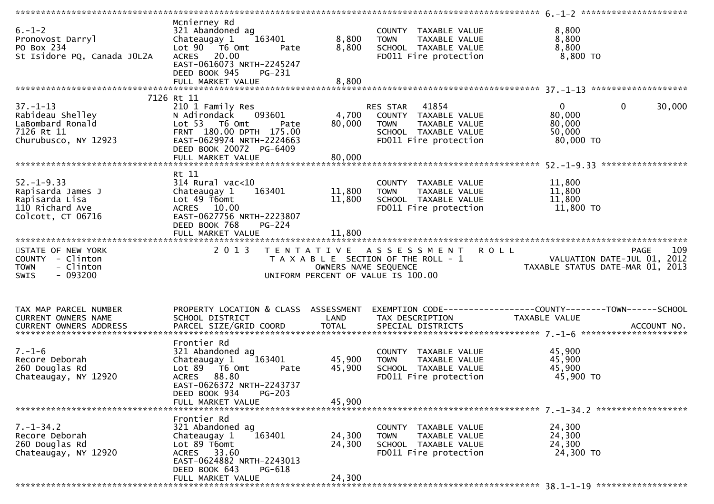| $6. - 1 - 2$<br>Pronovost Darryl<br>PO Box 234<br>St Isidore PQ, Canada JOL2A                   | Mcnierney Rd<br>321 Abandoned ag<br>Chateaugay 1<br>163401<br>Lot $90$ $\overline{76}$ Omt<br>Pate<br>ACRES 20.00<br>EAST-0616073 NRTH-2245247<br>DEED BOOK 945<br>PG-231 | 8,800<br>8,800             | COUNTY TAXABLE VALUE<br><b>TOWN</b><br>TAXABLE VALUE<br>SCHOOL TAXABLE VALUE<br>FD011 Fire protection              | 8,800<br>8,800<br>8,800<br>8,800 TO                             |                       |
|-------------------------------------------------------------------------------------------------|---------------------------------------------------------------------------------------------------------------------------------------------------------------------------|----------------------------|--------------------------------------------------------------------------------------------------------------------|-----------------------------------------------------------------|-----------------------|
|                                                                                                 |                                                                                                                                                                           |                            |                                                                                                                    |                                                                 |                       |
|                                                                                                 | 7126 Rt 11                                                                                                                                                                |                            |                                                                                                                    |                                                                 |                       |
| $37. - 1 - 13$<br>Rabideau Shelley<br>LaBombard Ronald<br>7126 Rt 11<br>Churubusco, NY 12923    | 210 1 Family Res<br>093601<br>N Adirondack<br>Lot 53 T6 Omt<br>Pate<br>FRNT 180.00 DPTH 175.00<br>EAST-0629974 NRTH-2224663<br>DEED BOOK 20072 PG-6409                    | 4,700<br>80,000            | RES STAR 41854<br>COUNTY TAXABLE VALUE<br>TAXABLE VALUE<br>TOWN<br>SCHOOL TAXABLE VALUE<br>FD011 Fire protection   | 0<br>80,000<br>80,000<br>50,000<br>80,000 TO                    | $\mathbf 0$<br>30,000 |
|                                                                                                 |                                                                                                                                                                           |                            |                                                                                                                    |                                                                 |                       |
| $52. - 1 - 9.33$<br>Rapisarda James J<br>Rapisarda Lisa<br>110 Richard Ave<br>Colcott, CT 06716 | Rt 11<br>$314$ Rural vac<10<br>Chateaugay 1<br>163401<br>Lot 49 T6omt<br>ACRES 10.00<br>EAST-0627756 NRTH-2223807<br>DEED BOOK 768<br>PG-224                              | 11,800<br>11,800<br>11,800 | COUNTY TAXABLE VALUE<br><b>TOWN</b><br>TAXABLE VALUE<br>SCHOOL TAXABLE VALUE<br>FD011 Fire protection              | 11,800<br>11,800<br>11,800<br>11,800 TO                         |                       |
|                                                                                                 |                                                                                                                                                                           |                            |                                                                                                                    |                                                                 |                       |
| STATE OF NEW YORK<br>COUNTY - Clinton<br><b>TOWN</b><br>- Clinton<br>$-093200$<br>SWIS          | 2 0 1 3                                                                                                                                                                   | OWNERS NAME SEQUENCE       | <b>ROLL</b><br>TENTATIVE ASSESSMENT<br>T A X A B L E SECTION OF THE ROLL - 1<br>UNIFORM PERCENT OF VALUE IS 100.00 | VALUATION DATE-JUL 01, 2012<br>TAXABLE STATUS DATE-MAR 01, 2013 | 109<br><b>PAGE</b>    |
|                                                                                                 |                                                                                                                                                                           |                            |                                                                                                                    |                                                                 |                       |
| TAX MAP PARCEL NUMBER<br>CURRENT OWNERS NAME                                                    | PROPERTY LOCATION & CLASS ASSESSMENT<br>SCHOOL DISTRICT                                                                                                                   | LAND                       | TAX DESCRIPTION                                                                                                    | TAXABLE VALUE                                                   |                       |
|                                                                                                 |                                                                                                                                                                           |                            |                                                                                                                    |                                                                 |                       |
| $7. - 1 - 6$<br>Recore Deborah<br>260 Douglas Rd<br>Chateaugay, NY 12920                        | Frontier Rd<br>321 Abandoned ag<br>163401<br>Chateaugay 1<br>Lot 89 T6 Omt<br>Pate<br>ACRES 88.80<br>EAST-0626372 NRTH-2243737<br>DEED BOOK 934<br>$PG-203$               | 45,900<br>45,900           | COUNTY TAXABLE VALUE<br>TAXABLE VALUE<br><b>TOWN</b><br>SCHOOL TAXABLE VALUE<br>FD011 Fire protection              | 45,900<br>45,900<br>45,900<br>45,900 TO                         |                       |
|                                                                                                 | FULL MARKET VALUE                                                                                                                                                         | 45.900                     |                                                                                                                    |                                                                 |                       |
|                                                                                                 |                                                                                                                                                                           |                            |                                                                                                                    |                                                                 |                       |
| $7. - 1 - 34.2$<br>Recore Deborah<br>260 Douglas Rd<br>Chateaugay, NY 12920                     | Frontier Rd<br>321 Abandoned ag<br>163401<br>Chateaugay 1<br>Lot 89 T6omt<br>ACRES 33.60<br>EAST-0624882 NRTH-2243013<br>DEED BOOK 643<br>PG-618                          | 24,300<br>24,300           | COUNTY TAXABLE VALUE<br>TAXABLE VALUE<br>TOWN<br>SCHOOL TAXABLE VALUE<br>FD011 Fire protection                     | 24,300<br>24,300<br>24,300<br>24,300 TO                         |                       |
|                                                                                                 | FULL MARKET VALUE                                                                                                                                                         | 24,300                     |                                                                                                                    |                                                                 |                       |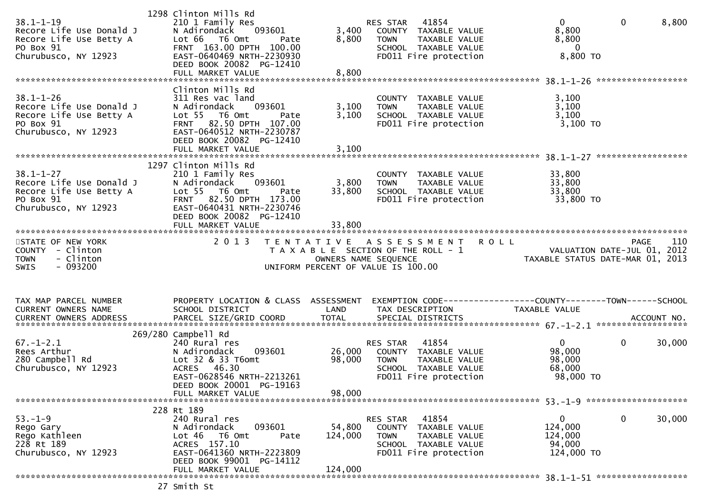| $38.1 - 1 - 19$<br>Recore Life Use Donald J<br>Recore Life Use Betty A<br>PO Box 91<br>Churubusco, NY 12923 | 1298 Clinton Mills Rd<br>210 1 Family Res<br>093601<br>N Adirondack<br>Lot 66 T6 Omt<br>Pate<br>FRNT 163.00 DPTH 100.00<br>EAST-0640469 NRTH-2230930<br>DEED BOOK 20082 PG-12410                | 3,400<br>8,800               | 41854<br>RES STAR<br>COUNTY TAXABLE VALUE<br>TAXABLE VALUE<br><b>TOWN</b><br>SCHOOL TAXABLE VALUE<br>FD011 Fire protection    | $\Omega$<br>8,800<br>8,800<br>- 0<br>8,800 TO                                                                  | $\mathbf 0$<br>8,800  |
|-------------------------------------------------------------------------------------------------------------|-------------------------------------------------------------------------------------------------------------------------------------------------------------------------------------------------|------------------------------|-------------------------------------------------------------------------------------------------------------------------------|----------------------------------------------------------------------------------------------------------------|-----------------------|
| $38.1 - 1 - 26$<br>Recore Life Use Donald J<br>Recore Life Use Betty A<br>PO Box 91<br>Churubusco, NY 12923 | Clinton Mills Rd<br>311 Res vac land<br>093601<br>N Adirondack<br>Lot 55 T6 Omt<br>Pate<br>FRNT 82.50 DPTH 107.00<br>EAST-0640512 NRTH-2230787<br>DEED BOOK 20082 PG-12410<br>FULL MARKET VALUE | 3,100<br>3,100<br>3,100      | COUNTY TAXABLE VALUE<br>TAXABLE VALUE<br><b>TOWN</b><br>SCHOOL TAXABLE VALUE<br>FD011 Fire protection                         | 3,100<br>3,100<br>3,100<br>$3,100$ TO                                                                          |                       |
| $38.1 - 1 - 27$<br>Recore Life Use Donald J<br>Recore Life Use Betty A<br>PO Box 91<br>Churubusco, NY 12923 | 1297 Clinton Mills Rd<br>210 1 Family Res<br>N Adirondack<br>093601<br>Lot 55 T6 Omt<br>Pate<br>FRNT 82.50 DPTH 173.00<br>EAST-0640431 NRTH-2230746<br>DEED BOOK 20082 PG-12410                 | 3,800<br>33,800              | COUNTY TAXABLE VALUE<br>TAXABLE VALUE<br><b>TOWN</b><br>SCHOOL TAXABLE VALUE<br>FD011 Fire protection                         | 33,800<br>33,800<br>33,800<br>33,800 TO                                                                        |                       |
| STATE OF NEW YORK<br>COUNTY - Clinton<br>- Clinton<br><b>TOWN</b><br>$-093200$<br><b>SWIS</b>               | 2 0 1 3                                                                                                                                                                                         | OWNERS NAME SEQUENCE         | TENTATIVE ASSESSMENT<br>T A X A B L E SECTION OF THE ROLL - 1<br>UNIFORM PERCENT OF VALUE IS 100.00                           | R O L L<br>VALUATION DATE-JUL 01, 2012<br>TAXARLE STATUS DATE-MAR 01, 2012<br>TAXABLE STATUS DATE-MAR 01, 2013 | 110<br><b>PAGE</b>    |
|                                                                                                             |                                                                                                                                                                                                 |                              |                                                                                                                               |                                                                                                                |                       |
| TAX MAP PARCEL NUMBER<br>CURRENT OWNERS NAME                                                                | PROPERTY LOCATION & CLASS ASSESSMENT<br>SCHOOL DISTRICT                                                                                                                                         | LAND                         | EXEMPTION CODE-----------------COUNTY-------TOWN------SCHOOL<br>TAX DESCRIPTION                                               | TAXABLE VALUE                                                                                                  |                       |
| $67. - 1 - 2.1$<br>Rees Arthur<br>280 Campbell Rd<br>Churubusco, NY 12923                                   | 269/280 Campbell Rd<br>240 Rural res<br>093601<br>N Adirondack<br>Lot 32 & 33 T6omt<br>ACRES 46.30<br>EAST-0628546 NRTH-2213261<br>DEED BOOK 20001 PG-19163<br>FULL MARKET VALUE                | 26,000<br>98,000             | RES STAR<br>41854<br>COUNTY TAXABLE VALUE<br>TAXABLE VALUE<br><b>TOWN</b><br>SCHOOL TAXABLE VALUE<br>FD011 Fire protection    | $\overline{0}$<br>98,000<br>98,000<br>68,000<br>98,000 TO                                                      | $\mathbf 0$<br>30,000 |
|                                                                                                             |                                                                                                                                                                                                 | 98,000                       |                                                                                                                               |                                                                                                                |                       |
| $53. - 1 - 9$<br>Rego Gary<br>Rego Kathleen<br>228 Rt 189<br>Churubusco, NY 12923                           | 228 Rt 189<br>240 Rural res<br>093601<br>N Adirondack<br>Lot 46 T6 Omt<br>Pate<br>ACRES 157.10<br>EAST-0641360 NRTH-2223809<br>DEED BOOK 99001 PG-14112<br>FULL MARKET VALUE                    | 54,800<br>124,000<br>124,000 | 41854<br>RES STAR<br><b>COUNTY</b><br>TAXABLE VALUE<br>TOWN<br>TAXABLE VALUE<br>SCHOOL TAXABLE VALUE<br>FD011 Fire protection | 0<br>124,000<br>124,000<br>94,000<br>124,000 TO                                                                | 0<br>30,000           |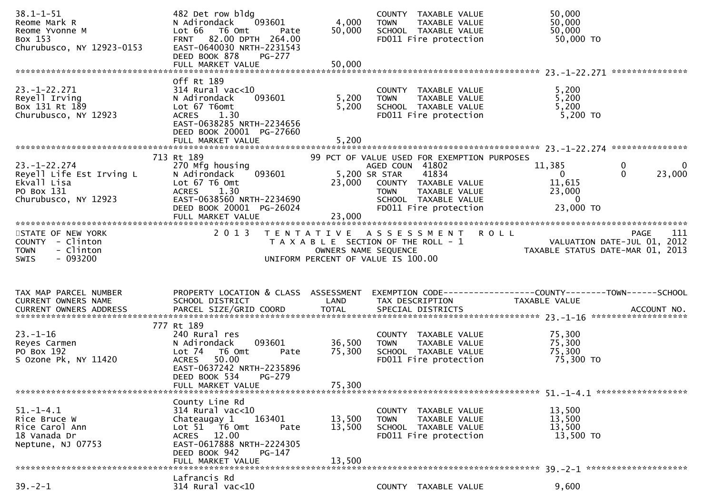| $38.1 - 1 - 51$<br>Reome Mark R<br>Reome Yvonne M<br>Box 153<br>Churubusco, NY 12923-0153                       | 482 Det row bldg<br>N Adirondack<br>093601<br>Lot 66 T6 Omt<br>Pate<br>FRNT 82.00 DPTH 264.00<br>EAST-0640030 NRTH-2231543<br>DEED BOOK 878<br><b>PG-277</b>                                       | 4,000<br>50,000            | COUNTY TAXABLE VALUE<br>TAXABLE VALUE<br><b>TOWN</b><br>SCHOOL TAXABLE VALUE<br>FD011 Fire protection                          | 50,000<br>50,000<br>50,000<br>50,000 TO                                                                                           |             |
|-----------------------------------------------------------------------------------------------------------------|----------------------------------------------------------------------------------------------------------------------------------------------------------------------------------------------------|----------------------------|--------------------------------------------------------------------------------------------------------------------------------|-----------------------------------------------------------------------------------------------------------------------------------|-------------|
|                                                                                                                 |                                                                                                                                                                                                    |                            |                                                                                                                                |                                                                                                                                   |             |
| $23. - 1 - 22.271$<br>Reyell Irving<br>Box 131 Rt 189<br>Churubusco, NY 12923                                   | Off Rt 189<br>314 Rural vac<10<br>093601<br>N Adirondack<br>Lot 67 T6omt<br>ACRES 1.30<br>EAST-0638285 NRTH-2234656<br>DEED BOOK 20001 PG-27660                                                    | 5,200<br>5,200             | COUNTY TAXABLE VALUE<br>TAXABLE VALUE<br><b>TOWN</b><br>SCHOOL TAXABLE VALUE<br>FD011 Fire protection                          | 5,200<br>5,200<br>5,200<br>5,200 TO                                                                                               |             |
|                                                                                                                 | 713 Rt 189                                                                                                                                                                                         |                            | 99 PCT OF VALUE USED FOR EXEMPTION PURPOSES                                                                                    |                                                                                                                                   |             |
| $23. - 1 - 22.274$<br>Irving L<br>Reyell Life Est Irving L<br>Ekvall Lisa<br>PO Box 131<br>Churubusco, NY 12923 | 270 Mfg housing<br>093601<br>N Adirondack<br>Lot 67 T6 Omt<br>ACRES 1.30<br>EAST-0638560 NRTH-2234690<br>DEED BOOK 20001 PG-26024                                                                  | 5,200 SR STAR<br>23,000    | AGED COUN 41802<br>41834<br>23,000 COUNTY TAXABLE VALUE<br>TOWN TAXABLE VALUE<br>SCHOOL TAXABLE VALUE<br>FD011 Fire protection | 11,385<br>$\mathbf 0$<br>$\Omega$<br>23,000<br>$\overline{0}$<br>11,615<br>23,000<br>$\overline{\mathbf{0}}$<br>23,000 TO         | $\mathbf 0$ |
| STATE OF NEW YORK<br>COUNTY - Clinton<br>- Clinton<br><b>TOWN</b><br>$-093200$<br><b>SWIS</b>                   | 2 0 1 3                                                                                                                                                                                            |                            | TENTATIVE ASSESSMENT ROLL<br>UNIFORM PERCENT OF VALUE IS 100.00                                                                | 111<br><b>PAGE</b><br>T A X A B L E SECTION OF THE ROLL - 1<br>OWNERS NAME SEQUENCE THE ROLL - 1 TAXABLE STATUS DATE-MAR 01, 2013 |             |
| TAX MAP PARCEL NUMBER<br>CURRENT OWNERS NAME                                                                    | PROPERTY LOCATION & CLASS ASSESSMENT<br>SCHOOL DISTRICT                                                                                                                                            | LAND                       | TAX DESCRIPTION                                                                                                                | TAXABLE VALUE                                                                                                                     |             |
| $23 - 1 - 16$<br>Reyes Carmen<br>PO Box 192<br>S Ozone Pk, NY 11420                                             | 777 Rt 189<br>240 Rural res<br>093601<br>N Adirondack<br>Lot <sub>74</sub><br>T6 Omt<br>Pate<br>50.00<br><b>ACRES</b><br>EAST-0637242 NRTH-2235896<br>DEED BOOK 534<br>PG-279<br>FULL MARKET VALUE | 36,500<br>75,300<br>75,300 | COUNTY TAXABLE VALUE<br><b>TOWN</b><br>TAXABLE VALUE<br>SCHOOL TAXABLE VALUE<br>FD011 Fire protection                          | 75,300<br>75,300<br>75,300<br>75,300 TO                                                                                           |             |
|                                                                                                                 | County Line Rd                                                                                                                                                                                     |                            |                                                                                                                                |                                                                                                                                   |             |
| $51. - 1 - 4.1$<br>Rice Bruce W                                                                                 | $314$ Rural vac<10                                                                                                                                                                                 | 13,500                     | COUNTY TAXABLE VALUE<br><b>TOWN</b><br>TAXABLE VALUE                                                                           | 13,500<br>13,500                                                                                                                  |             |
| Rice Carol Ann<br>18 Vanada Dr<br>Neptune, NJ 07753                                                             | 163401<br>Chateaugay 1<br>Lot 51 76 0mt<br>Pate<br>ACRES 12.00<br>EAST-0617888 NRTH-2224305<br>DEED BOOK 942<br>PG-147<br>FULL MARKET VALUE                                                        | 13,500<br>13,500           | SCHOOL TAXABLE VALUE<br>FD011 Fire protection                                                                                  | 13,500<br>13,500 TO                                                                                                               |             |
|                                                                                                                 | Lafrancis Rd                                                                                                                                                                                       |                            |                                                                                                                                |                                                                                                                                   |             |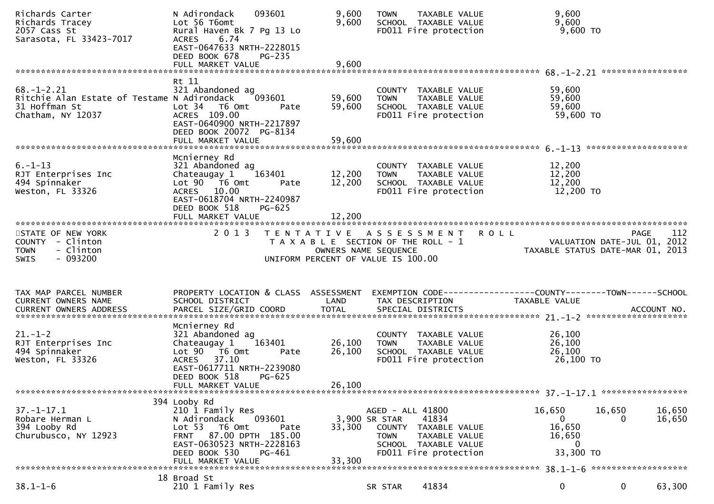| Richards Carter<br>Richards Tracey<br>2057 Cass St<br>Sarasota, FL 33423-7017                         | 093601<br>N Adirondack<br>Lot 56 T6omt<br>Rural Haven Bk 7 Pg 13 Lo<br>6.74<br><b>ACRES</b><br>EAST-0647633 NRTH-2228015<br>DEED BOOK 678<br><b>PG-235</b>                                 | 9,600<br>9,600       | TAXABLE VALUE<br><b>TOWN</b><br>SCHOOL TAXABLE VALUE<br>FD011 Fire protection                                                                       | 9,600<br>9,600<br>$9,600$ TO                                                                      |
|-------------------------------------------------------------------------------------------------------|--------------------------------------------------------------------------------------------------------------------------------------------------------------------------------------------|----------------------|-----------------------------------------------------------------------------------------------------------------------------------------------------|---------------------------------------------------------------------------------------------------|
|                                                                                                       |                                                                                                                                                                                            |                      |                                                                                                                                                     |                                                                                                   |
| $68. - 1 - 2.21$<br>Ritchie Alan Estate of Testame N Adirondack<br>31 Hoffman St<br>Chatham, NY 12037 | Rt 11<br>321 Abandoned ag<br>093601<br>Lot <sub>34</sub><br>T6 Omt<br>Pate<br>ACRES 109.00<br>EAST-0640900 NRTH-2217897<br>DEED BOOK 20072 PG-8134                                         | 59,600<br>59,600     | COUNTY TAXABLE VALUE<br>TAXABLE VALUE<br><b>TOWN</b><br>SCHOOL TAXABLE VALUE<br>FD011 Fire protection                                               | 59,600<br>59,600<br>59,600<br>59,600 TO                                                           |
|                                                                                                       | Mcnierney Rd                                                                                                                                                                               |                      |                                                                                                                                                     |                                                                                                   |
| $6. - 1 - 13$<br>RJT Enterprises Inc<br>494 Spinnaker<br>Weston, FL 33326                             | 321 Abandoned ag<br>Chateaugay 1<br>163401<br>Lot 90 T6 Omt<br>Pate<br>ACRES 10.00<br>EAST-0618704 NRTH-2240987<br>DEED BOOK 518<br>PG-625                                                 | 12,200<br>12,200     | COUNTY TAXABLE VALUE<br>TAXABLE VALUE<br><b>TOWN</b><br>SCHOOL TAXABLE VALUE<br>FD011 Fire protection                                               | 12,200<br>12,200<br>12,200<br>12,200 TO                                                           |
|                                                                                                       |                                                                                                                                                                                            | 12,200               |                                                                                                                                                     |                                                                                                   |
| STATE OF NEW YORK<br>COUNTY - Clinton<br><b>TOWN</b><br>- Clinton<br>$-093200$<br><b>SWIS</b>         | 2 0 1 3                                                                                                                                                                                    | OWNERS NAME SEQUENCE | TENTATIVE ASSESSMENT ROLL<br>T A X A B L E SECTION OF THE ROLL - 1<br>UNIFORM PERCENT OF VALUE IS 100.00                                            | 112<br><b>PAGE</b><br>VALUATION DATE-JUL 01, 2012<br>TAXABLE STATUS DATE-MAR 01, 2013             |
|                                                                                                       |                                                                                                                                                                                            |                      |                                                                                                                                                     |                                                                                                   |
| TAX MAP PARCEL NUMBER<br>CURRENT OWNERS NAME                                                          | PROPERTY LOCATION & CLASS ASSESSMENT<br>SCHOOL DISTRICT                                                                                                                                    | LAND                 | TAX DESCRIPTION                                                                                                                                     | TAXABLE VALUE                                                                                     |
| $21. - 1 - 2$<br>RJT Enterprises Inc<br>494 Spinnaker<br>Weston, FL 33326                             | Mcnierney Rd<br>321 Abandoned ag<br>Chateaugay <sub>1</sub><br>163401<br>Lot 90 T6 Omt<br>Pate<br>ACRES 37.10<br>EAST-0617711 NRTH-2239080<br>DEED BOOK 518<br>PG-625                      | 26,100<br>26,100     | COUNTY TAXABLE VALUE<br><b>TOWN</b><br>TAXABLE VALUE<br>SCHOOL TAXABLE VALUE<br>FD011 Fire protection                                               | 26,100<br>26,100<br>26,100<br>26,100 TO                                                           |
|                                                                                                       | FULL MARKET VALUE                                                                                                                                                                          | 26,100               |                                                                                                                                                     |                                                                                                   |
| $37. - 1 - 17.1$<br>Robare Herman L<br>394 Looby Rd<br>Churubusco, NY 12923                           | 394 Looby Rd<br>210 1 Family Res<br>093601<br>N Adirondack<br>Lot 53 T6 Omt<br>Pate<br>FRNT 87.00 DPTH 185.00<br>EAST-0630523 NRTH-2228163<br>DEED BOOK 530<br>PG-461<br>FULL MARKET VALUE | 33,300<br>33,300     | AGED - ALL 41800<br>3,900 SR STAR<br>41834<br>COUNTY TAXABLE VALUE<br><b>TOWN</b><br>TAXABLE VALUE<br>SCHOOL TAXABLE VALUE<br>FD011 Fire protection | 16,650<br>16,650<br>16,650<br>16,650<br>$\Omega$<br>16,650<br>16,650<br>$\mathbf{0}$<br>33,300 TO |
|                                                                                                       | 18 Broad St                                                                                                                                                                                |                      |                                                                                                                                                     |                                                                                                   |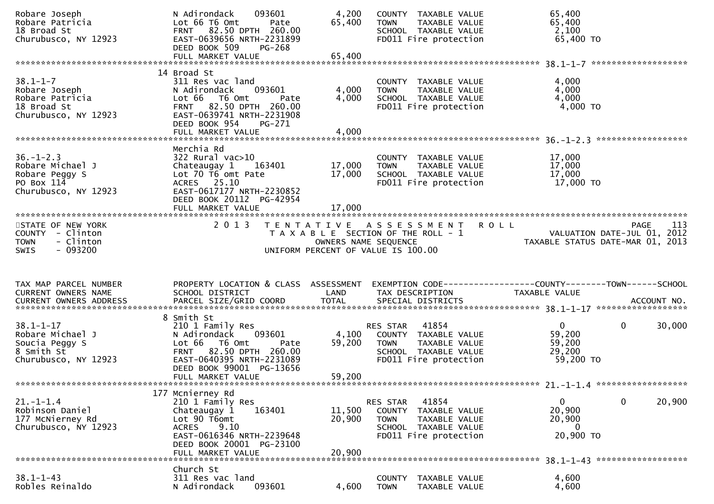| Robare Joseph<br>Robare Patricia<br>18 Broad St<br>Churubusco, NY 12923 | 093601<br>N Adirondack<br>Lot 66 T6 Omt<br>Pate<br>FRNT 82.50 DPTH 260.00<br>EAST-0639656 NRTH-2231899<br>DEED BOOK 509<br><b>PG-268</b> | 4,200<br>65,400      | COUNTY TAXABLE VALUE<br>TAXABLE VALUE<br><b>TOWN</b><br>SCHOOL TAXABLE VALUE<br>FD011 Fire protection | 65,400<br>65,400<br>2,100<br>65,400 TO                                        |        |
|-------------------------------------------------------------------------|------------------------------------------------------------------------------------------------------------------------------------------|----------------------|-------------------------------------------------------------------------------------------------------|-------------------------------------------------------------------------------|--------|
|                                                                         |                                                                                                                                          |                      |                                                                                                       |                                                                               |        |
|                                                                         | 14 Broad St                                                                                                                              |                      |                                                                                                       |                                                                               |        |
| $38.1 - 1 - 7$<br>Robare Joseph<br>Robare Patricia                      | 311 Res vac land<br>093601<br>N Adirondack<br>Lot 66 T6 Omt<br>Pate                                                                      | 4,000<br>4,000       | COUNTY TAXABLE VALUE<br>TAXABLE VALUE<br><b>TOWN</b><br>SCHOOL TAXABLE VALUE                          | 4,000<br>4,000<br>4,000                                                       |        |
| 18 Broad St<br>Churubusco, NY 12923                                     | FRNT 82.50 DPTH 260.00<br>EAST-0639741 NRTH-2231908<br>DEED BOOK 954<br>PG-271<br>FULL MARKET VALUE                                      | 4,000                | FD011 Fire protection                                                                                 | 4,000 TO                                                                      |        |
|                                                                         |                                                                                                                                          |                      |                                                                                                       |                                                                               |        |
| $36. - 1 - 2.3$                                                         | Merchia Rd<br>322 Rural vac>10                                                                                                           |                      | COUNTY TAXABLE VALUE                                                                                  | 17,000                                                                        |        |
| Robare Michael J                                                        | Chateaugay 1<br>163401                                                                                                                   | 17,000               | TAXABLE VALUE<br><b>TOWN</b>                                                                          | 17,000                                                                        |        |
| Robare Peggy S<br>PO Box 114                                            | Lot 70 T6 omt Pate<br>ACRES 25.10                                                                                                        | 17,000               | SCHOOL TAXABLE VALUE<br>FD011 Fire protection                                                         | 17,000<br>17,000 TO                                                           |        |
| Churubusco, NY 12923                                                    | EAST-0617177 NRTH-2230852<br>DEED BOOK 20112 PG-42954                                                                                    |                      |                                                                                                       |                                                                               |        |
|                                                                         |                                                                                                                                          |                      |                                                                                                       |                                                                               |        |
| STATE OF NEW YORK                                                       | 2 0 1 3                                                                                                                                  |                      | TENTATIVE ASSESSMENT ROLL                                                                             | <b>PAGE</b>                                                                   | 113    |
| COUNTY - Clinton                                                        |                                                                                                                                          |                      | T A X A B L E SECTION OF THE ROLL - 1                                                                 | 113 - TAGE<br>VALUATION DATE-JUL 01, 2012<br>TAXABLE STATIIS DATE-MAR 01 2013 |        |
| - Clinton<br><b>TOWN</b>                                                |                                                                                                                                          | OWNERS NAME SEQUENCE |                                                                                                       | TAXABLE STATUS DATE-MAR 01, 2013                                              |        |
| SWIS<br>$-093200$                                                       |                                                                                                                                          |                      | UNIFORM PERCENT OF VALUE IS 100.00                                                                    |                                                                               |        |
|                                                                         |                                                                                                                                          |                      |                                                                                                       |                                                                               |        |
|                                                                         |                                                                                                                                          |                      |                                                                                                       |                                                                               |        |
|                                                                         |                                                                                                                                          |                      |                                                                                                       |                                                                               |        |
| TAX MAP PARCEL NUMBER<br>CURRENT OWNERS NAME                            | PROPERTY LOCATION & CLASS ASSESSMENT<br>SCHOOL DISTRICT                                                                                  | LAND                 | TAX DESCRIPTION                                                                                       | TAXABLE VALUE                                                                 |        |
| CURRENT OWNERS ADDRESS                                                  |                                                                                                                                          |                      |                                                                                                       |                                                                               |        |
|                                                                         | 8 Smith St                                                                                                                               |                      |                                                                                                       |                                                                               |        |
| $38.1 - 1 - 17$                                                         | 210 1 Family Res                                                                                                                         |                      | 41854<br>RES STAR                                                                                     | $\mathbf{0}$<br>$\mathbf{0}$                                                  | 30,000 |
| Robare Michael J                                                        | N Adirondack 093601                                                                                                                      | 4,100                | COUNTY TAXABLE VALUE                                                                                  | 59,200                                                                        |        |
| Soucia Peggy S                                                          | Lot 66 T6 Omt<br>Pate                                                                                                                    | 59,200               | TAXABLE VALUE<br><b>TOWN</b>                                                                          | 59,200                                                                        |        |
| 8 Smith St                                                              | FRNT 82.50 DPTH 260.00                                                                                                                   |                      | SCHOOL TAXABLE VALUE                                                                                  | 29,200                                                                        |        |
| Churubusco, NY 12923                                                    | EAST-0640395 NRTH-2231089                                                                                                                |                      | FD011 Fire protection                                                                                 | 59,200 TO                                                                     |        |
|                                                                         | DEED BOOK 99001 PG-13656                                                                                                                 |                      |                                                                                                       |                                                                               |        |
|                                                                         | FULL MARKET VALUE                                                                                                                        | 59,200               |                                                                                                       |                                                                               |        |
|                                                                         | 177 Mcnierney Rd                                                                                                                         |                      |                                                                                                       |                                                                               |        |
| $21. - 1 - 1.4$                                                         | 210 1 Family Res                                                                                                                         |                      | 41854<br><b>RES STAR</b>                                                                              | $\mathbf{0}$<br>$\mathbf{0}$                                                  | 20,900 |
| Robinson Daniel                                                         | Chateaugay 1<br>163401                                                                                                                   | 11,500               | <b>COUNTY</b><br>TAXABLE VALUE                                                                        | 20,900                                                                        |        |
| 177 McNierney Rd                                                        | Lot 90 T6omt                                                                                                                             | 20,900               | <b>TOWN</b><br>TAXABLE VALUE                                                                          | 20,900                                                                        |        |
| Churubusco, NY 12923                                                    | <b>ACRES</b><br>9.10                                                                                                                     |                      | SCHOOL TAXABLE VALUE                                                                                  | $\Omega$                                                                      |        |
|                                                                         | EAST-0616346 NRTH-2239648                                                                                                                |                      | FD011 Fire protection                                                                                 | 20,900 TO                                                                     |        |
|                                                                         | DEED BOOK 20001 PG-23100                                                                                                                 |                      |                                                                                                       |                                                                               |        |
|                                                                         | FULL MARKET VALUE                                                                                                                        | 20,900               |                                                                                                       |                                                                               |        |
|                                                                         | Church St                                                                                                                                |                      |                                                                                                       |                                                                               |        |
| $38.1 - 1 - 43$<br>Robles Reinaldo                                      | 311 Res vac land<br>093601<br>N Adirondack                                                                                               | 4,600                | <b>COUNTY</b><br>TAXABLE VALUE<br><b>TOWN</b><br>TAXABLE VALUE                                        | 4,600<br>4,600                                                                |        |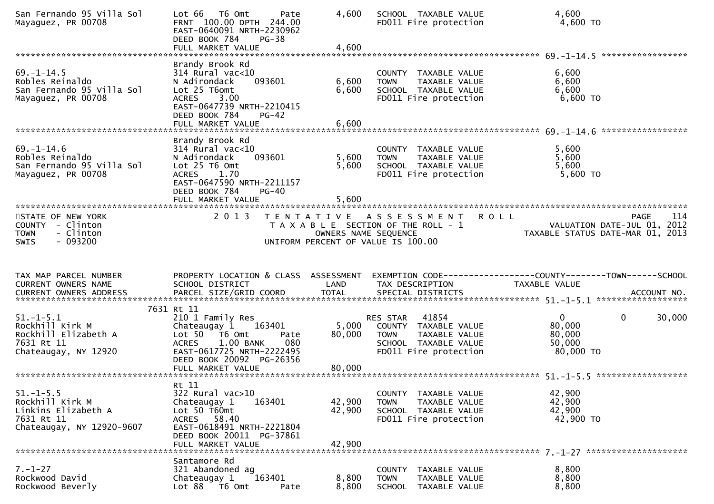| San Fernando 95 Villa Sol<br>Mayaquez, PR 00708                                                      | Lot 66<br>T6 Omt<br>Pate<br>FRNT 100.00 DPTH 244.00<br>EAST-0640091 NRTH-2230962<br>DEED BOOK 784<br>$PG-38$<br>FULL MARKET VALUE                     | 4,600<br>4,600       | SCHOOL TAXABLE VALUE<br>FD011 Fire protection                                                                              | 4,600<br>4,600 TO                                                                             |        |
|------------------------------------------------------------------------------------------------------|-------------------------------------------------------------------------------------------------------------------------------------------------------|----------------------|----------------------------------------------------------------------------------------------------------------------------|-----------------------------------------------------------------------------------------------|--------|
|                                                                                                      | Brandy Brook Rd                                                                                                                                       |                      |                                                                                                                            |                                                                                               |        |
| $69. - 1 - 14.5$<br>Robles Reinaldo                                                                  | 314 Rural vac<10<br>093601<br>N Adirondack                                                                                                            | 6,600                | COUNTY TAXABLE VALUE<br><b>TOWN</b><br><b>TAXABLE VALUE</b>                                                                | 6,600<br>6,600                                                                                |        |
| San Fernando 95 Villa Sol<br>Mayaquez, PR 00708                                                      | Lot 25 T6omt<br>ACRES 3.00<br>EAST-0647739 NRTH-2210415<br>DEED BOOK 784<br>$PG-42$                                                                   | 6,600                | SCHOOL TAXABLE VALUE<br>FD011 Fire protection                                                                              | 6,600<br>6,600 TO                                                                             |        |
|                                                                                                      | FULL MARKET VALUE                                                                                                                                     | 6,600                |                                                                                                                            | *****************                                                                             |        |
| $69. - 1 - 14.6$<br>Robles Reinaldo<br>San Fernando 95 Villa Sol<br>Mayaguez, PR 00708               | Brandy Brook Rd<br>314 Rural vac<10<br>N Adirondack<br>093601<br>Lot 25 T6 Omt<br>ACRES 1.70<br>EAST-0647590 NRTH-2211157<br>DEED BOOK 784<br>$PG-40$ | 5,600<br>5,600       | COUNTY TAXABLE VALUE<br><b>TOWN</b><br>TAXABLE VALUE<br>SCHOOL TAXABLE VALUE<br>FD011 Fire protection                      | 5,600<br>5,600<br>5,600<br>5,600 TO                                                           |        |
|                                                                                                      | FULL MARKET VALUE                                                                                                                                     | 5,600                |                                                                                                                            |                                                                                               |        |
| STATE OF NEW YORK<br>COUNTY - Clinton<br>- Clinton<br><b>TOWN</b><br>$-093200$<br><b>SWIS</b>        | 2 0 1 3                                                                                                                                               | OWNERS NAME SEQUENCE | TENTATIVE ASSESSMENT<br>T A X A B L E SECTION OF THE ROLL - 1<br>UNIFORM PERCENT OF VALUE IS 100.00                        | <b>ROLL</b><br><b>PAGE</b><br>VALUATION DATE-JUL 01, 2012<br>TAXABLE STATUS DATE-MAR 01, 2013 | 114    |
| TAX MAP PARCEL NUMBER                                                                                | PROPERTY LOCATION & CLASS ASSESSMENT                                                                                                                  |                      |                                                                                                                            |                                                                                               |        |
| CURRENT OWNERS NAME                                                                                  | SCHOOL DISTRICT                                                                                                                                       | LAND                 | TAX DESCRIPTION                                                                                                            | TAXABLE VALUE                                                                                 |        |
|                                                                                                      | 7631 Rt 11                                                                                                                                            |                      |                                                                                                                            |                                                                                               |        |
| $51. - 1 - 5.1$<br>Rockhill Kirk M<br>Rockhill Elizabeth A<br>7631 Rt 11<br>Chateaugay, NY 12920     | 210 1 Family Res<br>Chateaugay 1<br>163401<br>Lot 50<br>T6 Omt<br>Pate<br>1.00 BANK<br>080<br><b>ACRES</b><br>EAST-0617725 NRTH-2222495               | 5,000<br>80,000      | 41854<br>RES STAR<br>COUNTY TAXABLE VALUE<br>TAXABLE VALUE<br><b>TOWN</b><br>SCHOOL TAXABLE VALUE<br>FD011 Fire protection | $\overline{0}$<br>$\mathbf{0}$<br>80,000<br>80,000<br>50,000<br>80,000 TO                     | 30,000 |
|                                                                                                      | DEED BOOK 20092 PG-26356                                                                                                                              |                      |                                                                                                                            |                                                                                               |        |
|                                                                                                      | Rt 11                                                                                                                                                 |                      |                                                                                                                            |                                                                                               |        |
| $51. - 1 - 5.5$<br>Rockhill Kirk M<br>Linkins Elizabeth A<br>7631 Rt 11<br>Chateaugay, NY 12920-9607 | 322 Rural vac>10<br>163401<br>Chateaugay 1<br>Lot 50 T60mt<br>ACRES 58.40<br>EAST-0618491 NRTH-2221804<br>DEED BOOK 20011 PG-37861                    | 42,900<br>42,900     | COUNTY TAXABLE VALUE<br>TAXABLE VALUE<br><b>TOWN</b><br>SCHOOL TAXABLE VALUE<br>FD011 Fire protection                      | 42,900<br>42,900<br>42,900<br>42,900 TO                                                       |        |
|                                                                                                      | FULL MARKET VALUE                                                                                                                                     | 42,900               |                                                                                                                            |                                                                                               |        |
| $7. - 1 - 27$                                                                                        | Santamore Rd                                                                                                                                          |                      |                                                                                                                            |                                                                                               |        |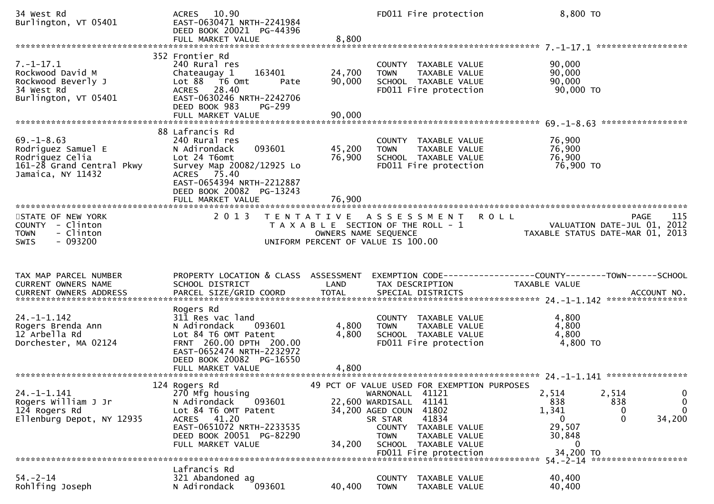| 34 West Rd<br>Burlington, VT 05401                                                                          | 10.90<br><b>ACRES</b><br>EAST-0630471 NRTH-2241984<br>DEED BOOK 20021 PG-44396<br>FULL MARKET VALUE                                                                                                  | 8,800                                     | FD011 Fire protection                                                                                                                                                                                                                 | 8,800 TO                                            |                                                                                       |
|-------------------------------------------------------------------------------------------------------------|------------------------------------------------------------------------------------------------------------------------------------------------------------------------------------------------------|-------------------------------------------|---------------------------------------------------------------------------------------------------------------------------------------------------------------------------------------------------------------------------------------|-----------------------------------------------------|---------------------------------------------------------------------------------------|
|                                                                                                             |                                                                                                                                                                                                      |                                           |                                                                                                                                                                                                                                       |                                                     |                                                                                       |
| $7. - 1 - 17.1$<br>Rockwood David M<br>Rockwood Beverly J<br>34 West Rd<br>Burlington, VT 05401             | 352 Frontier Rd<br>240 Rural res<br>Chateaugay 1<br>163401<br>Lot 88 T6 Omt<br>Pate<br>28.40<br>ACRES<br>EAST-0630246 NRTH-2242706<br>DEED BOOK 983<br>$PG-299$                                      | 24,700<br>90,000                          | COUNTY TAXABLE VALUE<br>TAXABLE VALUE<br><b>TOWN</b><br>SCHOOL TAXABLE VALUE<br>FD011 Fire protection                                                                                                                                 | 90,000<br>90,000<br>90,000<br>90,000 TO             |                                                                                       |
|                                                                                                             |                                                                                                                                                                                                      |                                           |                                                                                                                                                                                                                                       |                                                     |                                                                                       |
| $69. - 1 - 8.63$<br>Rodriguez Samuel E<br>Rodriguez Celia<br>161-28 Grand Central Pkwy<br>Jamaica, NY 11432 | 88 Lafrancis Rd<br>240 Rural res<br>093601<br>N Adirondack<br>Lot 24 T6omt<br>Survey Map 20082/12925 Lo<br>ACRES 75.40<br>EAST-0654394 NRTH-2212887<br>DEED BOOK 20082 PG-13243<br>FULL MARKET VALUE | 45,200<br>76,900<br>76,900                | COUNTY TAXABLE VALUE<br><b>TOWN</b><br>TAXABLE VALUE<br>SCHOOL TAXABLE VALUE<br>FD011 Fire protection                                                                                                                                 | 76,900<br>76,900<br>76,900<br>76,900 TO             |                                                                                       |
|                                                                                                             |                                                                                                                                                                                                      |                                           |                                                                                                                                                                                                                                       |                                                     |                                                                                       |
| STATE OF NEW YORK<br>COUNTY - Clinton<br>- Clinton<br><b>TOWN</b><br>$-093200$<br><b>SWIS</b>               | 2 0 1 3                                                                                                                                                                                              | T E N T A T I V E<br>OWNERS NAME SEQUENCE | A S S E S S M E N T<br>T A X A B L E SECTION OF THE ROLL - 1<br>UNIFORM PERCENT OF VALUE IS 100.00                                                                                                                                    | <b>ROLL</b>                                         | 115<br><b>PAGE</b><br>VALUATION DATE-JUL 01, 2012<br>TAXABLE STATUS DATE-MAR 01, 2013 |
|                                                                                                             |                                                                                                                                                                                                      |                                           |                                                                                                                                                                                                                                       |                                                     |                                                                                       |
| TAX MAP PARCEL NUMBER<br>CURRENT OWNERS NAME                                                                | PROPERTY LOCATION & CLASS ASSESSMENT<br>SCHOOL DISTRICT                                                                                                                                              | LAND                                      | TAX DESCRIPTION                                                                                                                                                                                                                       | TAXABLE VALUE                                       |                                                                                       |
| $24. -1 - 1.142$<br>Rogers Brenda Ann<br>12 Arbella Rd<br>Dorchester, MA 02124                              | Rogers Rd<br>311 Res vac land<br>N Adirondack<br>093601<br>Lot 84 T6 OMT Patent<br>FRNT 260.00 DPTH 200.00<br>EAST-0652474 NRTH-2232972<br>DEED BOOK 20082 PG-16550                                  | 4,800<br>4,800                            | COUNTY TAXABLE VALUE<br>TAXABLE VALUE<br><b>TOWN</b><br>SCHOOL TAXABLE VALUE<br>FD011 Fire protection                                                                                                                                 | 4,800<br>4,800<br>4,800<br>4,800 TO                 |                                                                                       |
|                                                                                                             |                                                                                                                                                                                                      |                                           |                                                                                                                                                                                                                                       |                                                     |                                                                                       |
| $24. -1 - 1.141$<br>Rogers William J Jr<br>124 Rogers Rd<br>Ellenburg Depot, NY 12935                       | 124 Rogers Rd<br>270 Mfg housing<br>093601<br>N Adirondack<br>Lot 84 T6 OMT Patent<br>ACRES 41.20<br>EAST-0651072 NRTH-2233535<br>DEED BOOK 20051 PG-82290<br>FULL MARKET VALUE                      | 34,200                                    | 49 PCT OF VALUE USED FOR EXEMPTION PURPOSES<br>41121<br>WARNONALL<br>22,600 WARDISALL<br>41141<br>41802<br>34,200 AGED COUN<br>41834<br>SR STAR<br>COUNTY<br>TAXABLE VALUE<br>TAXABLE VALUE<br><b>TOWN</b><br>SCHOOL<br>TAXABLE VALUE | 2,514<br>838<br>1,341<br>0<br>29,507<br>30,848<br>0 | 2,514<br>0<br>0<br>838<br>$\Omega$<br>0<br>$\mathbf{0}$<br>34,200                     |
|                                                                                                             |                                                                                                                                                                                                      |                                           | FD011 Fire protection                                                                                                                                                                                                                 | 34,200 TO<br>$54. - 2 - 14$                         | *******************                                                                   |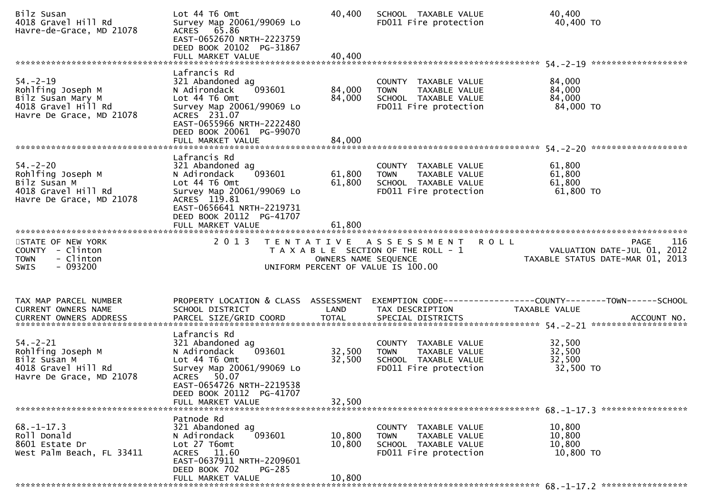| Bilz Susan<br>4018 Gravel Hill Rd<br>Havre-de-Grace, MD 21078                                               | Lot 44 T6 Omt<br>Survey Map 20061/99069 Lo<br>ACRES 65.86<br>EAST-0652670 NRTH-2223759<br>DEED BOOK 20102 PG-31867<br>FULL MARKET VALUE                                                               | 40,400<br>40,400           | SCHOOL TAXABLE VALUE<br>FD011 Fire protection                                                                      | 40,400<br>40,400 TO                                                                   |
|-------------------------------------------------------------------------------------------------------------|-------------------------------------------------------------------------------------------------------------------------------------------------------------------------------------------------------|----------------------------|--------------------------------------------------------------------------------------------------------------------|---------------------------------------------------------------------------------------|
|                                                                                                             | Lafrancis Rd                                                                                                                                                                                          |                            |                                                                                                                    |                                                                                       |
| $54. - 2 - 19$<br>Rohlfing Joseph M<br>Bilz Susan Mary M<br>4018 Gravel Hill Rd<br>Havre De Grace, MD 21078 | 321 Abandoned ag<br>093601<br>N Adirondack<br>Lot 44 76 0mt<br>Survey Map 20061/99069 Lo<br>ACRES 231.07<br>EAST-0655966 NRTH-2222480<br>DEED BOOK 20061 PG-99070                                     | 84,000<br>84,000           | COUNTY TAXABLE VALUE<br><b>TOWN</b><br>TAXABLE VALUE<br>SCHOOL TAXABLE VALUE<br>FD011 Fire protection              | 84,000<br>84,000<br>84,000<br>84,000 TO                                               |
|                                                                                                             |                                                                                                                                                                                                       |                            |                                                                                                                    |                                                                                       |
| $54. - 2 - 20$<br>Rohlfing Joseph M<br>Bilz Susan M<br>4018 Gravel Hill Rd<br>Havre De Grace, MD 21078      | Lafrancis Rd<br>321 Abandoned ag<br>093601<br>N Adirondack<br>Lot 44 T6 Omt<br>Survey Map 20061/99069 Lo<br>ACRES 119.81<br>EAST-0656641 NRTH-2219731<br>DEED BOOK 20112 PG-41707                     | 61,800<br>61,800           | COUNTY TAXABLE VALUE<br>TAXABLE VALUE<br><b>TOWN</b><br>SCHOOL TAXABLE VALUE<br>FD011 Fire protection              | 61,800<br>61,800<br>61,800<br>61,800 TO                                               |
|                                                                                                             | FULL MARKET VALUE                                                                                                                                                                                     | 61,800                     |                                                                                                                    |                                                                                       |
| STATE OF NEW YORK<br>COUNTY - Clinton<br>- Clinton<br><b>TOWN</b><br>$-093200$<br><b>SWIS</b>               | 2 0 1 3                                                                                                                                                                                               | OWNERS NAME SEQUENCE       | TENTATIVE ASSESSMENT<br><b>ROLL</b><br>T A X A B L E SECTION OF THE ROLL - 1<br>UNIFORM PERCENT OF VALUE IS 100.00 | <b>PAGE</b><br>116<br>VALUATION DATE-JUL 01, 2012<br>TAXABLE STATUS DATE-MAR 01, 2013 |
| TAX MAP PARCEL NUMBER<br>CURRENT OWNERS NAME                                                                | PROPERTY LOCATION & CLASS ASSESSMENT<br>SCHOOL DISTRICT                                                                                                                                               | LAND                       | TAX DESCRIPTION                                                                                                    | EXEMPTION CODE-----------------COUNTY-------TOWN------SCHOOL<br>TAXABLE VALUE         |
| $54. - 2 - 21$<br>Rohlfing Joseph M<br>Bilz Susan M<br>4018 Gravel Hill Rd<br>Havre De Grace, MD 21078      | Lafrancis Rd<br>321 Abandoned ag<br>093601<br>N Adirondack<br>Lot 44 76 0mt<br>Survey Map 20061/99069 Lo<br>ACRES 50.07<br>EAST-0654726 NRTH-2219538<br>DEED BOOK 20112 PG-41707<br>FULL MARKET VALUE | 32,500<br>32,500<br>32,500 | COUNTY TAXABLE VALUE<br><b>TOWN</b><br>TAXABLE VALUE<br>SCHOOL TAXABLE VALUE<br>FD011 Fire protection              | 32,500<br>32,500<br>32,500<br>32,500 TO                                               |
|                                                                                                             |                                                                                                                                                                                                       |                            |                                                                                                                    |                                                                                       |
| $68. - 1 - 17.3$<br>Roll Donald<br>8601 Estate Dr<br>West Palm Beach, FL 33411                              | Patnode Rd<br>321 Abandoned ag<br>093601<br>N Adirondack<br>Lot 27 T6omt<br>ACRES 11.60<br>EAST-0637911 NRTH-2209601                                                                                  | 10,800<br>10,800           | COUNTY TAXABLE VALUE<br><b>TOWN</b><br>TAXABLE VALUE<br>SCHOOL TAXABLE VALUE<br>FD011 Fire protection              | 10,800<br>10,800<br>10,800<br>10,800 TO                                               |
|                                                                                                             | DEED BOOK 702<br>PG-285                                                                                                                                                                               |                            |                                                                                                                    |                                                                                       |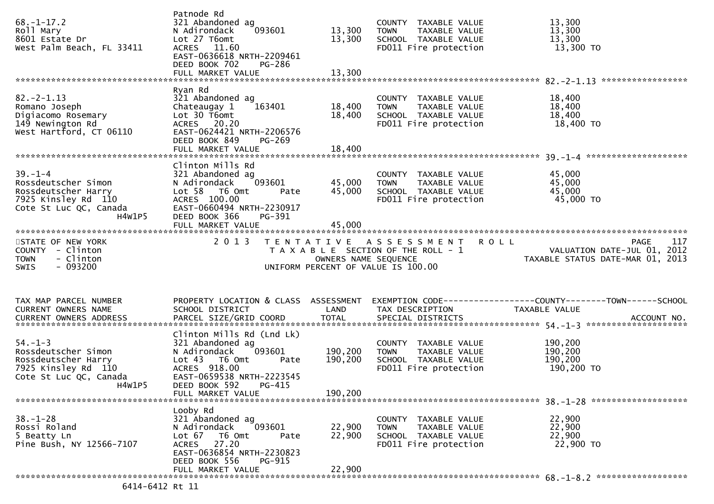| $68. - 1 - 17.2$<br>Roll Mary<br>8601 Estate Dr<br>West Palm Beach, FL 33411                                           | Patnode Rd<br>321 Abandoned ag<br>093601<br>N Adirondack<br>Lot 27 T6omt<br>ACRES 11.60<br>EAST-0636618 NRTH-2209461<br>DEED BOOK 702<br>PG-286<br>FULL MARKET VALUE                       | 13,300<br>13,300<br>13,300    | COUNTY TAXABLE VALUE<br>TAXABLE VALUE<br><b>TOWN</b><br>SCHOOL TAXABLE VALUE<br>FD011 Fire protection    | 13,300<br>13,300<br>13,300<br>13,300 TO                                         |
|------------------------------------------------------------------------------------------------------------------------|--------------------------------------------------------------------------------------------------------------------------------------------------------------------------------------------|-------------------------------|----------------------------------------------------------------------------------------------------------|---------------------------------------------------------------------------------|
| $82. - 2 - 1.13$<br>Romano Joseph<br>Digiacomo Rosemary<br>149 Newington Rd<br>West Hartford, CT 06110                 | Ryan Rd<br>321 Abandoned ag<br>163401<br>Chateaugay 1<br>Lot 30 T6omt<br>ACRES 20.20<br>EAST-0624421 NRTH-2206576<br>DEED BOOK 849<br>$PG-269$<br>FULL MARKET VALUE                        | 18,400<br>18,400<br>18,400    | COUNTY TAXABLE VALUE<br><b>TOWN</b><br>TAXABLE VALUE<br>SCHOOL TAXABLE VALUE<br>FD011 Fire protection    | 18,400<br>18,400<br>18,400<br>18,400 TO                                         |
| $39. - 1 - 4$<br>Rossdeutscher Simon<br>Rossdeutscher Harry<br>7925 Kinsley Rd 110<br>Cote St Luc QC, Canada<br>H4W1P5 | Clinton Mills Rd<br>321 Abandoned ag<br>093601<br>N Adirondack<br>Lot 58 T6 Omt<br>Pate<br>ACRES 100.00<br>EAST-0660494 NRTH-2230917<br>DEED BOOK 366<br>PG-391                            | 45,000<br>45,000              | COUNTY TAXABLE VALUE<br><b>TOWN</b><br>TAXABLE VALUE<br>SCHOOL TAXABLE VALUE<br>FD011 Fire protection    | 45,000<br>45,000<br>45,000<br>45,000 TO                                         |
| STATE OF NEW YORK<br>COUNTY - Clinton<br>- Clinton<br><b>TOWN</b><br>- 093200<br><b>SWIS</b>                           | 2 0 1 3                                                                                                                                                                                    | OWNERS NAME SEQUENCE          | TENTATIVE ASSESSMENT ROLL<br>T A X A B L E SECTION OF THE ROLL - 1<br>UNIFORM PERCENT OF VALUE IS 100.00 | 117<br>PAGE<br>VALUATION DATE-JUL 01, 2012<br>TAXABLE STATUS DATE-MAR 01, 2013  |
| TAX MAP PARCEL NUMBER<br>CURRENT OWNERS NAME                                                                           | PROPERTY LOCATION & CLASS ASSESSMENT<br>SCHOOL DISTRICT                                                                                                                                    | LAND                          | TAX DESCRIPTION                                                                                          | EXEMPTION CODE------------------COUNTY--------TOWN------SCHOOL<br>TAXABLE VALUE |
| $54. - 1 - 3$<br>Rossdeutscher Simon<br>Rossdeutscher Harry<br>7925 Kinsley Rd 110<br>Cote St Luc QC, Canada<br>H4W1P5 | Clinton Mills Rd (Lnd Lk)<br>321 Abandoned ag<br>093601<br>N Adirondack<br>Lot 43 T6 Omt<br>Pate<br>ACRES 918.00<br>EAST-0659538 NRTH-2223545<br>DEED BOOK 592 PG-415<br>FULL MARKET VALUE | 190,200<br>190,200<br>190,200 | COUNTY TAXABLE VALUE<br><b>TOWN</b><br>TAXABLE VALUE<br>SCHOOL TAXABLE VALUE<br>FD011 Fire protection    | 190,200<br>190,200<br>190,200<br>190,200 TO                                     |
| $38. - 1 - 28$<br>Rossi Roland<br>5 Beatty Ln<br>Pine Bush, NY 12566-7107                                              | Looby Rd<br>321 Abandoned ag<br>093601<br>N Adirondack<br>Lot 67<br>T6 Omt<br>Pate<br>27.20<br><b>ACRES</b><br>EAST-0636854 NRTH-2230823<br>DEED BOOK 556<br>PG-915                        | 22,900<br>22,900              | COUNTY TAXABLE VALUE<br><b>TOWN</b><br>TAXABLE VALUE<br>SCHOOL TAXABLE VALUE<br>FD011 Fire protection    | 22,900<br>22,900<br>22,900<br>22,900 TO                                         |
|                                                                                                                        |                                                                                                                                                                                            |                               |                                                                                                          |                                                                                 |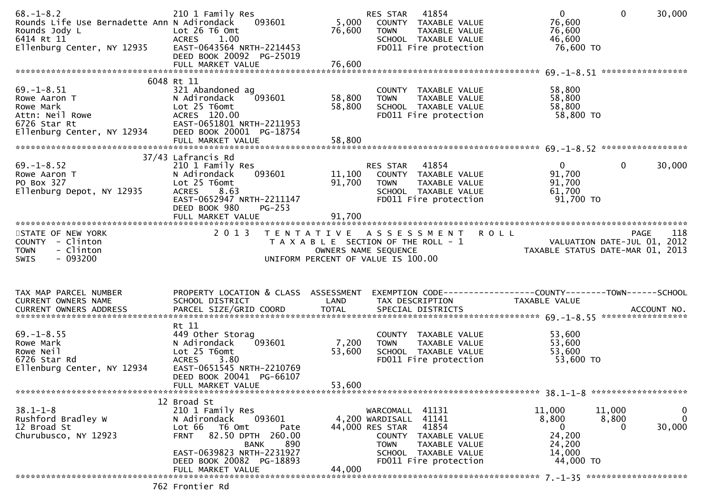| $68. - 1 - 8.2$<br>Rounds Life Use Bernadette Ann N Adirondack<br>Rounds Jody L<br>6414 Rt 11<br>Ellenburg Center, NY 12935 | 210 1 Family Res<br>093601<br>Lot 26 T6 Omt<br>1.00<br>ACRES<br>EAST-0643564 NRTH-2214453<br>DEED BOOK 20092 PG-25019                                                        | 5,000<br>76,600           | 41854<br>RES STAR<br>COUNTY TAXABLE VALUE<br><b>TOWN</b><br>TAXABLE VALUE<br>SCHOOL TAXABLE VALUE<br>FD011 Fire protection        | $\mathbf{0}$<br>76,600<br>76,600<br>46,600<br>76,600 TO       | $\mathbf{0}$<br>30,000                                                                |
|-----------------------------------------------------------------------------------------------------------------------------|------------------------------------------------------------------------------------------------------------------------------------------------------------------------------|---------------------------|-----------------------------------------------------------------------------------------------------------------------------------|---------------------------------------------------------------|---------------------------------------------------------------------------------------|
|                                                                                                                             |                                                                                                                                                                              |                           |                                                                                                                                   |                                                               |                                                                                       |
| $69. - 1 - 8.51$<br>Rowe Aaron T<br>Rowe Mark<br>Attn: Neil Rowe<br>6726 Star Rt<br>Ellenburg Center, NY 12934              | 6048 Rt 11<br>321 Abandoned ag<br>N Adirondack<br>093601<br>Lot 25 T6omt<br>ACRES 120.00<br>EAST-0651801 NRTH-2211953<br>DEED BOOK 20001 PG-18754                            | 58,800<br>58,800          | COUNTY TAXABLE VALUE<br>TAXABLE VALUE<br><b>TOWN</b><br>SCHOOL TAXABLE VALUE<br>FD011 Fire protection                             | 58,800<br>58,800<br>58,800<br>58,800 TO                       |                                                                                       |
|                                                                                                                             |                                                                                                                                                                              |                           |                                                                                                                                   |                                                               |                                                                                       |
| $69. - 1 - 8.52$<br>Rowe Aaron T<br>PO Box 327<br>Ellenburg Depot, NY 12935                                                 | 37/43 Lafrancis Rd<br>210 1 Family Res<br>093601<br>N Adirondack<br>Lot 25 T6omt<br>8.63<br><b>ACRES</b><br>EAST-0652947 NRTH-2211147<br>DEED BOOK 980<br>$PG-253$           | 11,100<br>91,700          | RES STAR 41854<br>COUNTY TAXABLE VALUE<br><b>TOWN</b><br>TAXABLE VALUE<br>SCHOOL TAXABLE VALUE<br>FD011 Fire protection           | $\overline{0}$<br>91,700<br>91,700<br>61,700<br>91,700 TO     | $\Omega$<br>30,000                                                                    |
|                                                                                                                             |                                                                                                                                                                              | 91,700                    |                                                                                                                                   |                                                               |                                                                                       |
| STATE OF NEW YORK<br>COUNTY - Clinton<br><b>TOWN</b><br>- Clinton<br>$-093200$<br><b>SWIS</b>                               | 2013                                                                                                                                                                         | OWNERS NAME SEQUENCE      | TENTATIVE ASSESSMENT ROLL<br>T A X A B L E SECTION OF THE ROLL - 1<br>UNIFORM PERCENT OF VALUE IS 100.00                          |                                                               | 118<br><b>PAGE</b><br>VALUATION DATE-JUL 01, 2012<br>TAXABLE STATUS DATE-MAR 01, 2013 |
| TAX MAP PARCEL NUMBER<br>CURRENT OWNERS NAME                                                                                | PROPERTY LOCATION & CLASS ASSESSMENT<br>SCHOOL DISTRICT                                                                                                                      | LAND                      | EXEMPTION CODE-----------------COUNTY-------TOWN------SCHOOL<br>TAX DESCRIPTION                                                   | TAXABLE VALUE                                                 |                                                                                       |
| $69. - 1 - 8.55$<br>Rowe Mark<br>Rowe Neil<br>6726 Star Rd<br>Ellenburg Center, NY 12934                                    | Rt 11<br>449 Other Storag<br>093601<br>N Adirondack<br>Lot 25 T6omt<br>3.80<br><b>ACRES</b><br>EAST-0651545 NRTH-2210769<br>DEED BOOK 20041 PG-66107<br>FULL MARKET VALUE    | 7,200<br>53,600<br>53,600 | COUNTY TAXABLE VALUE<br>TAXABLE VALUE<br><b>TOWN</b><br>SCHOOL TAXABLE VALUE<br>FD011 Fire protection                             | 53,600<br>53,600<br>53,600<br>53,600 TO                       |                                                                                       |
|                                                                                                                             |                                                                                                                                                                              |                           |                                                                                                                                   |                                                               |                                                                                       |
| $38.1 - 1 - 8$<br>Rushford Bradley W<br>12 Broad St<br>Churubusco, NY 12923                                                 | 12 Broad St<br>210 1 Family Res<br>093601<br>N Adirondack<br>Lot 66<br>T6 Omt<br>Pate<br>82.50 DPTH 260.00<br><b>FRNT</b><br>890<br><b>BANK</b><br>EAST-0639823 NRTH-2231927 | 44,000 RES STAR           | WARCOMALL 41131<br>4,200 WARDISALL 41141<br>41854<br>COUNTY TAXABLE VALUE<br><b>TOWN</b><br>TAXABLE VALUE<br>SCHOOL TAXABLE VALUE | 11,000<br>8,800<br>$\mathbf{0}$<br>24,200<br>24,200<br>14,000 | 11,000<br>$\bf{0}$<br>$\mathbf 0$<br>8,800<br>30,000<br>$\Omega$                      |
|                                                                                                                             | DEED BOOK 20082 PG-18893<br>FULL MARKET VALUE                                                                                                                                | 44,000                    | FD011 Fire protection                                                                                                             | 44,000 TO                                                     |                                                                                       |
|                                                                                                                             |                                                                                                                                                                              |                           |                                                                                                                                   |                                                               |                                                                                       |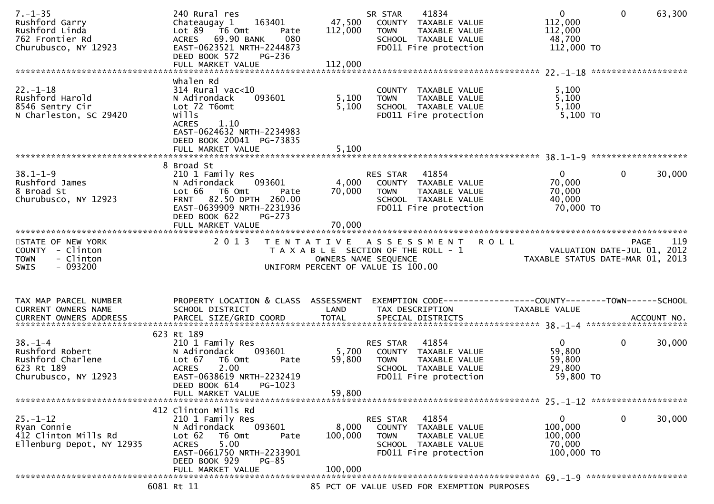| Whalen Rd<br>$22. - 1 - 18$<br>5,100<br>314 Rural vac<10<br>COUNTY TAXABLE VALUE<br>Rushford Harold<br>5,100<br>093601<br>5,100<br>N Adirondack<br><b>TOWN</b><br>TAXABLE VALUE<br>5,100<br>Lot 72 T6omt<br>5,100<br>8546 Sentry Cir<br>SCHOOL TAXABLE VALUE<br>5,100 TO<br>N Charleston, SC 29420<br>wills<br>FD011 Fire protection<br><b>ACRES</b><br>1.10<br>EAST-0624632 NRTH-2234983<br>DEED BOOK 20041 PG-73835<br>5,100<br>FULL MARKET VALUE<br>8 Broad St<br>$38.1 - 1 - 9$<br>41854<br>$\mathbf{0}$<br>$\mathbf{0}$<br>30,000<br>210 1 Family Res<br>RES STAR<br>Rushford James<br>N Adirondack<br>093601<br>4,000 COUNTY TAXABLE VALUE<br>70,000<br>Rushford James<br>8 Broad St<br>Churubusco, NY 12923<br>Lot 66 T6 Omt<br>70,000<br>70,000<br><b>TOWN</b><br>TAXABLE VALUE<br>Pate<br>82.50 DPTH 260.00<br>40,000<br><b>FRNT</b><br>SCHOOL TAXABLE VALUE<br>EAST-0639909 NRTH-2231936<br>FD011 Fire protection<br>70,000 TO<br>DEED BOOK 622<br>PG-273<br>70,000<br>FULL MARKET VALUE<br>2013 TENTATIVE ASSESSMENT ROLL<br>STATE OF NEW YORK<br>119<br><b>PAGE</b><br>PAGE 119<br>TAXABLE SECTION OF THE ROLL - 1 VALUATION DATE-JUL 01, 2012<br>OWNERS NAME SEQUENCE TAXABLE STATUS DATE-MAR 01, 2013<br>COUNTY - Clinton<br>- Clinton<br><b>TOWN</b><br>- 093200<br>UNIFORM PERCENT OF VALUE IS 100.00<br><b>SWIS</b><br>PROPERTY LOCATION & CLASS ASSESSMENT<br>EXEMPTION CODE------------------COUNTY--------TOWN------SCHOOL<br>TAX MAP PARCEL NUMBER<br>SCHOOL DISTRICT<br>LAND<br>CURRENT OWNERS NAME<br>TAX DESCRIPTION<br>TAXABLE VALUE<br>623 Rt 189<br>$38. - 1 - 4$<br>RES STAR 41854<br>$\overline{0}$<br>$\mathbf{0}$<br>30,000<br>210 1 Family Res<br>Rushford Robert<br>5,700<br>59,800<br>093601<br>N Adirondack<br>COUNTY TAXABLE VALUE<br>Rushford Charlene<br>59,800<br>Lot 67<br>T6 Omt<br>59,800<br><b>TOWN</b><br>TAXABLE VALUE<br>Pate<br>623 Rt 189<br>2.00<br>29,800<br><b>ACRES</b><br>SCHOOL TAXABLE VALUE<br>Churubusco, NY 12923<br>EAST-0638619 NRTH-2232419<br>FD011 Fire protection<br>59,800 TO<br>DEED BOOK 614<br>PG-1023<br>59,800<br>FULL MARKET VALUE<br>412 Clinton Mills Rd<br>0<br>$25. - 1 - 12$<br>210 1 Family Res<br>41854<br>0<br>30,000<br><b>RES STAR</b><br>N Adirondack<br>093601<br>8,000<br>COUNTY TAXABLE VALUE<br>100,000<br>Ryan Connie<br>412 Clinton Mills Rd<br>Lot $62$<br>T6 Omt<br>100,000<br>TAXABLE VALUE<br>100,000<br>Pate<br><b>TOWN</b><br>5.00<br>Ellenburg Depot, NY 12935<br><b>ACRES</b><br>SCHOOL TAXABLE VALUE<br>70,000<br>EAST-0661750 NRTH-2233901<br>FD011 Fire protection<br>100,000 TO<br>DEED BOOK 929<br><b>PG-85</b><br>FULL MARKET VALUE<br>100,000<br>6081 Rt 11<br>85 PCT OF VALUE USED FOR EXEMPTION PURPOSES | $7. - 1 - 35$<br>Rushford Garry<br>Rushford Linda<br>762 Frontier Rd<br>Churubusco, NY 12923 | 240 Rural res<br>163401<br>Chateaugay 1<br>Lot $89 - 76$ Omt<br>Pate<br>ACRES 69.90 BANK<br>080<br>EAST-0623521 NRTH-2244873<br>DEED BOOK 572<br>PG-236 | 47,500<br>112,000 | 41834<br>SR STAR<br>COUNTY TAXABLE VALUE<br><b>TOWN</b><br>TAXABLE VALUE<br>SCHOOL TAXABLE VALUE<br>FD011 Fire protection | $\overline{0}$<br>112,000<br>112,000<br>48,700<br>112,000 TO | $\mathbf{0}$<br>63,300 |
|-------------------------------------------------------------------------------------------------------------------------------------------------------------------------------------------------------------------------------------------------------------------------------------------------------------------------------------------------------------------------------------------------------------------------------------------------------------------------------------------------------------------------------------------------------------------------------------------------------------------------------------------------------------------------------------------------------------------------------------------------------------------------------------------------------------------------------------------------------------------------------------------------------------------------------------------------------------------------------------------------------------------------------------------------------------------------------------------------------------------------------------------------------------------------------------------------------------------------------------------------------------------------------------------------------------------------------------------------------------------------------------------------------------------------------------------------------------------------------------------------------------------------------------------------------------------------------------------------------------------------------------------------------------------------------------------------------------------------------------------------------------------------------------------------------------------------------------------------------------------------------------------------------------------------------------------------------------------------------------------------------------------------------------------------------------------------------------------------------------------------------------------------------------------------------------------------------------------------------------------------------------------------------------------------------------------------------------------------------------------------------------------------------------------------------------------------------------------------------------------------------------------------------------------------------------------------------------------------------------------------------------------------------------------------------------------------------------------|----------------------------------------------------------------------------------------------|---------------------------------------------------------------------------------------------------------------------------------------------------------|-------------------|---------------------------------------------------------------------------------------------------------------------------|--------------------------------------------------------------|------------------------|
|                                                                                                                                                                                                                                                                                                                                                                                                                                                                                                                                                                                                                                                                                                                                                                                                                                                                                                                                                                                                                                                                                                                                                                                                                                                                                                                                                                                                                                                                                                                                                                                                                                                                                                                                                                                                                                                                                                                                                                                                                                                                                                                                                                                                                                                                                                                                                                                                                                                                                                                                                                                                                                                                                                                   |                                                                                              |                                                                                                                                                         |                   |                                                                                                                           |                                                              |                        |
|                                                                                                                                                                                                                                                                                                                                                                                                                                                                                                                                                                                                                                                                                                                                                                                                                                                                                                                                                                                                                                                                                                                                                                                                                                                                                                                                                                                                                                                                                                                                                                                                                                                                                                                                                                                                                                                                                                                                                                                                                                                                                                                                                                                                                                                                                                                                                                                                                                                                                                                                                                                                                                                                                                                   |                                                                                              |                                                                                                                                                         |                   |                                                                                                                           |                                                              |                        |
|                                                                                                                                                                                                                                                                                                                                                                                                                                                                                                                                                                                                                                                                                                                                                                                                                                                                                                                                                                                                                                                                                                                                                                                                                                                                                                                                                                                                                                                                                                                                                                                                                                                                                                                                                                                                                                                                                                                                                                                                                                                                                                                                                                                                                                                                                                                                                                                                                                                                                                                                                                                                                                                                                                                   |                                                                                              |                                                                                                                                                         |                   |                                                                                                                           |                                                              |                        |
|                                                                                                                                                                                                                                                                                                                                                                                                                                                                                                                                                                                                                                                                                                                                                                                                                                                                                                                                                                                                                                                                                                                                                                                                                                                                                                                                                                                                                                                                                                                                                                                                                                                                                                                                                                                                                                                                                                                                                                                                                                                                                                                                                                                                                                                                                                                                                                                                                                                                                                                                                                                                                                                                                                                   |                                                                                              |                                                                                                                                                         |                   |                                                                                                                           |                                                              |                        |
|                                                                                                                                                                                                                                                                                                                                                                                                                                                                                                                                                                                                                                                                                                                                                                                                                                                                                                                                                                                                                                                                                                                                                                                                                                                                                                                                                                                                                                                                                                                                                                                                                                                                                                                                                                                                                                                                                                                                                                                                                                                                                                                                                                                                                                                                                                                                                                                                                                                                                                                                                                                                                                                                                                                   |                                                                                              |                                                                                                                                                         |                   |                                                                                                                           |                                                              |                        |
|                                                                                                                                                                                                                                                                                                                                                                                                                                                                                                                                                                                                                                                                                                                                                                                                                                                                                                                                                                                                                                                                                                                                                                                                                                                                                                                                                                                                                                                                                                                                                                                                                                                                                                                                                                                                                                                                                                                                                                                                                                                                                                                                                                                                                                                                                                                                                                                                                                                                                                                                                                                                                                                                                                                   |                                                                                              |                                                                                                                                                         |                   |                                                                                                                           |                                                              |                        |
|                                                                                                                                                                                                                                                                                                                                                                                                                                                                                                                                                                                                                                                                                                                                                                                                                                                                                                                                                                                                                                                                                                                                                                                                                                                                                                                                                                                                                                                                                                                                                                                                                                                                                                                                                                                                                                                                                                                                                                                                                                                                                                                                                                                                                                                                                                                                                                                                                                                                                                                                                                                                                                                                                                                   |                                                                                              |                                                                                                                                                         |                   |                                                                                                                           |                                                              |                        |
|                                                                                                                                                                                                                                                                                                                                                                                                                                                                                                                                                                                                                                                                                                                                                                                                                                                                                                                                                                                                                                                                                                                                                                                                                                                                                                                                                                                                                                                                                                                                                                                                                                                                                                                                                                                                                                                                                                                                                                                                                                                                                                                                                                                                                                                                                                                                                                                                                                                                                                                                                                                                                                                                                                                   |                                                                                              |                                                                                                                                                         |                   |                                                                                                                           |                                                              |                        |
|                                                                                                                                                                                                                                                                                                                                                                                                                                                                                                                                                                                                                                                                                                                                                                                                                                                                                                                                                                                                                                                                                                                                                                                                                                                                                                                                                                                                                                                                                                                                                                                                                                                                                                                                                                                                                                                                                                                                                                                                                                                                                                                                                                                                                                                                                                                                                                                                                                                                                                                                                                                                                                                                                                                   |                                                                                              |                                                                                                                                                         |                   |                                                                                                                           |                                                              |                        |
|                                                                                                                                                                                                                                                                                                                                                                                                                                                                                                                                                                                                                                                                                                                                                                                                                                                                                                                                                                                                                                                                                                                                                                                                                                                                                                                                                                                                                                                                                                                                                                                                                                                                                                                                                                                                                                                                                                                                                                                                                                                                                                                                                                                                                                                                                                                                                                                                                                                                                                                                                                                                                                                                                                                   |                                                                                              |                                                                                                                                                         |                   |                                                                                                                           |                                                              |                        |
|                                                                                                                                                                                                                                                                                                                                                                                                                                                                                                                                                                                                                                                                                                                                                                                                                                                                                                                                                                                                                                                                                                                                                                                                                                                                                                                                                                                                                                                                                                                                                                                                                                                                                                                                                                                                                                                                                                                                                                                                                                                                                                                                                                                                                                                                                                                                                                                                                                                                                                                                                                                                                                                                                                                   |                                                                                              |                                                                                                                                                         |                   |                                                                                                                           |                                                              |                        |
|                                                                                                                                                                                                                                                                                                                                                                                                                                                                                                                                                                                                                                                                                                                                                                                                                                                                                                                                                                                                                                                                                                                                                                                                                                                                                                                                                                                                                                                                                                                                                                                                                                                                                                                                                                                                                                                                                                                                                                                                                                                                                                                                                                                                                                                                                                                                                                                                                                                                                                                                                                                                                                                                                                                   |                                                                                              |                                                                                                                                                         |                   |                                                                                                                           |                                                              |                        |
|                                                                                                                                                                                                                                                                                                                                                                                                                                                                                                                                                                                                                                                                                                                                                                                                                                                                                                                                                                                                                                                                                                                                                                                                                                                                                                                                                                                                                                                                                                                                                                                                                                                                                                                                                                                                                                                                                                                                                                                                                                                                                                                                                                                                                                                                                                                                                                                                                                                                                                                                                                                                                                                                                                                   |                                                                                              |                                                                                                                                                         |                   |                                                                                                                           |                                                              |                        |
|                                                                                                                                                                                                                                                                                                                                                                                                                                                                                                                                                                                                                                                                                                                                                                                                                                                                                                                                                                                                                                                                                                                                                                                                                                                                                                                                                                                                                                                                                                                                                                                                                                                                                                                                                                                                                                                                                                                                                                                                                                                                                                                                                                                                                                                                                                                                                                                                                                                                                                                                                                                                                                                                                                                   |                                                                                              |                                                                                                                                                         |                   |                                                                                                                           |                                                              |                        |
|                                                                                                                                                                                                                                                                                                                                                                                                                                                                                                                                                                                                                                                                                                                                                                                                                                                                                                                                                                                                                                                                                                                                                                                                                                                                                                                                                                                                                                                                                                                                                                                                                                                                                                                                                                                                                                                                                                                                                                                                                                                                                                                                                                                                                                                                                                                                                                                                                                                                                                                                                                                                                                                                                                                   |                                                                                              |                                                                                                                                                         |                   |                                                                                                                           |                                                              |                        |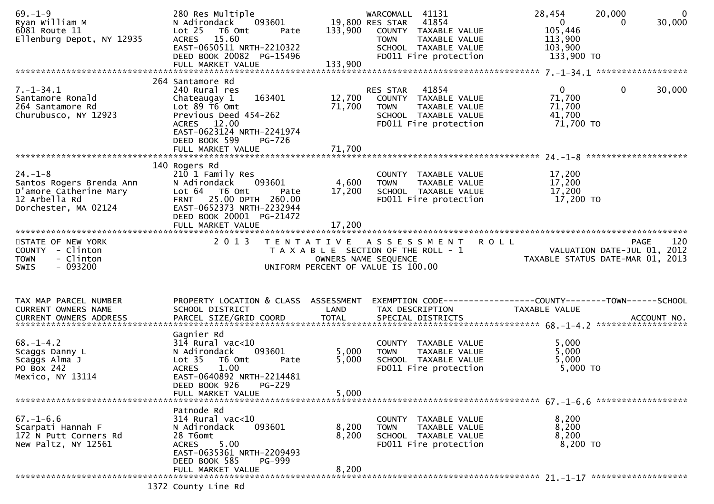| $69. - 1 - 9$<br>Ryan William M<br>6081 Route 11<br>Ellenburg Depot, NY 12935                                | 280 Res Multiple<br>N Adirondack<br>093601<br>Lot 25 T6 Omt<br>Pate<br>ACRES 15.60<br>EAST-0650511 NRTH-2210322<br>DEED BOOK 20082 PG-15496<br>FULL MARKET VALUE                                           | 133,900                    | WARCOMALL 41131<br>19,800 RES STAR<br>41854<br>133,900 COUNTY TAXABLE VALUE<br>TAXABLE VALUE<br><b>TOWN</b><br>SCHOOL TAXABLE VALUE<br>FD011 Fire protection | 28,454<br>20,000<br>$\overline{0}$<br>105,446<br>113,900<br>103,900<br>133,900 TO | $\overline{0}$<br>30,000<br>$\Omega$ |
|--------------------------------------------------------------------------------------------------------------|------------------------------------------------------------------------------------------------------------------------------------------------------------------------------------------------------------|----------------------------|--------------------------------------------------------------------------------------------------------------------------------------------------------------|-----------------------------------------------------------------------------------|--------------------------------------|
| $7. - 1 - 34.1$<br>Santamore Ronald<br>264 Santamore Rd<br>Churubusco, NY 12923                              | 264 Santamore Rd<br>240 Rural res<br>163401<br>Chateaugay 1<br>Lot $89$ T6 Omt<br>Previous Deed 454-262<br>ACRES 12.00<br>EAST-0623124 NRTH-2241974<br>DEED BOOK 599<br><b>PG-726</b><br>FULL MARKET VALUE | 12,700<br>71,700<br>71,700 | RES STAR<br>41854<br>COUNTY TAXABLE VALUE<br><b>TOWN</b><br>TAXABLE VALUE<br>SCHOOL TAXABLE VALUE<br>FD011 Fire protection                                   | $\mathbf{0}$<br>71,700<br>71,700<br>41,700<br>71,700 TO                           | $\mathbf 0$<br>30,000                |
| $24. - 1 - 8$<br>Santos Rogers Brenda Ann<br>D'amore Catherine Mary<br>12 Arbella Rd<br>Dorchester, MA 02124 | 140 Rogers Rd<br>210 1 Family Res<br>N Adirondack<br>093601<br>Lot 64 T6 Omt<br>Pate<br>FRNT 25.00 DPTH 260.00<br>EAST-0652373 NRTH-2232944<br>DEED BOOK 20001 PG-21472<br>FULL MARKET VALUE               | 4,600<br>17,200<br>17,200  | COUNTY TAXABLE VALUE<br>TAXABLE VALUE<br>TOWN<br>SCHOOL TAXABLE VALUE<br>FD011 Fire protection                                                               | 17,200<br>17,200<br>17,200<br>17,200 TO                                           |                                      |
| STATE OF NEW YORK<br>COUNTY - Clinton<br>- Clinton<br><b>TOWN</b><br>$-093200$<br>SWIS                       | 2 0 1 3                                                                                                                                                                                                    | OWNERS NAME SEQUENCE       | TENTATIVE ASSESSMENT ROLL<br>T A X A B L E SECTION OF THE ROLL - 1<br>UNIFORM PERCENT OF VALUE IS 100.00                                                     | VALUATION DATE-JUL 01, 2012<br>TAXABLE STATUS DATE-MAR 01, 2013                   | 120<br><b>PAGE</b>                   |
| TAX MAP PARCEL NUMBER<br>CURRENT OWNERS NAME                                                                 | PROPERTY LOCATION & CLASS ASSESSMENT<br>SCHOOL DISTRICT                                                                                                                                                    | LAND                       | TAX DESCRIPTION                                                                                                                                              | EXEMPTION CODE------------------COUNTY--------TOWN------SCHOOL<br>TAXABLE VALUE   |                                      |
| $68. - 1 - 4.2$<br>Scaggs Danny L<br>Scaggs Alma J<br>PO Box 242<br>Mexico, NY 13114                         | Gagnier Rd<br>$314$ Rural vac<10<br>093601<br>N Adirondack<br>Lot <sub>35</sub><br>T6 Omt<br>Pate<br>1.00<br><b>ACRES</b><br>EAST-0640892 NRTH-2214481<br>DEED BOOK 926<br>PG-229<br>FULL MARKET VALUE     | 5,000<br>5,000<br>5,000    | COUNTY TAXABLE VALUE<br><b>TOWN</b><br>TAXABLE VALUE<br>SCHOOL TAXABLE VALUE<br>FD011 Fire protection                                                        | 5,000<br>5,000<br>5,000<br>5,000 TO                                               |                                      |
|                                                                                                              |                                                                                                                                                                                                            |                            |                                                                                                                                                              |                                                                                   |                                      |
| $67. - 1 - 6.6$<br>Scarpati Hannah F<br>172 N Putt Corners Rd<br>New Paltz, NY 12561                         | Patnode Rd<br>$314$ Rural vac<10<br>093601<br>N Adirondack<br>28 T6omt<br>5.00<br><b>ACRES</b><br>EAST-0635361 NRTH-2209493<br>DEED BOOK 585<br><b>PG-999</b>                                              | 8,200<br>8,200             | COUNTY TAXABLE VALUE<br>TAXABLE VALUE<br><b>TOWN</b><br>SCHOOL TAXABLE VALUE<br>FD011 Fire protection                                                        | 8,200<br>8,200<br>8,200<br>8,200 TO                                               |                                      |
|                                                                                                              | FULL MARKET VALUE<br>1372 County Line Rd                                                                                                                                                                   | 8,200                      |                                                                                                                                                              |                                                                                   |                                      |
|                                                                                                              |                                                                                                                                                                                                            |                            |                                                                                                                                                              |                                                                                   |                                      |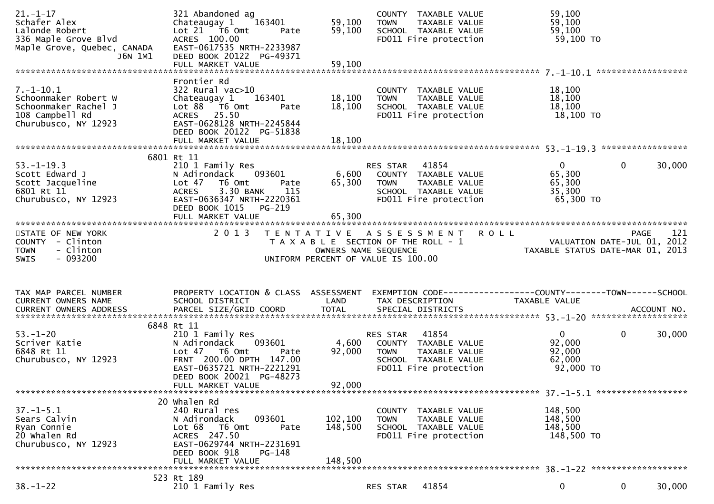| $21. - 1 - 17$<br>Schafer Alex<br>Lalonde Robert<br>336 Maple Grove Blvd<br>Maple Grove, Quebec, CANADA<br>J6N 1M1                      | 321 Abandoned ag<br>Chateaugay 1<br>163401<br>Lot 21 76 0mt<br>Pate<br>ACRES 100.00<br>EAST-0617535 NRTH-2233987<br>DEED BOOK 20122 PG-49371                                                 | 59,100<br>59,100              | COUNTY TAXABLE VALUE<br>TAXABLE VALUE<br><b>TOWN</b><br>SCHOOL TAXABLE VALUE<br>FD011 Fire protection                      | 59,100<br>59,100<br>59,100<br>59,100 TO                         |                          |
|-----------------------------------------------------------------------------------------------------------------------------------------|----------------------------------------------------------------------------------------------------------------------------------------------------------------------------------------------|-------------------------------|----------------------------------------------------------------------------------------------------------------------------|-----------------------------------------------------------------|--------------------------|
| $7. - 1 - 10.1$<br>Schoonmaker Robert W<br>Schoonmaker Rachel J<br>108 Campbell Rd<br>Churubusco, NY 12923                              | Frontier Rd<br>$322$ Rural vac $>10$<br>Chateaugay 1<br>163401<br>Lot 88 T6 Omt<br>Pate<br>ACRES 25.50<br>EAST-0628128 NRTH-2245844                                                          | 18,100<br>18,100              | COUNTY TAXABLE VALUE<br>TAXABLE VALUE<br><b>TOWN</b><br>SCHOOL TAXABLE VALUE<br>FD011 Fire protection                      | 18,100<br>18,100<br>18,100<br>18,100 TO                         |                          |
|                                                                                                                                         | DEED BOOK 20122 PG-51838                                                                                                                                                                     |                               |                                                                                                                            |                                                                 |                          |
| $53. - 1 - 19.3$<br>Scott Edward J<br>Scott Jacqueline<br>6801 Rt 11<br>Churubusco, NY 12923                                            | 6801 Rt 11<br>210 1 Family Res<br>N Adirondack<br>093601<br>Lot <sub>47</sub><br>T6 Omt<br>Pate<br>3.30 BANK<br>115<br><b>ACRES</b><br>EAST-0636347 NRTH-2220361<br>DEED BOOK 1015<br>PG-219 | 6,600<br>65,300               | RES STAR 41854<br>COUNTY TAXABLE VALUE<br><b>TOWN</b><br>TAXABLE VALUE<br>SCHOOL TAXABLE VALUE<br>FD011 Fire protection    | $\overline{0}$<br>65,300<br>65,300<br>35,300<br>65,300 TO       | 30,000<br>$\overline{0}$ |
| STATE OF NEW YORK<br>COUNTY - Clinton<br><b>TOWN</b><br>- Clinton<br>$-093200$<br><b>SWIS</b>                                           | 2 0 1 3                                                                                                                                                                                      | OWNERS NAME SEQUENCE          | TENTATIVE ASSESSMENT ROLL<br>T A X A B L E SECTION OF THE ROLL - 1<br>UNIFORM PERCENT OF VALUE IS 100.00                   | VALUATION DATE-JUL 01, 2012<br>TAXABLE STATUS DATE-MAR 01, 2013 | 121<br><b>PAGE</b>       |
| TAX MAP PARCEL NUMBER<br>CURRENT OWNERS NAME<br>CURRENT OWNERS ADDRESS PARCEL SIZE/GRID COORD TOTAL SPECIAL DISTRICTS 75 70 ACCOUNT NO. | PROPERTY LOCATION & CLASS ASSESSMENT<br>SCHOOL DISTRICT                                                                                                                                      | LAND                          | EXEMPTION CODE-----------------COUNTY-------TOWN------SCHOOL<br>TAX DESCRIPTION                                            | TAXABLE VALUE                                                   |                          |
| $53. - 1 - 20$<br>Scriver Katie<br>6848 Rt 11<br>Churubusco, NY 12923                                                                   | 6848 Rt 11<br>210 1 Family Res<br>093601<br>N Adirondack<br>Lot 47 76 0mt<br>Pate<br>FRNT 200.00 DPTH 147.00<br>EAST-0635721 NRTH-2221291<br>DEED BOOK 20021 PG-48273<br>FULL MARKET VALUE   | 4,600<br>92,000<br>92,000     | 41854<br>RES STAR<br>COUNTY TAXABLE VALUE<br>TAXABLE VALUE<br><b>TOWN</b><br>SCHOOL TAXABLE VALUE<br>FD011 Fire protection | 0<br>92,000<br>92,000<br>62,000<br>92,000 TO                    | $\mathbf 0$<br>30,000    |
| $37. - 1 - 5.1$<br>Sears Calvin<br>Ryan Connie<br>20 Whalen Rd<br>Churubusco, NY 12923                                                  | 20 Whalen Rd<br>240 Rural res<br>093601<br>N Adirondack<br>Lot 68 T6 Omt<br>Pate<br>ACRES 247.50<br>EAST-0629744 NRTH-2231691<br>DEED BOOK 918<br>PG-148<br>FULL MARKET VALUE                | 102,100<br>148,500<br>148,500 | COUNTY TAXABLE VALUE<br><b>TOWN</b><br>TAXABLE VALUE<br>SCHOOL TAXABLE VALUE<br>FD011 Fire protection                      | 148,500<br>148,500<br>148,500<br>148,500 TO                     |                          |
|                                                                                                                                         |                                                                                                                                                                                              |                               |                                                                                                                            |                                                                 |                          |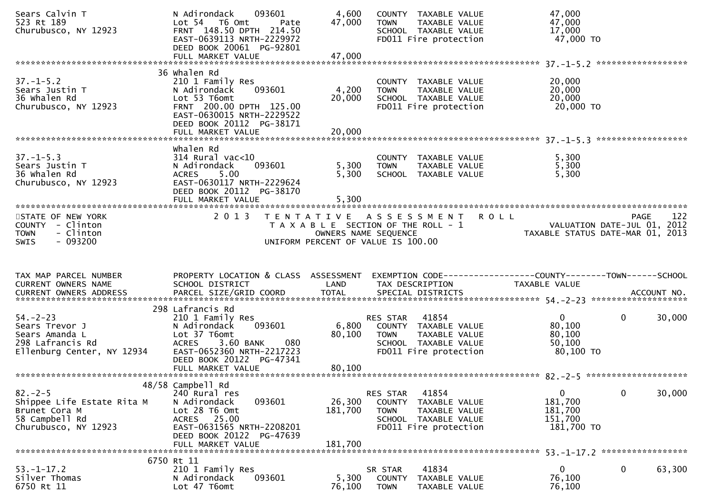| Sears Calvin T<br>523 Rt 189<br>Churubusco, NY 12923                                                  | N Adirondack<br>093601<br>Lot 54 T6 Omt<br>Pate<br>FRNT 148.50 DPTH 214.50<br>EAST-0639113 NRTH-2229972<br>DEED BOOK 20061 PG-92801<br>FULL MARKET VALUE                            | 4,600<br>47,000<br>47,000    | COUNTY TAXABLE VALUE<br>TAXABLE VALUE<br><b>TOWN</b><br>SCHOOL TAXABLE VALUE<br>FD011 Fire protection                                      | 47,000<br>47,000<br>17,000<br>47,000 TO                                                |     |
|-------------------------------------------------------------------------------------------------------|-------------------------------------------------------------------------------------------------------------------------------------------------------------------------------------|------------------------------|--------------------------------------------------------------------------------------------------------------------------------------------|----------------------------------------------------------------------------------------|-----|
|                                                                                                       |                                                                                                                                                                                     |                              |                                                                                                                                            |                                                                                        |     |
| $37. - 1 - 5.2$<br>Sears Justin T<br>36 Whalen Rd<br>Churubusco, NY 12923                             | 36 Whalen Rd<br>210 1 Family Res<br>093601<br>N Adirondack<br>Lot 53 T6omt<br>FRNT 200.00 DPTH 125.00<br>EAST-0630015 NRTH-2229522<br>DEED BOOK 20112 PG-38171<br>FULL MARKET VALUE | 4,200<br>20,000<br>20,000    | COUNTY TAXABLE VALUE<br>TAXABLE VALUE<br><b>TOWN</b><br>SCHOOL TAXABLE VALUE<br>FD011 Fire protection                                      | 20,000<br>20,000<br>20,000<br>20,000 TO                                                |     |
|                                                                                                       |                                                                                                                                                                                     |                              |                                                                                                                                            |                                                                                        |     |
| $37. - 1 - 5.3$<br>Sears Justin T<br>36 Whalen Rd<br>Churubusco, NY 12923                             | whalen Rd<br>$314$ Rural vac<10<br>N Adirondack<br>093601<br>5.00<br><b>ACRES</b><br>EAST-0630117 NRTH-2229624<br>DEED BOOK 20112 PG-38170                                          | 5,300<br>5,300               | COUNTY TAXABLE VALUE<br>TAXABLE VALUE<br><b>TOWN</b><br>SCHOOL TAXABLE VALUE                                                               | 5,300<br>5,300<br>5,300                                                                |     |
| STATE OF NEW YORK<br>COUNTY - Clinton<br>- Clinton<br><b>TOWN</b><br>$-093200$<br><b>SWIS</b>         | 2 0 1 3                                                                                                                                                                             |                              | TENTATIVE ASSESSMENT<br><b>ROLL</b><br>T A X A B L E SECTION OF THE ROLL - 1<br>OWNERS NAME SEQUENCE<br>UNIFORM PERCENT OF VALUE IS 100.00 | PAGE<br>VALUATION DATE-JUL 01, 2012<br>TAXABLE STATUS DATE-MAR 01, 2013                | 122 |
|                                                                                                       |                                                                                                                                                                                     |                              |                                                                                                                                            |                                                                                        |     |
| TAX MAP PARCEL NUMBER<br>CURRENT OWNERS NAME                                                          | PROPERTY LOCATION & CLASS ASSESSMENT<br>SCHOOL DISTRICT                                                                                                                             | LAND                         | TAX DESCRIPTION                                                                                                                            | EXEMPTION CODE------------------COUNTY--------TOWN------SCHOOL<br><b>TAXABLE VALUE</b> |     |
| $54. - 2 - 23$<br>Sears Trevor J<br>Sears Amanda L<br>298 Lafrancis Rd<br>Ellenburg Center, NY 12934  | 298 Lafrancis Rd<br>210 1 Family Res<br>093601<br>N Adirondack<br>Lot 37 T6omt<br>080<br><b>ACRES</b><br>3.60 BANK<br>EAST-0652360 NRTH-2217223<br>DEED BOOK 20122 PG-47341         | 6,800<br>80,100              | 41854<br>RES STAR<br>COUNTY TAXABLE VALUE<br><b>TOWN</b><br>TAXABLE VALUE<br>SCHOOL TAXABLE VALUE<br>FD011 Fire protection                 | $\mathbf{0}$<br>$\mathbf{0}$<br>30,000<br>80,100<br>80,100<br>50,100<br>80,100 TO      |     |
| $82 - 2 - 5$<br>Shippee Life Estate Rita M<br>Brunet Cora M<br>58 Campbell Rd<br>Churubusco, NY 12923 | 48/58 Campbell Rd<br>240 Rural res<br>093601<br>N Adirondack<br>Lot 28 T6 Omt<br>ACRES 25.00<br>EAST-0631565 NRTH-2208201<br>DEED BOOK 20122 PG-47639<br>FULL MARKET VALUE          | 26,300<br>181,700<br>181,700 | RES STAR<br>41854<br><b>COUNTY</b><br>TAXABLE VALUE<br><b>TOWN</b><br>TAXABLE VALUE<br>SCHOOL TAXABLE VALUE<br>FD011 Fire protection       | 30,000<br>$\mathbf{0}$<br>0<br>181,700<br>181,700<br>151,700<br>181,700 TO             |     |
|                                                                                                       | 6750 Rt 11                                                                                                                                                                          |                              |                                                                                                                                            |                                                                                        |     |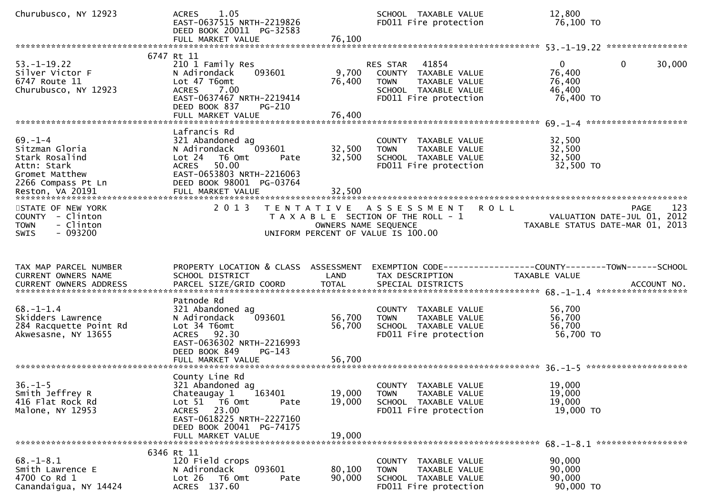| Churubusco, NY 12923                                                                                     | 1.05<br><b>ACRES</b><br>EAST-0637515 NRTH-2219826<br>DEED BOOK 20011 PG-32583                                                                                                   |                            | SCHOOL TAXABLE VALUE<br>FD011 Fire protection                                                                       | 12,800<br>76,100 TO                                                                            |             |
|----------------------------------------------------------------------------------------------------------|---------------------------------------------------------------------------------------------------------------------------------------------------------------------------------|----------------------------|---------------------------------------------------------------------------------------------------------------------|------------------------------------------------------------------------------------------------|-------------|
|                                                                                                          |                                                                                                                                                                                 |                            |                                                                                                                     |                                                                                                |             |
| $53. - 1 - 19.22$<br>Silver Victor F<br>6747 Route 11<br>Churubusco, NY 12923                            | 6747 Rt 11<br>210 1 Family Res<br>093601<br>N Adirondack<br>Lot 47 T6omt<br>7.00<br><b>ACRES</b><br>EAST-0637467 NRTH-2219414<br>DEED BOOK 837<br>PG-210                        | 9,700<br>76,400            | 41854<br>RES STAR<br>COUNTY TAXABLE VALUE<br>TAXABLE VALUE<br>TOWN<br>SCHOOL TAXABLE VALUE<br>FD011 Fire protection | $\mathbf{0}$<br>$\overline{0}$<br>76,400<br>76,400<br>46,400<br>76,400 TO                      | 30,000      |
|                                                                                                          | Lafrancis Rd                                                                                                                                                                    |                            |                                                                                                                     |                                                                                                |             |
| $69. - 1 - 4$<br>Sitzman Gloria<br>Stark Rosalind<br>Attn: Stark<br>Gromet Matthew<br>2266 Compass Pt Ln | 321 Abandoned ag<br>093601<br>N Adirondack<br>Lot 24 T6 Omt<br>Pate<br>50.00<br><b>ACRES</b><br>EAST-0653803 NRTH-2216063<br>DEED BOOK 98001 PG-03764                           | 32,500<br>32,500           | COUNTY TAXABLE VALUE<br><b>TOWN</b><br>TAXABLE VALUE<br>SCHOOL TAXABLE VALUE<br>FD011 Fire protection               | 32,500<br>32,500<br>32,500<br>32,500 TO                                                        |             |
| STATE OF NEW YORK<br>COUNTY - Clinton<br>- Clinton<br><b>TOWN</b><br>$-093200$<br><b>SWIS</b>            | 2 0 1 3                                                                                                                                                                         | OWNERS NAME SEQUENCE       | TENTATIVE ASSESSMENT<br><b>ROLL</b><br>T A X A B L E SECTION OF THE ROLL - 1<br>UNIFORM PERCENT OF VALUE IS 100.00  | VALUATION DATE-JUL 01, 2012<br>VALUATION DATE SUL 01, 2013<br>TAXABLE STATUS DATE-MAR 01, 2013 | 123<br>PAGE |
| TAX MAP PARCEL NUMBER<br>CURRENT OWNERS NAME<br><b>CURRENT OWNERS ADDRESS</b>                            | PROPERTY LOCATION & CLASS ASSESSMENT<br>SCHOOL DISTRICT<br>PARCEL SIZE/GRID COORD                                                                                               | LAND<br><b>TOTAL</b>       | TAX DESCRIPTION<br>SPECIAL DISTRICTS                                                                                | EXEMPTION CODE-----------------COUNTY-------TOWN------SCHOOL<br>TAXABLE VALUE                  | ACCOUNT NO. |
| $68. - 1 - 1.4$<br>Skidders Lawrence<br>284 Racquette Point Rd<br>Akwesasne, NY 13655                    | Patnode Rd<br>321 Abandoned ag<br>093601<br>N Adirondack<br>Lot 34 T6omt<br>ACRES 92.30<br>EAST-0636302 NRTH-2216993<br>DEED BOOK 849<br>$PG-143$<br>FULL MARKET VALUE          | 56,700<br>56,700<br>56,700 | COUNTY TAXABLE VALUE<br>TAXABLE VALUE<br><b>TOWN</b><br>SCHOOL TAXABLE VALUE<br>FD011 Fire protection               | 56,700<br>56,700<br>56,700<br>56,700 TO                                                        |             |
| $36. - 1 - 5$<br>Smith Jeffrey R<br>416 Flat Rock Rd<br>Malone, NY 12953                                 | County Line Rd<br>321 Abandoned ag<br>Chateaugay 1 163401<br>Lot 51 T6 Omt<br>Pate<br>ACRES 23.00<br>EAST-0618225 NRTH-2227160<br>DEED BOOK 20041 PG-74175<br>FULL MARKET VALUE | 19,000<br>19,000<br>19,000 | COUNTY TAXABLE VALUE<br><b>TOWN</b><br>TAXABLE VALUE<br>SCHOOL TAXABLE VALUE<br>FD011 Fire protection               | 19,000<br>19,000<br>19,000<br>19,000 TO                                                        |             |
|                                                                                                          |                                                                                                                                                                                 |                            |                                                                                                                     |                                                                                                |             |
| $68. - 1 - 8.1$                                                                                          | 6346 Rt 11<br>120 Field crops                                                                                                                                                   |                            |                                                                                                                     | 90,000                                                                                         |             |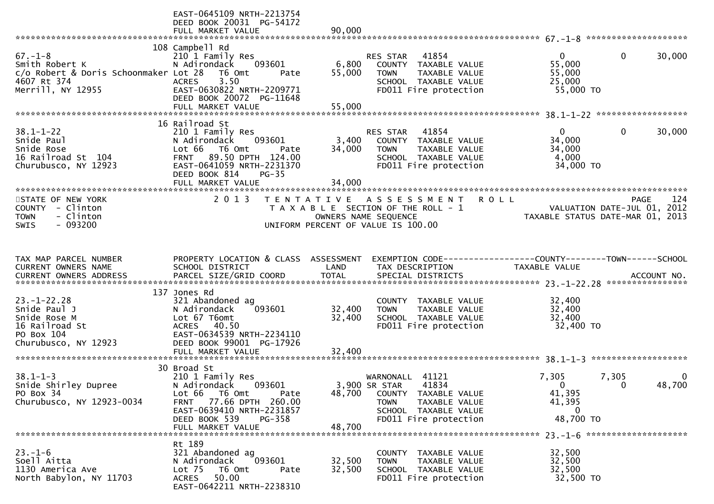|                                                                                                              | EAST-0645109 NRTH-2213754<br>DEED BOOK 20031 PG-54172                                                                                                                                                   |                           |                                                                                                                                                       |                                                                                |                                      |
|--------------------------------------------------------------------------------------------------------------|---------------------------------------------------------------------------------------------------------------------------------------------------------------------------------------------------------|---------------------------|-------------------------------------------------------------------------------------------------------------------------------------------------------|--------------------------------------------------------------------------------|--------------------------------------|
|                                                                                                              | FULL MARKET VALUE                                                                                                                                                                                       | 90,000                    |                                                                                                                                                       |                                                                                |                                      |
| $67. - 1 - 8$<br>Smith Robert K<br>c/o Robert & Doris Schoonmaker Lot 28<br>4607 Rt 374<br>Merrill, NY 12955 | 108 Campbell Rd<br>210 1 Family Res<br>N Adirondack<br>093601<br>T6 Omt<br>Pate<br>3.50<br><b>ACRES</b><br>EAST-0630822 NRTH-2209771<br>DEED BOOK 20072 PG-11648                                        | 6,800<br>55,000           | 41854<br>RES STAR<br>COUNTY TAXABLE VALUE<br>TAXABLE VALUE<br><b>TOWN</b><br>SCHOOL TAXABLE VALUE<br>FD011 Fire protection                            | $\mathbf{0}$<br>55,000<br>55,000<br>25,000<br>55,000 TO                        | $\mathbf{0}$<br>30,000               |
|                                                                                                              |                                                                                                                                                                                                         |                           |                                                                                                                                                       |                                                                                |                                      |
| $38.1 - 1 - 22$<br>Snide Paul<br>Snide Rose<br>16 Railroad St 104<br>Churubusco, NY 12923                    | 16 Railroad St<br>210 1 Family Res<br>N Adirondack<br>093601<br>Lot 66 T6 Omt<br>Pate<br>89.50 DPTH 124.00<br><b>FRNT</b><br>EAST-0641059 NRTH-2231370<br>DEED BOOK 814<br>$PG-35$<br>FULL MARKET VALUE | 3,400<br>34,000<br>34,000 | RES STAR<br>41854<br>COUNTY TAXABLE VALUE<br><b>TOWN</b><br>TAXABLE VALUE<br>SCHOOL TAXABLE VALUE<br>FD011 Fire protection                            | $\mathbf{0}$<br>34,000<br>34,000<br>4,000<br>34,000 TO                         | $\mathbf 0$<br>30,000                |
| STATE OF NEW YORK<br>COUNTY - Clinton<br>- Clinton<br><b>TOWN</b><br>$-093200$<br><b>SWIS</b>                | 2 0 1 3                                                                                                                                                                                                 |                           | TENTATIVE ASSESSMENT<br>T A X A B L E SECTION OF THE ROLL - 1<br>OWNERS NAME SEQUENCE<br>UNIFORM PERCENT OF VALUE IS 100.00                           | <b>ROLL</b><br>VALUATION DATE-JUL 01, 2012<br>TAXABLE STATUS DATE-MAR 01, 2013 | 124<br><b>PAGE</b>                   |
| TAX MAP PARCEL NUMBER<br>CURRENT OWNERS NAME                                                                 | PROPERTY LOCATION & CLASS ASSESSMENT<br>SCHOOL DISTRICT                                                                                                                                                 | LAND                      | EXEMPTION CODE------------------COUNTY--------TOWN------SCHOOL<br>TAX DESCRIPTION                                                                     | TAXABLE VALUE                                                                  |                                      |
| $23. - 1 - 22.28$<br>Snide Paul J<br>Snide Rose M<br>16 Railroad St<br>PO Box 104<br>Churubusco, NY 12923    | 137 Jones Rd<br>321 Abandoned ag<br>093601<br>N Adirondack<br>Lot 67 T6omt<br><b>ACRES</b><br>40.50<br>EAST-0634539 NRTH-2234110<br>DEED BOOK 99001 PG-17926                                            | 32,400<br>32,400          | COUNTY TAXABLE VALUE<br>TAXABLE VALUE<br><b>TOWN</b><br>SCHOOL TAXABLE VALUE<br>FD011 Fire protection                                                 | 32,400<br>32,400<br>32,400<br>32,400 TO                                        |                                      |
| $38.1 - 1 - 3$<br>Snide Shirley Dupree<br>PO Box 34<br>Churubusco, NY 12923-0034                             | 30 Broad St<br>210 1 Family Res<br>N Adirondack<br>093601<br>Lot 66 T6 Omt<br>Pate<br>77.66 DPTH 260.00<br>FRNT<br>EAST-0639410 NRTH-2231857<br>DEED BOOK 539<br>PG-358<br>FULL MARKET VALUE            | 48,700<br>48,700          | 41121<br>WARNONALL<br>3,900 SR STAR<br>41834<br>COUNTY TAXABLE VALUE<br><b>TOWN</b><br>TAXABLE VALUE<br>SCHOOL TAXABLE VALUE<br>FD011 Fire protection | 7,305<br>$\Omega$<br>41,395<br>41,395<br>- 0<br>48,700 TO                      | 7,305<br>0<br>48,700<br>$\mathbf{0}$ |
| $23 - 1 - 6$<br>Soell Aitta<br>1130 America Ave<br>North Babylon, NY 11703                                   | Rt 189<br>321 Abandoned ag<br>093601<br>N Adirondack<br>Lot 75<br>T6 Omt<br>Pate<br>50.00<br>ACRES<br>EAST-0642211 NRTH-2238310                                                                         | 32,500<br>32,500          | COUNTY TAXABLE VALUE<br>TAXABLE VALUE<br><b>TOWN</b><br>SCHOOL TAXABLE VALUE<br>FD011 Fire protection                                                 | 32,500<br>32,500<br>32,500<br>32,500 TO                                        |                                      |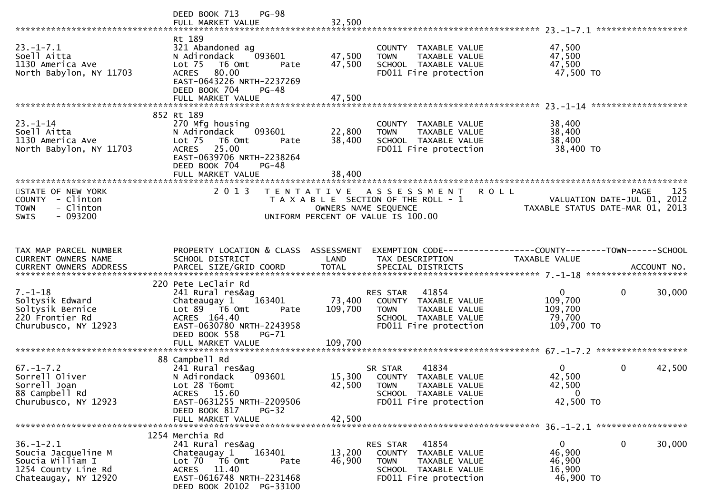|                                                                                                           | <b>PG-98</b><br>DEED BOOK 713                                                                                                                                                  |                                    |                                                                                                                                  |                                                              |                                                                                       |
|-----------------------------------------------------------------------------------------------------------|--------------------------------------------------------------------------------------------------------------------------------------------------------------------------------|------------------------------------|----------------------------------------------------------------------------------------------------------------------------------|--------------------------------------------------------------|---------------------------------------------------------------------------------------|
| $23. - 1 - 7.1$<br>Soell Aitta<br>1130 America Ave<br>North Babylon, NY 11703                             | Rt 189<br>321 Abandoned ag<br>093601<br>N Adirondack<br>Lot <sub>75</sub><br>T6 Omt<br>ACRES 80.00<br>EAST-0643226 NRTH-2237269<br>DEED BOOK 704<br>PG-48<br>FULL MARKET VALUE | 47,500<br>47,500<br>Pate<br>47,500 | COUNTY TAXABLE VALUE<br><b>TOWN</b><br>TAXABLE VALUE<br>SCHOOL TAXABLE VALUE<br>FD011 Fire protection                            | 47,500<br>47,500<br>47,500<br>47,500 TO                      |                                                                                       |
|                                                                                                           |                                                                                                                                                                                |                                    |                                                                                                                                  |                                                              |                                                                                       |
| $23 - 1 - 14$<br>Soell Aitta<br>1130 America Ave<br>North Babylon, NY 11703                               | 852 Rt 189<br>270 Mfg housing<br>093601<br>N Adirondack<br>Lot 75<br>T6 Omt<br>ACRES 25.00<br>EAST-0639706 NRTH-2238264<br>DEED BOOK 704<br><b>PG-48</b>                       | 22,800<br>38,400<br>Pate           | COUNTY TAXABLE VALUE<br><b>TOWN</b><br>TAXABLE VALUE<br>SCHOOL TAXABLE VALUE<br>FD011 Fire protection                            | 38,400<br>38,400<br>38,400<br>38,400 TO                      |                                                                                       |
| ************************                                                                                  | FULL MARKET VALUE                                                                                                                                                              | 38,400                             |                                                                                                                                  |                                                              |                                                                                       |
| STATE OF NEW YORK<br>COUNTY - Clinton<br>- Clinton<br><b>TOWN</b><br>$-093200$<br><b>SWIS</b>             | 2 0 1 3                                                                                                                                                                        | UNIFORM PERCENT OF VALUE IS 100.00 | TENTATIVE ASSESSMENT<br>T A X A B L E SECTION OF THE ROLL - 1<br>OWNERS NAME SEQUENCE                                            | <b>ROLL</b>                                                  | 125<br><b>PAGE</b><br>VALUATION DATE-JUL 01, 2012<br>TAXABLE STATUS DATE-MAR 01, 2013 |
| TAX MAP PARCEL NUMBER<br>CURRENT OWNERS NAME                                                              | PROPERTY LOCATION & CLASS ASSESSMENT<br>SCHOOL DISTRICT                                                                                                                        | LAND                               | EXEMPTION CODE------------------COUNTY--------TOWN------SCHOOL<br>TAX DESCRIPTION                                                | TAXABLE VALUE                                                |                                                                                       |
|                                                                                                           |                                                                                                                                                                                |                                    |                                                                                                                                  |                                                              |                                                                                       |
| $7. - 1 - 18$<br>Soltysik Edward<br>Soltysik Bernice<br>220 Frontier Rd<br>Churubusco, NY 12923           | 220 Pete LeClair Rd<br>241 Rural res&ag<br>Chateaugay 1<br>163401<br>Lot 89 T6 Omt<br>ACRES 164.40<br>EAST-0630780 NRTH-2243958<br>DEED BOOK 558<br><b>PG-71</b>               | 73,400<br>109,700<br>Pate          | RES STAR 41854<br>COUNTY TAXABLE VALUE<br><b>TOWN</b><br>TAXABLE VALUE<br>SCHOOL TAXABLE VALUE<br>FD011 Fire protection          | $\mathbf{0}$<br>109,700<br>109,700<br>79,700<br>109,700 TO   | $\mathbf 0$<br>30,000                                                                 |
|                                                                                                           | FULL MARKET VALUE                                                                                                                                                              | 109,700                            |                                                                                                                                  |                                                              |                                                                                       |
| $67. - 1 - 7.2$<br>Sorrell Oliver<br>Sorrell Joan<br>88 Campbell Rd<br>Churubusco, NY 12923               | 88 Campbell Rd<br>241 Rural res&ag<br>N Adirondack<br>093601<br>Lot 28 T6omt<br>ACRES 15.60<br>EAST-0631255 NRTH-2209506<br>DEED BOOK 817<br>$PG-32$                           | 42,500                             | 41834<br>SR STAR<br>15,300 COUNTY TAXABLE VALUE<br><b>TOWN</b><br>TAXABLE VALUE<br>SCHOOL TAXABLE VALUE<br>FD011 Fire protection | $\mathbf{0}$<br>42,500<br>42,500<br>$\mathbf 0$<br>42,500 TO | $\mathbf 0$<br>42,500                                                                 |
|                                                                                                           | FULL MARKET VALUE                                                                                                                                                              | 42,500                             |                                                                                                                                  |                                                              |                                                                                       |
|                                                                                                           | 1254 Merchia Rd                                                                                                                                                                |                                    |                                                                                                                                  |                                                              |                                                                                       |
| $36. - 1 - 2.1$<br>Soucia Jacqueline M<br>Soucia William I<br>1254 County Line Rd<br>Chateaugay, NY 12920 | 241 Rural res&ag<br>163401<br>Chateaugay 1<br>Lot 70 T6 Omt<br>11.40<br>ACRES<br>EAST-0616748 NRTH-2231468<br>DEED BOOK 20102 PG-33100                                         | 13,200<br>46,900<br>Pate           | 41854<br>RES STAR<br>COUNTY<br>TAXABLE VALUE<br><b>TOWN</b><br>TAXABLE VALUE<br>SCHOOL TAXABLE VALUE<br>FD011 Fire protection    | $\mathbf{0}$<br>46,900<br>46,900<br>16,900<br>46,900 TO      | 0<br>30,000                                                                           |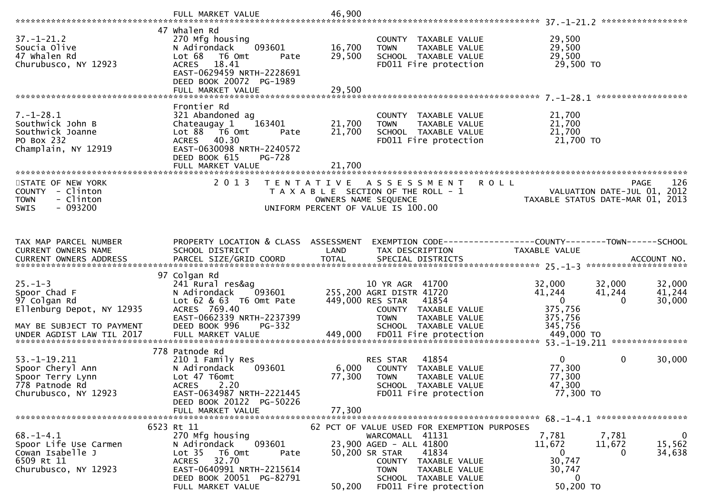|                                                                                                         | FULL MARKET VALUE                                                                                                                                                                           | 46,900                     |                                                                                                                                                                                |                                                                                                                                                                          |
|---------------------------------------------------------------------------------------------------------|---------------------------------------------------------------------------------------------------------------------------------------------------------------------------------------------|----------------------------|--------------------------------------------------------------------------------------------------------------------------------------------------------------------------------|--------------------------------------------------------------------------------------------------------------------------------------------------------------------------|
| $37. - 1 - 21.2$<br>Soucia Olive<br>47 whalen Rd<br>Churubusco, NY 12923                                | 47 Whalen Rd<br>270 Mfg housing<br>093601<br>N Adirondack<br>Lot 68<br>T6 Omt<br>Pate<br>18.41<br><b>ACRES</b><br>EAST-0629459 NRTH-2228691<br>DEED BOOK 20072 PG-1989<br>FULL MARKET VALUE | 16,700<br>29,500<br>29,500 | COUNTY TAXABLE VALUE<br>TAXABLE VALUE<br><b>TOWN</b><br>SCHOOL TAXABLE VALUE<br>FD011 Fire protection                                                                          | *****************<br>29,500<br>29,500<br>29,500<br>29,500 TO                                                                                                             |
|                                                                                                         |                                                                                                                                                                                             |                            |                                                                                                                                                                                |                                                                                                                                                                          |
| $7. - 1 - 28.1$<br>Southwick John B<br>Southwick Joanne<br>PO Box 232<br>Champlain, NY 12919            | Frontier Rd<br>321 Abandoned ag<br>Chateaugay 1<br>163401<br>Lot 88<br>T6 Omt<br>Pate<br>ACRES 40.30<br>EAST-0630098 NRTH-2240572<br>DEED BOOK 615<br><b>PG-728</b>                         | 21,700<br>21,700           | COUNTY TAXABLE VALUE<br>TAXABLE VALUE<br><b>TOWN</b><br>SCHOOL TAXABLE VALUE<br>FD011 Fire protection                                                                          | 21,700<br>21,700<br>21,700<br>21,700 TO                                                                                                                                  |
|                                                                                                         | FULL MARKET VALUE                                                                                                                                                                           | 21,700                     |                                                                                                                                                                                |                                                                                                                                                                          |
| STATE OF NEW YORK<br>- Clinton<br>COUNTY<br><b>TOWN</b><br>- Clinton<br>$-093200$<br><b>SWIS</b>        | 2 0 1 3                                                                                                                                                                                     | T E N T A T I V E          | A S S E S S M E N T<br>T A X A B L E SECTION OF THE ROLL - 1<br>OWNERS NAME SEQUENCE<br>UNIFORM PERCENT OF VALUE IS 100.00                                                     | 126<br><b>ROLL</b><br><b>PAGE</b><br>2012<br>VALUATION DATE-JUL 01,<br>TAXABLE STATUS DATE-MAR 01, 2013                                                                  |
| TAX MAP PARCEL NUMBER<br>CURRENT OWNERS NAME<br>CURRENT OWNERS ADDRESS                                  | PROPERTY LOCATION & CLASS ASSESSMENT<br>SCHOOL DISTRICT                                                                                                                                     | LAND                       | TAX DESCRIPTION                                                                                                                                                                | EXEMPTION CODE-----------------COUNTY-------TOWN------SCHOOL<br>TAXABLE VALUE<br>CURRENT OWNERS ADDRESS PARCEL SIZE/GRID COORD TOTAL SPECIAL DISTRICTS 75 70 ACCOUNT NO. |
|                                                                                                         | 97 Colgan Rd                                                                                                                                                                                |                            |                                                                                                                                                                                |                                                                                                                                                                          |
| $25. - 1 - 3$<br>Spoor Chad F<br>97 Colgan Rd<br>Ellenburg Depot, NY 12935<br>MAY BE SUBJECT TO PAYMENT | 241 Rural res&ag<br>N Adirondack<br>093601<br>Lot 62 & 63 T6 Omt Pate<br>ACRES 769.40<br>EAST-0662339 NRTH-2237399<br>DEED BOOK 996<br>PG-332                                               |                            | 10 YR AGR 41700<br>255,200 AGRI DISTR 41720<br>449,000 RES STAR<br>41854<br>COUNTY TAXABLE VALUE<br>TAXABLE VALUE<br><b>TOWN</b><br>SCHOOL TAXABLE VALUE                       | 32,000<br>32,000<br>32,000<br>41,244<br>41,244<br>41,244<br>$\mathbf{0}$<br>30,000<br>$\Omega$<br>375,756<br>375,756<br>345,756                                          |
|                                                                                                         |                                                                                                                                                                                             |                            |                                                                                                                                                                                |                                                                                                                                                                          |
| $53. - 1 - 19.211$<br>Spoor Cheryl Ann<br>Spoor Terry Lynn<br>778 Patnode Rd<br>Churubusco, NY 12923    | 778 Patnode Rd<br>210 1 Family Res<br>093601<br>N Adirondack<br>Lot 47 T6omt<br>2.20<br><b>ACRES</b><br>EAST-0634987 NRTH-2221445<br>DEED BOOK 20122 PG-50226                               | 6,000<br>77,300            | 41854<br>RES STAR<br>COUNTY TAXABLE VALUE<br><b>TOWN</b><br>TAXABLE VALUE<br>SCHOOL TAXABLE VALUE<br>FD011 Fire protection                                                     | $\mathbf{0}$<br>0<br>30,000<br>77,300<br>77,300<br>47,300<br>77,300 TO                                                                                                   |
|                                                                                                         | FULL MARKET VALUE                                                                                                                                                                           | 77,300                     |                                                                                                                                                                                |                                                                                                                                                                          |
|                                                                                                         | 6523 Rt 11                                                                                                                                                                                  |                            | 62 PCT OF VALUE USED FOR EXEMPTION PURPOSES                                                                                                                                    |                                                                                                                                                                          |
| $68. - 1 - 4.1$<br>Spoor Life Use Carmen<br>Cowan Isabelle J<br>6509 Rt 11<br>Churubusco, NY 12923      | 270 Mfg housing<br>N Adirondack<br>093601<br>Lot <sub>35</sub><br>T6 Omt<br>Pate<br>32.70<br>ACRES<br>EAST-0640991 NRTH-2215614<br>DEED BOOK 20051 PG-82791<br>FULL MARKET VALUE            | 50,200                     | WARCOMALL 41131<br>23,900 AGED - ALL 41800<br>50,200 SR STAR<br>41834<br>COUNTY TAXABLE VALUE<br>TAXABLE VALUE<br><b>TOWN</b><br>SCHOOL TAXABLE VALUE<br>FD011 Fire protection | $\mathbf{0}$<br>7,781<br>7,781<br>11,672<br>11,672<br>15,562<br>34,638<br>0<br>0<br>30,747<br>30,747<br>$\bf{0}$<br>50,200 TO                                            |
|                                                                                                         |                                                                                                                                                                                             |                            |                                                                                                                                                                                |                                                                                                                                                                          |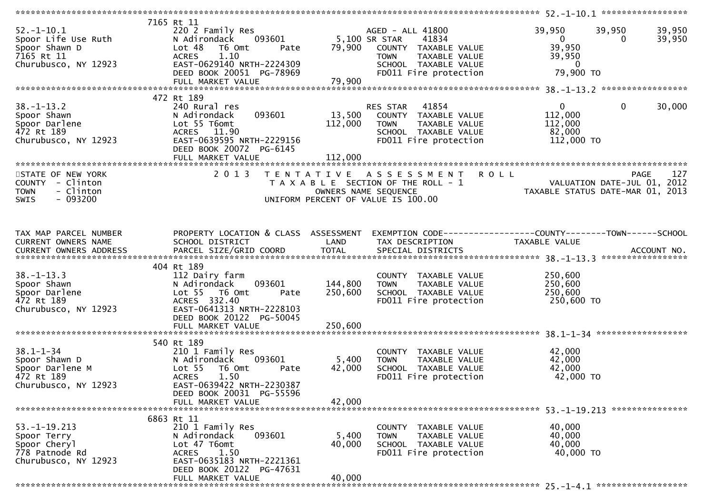| $52. - 1 - 10.1$<br>Spoor Life Use Ruth<br>Spoor Shawn D<br>7165 Rt 11<br>Churubusco, NY 12923 | 7165 Rt 11<br>220 2 Family Res<br>093601<br>N Adirondack<br>Lot 48<br>T6 Omt<br>Pate<br>1.10<br><b>ACRES</b><br>EAST-0629140 NRTH-2224309<br>DEED BOOK 20051 PG-78969                                 | 5,100 SR STAR<br>79,900   | AGED - ALL 41800<br>41834<br>COUNTY TAXABLE VALUE<br><b>TOWN</b><br>TAXABLE VALUE<br>SCHOOL TAXABLE VALUE<br>FD011 Fire protection | 39,950<br>39,950<br>39,950<br>$\mathbf{0}$<br>39,950<br>$\Omega$<br>39,950<br>39,950<br>$\overline{0}$<br>79,900 TO |     |
|------------------------------------------------------------------------------------------------|-------------------------------------------------------------------------------------------------------------------------------------------------------------------------------------------------------|---------------------------|------------------------------------------------------------------------------------------------------------------------------------|---------------------------------------------------------------------------------------------------------------------|-----|
| $38. - 1 - 13.2$<br>Spoor Shawn<br>Spoor Darlene<br>472 Rt 189<br>Churubusco, NY 12923         | 472 Rt 189<br>240 Rural res<br>093601<br>N Adirondack<br>Lot 55 T6omt<br>ACRES 11.90<br>EAST-0639595 NRTH-2229156<br>DEED BOOK 20072 PG-6145                                                          | 13,500<br>112,000         | <b>RES STAR 41854</b><br>COUNTY TAXABLE VALUE<br><b>TOWN</b><br>TAXABLE VALUE<br>SCHOOL TAXABLE VALUE<br>FD011 Fire protection     | $\mathbf{0}$<br>$\mathbf 0$<br>30,000<br>112,000<br>112,000<br>82,000<br>112,000 TO                                 |     |
| STATE OF NEW YORK<br>COUNTY - Clinton<br>- Clinton<br><b>TOWN</b><br>$-093200$<br><b>SWIS</b>  | 2 0 1 3                                                                                                                                                                                               | OWNERS NAME SEQUENCE      | TENTATIVE ASSESSMENT<br>T A X A B L E SECTION OF THE ROLL - 1<br>UNIFORM PERCENT OF VALUE IS 100.00                                | <b>ROLL</b><br>PAGE<br>VALUATION DATE-JUL 01, 2012<br>TAXABLE STATUS DATE-MAR 01, 2013                              | 127 |
| TAX MAP PARCEL NUMBER<br>CURRENT OWNERS NAME                                                   | PROPERTY LOCATION & CLASS ASSESSMENT<br>SCHOOL DISTRICT                                                                                                                                               | LAND                      | TAX DESCRIPTION                                                                                                                    | TAXABLE VALUE                                                                                                       |     |
| $38. - 1 - 13.3$<br>Spoor Shawn<br>Spoor Darlene<br>472 Rt 189<br>Churubusco, NY 12923         | 404 Rt 189<br>112 Dairy farm<br>093601<br>N Adirondack<br>Lot 55 T6 Omt<br>Pate<br>ACRES 332.40<br>EAST-0641313 NRTH-2228103<br>DEED BOOK 20122 PG-50045                                              | 144,800<br>250,600        | COUNTY TAXABLE VALUE<br>TAXABLE VALUE<br><b>TOWN</b><br>SCHOOL TAXABLE VALUE<br>FD011 Fire protection                              | 250,600<br>250,600<br>250,600<br>250,600 то                                                                         |     |
|                                                                                                | FULL MARKET VALUE                                                                                                                                                                                     | 250,600                   |                                                                                                                                    |                                                                                                                     |     |
| $38.1 - 1 - 34$<br>Spoor Shawn D<br>Spoor Darlene M<br>472 Rt 189<br>Churubusco, NY 12923      | 540 Rt 189<br>210 1 Family Res<br>093601<br>N Adirondack<br>Lot <sub>55</sub><br>T6 Omt<br>Pate<br><b>ACRES</b><br>1.50<br>EAST-0639422 NRTH-2230387<br>DEED BOOK 20031 PG-55596<br>FULL MARKET VALUE | 5,400<br>42,000<br>42,000 | COUNTY TAXABLE VALUE<br>TAXABLE VALUE<br><b>TOWN</b><br>SCHOOL TAXABLE VALUE<br>FD011 Fire protection                              | 42,000<br>42,000<br>42,000<br>42,000 TO                                                                             |     |
| $53. - 1 - 19.213$<br>Spoor Terry<br>Spoor Cheryl                                              | 6863 Rt 11<br>210 1 Family Res<br>093601<br>N Adirondack<br>Lot 47 T6omt                                                                                                                              | 5,400<br>40,000           | COUNTY TAXABLE VALUE<br><b>TOWN</b><br>TAXABLE VALUE<br>SCHOOL TAXABLE VALUE                                                       | 40,000<br>40,000<br>40,000                                                                                          |     |
| 778 Patnode Rd<br>Churubusco, NY 12923                                                         | 1.50<br><b>ACRES</b><br>EAST-0635183 NRTH-2221361<br>DEED BOOK 20122 PG-47631<br>FULL MARKET VALUE                                                                                                    | 40,000                    | FD011 Fire protection                                                                                                              | 40,000 TO                                                                                                           |     |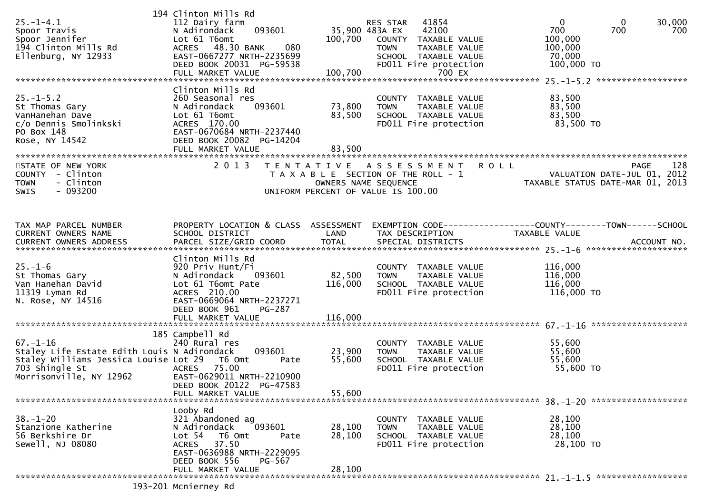| $25. - 1 - 4.1$<br>Spoor Travis<br>Spoor Jennifer<br>194 Clinton Mills Rd<br>Ellenburg, NY 12933                                                                                        | 194 Clinton Mills Rd<br>112 Dairy farm<br>093601<br>N Adirondack<br>Lot 61 T6omt<br>ACRES 48.30 BANK<br>080<br>EAST-0667277 NRTH-2235699<br>DEED BOOK 20031 PG-59538<br>FULL MARKET VALUE | 100,700                    | 41854<br>RES STAR<br>35,900 483A EX<br>42100<br>100,700 COUNTY TAXABLE VALUE<br><b>TOWN</b><br>TAXABLE VALUE<br>SCHOOL TAXABLE VALUE<br>FD011 Fire protection<br>700 EX | $\mathbf{0}$<br>$\mathbf{0}$<br>30,000<br>700<br>700<br>700<br>100,000<br>100,000<br>70,000<br>100,000 TO |
|-----------------------------------------------------------------------------------------------------------------------------------------------------------------------------------------|-------------------------------------------------------------------------------------------------------------------------------------------------------------------------------------------|----------------------------|-------------------------------------------------------------------------------------------------------------------------------------------------------------------------|-----------------------------------------------------------------------------------------------------------|
| $25. - 1 - 5.2$<br>St Thomas Gary<br>VanHanehan Dave<br>c/o Dennis Smolinkski<br>PO Box 148<br>Rose, NY 14542                                                                           | Clinton Mills Rd<br>260 Seasonal res<br>N Adirondack<br>093601<br>Lot 61 T6omt<br>ACRES 170.00<br>EAST-0670684 NRTH-2237440<br>DEED BOOK 20082 PG-14204<br>FULL MARKET VALUE              | 73,800<br>83,500<br>83,500 | COUNTY TAXABLE VALUE<br>TAXABLE VALUE<br><b>TOWN</b><br>SCHOOL TAXABLE VALUE<br>FD011 Fire protection                                                                   | 83,500<br>83,500<br>83,500<br>83,500 TO                                                                   |
| STATE OF NEW YORK<br>COUNTY - Clinton<br><b>TOWN</b><br>- Clinton<br>- 093200<br><b>SWIS</b>                                                                                            | 2 0 1 3                                                                                                                                                                                   | OWNERS NAME SEQUENCE       | TENTATIVE ASSESSMENT ROLL<br>T A X A B L E SECTION OF THE ROLL - 1<br>UNIFORM PERCENT OF VALUE IS 100.00                                                                | 128<br><b>PAGE</b><br>VALUATION DATE-JUL 01, 2012<br>TAXABLE STATUS DATE-MAR 01, 2013                     |
| TAX MAP PARCEL NUMBER<br>CURRENT OWNERS NAME<br>CURRENT OWNERS ADDRESS                                                                                                                  | PROPERTY LOCATION & CLASS ASSESSMENT<br>SCHOOL DISTRICT<br>PARCEL SIZE/GRID COORD                                                                                                         | LAND<br><b>TOTAL</b>       | TAX DESCRIPTION<br>SPECIAL DISTRICTS                                                                                                                                    | EXEMPTION CODE------------------COUNTY--------TOWN------SCHOOL<br>TAXABLE VALUE<br>ACCOUNT NO.            |
| $25. - 1 - 6$<br>St Thomas Gary<br>Van Hanehan David<br>11319 Lyman Rd<br>N. Rose, NY 14516                                                                                             | Clinton Mills Rd<br>920 Priv Hunt/Fi<br>N Adirondack<br>093601<br>Lot 61 T6omt Pate<br>ACRES 210.00<br>EAST-0669064 NRTH-2237271<br>DEED BOOK 961<br>PG-287                               | 82,500<br>116,000          | COUNTY TAXABLE VALUE<br><b>TOWN</b><br>TAXABLE VALUE<br>SCHOOL TAXABLE VALUE<br>FD011 Fire protection                                                                   | 116,000<br>116,000<br>116,000<br>116,000 TO                                                               |
| $67. - 1 - 16$<br>Staley Life Estate Edith Louis N Adirondack<br>Staley Williams Jessica Louise Lot 29<br>703 Shingle St<br>Morrisonville, NY 12962<br>******************************** | 185 Campbell Rd<br>240 Rural res<br>093601<br>T6 Omt<br>Pate<br>ACRES 75.00<br>EAST-0629011 NRTH-2210900<br>DEED BOOK 20122 PG-47583<br>FULL MARKET VALUE                                 | 23,900<br>55,600<br>55,600 | COUNTY TAXABLE VALUE<br>TAXABLE VALUE<br><b>TOWN</b><br>SCHOOL TAXABLE VALUE<br>FD011 Fire protection                                                                   | 55,600<br>55,600<br>55,600<br>55,600 TO                                                                   |
| $38. - 1 - 20$<br>Stanzione Katherine<br>56 Berkshire Dr<br>Sewell, NJ 08080                                                                                                            | Looby Rd<br>321 Abandoned ag<br>N Adirondack<br>093601<br>Lot 54<br>T6 Omt<br>Pate<br>37.50<br><b>ACRES</b><br>EAST-0636988 NRTH-2229095<br>DEED BOOK 556<br>PG-567<br>FULL MARKET VALUE  | 28,100<br>28,100<br>28,100 | COUNTY TAXABLE VALUE<br>TAXABLE VALUE<br><b>TOWN</b><br>SCHOOL TAXABLE VALUE<br>FD011 Fire protection                                                                   | 28,100<br>28,100<br>28,100<br>28,100 TO                                                                   |
| $102.201$ $MeA$                                                                                                                                                                         |                                                                                                                                                                                           |                            |                                                                                                                                                                         |                                                                                                           |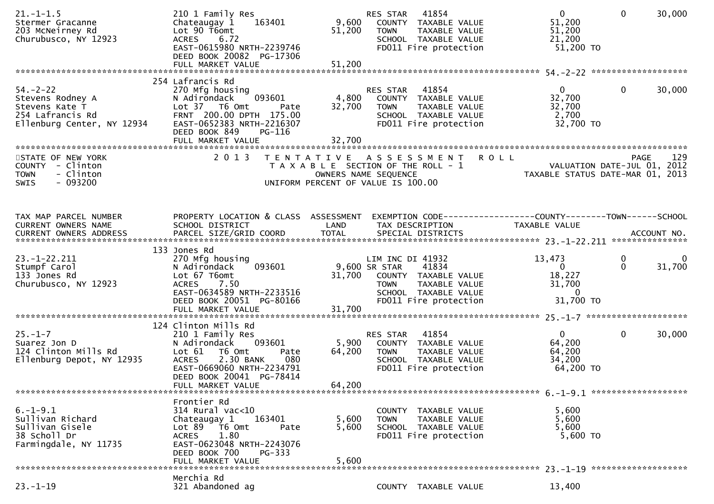| $21. - 1 - 1.5$<br>Stermer Gracanne<br>203 McNeirney Rd<br>Churubusco, NY 12923                        | 210 1 Family Res<br>Chateaugay 1<br>163401<br>Lot 90 T6omt<br>6.72<br><b>ACRES</b><br>EAST-0615980 NRTH-2239746<br>DEED BOOK 20082 PG-17306                                                                        | 9,600<br>51,200           | 41854<br>RES STAR<br>COUNTY TAXABLE VALUE<br><b>TOWN</b><br>TAXABLE VALUE<br>SCHOOL TAXABLE VALUE<br>FD011 Fire protection                                 | $\overline{0}$<br>$\mathbf 0$<br>30,000<br>51,200<br>51,200<br>21,200<br>$51,200$ TO                            |
|--------------------------------------------------------------------------------------------------------|--------------------------------------------------------------------------------------------------------------------------------------------------------------------------------------------------------------------|---------------------------|------------------------------------------------------------------------------------------------------------------------------------------------------------|-----------------------------------------------------------------------------------------------------------------|
| $54. - 2 - 22$<br>Stevens Rodney A<br>Stevens Kate T<br>254 Lafrancis Rd<br>Ellenburg Center, NY 12934 | 254 Lafrancis Rd<br>270 Mfg housing<br>093601<br>N Adirondack<br>Lot 37 T6 Omt<br>Pate<br>FRNT 200.00 DPTH 175.00<br>EAST-0652383 NRTH-2216307                                                                     | 4,800<br>32,700           | RES STAR<br>41854<br>COUNTY TAXABLE VALUE<br><b>TOWN</b><br>TAXABLE VALUE<br>SCHOOL TAXABLE VALUE<br>FD011 Fire protection                                 | $\overline{0}$<br>$\mathbf{0}$<br>30,000<br>32,700<br>32,700<br>2,700<br>32,700 TO                              |
| STATE OF NEW YORK<br>COUNTY - Clinton<br>- Clinton<br><b>TOWN</b><br>$-093200$<br><b>SWIS</b>          | DEED BOOK 849<br>PG-116<br>2 0 1 3                                                                                                                                                                                 | 32,700                    | TENTATIVE ASSESSMENT ROLL<br>T A X A B L E SECTION OF THE ROLL - 1<br>OWNERS NAME SEQUENCE<br>UNIFORM PERCENT OF VALUE IS 100.00                           | 129<br><b>PAGE</b><br>VALUATION DATE-JUL 01, 2012<br>TAXABLE STATUS DATE-MAR 01, 2013                           |
| TAX MAP PARCEL NUMBER<br>CURRENT OWNERS NAME                                                           | PROPERTY LOCATION & CLASS ASSESSMENT<br>SCHOOL DISTRICT                                                                                                                                                            | LAND                      | TAX DESCRIPTION                                                                                                                                            | EXEMPTION CODE-----------------COUNTY-------TOWN------SCHOOL<br>TAXABLE VALUE                                   |
| $23. - 1 - 22.211$<br>Stumpf Carol<br>133 Jones Rd<br>Churubusco, NY 12923                             | 133 Jones Rd<br>270 Mfg housing<br>093601<br>N Adirondack<br>Lot 67 T6omt<br>7.50<br><b>ACRES</b><br>EAST-0634589 NRTH-2233516<br>DEED BOOK 20051 PG-80166                                                         |                           | LIM INC DI 41932<br>9,600 SR STAR<br>41834<br>31,700 COUNTY TAXABLE VALUE<br><b>TOWN</b><br>TAXABLE VALUE<br>SCHOOL TAXABLE VALUE<br>FD011 Fire protection | 13,473<br>$\mathbf 0$<br>0<br>$\Omega$<br>31,700<br>$\overline{0}$<br>18,227<br>31,700<br>$\Omega$<br>31,700 TO |
| $25. - 1 - 7$<br>Suarez Jon D<br>124 Clinton Mills Rd<br>Ellenburg Depot, NY 12935                     | 124 Clinton Mills Rd<br>210 1 Family Res<br>093601<br>N Adirondack<br>Lot $61$<br>T6 Omt<br>Pate<br>2.30 BANK<br><b>ACRES</b><br>080<br>EAST-0669060 NRTH-2234791<br>DEED BOOK 20041 PG-78414<br>FULL MARKET VALUE | 5,900<br>64,200<br>64,200 | 41854<br><b>RES STAR</b><br>COUNTY TAXABLE VALUE<br>TAXABLE VALUE<br><b>TOWN</b><br>SCHOOL TAXABLE VALUE<br>FD011 Fire protection                          | $\mathbf{0}$<br>$\mathbf 0$<br>30,000<br>64,200<br>64,200<br>34,200<br>64,200 TO                                |
| $6. -1 - 9.1$<br>Sullivan Richard<br>Sullivan Gisele<br>38 Scholl Dr<br>Farmingdale, NY 11735          | Frontier Rd<br>314 Rural vac<10<br>Chateaugay 1<br>163401<br>Lot 89 T6 Omt<br>Pate<br>1.80<br><b>ACRES</b><br>EAST-0623048 NRTH-2243076<br>DEED BOOK 700<br>PG-333<br>FULL MARKET VALUE                            | 5,600<br>5,600<br>5,600   | COUNTY TAXABLE VALUE<br><b>TOWN</b><br>TAXABLE VALUE<br>SCHOOL TAXABLE VALUE<br>FD011 Fire protection                                                      | 5,600<br>5,600<br>5,600<br>5,600 TO                                                                             |
| $23. - 1 - 19$                                                                                         | Merchia Rd<br>321 Abandoned ag                                                                                                                                                                                     |                           | COUNTY TAXABLE VALUE                                                                                                                                       | 13,400                                                                                                          |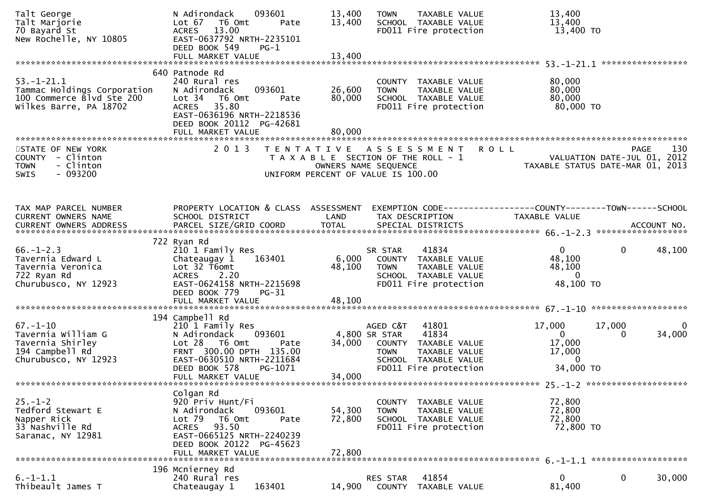| Talt George<br>Talt Marjorie<br>70 Bayard St<br>New Rochelle, NY 10805                                 | N Adirondack<br>093601<br>Lot 67<br>T6 Omt<br>Pate<br>ACRES 13.00<br>EAST-0637792 NRTH-2235101<br>DEED BOOK 549<br>$PG-1$<br>FULL MARKET VALUE                                                          | 13,400<br>13,400<br>13,400 | TAXABLE VALUE<br><b>TOWN</b><br>SCHOOL TAXABLE VALUE<br>FD011 Fire protection                                                                        | 13,400<br>13,400<br>13,400 TO                                                                       |             |
|--------------------------------------------------------------------------------------------------------|---------------------------------------------------------------------------------------------------------------------------------------------------------------------------------------------------------|----------------------------|------------------------------------------------------------------------------------------------------------------------------------------------------|-----------------------------------------------------------------------------------------------------|-------------|
| $53. - 1 - 21.1$<br>Tammac Holdings Corporation<br>100 Commerce Blvd Ste 200<br>Wilkes Barre, PA 18702 | 640 Patnode Rd<br>240 Rural res<br>093601<br>N Adirondack<br>Lot <sub>34</sub><br>T6 Omt<br>Pate<br>35.80<br><b>ACRES</b><br>EAST-0636196 NRTH-2218536<br>DEED BOOK 20112 PG-42681<br>FULL MARKET VALUE | 26,600<br>80,000<br>80,000 | COUNTY TAXABLE VALUE<br><b>TOWN</b><br>TAXABLE VALUE<br>SCHOOL TAXABLE VALUE<br>FD011 Fire protection                                                | 80,000<br>80,000<br>80,000<br>80,000 TO                                                             |             |
| STATE OF NEW YORK<br>COUNTY - Clinton<br>- Clinton<br><b>TOWN</b><br>$-093200$<br><b>SWIS</b>          | 2 0 1 3                                                                                                                                                                                                 | T E N T A T I V E          | <b>ROLL</b><br>A S S E S S M E N T<br>T A X A B L E SECTION OF THE ROLL - 1<br>OWNERS NAME SEQUENCE<br>UNIFORM PERCENT OF VALUE IS 100.00            | <b>PAGE</b><br>VALUATION DATE-JUL 01, 2012<br>TAXABLE STATUS DATE-MAR 01, 2013                      | 130         |
| TAX MAP PARCEL NUMBER<br>CURRENT OWNERS NAME                                                           | PROPERTY LOCATION & CLASS ASSESSMENT<br>SCHOOL DISTRICT                                                                                                                                                 | LAND                       | TAX DESCRIPTION                                                                                                                                      | EXEMPTION CODE-----------------COUNTY-------TOWN------SCHOOL<br>TAXABLE VALUE                       |             |
| $66. - 1 - 2.3$<br>Tavernia Edward L<br>Tavernia Veronica<br>722 Ryan Rd<br>Churubusco, NY 12923       | 722 Ryan Rd<br>210 1 Family Res<br>163401<br>Chateaugay 1<br>Lot 32 T6omt<br>ACRES 2.20<br>EAST-0624158 NRTH-2215698<br>DEED BOOK 779<br>$PG-31$<br>FULL MARKET VALUE                                   | 6,000<br>48,100<br>48,100  | 41834<br>SR STAR<br>COUNTY TAXABLE VALUE<br><b>TOWN</b><br>TAXABLE VALUE<br>SCHOOL TAXABLE VALUE<br>FD011 Fire protection                            | $\mathbf{0}$<br>0<br>48,100<br>48,100<br>$\mathbf{0}$<br>48,100 TO                                  | 48,100      |
| $67. - 1 - 10$<br>Tavernia William G<br>Tavernia Shirley<br>194 Campbell Rd<br>Churubusco, NY 12923    | 194 Campbell Rd<br>210 1 Family Res<br>093601<br>N Adirondack<br>$Lot 28$ T6 Omt<br>Pate<br>FRNT 300.00 DPTH 135.00<br>EAST-0630510 NRTH-2211684<br>DEED BOOK 578<br>PG-1071<br>FULL MARKET VALUE       | 34,000<br>34,000           | AGED C&T<br>41801<br>4,800 SR STAR<br>41834<br>COUNTY TAXABLE VALUE<br>TAXABLE VALUE<br><b>TOWN</b><br>SCHOOL TAXABLE VALUE<br>FD011 Fire protection | 17,000<br>17,000<br>$\mathbf{0}$<br>$\overline{0}$<br>17,000<br>17,000<br>$\mathbf{0}$<br>34,000 TO | 0<br>34,000 |
| $25. - 1 - 2$<br>Tedford Stewart E<br>Napper Rick<br>33 Nashville Rd<br>Saranac, NY 12981              | Colgan Rd<br>920 Priv Hunt/Fi<br>093601<br>N Adirondack<br>Lot <sub>79</sub><br>T6 Omt<br>Pate<br>93.50<br><b>ACRES</b><br>EAST-0665125 NRTH-2240239<br>DEED BOOK 20122 PG-45623<br>FULL MARKET VALUE   | 54,300<br>72,800<br>72,800 | COUNTY TAXABLE VALUE<br><b>TOWN</b><br>TAXABLE VALUE<br>SCHOOL TAXABLE VALUE<br>FD011 Fire protection                                                | 72,800<br>72,800<br>72,800<br>72,800 TO                                                             |             |
| $6. -1 - 1.1$<br>Thibeault James T                                                                     | 196 Mcnierney Rd<br>240 Rural res<br>Chateaugay 1<br>163401                                                                                                                                             | 14,900                     | 41854<br><b>RES STAR</b><br>COUNTY<br>TAXABLE VALUE                                                                                                  | 0<br>0<br>81,400                                                                                    | 30,000      |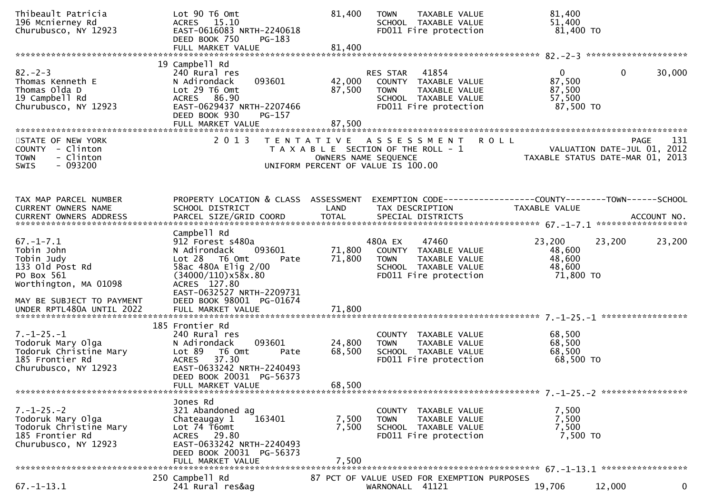| Thibeault Patricia<br>196 Mcnierney Rd<br>Churubusco, NY 12923                                               | Lot 90 T6 Omt<br>ACRES 15.10<br>EAST-0616083 NRTH-2240618<br>DEED BOOK 750<br>PG-183                                                                                                          | 81,400                     | <b>TOWN</b><br><b>TAXABLE VALUE</b><br>SCHOOL TAXABLE VALUE<br>FD011 Fire protection                                        | 81,400<br>51,400<br>81,400 TO                             |                                                                                       |
|--------------------------------------------------------------------------------------------------------------|-----------------------------------------------------------------------------------------------------------------------------------------------------------------------------------------------|----------------------------|-----------------------------------------------------------------------------------------------------------------------------|-----------------------------------------------------------|---------------------------------------------------------------------------------------|
|                                                                                                              | 19 Campbell Rd                                                                                                                                                                                |                            |                                                                                                                             |                                                           |                                                                                       |
| $82 - 2 - 3$<br>Thomas Kenneth E<br>Thomas Olda D<br>19 Campbell Rd<br>Churubusco, NY 12923                  | 240 Rural res<br>093601<br>N Adirondack<br>Lot 29 T6 Omt<br>ACRES 86.90<br>EAST-0629437 NRTH-2207466<br>DEED BOOK 930<br>PG-157<br>FULL MARKET VALUE                                          | 42,000<br>87,500<br>87,500 | 41854<br>RES STAR<br>COUNTY TAXABLE VALUE<br><b>TOWN</b><br>TAXABLE VALUE<br>SCHOOL TAXABLE VALUE<br>FD011 Fire protection  | $\overline{0}$<br>87,500<br>87,500<br>57,500<br>87,500 TO | $\mathbf{0}$<br>30,000                                                                |
|                                                                                                              |                                                                                                                                                                                               |                            |                                                                                                                             |                                                           |                                                                                       |
| STATE OF NEW YORK<br>COUNTY - Clinton<br>- Clinton<br><b>TOWN</b><br>$-093200$<br>SWIS                       | 2 0 1 3                                                                                                                                                                                       |                            | TENTATIVE ASSESSMENT<br>T A X A B L E SECTION OF THE ROLL - 1<br>OWNERS NAME SEQUENCE<br>UNIFORM PERCENT OF VALUE IS 100.00 | <b>ROLL</b>                                               | <b>PAGE</b><br>131<br>VALUATION DATE-JUL 01, 2012<br>TAXABLE STATUS DATE-MAR 01, 2013 |
| TAX MAP PARCEL NUMBER<br>CURRENT OWNERS NAME                                                                 | PROPERTY LOCATION & CLASS ASSESSMENT<br>SCHOOL DISTRICT                                                                                                                                       |                            | EXEMPTION CODE------------------COUNTY--------TOWN------SCHOOL<br>TAX DESCRIPTION                                           |                                                           |                                                                                       |
|                                                                                                              |                                                                                                                                                                                               | LAND                       |                                                                                                                             | TAXABLE VALUE                                             |                                                                                       |
| $67. - 1 - 7.1$<br>Tobin John<br>Tobin Judy<br>133 old Post Rd<br>PO Box 561<br>Worthington, MA 01098        | Campbell Rd<br>912 Forest s480a<br>093601<br>N Adirondack<br>$Lot 28$ T6 Omt<br>Pate<br>58ac 480A Elig 2/00<br>$(34000/110) \times 58 \times 0.80$<br>ACRES 127.80                            | 71,800<br>71,800           | 480A EX<br>47460<br>COUNTY TAXABLE VALUE<br>TAXABLE VALUE<br><b>TOWN</b><br>SCHOOL TAXABLE VALUE<br>FD011 Fire protection   | 23,200<br>48,600<br>48,600<br>48,600<br>71,800 TO         | 23,200<br>23,200                                                                      |
| MAY BE SUBJECT TO PAYMENT                                                                                    | EAST-0632527 NRTH-2209731<br>DEED BOOK 98001 PG-01674                                                                                                                                         |                            |                                                                                                                             |                                                           |                                                                                       |
| $7. - 1 - 25. - 1$<br>Todoruk Mary Olga<br>Todoruk Christine Mary<br>185 Frontier Rd<br>Churubusco, NY 12923 | 185 Frontier Rd<br>240 Rural res<br>093601<br>N Adirondack<br>Lot 89<br>T6 Omt<br>Pate<br><b>ACRES</b><br>37.30<br>EAST-0633242 NRTH-2240493<br>DEED BOOK 20031 PG-56373<br>FULL MARKET VALUE | 24,800<br>68,500<br>68,500 | COUNTY TAXABLE VALUE<br><b>TOWN</b><br>TAXABLE VALUE<br>SCHOOL TAXABLE VALUE<br>FD011 Fire protection                       | 68,500<br>68,500<br>68,500<br>68,500 TO                   |                                                                                       |
|                                                                                                              | Jones Rd                                                                                                                                                                                      |                            |                                                                                                                             |                                                           |                                                                                       |
| $7. - 1 - 25. - 2$<br>Todoruk Mary Olga<br>Todoruk Christine Mary<br>185 Frontier Rd<br>Churubusco, NY 12923 | 321 Abandoned ag<br>163401<br>Chateaugay 1<br>Lot 74 T6omt<br>ACRES 29.80<br>EAST-0633242 NRTH-2240493<br>DEED BOOK 20031 PG-56373<br>FULL MARKET VALUE                                       | 7,500<br>7,500<br>7,500    | COUNTY TAXABLE VALUE<br>TAXABLE VALUE<br>TOWN<br>SCHOOL TAXABLE VALUE<br>FD011 Fire protection                              | 7,500<br>7,500<br>7,500<br>7,500 TO                       |                                                                                       |
|                                                                                                              |                                                                                                                                                                                               |                            |                                                                                                                             |                                                           |                                                                                       |
| $67. - 1 - 13.1$                                                                                             | 250 Campbell Rd<br>241 Rural res&ag                                                                                                                                                           |                            | 87 PCT OF VALUE USED FOR EXEMPTION PURPOSES<br>WARNONALL 41121                                                              | 19,706                                                    | $\mathbf{0}$<br>12,000                                                                |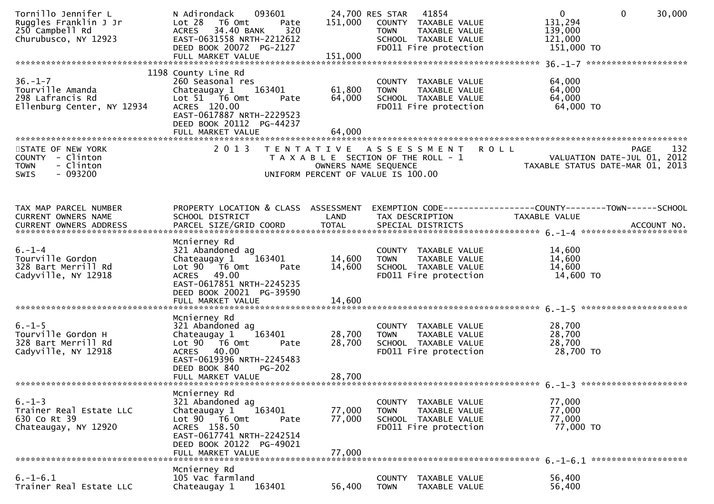| Tornillo Jennifer L<br>Ruggles Franklin J Jr<br>250 Campbell Rd<br>Churubusco, NY 12923       | 093601<br>N Adirondack<br>Lot 28<br>T6 Omt<br>Pate<br>320<br>ACRES 34.40 BANK<br>EAST-0631558 NRTH-2212612<br>DEED BOOK 20072 PG-2127<br>FULL MARKET VALUE                               | 151,000<br>151,000         | 24,700 RES STAR 41854<br>COUNTY TAXABLE VALUE<br><b>TOWN</b><br>TAXABLE VALUE<br>SCHOOL TAXABLE VALUE<br>FD011 Fire protection | $\overline{0}$<br>$\mathbf{0}$<br>30,000<br>131,294<br>139,000<br>121,000<br>151,000 TO                                          |
|-----------------------------------------------------------------------------------------------|------------------------------------------------------------------------------------------------------------------------------------------------------------------------------------------|----------------------------|--------------------------------------------------------------------------------------------------------------------------------|----------------------------------------------------------------------------------------------------------------------------------|
| $36. - 1 - 7$<br>Tourville Amanda<br>298 Lafrancis Rd<br>Ellenburg Center, NY 12934           | 1198 County Line Rd<br>260 Seasonal res<br>163401<br>Chateaugay 1<br>Lot 51 76 0mt<br>Pate<br>ACRES 120.00<br>EAST-0617887 NRTH-2229523<br>DEED BOOK 20112 PG-44237<br>FULL MARKET VALUE | 61,800<br>64,000<br>64,000 | COUNTY TAXABLE VALUE<br><b>TOWN</b><br>TAXABLE VALUE<br>SCHOOL TAXABLE VALUE<br>FD011 Fire protection                          | 64,000<br>64,000<br>64,000<br>64,000 TO                                                                                          |
| STATE OF NEW YORK<br>COUNTY - Clinton<br>- Clinton<br><b>TOWN</b><br>$-093200$<br><b>SWIS</b> | 2 0 1 3<br>T E N T A T I V E                                                                                                                                                             | OWNERS NAME SEQUENCE       | A S S E S S M E N T<br>T A X A B L E SECTION OF THE ROLL - 1<br>UNIFORM PERCENT OF VALUE IS 100.00                             | <b>ROLL</b><br>132<br><b>PAGE</b><br>VALUATION DATE-JUL 01, 2012<br>TAXABLE STATUS DATE-MAR 01, 2013                             |
| TAX MAP PARCEL NUMBER<br>CURRENT OWNERS NAME<br><b>CURRENT OWNERS ADDRESS</b>                 | SCHOOL DISTRICT<br>PARCEL SIZE/GRID COORD                                                                                                                                                | LAND<br><b>TOTAL</b>       | TAX DESCRIPTION<br>SPECIAL DISTRICTS                                                                                           | PROPERTY LOCATION & CLASS ASSESSMENT EXEMPTION CODE----------------COUNTY-------TOWN------SCHOOL<br>TAXABLE VALUE<br>ACCOUNT NO. |
| $6. - 1 - 4$<br>Tourville Gordon<br>328 Bart Merrill Rd<br>Cadyville, NY 12918                | Mcnierney Rd<br>321 Abandoned ag<br>163401<br>Chateaugay 1<br>Lot 90  T6 0mt<br>Pate<br>ACRES 49.00<br>EAST-0617851 NRTH-2245235<br>DEED BOOK 20021 PG-39590<br>FULL MARKET VALUE        | 14,600<br>14,600<br>14,600 | COUNTY TAXABLE VALUE<br>TAXABLE VALUE<br><b>TOWN</b><br>SCHOOL TAXABLE VALUE<br>FD011 Fire protection                          | 14,600<br>14,600<br>14,600<br>14,600 TO                                                                                          |
| $6. - 1 - 5$<br>Tourville Gordon H<br>328 Bart Merrill Rd<br>Cadyville, NY 12918              | Mcnierney Rd<br>321 Abandoned ag<br>163401<br>Chateaugay 1<br>Lot 90 T6 Omt<br>Pate<br>ACRES 40.00<br>EAST-0619396 NRTH-2245483<br>DEED BOOK 840<br>$PG-202$<br>FULL MARKET VALUE        | 28,700<br>28,700<br>28,700 | COUNTY TAXABLE VALUE<br><b>TOWN</b><br>TAXABLE VALUE<br>SCHOOL TAXABLE VALUE<br>FD011 Fire protection                          | 28,700<br>28,700<br>28,700<br>28,700 TO                                                                                          |
| $6. - 1 - 3$<br>Trainer Real Estate LLC<br>630 Co Rt 39<br>Chateaugay, NY 12920               | Mcnierney Rd<br>321 Abandoned ag<br>163401<br>Chateaugay 1<br>Lot 90 T6 Omt<br>Pate<br>ACRES 158.50<br>EAST-0617741 NRTH-2242514<br>DEED BOOK 20122 PG-49021<br>FULL MARKET VALUE        | 77,000<br>77,000<br>77,000 | COUNTY TAXABLE VALUE<br><b>TOWN</b><br>TAXABLE VALUE<br>SCHOOL TAXABLE VALUE<br>FD011 Fire protection                          | 77,000<br>77,000<br>77,000<br>77,000 TO                                                                                          |
| $6. - 1 - 6.1$<br>Trainer Real Estate LLC                                                     | Mcnierney Rd<br>105 Vac farmland<br>163401<br>Chateaugay 1                                                                                                                               | 56,400                     | <b>COUNTY</b><br>TAXABLE VALUE<br><b>TOWN</b><br>TAXABLE VALUE                                                                 | 56,400<br>56,400                                                                                                                 |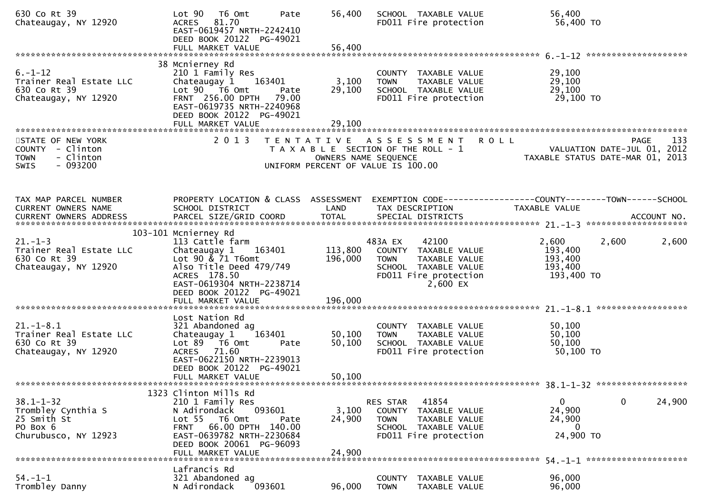| 630 Co Rt 39<br>Chateaugay, NY 12920                                                          | Lot 90<br>T6 Omt<br>Pate<br>ACRES 81.70<br>EAST-0619457 NRTH-2242410<br>DEED BOOK 20122 PG-49021<br>FULL MARKET VALUE                                  | 56,400<br>56,400   | SCHOOL TAXABLE VALUE<br>FD011 Fire protection                                                                                              | 56,400<br>56,400 TO                                                                   |
|-----------------------------------------------------------------------------------------------|--------------------------------------------------------------------------------------------------------------------------------------------------------|--------------------|--------------------------------------------------------------------------------------------------------------------------------------------|---------------------------------------------------------------------------------------|
|                                                                                               | 38 Mcnierney Rd                                                                                                                                        |                    |                                                                                                                                            |                                                                                       |
| $6. - 1 - 12$<br>Trainer Real Estate LLC<br>630 Co Rt 39<br>Chateaugay, NY 12920              | 210 1 Family Res<br>Chateaugay 1<br>163401<br>Lot 90 T6 Omt<br>Pate<br>FRNT 256.00 DPTH 79.00<br>EAST-0619735 NRTH-2240968<br>DEED BOOK 20122 PG-49021 | 3,100<br>29,100    | COUNTY TAXABLE VALUE<br><b>TOWN</b><br>TAXABLE VALUE<br>SCHOOL TAXABLE VALUE<br>FD011 Fire protection                                      | 29,100<br>29,100<br>29,100<br>29,100 TO                                               |
|                                                                                               | FULL MARKET VALUE                                                                                                                                      | 29,100             |                                                                                                                                            |                                                                                       |
| STATE OF NEW YORK<br>COUNTY - Clinton<br>- Clinton<br><b>TOWN</b><br>$-093200$<br><b>SWIS</b> | 2 0 1 3                                                                                                                                                |                    | <b>ROLL</b><br>TENTATIVE ASSESSMENT<br>T A X A B L E SECTION OF THE ROLL - 1<br>OWNERS NAME SEQUENCE<br>UNIFORM PERCENT OF VALUE IS 100.00 | 133<br><b>PAGE</b><br>VALUATION DATE-JUL 01, 2012<br>TAXABLE STATUS DATE-MAR 01, 2013 |
| TAX MAP PARCEL NUMBER                                                                         | PROPERTY LOCATION & CLASS ASSESSMENT                                                                                                                   |                    |                                                                                                                                            | EXEMPTION CODE-----------------COUNTY-------TOWN------SCHOOL                          |
| CURRENT OWNERS NAME                                                                           | SCHOOL DISTRICT                                                                                                                                        | LAND               | TAX DESCRIPTION                                                                                                                            | TAXABLE VALUE                                                                         |
|                                                                                               | 103-101 Mcnierney Rd                                                                                                                                   |                    |                                                                                                                                            |                                                                                       |
| $21. - 1 - 3$<br>Trainer Real Estate LLC<br>630 Co Rt 39<br>Chateaugay, NY 12920              | 113 Cattle farm<br>Chateaugay 1<br>163401<br>Lot 90 & 71 T6omt<br>Also Title Deed 479/749<br>ACRES 178.50<br>EAST-0619304 NRTH-2238714                 | 113,800<br>196,000 | 483A EX<br>42100<br>COUNTY TAXABLE VALUE<br>TAXABLE VALUE<br><b>TOWN</b><br>SCHOOL TAXABLE VALUE<br>FD011 Fire protection<br>2,600 EX      | 2,600<br>2,600<br>2,600<br>193,400<br>193,400<br>193,400<br>193,400 TO                |
|                                                                                               | DEED BOOK 20122 PG-49021<br>FULL MARKET VALUE                                                                                                          | 196,000            |                                                                                                                                            |                                                                                       |
|                                                                                               | Lost Nation Rd                                                                                                                                         |                    |                                                                                                                                            |                                                                                       |
| $21.-1-8.1$<br>Trainer Real Estate LLC<br>630 Co Rt 39<br>Chateaugay, NY 12920                | 321 Abandoned ag<br>Chateaugay 1<br>163401<br>$Lot 89$ T6 Omt<br>Pate<br>ACRES 71.60<br>EAST-0622150 NRTH-2239013                                      | 50,100<br>50,100   | COUNTY TAXABLE VALUE<br>TAXABLE VALUE<br><b>TOWN</b><br>SCHOOL TAXABLE VALUE<br>FD011 Fire protection                                      | 50,100<br>50,100<br>50,100<br>50,100 TO                                               |
|                                                                                               | DEED BOOK 20122 PG-49021<br>FULL MARKET VALUE                                                                                                          | 50,100             |                                                                                                                                            |                                                                                       |
|                                                                                               | 1323 Clinton Mills Rd                                                                                                                                  |                    |                                                                                                                                            |                                                                                       |
| $38.1 - 1 - 32$<br>Trombley Cynthia S<br>25 Smith St<br>PO Box 6<br>Churubusco, NY 12923      | 210 1 Family Res<br>N Adirondack<br>093601<br>Lot <sub>55</sub><br>T6 Omt<br>Pate<br>66.00 DPTH 140.00<br><b>FRNT</b><br>EAST-0639782 NRTH-2230684     | 3,100<br>24,900    | 41854<br>RES STAR<br>TAXABLE VALUE<br>COUNTY<br><b>TOWN</b><br>TAXABLE VALUE<br>SCHOOL TAXABLE VALUE<br>FD011 Fire protection              | 0<br>24,900<br>0<br>24,900<br>24,900<br>0<br>24,900 TO                                |
|                                                                                               | DEED BOOK 20061 PG-96093<br>FULL MARKET VALUE                                                                                                          | 24,900             |                                                                                                                                            |                                                                                       |
|                                                                                               | Lafrancis Rd                                                                                                                                           |                    |                                                                                                                                            | $54 - 1 - 1$ **********************                                                   |
| $54. - 1 - 1$<br>Trombley Danny                                                               | 321 Abandoned ag<br>N Adirondack<br>093601                                                                                                             | 96,000             | COUNTY<br>TAXABLE VALUE<br><b>TOWN</b><br>TAXABLE VALUE                                                                                    | 96,000<br>96,000                                                                      |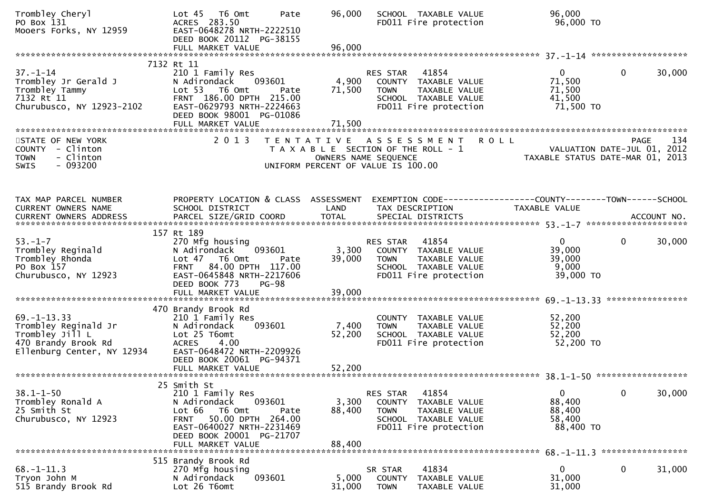| Trombley Cheryl<br>PO Box 131<br>Mooers Forks, NY 12959                                                           | Lot 45  T6 Omt<br>Pate<br>ACRES 283.50<br>EAST-0648278 NRTH-2222510<br>DEED BOOK 20112 PG-38155<br>FULL MARKET VALUE                                                                     | 96,000<br>96,000          | SCHOOL TAXABLE VALUE<br>FD011 Fire protection                                                                                              | 96,000<br>96,000 TO                                     |                                                                                       |
|-------------------------------------------------------------------------------------------------------------------|------------------------------------------------------------------------------------------------------------------------------------------------------------------------------------------|---------------------------|--------------------------------------------------------------------------------------------------------------------------------------------|---------------------------------------------------------|---------------------------------------------------------------------------------------|
| $37. - 1 - 14$                                                                                                    | 7132 Rt 11<br>210 1 Family Res                                                                                                                                                           |                           | 41854                                                                                                                                      | $\mathbf{0}$                                            | $\mathbf{0}$<br>30,000                                                                |
| Trombley Jr Gerald J<br>Trombley Tammy<br>7132 Rt 11<br>Churubusco, NY 12923-2102                                 | N Adirondack<br>093601<br>Lot 53  T6 Omt<br>Pate<br>FRNT 186.00 DPTH 215.00<br>EAST-0629793 NRTH-2224663<br>DEED BOOK 98001 PG-01086<br>FULL MARKET VALUE                                | 4,900<br>71,500<br>71,500 | RES STAR<br>COUNTY TAXABLE VALUE<br>TAXABLE VALUE<br><b>TOWN</b><br>SCHOOL TAXABLE VALUE<br>FD011 Fire protection                          | 71,500<br>71,500<br>41,500<br>71,500 TO                 |                                                                                       |
|                                                                                                                   |                                                                                                                                                                                          |                           |                                                                                                                                            |                                                         |                                                                                       |
| STATE OF NEW YORK<br>COUNTY - Clinton<br><b>TOWN</b><br>- Clinton<br>$-093200$<br>SWIS                            | 2013                                                                                                                                                                                     |                           | TENTATIVE ASSESSMENT<br><b>ROLL</b><br>T A X A B L E SECTION OF THE ROLL - 1<br>OWNERS NAME SEQUENCE<br>UNIFORM PERCENT OF VALUE IS 100.00 |                                                         | 134<br><b>PAGE</b><br>VALUATION DATE-JUL 01, 2012<br>TAXABLE STATUS DATE-MAR 01, 2013 |
| TAX MAP PARCEL NUMBER                                                                                             | PROPERTY LOCATION & CLASS ASSESSMENT                                                                                                                                                     |                           | EXEMPTION CODE-----------------COUNTY--------TOWN------SCHOOL                                                                              |                                                         |                                                                                       |
| CURRENT OWNERS NAME                                                                                               | SCHOOL DISTRICT                                                                                                                                                                          | LAND                      | TAX DESCRIPTION                                                                                                                            | TAXABLE VALUE                                           |                                                                                       |
| $53. - 1 - 7$<br>Trombley Reginald<br>Trombley Rhonda<br>PO Box 157<br>Churubusco, NY 12923                       | 157 Rt 189<br>270 Mfg housing<br>093601<br>N Adirondack<br>Lot 47<br>T6 Omt<br>Pate<br>FRNT 84.00 DPTH 117.00<br>EAST-0645848 NRTH-2217606<br>DEED BOOK 773<br>$PG-98$                   | 3,300<br>39,000           | 41854<br>RES STAR<br>COUNTY TAXABLE VALUE<br>TAXABLE VALUE<br><b>TOWN</b><br>SCHOOL TAXABLE VALUE<br>FD011 Fire protection                 | $\mathbf{0}$<br>39,000<br>39,000<br>9,000<br>39,000 TO  | $\mathbf 0$<br>30,000                                                                 |
|                                                                                                                   | FULL MARKET VALUE                                                                                                                                                                        | 39,000                    |                                                                                                                                            |                                                         | ****************                                                                      |
| $69. - 1 - 13.33$<br>Trombley Reginald Jr<br>Trombley Jill L<br>470 Brandy Brook Rd<br>Ellenburg Center, NY 12934 | 470 Brandy Brook Rd<br>210 1 Family Res<br>N Adirondack<br>093601<br>Lot 25 T6omt<br><b>ACRES</b><br>4.00<br>EAST-0648472 NRTH-2209926<br>DEED BOOK 20061 PG-94371                       | 7,400<br>52,200           | COUNTY TAXABLE VALUE<br>TAXABLE VALUE<br><b>TOWN</b><br>SCHOOL TAXABLE VALUE<br>FD011 Fire protection                                      | 52,200<br>52,200<br>52,200<br>52,200 TO                 |                                                                                       |
|                                                                                                                   | FULL MARKET VALUE                                                                                                                                                                        | 52,200                    |                                                                                                                                            |                                                         |                                                                                       |
|                                                                                                                   | 25 Smith St                                                                                                                                                                              |                           |                                                                                                                                            |                                                         |                                                                                       |
| $38.1 - 1 - 50$<br>Trombley Ronald A<br>25 Smith St<br>Churubusco, NY 12923                                       | 210 1 Family Res<br>N Adirondack<br>093601<br>Lot 66<br>T6 Omt<br>Pate<br>50.00 DPTH 264.00<br><b>FRNT</b><br>EAST-0640027 NRTH-2231469<br>DEED BOOK 20001 PG-21707<br>FULL MARKET VALUE | 3,300<br>88,400<br>88,400 | 41854<br>RES STAR<br><b>COUNTY</b><br>TAXABLE VALUE<br><b>TOWN</b><br>TAXABLE VALUE<br>SCHOOL TAXABLE VALUE<br>FD011 Fire protection       | $\mathbf{0}$<br>88,400<br>88,400<br>58,400<br>88,400 TO | 30,000<br>$\mathbf 0$                                                                 |
|                                                                                                                   | 515 Brandy Brook Rd                                                                                                                                                                      |                           |                                                                                                                                            |                                                         |                                                                                       |
| $68. - 1 - 11.3$<br>Tryon John M<br>515 Brandy Brook Rd                                                           | 270 Mfg housing<br>093601<br>N Adirondack<br>Lot 26 T6omt                                                                                                                                | 5,000<br>31,000           | 41834<br>SR STAR<br><b>COUNTY</b><br>TAXABLE VALUE<br><b>TOWN</b><br>TAXABLE VALUE                                                         | 0<br>31,000<br>31,000                                   | 0<br>31,000                                                                           |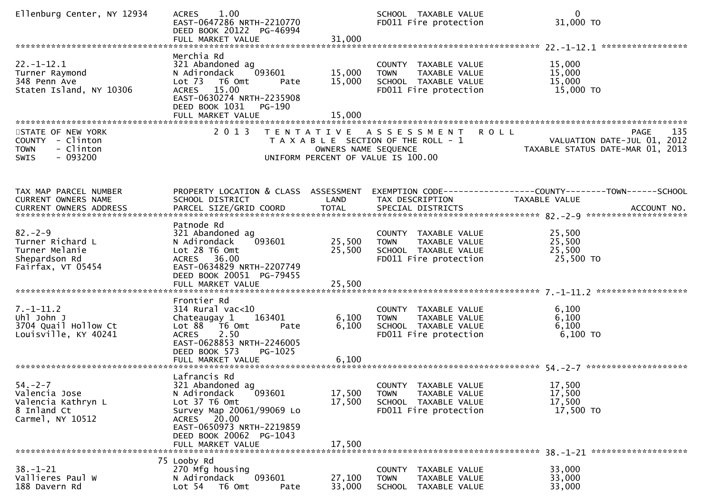| Ellenburg Center, NY 12934                                                                    | 1.00<br><b>ACRES</b><br>EAST-0647286 NRTH-2210770<br>DEED BOOK 20122 PG-46994                                                                                                                        |                            | SCHOOL TAXABLE VALUE<br>FD011 Fire protection                                                            | $\mathbf{0}$<br>31,000 TO                                                                                                                                                        |
|-----------------------------------------------------------------------------------------------|------------------------------------------------------------------------------------------------------------------------------------------------------------------------------------------------------|----------------------------|----------------------------------------------------------------------------------------------------------|----------------------------------------------------------------------------------------------------------------------------------------------------------------------------------|
| $22. - 1 - 12.1$<br>Turner Raymond<br>348 Penn Ave<br>Staten Island, NY 10306                 | Merchia Rd<br>321 Abandoned ag<br>093601<br>N Adirondack<br>Lot 73  T6 Omt<br>Pate<br>ACRES 15.00<br>EAST-0630274 NRTH-2235908<br>DEED BOOK 1031<br>PG-190                                           | 15,000<br>15,000           | COUNTY TAXABLE VALUE<br>TAXABLE VALUE<br><b>TOWN</b><br>SCHOOL TAXABLE VALUE<br>FD011 Fire protection    | 15,000<br>15,000<br>15,000<br>15,000 TO                                                                                                                                          |
| STATE OF NEW YORK<br>COUNTY - Clinton<br>- Clinton<br><b>TOWN</b><br>$-093200$<br><b>SWIS</b> | 2 0 1 3                                                                                                                                                                                              | OWNERS NAME SEQUENCE       | TENTATIVE ASSESSMENT ROLL<br>T A X A B L E SECTION OF THE ROLL - 1<br>UNIFORM PERCENT OF VALUE IS 100.00 | 135<br>PAGE<br>VALUATION DATE-JUL 01, 2012<br>TAXABLE STATUS DATE-MAR 01, 2013                                                                                                   |
| TAX MAP PARCEL NUMBER<br>CURRENT OWNERS NAME                                                  | PROPERTY LOCATION & CLASS ASSESSMENT<br>SCHOOL DISTRICT                                                                                                                                              | LAND                       | TAX DESCRIPTION                                                                                          | EXEMPTION CODE-----------------COUNTY-------TOWN------SCHOOL<br><b>TAXABLE VALUE</b><br>CURRENT OWNERS ADDRESS PARCEL SIZE/GRID COORD TOTAL SPECIAL DISTRICTS (2015) ACCOUNT NO. |
| $82 - 2 - 9$<br>Turner Richard L<br>Turner Melanie<br>Shepardson Rd<br>Fairfax, VT 05454      | Patnode Rd<br>321 Abandoned ag<br>093601<br>N Adirondack<br>Lot 28 T6 Omt<br>ACRES 36.00<br>EAST-0634829 NRTH-2207749<br>DEED BOOK 20051 PG-79455<br>FULL MARKET VALUE                               | 25,500<br>25,500<br>25,500 | COUNTY TAXABLE VALUE<br>TAXABLE VALUE<br><b>TOWN</b><br>SCHOOL TAXABLE VALUE<br>FD011 Fire protection    | 25,500<br>25,500<br>25,500<br>25,500 TO                                                                                                                                          |
| $7. - 1 - 11.2$<br>Uhl John J<br>3704 Quail Hollow Ct<br>Louisville, KY 40241                 | Frontier Rd<br>$314$ Rural vac<10<br>163401<br>Chateaugay 1<br>Lot 88 T6 Omt<br>Pate<br>2.50<br><b>ACRES</b><br>EAST-0628853 NRTH-2246005<br>DEED BOOK 573<br>PG-1025                                | 6,100<br>6,100             | COUNTY TAXABLE VALUE<br>TAXABLE VALUE<br><b>TOWN</b><br>SCHOOL TAXABLE VALUE<br>FD011 Fire protection    | 6,100<br>6,100<br>6,100<br>$6,100$ TO                                                                                                                                            |
| $54. - 2 - 7$<br>Valencia Jose<br>Valencia Kathryn L<br>8 Inland Ct<br>Carmel, NY 10512       | Lafrancis Rd<br>321 Abandoned ag<br>093601<br>N Adirondack<br>Lot 37 T6 Omt<br>Survey Map 20061/99069 Lo<br>ACRES 20.00<br>EAST-0650973 NRTH-2219859<br>DEED BOOK 20062 PG-1043<br>FULL MARKET VALUE | 17,500<br>17,500<br>17,500 | COUNTY TAXABLE VALUE<br><b>TOWN</b><br>TAXABLE VALUE<br>SCHOOL TAXABLE VALUE<br>FD011 Fire protection    | 17,500<br>17,500<br>17,500<br>17,500 TO                                                                                                                                          |
| $38. - 1 - 21$<br>Vallieres Paul W<br>188 Davern Rd                                           | 75 Looby Rd<br>270 Mfg housing<br>093601<br>N Adirondack<br>Lot <sub>54</sub><br>T6 Omt<br>Pate                                                                                                      | 27,100<br>33,000           | COUNTY<br>TAXABLE VALUE<br>TAXABLE VALUE<br><b>TOWN</b><br><b>SCHOOL</b><br>TAXABLE VALUE                | 33,000<br>33,000<br>33,000                                                                                                                                                       |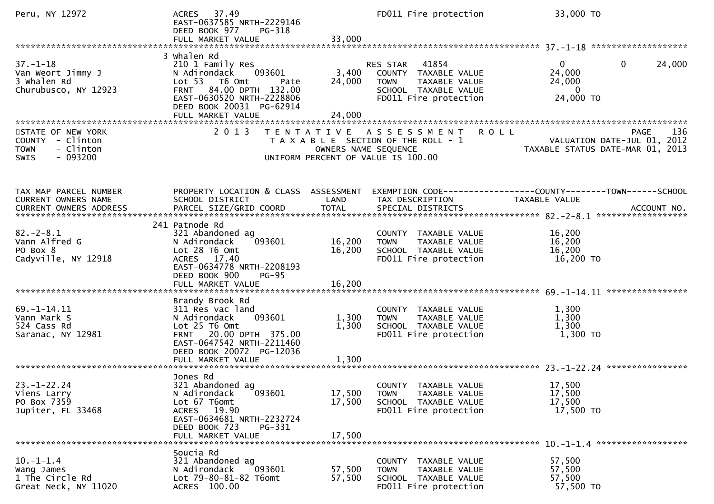| Peru, NY 12972                                                                         | ACRES 37.49<br>EAST-0637585 NRTH-2229146<br>DEED BOOK 977<br>PG-318                                                                                                                    |                            | FD011 Fire protection                                                                                                   | 33,000 TO                                                                            |     |
|----------------------------------------------------------------------------------------|----------------------------------------------------------------------------------------------------------------------------------------------------------------------------------------|----------------------------|-------------------------------------------------------------------------------------------------------------------------|--------------------------------------------------------------------------------------|-----|
| $37. - 1 - 18$<br>Van Weort Jimmy J<br>3 Whalen Rd<br>Churubusco, NY 12923             | 3 Whalen Rd<br>210 1 Family Res<br>N Adirondack<br>093601<br>Lot 53 T6 Omt<br>Pate<br>FRNT 84.00 DPTH 132.00<br>EAST-0630520 NRTH-2228806<br>DEED BOOK 20031 PG-62914                  | 3,400<br>24,000            | RES STAR 41854<br>COUNTY TAXABLE VALUE<br>TAXABLE VALUE<br><b>TOWN</b><br>SCHOOL TAXABLE VALUE<br>FD011 Fire protection | $\mathbf{0}$<br>24,000<br>$\mathbf{0}$<br>24,000<br>24,000<br>- 0<br>24,000 TO       |     |
| STATE OF NEW YORK<br>COUNTY - Clinton<br>- Clinton<br><b>TOWN</b><br>$-093200$<br>SWIS | 2 0 1 3                                                                                                                                                                                | OWNERS NAME SEQUENCE       | TENTATIVE ASSESSMENT ROLL<br>T A X A B L E SECTION OF THE ROLL - 1<br>UNIFORM PERCENT OF VALUE IS 100.00                | PAGE<br>VALUATION DATE-JUL 01, 2012<br>TAXABLE STATUS DATE-MAR 01, 2013              | 136 |
| TAX MAP PARCEL NUMBER<br>CURRENT OWNERS NAME<br>CURRENT OWNERS ADDRESS                 | PROPERTY LOCATION & CLASS ASSESSMENT<br>SCHOOL DISTRICT                                                                                                                                | LAND                       | TAX DESCRIPTION                                                                                                         | EXEMPTION CODE-----------------COUNTY-------TOWN------SCHOOL<br><b>TAXABLE VALUE</b> |     |
| $82. - 2 - 8.1$<br>Vann Alfred G<br>PO Box 8<br>Cadyville, NY 12918                    | 241 Patnode Rd<br>321 Abandoned ag<br>093601<br>N Adirondack<br>Lot 28 T6 Omt<br>ACRES 17.40<br>EAST-0634778 NRTH-2208193<br>DEED BOOK 900<br><b>PG-95</b><br>FULL MARKET VALUE        | 16,200<br>16,200<br>16,200 | COUNTY TAXABLE VALUE<br><b>TOWN</b><br>TAXABLE VALUE<br>SCHOOL TAXABLE VALUE<br>FD011 Fire protection                   | 16,200<br>16,200<br>16,200<br>16,200 TO                                              |     |
| $69. - 1 - 14.11$<br>Vann Mark S<br>524 Cass Rd<br>Saranac, NY 12981                   | Brandy Brook Rd<br>311 Res vac land<br>093601<br>N Adirondack<br>Lot 25 T6 Omt<br>FRNT 20.00 DPTH 375.00<br>EAST-0647542 NRTH-2211460<br>DEED BOOK 20072 PG-12036<br>FULL MARKET VALUE | 1,300<br>1,300<br>1,300    | COUNTY TAXABLE VALUE<br>TAXABLE VALUE<br><b>TOWN</b><br>SCHOOL TAXABLE VALUE<br>FD011 Fire protection                   | 1,300<br>1,300<br>1,300<br>1,300 TO                                                  |     |
| $23. - 1 - 22.24$<br>Viens Larry<br>PO Box 7359<br>Jupiter, FL 33468                   | Jones Rd<br>321 Abandoned ag<br>093601<br>N Adirondack<br>Lot 67 T6omt<br>ACRES 19.90<br>EAST-0634681 NRTH-2232724<br>DEED BOOK 723<br>PG-331<br>FULL MARKET VALUE                     | 17,500<br>17,500<br>17,500 | COUNTY TAXABLE VALUE<br>TAXABLE VALUE<br><b>TOWN</b><br>SCHOOL TAXABLE VALUE<br>FD011 Fire protection                   | 17,500<br>17,500<br>17,500<br>17,500 TO                                              |     |
| $10.-1-1.4$<br>Wang James<br>1 The Circle Rd<br>Great Neck, NY 11020                   | Soucia Rd<br>321 Abandoned ag<br>N Adirondack<br>093601<br>Lot 79-80-81-82 T6omt<br>ACRES 100.00                                                                                       | 57,500<br>57,500           | COUNTY TAXABLE VALUE<br><b>TOWN</b><br>TAXABLE VALUE<br>SCHOOL TAXABLE VALUE<br>FD011 Fire protection                   | 57,500<br>57,500<br>57,500<br>57,500 TO                                              |     |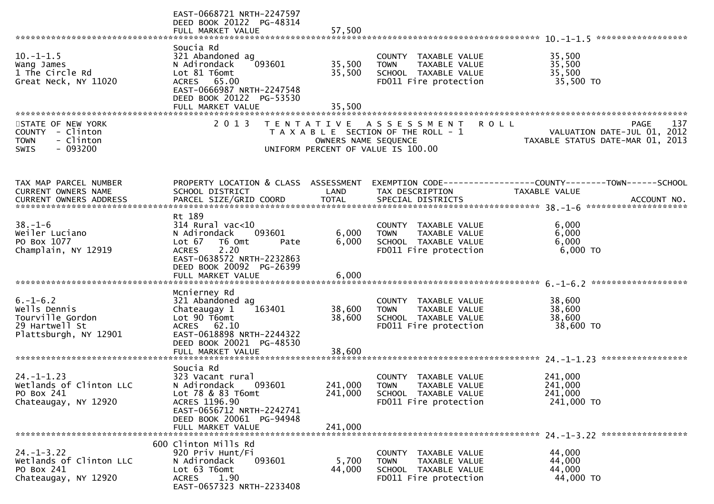|                                                                                                         | EAST-0668721 NRTH-2247597<br>DEED BOOK 20122 PG-48314<br>FULL MARKET VALUE                                                                                                               | 57,500                        |                                                                                                                 |                                                                                               |
|---------------------------------------------------------------------------------------------------------|------------------------------------------------------------------------------------------------------------------------------------------------------------------------------------------|-------------------------------|-----------------------------------------------------------------------------------------------------------------|-----------------------------------------------------------------------------------------------|
|                                                                                                         |                                                                                                                                                                                          |                               |                                                                                                                 |                                                                                               |
| $10.-1-1.5$<br>Wang James<br>1 The Circle Rd<br>Great Neck, NY 11020                                    | Soucia Rd<br>321 Abandoned ag<br>093601<br>N Adirondack<br>Lot 81 T6omt<br>ACRES 65.00<br>EAST-0666987 NRTH-2247548<br>DEED BOOK 20122 PG-53530<br>FULL MARKET VALUE                     | 35,500<br>35,500<br>35,500    | COUNTY TAXABLE VALUE<br>TAXABLE VALUE<br><b>TOWN</b><br>SCHOOL TAXABLE VALUE<br>FD011 Fire protection           | 35,500<br>35,500<br>35,500<br>35,500 TO                                                       |
|                                                                                                         |                                                                                                                                                                                          |                               |                                                                                                                 |                                                                                               |
| STATE OF NEW YORK<br><b>COUNTY</b><br>- Clinton<br>- Clinton<br><b>TOWN</b><br>$-093200$<br><b>SWIS</b> | 2 0 1 3                                                                                                                                                                                  | OWNERS NAME SEQUENCE          | TENTATIVE ASSESSMENT<br>T A X A B L E SECTION OF THE ROLL - 1<br>UNIFORM PERCENT OF VALUE IS 100.00             | 137<br><b>ROLL</b><br>PAGE<br>VALUATION DATE-JUL 01, 2012<br>TAXABLE STATUS DATE-MAR 01, 2013 |
| TAX MAP PARCEL NUMBER<br>CURRENT OWNERS NAME                                                            | PROPERTY LOCATION & CLASS ASSESSMENT<br>SCHOOL DISTRICT                                                                                                                                  | LAND                          | TAX DESCRIPTION                                                                                                 | EXEMPTION CODE-----------------COUNTY-------TOWN------SCHOOL<br>TAXABLE VALUE                 |
| $38. - 1 - 6$<br>Weiler Luciano<br>PO Box 1077<br>Champlain, NY 12919                                   | Rt 189<br>$314$ Rural vac<10<br>N Adirondack<br>093601<br>Lot 67<br>T6 Omt<br>Pate<br>2.20<br><b>ACRES</b><br>EAST-0638572 NRTH-2232863<br>DEED BOOK 20092 PG-26399<br>FULL MARKET VALUE | 6,000<br>6,000<br>6,000       | COUNTY TAXABLE VALUE<br>TAXABLE VALUE<br><b>TOWN</b><br>SCHOOL TAXABLE VALUE<br>FD011 Fire protection           | 6,000<br>6,000<br>6,000<br>6,000 TO                                                           |
|                                                                                                         |                                                                                                                                                                                          |                               |                                                                                                                 |                                                                                               |
| $6. - 1 - 6.2$<br>Wells Dennis<br>Tourville Gordon<br>29 Hartwell St<br>Plattsburgh, NY 12901           | Mcnierney Rd<br>321 Abandoned ag<br>Chateaugay 1<br>163401<br>Lot 90 T6omt<br>ACRES 62.10<br>EAST-0618898 NRTH-2244322<br>DEED BOOK 20021 PG-48530                                       | 38,600<br>38,600              | COUNTY TAXABLE VALUE<br>TAXABLE VALUE<br><b>TOWN</b><br>SCHOOL TAXABLE VALUE<br>FD011 Fire protection           | 38,600<br>38,600<br>38,600<br>38,600 TO                                                       |
|                                                                                                         | FULL MARKET VALUE                                                                                                                                                                        | 38,600                        |                                                                                                                 |                                                                                               |
| $24. - 1 - 1.23$<br>Wetlands of Clinton LLC<br>PO Box 241<br>Chateaugay, NY 12920                       | Soucia Rd<br>323 Vacant rural<br>093601<br>N Adirondack<br>Lot 78 & 83 T6omt<br>ACRES 1196.90<br>EAST-0656712 NRTH-2242741<br>DEED BOOK 20061 PG-94948<br>FULL MARKET VALUE              | 241,000<br>241,000<br>241,000 | <b>COUNTY</b><br>TAXABLE VALUE<br><b>TOWN</b><br>TAXABLE VALUE<br>SCHOOL TAXABLE VALUE<br>FD011 Fire protection | 241,000<br>241,000<br>241,000<br>241,000 TO                                                   |
| $24. - 1 - 3.22$<br>Wetlands of Clinton LLC<br>PO Box 241<br>Chateaugay, NY 12920                       | 600 Clinton Mills Rd<br>920 Priv Hunt/Fi<br>N Adirondack<br>093601<br>Lot 63 T6omt<br>1.90<br>ACRES<br>EAST-0657323 NRTH-2233408                                                         | 5,700<br>44,000               | COUNTY TAXABLE VALUE<br><b>TOWN</b><br>TAXABLE VALUE<br>SCHOOL TAXABLE VALUE<br>FD011 Fire protection           | 44,000<br>44,000<br>44,000<br>44,000 TO                                                       |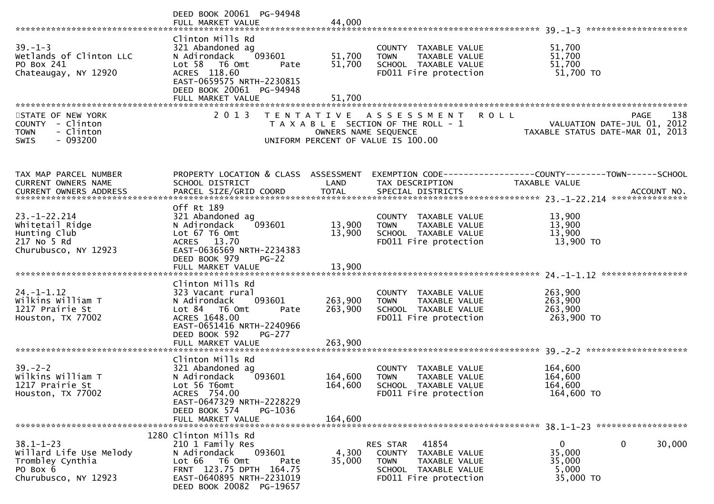|                                                                                                    | DEED BOOK 20061 PG-94948                                                                                                                                                              |                               |                                                                                                                            |                                                                                       |
|----------------------------------------------------------------------------------------------------|---------------------------------------------------------------------------------------------------------------------------------------------------------------------------------------|-------------------------------|----------------------------------------------------------------------------------------------------------------------------|---------------------------------------------------------------------------------------|
| $39. - 1 - 3$<br>Wetlands of Clinton LLC<br>PO Box 241<br>Chateaugay, NY 12920                     | Clinton Mills Rd<br>321 Abandoned ag<br>093601<br>N Adirondack<br>Lot 58 T6 Omt<br>Pate<br>ACRES 118.60<br>EAST-0659575 NRTH-2230815<br>DEED BOOK 20061 PG-94948<br>FULL MARKET VALUE | 51,700<br>51,700<br>51,700    | COUNTY TAXABLE VALUE<br>TAXABLE VALUE<br><b>TOWN</b><br>SCHOOL TAXABLE VALUE<br>FD011 Fire protection                      | 51,700<br>51,700<br>51,700<br>51,700 TO                                               |
| STATE OF NEW YORK<br>COUNTY - Clinton<br>- Clinton<br><b>TOWN</b><br>$-093200$<br><b>SWIS</b>      | 2 0 1 3                                                                                                                                                                               | OWNERS NAME SEQUENCE          | <b>ROLL</b><br>TENTATIVE ASSESSMENT<br>T A X A B L E SECTION OF THE ROLL - 1<br>UNIFORM PERCENT OF VALUE IS 100.00         | 138<br><b>PAGE</b><br>VALUATION DATE-JUL 01, 2012<br>TAXABLE STATUS DATE-MAR 01, 2013 |
| TAX MAP PARCEL NUMBER<br>CURRENT OWNERS NAME<br>CURRENT OWNERS ADDRESS                             | PROPERTY LOCATION & CLASS ASSESSMENT<br>SCHOOL DISTRICT                                                                                                                               | LAND                          | TAX DESCRIPTION                                                                                                            | EXEMPTION CODE-----------------COUNTY-------TOWN------SCHOOL<br>TAXABLE VALUE         |
| $23. - 1 - 22.214$<br>Whitetail Ridge<br>Hunting Club<br>217 No 5 Rd<br>Churubusco, NY 12923       | Off Rt 189<br>321 Abandoned ag<br>093601<br>N Adirondack<br>Lot 67 T6 Omt<br>ACRES 13.70<br>EAST-0636569 NRTH-2234383<br>DEED BOOK 979<br>$PG-22$                                     | 13,900<br>13,900              | COUNTY TAXABLE VALUE<br>TAXABLE VALUE<br><b>TOWN</b><br>SCHOOL TAXABLE VALUE<br>FD011 Fire protection                      | 13,900<br>13,900<br>13,900<br>13,900 TO                                               |
| $24. - 1 - 1.12$<br>Wilkins William T<br>1217 Prairie St<br>Houston, TX 77002                      | Clinton Mills Rd<br>323 Vacant rural<br>093601<br>N Adirondack<br>Lot 84 76 0mt<br>Pate<br>ACRES 1648.00<br>EAST-0651416 NRTH-2240966<br>DEED BOOK 592<br>PG-277<br>FULL MARKET VALUE | 263,900<br>263,900<br>263,900 | COUNTY TAXABLE VALUE<br><b>TOWN</b><br>TAXABLE VALUE<br>SCHOOL TAXABLE VALUE<br>FD011 Fire protection                      | 263,900<br>263,900<br>263,900<br>263,900 TO                                           |
| $39 - 2 - 2$<br>Wilkins William T<br>1217 Prairie St<br>Houston, TX 77002                          | Clinton Mills Rd<br>321 Abandoned ag<br>093601<br>N Adirondack<br>Lot 56 T6omt<br>ACRES 754.00<br>EAST-0647329 NRTH-2228229<br>DEED BOOK 574<br>PG-1036<br>FULL MARKET VALUE          | 164,600<br>164,600<br>164,600 | COUNTY TAXABLE VALUE<br><b>TOWN</b><br><b>TAXABLE VALUE</b><br>SCHOOL TAXABLE VALUE<br>FD011 Fire protection               | 164,600<br>164,600<br>164,600<br>164,600 TO                                           |
| $38.1 - 1 - 23$<br>Willard Life Use Melody<br>Trombley Cynthia<br>PO Box 6<br>Churubusco, NY 12923 | 1280 Clinton Mills Rd<br>210 1 Family Res<br>093601<br>N Adirondack<br>Lot 66 T6 Omt<br>Pate<br>FRNT 123.75 DPTH 164.75<br>EAST-0640895 NRTH-2231019<br>DEED BOOK 20082 PG-19657      | 4,300<br>35,000               | RES STAR<br>41854<br>COUNTY TAXABLE VALUE<br>TAXABLE VALUE<br><b>TOWN</b><br>SCHOOL TAXABLE VALUE<br>FD011 Fire protection | 0<br>30,000<br>$\overline{0}$<br>35,000<br>35,000<br>5,000<br>35,000 TO               |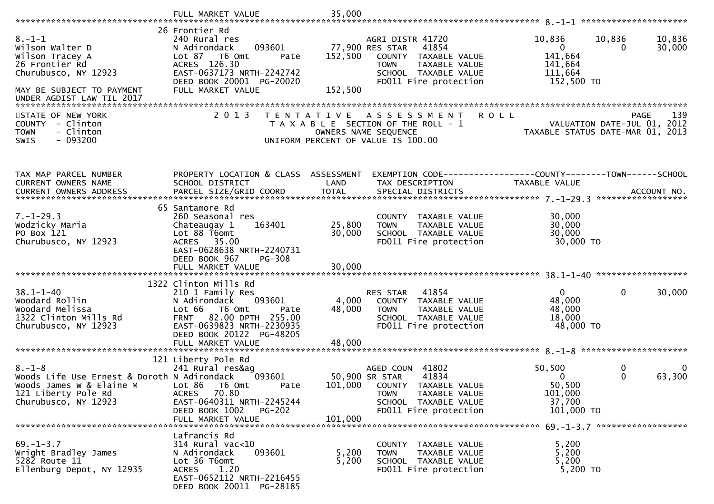|                                                                                                                                                        | FULL MARKET VALUE                                                                                                                                                                                       | 35,000                     |                                                                                                                                                             |                                                                       |                                                                                       |
|--------------------------------------------------------------------------------------------------------------------------------------------------------|---------------------------------------------------------------------------------------------------------------------------------------------------------------------------------------------------------|----------------------------|-------------------------------------------------------------------------------------------------------------------------------------------------------------|-----------------------------------------------------------------------|---------------------------------------------------------------------------------------|
|                                                                                                                                                        | 26 Frontier Rd                                                                                                                                                                                          |                            |                                                                                                                                                             |                                                                       |                                                                                       |
| $8. - 1 - 1$<br>Wilson Walter D<br>Wilson Tracey A<br>26 Frontier Rd<br>Churubusco, NY 12923<br>MAY BE SUBJECT TO PAYMENT<br>UNDER AGDIST LAW TIL 2017 | 240 Rural res<br>093601<br>N Adirondack<br>T6 Omt<br>Lot 87<br>Pate<br>ACRES 126.30<br>EAST-0637173 NRTH-2242742<br>DEED BOOK 20001 PG-20020<br>FULL MARKET VALUE                                       | 152,500<br>152,500         | AGRI DISTR 41720<br>77,900 RES STAR<br>41854<br>COUNTY TAXABLE VALUE<br><b>TOWN</b><br>TAXABLE VALUE<br>SCHOOL TAXABLE VALUE<br>FD011 Fire protection       | 10,836<br>$\mathbf{0}$<br>141,664<br>141,664<br>111,664<br>152,500 TO | 10,836<br>10,836<br>30,000<br>$\Omega$                                                |
|                                                                                                                                                        |                                                                                                                                                                                                         |                            |                                                                                                                                                             |                                                                       |                                                                                       |
| STATE OF NEW YORK<br>COUNTY - Clinton<br>- Clinton<br><b>TOWN</b><br>$-093200$<br><b>SWIS</b>                                                          | 2 0 1 3                                                                                                                                                                                                 |                            | TENTATIVE ASSESSMENT<br>T A X A B L E SECTION OF THE ROLL - 1<br>OWNERS NAME SEQUENCE<br>UNIFORM PERCENT OF VALUE IS 100.00                                 | <b>ROLL</b>                                                           | 139<br><b>PAGE</b><br>VALUATION DATE-JUL 01, 2012<br>TAXABLE STATUS DATE-MAR 01, 2013 |
| TAX MAP PARCEL NUMBER<br><b>CURRENT OWNERS NAME</b>                                                                                                    | PROPERTY LOCATION & CLASS ASSESSMENT<br>SCHOOL DISTRICT                                                                                                                                                 | LAND                       | EXEMPTION CODE-----------------COUNTY-------TOWN------SCHOOL<br>TAX DESCRIPTION                                                                             | TAXABLE VALUE                                                         |                                                                                       |
|                                                                                                                                                        | 65 Santamore Rd                                                                                                                                                                                         |                            |                                                                                                                                                             |                                                                       |                                                                                       |
| $7. - 1 - 29.3$<br>Wodzicky Maria<br>PO Box 121<br>Churubusco, NY 12923                                                                                | 260 Seasonal res<br>Chateaugay 1<br>163401<br>Lot 88 T6omt<br>ACRES 35.00<br>EAST-0628638 NRTH-2240731<br>DEED BOOK 967<br><b>PG-308</b><br>FULL MARKET VALUE                                           | 25,800<br>30,000<br>30,000 | COUNTY TAXABLE VALUE<br>TAXABLE VALUE<br><b>TOWN</b><br>SCHOOL TAXABLE VALUE<br>FD011 Fire protection                                                       | 30,000<br>30,000<br>30,000<br>30,000 TO                               |                                                                                       |
|                                                                                                                                                        |                                                                                                                                                                                                         |                            |                                                                                                                                                             |                                                                       |                                                                                       |
| $38.1 - 1 - 40$<br>Woodard Rollin<br>Woodard Melissa<br>1322 Clinton Mills Rd<br>Churubusco, NY 12923                                                  | 1322 Clinton Mills Rd<br>210 1 Family Res<br>093601<br>N Adirondack<br>Lot 66<br>T6 Omt<br>Pate<br>FRNT 82.00 DPTH 255.00<br>EAST-0639823 NRTH-2230935<br>DEED BOOK 20122 PG-48205<br>FULL MARKET VALUE | 4,000<br>48,000<br>48,000  | 41854<br>RES STAR<br>COUNTY TAXABLE VALUE<br><b>TOWN</b><br>TAXABLE VALUE<br>SCHOOL TAXABLE VALUE<br>FD011 Fire protection                                  | $\overline{0}$<br>48,000<br>48,000<br>18,000<br>48,000 TO             | $\mathbf 0$<br>30,000                                                                 |
|                                                                                                                                                        |                                                                                                                                                                                                         |                            |                                                                                                                                                             |                                                                       |                                                                                       |
| $8. - 1 - 8$<br>Woods Life Use Ernest & Doroth N Adirondack<br>Woods James W & Elaine M<br>121 Liberty Pole Rd<br>Churubusco, NY 12923                 | 121 Liberty Pole Rd<br>241 Rural res&ag<br>093601<br>Lot 86<br>T6 Omt<br>Pate<br>ACRES 70.80<br>EAST-0640311 NRTH-2245244<br>DEED BOOK 1002<br><b>PG-202</b><br>FULL MARKET VALUE                       | 101,000                    | AGED COUN 41802<br>41834<br>50,900 SR STAR<br>101,000 COUNTY TAXABLE VALUE<br>TAXABLE VALUE<br><b>TOWN</b><br>SCHOOL TAXABLE VALUE<br>FD011 Fire protection | 50,500<br>$\Omega$<br>50,500<br>101,000<br>37,700<br>101,000 TO       | 0<br>$\Omega$<br>$\Omega$<br>63,300                                                   |
|                                                                                                                                                        | Lafrancis Rd                                                                                                                                                                                            |                            |                                                                                                                                                             |                                                                       | ******************                                                                    |
| $69. - 1 - 3.7$<br>Wright Bradley James<br>5282 Route 11<br>Ellenburg Depot, NY 12935                                                                  | $314$ Rural vac<10<br>093601<br>N Adirondack<br>Lot 36 T6omt<br>1.20<br><b>ACRES</b><br>EAST-0652112 NRTH-2216455<br>DEED BOOK 20011 PG-28185                                                           | 5,200<br>5,200             | COUNTY TAXABLE VALUE<br>TAXABLE VALUE<br><b>TOWN</b><br>SCHOOL TAXABLE VALUE<br>FD011 Fire protection                                                       | 5,200<br>5,200<br>5,200<br>5,200 TO                                   |                                                                                       |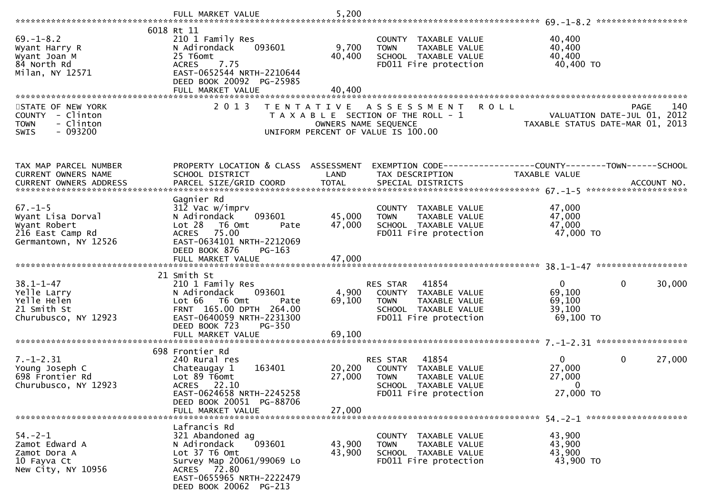|                                                                                        | FULL MARKET VALUE                                                                                                                       | 5,200                                     |                                                                                                                   |                                                                 |                        |
|----------------------------------------------------------------------------------------|-----------------------------------------------------------------------------------------------------------------------------------------|-------------------------------------------|-------------------------------------------------------------------------------------------------------------------|-----------------------------------------------------------------|------------------------|
|                                                                                        | 6018 Rt 11                                                                                                                              |                                           |                                                                                                                   |                                                                 |                        |
| $69. - 1 - 8.2$<br>Wyant Harry R<br>Wyant Joan M<br>84 North Rd<br>Milan, NY 12571     | 210 1 Family Res<br>N Adirondack<br>093601<br>25 T6omt<br>7.75<br><b>ACRES</b><br>EAST-0652544 NRTH-2210644<br>DEED BOOK 20092 PG-25985 | 9,700<br>40,400                           | COUNTY TAXABLE VALUE<br><b>TOWN</b><br>TAXABLE VALUE<br>SCHOOL TAXABLE VALUE<br>FD011 Fire protection             | 40,400<br>40,400<br>40,400<br>40,400 TO                         |                        |
|                                                                                        | FULL MARKET VALUE                                                                                                                       | 40.400                                    |                                                                                                                   |                                                                 |                        |
|                                                                                        |                                                                                                                                         |                                           |                                                                                                                   |                                                                 |                        |
| STATE OF NEW YORK<br>COUNTY - Clinton<br>- Clinton<br><b>TOWN</b><br>$-093200$<br>SWIS | 2 0 1 3                                                                                                                                 | T E N T A T I V E<br>OWNERS NAME SEQUENCE | <b>ROLL</b><br>A S S E S S M E N T<br>T A X A B L E SECTION OF THE ROLL - 1<br>UNIFORM PERCENT OF VALUE IS 100.00 | VALUATION DATE-JUL 01, 2012<br>TAXABLE STATUS DATE-MAR 01, 2013 | 140<br><b>PAGE</b>     |
|                                                                                        |                                                                                                                                         |                                           |                                                                                                                   |                                                                 |                        |
| TAX MAP PARCEL NUMBER                                                                  | PROPERTY LOCATION & CLASS ASSESSMENT                                                                                                    |                                           | EXEMPTION CODE-----------------COUNTY-------TOWN------SCHOOL                                                      |                                                                 |                        |
| CURRENT OWNERS NAME                                                                    | SCHOOL DISTRICT                                                                                                                         | LAND                                      | TAX DESCRIPTION                                                                                                   | TAXABLE VALUE                                                   |                        |
| CURRENT OWNERS ADDRESS                                                                 | PARCEL SIZE/GRID COORD                                                                                                                  | <b>TOTAL</b>                              | SPECIAL DISTRICTS                                                                                                 |                                                                 | ACCOUNT NO.            |
|                                                                                        | Gagnier Rd                                                                                                                              |                                           |                                                                                                                   |                                                                 |                        |
| $67. - 1 - 5$                                                                          | $31\bar{2}$ Vac w/imprv                                                                                                                 |                                           | COUNTY TAXABLE VALUE                                                                                              | 47,000                                                          |                        |
| Wyant Lisa Dorval<br>Wyant Robert                                                      | N Adirondack<br>093601<br>Lot 28 T6 Omt<br>Pate                                                                                         | 45,000<br>47,000                          | TAXABLE VALUE<br><b>TOWN</b><br>SCHOOL TAXABLE VALUE                                                              | 47,000<br>47,000                                                |                        |
| 216 East Camp Rd                                                                       | ACRES<br>75.00                                                                                                                          |                                           | FD011 Fire protection                                                                                             | 47,000 TO                                                       |                        |
| Germantown, NY 12526                                                                   | EAST-0634101 NRTH-2212069<br>DEED BOOK 876                                                                                              |                                           |                                                                                                                   |                                                                 |                        |
|                                                                                        | $PG-163$                                                                                                                                |                                           |                                                                                                                   |                                                                 |                        |
|                                                                                        |                                                                                                                                         |                                           |                                                                                                                   |                                                                 |                        |
| $38.1 - 1 - 47$                                                                        | 21 Smith St<br>210 1 Family Res                                                                                                         |                                           | 41854<br>RES STAR                                                                                                 | $\overline{0}$                                                  | $\mathbf{0}$<br>30,000 |
| Yelle Larry                                                                            | 093601<br>N Adirondack                                                                                                                  | 4,900                                     | COUNTY TAXABLE VALUE                                                                                              | 69,100                                                          |                        |
| Yelle Helen                                                                            | Lot 66 T6 Omt<br>Pate                                                                                                                   | 69,100                                    | <b>TOWN</b><br>TAXABLE VALUE                                                                                      | 69,100                                                          |                        |
| 21 Smith St<br>Churubusco, NY 12923                                                    | FRNT 165.00 DPTH 264.00<br>EAST-0640059 NRTH-2231300                                                                                    |                                           | SCHOOL TAXABLE VALUE<br>FD011 Fire protection                                                                     | 39,100<br>69,100 TO                                             |                        |
|                                                                                        | DEED BOOK 723<br><b>PG-350</b>                                                                                                          |                                           |                                                                                                                   |                                                                 |                        |
|                                                                                        |                                                                                                                                         |                                           |                                                                                                                   |                                                                 |                        |
|                                                                                        | 698 Frontier Rd                                                                                                                         |                                           |                                                                                                                   |                                                                 |                        |
| $7. - 1 - 2.31$                                                                        | 240 Rural res                                                                                                                           |                                           | 41854<br>RES STAR                                                                                                 | $\mathbf{0}$                                                    | $\mathbf 0$<br>27,000  |
| Young Joseph C<br>698 Frontier Rd                                                      | 163401<br>Chateaugay 1<br>Lot 89 T6omt                                                                                                  | 20,200<br>27,000                          | COUNTY TAXABLE VALUE<br><b>TOWN</b>                                                                               | 27,000                                                          |                        |
| Churubusco, NY 12923                                                                   | ACRES 22.10                                                                                                                             |                                           | TAXABLE VALUE<br>SCHOOL<br>TAXABLE VALUE                                                                          | 27,000<br>$\Omega$                                              |                        |
|                                                                                        | EAST-0624658 NRTH-2245258                                                                                                               |                                           | FD011 Fire protection                                                                                             | 27,000 TO                                                       |                        |
|                                                                                        | DEED BOOK 20051 PG-88706<br>FULL MARKET VALUE                                                                                           | 27,000                                    |                                                                                                                   |                                                                 |                        |
|                                                                                        |                                                                                                                                         |                                           |                                                                                                                   |                                                                 |                        |
|                                                                                        | Lafrancis Rd                                                                                                                            |                                           |                                                                                                                   |                                                                 |                        |
| $54. - 2 - 1$<br>Zamot Edward A                                                        | 321 Abandoned ag<br>N Adirondack<br>093601                                                                                              | 43,900                                    | COUNTY TAXABLE VALUE<br>TAXABLE VALUE<br><b>TOWN</b>                                                              | 43,900<br>43,900                                                |                        |
| Zamot Dora A                                                                           | Lot 37 T6 Omt                                                                                                                           | 43,900                                    | SCHOOL TAXABLE VALUE                                                                                              | 43,900                                                          |                        |
| 10 Fayva Ct                                                                            | Survey Map 20061/99069 Lo                                                                                                               |                                           | FD011 Fire protection                                                                                             | 43,900 TO                                                       |                        |
| New City, NY 10956                                                                     | ACRES 72.80<br>EAST-0655965 NRTH-2222479<br>DEED BOOK 20062 PG-213                                                                      |                                           |                                                                                                                   |                                                                 |                        |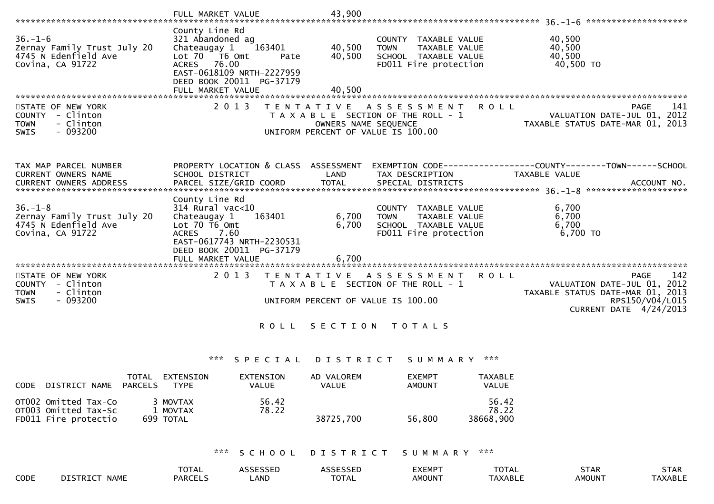|                                                                                               | FULL MARKET VALUE                                                                                                                                                                     | 43,900                                                                                                                   |                                                                                        |                                                                                                                                        |
|-----------------------------------------------------------------------------------------------|---------------------------------------------------------------------------------------------------------------------------------------------------------------------------------------|--------------------------------------------------------------------------------------------------------------------------|----------------------------------------------------------------------------------------|----------------------------------------------------------------------------------------------------------------------------------------|
| $36. - 1 - 6$<br>Zernay Family Trust July 20<br>4745 N Edenfield Ave<br>Covina, CA 91722      | County Line Rd<br>321 Abandoned ag<br>Chateaugay 1<br>163401<br>Lot 70 T6 Omt<br>Pate<br>ACRES 76.00<br>EAST-0618109 NRTH-2227959<br>DEED BOOK 20011 PG-37179<br>FULL MARKET VALUE    | 40,500<br><b>TOWN</b><br>40,500<br>40,500                                                                                | COUNTY TAXABLE VALUE<br>TAXABLE VALUE<br>SCHOOL TAXABLE VALUE<br>FD011 Fire protection | 40,500<br>40,500<br>40,500<br>40,500 TO                                                                                                |
| STATE OF NEW YORK<br>COUNTY - Clinton<br><b>TOWN</b><br>- Clinton<br>$-093200$<br><b>SWIS</b> | 2 0 1 3                                                                                                                                                                               | T E N T A T I V E<br>T A X A B L E SECTION OF THE ROLL - 1<br>OWNERS NAME SEQUENCE<br>UNIFORM PERCENT OF VALUE IS 100.00 | A S S E S S M E N T                                                                    | 141<br><b>ROLL</b><br>PAGE<br>VALUATION DATE-JUL 01, 2012<br>TAXABLE STATUS DATE-MAR 01, 2013                                          |
| TAX MAP PARCEL NUMBER<br>CURRENT OWNERS NAME<br>CURRENT OWNERS ADDRESS                        | PROPERTY LOCATION & CLASS ASSESSMENT<br>SCHOOL DISTRICT<br>PARCEL SIZE/GRID COORD                                                                                                     | LAND<br><b>TOTAL</b>                                                                                                     | TAX DESCRIPTION<br>SPECIAL DISTRICTS                                                   | EXEMPTION CODE-----------------COUNTY-------TOWN------SCHOOL<br>TAXABLE VALUE<br>ACCOUNT NO.                                           |
| $36. - 1 - 8$<br>Zernay Family Trust July 20<br>4745 N Edenfield Ave<br>Covina, CA 91722      | County Line Rd<br>314 Rural vac<10<br>Chateaugay 1<br>163401<br>Lot $70$ T6 Omt<br><b>ACRES</b><br>7.60<br>EAST-0617743 NRTH-2230531<br>DEED BOOK 20011 PG-37179<br>FULL MARKET VALUE | 6,700<br><b>TOWN</b><br>6,700<br>6,700                                                                                   | COUNTY TAXABLE VALUE<br>TAXABLE VALUE<br>SCHOOL TAXABLE VALUE<br>FD011 Fire protection | 6,700<br>6,700<br>6,700<br>6,700 TO                                                                                                    |
| STATE OF NEW YORK<br>COUNTY - Clinton<br>- Clinton<br><b>TOWN</b><br>$-093200$<br><b>SWIS</b> | 2 0 1 3                                                                                                                                                                               | T E N T A T I V E<br>T A X A B L E SECTION OF THE ROLL - 1<br>UNIFORM PERCENT OF VALUE IS 100.00                         | A S S E S S M E N T                                                                    | 142<br>R O L L<br>PAGE<br>VALUATION DATE-JUL 01, 2012<br>TAXABLE STATUS DATE-MAR 01, 2013<br>RPS150/V04/L015<br>CURRENT DATE 4/24/2013 |
|                                                                                               | <b>ROLL</b>                                                                                                                                                                           | SECTION TOTALS                                                                                                           |                                                                                        |                                                                                                                                        |
|                                                                                               | ***<br>SPECIAL                                                                                                                                                                        | DISTRICT                                                                                                                 | SUMMARY ***                                                                            |                                                                                                                                        |
| DISTRICT NAME PARCELS<br><b>CODE</b>                                                          | TOTAL EXTENSION<br>EXTENSION<br><b>TYPE</b><br><b>VALUE</b>                                                                                                                           | AD VALOREM<br><b>VALUE</b>                                                                                               | <b>EXEMPT</b><br><b>AMOUNT</b>                                                         | <b>TAXABLE</b><br><b>VALUE</b>                                                                                                         |
| OTO02 Omitted Tax-Co<br>OT003 Omitted Tax-Sc                                                  | 3 MOVTAX<br>56.42<br>1 MOVTAX<br>78.22                                                                                                                                                |                                                                                                                          |                                                                                        | 56.42<br>78.22                                                                                                                         |

OT003 Omitted Tax-Sc 1 MOVTAX 78.22 78.2238668,900 FD011 Fire protectio 699 TOTAL 38725,700 56,800 38668,900

# \*\*\* S C H O O L D I S T R I C T S U M M A R Y \*\*\*

|      |                                        | <b>TOTA</b><br>UIAL | $\sim$ $\sim$ $\sim$ $\sim$ $\sim$ $\sim$ $\sim$ $\sim$ | $\sim$ - - - - - - - $\sim$<br>SSED | EXEMP <sup>-</sup> | $+\wedge$ $+\wedge$<br><b>IUIAL</b> | <b>STAR</b>   | <b>STAR</b>          |
|------|----------------------------------------|---------------------|---------------------------------------------------------|-------------------------------------|--------------------|-------------------------------------|---------------|----------------------|
| CODE | <b>NAME</b><br><b>DISTRICT</b><br>17 T | PARCEL.             | LAND                                                    | $-2 - 1$<br>UIAL                    | AMOUN <sup>-</sup> | <b>TAXABLE</b>                      | <b>AMOUN7</b> | <b><i>AXABLE</i></b> |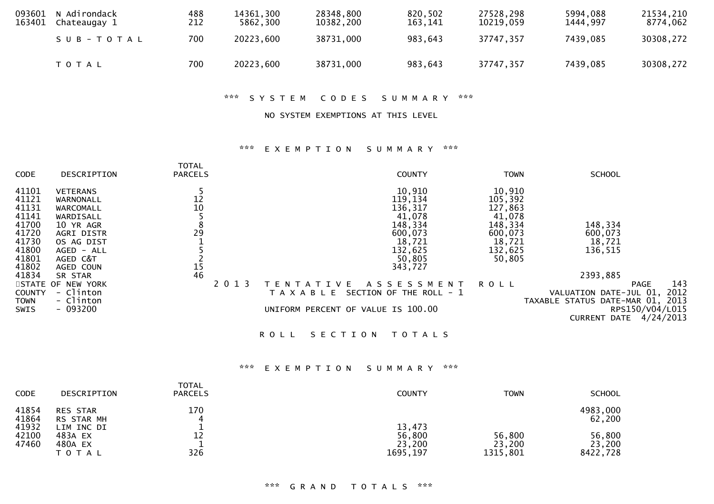| 093601<br>163401 | N Adirondack<br>Chateaugay 1 | 488<br>212 | 14361.300<br>5862,300 | 28348,800<br>10382.200 | 820,502<br>163.141 | 27528,298<br>10219.059 | 5994,088<br>1444.997 | 21534,210<br>8774,062 |
|------------------|------------------------------|------------|-----------------------|------------------------|--------------------|------------------------|----------------------|-----------------------|
|                  | SUB-TOTAL                    | 700        | 20223,600             | 38731,000              | 983,643            | 37747,357              | 7439.085             | 30308,272             |
|                  | <b>TOTAL</b>                 | 700        | 20223,600             | 38731,000              | 983,643            | 37747,357              | 7439,085             | 30308,272             |

\*\*\* S Y S T E M C O D E S S U M M A R Y \*\*\*

NO SYSTEM EXEMPTIONS AT THIS LEVEL

#### \*\*\* E X E M P T I O N S U M M A R Y \*\*\*

| <b>CODE</b>                | DESCRIPTION            | <b>TOTAL</b><br><b>PARCELS</b> |         | <b>COUNTY</b>                            | <b>TOWN</b> | <b>SCHOOL</b>                                                                              |
|----------------------------|------------------------|--------------------------------|---------|------------------------------------------|-------------|--------------------------------------------------------------------------------------------|
| 41101                      | <b>VETERANS</b>        |                                |         | 10,910                                   | 10,910      |                                                                                            |
| 41121                      | WARNONALL              | 12                             |         | 119,134                                  | 105,392     |                                                                                            |
| 41131                      | WARCOMALL              | 10                             |         | 136,317                                  | 127,863     |                                                                                            |
| 41141                      | WARDISALL              |                                |         | 41,078                                   | 41,078      |                                                                                            |
| 41700                      | 10 YR AGR              | 8                              |         | 148,334                                  | 148,334     | 148,334                                                                                    |
| 41720                      | AGRI DISTR             | 29                             |         | 600,073                                  | 600,073     | 600,073                                                                                    |
| 41730                      | OS AG DIST             |                                |         | 18,721                                   | 18,721      | 18,721                                                                                     |
| 41800                      | AGED - ALL             |                                |         | 132,625                                  | 132,625     | 136,515                                                                                    |
| 41801                      | AGED C&T               |                                |         | 50,805                                   | 50,805      |                                                                                            |
| 41802                      | AGED COUN              | 15                             |         | 343,727                                  |             |                                                                                            |
| 41834                      | SR STAR                | 46                             |         |                                          |             | 2393,885                                                                                   |
|                            | STATE OF NEW YORK      |                                | 2 0 1 3 | A S S E S S M E N T<br>IVE<br>TENT<br>A  | <b>ROLL</b> | 143<br><b>PAGE</b>                                                                         |
| <b>COUNTY</b>              | - Clinton<br>- Clinton |                                |         | SECTION OF THE ROLL - 1<br>T A X A B L E |             | VALUATION DATE-JUL 01, 2012                                                                |
| <b>TOWN</b><br><b>SWIS</b> | $-093200$              |                                |         | UNIFORM PERCENT OF VALUE IS 100.00       |             | TAXABLE STATUS DATE-MAR 01, 2013<br>RPS150/V04/L015<br>4/24/2013<br><b>CURRENT</b><br>DATE |
|                            |                        |                                |         |                                          |             |                                                                                            |

ROLL SECTION TOTALS

## \*\*\* E X E M P T I O N S U M M A R Y \*\*\*

| <b>CODE</b>             | DESCRIPTION                                 | <b>TOTAL</b><br><b>PARCELS</b> | <b>COUNTY</b>                | <b>TOWN</b>                  | <b>SCHOOL</b>                |
|-------------------------|---------------------------------------------|--------------------------------|------------------------------|------------------------------|------------------------------|
| 41854<br>41864<br>41932 | <b>RES STAR</b><br>RS STAR MH<br>LIM INC DI | 170<br>4                       | 13,473                       |                              | 4983,000<br>62,200           |
| 42100<br>47460          | 483A EX<br>480A EX<br><b>TOTAL</b>          | 12<br>326                      | 56,800<br>23,200<br>1695,197 | 56,800<br>23,200<br>1315,801 | 56,800<br>23,200<br>8422,728 |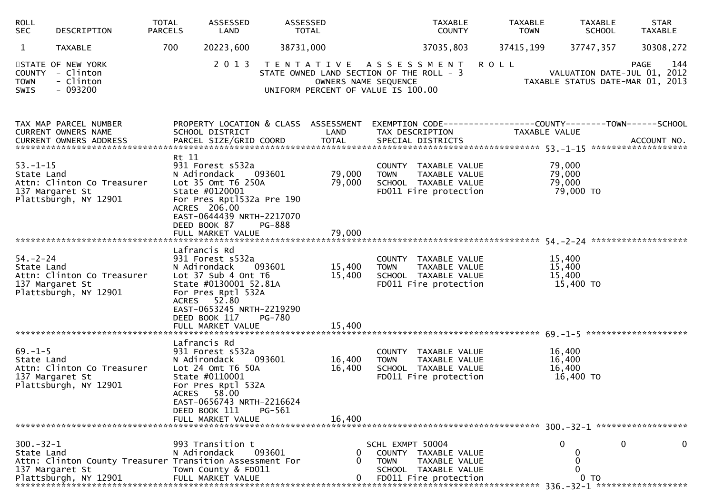| <b>ROLL</b><br><b>SEC</b>    | DESCRIPTION                                                                                          | <b>TOTAL</b><br><b>PARCELS</b> | ASSESSED<br>LAND                                                                                                                                                   | ASSESSED                | TOTAL                                                                                                                          |                                 | <b>TAXABLE</b><br><b>COUNTY</b>                                                        | <b>TAXABLE</b><br><b>TOWN</b> | <b>TAXABLE</b><br><b>SCHOOL</b>         | <b>STAR</b><br><b>TAXABLE</b>                                                                    |
|------------------------------|------------------------------------------------------------------------------------------------------|--------------------------------|--------------------------------------------------------------------------------------------------------------------------------------------------------------------|-------------------------|--------------------------------------------------------------------------------------------------------------------------------|---------------------------------|----------------------------------------------------------------------------------------|-------------------------------|-----------------------------------------|--------------------------------------------------------------------------------------------------|
| $\mathbf{1}$                 | <b>TAXABLE</b>                                                                                       | 700                            | 20223,600                                                                                                                                                          | 38731,000               |                                                                                                                                |                                 | 37035,803                                                                              | 37415,199                     | 37747,357                               | 30308,272                                                                                        |
| <b>TOWN</b><br>SWIS          | STATE OF NEW YORK<br>COUNTY - Clinton<br>- Clinton<br>$-093200$                                      |                                | 2 0 1 3                                                                                                                                                            |                         | TENTATIVE ASSESSMENT<br>STATE OWNED LAND SECTION OF THE ROLL - 3<br>OWNERS NAME SEQUENCE<br>UNIFORM PERCENT OF VALUE IS 100.00 |                                 |                                                                                        | <b>ROLL</b>                   |                                         | 144<br><b>PAGE</b><br>VALUATION DATE-JUL 01, 2012<br>TAXABLE STATUS DATE-MAR 01, 2013            |
|                              | TAX MAP PARCEL NUMBER<br>CURRENT OWNERS NAME                                                         |                                | SCHOOL DISTRICT                                                                                                                                                    |                         | LAND                                                                                                                           |                                 | TAX DESCRIPTION                                                                        |                               | TAXABLE VALUE                           | PROPERTY LOCATION & CLASS ASSESSMENT EXEMPTION CODE----------------COUNTY-------TOWN------SCHOOL |
| $53. - 1 - 15$<br>State Land | Attn: Clinton Co Treasurer<br>137 Margaret St<br>Plattsburgh, NY 12901                               | Rt 11                          | 931 Forest s532a<br>N Adirondack<br>Lot 35 Omt T6 250A<br>State #0120001<br>For Pres Rpt1532a Pre 190<br>ACRES 206.00<br>EAST-0644439 NRTH-2217070<br>DEED BOOK 87 | 093601<br><b>PG-888</b> | 79,000<br>79,000                                                                                                               | <b>TOWN</b>                     | COUNTY TAXABLE VALUE<br>TAXABLE VALUE<br>SCHOOL TAXABLE VALUE<br>FD011 Fire protection |                               | 79,000<br>79,000<br>79,000<br>79,000 TO |                                                                                                  |
|                              |                                                                                                      |                                | FULL MARKET VALUE                                                                                                                                                  |                         | 79,000                                                                                                                         |                                 |                                                                                        |                               |                                         |                                                                                                  |
| $54 - 2 - 24$<br>State Land  | Attn: Clinton Co Treasurer<br>137 Margaret St<br>Plattsburgh, NY 12901                               |                                | Lafrancis Rd<br>931 Forest s532a<br>N Adirondack<br>Lot 37 Sub 4 Ont T6<br>State #0130001 52.81A<br>For Pres Rptl 532A<br>ACRES 52.80                              | 093601                  | 15,400<br>15,400                                                                                                               | <b>TOWN</b>                     | COUNTY TAXABLE VALUE<br>TAXABLE VALUE<br>SCHOOL TAXABLE VALUE<br>FD011 Fire protection |                               | 15,400<br>15,400<br>15,400<br>15,400 TO |                                                                                                  |
|                              |                                                                                                      |                                | EAST-0653245 NRTH-2219290<br>DEED BOOK 117<br>FULL MARKET VALUE                                                                                                    | PG-780                  | 15,400                                                                                                                         |                                 |                                                                                        |                               |                                         |                                                                                                  |
| $69. - 1 - 5$<br>State Land  | Attn: Clinton Co Treasurer<br>137 Margaret St<br>Plattsburgh, NY 12901                               |                                | Lafrancis Rd<br>931 Forest s532a<br>N Adirondack<br>Lot 24 Omt T6 50A<br>State #0110001<br>For Pres Rptl 532A<br>ACRES 58.00<br>EAST-0656743 NRTH-2216624          | 093601                  | 16,400<br>16,400                                                                                                               | <b>TOWN</b>                     | COUNTY TAXABLE VALUE<br>TAXABLE VALUE<br>SCHOOL TAXABLE VALUE<br>FD011 Fire protection |                               | 16,400<br>16,400<br>16,400<br>16,400 TO |                                                                                                  |
|                              |                                                                                                      |                                | DEED BOOK 111<br>FULL MARKET VALUE                                                                                                                                 | PG-561                  | 16,400                                                                                                                         |                                 |                                                                                        |                               |                                         |                                                                                                  |
| $300 - 32 - 1$<br>State Land | Attn: Clinton County Treasurer Transition Assessment For<br>137 Margaret St<br>Plattsburgh, NY 12901 |                                | 993 Transition t<br>N Adirondack<br>Town County & FD011<br>FULL MARKET VALUE                                                                                       | 093601                  | 0                                                                                                                              | SCHL EXMPT 50004<br><b>TOWN</b> | COUNTY TAXABLE VALUE<br>TAXABLE VALUE<br>SCHOOL TAXABLE VALUE<br>FD011 Fire protection |                               | 0<br>TO                                 | 0<br>0<br>******************                                                                     |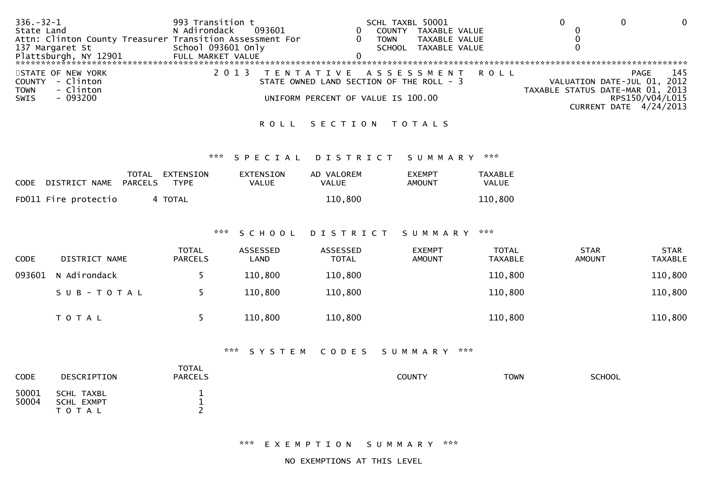| $336. - 32 - 1$                                          | 993 Transition t                   | SCHL TAXBL 50001                         |                                  |  |
|----------------------------------------------------------|------------------------------------|------------------------------------------|----------------------------------|--|
| State Land                                               | N Adirondack<br>093601             | TAXABLE VALUE<br>COUNTY                  |                                  |  |
| Attn: Clinton County Treasurer Transition Assessment For |                                    | TAXABLE VALUE<br>TOWN                    |                                  |  |
| 137 Margaret St                                          | School 093601 Only                 | TAXABLE VALUE<br>SCHOOL                  |                                  |  |
| Plattsburgh, NY 12901                                    | FULL MARKET VALUE                  |                                          |                                  |  |
|                                                          |                                    |                                          |                                  |  |
| STATE OF NEW YORK                                        |                                    | 2013 TENTATIVE ASSESSMENT ROLL           | 145<br>PAGE                      |  |
| - Clinton<br><b>COUNTY</b>                               |                                    | STATE OWNED LAND SECTION OF THE ROLL - 3 | VALUATION DATE-JUL 01, 2012      |  |
| - Clinton<br><b>TOWN</b>                                 |                                    |                                          | TAXABLE STATUS DATE-MAR 01, 2013 |  |
| - 093200<br>SWIS                                         | UNIFORM PERCENT OF VALUE IS 100.00 |                                          | RPS150/V04/L015                  |  |
|                                                          |                                    |                                          | CURRENT DATE 4/24/2013           |  |
|                                                          |                                    |                                          |                                  |  |

### ROLL SECTION TOTALS

#### \*\*\* S P E C I A L D I S T R I C T S U M M A R Y \*\*\*

| CODE | DISTRICT NAME        | TOTAL<br>PARCELS | EXTENSION<br>TYPE | EXTENSION<br>VALUE | AD VALOREM<br>VALUE | <b>FXFMPT</b><br>AMOUNT | <b>TAXABLE</b><br><b>VALUE</b> |
|------|----------------------|------------------|-------------------|--------------------|---------------------|-------------------------|--------------------------------|
|      | FD011 Fire protectio |                  | 4 TOTAL           |                    | 110,800             |                         | 110,800                        |

## \*\*\* S C H O O L D I S T R I C T S U M M A R Y \*\*\*

| <b>CODE</b> | DISTRICT NAME       | <b>TOTAL</b><br><b>PARCELS</b> | ASSESSED<br>LAND | ASSESSED<br><b>TOTAL</b> | <b>EXEMPT</b><br><b>AMOUNT</b> | TOTAL<br><b>TAXABLE</b> | <b>STAR</b><br><b>AMOUNT</b> | <b>STAR</b><br><b>TAXABLE</b> |
|-------------|---------------------|--------------------------------|------------------|--------------------------|--------------------------------|-------------------------|------------------------------|-------------------------------|
|             | 093601 N Adirondack |                                | 110,800          | 110,800                  |                                | 110,800                 |                              | 110,800                       |
|             | SUB-TOTAL           |                                | 110,800          | 110,800                  |                                | 110,800                 |                              | 110,800                       |
|             | <b>TOTAL</b>        |                                | 110,800          | 110,800                  |                                | 110,800                 |                              | 110,800                       |

## \*\*\* S Y S T E M C O D E S S U M M A R Y \*\*\*

| <b>CODE</b>    | DESCRIPTION                       | <b>TOTAL</b><br><b>PARCELS</b> | <b>COUNTY</b> | <b>TOWN</b> | <b>SCHOOL</b> |
|----------------|-----------------------------------|--------------------------------|---------------|-------------|---------------|
| 50001<br>50004 | SCHL TAXBL<br>SCHL EXMPT<br>TOTAL | <b>__</b>                      |               |             |               |

\*\*\* E X E M P T I O N S U M M A R Y \*\*\*

NO EXEMPTIONS AT THIS LEVEL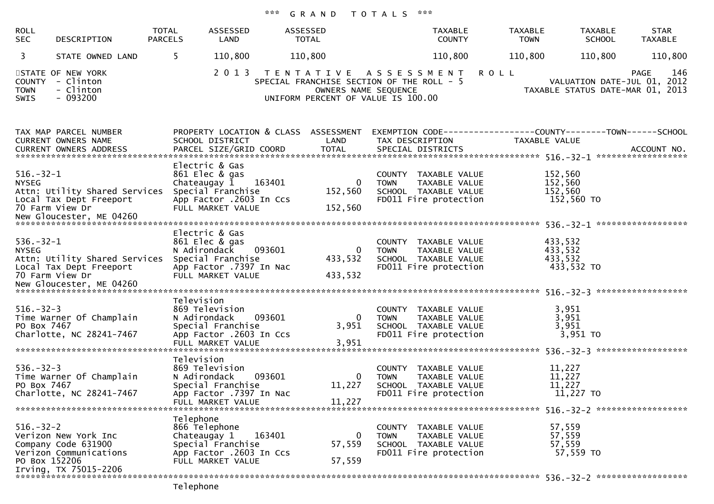# \*\*\* G R A N D T O T A L S \*\*\*

| <b>ROLL</b><br><b>SEC</b>            | DESCRIPTION                                                                                    | <b>TOTAL</b><br><b>PARCELS</b> | ASSESSED<br>LAND                                                                                                                | ASSESSED<br>TOTAL                                                                                                               |                                      | <b>TAXABLE</b><br><b>COUNTY</b>                                                        | <b>TAXABLE</b><br><b>TOWN</b>                                                 | <b>TAXABLE</b><br><b>SCHOOL</b>     | <b>STAR</b><br><b>TAXABLE</b>                                                         |
|--------------------------------------|------------------------------------------------------------------------------------------------|--------------------------------|---------------------------------------------------------------------------------------------------------------------------------|---------------------------------------------------------------------------------------------------------------------------------|--------------------------------------|----------------------------------------------------------------------------------------|-------------------------------------------------------------------------------|-------------------------------------|---------------------------------------------------------------------------------------|
| 3                                    | STATE OWNED LAND                                                                               | 5.                             | 110,800                                                                                                                         | 110,800                                                                                                                         |                                      | 110,800                                                                                | 110,800                                                                       | 110,800                             | 110,800                                                                               |
| <b>COUNTY</b><br><b>TOWN</b><br>SWIS | STATE OF NEW YORK<br>- Clinton<br>- Clinton<br>$-093200$                                       |                                | 2 0 1 3                                                                                                                         | TENTATIVE ASSESSMENT<br>SPECIAL FRANCHISE SECTION OF THE ROLL - 5<br>OWNERS NAME SEQUENCE<br>UNIFORM PERCENT OF VALUE IS 100.00 |                                      |                                                                                        | <b>ROLL</b>                                                                   |                                     | 146<br><b>PAGE</b><br>VALUATION DATE-JUL 01, 2012<br>TAXABLE STATUS DATE-MAR 01, 2013 |
|                                      | TAX MAP PARCEL NUMBER<br>CURRENT OWNERS NAME<br><b>CURRENT OWNERS ADDRESS</b>                  |                                | PROPERTY LOCATION & CLASS ASSESSMENT<br>SCHOOL DISTRICT<br>PARCEL SIZE/GRID COORD                                               | LAND<br><b>TOTAL</b>                                                                                                            | TAX DESCRIPTION<br>SPECIAL DISTRICTS |                                                                                        | EXEMPTION CODE-----------------COUNTY-------TOWN------SCHOOL<br>TAXABLE VALUE |                                     | ACCOUNT NO.                                                                           |
| $516.-32-1$<br><b>NYSEG</b>          | Attn: Utility Shared Services<br>Local Tax Dept Freeport<br>70 Farm View Dr                    |                                | Electric & Gas<br>861 Elec & gas<br>Chateaugay 1<br>163401<br>Special Franchise<br>App Factor .2603 In Ccs<br>FULL MARKET VALUE | $\mathbf 0$<br>152,560<br>152,560                                                                                               | <b>TOWN</b>                          | COUNTY TAXABLE VALUE<br>TAXABLE VALUE<br>SCHOOL TAXABLE VALUE<br>FD011 Fire protection | 152,560<br>152,560<br>152,560                                                 | 152,560 TO                          |                                                                                       |
| $536. - 32 - 1$<br><b>NYSEG</b>      | Attn: Utility Shared Services<br>Local Tax Dept Freeport<br>70 Farm View Dr                    | N Adirondack                   | Electric & Gas<br>861 Elec & gas<br>093601<br>Special Franchise<br>App Factor .7397 In Nac<br>FULL MARKET VALUE                 | $\Omega$<br>433,532<br>433,532                                                                                                  | <b>TOWN</b>                          | COUNTY TAXABLE VALUE<br>TAXABLE VALUE<br>SCHOOL TAXABLE VALUE<br>FD011 Fire protection | 433,532<br>433,532<br>433,532                                                 | 433,532 TO                          |                                                                                       |
| $516. - 32 - 3$<br>PO Box 7467       | Time Warner Of Champlain<br>Charlotte, NC 28241-7467                                           | Television<br>N Adirondack     | 869 Television<br>093601<br>Special Franchise<br>App Factor .2603 In Ccs<br>FULL MARKET VALUE                                   | $\Omega$<br>3,951<br>3,951                                                                                                      | <b>TOWN</b>                          | COUNTY TAXABLE VALUE<br>TAXABLE VALUE<br>SCHOOL TAXABLE VALUE<br>FD011 Fire protection |                                                                               | 3,951<br>3,951<br>3,951<br>3,951 TO |                                                                                       |
| $536. - 32 - 3$<br>PO Box 7467       | Time Warner Of Champlain<br>Charlotte, NC 28241-7467                                           | Television<br>N Adirondack     | 869 Television<br>093601<br>Special Franchise<br>App Factor .7397 In Nac<br>FULL MARKET VALUE                                   | 0<br>11,227<br>11,227                                                                                                           | COUNTY<br><b>TOWN</b>                | TAXABLE VALUE<br>TAXABLE VALUE<br>SCHOOL TAXABLE VALUE<br>FD011 Fire protection        | 11,227<br>11,227<br>11,227                                                    | 11,227 TO                           |                                                                                       |
| $516. - 32 - 2$<br>PO Box 152206     | Verizon New York Inc<br>Company Code 631900<br>Verizon Communications<br>Irving, TX 75015-2206 | Telephone<br>Chateaugay 1      | 866 Telephone<br>163401<br>Special Franchise<br>App Factor .2603 In Ccs<br>FULL MARKET VALUE                                    | 0<br>57,559<br>57,559                                                                                                           | <b>TOWN</b>                          | COUNTY TAXABLE VALUE<br>TAXABLE VALUE<br>SCHOOL TAXABLE VALUE<br>FD011 Fire protection | 57,559<br>57,559<br>57,559                                                    | 57,559 TO                           |                                                                                       |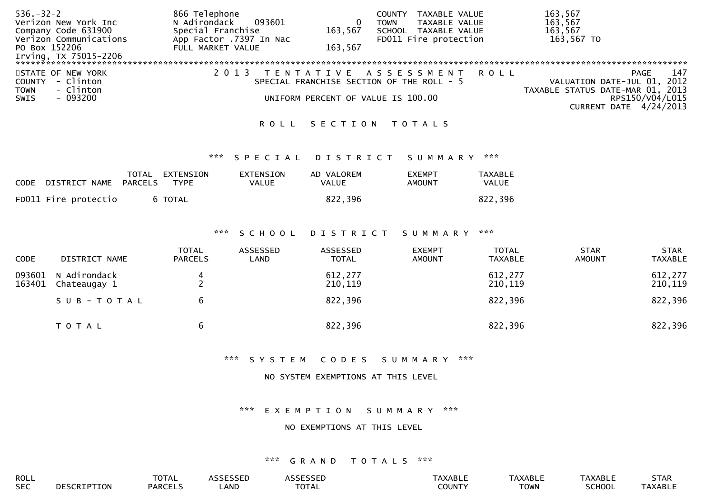| $536. - 32 - 2$          | 866 Telephone           |         | TAXABLE VALUE<br><b>COUNTY</b>            |      | 163,567                          |
|--------------------------|-------------------------|---------|-------------------------------------------|------|----------------------------------|
| Verizon New York Inc     | 093601<br>N Adirondack  |         | TAXABLE VALUE<br>TOWN                     |      | 163,567                          |
| Company Code 631900      | Special Franchise       | 163,567 | SCHOOL<br>TAXABLE VALUE                   |      | 163,567                          |
| Verizon Communications   | App Factor .7397 In Nac |         | FD011 Fire protection                     |      | 163,567 TO                       |
| PO Box 152206            | FULL MARKET VALUE       | 163,567 |                                           |      |                                  |
| Irving, TX 75015-2206    |                         |         |                                           |      |                                  |
|                          |                         |         |                                           |      |                                  |
| STATE OF NEW YORK        |                         |         | TENTATIVE ASSESSMENT                      | ROLL | 147<br>PAGE                      |
| - Clinton<br>COUNTY      |                         |         | SPECIAL FRANCHISE SECTION OF THE ROLL - 5 |      | VALUATION DATE-JUL 01, 2012      |
| - Clinton<br><b>TOWN</b> |                         |         |                                           |      | TAXABLE STATUS DATE-MAR 01, 2013 |
| - 093200<br><b>SWIS</b>  |                         |         | UNIFORM PERCENT OF VALUE IS 100.00        |      | RPS150/V04/L015                  |
|                          |                         |         |                                           |      | CURRENT DATE 4/24/2013           |

### ROLL SECTION TOTALS

### \*\*\* S P E C I A L D I S T R I C T S U M M A R Y \*\*\*

| CODE DISTRICT NAME PARCELS | TOTAL EXTENSION<br>TYPE | EXTENSION<br>VALUE | AD VALOREM<br><b>VALUE</b> | <b>FXFMPT</b><br>AMOUNT | <b>TAXABLE</b><br><b>VALUE</b> |
|----------------------------|-------------------------|--------------------|----------------------------|-------------------------|--------------------------------|
| FD011 Fire protectio       | 6 TOTAL                 |                    | 822,396                    |                         | 822,396                        |

### \*\*\* S C H O O L D I S T R I C T S U M M A R Y \*\*\*

| <b>CODE</b>      | DISTRICT NAME                | <b>TOTAL</b><br><b>PARCELS</b> | ASSESSED<br>LAND | ASSESSED<br><b>TOTAL</b> | <b>EXEMPT</b><br><b>AMOUNT</b> | <b>TOTAL</b><br><b>TAXABLE</b> | <b>STAR</b><br><b>AMOUNT</b> | <b>STAR</b><br><b>TAXABLE</b> |
|------------------|------------------------------|--------------------------------|------------------|--------------------------|--------------------------------|--------------------------------|------------------------------|-------------------------------|
| 093601<br>163401 | N Adirondack<br>Chateaugay 1 |                                |                  | 612,277<br>210,119       |                                | 612,277<br>210,119             |                              | 612,277<br>210,119            |
|                  | SUB-TOTAL                    | b                              |                  | 822,396                  |                                | 822,396                        |                              | 822,396                       |
|                  | T O T A L                    | b                              |                  | 822,396                  |                                | 822,396                        |                              | 822,396                       |

### \*\*\* S Y S T E M C O D E S S U M M A R Y \*\*\*

### NO SYSTEM EXEMPTIONS AT THIS LEVEL

### \*\*\* E X E M P T I O N S U M M A R Y \*\*\*

## NO EXEMPTIONS AT THIS LEVEL

## \*\*\* G R A N D T O T A L S \*\*\*

| ROLL       |      | $-2$<br>$\mathbf{A}$<br><b>VIAL</b> |     |                  | ABI:  | XABL'                  | *АBL. | SIAK           |
|------------|------|-------------------------------------|-----|------------------|-------|------------------------|-------|----------------|
| <b>SEC</b> | . אנ | <b>ADCEL</b><br>AKI                 | AND | $\neg$ דר $\neg$ | OUNT' | $T$ $N1$<br><b>UWN</b> |       | <b>TAXABLE</b> |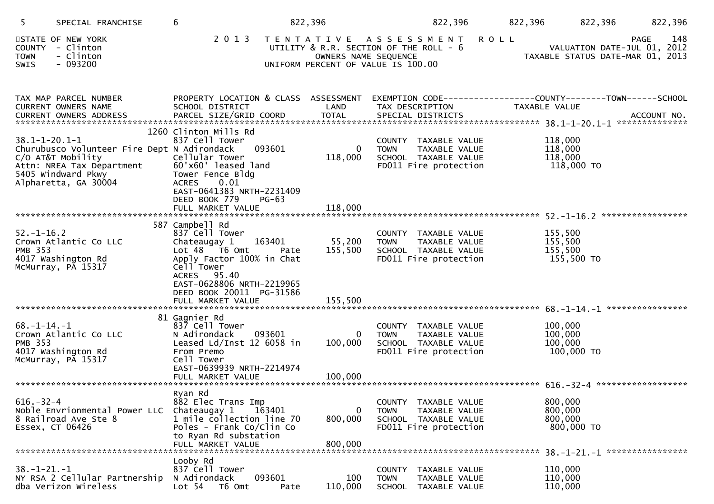| 5.<br>SPECIAL FRANCHISE                                                                                                                                                            | 6                                                                                                                                                                                               | 822,396                            | 822,396                                                                                                   | 822,396                                     | 822,396<br>822,396                                                             |
|------------------------------------------------------------------------------------------------------------------------------------------------------------------------------------|-------------------------------------------------------------------------------------------------------------------------------------------------------------------------------------------------|------------------------------------|-----------------------------------------------------------------------------------------------------------|---------------------------------------------|--------------------------------------------------------------------------------|
| STATE OF NEW YORK<br>COUNTY - Clinton<br><b>TOWN</b><br>- Clinton<br>$-093200$<br><b>SWIS</b>                                                                                      |                                                                                                                                                                                                 | OWNERS NAME SEQUENCE               | 2013 TENTATIVE ASSESSMENT<br>UTILITY & R.R. SECTION OF THE ROLL - 6<br>UNIFORM PERCENT OF VALUE IS 100.00 | <b>ROLL</b>                                 | 148<br>PAGE<br>VALUATION DATE-JUL 01, 2012<br>TAXABLE STATUS DATE-MAR 01, 2013 |
| TAX MAP PARCEL NUMBER<br>CURRENT OWNERS NAME                                                                                                                                       | PROPERTY LOCATION & CLASS ASSESSMENT<br>SCHOOL DISTRICT                                                                                                                                         | LAND                               | EXEMPTION CODE-----------------COUNTY-------TOWN------SCHOOL<br>TAX DESCRIPTION                           | TAXABLE VALUE                               |                                                                                |
| $38.1 - 1 - 20.1 - 1$<br>Churubusco Volunteer Fire Dept N Adirondack<br>CHARASSO .<br>C/O AT&T Mobility<br>Attn: NREA Tax Department<br>5405 Windward Pkwy<br>Alpharetta, GA 30004 | 1260 Clinton Mills Rd<br>837 Cell Tower<br>093601<br>Cellular Tower<br>60'x60' leased land<br>Tower Fence Bldg<br><b>ACRES</b><br>0.01<br>EAST-0641383 NRTH-2231409<br>DEED BOOK 779<br>$PG-63$ | $\overline{0}$<br>118,000          | COUNTY TAXABLE VALUE<br>TAXABLE VALUE<br><b>TOWN</b><br>SCHOOL TAXABLE VALUE<br>FD011 Fire protection     | 118,000<br>118,000<br>118,000<br>118,000 TO |                                                                                |
|                                                                                                                                                                                    | 587 Campbell Rd                                                                                                                                                                                 |                                    |                                                                                                           |                                             |                                                                                |
| $52. - 1 - 16.2$<br>Crown Atlantic Co LLC<br><b>PMB 353</b><br>4017 Washington Rd<br>McMurray, PA 15317                                                                            | 837 Cell Tower<br>163401<br>Chateaugay 1<br>Lot 48 T6 Omt<br>Pate<br>Apply Factor 100% in Chat<br>Cell Tower<br>ACRES 95.40<br>EAST-0628806 NRTH-2219965                                        | 55,200<br>155,500                  | COUNTY TAXABLE VALUE<br><b>TOWN</b><br>TAXABLE VALUE<br>SCHOOL TAXABLE VALUE<br>FD011 Fire protection     | 155,500<br>155,500<br>155,500<br>155,500 TO |                                                                                |
|                                                                                                                                                                                    | DEED BOOK 20011 PG-31586                                                                                                                                                                        |                                    |                                                                                                           |                                             |                                                                                |
| $68. - 1 - 14. - 1$<br>Crown Atlantic Co LLC<br><b>PMB 353</b><br>4017 Washington Rd<br>McMurray, PA 15317                                                                         | 81 Gagnier Rd<br>837 Cell Tower<br>N Adirondack<br>093601<br>Leased Ld/Inst 12 6058 in<br>From Premo<br>Cell Tower<br>EAST-0639939 NRTH-2214974<br>FULL MARKET VALUE                            | 0<br>100,000<br>100,000            | COUNTY TAXABLE VALUE<br><b>TOWN</b><br>TAXABLE VALUE<br>SCHOOL TAXABLE VALUE<br>FD011 Fire protection     | 100,000<br>100,000<br>100,000<br>100,000 TO |                                                                                |
| $616. - 32 - 4$<br>Noble Envrionmental Power LLC<br>8 Railroad Ave Ste 8<br>Essex, CT 06426                                                                                        | Ryan Rd<br>882 Elec Trans Imp<br>Chateaugay 1<br>163401<br>1 mile collection line 70<br>Poles - Frank Co/Clin Co<br>to Ryan Rd substation<br>FULL MARKET VALUE                                  | $\mathbf{0}$<br>800,000<br>800,000 | COUNTY<br>TAXABLE VALUE<br><b>TOWN</b><br>TAXABLE VALUE<br>SCHOOL TAXABLE VALUE<br>FD011 Fire protection  | 800,000<br>800,000<br>800,000<br>800,000 TO |                                                                                |
| $38. - 1 - 21. - 1$<br>NY RSA 2 Cellular Partnership<br>dba Verizon Wireless                                                                                                       | Looby Rd<br>837 Cell Tower<br>093601<br>N Adirondack<br>Lot <sub>54</sub><br>T6 Omt<br>Pate                                                                                                     | 100<br>110,000                     | <b>COUNTY</b><br>TAXABLE VALUE<br><b>TOWN</b><br>TAXABLE VALUE<br><b>SCHOOL</b><br>TAXABLE VALUE          | 110,000<br>110,000<br>110,000               | 38. -1-21. -1 *****************                                                |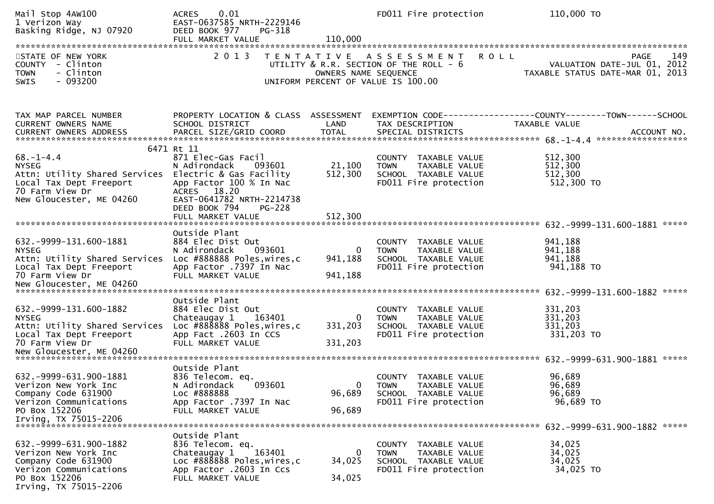| Mail Stop 4AW100<br>1 Verizon Way<br>Basking Ridge, NJ 07920                                                                                                       | 0.01<br><b>ACRES</b><br>EAST-0637585 NRTH-2229146<br>DEED BOOK 977<br>PG-318<br>FULL MARKET VALUE                                                                   | 110,000                              | FD011 Fire protection                                                                                               | 110,000 TO                                                                     |
|--------------------------------------------------------------------------------------------------------------------------------------------------------------------|---------------------------------------------------------------------------------------------------------------------------------------------------------------------|--------------------------------------|---------------------------------------------------------------------------------------------------------------------|--------------------------------------------------------------------------------|
| STATE OF NEW YORK<br>COUNTY - Clinton<br>- Clinton<br><b>TOWN</b><br>$-093200$<br>SWIS                                                                             | 2 0 1 3                                                                                                                                                             | OWNERS NAME SEQUENCE                 | <b>ROLL</b><br>TENTATIVE ASSESSMENT<br>UTILITY & R.R. SECTION OF THE ROLL - 6<br>UNIFORM PERCENT OF VALUE IS 100.00 | 149<br>PAGE<br>VALUATION DATE-JUL 01, 2012<br>TAXABLE STATUS DATE-MAR 01, 2013 |
| TAX MAP PARCEL NUMBER<br>CURRENT OWNERS NAME<br>CURRENT OWNERS ADDRESS                                                                                             | PROPERTY LOCATION & CLASS ASSESSMENT<br>SCHOOL DISTRICT                                                                                                             | LAND                                 | TAX DESCRIPTION                                                                                                     | EXEMPTION CODE-----------------COUNTY-------TOWN------SCHOOL<br>TAXABLE VALUE  |
| $68. - 1 - 4.4$<br><b>NYSEG</b><br>Attn: Utility Shared Services Electric & Gas Facility<br>Local Tax Dept Freeport<br>70 Farm View Dr<br>New Gloucester, ME 04260 | 6471 Rt 11<br>871 Elec-Gas Facil<br>N Adirondack<br>093601<br>App Factor 100 % In Nac<br>ACRES 18.20<br>EAST-0641782 NRTH-2214738<br>DEED BOOK 794<br><b>PG-228</b> | 21,100<br>512,300                    | COUNTY TAXABLE VALUE<br><b>TOWN</b><br>TAXABLE VALUE<br>SCHOOL TAXABLE VALUE<br>FD011 Fire protection               | 512,300<br>512,300<br>512,300<br>512,300 TO                                    |
| 632. - 9999 - 131. 600 - 1881<br><b>NYSEG</b><br>Attn: Utility Shared Services<br>Local Tax Dept Freeport<br>70 Farm View Dr                                       | Outside Plant<br>884 Elec Dist Out<br>093601<br>N Adirondack<br>Loc #888888 Poles, wires, c<br>App Factor .7397 In Nac<br>FULL MARKET VALUE                         | $\overline{0}$<br>941,188<br>941,188 | COUNTY TAXABLE VALUE<br>TAXABLE VALUE<br><b>TOWN</b><br>SCHOOL TAXABLE VALUE<br>FD011 Fire protection               | *****<br>941,188<br>941,188<br>941,188<br>941,188 TO                           |
| 632. - 9999 - 131. 600 - 1882<br><b>NYSEG</b><br>Attn: Utility Shared Services<br>Local Tax Dept Freeport<br>70 Farm View Dr                                       | Outside Plant<br>884 Elec Dist Out<br>Chateaugay 1<br>163401<br>Loc #888888 Poles, wires, c<br>App Fact .2603 In CCS<br>FULL MARKET VALUE                           | $\overline{0}$<br>331,203<br>331,203 | COUNTY TAXABLE VALUE<br>TAXABLE VALUE<br><b>TOWN</b><br>SCHOOL TAXABLE VALUE<br>FD011 Fire protection               | 331,203<br>331,203<br>331,203<br>331,203 TO                                    |
| 632. - 9999 - 631. 900 - 1881<br>Verizon New York Inc<br>Company Code 631900<br>Verizon Communications<br>PO Box 152206<br>Irving, TX 75015-2206                   | Outside Plant<br>836 Telecom. eq.<br>093601<br>N Adirondack<br>Loc #888888<br>App Factor .7397 In Nac<br>FULL MARKET VALUE                                          | $\mathbf{0}$<br>96,689<br>96,689     | COUNTY TAXABLE VALUE<br><b>TOWN</b><br>TAXABLE VALUE<br>SCHOOL TAXABLE VALUE<br>FD011 Fire protection               | 96,689<br>96,689<br>96,689<br>96,689 TO                                        |
| 632. - 9999 - 631. 900 - 1882<br>Verizon New York Inc<br>Company Code 631900<br>Verizon Communications<br>PO Box 152206<br>Irving, TX 75015-2206                   | Outside Plant<br>836 Telecom. eq.<br>163401<br>Chateaugay 1<br>Loc #888888 Poles, wires, c<br>App Factor .2603 In Ccs<br>FULL MARKET VALUE                          | $\Omega$<br>34,025<br>34,025         | COUNTY TAXABLE VALUE<br><b>TOWN</b><br>TAXABLE VALUE<br>SCHOOL TAXABLE VALUE<br>FD011 Fire protection               | 34,025<br>34,025<br>34,025<br>34,025 TO                                        |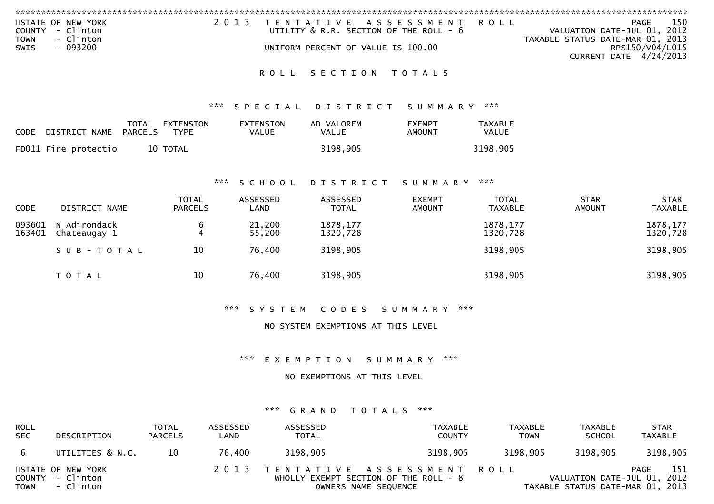| <b>COUNTY</b><br><b>TOWN</b> | STATE OF NEW YORK<br>- Clinton<br>- Clinton |                                                     | 2 0 1 3 |                                  | T E N T A T I V E<br>UTILITY & R.R. SECTION OF THE ROLL - 6 | A S S E S S M E N T            | <b>ROLL</b>                    | <b>PAGE</b><br>VALUATION DATE-JUL 01, 2012<br>TAXABLE STATUS DATE-MAR 01, 2013 | 150                           |
|------------------------------|---------------------------------------------|-----------------------------------------------------|---------|----------------------------------|-------------------------------------------------------------|--------------------------------|--------------------------------|--------------------------------------------------------------------------------|-------------------------------|
| <b>SWIS</b>                  | $-093200$                                   |                                                     |         |                                  | UNIFORM PERCENT OF VALUE IS 100.00                          |                                |                                | <b>CURRENT DATE 4/24/2013</b>                                                  | RPS150/V04/L015               |
|                              |                                             |                                                     |         | <b>ROLL</b>                      | SECTION                                                     | T O T A L S                    |                                |                                                                                |                               |
|                              |                                             |                                                     | ***     | SPECIAL                          | <b>DISTRICT</b>                                             | SUMMARY                        | ***                            |                                                                                |                               |
| <b>CODE</b>                  | DISTRICT NAME                               | TOTAL<br>EXTENSION<br><b>PARCELS</b><br><b>TYPE</b> |         | <b>EXTENSION</b><br><b>VALUE</b> | AD VALOREM<br><b>VALUE</b>                                  | <b>EXEMPT</b><br><b>AMOUNT</b> | <b>TAXABLE</b><br>VALUE        |                                                                                |                               |
|                              | FD011 Fire protectio                        | 10 TOTAL                                            |         |                                  | 3198,905                                                    |                                | 3198,905                       |                                                                                |                               |
|                              |                                             |                                                     | ***     | SCHOOL                           | DISTRICT                                                    | S U M M A R Y                  | ***                            |                                                                                |                               |
| <b>CODE</b>                  | DISTRICT NAME                               | <b>TOTAL</b><br><b>PARCELS</b>                      |         | <b>ASSESSED</b><br>LAND          | <b>ASSESSED</b><br><b>TOTAL</b>                             | <b>EXEMPT</b><br><b>AMOUNT</b> | <b>TOTAL</b><br><b>TAXABLE</b> | <b>STAR</b><br><b>AMOUNT</b>                                                   | <b>STAR</b><br><b>TAXABLE</b> |
| 093601<br>163401             | N Adirondack<br>Chateaugay 1                | 6<br>4                                              |         | 21,200<br>55,200                 | 1878, 177<br>1320,728                                       |                                | 1878, 177<br>1320,728          |                                                                                | 1878, 177<br>1320,728         |
|                              | SUB-TOTAL                                   | 10                                                  |         | 76,400                           | 3198,905                                                    |                                | 3198,905                       |                                                                                | 3198,905                      |
|                              | T O T A L                                   | 10                                                  |         | 76,400                           | 3198,905                                                    |                                | 3198,905                       |                                                                                | 3198,905                      |

\*\*\* S Y S T E M C O D E S S U M M A R Y \*\*\*

NO SYSTEM EXEMPTIONS AT THIS LEVEL

\*\*\* E X E M P T I O N S U M M A R Y \*\*\*

NO EXEMPTIONS AT THIS LEVEL

## \*\*\* G R A N D T O T A L S \*\*\*

| <b>ROLL</b><br><b>SEC</b> | DESCRIPTION                                        | <b>TOTAL</b><br><b>PARCELS</b> | ASSESSED<br>LAND | ASSESSED<br><b>TOTAL</b> | TAXABLE<br><b>COUNTY</b>                                                                        | <b>TAXABLE</b><br><b>TOWN</b> | <b>TAXABLE</b><br><b>SCHOOL</b>                                 | <b>STAR</b><br><b>TAXABLE</b> |
|---------------------------|----------------------------------------------------|--------------------------------|------------------|--------------------------|-------------------------------------------------------------------------------------------------|-------------------------------|-----------------------------------------------------------------|-------------------------------|
| -6                        | UTILITIES & N.C.                                   | 10                             | 76.400           | 3198,905                 | 3198,905                                                                                        | 3198,905                      | 3198,905                                                        | 3198,905                      |
| <b>TOWN</b>               | STATE OF NEW YORK<br>COUNTY - Clinton<br>- Clinton |                                |                  |                          | 2013 TENTATIVE ASSESSMENT ROLL<br>WHOLLY EXEMPT SECTION OF THE ROLL - 8<br>OWNERS NAME SEQUENCE |                               | VALUATION DATE-JUL 01, 2012<br>TAXABLE STATUS DATE-MAR 01, 2013 | 151<br>PAGE                   |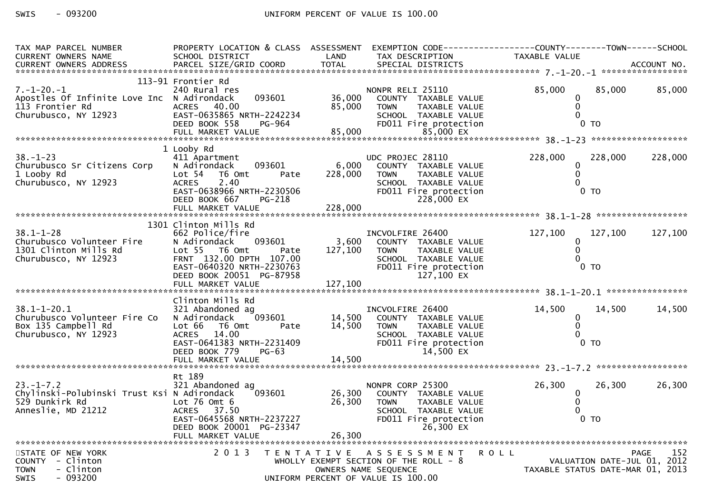| TAX MAP PARCEL NUMBER<br><b>CURRENT OWNERS NAME</b> | PROPERTY LOCATION & CLASS ASSESSMENT<br>SCHOOL DISTRICT | LAND              | TAX DESCRIPTION                        | EXEMPTION CODE-----------------COUNTY-------TOWN------SCHOOL<br>TAXABLE VALUE |                    |
|-----------------------------------------------------|---------------------------------------------------------|-------------------|----------------------------------------|-------------------------------------------------------------------------------|--------------------|
|                                                     |                                                         |                   |                                        |                                                                               |                    |
|                                                     | 113-91 Frontier Rd                                      |                   |                                        |                                                                               |                    |
| $7. - 1 - 20. - 1$                                  | 240 Rural res                                           |                   | NONPR RELI 25110                       | 85,000<br>85,000                                                              | 85,000             |
| Apostles Of Infinite Love Inc N Adirondack          | 093601                                                  | 36,000            | COUNTY TAXABLE VALUE                   | 0                                                                             |                    |
| 113 Frontier Rd                                     | 40.00<br><b>ACRES</b>                                   | 85,000            | <b>TOWN</b><br>TAXABLE VALUE           | $\Omega$                                                                      |                    |
| Churubusco, NY 12923                                | EAST-0635865 NRTH-2242234                               |                   | SCHOOL TAXABLE VALUE                   | $\Omega$                                                                      |                    |
|                                                     | DEED BOOK 558<br><b>PG-964</b>                          |                   | FD011 Fire protection                  | 0 <sub>T</sub>                                                                |                    |
|                                                     | FULL MARKET VALUE                                       | 85,000            | 85,000 EX                              |                                                                               |                    |
|                                                     |                                                         |                   |                                        |                                                                               |                    |
|                                                     | 1 Looby Rd                                              |                   |                                        |                                                                               |                    |
| $38. - 1 - 23$                                      | 411 Apartment                                           |                   | UDC PROJEC 28110                       | 228,000<br>228,000                                                            | 228,000            |
| Churubusco Sr Citizens Corp                         | 093601<br>N Adirondack                                  | 6,000             | COUNTY TAXABLE VALUE                   | 0                                                                             |                    |
| 1 Looby Rd                                          | Lot <sub>54</sub><br>T6 Omt<br>Pate                     | 228,000           | <b>TOWN</b><br>TAXABLE VALUE           | 0                                                                             |                    |
| Churubusco, NY 12923                                | 2.40<br><b>ACRES</b>                                    |                   | SCHOOL TAXABLE VALUE                   |                                                                               |                    |
|                                                     | EAST-0638966 NRTH-2230506                               |                   | FD011 Fire protection                  | 0 <sub>T</sub>                                                                |                    |
|                                                     | DEED BOOK 667<br>PG-218                                 |                   | 228,000 EX                             |                                                                               |                    |
|                                                     | FULL MARKET VALUE                                       | 228,000           |                                        |                                                                               |                    |
|                                                     |                                                         |                   |                                        |                                                                               |                    |
|                                                     | 1301 Clinton Mills Rd                                   |                   |                                        |                                                                               |                    |
| $38.1 - 1 - 28$                                     | 662 Police/fire                                         |                   | INCVOLFIRE 26400                       | 127,100<br>127,100                                                            | 127,100            |
| Churubusco Volunteer Fire                           | N Adirondack<br>093601                                  | 3,600             | COUNTY TAXABLE VALUE                   | $\mathbf{0}$                                                                  |                    |
| 1301 Clinton Mills Rd                               | Lot 55 T6 Omt<br>Pate                                   | 127,100           | TAXABLE VALUE<br><b>TOWN</b>           | $\Omega$                                                                      |                    |
| Churubusco, NY 12923                                | FRNT 132.00 DPTH 107.00                                 |                   | SCHOOL TAXABLE VALUE                   |                                                                               |                    |
|                                                     | EAST-0640320 NRTH-2230763                               |                   | FD011 Fire protection                  | 0 <sub>T</sub>                                                                |                    |
|                                                     | DEED BOOK 20051 PG-87958<br>FULL MARKET VALUE           | 127,100           | 127,100 EX                             |                                                                               |                    |
|                                                     |                                                         |                   |                                        |                                                                               |                    |
|                                                     | Clinton Mills Rd                                        |                   |                                        |                                                                               |                    |
| $38.1 - 1 - 20.1$                                   | 321 Abandoned ag                                        |                   | INCVOLFIRE 26400                       | 14,500<br>14,500                                                              | 14,500             |
| Churubusco Volunteer Fire Co                        | 093601<br>N Adirondack                                  | 14,500            | COUNTY TAXABLE VALUE                   | $\mathbf{0}$                                                                  |                    |
| Box 135 Campbell Rd                                 | Lot 66<br>T6 Omt<br>Pate                                | 14,500            | <b>TOWN</b><br>TAXABLE VALUE           | 0                                                                             |                    |
| Churubusco, NY 12923                                | <b>ACRES</b><br>14.00                                   |                   | SCHOOL TAXABLE VALUE                   |                                                                               |                    |
|                                                     | EAST-0641383 NRTH-2231409                               |                   | FD011 Fire protection                  | 0 <sub>T</sub>                                                                |                    |
|                                                     | DEED BOOK 779<br>$PG-63$                                |                   | 14,500 EX                              |                                                                               |                    |
|                                                     |                                                         |                   |                                        |                                                                               |                    |
|                                                     |                                                         |                   |                                        |                                                                               |                    |
|                                                     | Rt 189                                                  |                   |                                        |                                                                               |                    |
| $23 - 1 - 7.2$                                      | 321 Abandoned ag                                        |                   | NONPR CORP 25300                       | 26,300<br>26,300                                                              | 26,300             |
| Chylinski-Polubinski Trust Ksi N Adirondack         | 093601                                                  | 26,300            | COUNTY TAXABLE VALUE                   | 0                                                                             |                    |
| 529 Dunkirk Rd                                      | Lot $76$ Omt $6$                                        | 26,300            | <b>TOWN</b><br>TAXABLE VALUE           | $\Omega$                                                                      |                    |
| Anneslie, MD 21212                                  | <b>ACRES</b><br>37.50                                   |                   | SCHOOL TAXABLE VALUE                   |                                                                               |                    |
|                                                     | EAST-0645568 NRTH-2237227                               |                   | FD011 Fire protection                  | 0 <sub>T</sub>                                                                |                    |
|                                                     | DEED BOOK 20001 PG-23347                                |                   | 26.300 EX                              |                                                                               |                    |
|                                                     | FULL MARKET VALUE                                       | 26,300            |                                        |                                                                               |                    |
| STATE OF NEW YORK                                   | 2 0 1 3                                                 | T E N T A T I V E | A S S E S S M E N T                    | <b>ROLL</b>                                                                   | <b>PAGE</b><br>152 |
| COUNTY - Clinton                                    |                                                         |                   | WHOLLY EXEMPT SECTION OF THE ROLL $-8$ | VALUATION DATE-JUL 01, 2012                                                   |                    |
| <b>TOWN</b><br>- Clinton                            |                                                         |                   | OWNERS NAME SEQUENCE                   | TAXABLE STATUS DATE-MAR 01, 2013                                              |                    |
| - 093200<br><b>SWIS</b>                             |                                                         |                   | UNIFORM PERCENT OF VALUE IS 100.00     |                                                                               |                    |
|                                                     |                                                         |                   |                                        |                                                                               |                    |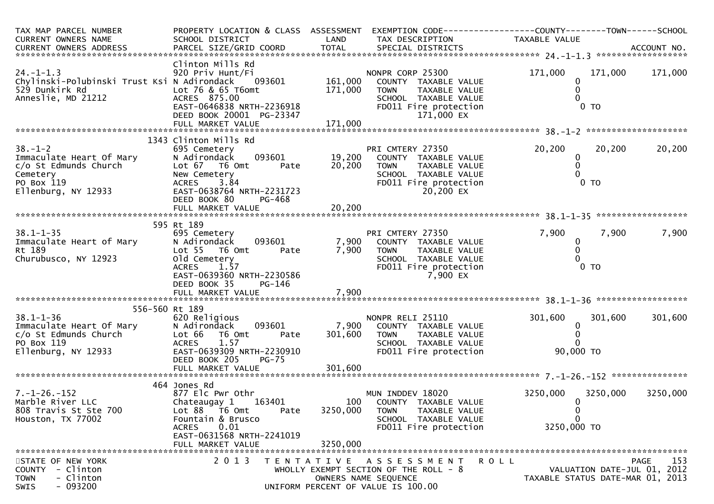| TAX MAP PARCEL NUMBER<br>CURRENT OWNERS NAME<br>CURRENT OWNERS ADDRESS                                                      | PROPERTY LOCATION & CLASS ASSESSMENT<br>SCHOOL DISTRICT<br>PARCEL SIZE/GRID COORD                                                                                                                            | LAND<br><b>TOTAL</b>          | EXEMPTION CODE------------------COUNTY--------TOWN------SCHOOL<br>TAX DESCRIPTION<br>SPECIAL DISTRICTS                                  | TAXABLE VALUE                                                |          | ACCOUNT NO.                                |
|-----------------------------------------------------------------------------------------------------------------------------|--------------------------------------------------------------------------------------------------------------------------------------------------------------------------------------------------------------|-------------------------------|-----------------------------------------------------------------------------------------------------------------------------------------|--------------------------------------------------------------|----------|--------------------------------------------|
| $24. - 1 - 1.3$<br>Chylinski-Polubinski Trust Ksi N Adirondack<br>529 Dunkirk Rd<br>Anneslie, MD 21212                      | Clinton Mills Rd<br>920 Priv Hunt/Fi<br>093601<br>Lot 76 & 65 T6omt<br>ACRES 875.00<br>EAST-0646838 NRTH-2236918<br>DEED BOOK 20001 PG-23347<br>FULL MARKET VALUE                                            | 161,000<br>171,000<br>171,000 | NONPR CORP 25300<br>COUNTY TAXABLE VALUE<br><b>TOWN</b><br>TAXABLE VALUE<br>SCHOOL TAXABLE VALUE<br>FD011 Fire protection<br>171,000 EX | 171,000<br>0<br>0<br>0 <sub>T</sub>                          | 171,000  | 171,000                                    |
| $38. - 1 - 2$<br>Immaculate Heart Of Mary<br>c/o St Edmunds Church<br>Cemetery<br>PO Box 119<br>Ellenburg, NY 12933         | 1343 Clinton Mills Rd<br>695 Cemetery<br>093601<br>N Adirondack<br>Lot 67 76 0mt<br>Pate<br>New Cemetery<br><b>ACRES</b><br>3.84<br>EAST-0638764 NRTH-2231723<br>DEED BOOK 80<br>PG-468<br>FULL MARKET VALUE | 19,200<br>20,200<br>20,200    | PRI CMTERY 27350<br>COUNTY TAXABLE VALUE<br>TAXABLE VALUE<br><b>TOWN</b><br>SCHOOL TAXABLE VALUE<br>FD011 Fire protection<br>20,200 EX  | 20,200<br>$\bf{0}$<br>0<br>$0$ TO                            | 20,200   | 20,200                                     |
| $38.1 - 1 - 35$<br>Immaculate Heart of Mary<br>Rt 189<br>Churubusco, NY 12923                                               | 595 Rt 189<br>695 Cemetery<br>N Adirondack<br>093601<br>Lot 55  T6 Omt<br>Pate<br>old Cemetery<br>1.57<br><b>ACRES</b><br>EAST-0639360 NRTH-2230586<br>DEED BOOK 35<br>PG-146<br>FULL MARKET VALUE           | 7,900<br>7,900<br>7,900       | PRI CMTERY 27350<br>COUNTY TAXABLE VALUE<br>TAXABLE VALUE<br><b>TOWN</b><br>SCHOOL TAXABLE VALUE<br>FD011 Fire protection<br>7,900 EX   | 7,900<br>0<br>0 <sub>T</sub>                                 | 7,900    | 7,900                                      |
| 556-560 Rt 189<br>$38.1 - 1 - 36$<br>Immaculate Heart Of Mary<br>c/o St Edmunds Church<br>PO Box 119<br>Ellenburg, NY 12933 | 620 Religious<br>093601<br>N Adirondack<br>Lot 66<br>T6 Omt<br>Pate<br>1.57<br><b>ACRES</b><br>EAST-0639309 NRTH-2230910<br>DEED BOOK 205<br>$PG-75$                                                         | 7,900<br>301,600              | NONPR RELI 25110<br>COUNTY TAXABLE VALUE<br><b>TOWN</b><br>TAXABLE VALUE<br>SCHOOL TAXABLE VALUE<br>FD011 Fire protection               | 301,600<br>0<br>0<br>90,000 TO                               | 301,600  | 301,600                                    |
| $7. - 1 - 26. - 152$<br>Marble River LLC<br>808 Travis St Ste 700<br>Houston, TX 77002                                      | 464 Jones Rd<br>877 Elc Pwr Othr<br>163401<br>Chateaugay 1<br>Lot 88 T6 Omt<br>Pate<br>Fountain & Brusco<br><b>ACRES</b><br>0.01<br>EAST-0631568 NRTH-2241019<br>FULL MARKET VALUE                           | 100<br>3250,000<br>3250,000   | MUN INDDEV 18020<br>COUNTY TAXABLE VALUE<br>TAXABLE VALUE<br><b>TOWN</b><br>SCHOOL TAXABLE VALUE<br>FD011 Fire protection               | 3250,000<br>$\mathbf{0}$<br>0<br>$\mathbf{0}$<br>3250,000 TO | 3250,000 | 3250,000                                   |
| STATE OF NEW YORK<br>- Clinton<br><b>COUNTY</b><br>- Clinton<br><b>TOWN</b><br>$-093200$<br><b>SWIS</b>                     | 2 0 1 3                                                                                                                                                                                                      |                               | TENTATIVE ASSESSMENT<br>R O L L<br>WHOLLY EXEMPT SECTION OF THE ROLL $-8$<br>OWNERS NAME SEQUENCE<br>UNIFORM PERCENT OF VALUE IS 100.00 | TAXABLE STATUS DATE-MAR 01, 2013                             |          | 153<br>PAGE<br>VALUATION DATE-JUL 01, 2012 |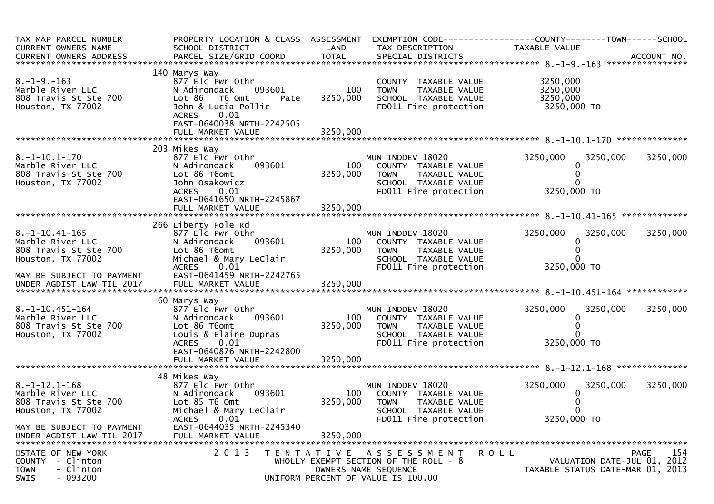| TAX MAP PARCEL NUMBER<br>CURRENT OWNERS NAME<br>CURRENT OWNERS ADDRESS                   | PROPERTY LOCATION & CLASS ASSESSMENT<br>SCHOOL DISTRICT                                                                                                                 | LAND                        | EXEMPTION CODE------------------COUNTY--------TOWN------SCHOOL<br>TAX DESCRIPTION                                                     | TAXABLE VALUE                                                   |             |
|------------------------------------------------------------------------------------------|-------------------------------------------------------------------------------------------------------------------------------------------------------------------------|-----------------------------|---------------------------------------------------------------------------------------------------------------------------------------|-----------------------------------------------------------------|-------------|
| $8. -1 - 9. -163$<br>Marble River LLC<br>808 Travis St Ste 700<br>Houston, TX 77002      | 140 Marys Way<br>877 Elc Pwr Othr<br>N Adirondack<br>093601<br>Lot 86 T6 Omt<br>Pate<br>John & Lucia Pollic<br>0.01<br><b>ACRES</b><br>EAST-0640038 NRTH-2242505        | 100<br>3250,000             | COUNTY TAXABLE VALUE<br><b>TOWN</b><br>TAXABLE VALUE<br>SCHOOL TAXABLE VALUE<br>FD011 Fire protection                                 | 3250,000<br>3250,000<br>3250,000<br>3250,000 TO                 |             |
|                                                                                          | FULL MARKET VALUE                                                                                                                                                       | 3250,000                    |                                                                                                                                       |                                                                 |             |
| $8. -1 - 10.1 - 170$<br>Marble River LLC<br>808 Travis St Ste 700<br>Houston, TX 77002   | 203 Mikes Way<br>877 Elc Pwr Othr<br>N Adirondack<br>093601<br>Lot 86 T6omt<br>John Osakowicz<br><b>ACRES</b><br>0.01<br>EAST-0641650 NRTH-2245867<br>FULL MARKET VALUE | 100<br>3250,000<br>3250,000 | MUN INDDEV 18020<br>COUNTY TAXABLE VALUE<br>TAXABLE VALUE<br><b>TOWN</b><br>SCHOOL TAXABLE VALUE<br>FD011 Fire protection             | 3250,000<br>3250,000<br>3250,000 TO                             | 3250,000    |
|                                                                                          | 266 Liberty Pole Rd                                                                                                                                                     |                             |                                                                                                                                       |                                                                 |             |
| $8. -1 - 10.41 - 165$<br>Marble River LLC<br>808 Travis St Ste 700<br>Houston, TX 77002  | 877 Elc Pwr Othr<br>093601<br>N Adirondack<br>Lot 86 T6omt<br>Michael & Mary LeClair<br>0.01<br><b>ACRES</b>                                                            | 100<br>3250,000             | MUN INDDEV 18020<br>COUNTY TAXABLE VALUE<br>TAXABLE VALUE<br><b>TOWN</b><br>SCHOOL TAXABLE VALUE<br>FD011 Fire protection             | 3250,000<br>3250,000<br>0<br>3250,000 TO                        | 3250,000    |
| MAY BE SUBJECT TO PAYMENT                                                                | EAST-0641459 NRTH-2242765                                                                                                                                               |                             |                                                                                                                                       |                                                                 |             |
|                                                                                          | 60 Marys Way                                                                                                                                                            |                             |                                                                                                                                       |                                                                 |             |
| $8. -1 - 10.451 - 164$<br>Marble River LLC<br>808 Travis St Ste 700<br>Houston, TX 77002 | 877 Elc Pwr Othr<br>093601<br>N Adirondack<br>Lot 86 T6omt<br>Louis & Elaine Dupras<br><b>ACRES</b><br>0.01                                                             | 100<br>3250,000             | MUN INDDEV 18020<br>COUNTY TAXABLE VALUE<br>TAXABLE VALUE<br><b>TOWN</b><br>SCHOOL TAXABLE VALUE<br>FD011 Fire protection             | 3250,000<br>3250,000<br>3250,000 TO                             | 3250,000    |
|                                                                                          | EAST-0640876 NRTH-2242800<br>FULL MARKET VALUE                                                                                                                          | 3250,000                    |                                                                                                                                       |                                                                 |             |
|                                                                                          | 48 Mikes Way                                                                                                                                                            |                             |                                                                                                                                       |                                                                 |             |
| $8. -1 - 12.1 - 168$<br>Marble River LLC<br>808 Travis St Ste 700<br>Houston, TX 77002   | 877 Elc Pwr Othr<br>093601<br>N Adirondack<br>Lot 85 T6 Omt<br>Michael & Mary LeClair                                                                                   | 100<br>3250,000             | MUN INDDEV 18020<br>COUNTY TAXABLE VALUE<br><b>TOWN</b><br>TAXABLE VALUE<br>SCHOOL TAXABLE VALUE                                      | 3250,000<br>3250,000                                            | 3250,000    |
| MAY BE SUBJECT TO PAYMENT<br>UNDER AGDIST LAW TIL 2017                                   | 0.01<br><b>ACRES</b><br>EAST-0644035 NRTH-2245340<br>FULL MARKET VALUE                                                                                                  | 3250,000                    | FD011 Fire protection                                                                                                                 | 3250,000 TO                                                     |             |
| STATE OF NEW YORK<br>COUNTY - Clinton<br>- Clinton<br><b>TOWN</b><br>$-093200$<br>SWIS   | 2 0 1 3                                                                                                                                                                 | T E N T A T I V E           | R O L L<br>A S S E S S M E N T<br>WHOLLY EXEMPT SECTION OF THE ROLL - 8<br>OWNERS NAME SEQUENCE<br>UNIFORM PERCENT OF VALUE IS 100.00 | VALUATION DATE-JUL 01, 2012<br>TAXABLE STATUS DATE-MAR 01, 2013 | 154<br>PAGE |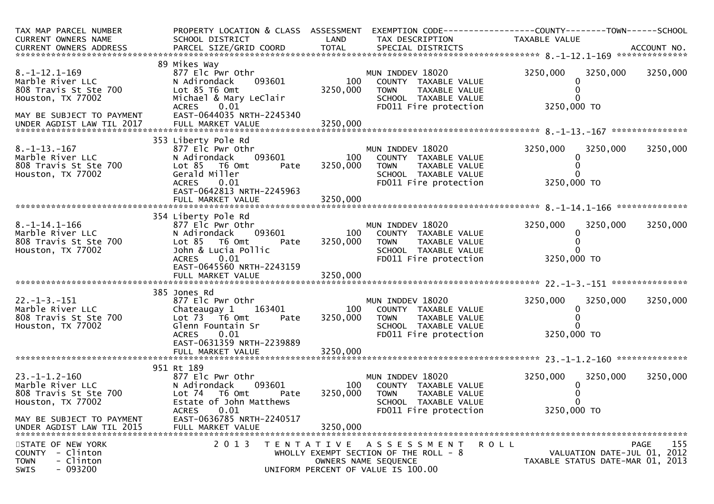| TAX MAP PARCEL NUMBER<br>CURRENT OWNERS NAME           | PROPERTY LOCATION & CLASS ASSESSMENT<br>SCHOOL DISTRICT | LAND              | TAX DESCRIPTION                                               | EXEMPTION CODE------------------COUNTY--------TOWN------SCHOOL<br>TAXABLE VALUE |                    |
|--------------------------------------------------------|---------------------------------------------------------|-------------------|---------------------------------------------------------------|---------------------------------------------------------------------------------|--------------------|
|                                                        |                                                         |                   |                                                               |                                                                                 |                    |
|                                                        | 89 Mikes Way                                            |                   |                                                               |                                                                                 |                    |
| $8. -1 - 12.1 - 169$<br>Marble River LLC               | 877 Elc Pwr Othr<br>093601<br>N Adirondack              | 100               | MUN INDDEV 18020<br>COUNTY TAXABLE VALUE                      | 3250,000<br>3250,000                                                            | 3250,000           |
| 808 Travis St Ste 700                                  | Lot 85 T6 Omt                                           | 3250,000          | TAXABLE VALUE<br><b>TOWN</b>                                  |                                                                                 |                    |
| Houston, TX 77002                                      | Michael & Mary LeClair<br><b>ACRES</b><br>0.01          |                   | SCHOOL TAXABLE VALUE<br>FD011 Fire protection                 | 3250,000 TO                                                                     |                    |
| MAY BE SUBJECT TO PAYMENT                              | EAST-0644035 NRTH-2245340                               |                   |                                                               |                                                                                 |                    |
|                                                        |                                                         |                   |                                                               |                                                                                 |                    |
|                                                        | 353 Liberty Pole Rd                                     |                   |                                                               |                                                                                 |                    |
| $8. -1 - 13. - 167$                                    | 877 Elc Pwr Othr                                        |                   | MUN INDDEV 18020                                              | 3250,000<br>3250,000                                                            | 3250,000           |
| Marble River LLC<br>808 Travis St Ste 700              | 093601<br>N Adirondack<br>$Lot 85$ T6 Omt<br>Pate       | 100<br>3250,000   | COUNTY TAXABLE VALUE<br><b>TOWN</b><br>TAXABLE VALUE          |                                                                                 |                    |
| Houston, TX 77002                                      | Gerald Miller                                           |                   | SCHOOL TAXABLE VALUE                                          |                                                                                 |                    |
|                                                        | <b>ACRES</b><br>0.01<br>EAST-0642813 NRTH-2245963       |                   | FD011 Fire protection                                         | 3250,000 TO                                                                     |                    |
|                                                        |                                                         |                   |                                                               |                                                                                 |                    |
|                                                        |                                                         |                   |                                                               |                                                                                 |                    |
| $8. -1 - 14.1 - 166$                                   | 354 Liberty Pole Rd                                     |                   |                                                               |                                                                                 |                    |
| Marble River LLC                                       | 877 Elc Pwr Othr<br>093601<br>N Adirondack              | 100               | MUN INDDEV 18020<br>COUNTY TAXABLE VALUE                      | 3250,000<br>3250,000<br>0                                                       | 3250,000           |
| 808 Travis St Ste 700                                  | Lot 85  T6 Omt<br>Pate                                  | 3250,000          | <b>TOWN</b><br>TAXABLE VALUE                                  |                                                                                 |                    |
| Houston, TX 77002                                      | John & Lucia Pollic<br>ACRES 0.01                       |                   | SCHOOL TAXABLE VALUE<br>FD011 Fire protection                 | 3250,000 TO                                                                     |                    |
|                                                        | EAST-0645560 NRTH-2243159                               |                   |                                                               |                                                                                 |                    |
|                                                        |                                                         |                   |                                                               |                                                                                 |                    |
|                                                        |                                                         |                   |                                                               |                                                                                 |                    |
| $22. -1 - 3. -151$                                     | 385 Jones Rd<br>877 Elc Pwr Othr                        |                   | MUN INDDEV 18020                                              | 3250,000<br>3250,000                                                            | 3250,000           |
| Marble River LLC                                       | Chateaugay 1<br>163401                                  | 100               | COUNTY TAXABLE VALUE                                          | 0                                                                               |                    |
| 808 Travis St Ste 700                                  | Lot 73  T6 Omt<br>Pate<br>Glenn Fountain Sr             | 3250,000          | <b>TOWN</b><br>TAXABLE VALUE                                  |                                                                                 |                    |
| Houston, TX 77002                                      | <b>ACRES</b><br>0.01                                    |                   | SCHOOL TAXABLE VALUE<br>FD011 Fire protection                 | 3250,000 TO                                                                     |                    |
|                                                        | EAST-0631359 NRTH-2239889                               |                   |                                                               |                                                                                 |                    |
|                                                        | FULL MARKET VALUE                                       | 3250,000          |                                                               |                                                                                 |                    |
|                                                        | 951 Rt 189                                              |                   |                                                               |                                                                                 |                    |
| $23. -1 - 1.2 - 160$                                   | 877 Elc Pwr Othr                                        |                   | MUN INDDEV 18020                                              | 3250,000<br>3250,000                                                            | 3250,000           |
| Marble River LLC<br>808 Travis St Ste 700              | N Adirondack<br>093601<br>Lot 74 T6 Omt<br>Pate         | 100<br>3250,000   | COUNTY TAXABLE VALUE<br><b>TOWN</b><br><b>TAXABLE VALUE</b>   |                                                                                 |                    |
| Houston, TX 77002                                      | Estate of John Matthews                                 |                   | SCHOOL TAXABLE VALUE                                          |                                                                                 |                    |
|                                                        | 0.01<br><b>ACRES</b>                                    |                   | FD011 Fire protection                                         | 3250,000 TO                                                                     |                    |
| MAY BE SUBJECT TO PAYMENT<br>UNDER AGDIST LAW TIL 2015 | EAST-0636785 NRTH-2240517<br>FULL MARKET VALUE          | 3250,000          |                                                               |                                                                                 |                    |
|                                                        |                                                         |                   |                                                               |                                                                                 |                    |
| STATE OF NEW YORK                                      | 2 0 1 3                                                 | T E N T A T I V E | R O L L<br>A S S E S S M E N T                                |                                                                                 | 155<br><b>PAGE</b> |
| COUNTY - Clinton<br>- Clinton<br><b>TOWN</b>           |                                                         |                   | WHOLLY EXEMPT SECTION OF THE ROLL - 8<br>OWNERS NAME SEQUENCE | VALUATION DATE-JUL 01, 2012<br>TAXABLE STATUS DATE-MAR 01, 2013                 |                    |
| $-093200$<br><b>SWIS</b>                               |                                                         |                   | UNIFORM PERCENT OF VALUE IS 100.00                            |                                                                                 |                    |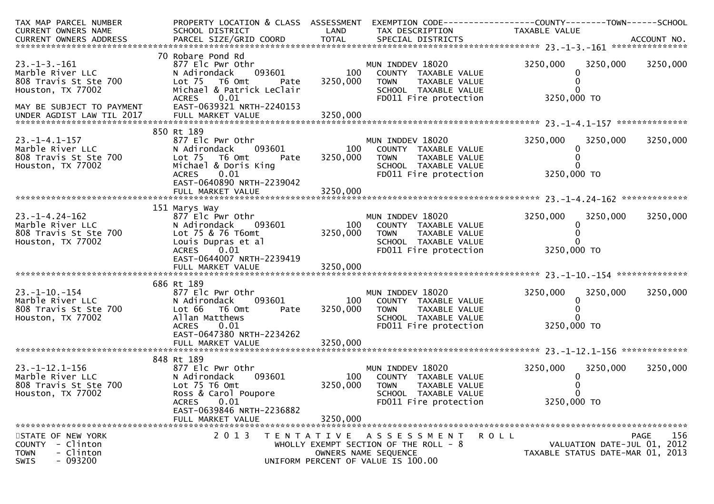| TAX MAP PARCEL NUMBER     | PROPERTY LOCATION & CLASS ASSESSMENT |          |                                       | EXEMPTION CODE------------------COUNTY--------TOWN------SCHOOL |             |
|---------------------------|--------------------------------------|----------|---------------------------------------|----------------------------------------------------------------|-------------|
| CURRENT OWNERS NAME       | SCHOOL DISTRICT                      | LAND     | TAX DESCRIPTION                       | TAXABLE VALUE                                                  |             |
|                           |                                      |          |                                       |                                                                |             |
|                           |                                      |          |                                       |                                                                |             |
|                           | 70 Robare Pond Rd                    |          |                                       |                                                                |             |
| $23. -1 - 3. -161$        | 877 Elc Pwr Othr                     |          | MUN INDDEV 18020                      | 3250,000<br>3250,000                                           | 3250,000    |
| Marble River LLC          | 093601<br>N Adirondack               | 100      | COUNTY TAXABLE VALUE                  | 0                                                              |             |
| 808 Travis St Ste 700     | Lot 75 T6 Omt<br>Pate                | 3250,000 | <b>TOWN</b><br>TAXABLE VALUE          |                                                                |             |
| Houston, TX 77002         | Michael & Patrick LeClair            |          | SCHOOL TAXABLE VALUE                  |                                                                |             |
|                           | <b>ACRES</b><br>0.01                 |          | FD011 Fire protection                 | 3250,000 TO                                                    |             |
| MAY BE SUBJECT TO PAYMENT | EAST-0639321 NRTH-2240153            |          |                                       |                                                                |             |
|                           |                                      |          |                                       |                                                                |             |
|                           |                                      |          |                                       |                                                                |             |
|                           | 850 Rt 189                           |          |                                       |                                                                |             |
| $23. - 1 - 4.1 - 157$     | 877 Elc Pwr Othr                     |          | MUN INDDEV 18020                      | 3250,000<br>3250,000                                           | 3250,000    |
| Marble River LLC          | N Adirondack<br>093601               | 100      | COUNTY TAXABLE VALUE                  |                                                                |             |
| 808 Travis St Ste 700     | Lot 75<br>T6 Omt<br>Pate             | 3250,000 | TAXABLE VALUE<br><b>TOWN</b>          |                                                                |             |
| Houston, TX 77002         | Michael & Doris King                 |          | SCHOOL TAXABLE VALUE                  |                                                                |             |
|                           | 0.01<br>ACRES                        |          | FD011 Fire protection                 | 3250,000 TO                                                    |             |
|                           | EAST-0640890 NRTH-2239042            |          |                                       |                                                                |             |
|                           | FULL MARKET VALUE                    | 3250,000 |                                       |                                                                |             |
|                           |                                      |          |                                       |                                                                |             |
|                           | 151 Marys Way                        |          |                                       |                                                                |             |
| $23. -1 - 4.24 - 162$     | 877 Elc Pwr Othr                     |          | MUN INDDEV 18020                      | 3250,000<br>3250,000                                           | 3250,000    |
| Marble River LLC          | N Adirondack<br>093601               | 100      | COUNTY TAXABLE VALUE                  | 0                                                              |             |
| 808 Travis St Ste 700     | Lot 75 & 76 T6omt                    | 3250,000 | <b>TOWN</b><br>TAXABLE VALUE          |                                                                |             |
| Houston, TX 77002         | Louis Dupras et al                   |          | SCHOOL TAXABLE VALUE                  |                                                                |             |
|                           | ACRES 0.01                           |          | FD011 Fire protection                 | 3250,000 TO                                                    |             |
|                           | EAST-0644007 NRTH-2239419            |          |                                       |                                                                |             |
|                           |                                      |          |                                       |                                                                |             |
|                           |                                      |          |                                       |                                                                |             |
|                           | 686 Rt 189                           |          |                                       |                                                                |             |
| $23. - 1 - 10. - 154$     | 877 Elc Pwr Othr                     |          | MUN INDDEV 18020                      | 3250,000<br>3250,000                                           | 3250,000    |
| Marble River LLC          | 093601<br>N Adirondack               | 100      | COUNTY TAXABLE VALUE                  |                                                                |             |
| 808 Travis St Ste 700     | Lot 66<br>T6 Omt<br>Pate             | 3250,000 | <b>TOWN</b><br>TAXABLE VALUE          |                                                                |             |
| Houston, TX 77002         | Allan Matthews                       |          | SCHOOL TAXABLE VALUE                  |                                                                |             |
|                           | 0.01<br><b>ACRES</b>                 |          | FD011 Fire protection                 | 3250,000 TO                                                    |             |
|                           | EAST-0647380 NRTH-2234262            |          |                                       |                                                                |             |
|                           | FULL MARKET VALUE                    | 3250,000 |                                       |                                                                |             |
|                           |                                      |          |                                       |                                                                |             |
|                           | 848 Rt 189                           |          |                                       |                                                                |             |
| $23. -1 - 12.1 - 156$     | 877 Elc Pwr Othr                     |          | MUN INDDEV 18020                      | 3250,000<br>3250,000                                           | 3250,000    |
| Marble River LLC          | 093601<br>N Adirondack               | 100      | COUNTY TAXABLE VALUE                  |                                                                |             |
| 808 Travis St Ste 700     | Lot 75 T6 Omt                        | 3250,000 | <b>TOWN</b><br>TAXABLE VALUE          |                                                                |             |
| Houston, TX 77002         | Ross & Carol Poupore                 |          | SCHOOL TAXABLE VALUE                  |                                                                |             |
|                           | <b>ACRES</b><br>0.01                 |          | FD011 Fire protection                 | 3250,000 TO                                                    |             |
|                           | EAST-0639846 NRTH-2236882            |          |                                       |                                                                |             |
|                           | FULL MARKET VALUE                    | 3250,000 |                                       |                                                                |             |
|                           |                                      |          |                                       |                                                                |             |
| STATE OF NEW YORK         | 2 0 1 3                              |          | TENTATIVE ASSESSMENT<br>R O L L       |                                                                | 156<br>PAGE |
| - Clinton<br>COUNTY       |                                      |          | WHOLLY EXEMPT SECTION OF THE ROLL - 8 | VALUATION DATE-JUL 01, 2012                                    |             |
| <b>TOWN</b><br>- Clinton  |                                      |          | OWNERS NAME SEQUENCE                  | TAXABLE STATUS DATE-MAR 01, 2013                               |             |
| $-093200$<br>SWIS         |                                      |          | UNIFORM PERCENT OF VALUE IS 100.00    |                                                                |             |
|                           |                                      |          |                                       |                                                                |             |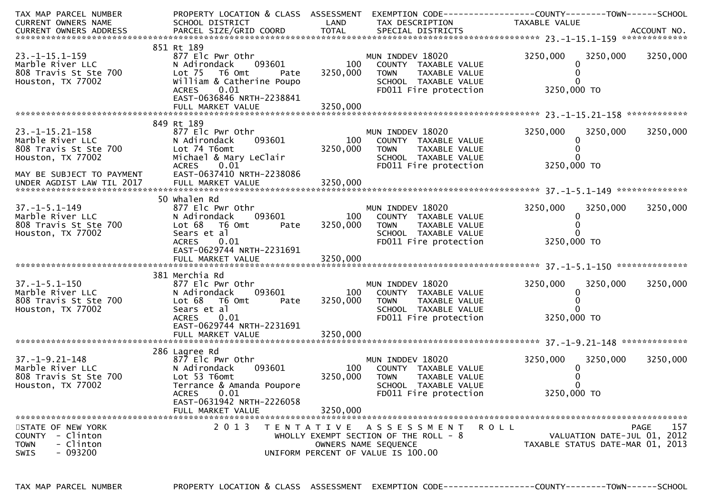| TAX MAP PARCEL NUMBER      | PROPERTY LOCATION & CLASS ASSESSMENT EXEMPTION CODE----------------COUNTY-------TOWN------SCHOOL |          |                                               |                                  |                   |
|----------------------------|--------------------------------------------------------------------------------------------------|----------|-----------------------------------------------|----------------------------------|-------------------|
| CURRENT OWNERS NAME        | SCHOOL DISTRICT                                                                                  | LAND     | TAX DESCRIPTION                               | TAXABLE VALUE                    |                   |
|                            |                                                                                                  |          |                                               |                                  |                   |
|                            |                                                                                                  |          |                                               |                                  |                   |
|                            | 851 Rt 189                                                                                       |          |                                               |                                  |                   |
| $23. -1 - 15.1 - 159$      | 877 Elc Pwr Othr                                                                                 |          | MUN INDDEV 18020                              | 3250,000                         | 3250,000 3250,000 |
| Marble River LLC           | 093601<br>N Adirondack                                                                           | 100      | COUNTY TAXABLE VALUE                          | 0                                |                   |
| 808 Travis St Ste 700      | Lot 75 T6 Omt<br>Pate                                                                            | 3250,000 | TAXABLE VALUE<br><b>TOWN</b>                  |                                  |                   |
| Houston, TX 77002          | William & Catherine Poupo<br>0.01                                                                |          | SCHOOL TAXABLE VALUE<br>FD011 Fire protection | 3250,000 TO                      |                   |
|                            | <b>ACRES</b><br>EAST-0636846 NRTH-2238841                                                        |          |                                               |                                  |                   |
|                            | FULL MARKET VALUE                                                                                | 3250,000 |                                               |                                  |                   |
|                            |                                                                                                  |          |                                               |                                  |                   |
|                            | 849 Rt 189                                                                                       |          |                                               |                                  |                   |
| $23.-1-15.21-158$          | 877 Elc Pwr Othr                                                                                 |          | MUN INDDEV 18020                              | 3250,000<br>3250,000             | 3250,000          |
| Marble River LLC           | 093601<br>N Adirondack                                                                           | 100      | COUNTY TAXABLE VALUE                          | $\Omega$                         |                   |
| 808 Travis St Ste 700      | Lot 74 T6omt                                                                                     | 3250,000 | <b>TOWN</b><br>TAXABLE VALUE                  |                                  |                   |
| Houston, TX 77002          | Michael & Mary LeClair                                                                           |          | SCHOOL TAXABLE VALUE                          |                                  |                   |
|                            | <b>ACRES</b><br>0.01                                                                             |          | FD011 Fire protection                         | 3250,000 TO                      |                   |
|                            | EAST-0637410 NRTH-2238086                                                                        |          |                                               |                                  |                   |
| MAY BE SUBJECT TO PAYMENT  |                                                                                                  |          |                                               |                                  |                   |
|                            |                                                                                                  |          |                                               |                                  |                   |
|                            | 50 whalen Rd                                                                                     |          |                                               |                                  |                   |
| $37. - 1 - 5.1 - 149$      | 877 Elc Pwr Othr                                                                                 |          | MUN INDDEV 18020                              | 3250,000<br>3250,000             | 3250,000          |
| Marble River LLC           | 093601<br>N Adirondack                                                                           | 100      | COUNTY TAXABLE VALUE                          | 0                                |                   |
| 808 Travis St Ste 700      | Lot 68<br>T6 Omt<br>Pate                                                                         | 3250,000 | <b>TOWN</b><br>TAXABLE VALUE                  |                                  |                   |
| Houston, TX 77002          | Sears et al                                                                                      |          | SCHOOL TAXABLE VALUE                          |                                  |                   |
|                            | <b>ACRES</b><br>0.01                                                                             |          | FD011 Fire protection                         | 3250,000 TO                      |                   |
|                            | EAST-0629744 NRTH-2231691                                                                        |          |                                               |                                  |                   |
|                            |                                                                                                  |          |                                               |                                  |                   |
|                            |                                                                                                  |          |                                               |                                  |                   |
|                            | 381 Merchia Rd                                                                                   |          |                                               |                                  |                   |
| $37. - 1 - 5.1 - 150$      | 877 Elc Pwr Othr                                                                                 |          | MUN INDDEV 18020                              | 3250,000<br>3250,000             | 3250,000          |
| Marble River LLC           | 093601<br>N Adirondack                                                                           | 100      | COUNTY TAXABLE VALUE                          | 0                                |                   |
| 808 Travis St Ste 700      | Lot 68<br>T6 Omt<br>Pate                                                                         | 3250,000 | <b>TOWN</b><br>TAXABLE VALUE                  |                                  |                   |
| Houston, TX 77002          | Sears et al                                                                                      |          | SCHOOL TAXABLE VALUE                          |                                  |                   |
|                            | <b>ACRES</b><br>0.01                                                                             |          | FD011 Fire protection                         | 3250,000 TO                      |                   |
|                            | EAST-0629744 NRTH-2231691                                                                        |          |                                               |                                  |                   |
|                            |                                                                                                  |          |                                               |                                  |                   |
|                            | 286 Lagree Rd                                                                                    |          |                                               |                                  |                   |
| 37. –1–9. 21–148           | 877 Elc Pwr Othr                                                                                 |          | MUN INDDEV 18020                              | 3250,000<br>3250,000             | 3250,000          |
| Marble River LLC           | 093601<br>N Adirondack                                                                           | 100      | COUNTY TAXABLE VALUE                          | 0                                |                   |
| 808 Travis St Ste 700      | Lot 53 T6omt                                                                                     | 3250,000 | TOWN<br>TAXABLE VALUE                         |                                  |                   |
| Houston, TX 77002          | Terrance & Amanda Poupore                                                                        |          | SCHOOL TAXABLE VALUE                          |                                  |                   |
|                            | ACRES 0.01                                                                                       |          | FD011 Fire protection                         | 3250,000 TO                      |                   |
|                            | EAST-0631942 NRTH-2226058                                                                        |          |                                               |                                  |                   |
|                            | FULL MARKET VALUE                                                                                | 3250,000 |                                               |                                  |                   |
|                            |                                                                                                  |          |                                               |                                  |                   |
| STATE OF NEW YORK          | 2 0 1 3                                                                                          |          | <b>ROLL</b><br>TENTATIVE ASSESSMENT           |                                  | 157<br>PAGE       |
| - Clinton<br><b>COUNTY</b> |                                                                                                  |          | WHOLLY EXEMPT SECTION OF THE ROLL - 8         | VALUATION DATE-JUL 01, 2012      |                   |
| <b>TOWN</b><br>- Clinton   |                                                                                                  |          | OWNERS NAME SEQUENCE                          | TAXABLE STATUS DATE-MAR 01, 2013 |                   |
| $-093200$<br><b>SWIS</b>   |                                                                                                  |          | UNIFORM PERCENT OF VALUE IS 100.00            |                                  |                   |
|                            |                                                                                                  |          |                                               |                                  |                   |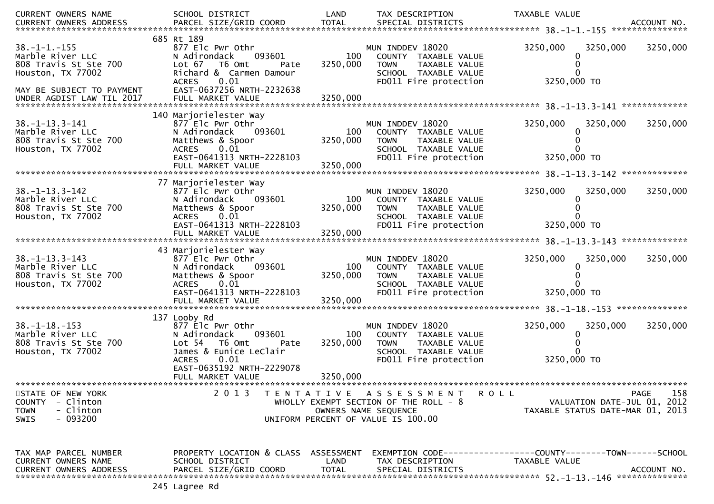| CURRENT OWNERS NAME           | SCHOOL DISTRICT                      | LAND         | TAX DESCRIPTION                       | TAXABLE VALUE                                                  |             |
|-------------------------------|--------------------------------------|--------------|---------------------------------------|----------------------------------------------------------------|-------------|
| CURRENT OWNERS ADDRESS        | PARCEL SIZE/GRID COORD               | <b>TOTAL</b> | SPECIAL DISTRICTS                     |                                                                | ACCOUNT NO. |
|                               |                                      |              |                                       |                                                                |             |
|                               | 685 Rt 189                           |              |                                       |                                                                |             |
| $38. - 1 - 1. - 155$          | 877 Elc Pwr Othr                     |              | MUN INDDEV 18020                      | 3250,000<br>3250,000                                           | 3250,000    |
| Marble River LLC              | N Adirondack<br>093601               | 100          | COUNTY TAXABLE VALUE                  |                                                                |             |
| 808 Travis St Ste 700         | Lot 67<br>T6 Omt<br>Pate             | 3250,000     | TAXABLE VALUE<br><b>TOWN</b>          |                                                                |             |
| Houston, TX 77002             | Richard & Carmen Damour              |              | SCHOOL TAXABLE VALUE                  |                                                                |             |
|                               | 0.01<br><b>ACRES</b>                 |              | FD011 Fire protection                 | 3250,000 TO                                                    |             |
| MAY BE SUBJECT TO PAYMENT     | EAST-0637256 NRTH-2232638            |              |                                       |                                                                |             |
| UNDER AGDIST LAW TIL 2017     |                                      |              |                                       |                                                                |             |
|                               |                                      |              |                                       |                                                                |             |
|                               | 140 Marjorielester Way               |              |                                       |                                                                |             |
| $38. - 1 - 13.3 - 141$        | 877 Elc Pwr Othr                     |              | MUN INDDEV 18020                      | 3250,000<br>3250,000                                           | 3250,000    |
| Marble River LLC              | N Adirondack                         | 100          | COUNTY TAXABLE VALUE                  |                                                                |             |
|                               | 093601                               |              |                                       |                                                                |             |
| 808 Travis St Ste 700         | Matthews & Spoor                     | 3250,000     | <b>TOWN</b><br>TAXABLE VALUE          |                                                                |             |
| Houston, TX 77002             | 0.01<br><b>ACRES</b>                 |              | SCHOOL TAXABLE VALUE                  |                                                                |             |
|                               | EAST-0641313 NRTH-2228103            |              | FD011 Fire protection                 | 3250,000 TO                                                    |             |
|                               | FULL MARKET VALUE                    | 3250,000     |                                       |                                                                |             |
|                               |                                      |              |                                       |                                                                |             |
|                               | 77 Marjorielester Way                |              |                                       |                                                                |             |
| $38. - 1 - 13.3 - 142$        | 877 Elc Pwr Othr                     |              | MUN INDDEV 18020                      | 3250,000<br>3250,000                                           | 3250,000    |
| Marble River LLC              | N Adirondack<br>093601               | 100          | COUNTY TAXABLE VALUE                  |                                                                |             |
| 808 Travis St Ste 700         | Matthews & Spoor                     | 3250,000     | <b>TOWN</b><br>TAXABLE VALUE          |                                                                |             |
| Houston, TX 77002             | <b>ACRES</b><br>0.01                 |              | SCHOOL TAXABLE VALUE                  |                                                                |             |
|                               | EAST-0641313 NRTH-2228103            |              | FD011 Fire protection                 | 3250,000 TO                                                    |             |
|                               |                                      |              |                                       |                                                                |             |
|                               |                                      |              |                                       |                                                                |             |
|                               | 43 Marjorielester Way                |              |                                       |                                                                |             |
| $38. - 1 - 13.3 - 143$        |                                      |              | MUN INDDEV 18020                      | 3250,000                                                       |             |
|                               | 877 Elc Pwr Othr                     |              |                                       | 3250,000                                                       | 3250,000    |
| Marble River LLC              | N Adirondack<br>093601               | 100          | COUNTY TAXABLE VALUE                  | 0                                                              |             |
| 808 Travis St Ste 700         | Matthews & Spoor                     | 3250,000     | <b>TOWN</b><br>TAXABLE VALUE          |                                                                |             |
| Houston, TX 77002             | 0.01<br><b>ACRES</b>                 |              | SCHOOL TAXABLE VALUE                  |                                                                |             |
|                               | EAST-0641313 NRTH-2228103            |              | FD011 Fire protection                 | 3250,000 TO                                                    |             |
|                               |                                      |              |                                       |                                                                |             |
|                               |                                      |              |                                       |                                                                |             |
|                               | 137 Looby Rd                         |              |                                       |                                                                |             |
| $38. -1 - 18. -153$           | 877 Elc Pwr Othr                     |              | MUN INDDEV 18020                      | 3250,000<br>3250,000                                           | 3250,000    |
| Marble River LLC              | 093601<br>N Adirondack               | 100          | COUNTY TAXABLE VALUE                  | 0                                                              |             |
| 808 Travis St Ste 700         | Lot 54  T6 Omt<br>Pate               | 3250,000     | TAXABLE VALUE<br><b>TOWN</b>          |                                                                |             |
| Houston, TX 77002             | James & Eunice LeClair               |              | SCHOOL TAXABLE VALUE                  |                                                                |             |
|                               | 0.01<br><b>ACRES</b>                 |              | FD011 Fire protection                 | 3250,000 TO                                                    |             |
|                               | EAST-0635192 NRTH-2229078            |              |                                       |                                                                |             |
|                               | FULL MARKET VALUE                    | 3250,000     |                                       |                                                                |             |
|                               |                                      |              |                                       |                                                                |             |
|                               | 2 0 1 3                              |              | TENTATIVE ASSESSMENT                  |                                                                | 158         |
| STATE OF NEW YORK             |                                      |              | <b>ROLL</b>                           |                                                                | PAGE        |
| COUNTY - Clinton              |                                      |              | WHOLLY EXEMPT SECTION OF THE ROLL - 8 | VALUATION DATE-JUL 01, 2012                                    |             |
| - Clinton<br><b>TOWN</b>      |                                      |              | OWNERS NAME SEQUENCE                  | TAXABLE STATUS DATE-MAR 01, 2013                               |             |
| - 093200<br><b>SWIS</b>       |                                      |              | UNIFORM PERCENT OF VALUE IS 100.00    |                                                                |             |
|                               |                                      |              |                                       |                                                                |             |
|                               |                                      |              |                                       |                                                                |             |
|                               |                                      |              |                                       |                                                                |             |
| TAX MAP PARCEL NUMBER         | PROPERTY LOCATION & CLASS ASSESSMENT |              |                                       | EXEMPTION CODE------------------COUNTY--------TOWN------SCHOOL |             |
| <b>CURRENT OWNERS NAME</b>    | SCHOOL DISTRICT                      | LAND         | TAX DESCRIPTION                       | TAXABLE VALUE                                                  |             |
| <b>CURRENT OWNERS ADDRESS</b> | PARCEL SIZE/GRID COORD               | <b>TOTAL</b> | SPECIAL DISTRICTS                     |                                                                | ACCOUNT NO. |
|                               |                                      |              |                                       |                                                                |             |
|                               |                                      |              |                                       |                                                                |             |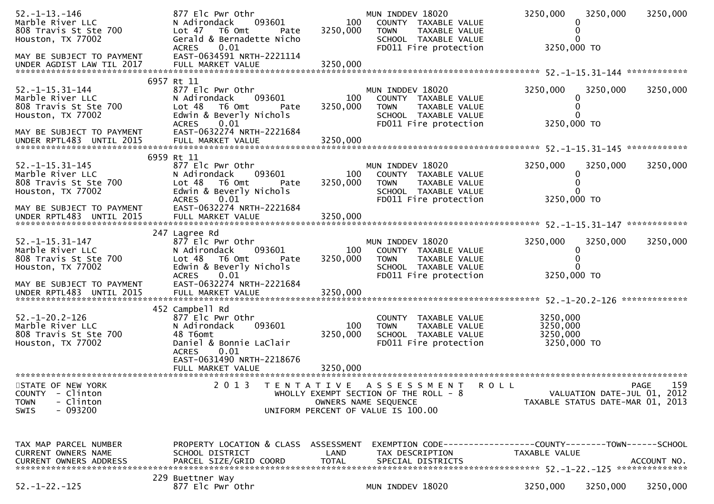| $52. -1 - 13. -146$<br>Marble River LLC<br>808 Travis St Ste 700<br>Houston, TX 77002<br>MAY BE SUBJECT TO PAYMENT    | 877 Elc Pwr Othr<br>N Adirondack<br>093601<br>Lot 47 T6 Omt<br>Pate<br>Gerald & Bernadette Nicho<br><b>ACRES</b><br>0.01<br>EAST-0634591 NRTH-2221114                           | 100<br>3250,000 | MUN INDDEV 18020<br>COUNTY TAXABLE VALUE<br><b>TOWN</b><br>TAXABLE VALUE<br>SCHOOL TAXABLE VALUE<br>FD011 Fire protection                 | 3250,000<br>3250,000 TO                         | 3250,000                    | 3250,000    |
|-----------------------------------------------------------------------------------------------------------------------|---------------------------------------------------------------------------------------------------------------------------------------------------------------------------------|-----------------|-------------------------------------------------------------------------------------------------------------------------------------------|-------------------------------------------------|-----------------------------|-------------|
|                                                                                                                       |                                                                                                                                                                                 |                 |                                                                                                                                           |                                                 |                             |             |
| $52. -1 - 15.31 - 144$<br>Marble River LLC<br>808 Travis St Ste 700<br>Houston, TX 77002<br>MAY BE SUBJECT TO PAYMENT | 6957 Rt 11<br>877 Elc Pwr Othr<br>N Adirondack<br>093601<br>Lot <sub>48</sub><br>T6 Omt<br>Pate<br>Edwin & Beverly Nichols<br>0.01<br><b>ACRES</b><br>EAST-0632274 NRTH-2221684 | 100<br>3250,000 | MUN INDDEV 18020<br>COUNTY TAXABLE VALUE<br><b>TOWN</b><br>TAXABLE VALUE<br>SCHOOL TAXABLE VALUE<br>FD011 Fire protection                 | 3250,000<br>$\Omega$<br>3250,000 TO             | 3250,000                    | 3250,000    |
|                                                                                                                       |                                                                                                                                                                                 |                 |                                                                                                                                           |                                                 |                             |             |
| $52. -1 - 15.31 - 145$<br>Marble River LLC<br>808 Travis St Ste 700<br>Houston, TX 77002                              | 6959 Rt 11<br>877 Elc Pwr Othr<br>093601<br>N Adirondack<br>Lot 48<br>T6 Omt<br>Pate<br>Edwin & Beverly Nichols<br>0.01<br><b>ACRES</b>                                         | 100<br>3250,000 | MUN INDDEV 18020<br>COUNTY TAXABLE VALUE<br><b>TOWN</b><br>TAXABLE VALUE<br>SCHOOL TAXABLE VALUE<br>FD011 Fire protection                 | 3250,000<br>0<br>3250,000 TO                    | 3250,000                    | 3250,000    |
| MAY BE SUBJECT TO PAYMENT                                                                                             | EAST-0632274 NRTH-2221684                                                                                                                                                       |                 |                                                                                                                                           |                                                 |                             |             |
| $52. -1 - 15.31 - 147$<br>Marble River LLC<br>808 Travis St Ste 700<br>Houston, TX 77002                              | 247 Lagree Rd<br>877 Elc Pwr Othr<br>N Adirondack<br>093601<br>Lot <sub>48</sub><br>T6 Omt<br>Pate<br>Edwin & Beverly Nichols<br>0.01<br><b>ACRES</b>                           | 100<br>3250,000 | MUN INDDEV 18020<br>COUNTY TAXABLE VALUE<br><b>TOWN</b><br>TAXABLE VALUE<br>SCHOOL TAXABLE VALUE<br>FD011 Fire protection                 | 3250,000<br>0<br>0<br>3250,000 TO               | 3250,000                    | 3250,000    |
| MAY BE SUBJECT TO PAYMENT<br>UNDER RPTL483 UNTIL 2015                                                                 | EAST-0632274 NRTH-2221684<br>FULL MARKET VALUE                                                                                                                                  | 3250,000        |                                                                                                                                           |                                                 |                             |             |
| $52. - 1 - 20.2 - 126$<br>Marble River LLC<br>808 Travis St Ste 700<br>Houston, TX 77002                              | 452 Campbell Rd<br>877 Elc Pwr Othr<br>093601<br>N Adirondack<br>48 T6omt<br>Daniel & Bonnie LaClair<br><b>ACRES</b><br>0.01<br>EAST-0631490 NRTH-2218676                       | 100<br>3250,000 | COUNTY TAXABLE VALUE<br>TAXABLE VALUE<br><b>TOWN</b><br>SCHOOL TAXABLE VALUE<br>FD011 Fire protection                                     | 3250,000<br>3250,000<br>3250,000<br>3250,000 TO |                             |             |
|                                                                                                                       | FULL MARKET VALUE<br>**********************                                                                                                                                     | 3250,000        |                                                                                                                                           |                                                 |                             |             |
| STATE OF NEW YORK<br>- Clinton<br><b>COUNTY</b><br>- Clinton<br><b>TOWN</b><br>$-093200$<br><b>SWIS</b>               | 2 0 1 3<br>T E N T A T I V E                                                                                                                                                    |                 | A S S E S S M E N T<br><b>ROLL</b><br>WHOLLY EXEMPT SECTION OF THE ROLL - 8<br>OWNERS NAME SEQUENCE<br>UNIFORM PERCENT OF VALUE IS 100.00 | TAXABLE STATUS DATE-MAR 01, 2013                | VALUATION DATE-JUL 01, 2012 | 159<br>PAGE |
| TAX MAP PARCEL NUMBER<br>CURRENT OWNERS NAME                                                                          | PROPERTY LOCATION & CLASS ASSESSMENT<br>SCHOOL DISTRICT                                                                                                                         | LAND            | TAX DESCRIPTION                                                                                                                           | TAXABLE VALUE                                   |                             |             |
| $52. - 1 - 22. - 125$                                                                                                 | 229 Buettner Way<br>877 Elc Pwr Othr                                                                                                                                            |                 | MUN INDDEV 18020                                                                                                                          | 3250,000                                        | 3250,000                    | 3250,000    |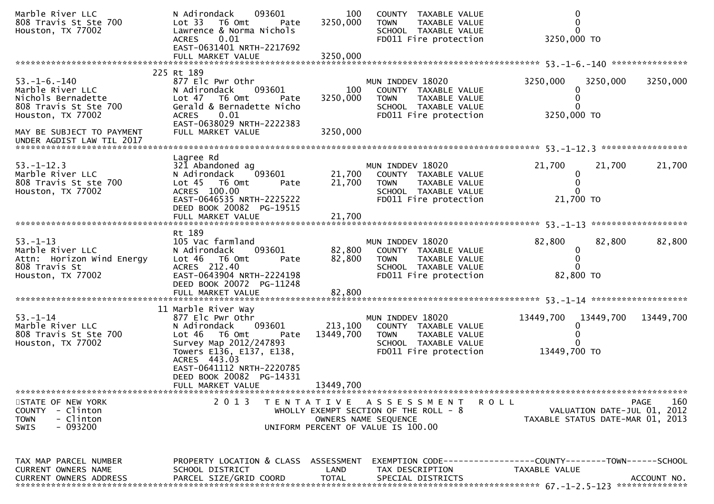| Marble River LLC<br>808 Travis St Ste 700<br>Houston, TX 77002                                               | N Adirondack<br>093601<br>Lot 33 T6 Omt<br>Pate<br>Lawrence & Norma Nichols<br>0.01<br><b>ACRES</b><br>EAST-0631401 NRTH-2217692                                                                            | 100<br>3250,000            | COUNTY TAXABLE VALUE<br>TAXABLE VALUE<br><b>TOWN</b><br>SCHOOL TAXABLE VALUE<br>FD011 Fire protection                       | 0<br>$\mathbf{0}$<br>$\Omega$<br>3250,000 TO                                              |
|--------------------------------------------------------------------------------------------------------------|-------------------------------------------------------------------------------------------------------------------------------------------------------------------------------------------------------------|----------------------------|-----------------------------------------------------------------------------------------------------------------------------|-------------------------------------------------------------------------------------------|
|                                                                                                              |                                                                                                                                                                                                             |                            |                                                                                                                             |                                                                                           |
| $53. - 1 - 6. - 140$<br>Marble River LLC<br>Nichols Bernadette<br>808 Travis St Ste 700<br>Houston, TX 77002 | 225 Rt 189<br>877 Elc Pwr Othr<br>093601<br>N Adirondack<br>Lot 47 T6 Omt<br>Pate<br>Gerald & Bernadette Nicho<br><b>ACRES</b><br>0.01                                                                      | 100<br>3250,000            | MUN INDDEV 18020<br>COUNTY TAXABLE VALUE<br>TAXABLE VALUE<br><b>TOWN</b><br>SCHOOL TAXABLE VALUE<br>FD011 Fire protection   | 3250,000<br>3250,000<br>3250,000<br>0<br>0<br>3250,000 TO                                 |
| MAY BE SUBJECT TO PAYMENT                                                                                    | EAST-0638029 NRTH-2222383<br>FULL MARKET VALUE                                                                                                                                                              | 3250,000                   |                                                                                                                             |                                                                                           |
|                                                                                                              | Lagree Rd                                                                                                                                                                                                   |                            |                                                                                                                             |                                                                                           |
| $53. - 1 - 12.3$<br>Marble River LLC<br>808 Travis St ste 700<br>Houston, TX 77002                           | 321 Abandoned ag<br>N Adirondack<br>093601<br>Lot 45 T6 Omt<br>Pate<br>ACRES 100.00<br>EAST-0646535 NRTH-2225222<br>DEED BOOK 20082 PG-19515                                                                | 21,700<br>21,700           | MUN INDDEV 18020<br>COUNTY TAXABLE VALUE<br><b>TOWN</b><br>TAXABLE VALUE<br>SCHOOL TAXABLE VALUE<br>FD011 Fire protection   | 21,700<br>21,700<br>21,700<br>$\mathbf{0}$<br>0<br>$\Omega$<br>21,700 TO                  |
|                                                                                                              |                                                                                                                                                                                                             |                            |                                                                                                                             |                                                                                           |
| $53 - 1 - 13$<br>Marble River LLC<br>Attn: Horizon Wind Energy<br>808 Travis St<br>Houston, TX 77002         | Rt 189<br>105 Vac farmland<br>N Adirondack<br>093601<br>Lot 46 T6 Omt<br>Pate<br>ACRES 212.40<br>EAST-0643904 NRTH-2224198<br>DEED BOOK 20072 PG-11248<br>FULL MARKET VALUE                                 | 82,800<br>82,800<br>82,800 | MUN INDDEV 18020<br>COUNTY TAXABLE VALUE<br><b>TOWN</b><br>TAXABLE VALUE<br>SCHOOL TAXABLE VALUE<br>FD011 Fire protection   | *******************<br>82,800<br>82,800<br>82,800<br>0<br>0<br>0<br>82,800 TO             |
|                                                                                                              |                                                                                                                                                                                                             |                            |                                                                                                                             |                                                                                           |
| $53 - 1 - 14$<br>Marble River LLC<br>808 Travis St Ste 700<br>Houston, TX 77002                              | 11 Marble River Way<br>877 Elc Pwr Othr<br>N Adirondack<br>093601<br>Lot <sub>46</sub><br>T6 Omt<br>Pate<br>Survey Map 2012/247893<br>Towers E136, E137, E138,<br>ACRES 443.03<br>EAST-0641112 NRTH-2220785 | 213,100<br>13449,700       | MUN INDDEV 18020<br>COUNTY TAXABLE VALUE<br><b>TOWN</b><br>TAXABLE VALUE<br>SCHOOL TAXABLE VALUE<br>FD011 Fire protection   | 13449,700<br>13449,700<br>13449,700<br>13449,700 TO                                       |
|                                                                                                              | DEED BOOK 20082 PG-14331                                                                                                                                                                                    |                            |                                                                                                                             |                                                                                           |
|                                                                                                              | FULL MARKET VALUE                                                                                                                                                                                           | 13449,700                  |                                                                                                                             |                                                                                           |
| STATE OF NEW YORK<br>COUNTY - Clinton<br>- Clinton<br><b>TOWN</b><br>- 093200<br><b>SWIS</b>                 | 2 0 1 3                                                                                                                                                                                                     |                            | TENTATIVE ASSESSMENT<br>WHOLLY EXEMPT SECTION OF THE ROLL - 8<br>OWNERS NAME SEQUENCE<br>UNIFORM PERCENT OF VALUE IS 100.00 | 160<br>R O L L<br>PAGE<br>VALUATION DATE-JUL 01, 2012<br>TAXABLE STATUS DATE-MAR 01, 2013 |
| TAX MAP PARCEL NUMBER                                                                                        | PROPERTY LOCATION & CLASS ASSESSMENT                                                                                                                                                                        |                            |                                                                                                                             | EXEMPTION CODE-----------------COUNTY-------TOWN------SCHOOL                              |
| CURRENT OWNERS NAME<br><b>CURRENT OWNERS ADDRESS</b>                                                         | SCHOOL DISTRICT<br>PARCEL SIZE/GRID COORD                                                                                                                                                                   | LAND<br><b>TOTAL</b>       | TAX DESCRIPTION<br>SPECIAL DISTRICTS                                                                                        | TAXABLE VALUE<br>ACCOUNT NO.                                                              |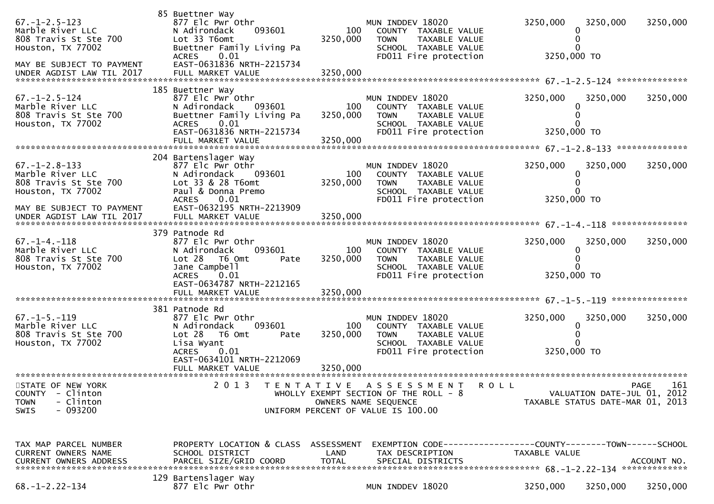| $67. - 1 - 2.5 - 123$<br>Marble River LLC<br>808 Travis St Ste 700<br>Houston, TX 77002<br>MAY BE SUBJECT TO PAYMENT<br>UNDER AGDIST LAW TIL 2017 | 85 Buettner Way<br>877 Elc Pwr Othr<br>N Adirondack<br>093601<br>Lot 33 T6omt<br>Buettner Family Living Pa<br>0.01<br><b>ACRES</b><br>EAST-0631836 NRTH-2215734<br>FULL MARKET VALUE | 100<br>3250,000<br>3250,000 | MUN INDDEV 18020<br>COUNTY TAXABLE VALUE<br>TAXABLE VALUE<br><b>TOWN</b><br>SCHOOL TAXABLE VALUE<br>FD011 Fire protection             | 3250,000<br>3250,000 TO | 3250,000                                                        | 3250,000           |
|---------------------------------------------------------------------------------------------------------------------------------------------------|--------------------------------------------------------------------------------------------------------------------------------------------------------------------------------------|-----------------------------|---------------------------------------------------------------------------------------------------------------------------------------|-------------------------|-----------------------------------------------------------------|--------------------|
|                                                                                                                                                   |                                                                                                                                                                                      |                             |                                                                                                                                       |                         |                                                                 |                    |
| $67. - 1 - 2.5 - 124$<br>Marble River LLC<br>808 Travis St Ste 700<br>Houston, TX 77002                                                           | 185 Buettner Way<br>877 Elc Pwr Othr<br>N Adirondack<br>093601<br>Buettner Family Living Pa<br>0.01<br><b>ACRES</b><br>EAST-0631836 NRTH-2215734                                     | 100<br>3250,000             | MUN INDDEV 18020<br>COUNTY TAXABLE VALUE<br><b>TOWN</b><br>TAXABLE VALUE<br>SCHOOL TAXABLE VALUE<br>FD011 Fire protection             | 3250,000<br>3250,000 TO | 3250,000                                                        | 3250,000           |
|                                                                                                                                                   | FULL MARKET VALUE                                                                                                                                                                    | 3250,000                    |                                                                                                                                       |                         |                                                                 |                    |
| $67. - 1 - 2.8 - 133$<br>Marble River LLC<br>808 Travis St Ste 700<br>Houston, TX 77002                                                           | 204 Bartenslager Way<br>877 Elc Pwr Othr<br>N Adirondack<br>093601<br>Lot 33 & 28 T6omt<br>Paul & Donna Premo<br>0.01<br><b>ACRES</b>                                                | 100<br>3250,000             | MUN INDDEV 18020<br>COUNTY TAXABLE VALUE<br>TAXABLE VALUE<br><b>TOWN</b><br>SCHOOL TAXABLE VALUE<br>FD011 Fire protection             | 3250,000<br>3250,000 TO | 3250,000                                                        | 3250,000           |
| MAY BE SUBJECT TO PAYMENT                                                                                                                         | EAST-0632195 NRTH-2213909                                                                                                                                                            |                             |                                                                                                                                       |                         |                                                                 |                    |
| $67. - 1 - 4. - 118$<br>Marble River LLC<br>808 Travis St Ste 700<br>Houston, TX 77002                                                            | 379 Patnode Rd<br>877 Elc Pwr Othr<br>093601<br>N Adirondack<br>$Lot 28$ T6 Omt<br>Pate<br>Jane Campbell<br>0.01<br><b>ACRES</b><br>EAST-0634787 NRTH-2212165                        | 100<br>3250,000             | MUN INDDEV 18020<br>COUNTY TAXABLE VALUE<br><b>TAXABLE VALUE</b><br><b>TOWN</b><br>SCHOOL TAXABLE VALUE<br>FD011 Fire protection      | 3250,000<br>3250,000 TO | 3250,000                                                        | 3250,000           |
|                                                                                                                                                   | FULL MARKET VALUE                                                                                                                                                                    | 3250,000                    |                                                                                                                                       |                         |                                                                 |                    |
| $67. -1 - 5. -119$<br>Marble River LLC<br>808 Travis St Ste 700<br>Houston, TX 77002                                                              | 381 Patnode Rd<br>877 Elc Pwr Othr<br>093601<br>N Adirondack<br>Lot 28<br>T6 Omt<br>Pate<br>Lisa Wyant<br><b>ACRES</b><br>0.01<br>EAST-0634101 NRTH-2212069                          | 100<br>3250,000             | MUN INDDEV 18020<br>COUNTY TAXABLE VALUE<br><b>TOWN</b><br><b>TAXABLE VALUE</b><br>SCHOOL TAXABLE VALUE<br>FD011 Fire protection      | 3250,000<br>3250,000 TO | 3250,000                                                        | 3250,000           |
|                                                                                                                                                   | FULL MARKET VALUE                                                                                                                                                                    | 3250,000                    |                                                                                                                                       |                         |                                                                 |                    |
| STATE OF NEW YORK<br>- Clinton<br><b>COUNTY</b><br>- Clinton<br><b>TOWN</b><br>SWIS<br>- 093200                                                   |                                                                                                                                                                                      |                             | 2013 TENTATIVE ASSESSMENT ROLL<br>WHOLLY EXEMPT SECTION OF THE ROLL - 8<br>OWNERS NAME SEQUENCE<br>UNIFORM PERCENT OF VALUE IS 100.00 |                         | VALUATION DATE-JUL 01, 2012<br>TAXABLE STATUS DATE-MAR 01, 2013 | 161<br><b>PAGE</b> |
| TAX MAP PARCEL NUMBER<br>CURRENT OWNERS NAME<br>CURRENT OWNERS ADDRESS                                                                            | PROPERTY LOCATION & CLASS ASSESSMENT<br>SCHOOL DISTRICT<br>PARCEL SIZE/GRID COORD                                                                                                    | LAND<br><b>TOTAL</b>        | EXEMPTION        CODE-----------------COUNTY-------TOWN------SCHOOL<br>TAX DESCRIPTION<br>SPECIAL DISTRICTS                           | TAXABLE VALUE           |                                                                 | ACCOUNT NO.        |
| $68. - 1 - 2.22 - 134$                                                                                                                            | 129 Bartenslager Way<br>877 Elc Pwr Othr                                                                                                                                             |                             | MUN INDDEV 18020                                                                                                                      | 3250,000                | 3250,000                                                        | 3250,000           |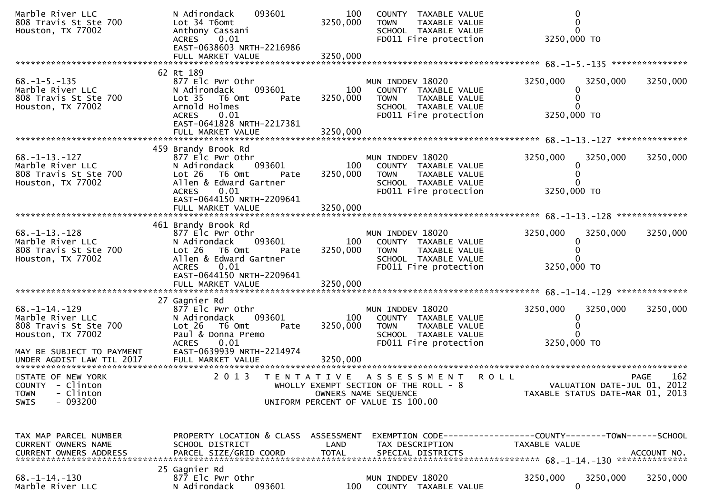| Marble River LLC<br>808 Travis St Ste 700<br>Houston, TX 77002                                                     | 093601<br>N Adirondack<br>Lot 34 T6omt<br>Anthony Cassani<br>0.01<br><b>ACRES</b><br>EAST-0638603 NRTH-2216986<br>FULL MARKET VALUE                                                            | 100<br>3250,000<br>3250,000 | COUNTY TAXABLE VALUE<br>TAXABLE VALUE<br><b>TOWN</b><br>SCHOOL TAXABLE VALUE<br>FD011 Fire protection                                      | 3250,000 TO                                                                   |                    |
|--------------------------------------------------------------------------------------------------------------------|------------------------------------------------------------------------------------------------------------------------------------------------------------------------------------------------|-----------------------------|--------------------------------------------------------------------------------------------------------------------------------------------|-------------------------------------------------------------------------------|--------------------|
|                                                                                                                    | 62 Rt 189                                                                                                                                                                                      |                             |                                                                                                                                            |                                                                               |                    |
| $68. -1 - 5. -135$<br>Marble River LLC<br>808 Travis St Ste 700<br>Houston, TX 77002                               | 877 Elc Pwr Othr<br>093601<br>N Adirondack<br>Lot 35 T6 Omt<br>Pate<br>Arnold Holmes<br><b>ACRES</b><br>0.01<br>EAST-0641828 NRTH-2217381                                                      | 100<br>3250,000             | MUN INDDEV 18020<br>COUNTY TAXABLE VALUE<br><b>TOWN</b><br>TAXABLE VALUE<br>SCHOOL TAXABLE VALUE<br>FD011 Fire protection                  | 3250,000<br>3250,000<br>3250,000 TO                                           | 3250,000           |
|                                                                                                                    | FULL MARKET VALUE                                                                                                                                                                              | 3250,000                    |                                                                                                                                            |                                                                               |                    |
|                                                                                                                    |                                                                                                                                                                                                |                             |                                                                                                                                            |                                                                               |                    |
| $68. - 1 - 13. - 127$<br>Marble River LLC<br>808 Travis St Ste 700<br>Houston, TX 77002                            | 459 Brandy Brook Rd<br>877 Elc Pwr Othr<br>N Adirondack<br>093601<br>Lot 26 T6 Omt<br>Pate<br>Allen & Edward Gartner<br>0.01<br><b>ACRES</b><br>EAST-0644150 NRTH-2209641                      | 100<br>3250,000             | MUN INDDEV 18020<br>COUNTY TAXABLE VALUE<br><b>TOWN</b><br>TAXABLE VALUE<br>SCHOOL TAXABLE VALUE<br>FD011 Fire protection                  | 3250,000<br>3250,000<br>3250,000 TO                                           | 3250,000           |
|                                                                                                                    |                                                                                                                                                                                                |                             |                                                                                                                                            |                                                                               |                    |
| $68. -1 - 13. -128$<br>Marble River LLC<br>808 Travis St Ste 700<br>Houston, TX 77002                              | 461 Brandy Brook Rd<br>877 Elc Pwr Othr<br>093601<br>N Adirondack<br>Lot 26 T6 Omt<br>Pate<br>Allen & Edward Gartner<br><b>ACRES</b><br>0.01<br>EAST-0644150 NRTH-2209641<br>FULL MARKET VALUE | 100<br>3250,000<br>3250,000 | MUN INDDEV 18020<br>COUNTY TAXABLE VALUE<br>TAXABLE VALUE<br><b>TOWN</b><br>SCHOOL TAXABLE VALUE<br>FD011 Fire protection                  | 3250,000<br>3250,000<br>3250,000 TO                                           | 3250,000           |
|                                                                                                                    |                                                                                                                                                                                                |                             |                                                                                                                                            |                                                                               |                    |
| $68. -1 - 14. -129$<br>Marble River LLC<br>808 Travis St Ste 700<br>Houston, TX 77002<br>MAY BE SUBJECT TO PAYMENT | 27 Gagnier Rd<br>877 Elc Pwr Othr<br>093601<br>N Adirondack<br>Lot 26 T6 Omt<br>Pate<br>Paul & Donna Premo<br>0.01<br><b>ACRES</b><br>EAST-0639939 NRTH-2214974                                | 100<br>3250,000             | MUN INDDEV 18020<br>COUNTY TAXABLE VALUE<br><b>TAXABLE VALUE</b><br><b>TOWN</b><br>SCHOOL TAXABLE VALUE<br>FD011 Fire protection           | 3250,000<br>3250,000<br>0<br>3250,000 TO                                      | 3250,000           |
| STATE OF NEW YORK<br>COUNTY - Clinton<br>- Clinton<br><b>TOWN</b><br>$-093200$<br><b>SWIS</b>                      | 2 0 1 3                                                                                                                                                                                        |                             | TENTATIVE ASSESSMENT<br><b>ROLL</b><br>WHOLLY EXEMPT SECTION OF THE ROLL - 8<br>OWNERS NAME SEQUENCE<br>UNIFORM PERCENT OF VALUE IS 100.00 | VALUATION DATE-JUL 01, 2012<br>TAXABLE STATUS DATE-MAR 01, 2013               | 162<br><b>PAGE</b> |
| TAX MAP PARCEL NUMBER<br>CURRENT OWNERS NAME<br><b>CURRENT OWNERS ADDRESS</b>                                      | PROPERTY LOCATION & CLASS ASSESSMENT<br>SCHOOL DISTRICT<br>PARCEL SIZE/GRID COORD                                                                                                              | LAND<br><b>TOTAL</b>        | TAX DESCRIPTION<br>SPECIAL DISTRICTS                                                                                                       | EXEMPTION CODE-----------------COUNTY-------TOWN------SCHOOL<br>TAXABLE VALUE | ACCOUNT NO.        |
| $68. - 1 - 14. - 130$<br>Marble River LLC                                                                          | 25 Gagnier Rd<br>877 Elc Pwr Othr<br>N Adirondack<br>093601                                                                                                                                    | 100                         | MUN INDDEV 18020<br>COUNTY TAXABLE VALUE                                                                                                   | 3250,000<br>3250,000<br>0                                                     | 3250,000           |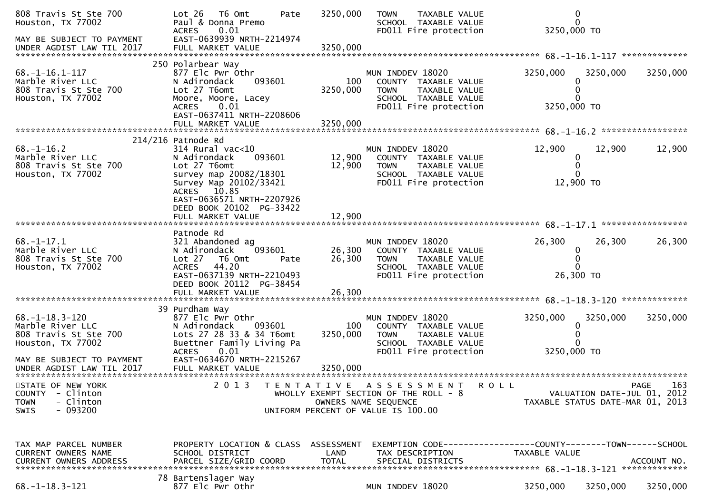| 808 Travis St Ste 700<br>Houston, TX 77002                                                       | Lot 26<br>T6 Omt<br>Pate<br>Paul & Donna Premo<br><b>ACRES</b><br>0.01                                                                                                               | 3250,000                           | <b>TOWN</b><br><b>TAXABLE VALUE</b><br>SCHOOL TAXABLE VALUE<br>FD011 Fire protection                                                  | $\mathbf 0$<br>$\Omega$<br>3250,000 TO                          |                    |
|--------------------------------------------------------------------------------------------------|--------------------------------------------------------------------------------------------------------------------------------------------------------------------------------------|------------------------------------|---------------------------------------------------------------------------------------------------------------------------------------|-----------------------------------------------------------------|--------------------|
| MAY BE SUBJECT TO PAYMENT<br>UNDER AGDIST LAW TIL 2017                                           | EAST-0639939 NRTH-2214974<br>FULL MARKET VALUE                                                                                                                                       | 3250,000                           |                                                                                                                                       |                                                                 |                    |
| $68. - 1 - 16.1 - 117$<br>Marble River LLC<br>808 Travis St Ste 700<br>Houston, TX 77002         | 250 Polarbear Way<br>877 Elc Pwr Othr<br>093601<br>N Adirondack<br>Lot 27 T6omt<br>Moore, Moore, Lacey<br><b>ACRES</b><br>0.01<br>EAST-0637411 NRTH-2208606                          | 100<br>3250,000                    | MUN INDDEV 18020<br>COUNTY TAXABLE VALUE<br><b>TOWN</b><br>TAXABLE VALUE<br>SCHOOL TAXABLE VALUE<br>FD011 Fire protection             | 3250,000<br>3250,000<br>0<br>3250,000 TO                        | 3250,000           |
|                                                                                                  | FULL MARKET VALUE                                                                                                                                                                    | 3250,000                           |                                                                                                                                       |                                                                 |                    |
| $68. - 1 - 16.2$<br>Marble River LLC<br>808 Travis St Ste 700<br>Houston, TX 77002               | $214/216$ Patnode Rd<br>$314$ Rural vac<10<br>093601<br>N Adirondack<br>Lot 27 T6omt<br>survey map 20082/18301<br>Survey Map 20102/33421<br>ACRES 10.85<br>EAST-0636571 NRTH-2207926 | 12,900<br>12,900                   | MUN INDDEV 18020<br>COUNTY TAXABLE VALUE<br><b>TOWN</b><br>TAXABLE VALUE<br>SCHOOL TAXABLE VALUE<br>FD011 Fire protection             | 12,900<br>12,900<br>0<br>0<br>0<br>12,900 TO                    | 12,900             |
|                                                                                                  | DEED BOOK 20102 PG-33422                                                                                                                                                             |                                    |                                                                                                                                       |                                                                 |                    |
| $68. - 1 - 17.1$<br>Marble River LLC<br>808 Travis St Ste 700<br>Houston, TX 77002               | Patnode Rd<br>321 Abandoned ag<br>093601<br>N Adirondack<br>Lot 27<br>T6 Omt<br>Pate<br>44.20<br><b>ACRES</b><br>EAST-0637139 NRTH-2210493<br>DEED BOOK 20112 PG-38454               | 26,300<br>26,300                   | MUN INDDEV 18020<br>COUNTY TAXABLE VALUE<br><b>TOWN</b><br>TAXABLE VALUE<br>SCHOOL TAXABLE VALUE<br>FD011 Fire protection             | 26,300<br>26,300<br>0<br>$\mathbf{0}$<br>26,300 TO              | 26,300             |
|                                                                                                  | 39 Purdham Way                                                                                                                                                                       |                                    |                                                                                                                                       |                                                                 |                    |
| $68. -1 - 18.3 - 120$<br>Marble River LLC<br>808 Travis St Ste 700<br>Houston, TX 77002          | 877 Elc Pwr Othr<br>N Adirondack<br>093601<br>Lots 27 28 33 & 34 T6omt<br>Buettner Family Living Pa<br>0.01<br><b>ACRES</b>                                                          | 100<br>3250,000                    | MUN INDDEV 18020<br>COUNTY TAXABLE VALUE<br>TAXABLE VALUE<br><b>TOWN</b><br>SCHOOL TAXABLE VALUE<br>FD011 Fire protection             | 3250,000<br>3250,000<br>0<br>3250,000 TO                        | 3250,000           |
| MAY BE SUBJECT TO PAYMENT<br>UNDER AGDIST LAW TIL 2017<br>*******************************        | EAST-0634670 NRTH-2215267<br>FULL MARKET VALUE                                                                                                                                       | 3250,000                           |                                                                                                                                       |                                                                 |                    |
| STATE OF NEW YORK<br>- Clinton<br><b>COUNTY</b><br>- Clinton<br><b>TOWN</b><br>$-093200$<br>SWIS | 2 0 1 3<br>T E N T A T I V E                                                                                                                                                         |                                    | A S S E S S M E N T<br>R O L L<br>WHOLLY EXEMPT SECTION OF THE ROLL - 8<br>OWNERS NAME SEQUENCE<br>UNIFORM PERCENT OF VALUE IS 100.00 | VALUATION DATE-JUL 01, 2012<br>TAXABLE STATUS DATE-MAR 01, 2013 | 163<br><b>PAGE</b> |
| TAX MAP PARCEL NUMBER<br>CURRENT OWNERS NAME<br><b>CURRENT OWNERS ADDRESS</b>                    | PROPERTY LOCATION & CLASS<br>SCHOOL DISTRICT<br>PARCEL SIZE/GRID COORD                                                                                                               | ASSESSMENT<br>LAND<br><b>TOTAL</b> | TAX DESCRIPTION<br>SPECIAL DISTRICTS                                                                                                  | TAXABLE VALUE                                                   | ACCOUNT NO.        |
| $68. - 1 - 18.3 - 121$                                                                           | 78 Bartenslager Way<br>877 Elc Pwr Othr                                                                                                                                              |                                    | MUN INDDEV 18020                                                                                                                      | 3250,000<br>3250,000                                            | 3250,000           |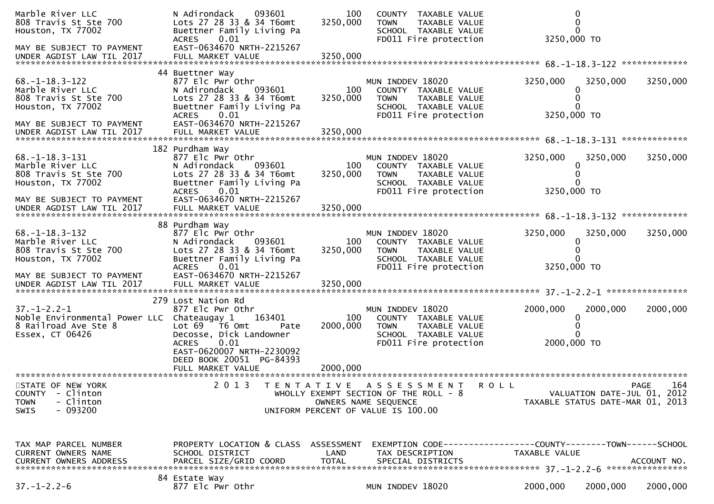| Marble River LLC<br>808 Travis St Ste 700<br>Houston, TX 77002                                                       | 093601<br>N Adirondack<br>Lots 27 28 33 & 34 T6omt<br>Buettner Family Living Pa<br>0.01<br><b>ACRES</b>                                                                                | 100<br>3250,000                    | COUNTY TAXABLE VALUE<br>TAXABLE VALUE<br><b>TOWN</b><br>SCHOOL TAXABLE VALUE<br>FD011 Fire protection                                      | 3250,000 TO                                                     |             |
|----------------------------------------------------------------------------------------------------------------------|----------------------------------------------------------------------------------------------------------------------------------------------------------------------------------------|------------------------------------|--------------------------------------------------------------------------------------------------------------------------------------------|-----------------------------------------------------------------|-------------|
| MAY BE SUBJECT TO PAYMENT<br>UNDER AGDIST LAW TIL 2017                                                               | EAST-0634670 NRTH-2215267<br>FULL MARKET VALUE                                                                                                                                         | 3250,000                           |                                                                                                                                            |                                                                 |             |
| $68. -1 - 18.3 - 122$<br>Marble River LLC<br>808 Travis St Ste 700<br>Houston, TX 77002                              | 44 Buettner Way<br>877 Elc Pwr Othr<br>N Adirondack<br>093601<br>Lots 27 28 33 & 34 T6omt<br>Buettner Family Living Pa<br><b>ACRES</b><br>0.01                                         | 100<br>3250,000                    | MUN INDDEV 18020<br>COUNTY TAXABLE VALUE<br><b>TOWN</b><br>TAXABLE VALUE<br>SCHOOL TAXABLE VALUE<br>FD011 Fire protection                  | 3250,000<br>3250,000<br>3250,000 TO                             | 3250,000    |
| MAY BE SUBJECT TO PAYMENT<br>UNDER AGDIST LAW TIL 2017                                                               | EAST-0634670 NRTH-2215267<br>FULL MARKET VALUE                                                                                                                                         | 3250,000                           |                                                                                                                                            |                                                                 |             |
| $68. -1 - 18.3 - 131$<br>Marble River LLC<br>808 Travis St Ste 700<br>Houston, TX 77002                              | 182 Purdham Way<br>877 Elc Pwr Othr<br>N Adirondack<br>093601<br>Lots 27 28 33 & 34 T6omt<br>Buettner Family Living Pa<br>0.01<br><b>ACRES</b>                                         | 100<br>3250,000                    | MUN INDDEV 18020<br>COUNTY TAXABLE VALUE<br><b>TOWN</b><br>TAXABLE VALUE<br>SCHOOL TAXABLE VALUE<br>FD011 Fire protection                  | 3250,000<br>3250,000<br>3250,000 TO                             | 3250,000    |
| MAY BE SUBJECT TO PAYMENT                                                                                            | EAST-0634670 NRTH-2215267                                                                                                                                                              |                                    |                                                                                                                                            |                                                                 |             |
| $68. -1 - 18.3 - 132$<br>Marble River LLC<br>808 Travis St Ste 700<br>Houston, TX 77002<br>MAY BE SUBJECT TO PAYMENT | 88 Purdham Way<br>877 Elc Pwr Othr<br>N Adirondack<br>093601<br>Lots 27 28 33 & 34 T6omt<br>Buettner Family Living Pa<br><b>ACRES</b><br>0.01<br>EAST-0634670 NRTH-2215267             | 100<br>3250,000                    | MUN INDDEV 18020<br>COUNTY TAXABLE VALUE<br>TAXABLE VALUE<br><b>TOWN</b><br>SCHOOL TAXABLE VALUE<br>FD011 Fire protection                  | 3250,000<br>3250,000<br>3250,000 TO                             | 3250,000    |
| UNDER AGDIST LAW TIL 2017                                                                                            | FULL MARKET VALUE                                                                                                                                                                      | 3250,000                           |                                                                                                                                            |                                                                 |             |
| $37. - 1 - 2.2 - 1$<br>Noble Environmental Power LLC Chateaugay 1<br>8 Railroad Ave Ste 8<br>Essex, CT 06426         | 279 Lost Nation Rd<br>877 Elc Pwr Othr<br>163401<br>Lot 69  T6 0mt<br>Pate<br>Decosse, Dick Landowner<br>0.01<br><b>ACRES</b><br>EAST-0620007 NRTH-2230092<br>DEED BOOK 20051 PG-84393 | 100<br>2000,000                    | MUN INDDEV 18020<br>COUNTY TAXABLE VALUE<br><b>TAXABLE VALUE</b><br><b>TOWN</b><br>SCHOOL TAXABLE VALUE<br>FD011 Fire protection           | 2000,000<br>2000,000<br>0<br>2000,000 TO                        | 2000,000    |
|                                                                                                                      |                                                                                                                                                                                        |                                    |                                                                                                                                            |                                                                 |             |
| STATE OF NEW YORK<br>- Clinton<br><b>COUNTY</b><br>- Clinton<br><b>TOWN</b><br>$-093200$<br><b>SWIS</b>              | 2 0 1 3                                                                                                                                                                                |                                    | TENTATIVE ASSESSMENT<br><b>ROLL</b><br>WHOLLY EXEMPT SECTION OF THE ROLL - 8<br>OWNERS NAME SEQUENCE<br>UNIFORM PERCENT OF VALUE IS 100.00 | VALUATION DATE-JUL 01, 2012<br>TAXABLE STATUS DATE-MAR 01, 2013 | 164<br>PAGE |
| TAX MAP PARCEL NUMBER<br><b>CURRENT OWNERS NAME</b><br><b>CURRENT OWNERS ADDRESS</b>                                 | PROPERTY LOCATION & CLASS<br>SCHOOL DISTRICT<br>PARCEL SIZE/GRID COORD                                                                                                                 | ASSESSMENT<br>LAND<br><b>TOTAL</b> | TAX DESCRIPTION<br>SPECIAL DISTRICTS                                                                                                       | TAXABLE VALUE                                                   | ACCOUNT NO. |
| $37. - 1 - 2.2 - 6$                                                                                                  | 84 Estate Way<br>877 Elc Pwr Othr                                                                                                                                                      |                                    | MUN INDDEV 18020                                                                                                                           | 2000,000<br>2000,000                                            | 2000,000    |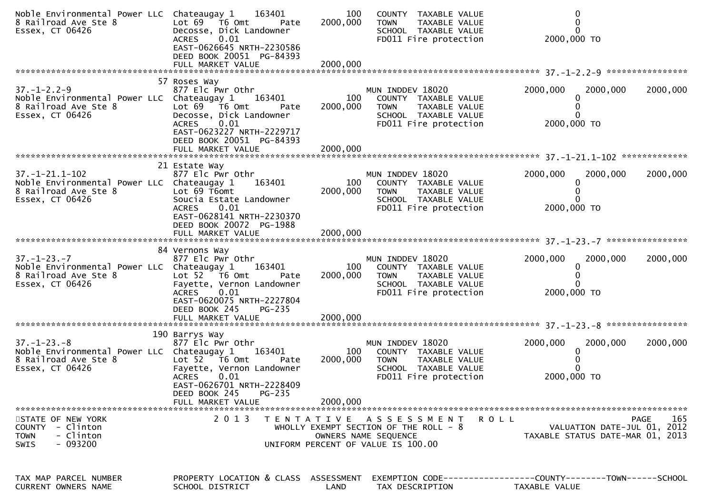| Noble Environmental Power LLC Chateaugay 1<br>8 Railroad Ave Ste 8<br>Essex, CT 06426                           | 163401<br>Lot 69  T6 0mt<br>Pate<br>Decosse, Dick Landowner<br><b>ACRES</b><br>0.01<br>EAST-0626645 NRTH-2230586<br>DEED BOOK 20051 PG-84393<br>FULL MARKET VALUE                                                      | 100<br>2000,000<br>2000,000 | COUNTY TAXABLE VALUE<br><b>TOWN</b><br>TAXABLE VALUE<br>SCHOOL TAXABLE VALUE<br>FD011 Fire protection                                      | 2000,000 TO                                                                     |             |
|-----------------------------------------------------------------------------------------------------------------|------------------------------------------------------------------------------------------------------------------------------------------------------------------------------------------------------------------------|-----------------------------|--------------------------------------------------------------------------------------------------------------------------------------------|---------------------------------------------------------------------------------|-------------|
| $37. - 1 - 2.2 - 9$<br>Noble Environmental Power LLC Chateaugay 1<br>8 Railroad Ave Ste 8<br>Essex, CT 06426    | 57 Roses Way<br>877 Elc Pwr Othr<br>163401<br>Lot 69 76 0mt<br>Pate<br>Decosse, Dick Landowner<br><b>ACRES</b><br>0.01<br>EAST-0623227 NRTH-2229717<br>DEED BOOK 20051 PG-84393                                        | 100<br>2000,000             | MUN INDDEV 18020<br>COUNTY TAXABLE VALUE<br><b>TOWN</b><br>TAXABLE VALUE<br>SCHOOL TAXABLE VALUE<br>FD011 Fire protection                  | 2000,000<br>2000,000<br>$\Omega$<br>2000,000 TO                                 | 2000,000    |
| $37. - 1 - 21.1 - 102$<br>Noble Environmental Power LLC Chateaugay 1<br>8 Railroad Ave Ste 8<br>Essex, CT 06426 | 21 Estate Way<br>877 Elc Pwr Othr<br>163401<br>Lot 69 T6omt<br>Soucia Estate Landowner<br><b>ACRES</b><br>0.01<br>EAST-0628141 NRTH-2230370<br>DEED BOOK 20072 PG-1988                                                 | 100<br>2000,000             | MUN INDDEV 18020<br>COUNTY TAXABLE VALUE<br><b>TOWN</b><br>TAXABLE VALUE<br>SCHOOL TAXABLE VALUE<br>FD011 Fire protection                  | 2000,000<br>2000,000<br>2000,000 TO                                             | 2000,000    |
| $37. - 1 - 23. - 7$<br>Noble Environmental Power LLC Chateaugay 1<br>8 Railroad Ave Ste 8<br>Essex, CT 06426    | 84 Vernons Way<br>877 Elc Pwr Othr<br>163401<br>Lot 52  T6 0mt<br>Pate<br>Fayette, Vernon Landowner<br>0.01<br><b>ACRES</b><br>EAST-0620075 NRTH-2227804<br>DEED BOOK 245<br>$PG-235$<br>FULL MARKET VALUE             | 100<br>2000,000<br>2000,000 | MUN INDDEV 18020<br>COUNTY TAXABLE VALUE<br>TAXABLE VALUE<br><b>TOWN</b><br>SCHOOL TAXABLE VALUE<br>FD011 Fire protection                  | 2000,000<br>2000,000<br>0<br>2000,000 TO                                        | 2000,000    |
| $37. - 1 - 23. - 8$<br>Noble Environmental Power LLC Chateaugay 1<br>8 Railroad Ave Ste 8<br>Essex, CT 06426    | 190 Barrys Way<br>877 Elc Pwr Othr<br>163401<br>Lot $52$ $\overline{76}$ Omt<br>Pate<br>Fayette, Vernon Landowner<br>0.01<br><b>ACRES</b><br>EAST-0626701 NRTH-2228409<br>DEED BOOK 245<br>PG-235<br>FULL MARKET VALUE | 100<br>2000,000<br>2000,000 | MUN INDDEV 18020<br>COUNTY TAXABLE VALUE<br>TAXABLE VALUE<br><b>TOWN</b><br>SCHOOL TAXABLE VALUE<br>FD011 Fire protection                  | 2000,000<br>2000,000<br>0<br>2000,000 TO                                        | 2000,000    |
| STATE OF NEW YORK<br>COUNTY - Clinton<br>- Clinton<br><b>TOWN</b><br>- 093200<br><b>SWIS</b>                    | 2 0 1 3<br>T E N T A T I V E                                                                                                                                                                                           |                             | <b>ROLL</b><br>A S S E S S M E N T<br>WHOLLY EXEMPT SECTION OF THE ROLL $-8$<br>OWNERS NAME SEQUENCE<br>UNIFORM PERCENT OF VALUE IS 100.00 | VALUATION DATE-JUL 01, 2012<br>TAXABLE STATUS DATE-MAR 01, 2013                 | 165<br>PAGE |
| TAX MAP PARCEL NUMBER<br>CURRENT OWNERS NAME                                                                    | PROPERTY LOCATION & CLASS ASSESSMENT<br>SCHOOL DISTRICT                                                                                                                                                                | LAND                        | TAX DESCRIPTION                                                                                                                            | EXEMPTION CODE------------------COUNTY--------TOWN------SCHOOL<br>TAXABLE VALUE |             |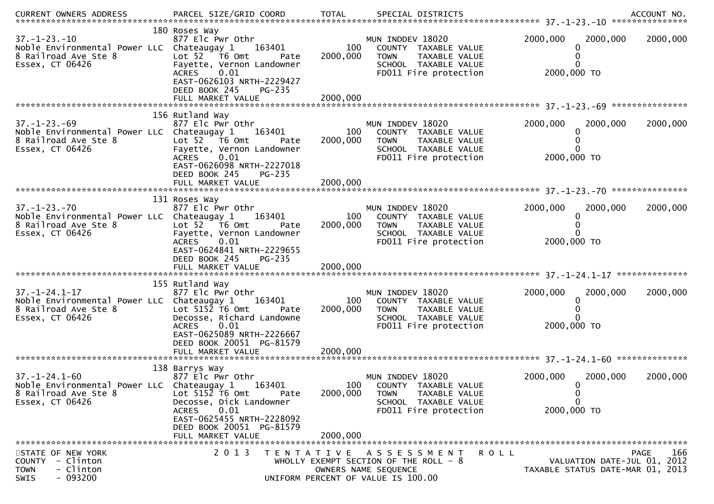| $37. - 1 - 23. - 10$<br>Noble Environmental Power LLC Chateaugay 1<br>8 Railroad Ave Ste 8<br>Essex, CT 06426  | 180 Roses Way<br>877 Elc Pwr Othr<br>163401<br>Lot 52 T6 Omt<br>Pate<br>Fayette, Vernon Landowner<br><b>ACRES</b><br>0.01<br>EAST-0626103 NRTH-2229427<br>DEED BOOK 245<br>PG-235 | 100<br>2000,000 | MUN INDDEV 18020<br>COUNTY TAXABLE VALUE<br>TAXABLE VALUE<br><b>TOWN</b><br>SCHOOL TAXABLE VALUE<br>FD011 Fire protection                  | 2000,000<br>2000,000<br>0<br>2000,000 TO                        | 2000,000           |
|----------------------------------------------------------------------------------------------------------------|-----------------------------------------------------------------------------------------------------------------------------------------------------------------------------------|-----------------|--------------------------------------------------------------------------------------------------------------------------------------------|-----------------------------------------------------------------|--------------------|
|                                                                                                                | 156 Rutland Way                                                                                                                                                                   |                 |                                                                                                                                            |                                                                 |                    |
| $37. - 1 - 23. - 69$<br>Noble Environmental Power LLC Chateaugay 1<br>8 Railroad Ave Ste 8<br>Essex, CT 06426  | 877 Elc Pwr Othr<br>163401<br>Lot $52$ $\overline{76}$ Omt<br>Pate<br>Fayette, Vernon Landowner<br>0.01<br><b>ACRES</b><br>EAST-0626098 NRTH-2227018<br>DEED BOOK 245<br>PG-235   | 100<br>2000,000 | MUN INDDEV 18020<br>COUNTY TAXABLE VALUE<br><b>TOWN</b><br>TAXABLE VALUE<br>SCHOOL TAXABLE VALUE<br>FD011 Fire protection                  | 2000,000<br>2000,000<br>0<br>2000,000 TO                        | 2000,000           |
|                                                                                                                |                                                                                                                                                                                   |                 |                                                                                                                                            |                                                                 |                    |
|                                                                                                                |                                                                                                                                                                                   |                 |                                                                                                                                            |                                                                 |                    |
| $37. - 1 - 23. - 70$<br>Noble Environmental Power LLC Chateaugay 1<br>8 Railroad Ave Ste 8<br>Essex, CT 06426  | 131 Roses Way<br>877 Elc Pwr Othr<br>163401<br>Lot $52$ $\overline{76}$ Omt<br>Pate<br>Fayette, Vernon Landowner<br>0.01<br><b>ACRES</b><br>EAST-0624841 NRTH-2229655             | 100<br>2000,000 | MUN INDDEV 18020<br>COUNTY TAXABLE VALUE<br>TAXABLE VALUE<br><b>TOWN</b><br>SCHOOL TAXABLE VALUE<br>FD011 Fire protection                  | 2000,000<br>2000,000<br>0<br>2000,000 TO                        | 2000,000           |
|                                                                                                                | DEED BOOK 245<br><b>PG-235</b>                                                                                                                                                    |                 |                                                                                                                                            |                                                                 |                    |
|                                                                                                                |                                                                                                                                                                                   |                 |                                                                                                                                            |                                                                 |                    |
|                                                                                                                | 155 Rutland Way                                                                                                                                                                   |                 |                                                                                                                                            |                                                                 |                    |
| $37. - 1 - 24.1 - 17$<br>Noble Environmental Power LLC Chateaugay 1<br>8 Railroad Ave Ste 8<br>Essex, CT 06426 | 877 Elc Pwr Othr<br>163401<br>Lot $5152$ T6 Omt<br>Pate<br>Decosse, Richard Landowne<br>0.01<br><b>ACRES</b><br>EAST-0625089 NRTH-2226667                                         | 100<br>2000,000 | MUN INDDEV 18020<br>COUNTY TAXABLE VALUE<br><b>TOWN</b><br>TAXABLE VALUE<br>SCHOOL TAXABLE VALUE<br>FD011 Fire protection                  | 2000,000<br>2000,000<br>0<br>2000,000 TO                        | 2000,000           |
|                                                                                                                | DEED BOOK 20051 PG-81579                                                                                                                                                          |                 |                                                                                                                                            |                                                                 |                    |
|                                                                                                                |                                                                                                                                                                                   |                 |                                                                                                                                            |                                                                 |                    |
| $37. - 1 - 24.1 - 60$<br>Noble Environmental Power LLC Chateaugay 1<br>8 Railroad Ave Ste 8                    | 138 Barrys Way<br>877 Elc Pwr Othr<br>163401<br>Lot $5152$ T6 Omt<br>Pate                                                                                                         | 100<br>2000,000 | MUN INDDEV 18020<br>COUNTY TAXABLE VALUE<br>TAXABLE VALUE<br><b>TOWN</b>                                                                   | 2000,000<br>2000,000<br>$\mathbf{0}$<br>0                       | 2000,000           |
| Essex, CT 06426                                                                                                | Decosse, Dick Landowner<br>0.01<br><b>ACRES</b><br>EAST-0625455 NRTH-2228092<br>DEED BOOK 20051 PG-81579<br>FULL MARKET VALUE                                                     | 2000,000        | SCHOOL TAXABLE VALUE<br>FD011 Fire protection                                                                                              | $\mathbf{0}$<br>2000,000 TO                                     |                    |
|                                                                                                                |                                                                                                                                                                                   |                 |                                                                                                                                            |                                                                 |                    |
| STATE OF NEW YORK<br>- Clinton<br><b>COUNTY</b><br>- Clinton<br><b>TOWN</b><br>$-093200$<br>SWIS               | 2 0 1 3                                                                                                                                                                           |                 | TENTATIVE ASSESSMENT<br><b>ROLL</b><br>WHOLLY EXEMPT SECTION OF THE ROLL - 8<br>OWNERS NAME SEQUENCE<br>UNIFORM PERCENT OF VALUE IS 100.00 | VALUATION DATE-JUL 01, 2012<br>TAXABLE STATUS DATE-MAR 01, 2013 | 166<br><b>PAGE</b> |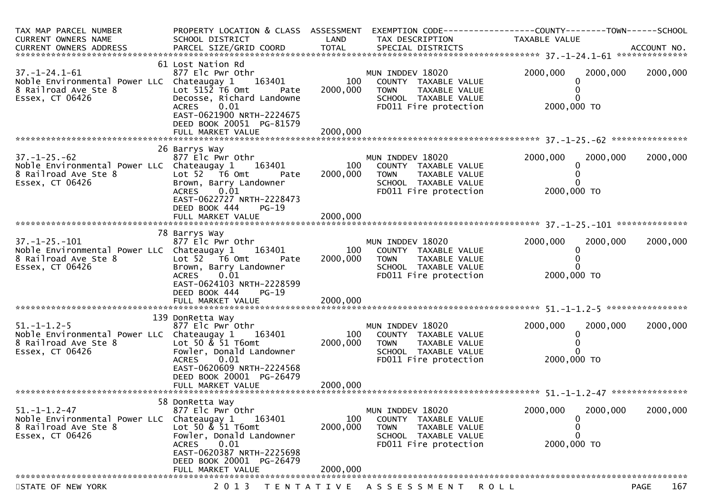| 61 Lost Nation Rd<br>2000,000<br>2000,000<br>2000,000<br>$37. - 1 - 24.1 - 61$<br>MUN INDDEV 18020<br>877 Elc Pwr Othr<br>Noble Environmental Power LLC Chateaugay 1 163401<br>100<br>COUNTY TAXABLE VALUE<br>Lot $515\overline{2}$ T6 Omt<br>8 Railroad Ave Ste 8<br>2000,000<br><b>TOWN</b><br>TAXABLE VALUE<br>Pate<br>Essex, CT 06426<br>Decosse, Richard Landowne<br>SCHOOL TAXABLE VALUE<br>0.01<br>FD011 Fire protection<br>2000,000 TO<br>ACRES<br>EAST-0621900 NRTH-2224675<br>DEED BOOK 20051 PG-81579<br>26 Barrys Way<br>$37. - 1 - 25. - 62$<br>877 Elc Pwr Othr<br>2000,000<br>2000,000<br>MUN INDDEV 18020<br>2000,000<br>100<br>Noble Environmental Power LLC Chateaugay 1<br>163401<br>COUNTY TAXABLE VALUE<br>8 Railroad Ave Ste 8<br>Lot 52 T6 Omt<br>2000,000<br><b>TOWN</b><br>TAXABLE VALUE<br>Pate<br>Essex, CT 06426<br>Brown, Barry Landowner<br>SCHOOL TAXABLE VALUE<br>2000,000 TO<br>0.01<br>FD011 Fire protection<br><b>ACRES</b><br>EAST-0622727 NRTH-2228473<br>DEED BOOK 444<br>$PG-19$<br>78 Barrys Way<br>2000,000<br>$37. - 1 - 25. - 101$<br>877 Elc Pwr Othr<br>MUN INDDEV 18020<br>2000,000<br>2000,000<br>100<br>Noble Environmental Power LLC Chateaugay 1<br>163401<br>COUNTY TAXABLE VALUE<br>0<br>8 Railroad Ave Ste 8<br>Lot 52 T6 Omt<br>2000,000<br><b>TOWN</b><br>TAXABLE VALUE<br>Pate<br>Essex, CT 06426<br>Brown, Barry Landowner<br>SCHOOL TAXABLE VALUE<br>2000,000 TO<br>0.01<br>FD011 Fire protection<br><b>ACRES</b><br>EAST-0624103 NRTH-2228599<br>DEED BOOK 444<br>$PG-19$<br>2000,000<br>FULL MARKET VALUE<br>139 DonRetta Way<br>2000,000<br>$51. - 1 - 1.2 - 5$<br>MUN INDDEV 18020<br>2000,000<br>2000,000<br>877 Elc Pwr Othr<br>100<br>Noble Environmental Power LLC Chateaugay 1<br>163401<br>COUNTY TAXABLE VALUE<br>8 Railroad Ave Ste 8<br>Lot 50 $\&$ 51 T6omt<br>2000,000<br><b>TOWN</b><br>TAXABLE VALUE<br>Essex, CT 06426<br>Fowler, Donald Landowner<br>SCHOOL TAXABLE VALUE<br>2000,000 TO<br>ACRES 0.01<br>FD011 Fire protection<br>EAST-0620609 NRTH-2224568<br>DEED BOOK 20001 PG-26479<br>58 DonRetta Way<br>2000,000<br>2000,000<br>2000,000<br>$51. - 1 - 1.2 - 47$<br>877 Elc Pwr Othr<br>MUN INDDEV 18020<br>Noble Environmental Power LLC<br>Chateaugay 1<br>163401<br>100<br>COUNTY TAXABLE VALUE<br>0<br>8 Railroad Ave Ste 8<br>Lot 50 & 51 T6omt<br>2000,000<br><b>TOWN</b><br>TAXABLE VALUE<br>Fowler, Donald Landowner<br>Essex, CT 06426<br>SCHOOL TAXABLE VALUE<br>2000,000 TO<br>0.01<br>FD011 Fire protection<br><b>ACRES</b><br>EAST-0620387 NRTH-2225698<br>DEED BOOK 20001 PG-26479<br>2000,000<br>FULL MARKET VALUE<br>TENTATIVE ASSESSMENT ROLL<br><b>PAGE</b> | TAX MAP PARCEL NUMBER<br>CURRENT OWNERS NAME | PROPERTY LOCATION & CLASS ASSESSMENT<br>SCHOOL DISTRICT | LAND | TAX DESCRIPTION | EXEMPTION CODE-----------------COUNTY-------TOWN------SCHOOL<br>TAXABLE VALUE |     |
|-------------------------------------------------------------------------------------------------------------------------------------------------------------------------------------------------------------------------------------------------------------------------------------------------------------------------------------------------------------------------------------------------------------------------------------------------------------------------------------------------------------------------------------------------------------------------------------------------------------------------------------------------------------------------------------------------------------------------------------------------------------------------------------------------------------------------------------------------------------------------------------------------------------------------------------------------------------------------------------------------------------------------------------------------------------------------------------------------------------------------------------------------------------------------------------------------------------------------------------------------------------------------------------------------------------------------------------------------------------------------------------------------------------------------------------------------------------------------------------------------------------------------------------------------------------------------------------------------------------------------------------------------------------------------------------------------------------------------------------------------------------------------------------------------------------------------------------------------------------------------------------------------------------------------------------------------------------------------------------------------------------------------------------------------------------------------------------------------------------------------------------------------------------------------------------------------------------------------------------------------------------------------------------------------------------------------------------------------------------------------------------------------------------------------------------------------------------------------------------------------------------------------------------------------------------------------------------------------------------------------------------------------------------------|----------------------------------------------|---------------------------------------------------------|------|-----------------|-------------------------------------------------------------------------------|-----|
|                                                                                                                                                                                                                                                                                                                                                                                                                                                                                                                                                                                                                                                                                                                                                                                                                                                                                                                                                                                                                                                                                                                                                                                                                                                                                                                                                                                                                                                                                                                                                                                                                                                                                                                                                                                                                                                                                                                                                                                                                                                                                                                                                                                                                                                                                                                                                                                                                                                                                                                                                                                                                                                                   |                                              |                                                         |      |                 |                                                                               |     |
|                                                                                                                                                                                                                                                                                                                                                                                                                                                                                                                                                                                                                                                                                                                                                                                                                                                                                                                                                                                                                                                                                                                                                                                                                                                                                                                                                                                                                                                                                                                                                                                                                                                                                                                                                                                                                                                                                                                                                                                                                                                                                                                                                                                                                                                                                                                                                                                                                                                                                                                                                                                                                                                                   |                                              |                                                         |      |                 |                                                                               |     |
|                                                                                                                                                                                                                                                                                                                                                                                                                                                                                                                                                                                                                                                                                                                                                                                                                                                                                                                                                                                                                                                                                                                                                                                                                                                                                                                                                                                                                                                                                                                                                                                                                                                                                                                                                                                                                                                                                                                                                                                                                                                                                                                                                                                                                                                                                                                                                                                                                                                                                                                                                                                                                                                                   |                                              |                                                         |      |                 |                                                                               |     |
|                                                                                                                                                                                                                                                                                                                                                                                                                                                                                                                                                                                                                                                                                                                                                                                                                                                                                                                                                                                                                                                                                                                                                                                                                                                                                                                                                                                                                                                                                                                                                                                                                                                                                                                                                                                                                                                                                                                                                                                                                                                                                                                                                                                                                                                                                                                                                                                                                                                                                                                                                                                                                                                                   |                                              |                                                         |      |                 |                                                                               |     |
|                                                                                                                                                                                                                                                                                                                                                                                                                                                                                                                                                                                                                                                                                                                                                                                                                                                                                                                                                                                                                                                                                                                                                                                                                                                                                                                                                                                                                                                                                                                                                                                                                                                                                                                                                                                                                                                                                                                                                                                                                                                                                                                                                                                                                                                                                                                                                                                                                                                                                                                                                                                                                                                                   |                                              |                                                         |      |                 |                                                                               |     |
|                                                                                                                                                                                                                                                                                                                                                                                                                                                                                                                                                                                                                                                                                                                                                                                                                                                                                                                                                                                                                                                                                                                                                                                                                                                                                                                                                                                                                                                                                                                                                                                                                                                                                                                                                                                                                                                                                                                                                                                                                                                                                                                                                                                                                                                                                                                                                                                                                                                                                                                                                                                                                                                                   |                                              |                                                         |      |                 |                                                                               |     |
|                                                                                                                                                                                                                                                                                                                                                                                                                                                                                                                                                                                                                                                                                                                                                                                                                                                                                                                                                                                                                                                                                                                                                                                                                                                                                                                                                                                                                                                                                                                                                                                                                                                                                                                                                                                                                                                                                                                                                                                                                                                                                                                                                                                                                                                                                                                                                                                                                                                                                                                                                                                                                                                                   |                                              |                                                         |      |                 |                                                                               |     |
|                                                                                                                                                                                                                                                                                                                                                                                                                                                                                                                                                                                                                                                                                                                                                                                                                                                                                                                                                                                                                                                                                                                                                                                                                                                                                                                                                                                                                                                                                                                                                                                                                                                                                                                                                                                                                                                                                                                                                                                                                                                                                                                                                                                                                                                                                                                                                                                                                                                                                                                                                                                                                                                                   |                                              |                                                         |      |                 |                                                                               |     |
|                                                                                                                                                                                                                                                                                                                                                                                                                                                                                                                                                                                                                                                                                                                                                                                                                                                                                                                                                                                                                                                                                                                                                                                                                                                                                                                                                                                                                                                                                                                                                                                                                                                                                                                                                                                                                                                                                                                                                                                                                                                                                                                                                                                                                                                                                                                                                                                                                                                                                                                                                                                                                                                                   |                                              |                                                         |      |                 |                                                                               |     |
|                                                                                                                                                                                                                                                                                                                                                                                                                                                                                                                                                                                                                                                                                                                                                                                                                                                                                                                                                                                                                                                                                                                                                                                                                                                                                                                                                                                                                                                                                                                                                                                                                                                                                                                                                                                                                                                                                                                                                                                                                                                                                                                                                                                                                                                                                                                                                                                                                                                                                                                                                                                                                                                                   |                                              |                                                         |      |                 |                                                                               |     |
|                                                                                                                                                                                                                                                                                                                                                                                                                                                                                                                                                                                                                                                                                                                                                                                                                                                                                                                                                                                                                                                                                                                                                                                                                                                                                                                                                                                                                                                                                                                                                                                                                                                                                                                                                                                                                                                                                                                                                                                                                                                                                                                                                                                                                                                                                                                                                                                                                                                                                                                                                                                                                                                                   |                                              |                                                         |      |                 |                                                                               |     |
|                                                                                                                                                                                                                                                                                                                                                                                                                                                                                                                                                                                                                                                                                                                                                                                                                                                                                                                                                                                                                                                                                                                                                                                                                                                                                                                                                                                                                                                                                                                                                                                                                                                                                                                                                                                                                                                                                                                                                                                                                                                                                                                                                                                                                                                                                                                                                                                                                                                                                                                                                                                                                                                                   |                                              |                                                         |      |                 |                                                                               |     |
|                                                                                                                                                                                                                                                                                                                                                                                                                                                                                                                                                                                                                                                                                                                                                                                                                                                                                                                                                                                                                                                                                                                                                                                                                                                                                                                                                                                                                                                                                                                                                                                                                                                                                                                                                                                                                                                                                                                                                                                                                                                                                                                                                                                                                                                                                                                                                                                                                                                                                                                                                                                                                                                                   |                                              |                                                         |      |                 |                                                                               |     |
|                                                                                                                                                                                                                                                                                                                                                                                                                                                                                                                                                                                                                                                                                                                                                                                                                                                                                                                                                                                                                                                                                                                                                                                                                                                                                                                                                                                                                                                                                                                                                                                                                                                                                                                                                                                                                                                                                                                                                                                                                                                                                                                                                                                                                                                                                                                                                                                                                                                                                                                                                                                                                                                                   |                                              |                                                         |      |                 |                                                                               |     |
|                                                                                                                                                                                                                                                                                                                                                                                                                                                                                                                                                                                                                                                                                                                                                                                                                                                                                                                                                                                                                                                                                                                                                                                                                                                                                                                                                                                                                                                                                                                                                                                                                                                                                                                                                                                                                                                                                                                                                                                                                                                                                                                                                                                                                                                                                                                                                                                                                                                                                                                                                                                                                                                                   |                                              |                                                         |      |                 |                                                                               |     |
|                                                                                                                                                                                                                                                                                                                                                                                                                                                                                                                                                                                                                                                                                                                                                                                                                                                                                                                                                                                                                                                                                                                                                                                                                                                                                                                                                                                                                                                                                                                                                                                                                                                                                                                                                                                                                                                                                                                                                                                                                                                                                                                                                                                                                                                                                                                                                                                                                                                                                                                                                                                                                                                                   | STATE OF NEW YORK                            | 2 0 1 3                                                 |      |                 |                                                                               | 167 |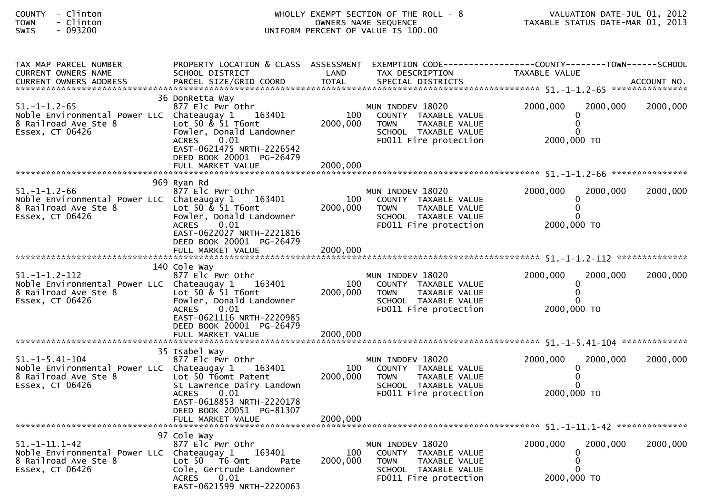| COUNTY<br>- Clinton<br>- Clinton<br>TOWN<br>$-093200$<br>SWIS     |                                             | WHOLLY EXEMPT SECTION OF THE ROLL - 8<br>UNIFORM PERCENT OF VALUE IS 100.00                                                                                                                             |                             | VALUATION DATE-JUL 01, 2012<br>TAXABLE STATUS DATE-MAR 01, 2013                                                           |                                          |          |
|-------------------------------------------------------------------|---------------------------------------------|---------------------------------------------------------------------------------------------------------------------------------------------------------------------------------------------------------|-----------------------------|---------------------------------------------------------------------------------------------------------------------------|------------------------------------------|----------|
| TAX MAP PARCEL NUMBER<br>CURRENT OWNERS NAME                      |                                             | PROPERTY LOCATION & CLASS ASSESSMENT EXEMPTION CODE----------------COUNTY-------TOWN------SCHOOL<br>SCHOOL DISTRICT                                                                                     | LAND                        | TAX DESCRIPTION                                                                                                           | TAXABLE VALUE                            |          |
| 51. -1-1.2-65<br>8 Railroad Ave Ste 8<br>Essex, CT 06426          | Noble Environmental Power LLC Chateaugay 1  | 36 DonRetta Way<br>877 Elc Pwr Othr<br>163401<br>Lot 50 $\&$ 51 T6omt<br>Fowler, Donald Landowner<br>0.01<br><b>ACRES</b><br>EAST-0621475 NRTH-2226542<br>DEED BOOK 20001 PG-26479<br>FULL MARKET VALUE | 100<br>2000,000<br>2000,000 | MUN INDDEV 18020<br>COUNTY TAXABLE VALUE<br><b>TOWN</b><br>TAXABLE VALUE<br>SCHOOL TAXABLE VALUE<br>FD011 Fire protection | 2000,000<br>2000,000<br>2000,000 TO      | 2000,000 |
| 51.-1-1.2-66<br>8 Railroad Ave Ste 8<br>Essex, CT 06426           | Noble Environmental Power LLC  Chateaugay 1 | 969 Ryan Rd<br>877 Elc Pwr Othr<br>163401<br>Lot 50 $\&$ 51 T6omt<br>Fowler, Donald Landowner<br>0.01<br><b>ACRES</b><br>EAST-0622027 NRTH-2221816<br>DEED BOOK 20001 PG-26479<br>FULL MARKET VALUE     | 100<br>2000,000<br>2000,000 | MUN INDDEV 18020<br>COUNTY TAXABLE VALUE<br>TAXABLE VALUE<br><b>TOWN</b><br>SCHOOL TAXABLE VALUE<br>FD011 Fire protection | 2000,000<br>2000,000<br>2000,000 TO      | 2000,000 |
| 51. -1-1.2-112<br>8 Railroad Ave Ste 8<br>Essex, CT 06426         | Noble Environmental Power LLC  Chateaugay 1 | 140 Cole Way<br>877 Elc Pwr Othr<br>163401<br>Lot 50 & 51 T6omt<br>Fowler, Donald Landowner<br>0.01<br><b>ACRES</b><br>EAST-0621116 NRTH-2220985<br>DEED BOOK 20001 PG-26479<br>FULL MARKET VALUE       | 100<br>2000,000<br>2000,000 | MUN INDDEV 18020<br>COUNTY TAXABLE VALUE<br>TAXABLE VALUE<br><b>TOWN</b><br>SCHOOL TAXABLE VALUE<br>FD011 Fire protection | 2000,000<br>2000,000<br>2000,000 TO      | 2000,000 |
| $51. - 1 - 5.41 - 104$<br>8 Railroad Ave Ste 8<br>Essex, CT 06426 | Noble Environmental Power LLC Chateaugay 1  | 35 Isabel Way<br>877 Elc Pwr Othr<br>163401<br>Lot 50 T6omt Patent<br>St Lawrence Dairy Landown<br>0.01<br><b>ACRES</b><br>EAST-0618853 NRTH-2220178<br>DEED BOOK 20051 PG-81307<br>FULL MARKET VALUE   | 100<br>2000,000<br>2000,000 | MUN INDDEV 18020<br>COUNTY TAXABLE VALUE<br><b>TOWN</b><br>TAXABLE VALUE<br>SCHOOL TAXABLE VALUE<br>FD011 Fire protection | 2000,000<br>2000,000<br>2000,000 TO      | 2000,000 |
| 51.-1-11.1-42<br>8 Railroad Ave Ste 8<br>Essex, CT 06426          | Noble Environmental Power LLC  Chateaugay 1 | 97 Cole Way<br>877 Elc Pwr Othr<br>163401<br>Lot 50 T6 Omt<br>Pate<br>Cole, Gertrude Landowner<br>0.01<br>ACRES<br>EAST-0621599 NRTH-2220063                                                            | 100<br>2000,000             | MUN INDDEV 18020<br>COUNTY TAXABLE VALUE<br><b>TOWN</b><br>TAXABLE VALUE<br>SCHOOL TAXABLE VALUE<br>FD011 Fire protection | 2000,000<br>2000,000<br>0<br>2000,000 TO | 2000,000 |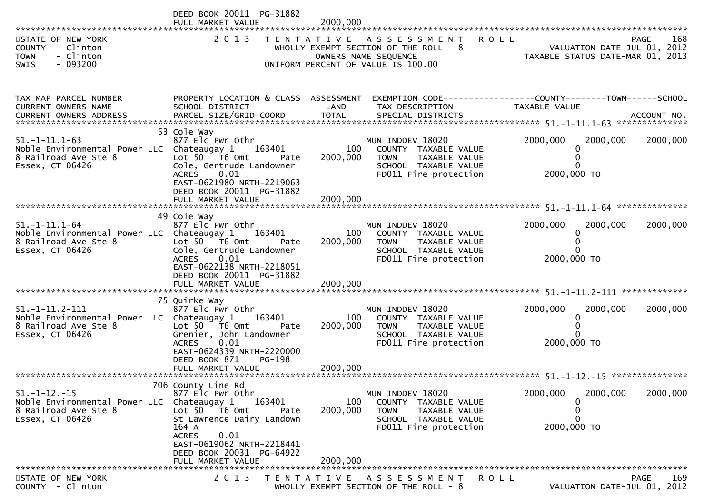|                                                                                                                      | DEED BOOK 20011 PG-31882<br>FULL MARKET VALUE                                                                                                                                                                                        | 2000,000                                                                      |                                                                                                                             |                                                                                                                   |                                          |
|----------------------------------------------------------------------------------------------------------------------|--------------------------------------------------------------------------------------------------------------------------------------------------------------------------------------------------------------------------------------|-------------------------------------------------------------------------------|-----------------------------------------------------------------------------------------------------------------------------|-------------------------------------------------------------------------------------------------------------------|------------------------------------------|
| STATE OF NEW YORK<br>COUNTY - Clinton<br>- Clinton<br><b>TOWN</b><br>- 093200<br>SWIS                                | 2 0 1 3                                                                                                                                                                                                                              |                                                                               | TENTATIVE ASSESSMENT<br>WHOLLY EXEMPT SECTION OF THE ROLL - 8<br>OWNERS NAME SEQUENCE<br>UNIFORM PERCENT OF VALUE IS 100.00 | <b>ROLL</b><br>VALUATION DATE-JUL 01, 2012<br>TAXABLE STATUS DATE-MAR 01, 2013                                    | PAGE<br>168                              |
| TAX MAP PARCEL NUMBER<br>CURRENT OWNERS NAME                                                                         | SCHOOL DISTRICT                                                                                                                                                                                                                      | LAND                                                                          | TAX DESCRIPTION                                                                                                             | PROPERTY LOCATION & CLASS ASSESSMENT EXEMPTION CODE----------------COUNTY-------TOWN------SCHOOL<br>TAXABLE VALUE |                                          |
| 51. –1–11.1–63<br>Noble Environmental Power LLC Chateaugay 1<br>8 Railroad Ave Ste 8<br>Essex, CT 06426              | 53 Cole Way<br>877 Elc Pwr Othr<br>163401<br>Lot 50 T6 Omt<br>Pate<br>Cole, Gertrude Landowner<br>0.01<br><b>ACRES</b><br>EAST-0621980 NRTH-2219063<br>DEED BOOK 20011 PG-31882                                                      | 100<br>2000,000                                                               | MUN INDDEV 18020<br>COUNTY TAXABLE VALUE<br><b>TOWN</b><br>TAXABLE VALUE<br>SCHOOL TAXABLE VALUE<br>FD011 Fire protection   | 2000,000<br>2000,000<br>$\Omega$<br>$\Omega$<br>2000,000 TO                                                       | 2000,000                                 |
| $51. -1 - 11.1 - 64$<br>Noble Environmental Power LLC Chateaugay 1 163401<br>8 Railroad Ave Ste 8<br>Essex, CT 06426 | 49 Cole Way<br>877 Elc Pwr Othr<br>Lot $50$ $\overline{76}$ Omt<br>Pate<br>Cole, Gertrude Landowner<br>ACRES 0.01<br>EAST-0622138 NRTH-2218051<br>DEED BOOK 20011 PG-31882<br>FULL MARKET VALUE                                      | 100<br>2000,000<br>2000,000                                                   | MUN INDDEV 18020<br>COUNTY TAXABLE VALUE<br><b>TOWN</b><br>TAXABLE VALUE<br>SCHOOL TAXABLE VALUE<br>FD011 Fire protection   | 2000,000<br>2000,000<br>0<br>2000,000 ТО                                                                          | 2000,000                                 |
| $51. - 1 - 11.2 - 111$<br>Noble Environmental Power LLC Chateaugay 1<br>8 Railroad Ave Ste 8<br>Essex, CT 06426      | 75 Quirke Way<br>877 Elc Pwr Othr<br>163401<br>Lot 50 T6 Omt<br>Pate<br>Grenier, John Landowner<br><b>ACRES</b><br>0.01<br>EAST-0624339 NRTH-2220000<br>DEED BOOK 871<br>PG-198<br>FULL MARKET VALUE                                 | 100<br>2000,000<br>2000,000                                                   | MUN INDDEV 18020<br>COUNTY TAXABLE VALUE<br><b>TOWN</b><br>TAXABLE VALUE<br>SCHOOL TAXABLE VALUE<br>FD011 Fire protection   | 2000,000<br>2000,000<br>$\Omega$<br>2000,000 TO                                                                   | 2000,000                                 |
| $51. - 1 - 12. - 15$<br>Noble Environmental Power LLC Chateaugay 1<br>8 Railroad Ave Ste 8<br>Essex, CT 06426        | 706 County Line Rd<br>877 Elc Pwr Othr<br>163401<br>Lot $50$ $\overline{76}$ Omt<br>Pate<br>St Lawrence Dairy Landown<br>164 A<br>0.01<br><b>ACRES</b><br>EAST-0619062 NRTH-2218441<br>DEED BOOK 20031 PG-64922<br>FULL MARKET VALUE | 100<br>2000,000<br>2000,000                                                   | MUN INDDEV 18020<br>COUNTY TAXABLE VALUE<br><b>TOWN</b><br>TAXABLE VALUE<br>SCHOOL TAXABLE VALUE<br>FD011 Fire protection   | 2000,000<br>2000,000<br>0<br>0<br>2000,000 TO                                                                     | 2000,000                                 |
| STATE OF NEW YORK<br>674.AL                                                                                          | 2 0 1 3                                                                                                                                                                                                                              | $\mathbf{r}$ $\mathbf{r}$ $\mathbf{r}$ $\mathbf{r}$ $\mathbf{r}$ $\mathbf{r}$ | TENTATIVE ASSESSMENT                                                                                                        | R O L L<br>$R + T$ $T$                                                                                            | 169<br><b>PAGE</b><br>2012<br>$^{\circ}$ |

COUNTY - Clinton WHOLLY EXEMPT SECTION OF THE ROLL - 8 VALUATION DATE-JUL 01, 2012

VALUATION DATE-JUL 01, 2012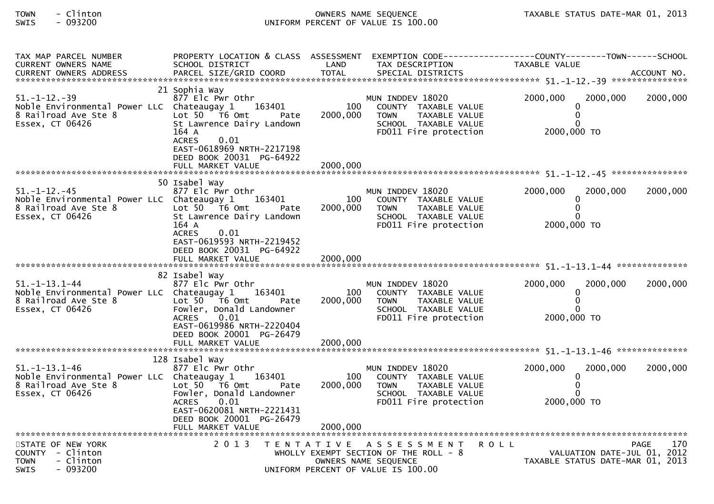## TOWN - Clinton OWNERS NAME SEQUENCE TAXABLE STATUS DATE-MAR 01, 2013SWIS - 093200 UNIFORM PERCENT OF VALUE IS 100.00

| TAX MAP PARCEL NUMBER<br>CURRENT OWNERS NAME                                                                         | SCHOOL DISTRICT                                                                                                                                                                                                        | LAND                        | TAX DESCRIPTION                                                                                                           | PROPERTY LOCATION & CLASS ASSESSMENT EXEMPTION CODE----------------COUNTY-------TOWN------SCHOOL<br><b>TAXABLE VALUE</b> |             |
|----------------------------------------------------------------------------------------------------------------------|------------------------------------------------------------------------------------------------------------------------------------------------------------------------------------------------------------------------|-----------------------------|---------------------------------------------------------------------------------------------------------------------------|--------------------------------------------------------------------------------------------------------------------------|-------------|
|                                                                                                                      |                                                                                                                                                                                                                        |                             |                                                                                                                           |                                                                                                                          |             |
| $51. - 1 - 12. - 39$<br>Noble Environmental Power LLC Chateaugay 1 163401<br>8 Railroad Ave Ste 8<br>Essex, CT 06426 | 21 Sophia Way<br>877 Elc Pwr Othr<br>Lot $50$ $\overline{76}$ Omt<br>Pate<br>St Lawrence Dairy Landown<br>164 A<br><b>ACRES</b><br>0.01<br>EAST-0618969 NRTH-2217198<br>DEED BOOK 20031 PG-64922<br>FULL MARKET VALUE  | 100<br>2000,000<br>2000.000 | MUN INDDEV 18020<br>COUNTY TAXABLE VALUE<br>TAXABLE VALUE<br><b>TOWN</b><br>SCHOOL TAXABLE VALUE<br>FD011 Fire protection | 2000,000<br>2000,000<br>0<br>0<br>$\Omega$<br>2000,000 TO                                                                | 2000,000    |
|                                                                                                                      | 50 Isabel Way                                                                                                                                                                                                          |                             |                                                                                                                           |                                                                                                                          |             |
| $51. - 1 - 12. - 45$<br>Noble Environmental Power LLC Chateaugay 1<br>8 Railroad Ave Ste 8<br>Essex, CT 06426        | 877 Elc Pwr Othr<br>163401<br>Lot $50$ $\overline{16}$ Omt<br>Pate<br>St Lawrence Dairy Landown<br>164 A<br>0.01<br><b>ACRES</b>                                                                                       | 100<br>2000,000             | MUN INDDEV 18020<br>COUNTY TAXABLE VALUE<br>TAXABLE VALUE<br><b>TOWN</b><br>SCHOOL TAXABLE VALUE<br>FD011 Fire protection | 2000,000<br>2000,000<br>$\mathbf{0}$<br>$\mathbf{0}$<br>0<br>2000,000 TO                                                 | 2000,000    |
|                                                                                                                      | EAST-0619593 NRTH-2219452<br>DEED BOOK 20031 PG-64922<br>FULL MARKET VALUE                                                                                                                                             | 2000,000                    |                                                                                                                           |                                                                                                                          |             |
|                                                                                                                      | 82 Isabel Way                                                                                                                                                                                                          |                             |                                                                                                                           |                                                                                                                          |             |
| $51. - 1 - 13.1 - 44$<br>Noble Environmental Power LLC Chateaugay 1<br>8 Railroad Ave Ste 8<br>Essex, CT 06426       | 877 Elc Pwr Othr<br>163401<br>Lot $50 - 76$ Omt<br>Pate<br>Fowler, Donald Landowner<br>0.01<br>ACRES<br>EAST-0619986 NRTH-2220404<br>DEED BOOK 20001 PG-26479                                                          | 100<br>2000,000             | MUN INDDEV 18020<br>COUNTY TAXABLE VALUE<br><b>TOWN</b><br>TAXABLE VALUE<br>SCHOOL TAXABLE VALUE<br>FD011 Fire protection | 2000,000<br>2000,000<br>$\Omega$<br>$\mathbf 0$<br>$\Omega$<br>2000,000 TO                                               | 2000,000    |
|                                                                                                                      |                                                                                                                                                                                                                        |                             |                                                                                                                           |                                                                                                                          |             |
| 51. –1–13.1–46<br>Noble Environmental Power LLC Chateaugay 1<br>8 Railroad Ave Ste 8<br>Essex, CT 06426              | 128 Isabel Way<br>877 Elc Pwr Othr<br>163401<br>Lot $50$ $\overline{76}$ Omt<br>Pate<br>Fowler, Donald Landowner<br>0.01<br><b>ACRES</b><br>EAST-0620081 NRTH-2221431<br>DEED BOOK 20001 PG-26479<br>FULL MARKET VALUE | 100<br>2000,000<br>2000.000 | MUN INDDEV 18020<br>COUNTY TAXABLE VALUE<br>TAXABLE VALUE<br><b>TOWN</b><br>SCHOOL TAXABLE VALUE<br>FD011 Fire protection | 2000,000<br>2000,000<br>0<br>$\mathbf{0}$<br>$\Omega$<br>2000,000 TO                                                     | 2000,000    |
| STATE OF NEW YORK                                                                                                    | 2 0 1 3                                                                                                                                                                                                                |                             | TENTATIVE ASSESSMENT                                                                                                      | <b>ROLL</b>                                                                                                              | 170<br>PAGE |
| COUNTY - Clinton<br>- Clinton<br><b>TOWN</b><br>- 093200<br><b>SWIS</b>                                              |                                                                                                                                                                                                                        |                             | WHOLLY EXEMPT SECTION OF THE ROLL - 8<br>OWNERS NAME SEQUENCE<br>UNIFORM PERCENT OF VALUE IS 100.00                       | VALUATION DATE-JUL 01, 2012<br>TAXABLE STATUS DATE-MAR 01, 2013                                                          |             |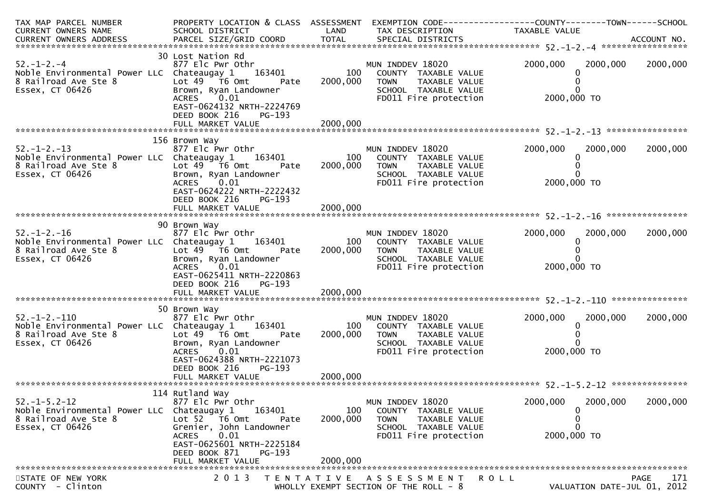| TAX MAP PARCEL NUMBER<br>CURRENT OWNERS NAME                                                                         | SCHOOL DISTRICT                                                                                                                                                                                         | LAND                        | TAX DESCRIPTION                                                                                                           | PROPERTY LOCATION & CLASS ASSESSMENT EXEMPTION CODE----------------COUNTY-------TOWN------SCHOOL<br>TAXABLE VALUE |             |
|----------------------------------------------------------------------------------------------------------------------|---------------------------------------------------------------------------------------------------------------------------------------------------------------------------------------------------------|-----------------------------|---------------------------------------------------------------------------------------------------------------------------|-------------------------------------------------------------------------------------------------------------------|-------------|
| $52. - 1 - 2. - 4$<br>Noble Environmental Power LLC Chateaugay 1<br>8 Railroad Ave Ste 8<br>Essex, CT 06426          | 30 Lost Nation Rd<br>877 Elc Pwr Othr<br>163401<br>Lot 49 T6 Omt<br>Pate<br>Brown, Ryan Landowner<br>0.01<br><b>ACRES</b><br>EAST-0624132 NRTH-2224769<br>DEED BOOK 216<br>PG-193<br>FULL MARKET VALUE  | 100<br>2000,000<br>2000,000 | MUN INDDEV 18020<br>COUNTY TAXABLE VALUE<br><b>TOWN</b><br>TAXABLE VALUE<br>SCHOOL TAXABLE VALUE<br>FD011 Fire protection | 2000,000<br>2000,000<br>2000,000 TO                                                                               | 2000,000    |
| $52. - 1 - 2. - 13$<br>Noble Environmental Power LLC Chateaugay 1<br>8 Railroad Ave Ste 8<br>Essex, CT 06426         | 156 Brown Way<br>877 Elc Pwr Othr<br>163401<br>Lot $49$ $\overline{76}$ Omt<br>Pate<br>Brown, Ryan Landowner<br>ACRES<br>0.01<br>EAST-0624222 NRTH-2222432<br>DEED BOOK 216<br>PG-193                   | 100<br>2000,000             | MUN INDDEV 18020<br>COUNTY TAXABLE VALUE<br><b>TOWN</b><br>TAXABLE VALUE<br>SCHOOL TAXABLE VALUE<br>FD011 Fire protection | 2000,000<br>2000,000<br>2000,000 TO                                                                               | 2000,000    |
| $52. - 1 - 2. - 16$<br>Noble Environmental Power LLC Chateaugay 1<br>8 Railroad Ave Ste 8<br>Essex, CT 06426         | 90 Brown Way<br>877 Elc Pwr Othr<br>163401<br>Lot 49 T6 Omt<br>Pate<br>Brown, Ryan Landowner<br>0.01<br><b>ACRES</b><br>EAST-0625411 NRTH-2220863<br>DEED BOOK 216<br>PG-193                            | 100<br>2000,000             | MUN INDDEV 18020<br>COUNTY TAXABLE VALUE<br>TAXABLE VALUE<br><b>TOWN</b><br>SCHOOL TAXABLE VALUE<br>FD011 Fire protection | 2000,000<br>2000,000<br>2000,000 TO                                                                               | 2000,000    |
| $52. - 1 - 2. - 110$<br>Noble Environmental Power LLC Chateaugay 1 163401<br>8 Railroad Ave Ste 8<br>Essex, CT 06426 | 50 Brown Way<br>877 Elc Pwr Othr<br>Lot 49 T6 Omt<br>Pate<br>Brown, Ryan Landowner<br>0.01<br>ACRES<br>EAST-0624388 NRTH-2221073<br>DEED BOOK 216<br>PG-193<br>FULL MARKET VALUE                        | 100<br>2000,000<br>2000,000 | MUN INDDEV 18020<br>COUNTY TAXABLE VALUE<br><b>TOWN</b><br>TAXABLE VALUE<br>SCHOOL TAXABLE VALUE<br>FD011 Fire protection | 2000,000<br>2000,000<br>0<br>2000,000 TO                                                                          | 2000,000    |
| $52. -1 - 5.2 - 12$<br>Noble Environmental Power LLC Chateaugay 1<br>8 Railroad Ave Ste 8<br>Essex, CT 06426         | 114 Rutland Way<br>877 Elc Pwr Othr<br>163401<br>Lot 52  T6 Omt<br>Pate<br>Grenier, John Landowner<br>0.01<br><b>ACRES</b><br>EAST-0625601 NRTH-2225184<br>DEED BOOK 871<br>PG-193<br>FULL MARKET VALUE | 100<br>2000,000<br>2000,000 | MUN INDDEV 18020<br>COUNTY TAXABLE VALUE<br><b>TOWN</b><br>TAXABLE VALUE<br>SCHOOL TAXABLE VALUE<br>FD011 Fire protection | 2000,000<br>2000,000<br>2000,000 TO                                                                               | 2000,000    |
| STATE OF NEW YORK<br>COUNTY - Clinton                                                                                | 2 0 1 3                                                                                                                                                                                                 | T E N T A T I V E           | A S S E S S M E N T<br>WHOLLY EXEMPT SECTION OF THE ROLL - 8                                                              | ROLL<br>VALUATION DATE-JUL 01, 2012                                                                               | 171<br>PAGE |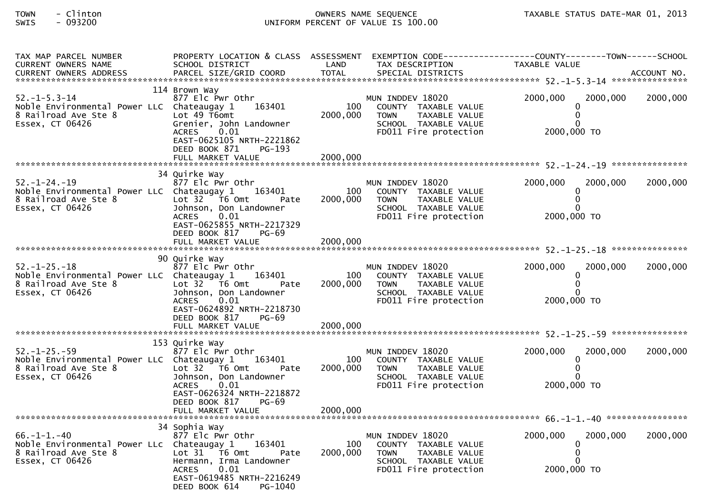## TOWN - Clinton OWNERS NAME SEQUENCE TAXABLE STATUS DATE-MAR 01, 2013SWIS - 093200 UNIFORM PERCENT OF VALUE IS 100.00

| TAX MAP PARCEL NUMBER<br><b>CURRENT OWNERS NAME</b>                                                                  | PROPERTY LOCATION & CLASS ASSESSMENT<br>SCHOOL DISTRICT                                                                                                                                      | LAND                        | TAX DESCRIPTION                                                                                                           | EXEMPTION CODE-----------------COUNTY--------TOWN------SCHOOL<br>TAXABLE VALUE |          |
|----------------------------------------------------------------------------------------------------------------------|----------------------------------------------------------------------------------------------------------------------------------------------------------------------------------------------|-----------------------------|---------------------------------------------------------------------------------------------------------------------------|--------------------------------------------------------------------------------|----------|
| $52. - 1 - 5.3 - 14$<br>Noble Environmental Power LLC Chateaugay 1<br>8 Railroad Ave Ste 8<br>Essex, CT 06426        | 114 Brown Way<br>877 Elc Pwr Othr<br>163401<br>Lot 49 T6omt<br>Grenier, John Landowner<br><b>ACRES</b><br>0.01<br>EAST-0625105 NRTH-2221862<br>DEED BOOK 871<br>PG-193                       | 100<br>2000,000             | MUN INDDEV 18020<br>COUNTY TAXABLE VALUE<br>TAXABLE VALUE<br><b>TOWN</b><br>SCHOOL TAXABLE VALUE<br>FD011 Fire protection | 2000,000<br>2000,000<br>$\Omega$<br>∩<br>2000,000 TO                           | 2000,000 |
|                                                                                                                      | 34 Quirke Way                                                                                                                                                                                |                             |                                                                                                                           |                                                                                |          |
| $52. - 1 - 24. - 19$<br>Noble Environmental Power LLC Chateaugay 1 163401<br>8 Railroad Ave Ste 8<br>Essex, CT 06426 | 877 Elc Pwr Othr<br>Lot 32 76 0mt<br>Pate<br>Johnson, Don Landowner<br><b>ACRES</b><br>0.01<br>EAST-0625855 NRTH-2217329<br>DEED BOOK 817<br>$PG-69$<br>FULL MARKET VALUE                    | 100<br>2000,000<br>2000,000 | MUN INDDEV 18020<br>COUNTY TAXABLE VALUE<br>TAXABLE VALUE<br><b>TOWN</b><br>SCHOOL TAXABLE VALUE<br>FD011 Fire protection | 2000,000<br>2000,000<br>$\Omega$<br>2000,000 TO                                | 2000,000 |
|                                                                                                                      |                                                                                                                                                                                              |                             |                                                                                                                           |                                                                                |          |
| $52. - 1 - 25. - 18$<br>Noble Environmental Power LLC Chateaugay 1<br>8 Railroad Ave Ste 8<br>Essex, CT 06426        | 90 Quirke Way<br>877 Elc Pwr Othr<br>163401<br>Lot $32$ $\overline{76}$ Omt<br>Pate<br>Johnson, Don Landowner<br>0.01<br><b>ACRES</b><br>EAST-0624892 NRTH-2218730<br>DEED BOOK 817<br>PG-69 | 100<br>2000,000             | MUN INDDEV 18020<br>COUNTY TAXABLE VALUE<br><b>TOWN</b><br>TAXABLE VALUE<br>SCHOOL TAXABLE VALUE<br>FD011 Fire protection | 2000,000<br>2000,000<br>$\Omega$<br>$\Omega$<br>2000,000 TO                    | 2000,000 |
|                                                                                                                      |                                                                                                                                                                                              |                             |                                                                                                                           |                                                                                |          |
| $52. - 1 - 25. - 59$<br>Noble Environmental Power LLC Chateaugay 1<br>8 Railroad Ave Ste 8<br>Essex, CT 06426        | 153 Quirke Way<br>877 Elc Pwr Othr<br>163401<br>Lot 32 76 0mt<br>Pate<br>Johnson, Don Landowner<br>0.01<br><b>ACRES</b><br>EAST-0626324 NRTH-2218872<br>DEED BOOK 817<br><b>PG-69</b>        | 100<br>2000,000             | MUN INDDEV 18020<br>COUNTY TAXABLE VALUE<br><b>TOWN</b><br>TAXABLE VALUE<br>SCHOOL TAXABLE VALUE<br>FD011 Fire protection | 2000,000<br>2000,000<br>$\Omega$<br>$\Omega$<br>2000.000 TO                    | 2000,000 |
|                                                                                                                      |                                                                                                                                                                                              |                             |                                                                                                                           |                                                                                |          |
| $66. - 1 - 1. - 40$<br>Noble Environmental Power LLc Chateaugay 1<br>8 Railroad Ave Ste 8<br>Essex, CT 06426         | 34 Sophia Way<br>877 Elc Pwr Othr<br>163401<br>Lot 31 T6 Omt<br>Pate<br>Hermann, Irma Landowner<br><b>ACRES</b><br>0.01<br>EAST-0619485 NRTH-2216249<br>DEED BOOK 614<br>PG-1040             | 100<br>2000,000             | MUN INDDEV 18020<br>COUNTY TAXABLE VALUE<br>TAXABLE VALUE<br><b>TOWN</b><br>SCHOOL TAXABLE VALUE<br>FD011 Fire protection | 2000,000<br>2000,000<br>∩<br>2000,000 TO                                       | 2000,000 |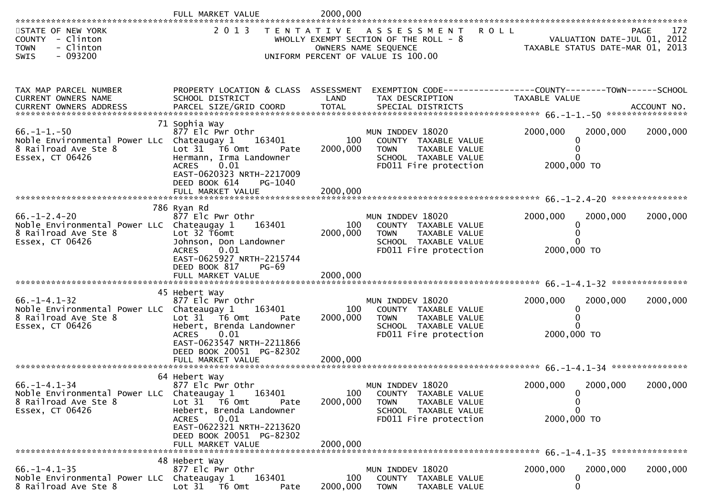| **********************                                                                                        | FULL MARKET VALUE                                                                                                                                                                                     | 2000,000                    |                                                                                                                             |                                                                                |             |
|---------------------------------------------------------------------------------------------------------------|-------------------------------------------------------------------------------------------------------------------------------------------------------------------------------------------------------|-----------------------------|-----------------------------------------------------------------------------------------------------------------------------|--------------------------------------------------------------------------------|-------------|
| STATE OF NEW YORK<br>COUNTY - Clinton<br>- Clinton<br><b>TOWN</b><br>$-093200$<br>SWIS                        | 2 0 1 3                                                                                                                                                                                               |                             | TENTATIVE ASSESSMENT<br>WHOLLY EXEMPT SECTION OF THE ROLL - 8<br>OWNERS NAME SEQUENCE<br>UNIFORM PERCENT OF VALUE IS 100.00 | <b>ROLL</b><br>VALUATION DATE-JUL 01, 2012<br>TAXABLE STATUS DATE-MAR 01, 2013 | 172<br>PAGE |
| TAX MAP PARCEL NUMBER<br>CURRENT OWNERS NAME<br><b>CURRENT OWNERS ADDRESS</b>                                 | PROPERTY LOCATION & CLASS ASSESSMENT<br>SCHOOL DISTRICT                                                                                                                                               | LAND                        | TAX DESCRIPTION                                                                                                             | TAXABLE VALUE                                                                  |             |
| $66. -1 - 1. -50$<br>Noble Environmental Power LLc Chateaugay 1<br>8 Railroad Ave Ste 8<br>Essex, CT 06426    | 71 Sophia Way<br>877 Elc Pwr Othr<br>163401<br>Lot 31 76 0mt<br>Pate<br>Hermann, Irma Landowner<br>0.01<br><b>ACRES</b><br>EAST-0620323 NRTH-2217009<br>DEED BOOK 614<br>PG-1040<br>FULL MARKET VALUE | 100<br>2000,000<br>2000,000 | MUN INDDEV 18020<br>COUNTY TAXABLE VALUE<br><b>TOWN</b><br>TAXABLE VALUE<br>SCHOOL TAXABLE VALUE<br>FD011 Fire protection   | 2000,000<br>2000,000<br>2000,000 TO                                            | 2000,000    |
| $66. - 1 - 2.4 - 20$<br>Noble Environmental Power LLC Chateaugay 1<br>8 Railroad Ave Ste 8<br>Essex, CT 06426 | 786 Ryan Rd<br>877 Elc Pwr Othr<br>163401<br>Lot $32$ T6omt<br>Johnson, Don Landowner<br>0.01<br><b>ACRES</b><br>EAST-0625927 NRTH-2215744<br>DEED BOOK 817<br><b>PG-69</b>                           | 100<br>2000,000             | MUN INDDEV 18020<br>COUNTY TAXABLE VALUE<br>TAXABLE VALUE<br><b>TOWN</b><br>SCHOOL TAXABLE VALUE<br>FD011 Fire protection   | 2000,000<br>2000,000<br>0<br>2000,000 TO                                       | 2000,000    |
|                                                                                                               |                                                                                                                                                                                                       |                             |                                                                                                                             |                                                                                |             |
| $66. - 1 - 4.1 - 32$<br>Noble Environmental Power LLC Chateaugay 1<br>8 Railroad Ave Ste 8<br>Essex, CT 06426 | 45 Hebert Way<br>877 Elc Pwr Othr<br>163401<br>Lot 31 76 0mt<br>Pate<br>Hebert, Brenda Landowner<br>0.01<br>ACRES<br>EAST-0623547 NRTH-2211866<br>DEED BOOK 20051 PG-82302                            | 100<br>2000,000             | MUN INDDEV 18020<br>COUNTY TAXABLE VALUE<br><b>TOWN</b><br>TAXABLE VALUE<br>SCHOOL TAXABLE VALUE<br>FD011 Fire protection   | 2000,000<br>2000,000<br>2000,000 TO                                            | 2000,000    |
|                                                                                                               |                                                                                                                                                                                                       |                             |                                                                                                                             |                                                                                |             |
| $66. -1 - 4.1 - 34$<br>Noble Environmental Power LLC Chateaugay 1<br>8 Railroad Ave Ste 8<br>Essex, CT 06426  | 64 Hebert Way<br>877 Elc Pwr Othr<br>163401<br>Lot 31 76 0mt<br>Pate<br>Hebert, Brenda Landowner<br>0.01<br>ACRES<br>EAST-0622321 NRTH-2213620<br>DEED BOOK 20051 PG-82302<br>FULL MARKET VALUE       | 100<br>2000,000<br>2000,000 | MUN INDDEV 18020<br>COUNTY TAXABLE VALUE<br>TAXABLE VALUE<br><b>TOWN</b><br>SCHOOL TAXABLE VALUE<br>FD011 Fire protection   | 2000,000<br>2000,000<br>0<br>0<br>0<br>2000,000 TO                             | 2000,000    |
|                                                                                                               | 48 Hebert Way                                                                                                                                                                                         |                             |                                                                                                                             |                                                                                |             |
| $66. -1 - 4.1 - 35$<br>Noble Environmental Power LLC Chateaugay 1<br>8 Railroad Ave Ste 8                     | 877 Elc Pwr Othr<br>163401<br>Lot 31 T6 Omt<br>Pate                                                                                                                                                   | 100<br>2000,000             | MUN INDDEV 18020<br>COUNTY TAXABLE VALUE<br><b>TOWN</b><br>TAXABLE VALUE                                                    | 2000,000<br>2000,000<br>0<br>0                                                 | 2000,000    |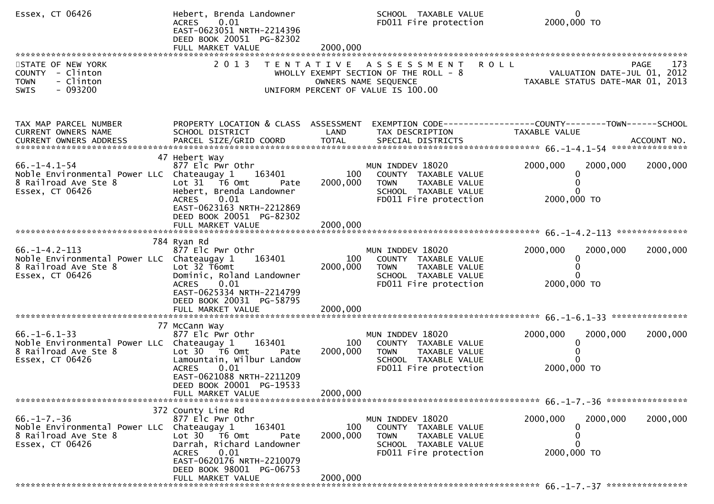| Essex, CT 06426                                                                                                | Hebert, Brenda Landowner<br>ACRES 0.01<br>EAST-0623051 NRTH-2214396<br>DEED BOOK 20051 PG-82302<br>FULL MARKET VALUE                                                                    | 2000,000        | SCHOOL TAXABLE VALUE<br>FD011 Fire protection                                                                                 | $\Omega$<br>2000,000 TO                                                                                           |          |
|----------------------------------------------------------------------------------------------------------------|-----------------------------------------------------------------------------------------------------------------------------------------------------------------------------------------|-----------------|-------------------------------------------------------------------------------------------------------------------------------|-------------------------------------------------------------------------------------------------------------------|----------|
| STATE OF NEW YORK<br>COUNTY - Clinton<br>- Clinton<br><b>TOWN</b><br>$-093200$<br><b>SWIS</b>                  | 2 0 1 3                                                                                                                                                                                 |                 | TENTATIVE ASSESSMENT<br>WHOLLY EXEMPT SECTION OF THE ROLL - $8$<br>OWNERS NAME SEQUENCE<br>UNIFORM PERCENT OF VALUE IS 100.00 | <b>ROLL</b><br><b>PAGE</b><br>VALUATION DATE-JUL 01, 2012<br>TAXABLE STATUS DATE-MAR 01, 2013                     | 173      |
| TAX MAP PARCEL NUMBER<br>CURRENT OWNERS NAME                                                                   | SCHOOL DISTRICT                                                                                                                                                                         | LAND            | TAX DESCRIPTION                                                                                                               | PROPERTY LOCATION & CLASS ASSESSMENT EXEMPTION CODE----------------COUNTY-------TOWN------SCHOOL<br>TAXABLE VALUE |          |
| $66. - 1 - 4.1 - 54$<br>Noble Environmental Power LLC Chateaugay 1<br>8 Railroad Ave Ste 8<br>Essex, CT 06426  | 47 Hebert Way<br>877 Elc Pwr Othr<br>163401<br>Lot 31 76 0mt<br>Pate<br>Hebert, Brenda Landowner<br>ACRES 0.01<br>EAST-0623163 NRTH-2212869<br>DEED BOOK 20051 PG-82302                 | 100<br>2000,000 | MUN INDDEV 18020<br>COUNTY TAXABLE VALUE<br>TAXABLE VALUE<br><b>TOWN</b><br>SCHOOL TAXABLE VALUE<br>FD011 Fire protection     | 2000,000<br>2000,000<br>0<br>2000,000 TO                                                                          | 2000,000 |
|                                                                                                                |                                                                                                                                                                                         |                 |                                                                                                                               |                                                                                                                   |          |
| $66. - 1 - 4.2 - 113$<br>Noble Environmental Power LLC Chateaugay 1<br>8 Railroad Ave Ste 8<br>Essex, CT 06426 | 784 Ryan Rd<br>877 Elc Pwr Othr<br>163401<br>Lot 32 T6omt<br>Dominic, Roland Landowner<br>0.01<br><b>ACRES</b><br>EAST-0625334 NRTH-2214799<br>DEED BOOK 20031 PG-58795                 | 100<br>2000,000 | MUN INDDEV 18020<br>COUNTY TAXABLE VALUE<br><b>TOWN</b><br>TAXABLE VALUE<br>SCHOOL TAXABLE VALUE<br>FD011 Fire protection     | 2000,000<br>2000,000<br>0<br>$\Omega$<br>2000,000 TO                                                              | 2000,000 |
|                                                                                                                |                                                                                                                                                                                         |                 |                                                                                                                               |                                                                                                                   |          |
| $66. - 1 - 6.1 - 33$<br>Noble Environmental Power LLC Chateaugay 1<br>8 Railroad Ave Ste 8<br>Essex, CT 06426  | 77 McCann Way<br>877 Elc Pwr Othr<br>163401<br>Lot 30 T6 Omt<br>Pate<br>Lamountain, Wilbur Landow<br><b>ACRES</b><br>0.01<br>EAST-0621088 NRTH-2211209                                  | 100<br>2000,000 | MUN INDDEV 18020<br>COUNTY TAXABLE VALUE<br>TAXABLE VALUE<br><b>TOWN</b><br>SCHOOL TAXABLE VALUE<br>FD011 Fire protection     | 2000,000<br>2000,000<br>0<br>2000,000 TO                                                                          | 2000,000 |
| ********************************                                                                               | DEED BOOK 20001 PG-19533<br>FULL MARKET VALUE                                                                                                                                           | 2000,000        |                                                                                                                               |                                                                                                                   |          |
| $66. - 1 - 7. - 36$<br>Noble Environmental Power LLC Chateaugay 1<br>8 Railroad Ave Ste 8<br>Essex, CT 06426   | 372 County Line Rd<br>877 Elc Pwr Othr<br>163401<br>Lot 30 76 0mt<br>Pate<br>Darrah, Richard Landowner<br>0.01<br><b>ACRES</b><br>EAST-0620176 NRTH-2210079<br>DEED BOOK 98001 PG-06753 | 100<br>2000,000 | MUN INDDEV 18020<br>COUNTY TAXABLE VALUE<br><b>TOWN</b><br>TAXABLE VALUE<br>SCHOOL TAXABLE VALUE<br>FD011 Fire protection     | 2000,000<br>2000,000<br>0<br>O<br>2000,000 TO                                                                     | 2000,000 |
|                                                                                                                | FULL MARKET VALUE                                                                                                                                                                       | 2000,000        |                                                                                                                               |                                                                                                                   |          |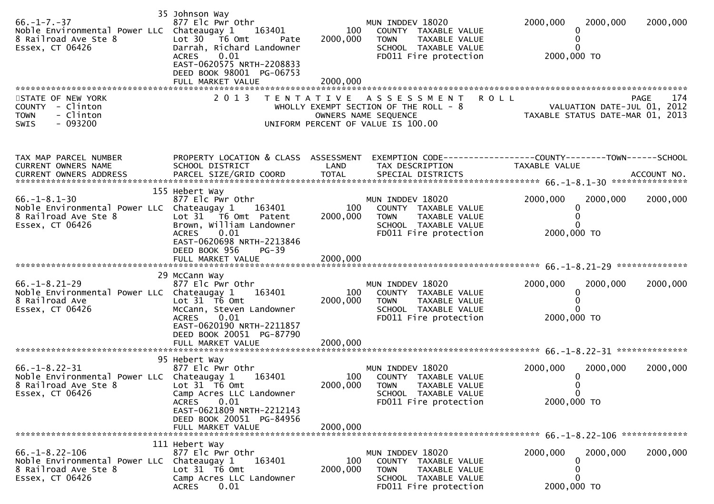| $66. -1 - 7. -37$<br>Noble Environmental Power LLC Chateaugay 1<br>8 Railroad Ave Ste 8<br>Essex, CT 06426                  | 35 Johnson Way<br>877 Elc Pwr Othr<br>163401<br>Lot 30 T6 Omt<br>Pate<br>Darrah, Richard Landowner<br>0.01<br><b>ACRES</b><br>EAST-0620575 NRTH-2208833<br>DEED BOOK 98001 PG-06753              | 100<br>2000,000             | MUN INDDEV 18020<br>COUNTY TAXABLE VALUE<br>TAXABLE VALUE<br><b>TOWN</b><br>SCHOOL TAXABLE VALUE<br>FD011 Fire protection    | 2000,000<br>2000,000<br>2000,000 TO                                                                           | 2000,000           |
|-----------------------------------------------------------------------------------------------------------------------------|--------------------------------------------------------------------------------------------------------------------------------------------------------------------------------------------------|-----------------------------|------------------------------------------------------------------------------------------------------------------------------|---------------------------------------------------------------------------------------------------------------|--------------------|
| STATE OF NEW YORK<br>COUNTY - Clinton<br>- Clinton<br><b>TOWN</b><br>$-093200$<br>SWIS                                      | 2 0 1 3                                                                                                                                                                                          |                             | TENTATIVE ASSESSMENT<br>WHOLLY EXEMPT SECTION OF THE ROLL - 8<br>OWNERS NAME SEQUENCE<br>UNIFORM PERCENT OF VALUE IS 100.00  | <b>ROLL</b><br>VALUATION DATE-JUL 01, 2012<br>VALUATION DATE-JUL 01, ZO1Z<br>TAXABLE STATUS DATE-MAR 01, 2013 | <b>PAGE</b><br>174 |
| TAX MAP PARCEL NUMBER<br>CURRENT OWNERS NAME                                                                                | PROPERTY LOCATION & CLASS ASSESSMENT<br>SCHOOL DISTRICT                                                                                                                                          | LAND                        | TAX DESCRIPTION                                                                                                              | TAXABLE VALUE                                                                                                 |                    |
| $66. - 1 - 8.1 - 30$<br>Noble Environmental Power LLC Chateaugay 1<br>8 Railroad Ave Ste 8<br>Essex, CT 06426               | 155 Hebert Way<br>877 Elc Pwr Othr<br>163401<br>Lot 31 T6 Omt Patent<br>Brown, William Landowner<br><b>ACRES</b><br>0.01<br>EAST-0620698 NRTH-2213846<br>DEED BOOK 956<br>$PG-39$                | 100<br>2000,000             | MUN INDDEV 18020<br>COUNTY TAXABLE VALUE<br>TAXABLE VALUE<br><b>TOWN</b><br>SCHOOL TAXABLE VALUE<br>FD011 Fire protection    | 2000,000<br>2000,000<br>2000,000 TO                                                                           | 2000,000           |
| $66. -1 - 8.21 - 29$<br>Noble Environmental Power LLC Chateaugay 1<br>8 Railroad Ave<br>Essex, CT 06426                     | 29 McCann Way<br>877 Elc Pwr Othr<br>163401<br>Lot $31$ T6 Omt<br>McCann, Steven Landowner<br>0.01<br><b>ACRES</b><br>EAST-0620190 NRTH-2211857<br>DEED BOOK 20051 PG-87790<br>FULL MARKET VALUE | 100<br>2000,000<br>2000,000 | MUN INDDEV 18020<br>COUNTY TAXABLE VALUE<br><b>TOWN</b><br>TAXABLE VALUE<br>SCHOOL TAXABLE VALUE<br>FD011 Fire protection    | 2000,000<br>2000,000<br>0<br>2000,000 TO                                                                      | 2000,000           |
| $66. -1 - 8.22 - 31$<br>Noble Environmental Power LLC Chateaugay 1<br>8 Railroad Ave Ste 8 Lot 31 T6 Omt<br>Essex, CT 06426 | 95 Hebert Way<br>877 Elc Pwr Othr<br>163401<br>Camp Acres LLC Landowner<br>0.01<br><b>ACRES</b><br>EAST-0621809 NRTH-2212143<br>DEED BOOK 20051 PG-84956<br>FULL MARKET VALUE                    | 2000,000                    | MUN INDDEV 18020<br>100 COUNTY TAXABLE VALUE<br>2000,000 TOWN TAXABLE VALUE<br>SCHOOL TAXABLE VALUE<br>FD011 Fire protection | 2000,000<br>2000,000<br>0<br>$\mathbf{0}$<br>$\Omega$<br>2000,000 TO                                          | 2000,000           |
| $66. - 1 - 8.22 - 106$<br>Noble Environmental Power LLC Chateaugay 1<br>8 Railroad Ave Ste 8<br>Essex, CT 06426             | 111 Hebert Way<br>877 Elc Pwr Othr<br>163401<br>Lot 31 76 0mt<br>Camp Acres LLC Landowner<br>0.01<br><b>ACRES</b>                                                                                | 100<br>2000,000             | MUN INDDEV 18020<br>COUNTY TAXABLE VALUE<br>TAXABLE VALUE<br>TOWN<br>SCHOOL TAXABLE VALUE<br>FD011 Fire protection           | 2000,000<br>2000,000<br>2000,000 TO                                                                           | 2000,000           |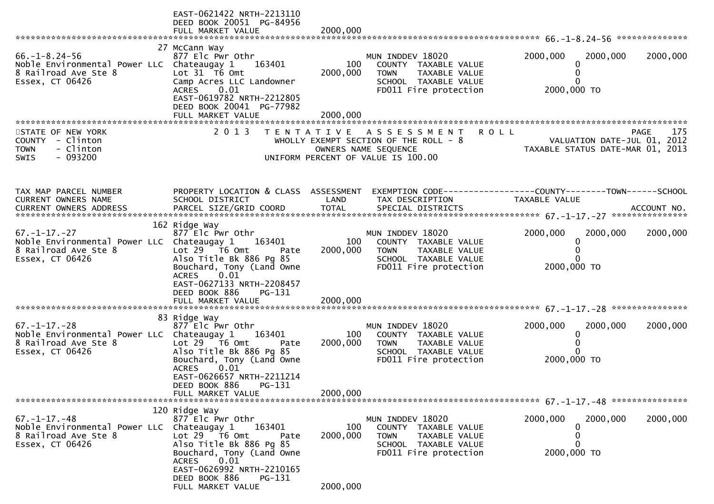|                                                                                                                | EAST-0621422 NRTH-2213110<br>DEED BOOK 20051 PG-84956<br>FULL MARKET VALUE                                                                                                                                        | 2000,000        |                                                                                                                             |                                                                                |                      |
|----------------------------------------------------------------------------------------------------------------|-------------------------------------------------------------------------------------------------------------------------------------------------------------------------------------------------------------------|-----------------|-----------------------------------------------------------------------------------------------------------------------------|--------------------------------------------------------------------------------|----------------------|
|                                                                                                                |                                                                                                                                                                                                                   |                 |                                                                                                                             |                                                                                |                      |
| $66. - 1 - 8.24 - 56$<br>Noble Environmental Power LLC Chateaugay 1<br>8 Railroad Ave Ste 8<br>Essex, CT 06426 | 27 McCann Way<br>877 Elc Pwr Othr<br>163401<br>Lot $31$ $\overline{16}$ Omt<br>Camp Acres LLC Landowner<br>0.01<br><b>ACRES</b><br>EAST-0619782 NRTH-2212805<br>DEED BOOK 20041 PG-77982                          | 100<br>2000,000 | MUN INDDEV 18020<br>COUNTY TAXABLE VALUE<br>TAXABLE VALUE<br><b>TOWN</b><br>SCHOOL TAXABLE VALUE<br>FD011 Fire protection   | 2000,000<br>0<br>$\Omega$<br>$\Omega$<br>2000,000 TO                           | 2000,000<br>2000,000 |
|                                                                                                                |                                                                                                                                                                                                                   |                 |                                                                                                                             |                                                                                |                      |
| STATE OF NEW YORK<br>COUNTY - Clinton<br><b>TOWN</b><br>- Clinton<br>$-093200$<br>SWIS                         | 2 0 1 3                                                                                                                                                                                                           |                 | TENTATIVE ASSESSMENT<br>WHOLLY EXEMPT SECTION OF THE ROLL - 8<br>OWNERS NAME SEQUENCE<br>UNIFORM PERCENT OF VALUE IS 100.00 | <b>ROLL</b><br>VALUATION DATE-JUL 01, 2012<br>TAXABLE STATUS DATE-MAR 01, 2013 | 175<br><b>PAGE</b>   |
| TAX MAP PARCEL NUMBER<br>CURRENT OWNERS NAME                                                                   | PROPERTY LOCATION & CLASS ASSESSMENT<br>SCHOOL DISTRICT                                                                                                                                                           | LAND            | EXEMPTION CODE------------------COUNTY--------TOWN------SCHOOL<br>TAX DESCRIPTION                                           | TAXABLE VALUE                                                                  |                      |
| $67. - 1 - 17. - 27$<br>Noble Environmental Power LLC Chateaugay 1<br>8 Railroad Ave Ste 8<br>Essex, CT 06426  | 162 Ridge Way<br>877 Elc Pwr Othr<br>163401<br>Lot 29 T6 Omt<br>Pate<br>Also Title Bk 886 Pg 85<br>Bouchard, Tony (Land Owne<br><b>ACRES</b><br>0.01<br>EAST-0627133 NRTH-2208457<br>DEED BOOK 886<br>$PG-131$    | 100<br>2000,000 | MUN INDDEV 18020<br>COUNTY TAXABLE VALUE<br><b>TOWN</b><br>TAXABLE VALUE<br>SCHOOL TAXABLE VALUE<br>FD011 Fire protection   | 2000,000<br>0<br>0<br>$\Omega$<br>2000,000 TO                                  | 2000,000<br>2000,000 |
|                                                                                                                | 83 Ridge Way                                                                                                                                                                                                      |                 |                                                                                                                             |                                                                                |                      |
| $67. - 1 - 17. - 28$<br>Noble Environmental Power LLC Chateaugay 1<br>8 Railroad Ave Ste 8<br>Essex, CT 06426  | 877 Elc Pwr Othr<br>163401<br>Lot $29$ $\overline{76}$ Omt<br>Pate<br>Also Title Bk 886 Pg 85<br>Bouchard, Tony (Land Owne<br>0.01<br><b>ACRES</b><br>EAST-0626657 NRTH-2211214<br>DEED BOOK 886<br><b>PG-131</b> | 100<br>2000,000 | MUN INDDEV 18020<br>COUNTY TAXABLE VALUE<br>TAXABLE VALUE<br><b>TOWN</b><br>SCHOOL TAXABLE VALUE<br>FD011 Fire protection   | 2000,000<br>$\bf{0}$<br>0<br>$\Omega$<br>2000,000 TO                           | 2000,000<br>2000,000 |
|                                                                                                                | FULL MARKET VALUE                                                                                                                                                                                                 | 2000,000        |                                                                                                                             |                                                                                |                      |
|                                                                                                                |                                                                                                                                                                                                                   |                 |                                                                                                                             |                                                                                |                      |
| $67. - 1 - 17. - 48$<br>Noble Environmental Power LLC<br>8 Railroad Ave Ste 8<br>Essex, CT 06426               | 120 Ridge Way<br>877 Elc Pwr Othr<br>Chateaugay 1<br>163401<br>Lot $29$ $\overline{76}$ Omt<br>Pate<br>Also Title Bk 886 Pg 85<br>Bouchard, Tony (Land Owne<br>0.01<br><b>ACRES</b><br>EAST-0626992 NRTH-2210165  | 100<br>2000,000 | MUN INDDEV 18020<br>COUNTY TAXABLE VALUE<br><b>TOWN</b><br>TAXABLE VALUE<br>SCHOOL TAXABLE VALUE<br>FD011 Fire protection   | 2000,000<br>$\bf{0}$<br>0<br>$\mathbf{0}$<br>2000,000 TO                       | 2000,000<br>2000,000 |
|                                                                                                                | DEED BOOK 886<br>PG-131<br>FULL MARKET VALUE                                                                                                                                                                      | 2000,000        |                                                                                                                             |                                                                                |                      |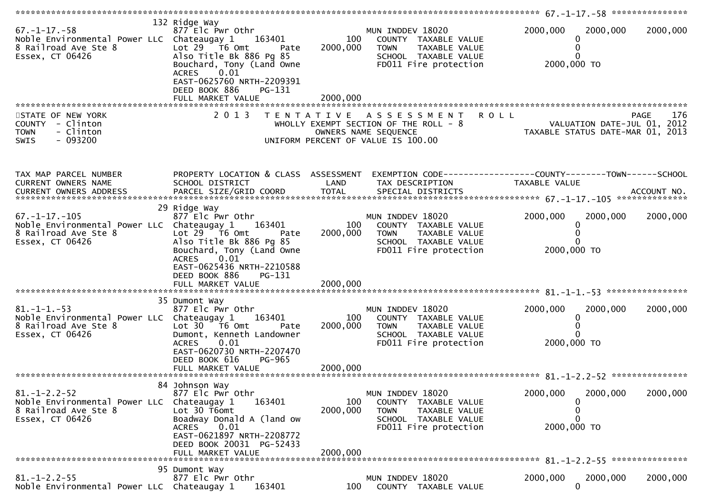| $67. - 1 - 17. - 58$<br>Noble Environmental Power LLC Chateaugay $1$ 163401<br>8 Railroad Ave Ste 8<br>Essex, CT 06426 | 132 Ridge Way<br>877 Elc Pwr Othr<br>Lot $29$ $\overline{76}$ Omt<br>Pate<br>Also Title Bk 886 Pg 85<br>Bouchard, Tony (Land Owne<br>0.01<br><b>ACRES</b><br>EAST-0625760 NRTH-2209391<br>DEED BOOK 886<br>PG-131 | 100<br>2000,000           | MUN INDDEV 18020<br>COUNTY TAXABLE VALUE<br><b>TOWN</b><br>TAXABLE VALUE<br>SCHOOL TAXABLE VALUE<br>FD011 Fire protection        | 2000,000<br>2000,000<br>0<br>2000,000 TO                             | 2000,000           |
|------------------------------------------------------------------------------------------------------------------------|-------------------------------------------------------------------------------------------------------------------------------------------------------------------------------------------------------------------|---------------------------|----------------------------------------------------------------------------------------------------------------------------------|----------------------------------------------------------------------|--------------------|
|                                                                                                                        | FULL MARKET VALUE                                                                                                                                                                                                 | 2000,000                  |                                                                                                                                  |                                                                      |                    |
|                                                                                                                        |                                                                                                                                                                                                                   |                           |                                                                                                                                  |                                                                      |                    |
| STATE OF NEW YORK<br>COUNTY - Clinton<br>- Clinton<br><b>TOWN</b><br>$-093200$<br><b>SWIS</b>                          | 2 0 1 3                                                                                                                                                                                                           |                           | TENTATIVE ASSESSMENT ROLL<br>WHOLLY EXEMPT SECTION OF THE ROLL - 8<br>OWNERS NAME SEQUENCE<br>UNIFORM PERCENT OF VALUE IS 100.00 | VALUATION DATE-JUL 01, 2012<br>701, TAXABLE STATUS DATE-MAR 01, 2013 | <b>PAGE</b><br>176 |
|                                                                                                                        |                                                                                                                                                                                                                   |                           |                                                                                                                                  |                                                                      |                    |
| TAX MAP PARCEL NUMBER<br>CURRENT OWNERS NAME                                                                           | PROPERTY LOCATION & CLASS ASSESSMENT EXEMPTION CODE----------------COUNTY-------TOWN------SCHOOL<br>SCHOOL DISTRICT                                                                                               | <b>Example 12 DE LAND</b> | TAX DESCRIPTION                                                                                                                  | TAXABLE VALUE                                                        |                    |
|                                                                                                                        |                                                                                                                                                                                                                   |                           |                                                                                                                                  |                                                                      |                    |
| $67. -1 - 17. -105$<br>Noble Environmental Power LLC Chateaugay 1<br>8 Railroad Ave Ste 8<br>Essex, CT 06426           | 29 Ridge Way<br>877 Elc Pwr Othr<br>163401<br>Lot 29 T6 Omt Pate<br>Also Title Bk 886 Pg 85<br>Bouchard, Tony (Land Owne                                                                                          | 2000,000                  | MUN INDDEV 18020<br>100 COUNTY TAXABLE VALUE<br>TOWN TAXABLE VALUE<br>SCHOOL TAXABLE VALUE<br>FD011 Fire protection              | 2000,000<br>2000,000<br>$\mathbf{0}$<br>2000,000 TO                  | 2000,000           |
|                                                                                                                        | <b>ACRES</b><br>0.01<br>EAST-0625436 NRTH-2210588<br>DEED BOOK 886<br>PG-131                                                                                                                                      |                           |                                                                                                                                  |                                                                      |                    |
|                                                                                                                        | 35 Dumont Way                                                                                                                                                                                                     |                           |                                                                                                                                  |                                                                      |                    |
| $81. -1 - 1. -53$<br>Noble Environmental Power LLC Chateaugay 1 163401<br>8 Railroad Ave Ste 8<br>Essex, CT 06426      | 877 Elc Pwr Othr<br>Lot 30 T6 Omt<br>Pate<br>Dumont, Kenneth Landowner<br>0.01<br>ACRES                                                                                                                           | 100<br>2000,000           | MUN INDDEV 18020<br>COUNTY TAXABLE VALUE<br><b>TOWN</b><br>TAXABLE VALUE<br>SCHOOL TAXABLE VALUE<br>FD011 Fire protection        | 2000,000<br>2000,000<br>0<br>2000,000 TO                             | 2000,000           |
|                                                                                                                        | EAST-0620730 NRTH-2207470<br>DEED BOOK 616<br>PG-965                                                                                                                                                              |                           |                                                                                                                                  |                                                                      |                    |
|                                                                                                                        | 84 Johnson Way                                                                                                                                                                                                    |                           |                                                                                                                                  |                                                                      |                    |
| $81. - 1 - 2.2 - 52$<br>Noble Environmental Power LLC<br>8 Railroad Ave Ste 8                                          | 877 Elc Pwr Othr<br>Chateaugay 1<br>163401<br>Lot 30 T6omt                                                                                                                                                        | 100<br>2000,000           | MUN INDDEV 18020<br>COUNTY TAXABLE VALUE<br><b>TOWN</b><br>TAXABLE VALUE                                                         | 2000,000<br>2000,000<br>O)                                           | 2000,000           |
| Essex, CT 06426                                                                                                        | Boadway Donald A (land ow<br><b>ACRES</b><br>0.01<br>EAST-0621897 NRTH-2208772<br>DEED BOOK 20031 PG-52433                                                                                                        |                           | SCHOOL TAXABLE VALUE<br>FD011 Fire protection                                                                                    | 2000,000 TO                                                          |                    |
|                                                                                                                        | FULL MARKET VALUE                                                                                                                                                                                                 | 2000,000                  |                                                                                                                                  |                                                                      |                    |
|                                                                                                                        | 95 Dumont Way                                                                                                                                                                                                     |                           |                                                                                                                                  |                                                                      |                    |
| $81. - 1 - 2.2 - 55$<br>Noble Environmental Power LLC Chateaugay 1                                                     | 877 Elc Pwr Othr<br>163401                                                                                                                                                                                        | 100                       | MUN INDDEV 18020<br>COUNTY TAXABLE VALUE                                                                                         | 2000,000<br>2000,000<br>$\mathbf{0}$                                 | 2000,000           |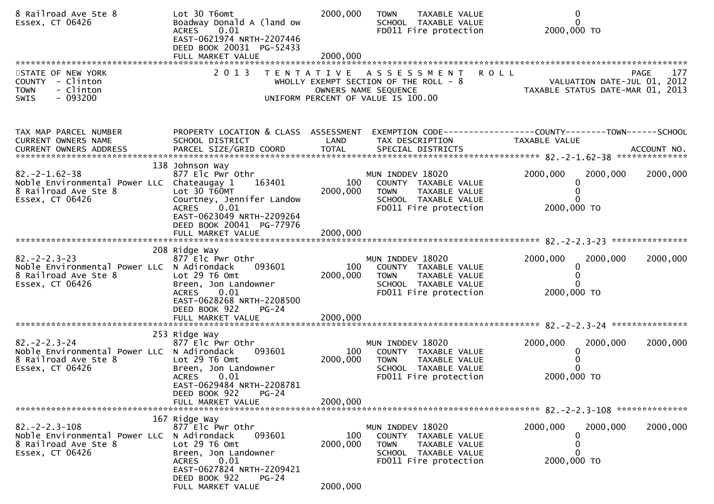| 8 Railroad Ave Ste 8<br>Essex, CT 06426                                                                        | Lot 30 T6omt<br>Boadway Donald A (land ow<br>0.01<br>ACRES<br>EAST-0621974 NRTH-2207446<br>DEED BOOK 20031 PG-52433<br>FULL MARKET VALUE                                                                   | 2000,000<br>2000,000        | <b>TOWN</b><br>TAXABLE VALUE<br>SCHOOL TAXABLE VALUE<br>FD011 Fire protection                                                     | 0<br>$\mathbf{0}$<br>2000,000 TO                                                              |
|----------------------------------------------------------------------------------------------------------------|------------------------------------------------------------------------------------------------------------------------------------------------------------------------------------------------------------|-----------------------------|-----------------------------------------------------------------------------------------------------------------------------------|-----------------------------------------------------------------------------------------------|
|                                                                                                                |                                                                                                                                                                                                            |                             |                                                                                                                                   |                                                                                               |
| STATE OF NEW YORK<br>COUNTY - Clinton<br>- Clinton<br><b>TOWN</b><br>$-093200$<br>SWIS                         |                                                                                                                                                                                                            |                             | 2013 TENTATIVE ASSESSMENT<br>WHOLLY EXEMPT SECTION OF THE ROLL $-8$<br>OWNERS NAME SEQUENCE<br>UNIFORM PERCENT OF VALUE IS 100.00 | <b>ROLL</b><br>177<br>PAGE<br>VALUATION DATE-JUL 01, 2012<br>TAXABLE STATUS DATE-MAR 01, 2013 |
| TAX MAP PARCEL NUMBER<br>CURRENT OWNERS NAME                                                                   | PROPERTY LOCATION & CLASS ASSESSMENT<br>SCHOOL DISTRICT                                                                                                                                                    | LAND                        | TAX DESCRIPTION                                                                                                                   | EXEMPTION CODE-----------------COUNTY-------TOWN------SCHOOL<br>TAXABLE VALUE                 |
| $82. -2 - 1.62 - 38$<br>Noble Environmental Power LLC Chateaugay 1<br>8 Railroad Ave Ste 8<br>Essex, CT 06426  | 138 Johnson Way<br>877 Elc Pwr Othr<br>163401<br>Lot 30 T60MT<br>Courtney, Jennifer Landow<br>0.01<br><b>ACRES</b><br>EAST-0623049 NRTH-2209264                                                            | 100<br>2000,000             | MUN INDDEV 18020<br>COUNTY TAXABLE VALUE<br>TAXABLE VALUE<br><b>TOWN</b><br>SCHOOL TAXABLE VALUE<br>FD011 Fire protection         | 2000,000<br>2000,000<br>2000,000<br>0<br>2000,000 TO                                          |
|                                                                                                                | DEED BOOK 20041 PG-77976                                                                                                                                                                                   |                             |                                                                                                                                   |                                                                                               |
| $82 - 2 - 2 - 3 - 23$<br>Noble Environmental Power LLC N Adirondack<br>8 Railroad Ave Ste 8<br>Essex, CT 06426 | 208 Ridge Way<br>877 Elc Pwr Othr<br>093601<br>Lot 29 T6 Omt<br>Breen, Jon Landowner<br>0.01<br><b>ACRES</b><br>EAST-0628268 NRTH-2208500<br>DEED BOOK 922<br>$PG-24$                                      | 100<br>2000,000             | MUN INDDEV 18020<br>COUNTY TAXABLE VALUE<br><b>TOWN</b><br><b>TAXABLE VALUE</b><br>SCHOOL TAXABLE VALUE<br>FD011 Fire protection  | 2000,000<br>2000,000<br>2000,000<br>0<br>2000,000 TO                                          |
|                                                                                                                | FULL MARKET VALUE                                                                                                                                                                                          | 2000,000                    |                                                                                                                                   |                                                                                               |
|                                                                                                                |                                                                                                                                                                                                            |                             |                                                                                                                                   |                                                                                               |
| $82 - 2 - 2 - 3 - 24$<br>Noble Environmental Power LLC N Adirondack<br>8 Railroad Ave Ste 8<br>Essex, CT 06426 | 253 Ridge Way<br>877 Elc Pwr Othr<br>093601<br>Lot 29 T6 Omt<br>Breen, Jon Landowner<br><b>ACRES</b><br>0.01<br>EAST-0629484 NRTH-2208781<br>$PG-24$<br>DEED BOOK 922<br>FULL MARKET VALUE                 | 100<br>2000,000<br>2000,000 | MUN INDDEV 18020<br>COUNTY TAXABLE VALUE<br><b>TOWN</b><br>TAXABLE VALUE<br>SCHOOL TAXABLE VALUE<br>FD011 Fire protection         | 2000,000<br>2000,000<br>2000,000<br>0<br>2000,000 TO                                          |
|                                                                                                                |                                                                                                                                                                                                            |                             |                                                                                                                                   |                                                                                               |
| $82. -2 - 2.3 - 108$<br>Noble Environmental Power LLC<br>8 Railroad Ave Ste 8<br>Essex, CT 06426               | 167 Ridge Way<br>877 Elc Pwr Othr<br>N Adirondack<br>093601<br>Lot 29 T6 Omt<br>Breen, Jon Landowner<br>0.01<br><b>ACRES</b><br>EAST-0627824 NRTH-2209421<br>DEED BOOK 922<br>$PG-24$<br>FULL MARKET VALUE | 100<br>2000,000<br>2000,000 | MUN INDDEV 18020<br>COUNTY TAXABLE VALUE<br><b>TOWN</b><br>TAXABLE VALUE<br>SCHOOL TAXABLE VALUE<br>FD011 Fire protection         | 2000,000<br>2000,000<br>2000,000<br>0<br>0<br>2000,000 TO                                     |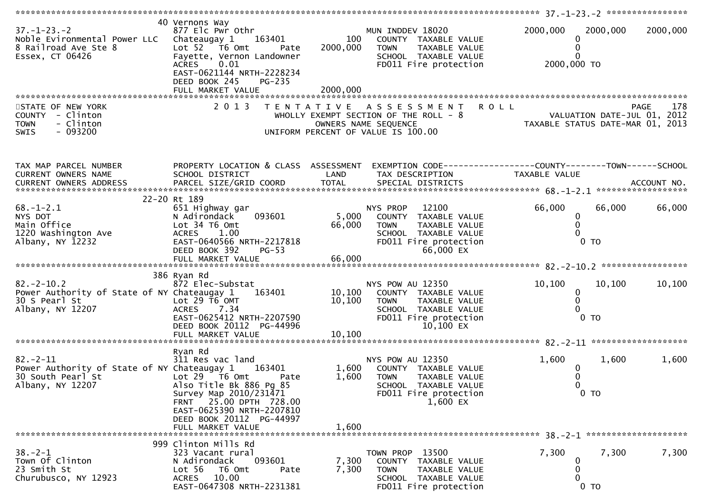| $37. - 1 - 23. - 2$<br>Noble Evironmental Power LLC<br>8 Railroad Ave Ste 8<br>Essex, CT 06426                                              | 40 Vernons Way<br>877 Elc Pwr Othr<br>163401<br>Chateaugay 1<br>Lot 52  T6 Omt<br>Pate<br>Fayette, Vernon Landowner<br>0.01<br><b>ACRES</b><br>EAST-0621144 NRTH-2228234<br>DEED BOOK 245<br>PG-235<br>FULL MARKET VALUE         | 100<br>2000,000<br>2000,000 | MUN INDDEV 18020<br>COUNTY TAXABLE VALUE<br><b>TOWN</b><br>TAXABLE VALUE<br>SCHOOL TAXABLE VALUE<br>FD011 Fire protection                      | 2000,000<br>0<br>2000,000 TO            | 2000,000                 | 2000,000 |
|---------------------------------------------------------------------------------------------------------------------------------------------|----------------------------------------------------------------------------------------------------------------------------------------------------------------------------------------------------------------------------------|-----------------------------|------------------------------------------------------------------------------------------------------------------------------------------------|-----------------------------------------|--------------------------|----------|
| STATE OF NEW YORK<br>COUNTY - Clinton<br>- Clinton<br><b>TOWN</b><br>$-093200$<br><b>SWIS</b>                                               | 2 0 1 3                                                                                                                                                                                                                          |                             | TENTATIVE ASSESSMENT<br>PAGE 178<br>PAGE 178<br>OWNERS NAME SEQUENCE ON TAXABLE STATUS DATE-JUL 01, 2012<br>UNIFORM PERCENT OF VALUE IS 100.00 | <b>ROLL</b>                             |                          | 178      |
| TAX MAP PARCEL NUMBER<br>CURRENT OWNERS NAME                                                                                                | PROPERTY LOCATION & CLASS ASSESSMENT<br>SCHOOL DISTRICT                                                                                                                                                                          | LAND                        | EXEMPTION CODE------------------COUNTY--------TOWN------SCHOOL<br>TAX DESCRIPTION                                                              | TAXABLE VALUE                           |                          |          |
| $68. - 1 - 2.1$<br>NYS DOT<br>Main Office<br>1220 Washington Ave<br>Albany, NY 12232                                                        | 22-20 Rt 189<br>651 Highway gar<br>093601<br>N Adirondack<br>Lot 34 T6 Omt<br>ACRES 1.00<br>EAST-0640566 NRTH-2217818<br>DEED BOOK 392<br>$PG-53$                                                                                | 5,000<br>66,000             | 12100<br>NYS PROP<br>COUNTY TAXABLE VALUE<br><b>TOWN</b><br>TAXABLE VALUE<br>SCHOOL TAXABLE VALUE<br>FD011 Fire protection<br>66,000 EX        | 66,000<br>0<br>$\mathbf{0}$             | 66,000<br>$0$ TO         | 66,000   |
| $82 - 2 - 10.2$<br>Power Authority of State of NY Chateaugay 1<br>30 S Pearl St<br>Albany, NY 12207                                         | 386 Ryan Rd<br>872 Elec-Substat<br>163401<br>Lot $29 \tilde{T}6$ OMT<br>ACRES 7.34<br>EAST-0625412 NRTH-2207590<br>DEED BOOK 20112 PG-44996<br>FULL MARKET VALUE                                                                 | 10, 100<br>10, 100          | NYS POW AU 12350<br>10,100 COUNTY TAXABLE VALUE<br>TAXABLE VALUE<br><b>TOWN</b><br>SCHOOL TAXABLE VALUE<br>FD011 Fire protection<br>10,100 EX  | 10, 100<br>$\mathbf{0}$<br>$\mathbf{0}$ | 10,100<br>0 <sub>T</sub> | 10, 100  |
| $82 - 2 - 11$<br>Power Authority of State of NY Chateaugay 1 163401<br>30 South Pearl St<br>Albany, NY 12207<br>*************************** | Ryan Rd<br>311 Res vac land<br>Lot $29$ $\overline{16}$ Omt<br>Pate<br>Also Title Bk 886 Pg 85<br>Survey Map 2010/231471<br>FRNT 25.00 DPTH 728.00<br>EAST-0625390 NRTH-2207810<br>DEED BOOK 20112 PG-44997<br>FULL MARKET VALUE | 1,600<br>1,600<br>1,600     | NYS POW AU 12350<br>COUNTY TAXABLE VALUE<br>TAXABLE VALUE<br>TOWN<br>SCHOOL TAXABLE VALUE<br>FD011 Fire protection<br>$1,600$ EX               | 1,600                                   | 1,600<br>$0$ TO          | 1,600    |
| $38. - 2 - 1$<br>Town Of Clinton<br>23 Smith St<br>Churubusco, NY 12923                                                                     | 999 Clinton Mills Rd<br>323 Vacant rural<br>093601<br>N Adirondack<br>Lot 56<br>T6 Omt<br>Pate<br>10.00<br><b>ACRES</b><br>EAST-0647308 NRTH-2231381                                                                             | 7,300<br>7,300              | TOWN PROP 13500<br>COUNTY TAXABLE VALUE<br><b>TOWN</b><br>TAXABLE VALUE<br>SCHOOL TAXABLE VALUE<br>FD011 Fire protection                       | 7,300<br>0                              | 7,300<br>$0$ TO          | 7,300    |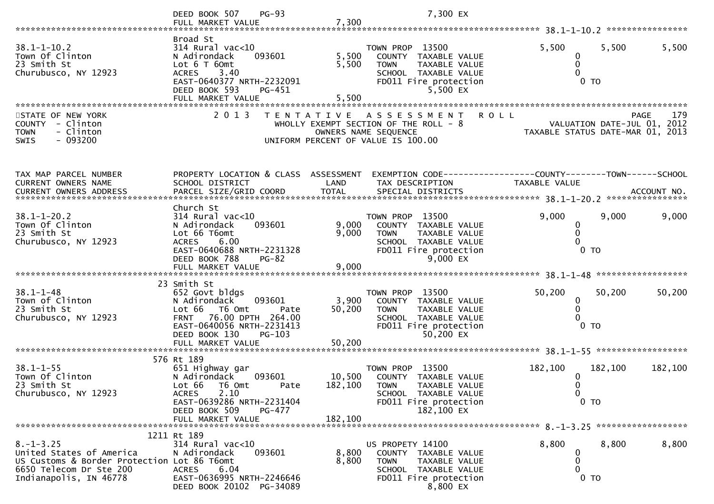|                                                                                                                                                | $PG-93$<br>DEED BOOK 507                                                                                                                                                                     |                                    | 7,300 EX                                                                                                                                       |                                                                |                                                                 |                                 |
|------------------------------------------------------------------------------------------------------------------------------------------------|----------------------------------------------------------------------------------------------------------------------------------------------------------------------------------------------|------------------------------------|------------------------------------------------------------------------------------------------------------------------------------------------|----------------------------------------------------------------|-----------------------------------------------------------------|---------------------------------|
|                                                                                                                                                | FULL MARKET VALUE                                                                                                                                                                            | 7,300                              |                                                                                                                                                |                                                                |                                                                 |                                 |
| $38.1 - 1 - 10.2$<br>Town Of Clinton<br>23 Smith St<br>Churubusco, NY 12923                                                                    | Broad St<br>$314$ Rural vac< $10$<br>N Adirondack<br>093601<br>Lot 6 T 60mt<br>3.40<br><b>ACRES</b><br>EAST-0640377 NRTH-2232091<br>DEED BOOK 593<br>PG-451<br>FULL MARKET VALUE             | 5,500<br>5,500<br>5,500            | TOWN PROP 13500<br>TAXABLE VALUE<br>COUNTY<br><b>TOWN</b><br><b>TAXABLE VALUE</b><br>SCHOOL TAXABLE VALUE<br>FD011 Fire protection<br>5,500 EX | 5,500                                                          | 5,500<br>$0$ TO                                                 | 5,500                           |
| STATE OF NEW YORK                                                                                                                              | 2 0 1 3                                                                                                                                                                                      | T E N T A T I V E                  | A S S E S S M E N T                                                                                                                            | <b>ROLL</b>                                                    |                                                                 | <b>PAGE</b><br>179              |
| <b>COUNTY</b><br>- Clinton<br>- Clinton<br><b>TOWN</b><br>$-093200$<br><b>SWIS</b>                                                             |                                                                                                                                                                                              | UNIFORM PERCENT OF VALUE IS 100.00 | WHOLLY EXEMPT SECTION OF THE ROLL - 8<br>OWNERS NAME SEQUENCE                                                                                  |                                                                | VALUATION DATE-JUL 01, 2012<br>TAXABLE STATUS DATE-MAR 01, 2013 |                                 |
| TAX MAP PARCEL NUMBER                                                                                                                          | PROPERTY LOCATION & CLASS                                                                                                                                                                    | ASSESSMENT                         |                                                                                                                                                | EXEMPTION CODE------------------COUNTY--------TOWN------SCHOOL |                                                                 |                                 |
| CURRENT OWNERS NAME                                                                                                                            | SCHOOL DISTRICT                                                                                                                                                                              | LAND                               | TAX DESCRIPTION                                                                                                                                | TAXABLE VALUE                                                  |                                                                 | ACCOUNT NO.<br>**************** |
| $38.1 - 1 - 20.2$<br>Town Of Clinton<br>23 Smith St<br>Churubusco, NY 12923                                                                    | Church St<br>$314$ Rural vac<10<br>093601<br>N Adirondack<br>Lot 66 T6omt<br>6.00<br><b>ACRES</b><br>EAST-0640688 NRTH-2231328<br>DEED BOOK 788<br>$PG-82$                                   | 9,000<br>9,000                     | TOWN PROP 13500<br>COUNTY TAXABLE VALUE<br><b>TOWN</b><br>TAXABLE VALUE<br>SCHOOL TAXABLE VALUE<br>FD011 Fire protection<br>9,000 EX           | 9,000                                                          | 9,000<br>0<br>$0$ TO                                            | 9,000                           |
|                                                                                                                                                | FULL MARKET VALUE                                                                                                                                                                            | 9,000                              |                                                                                                                                                |                                                                |                                                                 | ******************              |
| $38.1 - 1 - 48$<br>Town of Clinton<br>23 Smith St<br>Churubusco, NY 12923                                                                      | 23 Smith St<br>652 Govt bldgs<br>N Adirondack<br>093601<br>Lot 66<br>T6 Omt<br>76.00 DPTH 264.00<br><b>FRNT</b><br>EAST-0640056 NRTH-2231413<br>DEED BOOK 130<br>PG-103<br>FULL MARKET VALUE | 3,900<br>50,200<br>Pate<br>50,200  | TOWN PROP 13500<br>COUNTY TAXABLE VALUE<br><b>TOWN</b><br>TAXABLE VALUE<br>SCHOOL TAXABLE VALUE<br>FD011 Fire protection<br>50,200 EX          | 50,200                                                         | 50,200<br>0<br>0<br>$0$ TO                                      | 50,200                          |
|                                                                                                                                                |                                                                                                                                                                                              |                                    |                                                                                                                                                |                                                                |                                                                 |                                 |
| $38.1 - 1 - 55$<br>Town Of Clinton<br>23 Smith St<br>Churubusco, NY 12923                                                                      | 576 Rt 189<br>651 Highway gar<br>N Adirondack<br>093601<br>Lot 66<br>T6 Omt<br>2.10<br><b>ACRES</b><br>EAST-0639286 NRTH-2231404<br>DEED BOOK 509<br>PG-477                                  | 10,500<br>182,100<br>Pate          | TOWN PROP 13500<br>COUNTY<br>TAXABLE VALUE<br><b>TOWN</b><br>TAXABLE VALUE<br>SCHOOL TAXABLE VALUE<br>FD011 Fire protection<br>182,100 EX      | 182,100                                                        | 182,100<br>0<br>$\mathbf{0}$<br>$0$ TO                          | 182,100                         |
|                                                                                                                                                | FULL MARKET VALUE                                                                                                                                                                            | 182,100                            |                                                                                                                                                |                                                                |                                                                 |                                 |
|                                                                                                                                                | 1211 Rt 189                                                                                                                                                                                  |                                    |                                                                                                                                                |                                                                |                                                                 |                                 |
| $8. -1 - 3.25$<br>United States of America<br>US Customs & Border Protection Lot 86 T6omt<br>6650 Telecom Dr Ste 200<br>Indianapolis, IN 46778 | 314 Rural vac<10<br>N Adirondack<br>093601<br><b>ACRES</b><br>6.04<br>EAST-0636995 NRTH-2246646<br>DEED BOOK 20102 PG-34089                                                                  | 8,800<br>8,800                     | US PROPETY 14100<br>COUNTY TAXABLE VALUE<br><b>TOWN</b><br>TAXABLE VALUE<br>SCHOOL TAXABLE VALUE<br>FD011 Fire protection<br>8,800 EX          | 8,800                                                          | 8,800<br>0<br>0<br>0<br>$0$ TO                                  | 8,800                           |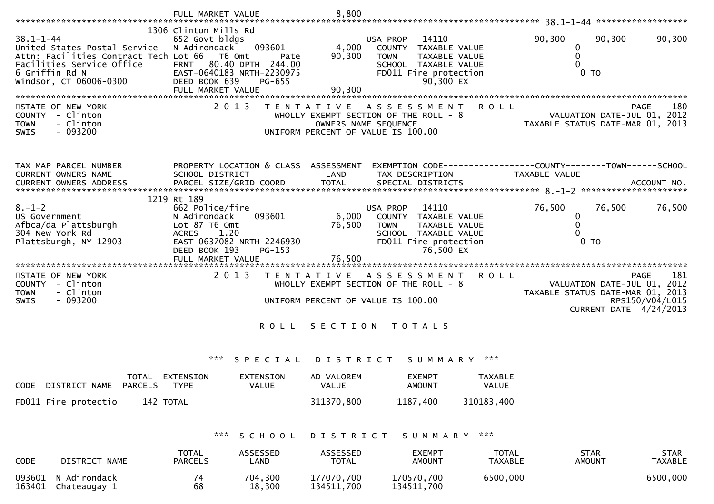|                                                                       | FULL MARKET VALUE                             |                                      | 8,800                    |                                       |                                |                | 38.1-1-44 ********************                                  |
|-----------------------------------------------------------------------|-----------------------------------------------|--------------------------------------|--------------------------|---------------------------------------|--------------------------------|----------------|-----------------------------------------------------------------|
|                                                                       | 1306 Clinton Mills Rd                         |                                      |                          |                                       |                                |                |                                                                 |
| $38.1 - 1 - 44$                                                       | 652 Govt bldgs                                |                                      |                          | 14110<br>USA PROP                     |                                | 90,300         | 90,300<br>90,300                                                |
| United States Postal Service<br>Attn: Facilities Contract Tech Lot 66 | N Adirondack<br>T6 Omt                        | 093601<br>Pate                       | 4,000<br>90,300          | <b>COUNTY</b><br><b>TOWN</b>          | TAXABLE VALUE<br>TAXABLE VALUE | 0<br>0         |                                                                 |
| Facilities Service Office                                             | <b>FRNT</b>                                   | 80.40 DPTH 244.00                    |                          | SCHOOL TAXABLE VALUE                  |                                | 0              |                                                                 |
| 6 Griffin Rd N                                                        | EAST-0640183 NRTH-2230975                     |                                      |                          | FD011 Fire protection                 |                                | 0 <sub>T</sub> |                                                                 |
| Windsor, CT 06006-0300                                                | DEED BOOK 639<br>FULL MARKET VALUE            | PG-655                               | 90,300                   | 90,300 EX                             |                                |                |                                                                 |
|                                                                       |                                               |                                      |                          |                                       |                                |                |                                                                 |
| STATE OF NEW YORK                                                     | 2 0 1 3                                       |                                      | T E N T A T I V E        | A S S E S S M E N T                   | R O L L                        |                | 180<br><b>PAGE</b>                                              |
| <b>COUNTY</b><br>- Clinton<br>- Clinton<br><b>TOWN</b>                |                                               |                                      | OWNERS NAME SEQUENCE     | WHOLLY EXEMPT SECTION OF THE ROLL - 8 |                                |                | VALUATION DATE-JUL 01, 2012<br>TAXABLE STATUS DATE-MAR 01, 2013 |
| $-093200$<br><b>SWIS</b>                                              |                                               |                                      |                          | UNIFORM PERCENT OF VALUE IS 100.00    |                                |                |                                                                 |
|                                                                       |                                               |                                      |                          |                                       |                                |                |                                                                 |
|                                                                       |                                               |                                      |                          |                                       |                                |                |                                                                 |
| TAX MAP PARCEL NUMBER                                                 |                                               | PROPERTY LOCATION & CLASS ASSESSMENT |                          |                                       |                                |                |                                                                 |
| CURRENT OWNERS NAME                                                   | SCHOOL DISTRICT                               |                                      | LAND                     | TAX DESCRIPTION                       |                                | TAXABLE VALUE  |                                                                 |
|                                                                       |                                               |                                      |                          |                                       |                                |                |                                                                 |
|                                                                       | 1219 Rt 189                                   |                                      |                          |                                       |                                |                |                                                                 |
| $8. - 1 - 2$                                                          | 662 Police/fire                               |                                      |                          | 14110<br>USA PROP                     |                                | 76,500         | 76,500<br>76,500                                                |
| US Government                                                         | N Adirondack                                  | 093601                               | 6,000                    | COUNTY                                | <b>TAXABLE VALUE</b>           | 0              |                                                                 |
| Afbca/da Plattsburgh<br>304 New York Rd                               | Lot 87 T6 Omt<br>1.20<br><b>ACRES</b>         |                                      | 76,500                   | <b>TOWN</b><br>SCHOOL TAXABLE VALUE   | TAXABLE VALUE                  | $\Omega$       |                                                                 |
| Plattsburgh, NY 12903                                                 | EAST-0637082 NRTH-2246930                     |                                      |                          | FD011 Fire protection                 |                                | 0 <sub>T</sub> |                                                                 |
|                                                                       | DEED BOOK 193                                 | $PG-153$                             |                          |                                       | 76,500 EX                      |                |                                                                 |
|                                                                       | FULL MARKET VALUE<br>************************ |                                      | 76,500                   |                                       |                                |                |                                                                 |
| STATE OF NEW YORK                                                     | 2 0 1 3                                       |                                      | T E N T A T I V E        | A S S E S S M E N T                   | <b>ROLL</b>                    |                | 181<br><b>PAGE</b>                                              |
| - Clinton<br><b>COUNTY</b>                                            |                                               |                                      |                          | WHOLLY EXEMPT SECTION OF THE ROLL - 8 |                                |                | VALUATION DATE-JUL 01, 2012                                     |
| <b>TOWN</b><br>- Clinton<br>$-093200$<br><b>SWIS</b>                  |                                               |                                      |                          | UNIFORM PERCENT OF VALUE IS 100.00    |                                |                | TAXABLE STATUS DATE-MAR 01, 2013<br>RPS150/V04/L015             |
|                                                                       |                                               |                                      |                          |                                       |                                |                | CURRENT DATE 4/24/2013                                          |
|                                                                       |                                               |                                      |                          |                                       |                                |                |                                                                 |
|                                                                       |                                               | <b>ROLL</b>                          | S E C T I O N            | T O T A L S                           |                                |                |                                                                 |
|                                                                       |                                               |                                      |                          |                                       |                                |                |                                                                 |
|                                                                       |                                               |                                      |                          |                                       |                                |                |                                                                 |
|                                                                       | ***                                           | SPECIAL                              | DISTRICT                 | SUMMARY                               | ***                            |                |                                                                 |
| TOTAL                                                                 | <b>EXTENSION</b>                              | <b>EXTENSION</b>                     | AD VALOREM               | <b>EXEMPT</b>                         | <b>TAXABLE</b>                 |                |                                                                 |
| <b>PARCELS</b><br>DISTRICT NAME<br><b>CODE</b>                        | <b>TYPE</b>                                   | <b>VALUE</b>                         | <b>VALUE</b>             | <b>AMOUNT</b>                         | VALUE                          |                |                                                                 |
| FD011 Fire protectio<br>142 TOTAL                                     |                                               |                                      | 311370,800               | 1187,400                              | 310183,400                     |                |                                                                 |
|                                                                       |                                               |                                      |                          |                                       |                                |                |                                                                 |
|                                                                       |                                               |                                      |                          |                                       |                                |                |                                                                 |
|                                                                       | ***                                           | SCHOOL                               | DISTRICT                 | SUMMARY                               | $-7.77$                        |                |                                                                 |
|                                                                       | <b>TOTAL</b>                                  | ASSESSED                             | ASSESSED                 | <b>EXEMPT</b>                         | <b>TOTAL</b>                   | <b>STAR</b>    | <b>STAR</b>                                                     |
| DISTRICT NAME<br>CODE                                                 | <b>PARCELS</b>                                | LAND                                 | <b>TOTAL</b>             | <b>AMOUNT</b>                         | <b>TAXABLE</b>                 | <b>AMOUNT</b>  | <b>TAXABLE</b>                                                  |
| N Adirondack                                                          | 74                                            | 704,300                              |                          |                                       | 6500,000                       |                | 6500,000                                                        |
| 093601<br>163401<br>Chateaugay 1                                      | 68                                            | 18,300                               | 177070,700<br>134511,700 | 170570,700<br>134511,700              |                                |                |                                                                 |
|                                                                       |                                               |                                      |                          |                                       |                                |                |                                                                 |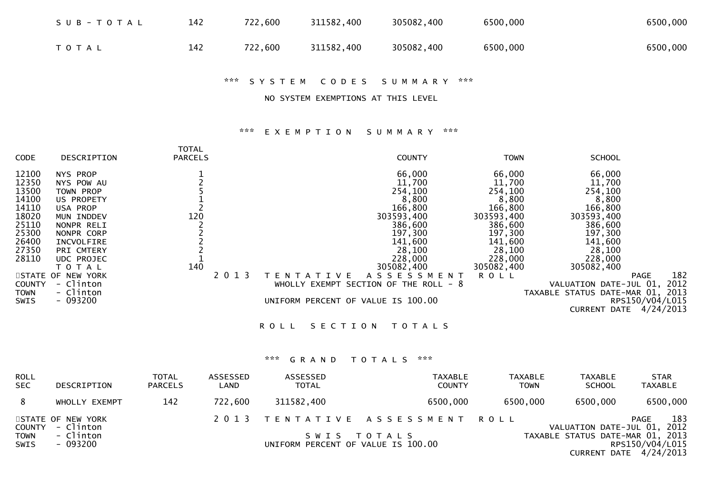| SUB-TOTAL | 142 | 722,600 | 311582,400 | 305082,400 | 6500,000 | 6500,000 |
|-----------|-----|---------|------------|------------|----------|----------|
| T O T A L | 142 | 722,600 | 311582,400 | 305082,400 | 6500,000 | 6500,000 |

\*\*\* S Y S T E M C O D E S S U M M A R Y \*\*\*

NO SYSTEM EXEMPTIONS AT THIS LEVEL

## \*\*\* E X E M P T I O N S U M M A R Y \*\*\*

| <b>CODE</b>   | DESCRIPTION       | <b>TOTAL</b><br><b>PARCELS</b> |         |                                    | <b>COUNTY</b>                     | <b>TOWN</b> | <b>SCHOOL</b>                    |                    |
|---------------|-------------------|--------------------------------|---------|------------------------------------|-----------------------------------|-------------|----------------------------------|--------------------|
| 12100         | NYS PROP          |                                |         |                                    | 66,000                            | 66,000      | 66,000                           |                    |
| 12350         | NYS POW AU        |                                |         |                                    | 11,700                            | 11,700      | 11,700                           |                    |
| 13500         | TOWN PROP         |                                |         |                                    | 254,100                           | 254,100     | 254,100                          |                    |
| 14100         | US PROPETY        |                                |         |                                    | 8,800                             | 8,800       | 8,800                            |                    |
| 14110         | USA PROP          |                                |         |                                    | 166,800                           | 166,800     | 166,800                          |                    |
| 18020         | MUN INDDEV        | 120                            |         |                                    | 303593,400                        | 303593,400  | 303593,400                       |                    |
| 25110         | NONPR RELI        |                                |         |                                    | 386,600                           | 386,600     | 386,600                          |                    |
| 25300         | NONPR CORP        |                                |         |                                    | 197,300                           | 197,300     | 197,300                          |                    |
| 26400         | INCVOLFIRE        |                                |         |                                    | 141,600                           | 141,600     | 141,600                          |                    |
| 27350         | <b>PRI CMTERY</b> |                                |         |                                    | 28,100                            | 28,100      | 28,100                           |                    |
| 28110         | <b>UDC PROJEC</b> |                                |         |                                    | 228,000                           | 228,000     | 228,000                          |                    |
|               | T O T A L         | 140                            |         |                                    | 305082,400                        | 305082,400  | 305082,400                       |                    |
|               | STATE OF NEW YORK |                                | 2 0 1 3 |                                    | A S S E S S M E N T               | R O L L     |                                  | 182<br><b>PAGE</b> |
| <b>COUNTY</b> | - Clinton         |                                |         | <b>WHOLLY</b>                      | - 8<br>EXEMPT SECTION OF THE ROLL |             | VALUATION DATE-JUL 01,           | 2012               |
| <b>TOWN</b>   | - Clinton         |                                |         |                                    |                                   |             | TAXABLE STATUS DATE-MAR 01, 2013 |                    |
| SWIS          | $-093200$         |                                |         | UNIFORM PERCENT OF VALUE IS 100.00 |                                   |             |                                  | RPS150/V04/L015    |
|               |                   |                                |         |                                    |                                   |             | <b>CURRENT DATE</b>              | 4/24/2013          |
|               |                   |                                |         |                                    |                                   |             |                                  |                    |

ROLL SECTION TOTALS

# \*\*\* G R A N D T O T A L S \*\*\*

| <b>ROLL</b><br><b>SEC</b>  | DESCRIPTION                    | <b>TOTAL</b><br><b>PARCELS</b> | ASSESSED<br>LAND | ASSESSED<br><b>TOTAL</b>           | <b>TAXABLE</b><br><b>COUNTY</b> | <b>TAXABLE</b><br><b>TOWN</b> | TAXABLE<br><b>SCHOOL</b> | <b>STAR</b><br><b>TAXABLE</b>                                                   |
|----------------------------|--------------------------------|--------------------------------|------------------|------------------------------------|---------------------------------|-------------------------------|--------------------------|---------------------------------------------------------------------------------|
| 8                          | WHOLLY EXEMPT                  | 142                            | 722,600          | 311582,400                         | 6500,000                        | 6500,000                      | 6500,000                 | 6500,000                                                                        |
| <b>COUNTY</b>              | STATE OF NEW YORK<br>- Clinton |                                |                  |                                    | 2013 TENTATIVE ASSESSMENT ROLL  |                               |                          | 183<br>PAGE<br>VALUATION DATE-JUL 01, 2012                                      |
| <b>TOWN</b><br><b>SWIS</b> | - Clinton<br>- 093200          |                                |                  | UNIFORM PERCENT OF VALUE IS 100.00 | SWIS TOTALS                     |                               |                          | TAXABLE STATUS DATE-MAR 01, 2013<br>RPS150/V04/L015<br>CURRENT DATE $4/24/2013$ |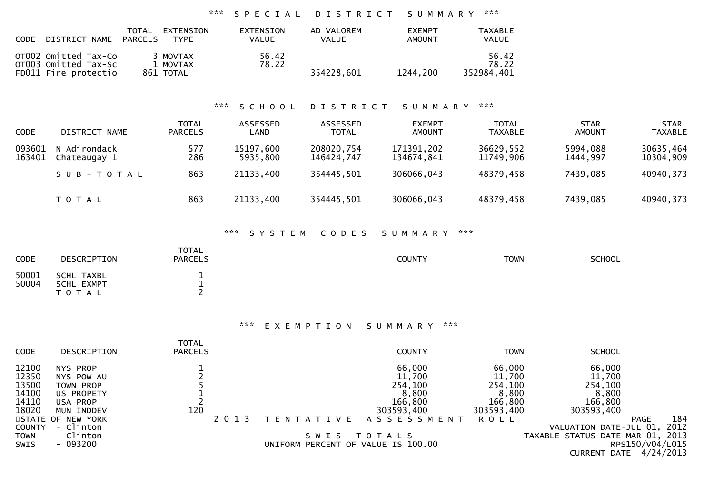# \*\*\* S P E C I A L D I S T R I C T S U M M A R Y \*\*\*

| DISTRICT NAME<br><b>CODE</b>                                         | TOTAL<br>EXTENSION<br>PARCELS<br><b>TYPE</b> | <b>EXTENSION</b><br>VALUE | AD VALOREM<br><b>VALUE</b> | <b>FXEMPT</b><br><b>AMOUNT</b> | <b>TAXABLE</b><br>VALUE      |
|----------------------------------------------------------------------|----------------------------------------------|---------------------------|----------------------------|--------------------------------|------------------------------|
| OTO02 Omitted Tax-Co<br>OT003 Omitted Tax-Sc<br>FD011 Fire protectio | 3 MOVTAX<br>1 MOVTAX<br>861 TOTAL            | 56.42<br>78.22            | 354228.601                 | 1244.200                       | 56.42<br>78.22<br>352984.401 |

# \*\*\* S C H O O L D I S T R I C T S U M M A R Y \*\*\*

| <b>CODE</b>      | DISTRICT NAME                | <b>TOTAL</b><br><b>PARCELS</b> | ASSESSED<br>LAND      | ASSESSED<br><b>TOTAL</b> | <b>EXEMPT</b><br><b>AMOUNT</b> | <b>TOTAL</b><br><b>TAXABLE</b> | <b>STAR</b><br>AMOUNT | <b>STAR</b><br><b>TAXABLE</b> |
|------------------|------------------------------|--------------------------------|-----------------------|--------------------------|--------------------------------|--------------------------------|-----------------------|-------------------------------|
| 093601<br>163401 | N Adirondack<br>Chateaugay 1 | 577<br>286                     | 15197,600<br>5935,800 | 208020,754<br>146424,747 | 171391,202<br>134674,841       | 36629,552<br>11749.906         | 5994,088<br>1444,997  | 30635,464<br>10304,909        |
|                  | SUB-TOTAL                    | 863                            | 21133,400             | 354445,501               | 306066,043                     | 48379,458                      | 7439,085              | 40940,373                     |
|                  | T O T A L                    | 863                            | 21133,400             | 354445,501               | 306066,043                     | 48379,458                      | 7439,085              | 40940,373                     |

## \*\*\* S Y S T E M C O D E S S U M M A R Y \*\*\*

| <b>CODE</b>    | DESCRIPTION                           | <b>TOTAL</b><br><b>PARCELS</b> | <b>COUNTY</b> | <b>TOWN</b> | SCHOOL |
|----------------|---------------------------------------|--------------------------------|---------------|-------------|--------|
| 50001<br>50004 | SCHL TAXBL<br>SCHL EXMPT<br>T O T A L | -<br>--                        |               |             |        |

## \*\*\* E X E M P T I O N S U M M A R Y \*\*\*

| <b>CODE</b>    | DESCRIPTION            | TOTAL<br><b>PARCELS</b> |         |                                    | <b>COUNTY</b>       | <b>TOWN</b>      | <b>SCHOOL</b>               |                 |
|----------------|------------------------|-------------------------|---------|------------------------------------|---------------------|------------------|-----------------------------|-----------------|
| 12100<br>12350 | NYS PROP<br>NYS POW AU |                         |         |                                    | 66,000<br>11,700    | 66,000<br>11,700 | 66,000<br>11,700            |                 |
| 13500          | TOWN PROP              |                         |         |                                    | 254,100             | 254,100          | 254,100                     |                 |
| 14100          | US PROPETY             |                         |         |                                    | 8,800               | 8,800            | 8,800                       |                 |
| 14110          | USA PROP               |                         |         |                                    | 166,800             | 166,800          | 166,800                     |                 |
| 18020          | MUN INDDEV             | 120                     |         |                                    | 303593,400          | 303593,400       | 303593,400                  |                 |
|                | STATE OF NEW YORK      |                         | 2 0 1 3 | T E N T A T I V E                  | A S S E S S M E N T | R O L L          | <b>PAGE</b>                 | 184             |
| <b>COUNTY</b>  | - Clinton              |                         |         |                                    |                     |                  | VALUATION DATE-JUL 01,      | 2012            |
| <b>TOWN</b>    | - Clinton              |                         |         | S W I S                            | T O T A L S         |                  | TAXABLE STATUS DATE-MAR 01, | 2013            |
| SWIS           | - 093200               |                         |         | UNIFORM PERCENT OF VALUE IS 100.00 |                     |                  |                             | RPS150/V04/L015 |
|                |                        |                         |         |                                    |                     |                  | <b>CURRENT DATE</b>         | 4/24/2013       |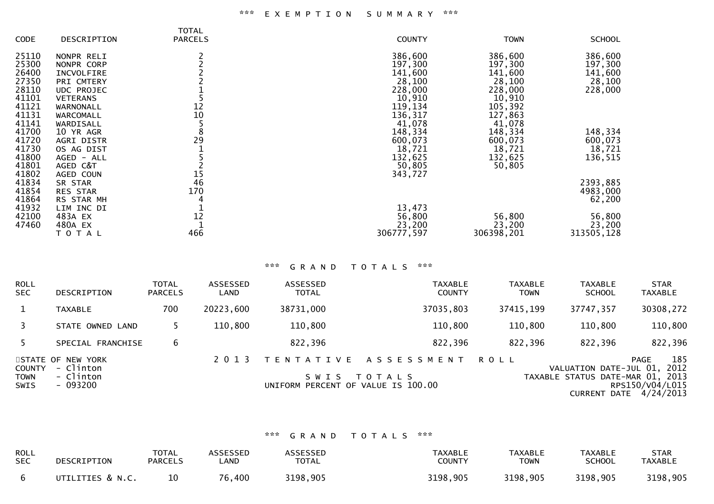#### \*\*\* E X E M P T I O N S U M M A R Y \*\*\*

|             |                   | <b>TOTAL</b>   |               |             |               |
|-------------|-------------------|----------------|---------------|-------------|---------------|
| <b>CODE</b> | DESCRIPTION       | <b>PARCELS</b> | <b>COUNTY</b> | <b>TOWN</b> | <b>SCHOOL</b> |
| 25110       | NONPR RELI        |                | 386,600       | 386,600     | 386,600       |
| 25300       | NONPR CORP        |                | 197,300       | 197,300     | 197,300       |
| 26400       | INCVOLFIRE        |                | 141,600       | 141,600     | 141,600       |
|             |                   |                |               |             |               |
| 27350       | PRI CMTERY        |                | 28,100        | 28,100      | 28,100        |
| 28110       | UDC PROJEC        |                | 228,000       | 228,000     | 228,000       |
| 41101       | <b>VETERANS</b>   |                | 10,910        | 10,910      |               |
| 41121       | WARNONALL         | 12             | 119,134       | 105,392     |               |
| 41131       | WARCOMALL         | 10             | 136,317       | 127,863     |               |
| 41141       | WARDISALL         |                | 41,078        | 41,078      |               |
| 41700       | 10 YR AGR         | 8              | 148,334       | 148,334     | 148,334       |
| 41720       | <b>AGRI DISTR</b> | 29             | 600,073       | 600,073     | 600,073       |
| 41730       | OS AG DIST        |                | 18,721        | 18,721      | 18,721        |
| 41800       | AGED - ALL        |                | 132,625       | 132,625     | 136,515       |
| 41801       | AGED C&T          |                | 50,805        | 50,805      |               |
| 41802       | AGED COUN         | 15             | 343,727       |             |               |
| 41834       | SR STAR           | 46             |               |             | 2393,885      |
| 41854       | <b>RES STAR</b>   | 170            |               |             | 4983,000      |
| 41864       | RS STAR MH        |                |               |             | 62,200        |
| 41932       | LIM INC DI        |                | 13,473        |             |               |
| 42100       | 483A EX           | 12             |               |             |               |
|             |                   |                | 56,800        | 56,800      | 56,800        |
| 47460       | 480A EX           |                | 23,200        | 23,200      | 23,200        |
|             | ΤΟΤΑΙ             | 466            | 306777,597    | 306398,201  | 313505,128    |

## \*\*\* G R A N D T O T A L S \*\*\*

| <b>ROLL</b><br><b>SEC</b>            | <b>DESCRIPTION</b>                                      | <b>TOTAL</b><br><b>PARCELS</b> | ASSESSED<br>LAND | ASSESSED<br><b>TOTAL</b>                                           | <b>TAXABLE</b><br><b>COUNTY</b> | <b>TAXABLE</b><br><b>TOWN</b> | <b>TAXABLE</b><br><b>SCHOOL</b>                                                   | <b>STAR</b><br><b>TAXABLE</b>                              |
|--------------------------------------|---------------------------------------------------------|--------------------------------|------------------|--------------------------------------------------------------------|---------------------------------|-------------------------------|-----------------------------------------------------------------------------------|------------------------------------------------------------|
|                                      | <b>TAXABLE</b>                                          | 700                            | 20223,600        | 38731,000                                                          | 37035,803                       | 37415,199                     | 37747,357                                                                         | 30308,272                                                  |
|                                      | STATE OWNED LAND                                        |                                | 110,800          | 110,800                                                            | 110,800                         | 110,800                       | 110,800                                                                           | 110,800                                                    |
|                                      | SPECIAL FRANCHISE                                       | 6                              |                  | 822,396                                                            | 822,396                         | 822,396                       | 822,396                                                                           | 822,396                                                    |
| <b>COUNTY</b><br><b>TOWN</b><br>SWIS | STATE OF NEW YORK<br>- Clinton<br>- Clinton<br>- 093200 |                                | 2 0 1 3          | T E N T A T I V E<br>S W I S<br>UNIFORM PERCENT OF VALUE IS 100.00 | ASSESSMENT<br>T O T A L S       | R O L L                       | VALUATION DATE-JUL 01,<br>TAXABLE STATUS DATE-MAR 01, 2013<br><b>CURRENT DATE</b> | 185<br><b>PAGE</b><br>2012<br>RPS150/V04/L015<br>4/24/2013 |

### \*\*\* G R A N D T O T A L S \*\*\*

| ROLL       | DESCRIPTION      | <b>TOTAL</b>   | <b>ASSESSED</b> | <b>ASSESSED</b> | <b>TAXABLE</b> | <b>TAXABLE</b> | <b>TAXABLE</b> | STAR           |
|------------|------------------|----------------|-----------------|-----------------|----------------|----------------|----------------|----------------|
| <b>SEC</b> |                  | <b>PARCELS</b> | <b>AND</b>      | <b>TOTAL</b>    | <b>COUNTY</b>  | <b>TOWN</b>    | SCHOOL         | <b>TAXABLE</b> |
|            | UTILITIES & N.C. |                | 76,400          | 3198,905        | 3198,905       | 3198,905       | 3198,905       | 3198,905       |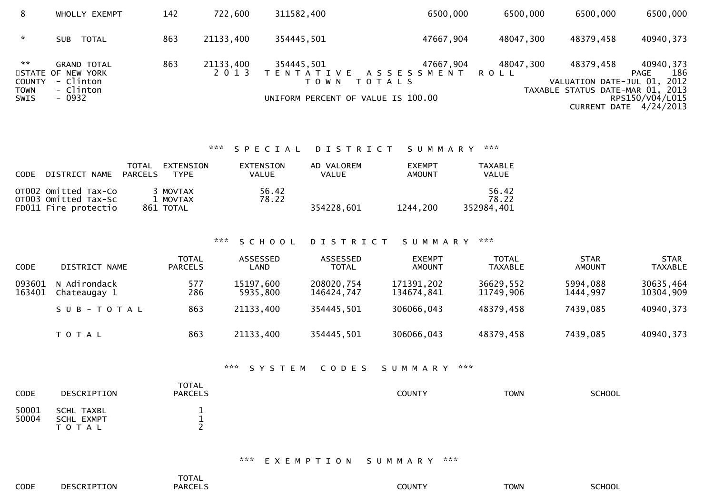| 8                               | WHOLLY EXEMPT                                                     | 142 | 722,600   | 311582,400                         | 6500,000                                              | 6500,000  | 6500,000                                 | 6500,000                                         |
|---------------------------------|-------------------------------------------------------------------|-----|-----------|------------------------------------|-------------------------------------------------------|-----------|------------------------------------------|--------------------------------------------------|
| $\sim$                          | TOTAL<br>SUB                                                      | 863 | 21133,400 | 354445,501                         | 47667,904                                             | 48047,300 | 48379,458                                | 40940,373                                        |
| $\mathbb{R}^n$<br><b>COUNTY</b> | <b>GRAND TOTAL</b><br>STATE OF NEW YORK<br>- Clinton<br>- Clinton | 863 | 21133,400 | 354445,501<br>T O W N              | 47667,904<br>TENTATIVE ASSESSMENT ROLL<br>T O T A L S | 48047,300 | 48379,458<br>VALUATION DATE-JUL 01, 2012 | 40940,373<br>186<br>PAGE                         |
| <b>TOWN</b><br>SWIS             | - 0932                                                            |     |           | UNIFORM PERCENT OF VALUE IS 100.00 |                                                       |           | TAXABLE STATUS DATE-MAR 01, 2013         | RPS150/V04/L015<br><b>CURRENT DATE 4/24/2013</b> |

## \*\*\* S P E C I A L D I S T R I C T S U M M A R Y \*\*\*

| CODE DISTRICT NAME                                                   | TOTAL<br>PARCELS | EXTENSION<br><b>TYPE</b>          | EXTENSION<br>VALUE | AD VALOREM<br><b>VALUE</b> | <b>EXEMPT</b><br><b>AMOUNT</b> | TAXABLE<br><b>VALUE</b>      |
|----------------------------------------------------------------------|------------------|-----------------------------------|--------------------|----------------------------|--------------------------------|------------------------------|
| OT002 Omitted Tax-Co<br>OT003 Omitted Tax-Sc<br>FD011 Fire protectio |                  | 3 MOVTAX<br>1 MOVTAX<br>861 TOTAL | 56.42<br>78.22     | 354228.601                 | 1244,200                       | 56.42<br>78.22<br>352984.401 |

#### \*\*\* S C H O O L D I S T R I C T S U M M A R Y \*\*\*

| <b>CODE</b>      | DISTRICT NAME                | TOTAL<br><b>PARCELS</b> | ASSESSED<br>LAND      | ASSESSED<br><b>TOTAL</b> | <b>EXEMPT</b><br><b>AMOUNT</b> | TOTAL<br><b>TAXABLE</b> | <b>STAR</b><br><b>AMOUNT</b> | <b>STAR</b><br>TAXABLE |
|------------------|------------------------------|-------------------------|-----------------------|--------------------------|--------------------------------|-------------------------|------------------------------|------------------------|
| 093601<br>163401 | N Adirondack<br>Chateaugay 1 | 577<br>286              | 15197,600<br>5935,800 | 208020,754<br>146424,747 | 171391,202<br>134674,841       | 36629,552<br>11749,906  | 5994,088<br>1444,997         | 30635,464<br>10304,909 |
|                  | SUB-TOTAL                    | 863                     | 21133,400             | 354445,501               | 306066,043                     | 48379,458               | 7439,085                     | 40940,373              |
|                  | <b>TOTAL</b>                 | 863                     | 21133,400             | 354445,501               | 306066,043                     | 48379,458               | 7439,085                     | 40940,373              |

#### \*\*\* S Y S T E M C O D E S S U M M A R Y \*\*\*

| <b>CODE</b>    | DESCRIPTION                                  | <b>TOTAL</b><br><b>PARCELS</b> | COUNTY | <b>TOWN</b> | <b>SCHOOL</b> |
|----------------|----------------------------------------------|--------------------------------|--------|-------------|---------------|
| 50001<br>50004 | SCHL TAXBL<br><b>SCHL EXMPT</b><br>T O T A L | --                             |        |             |               |

#### \*\*\* E X E M P T I O N S U M M A R Y \*\*\*

|      |                    | <b>TOTAL</b>   |               |             |               |
|------|--------------------|----------------|---------------|-------------|---------------|
| CODE | <b>DESCRIPTION</b> | <b>PARCELS</b> | <b>COUNTY</b> | <b>TOWN</b> | <b>SCHOOL</b> |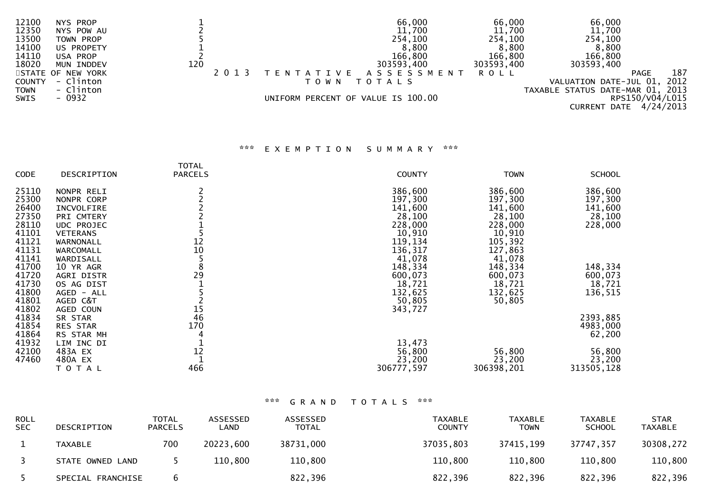| 12100         | NYS PROP          |     |                                    | 66,000               | 66,000      | 66,000                           |                    |
|---------------|-------------------|-----|------------------------------------|----------------------|-------------|----------------------------------|--------------------|
| 12350         | NYS POW AU        |     |                                    | 11,700               | 11,700      | 11,700                           |                    |
| 13500         | TOWN PROP         |     |                                    | 254,100              | 254,100     | 254,100                          |                    |
| 14100         | US PROPETY        |     |                                    | 8,800                | 8,800       | 8,800                            |                    |
| 14110         | USA PROP          |     |                                    | 166,800              | 166,800     | 166,800                          |                    |
| 18020         | MUN INDDEV        | 120 |                                    | 303593,400           | 303593,400  | 303593,400                       |                    |
|               | STATE OF NEW YORK |     |                                    | TENTATIVE ASSESSMENT | <b>ROLL</b> |                                  | 187<br><b>PAGE</b> |
| <b>COUNTY</b> | - Clinton         |     | T O W N                            | T O T A L S          |             | VALUATION DATE-JUL 01,           | 2012               |
| <b>TOWN</b>   | - Clinton         |     |                                    |                      |             | TAXABLE STATUS DATE-MAR 01, 2013 |                    |
| SWIS          | - 0932            |     | UNIFORM PERCENT OF VALUE IS 100.00 |                      |             |                                  | RPS150/V04/L015    |
|               |                   |     |                                    |                      |             | CURRENT DATE                     | 4/24/2013          |

## \*\*\* E X E M P T I O N S U M M A R Y \*\*\*

|             |                 | TOTAL          |               |             |               |
|-------------|-----------------|----------------|---------------|-------------|---------------|
| <b>CODE</b> | DESCRIPTION     | <b>PARCELS</b> | <b>COUNTY</b> | <b>TOWN</b> | <b>SCHOOL</b> |
| 25110       | NONPR RELI      |                | 386,600       | 386,600     | 386,600       |
| 25300       | NONPR CORP      |                | 197,300       | 197,300     | 197,300       |
| 26400       | INCVOLFIRE      |                | 141,600       | 141,600     | 141,600       |
| 27350       | PRI CMTERY      |                | 28,100        | 28,100      | 28,100        |
| 28110       | UDC PROJEC      |                | 228,000       | 228,000     | 228,000       |
| 41101       | <b>VETERANS</b> |                | 10,910        | 10,910      |               |
| 41121       | WARNONALL       | 12             | 119,134       | 105,392     |               |
| 41131       | WARCOMALL       | 10             | 136,317       | 127,863     |               |
| 41141       | WARDISALL       |                | 41,078        | 41,078      |               |
| 41700       | 10 YR AGR       | 8              | 148,334       | 148,334     | 148,334       |
| 41720       | AGRI DISTR      | 29             | 600,073       | 600,073     | 600,073       |
| 41730       | OS AG DIST      |                | 18,721        | 18,721      | 18,721        |
| 41800       | AGED - ALL      |                | 132,625       | 132,625     | 136,515       |
| 41801       | AGED C&T        |                | 50,805        | 50,805      |               |
| 41802       | AGED COUN       | 15             | 343,727       |             |               |
| 41834       | SR STAR         | 46             |               |             | 2393,885      |
| 41854       | <b>RES STAR</b> | 170            |               |             | 4983,000      |
| 41864       | RS STAR MH      |                |               |             | 62,200        |
| 41932       | LIM INC DI      |                | 13,473        |             |               |
| 42100       | 483A EX         | 12             | 56,800        | 56,800      | 56,800        |
| 47460       | 480A EX         |                | 23,200        | 23,200      | 23,200        |
|             | T O T A L       | 466            | 306777,597    | 306398,201  | 313505,128    |

# \*\*\* G R A N D T O T A L S \*\*\*

| <b>ROLL</b><br><b>SEC</b> | DESCRIPTION       | <b>TOTAL</b><br><b>PARCELS</b> | ASSESSED<br>_AND | ASSESSED<br>TOTAL | <b>TAXABLE</b><br><b>COUNTY</b> | <b>TAXABLE</b><br>TOWN | <b>TAXABLE</b><br><b>SCHOOL</b> | <b>STAR</b><br>TAXABLE |
|---------------------------|-------------------|--------------------------------|------------------|-------------------|---------------------------------|------------------------|---------------------------------|------------------------|
|                           | TAXABLE           | 700                            | 20223,600        | 38731,000         | 37035,803                       | 37415,199              | 37747,357                       | 30308,272              |
|                           | STATE OWNED LAND  |                                | 110,800          | 110,800           | 110,800                         | 110,800                | 110,800                         | 110,800                |
|                           | SPECIAL FRANCHISE |                                |                  | 822,396           | 822,396                         | 822,396                | 822,396                         | 822,396                |